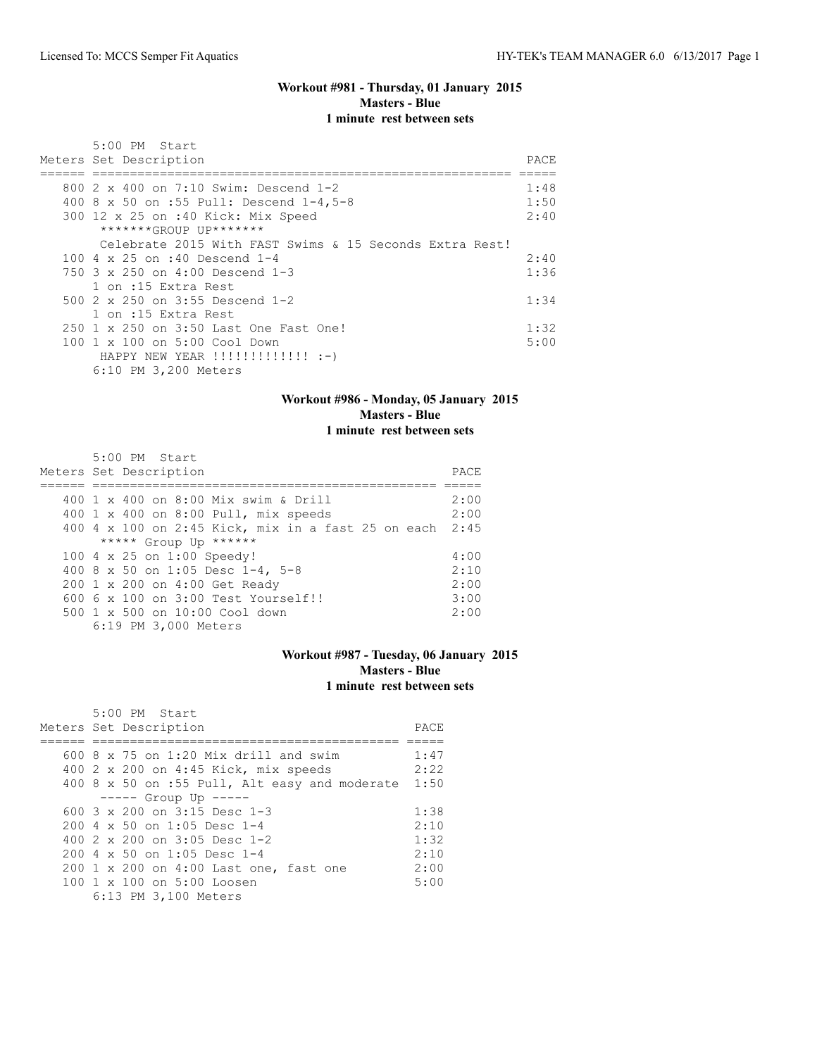#### **Workout #981 - Thursday, 01 January 2015 Masters - Blue 1 minute rest between sets**

| $5:00$ PM Start<br>Meters Set Description                                                       | PACE |
|-------------------------------------------------------------------------------------------------|------|
|                                                                                                 | 1:48 |
| 800 2 x 400 on 7:10 Swim: Descend 1-2                                                           |      |
| 400 8 x 50 on :55 Pull: Descend 1-4,5-8                                                         | 1:50 |
| 300 12 x 25 on :40 Kick: Mix Speed                                                              | 2:40 |
| *******GROUP UP*******                                                                          |      |
| Celebrate 2015 With FAST Swims & 15 Seconds Extra Rest!                                         |      |
| 100 4 $\times$ 25 on :40 Descend 1-4                                                            | 2:40 |
| 750 $3 \times 250$ on $4:00$ Descend 1-3                                                        | 1:36 |
| 1 on :15 Extra Rest                                                                             |      |
| 500 $2 \times 250$ on $3:55$ Descend 1-2                                                        | 1:34 |
| 1 on :15 Extra Rest                                                                             |      |
| 250 1 x 250 on 3:50 Last One Fast One!                                                          | 1:32 |
| $100 \t1 x 100$ on $5:00$ Cool Down                                                             | 5:00 |
| HAPPY NEW YEAR $\left  \cdot \right  \cdot \left  \cdot \right  \cdot \left  \cdot \right $ :-) |      |
| 6:10 PM 3,200 Meters                                                                            |      |

#### **Workout #986 - Monday, 05 January 2015 Masters - Blue 1 minute rest between sets**

| 5:00 PM Start                                           |      |
|---------------------------------------------------------|------|
| Meters Set Description                                  | PACE |
|                                                         |      |
| 400 1 x 400 on 8:00 Mix swim & Drill                    | 2:00 |
| 400 1 x 400 on 8:00 Pull, mix speeds                    | 2:00 |
| 400 4 x 100 on 2:45 Kick, mix in a fast 25 on each 2:45 |      |
| ***** Group Up ******                                   |      |
| 100 4 x 25 on 1:00 Speedy!                              | 4:00 |
| 400 8 x 50 on 1:05 Desc 1-4, 5-8                        | 2:10 |
| 200 1 x 200 on 4:00 Get Ready                           | 2:00 |
| 600 6 x 100 on 3:00 Test Yourself!!                     | 3:00 |
| 500 1 x 500 on 10:00 Cool down                          | 2:00 |
| 6:19 PM 3,000 Meters                                    |      |

# **Workout #987 - Tuesday, 06 January 2015 Masters - Blue 1 minute rest between sets**

| $5:00$ PM Start                                        |      |
|--------------------------------------------------------|------|
| Meters Set Description                                 | PACE |
|                                                        |      |
| 600 $8 \times 75$ on 1:20 Mix drill and swim           | 1:47 |
| 400 2 x 200 on 4:45 Kick, mix speeds                   | 2:22 |
| 400 8 x 50 on :55 Pull, Alt easy and moderate          | 1:50 |
| $--- $ Group Up $---$                                  |      |
| 600 $3 \times 200$ on $3:15$ Desc 1-3                  | 1:38 |
| $200.4 \times 50$ on 1:05 Desc 1-4                     | 2:10 |
| 400 $2 \times 200$ on $3:05$ Desc 1-2                  | 1:32 |
| $200.4 \times 50$ on 1:05 Desc 1-4                     | 2:10 |
| 200 1 x 200 on 4:00 Last one, fast one                 | 2:00 |
| $100 \text{ 1 x } 100 \text{ on } 5:00 \text{ Loosen}$ | 5:00 |
| 6:13 PM 3,100 Meters                                   |      |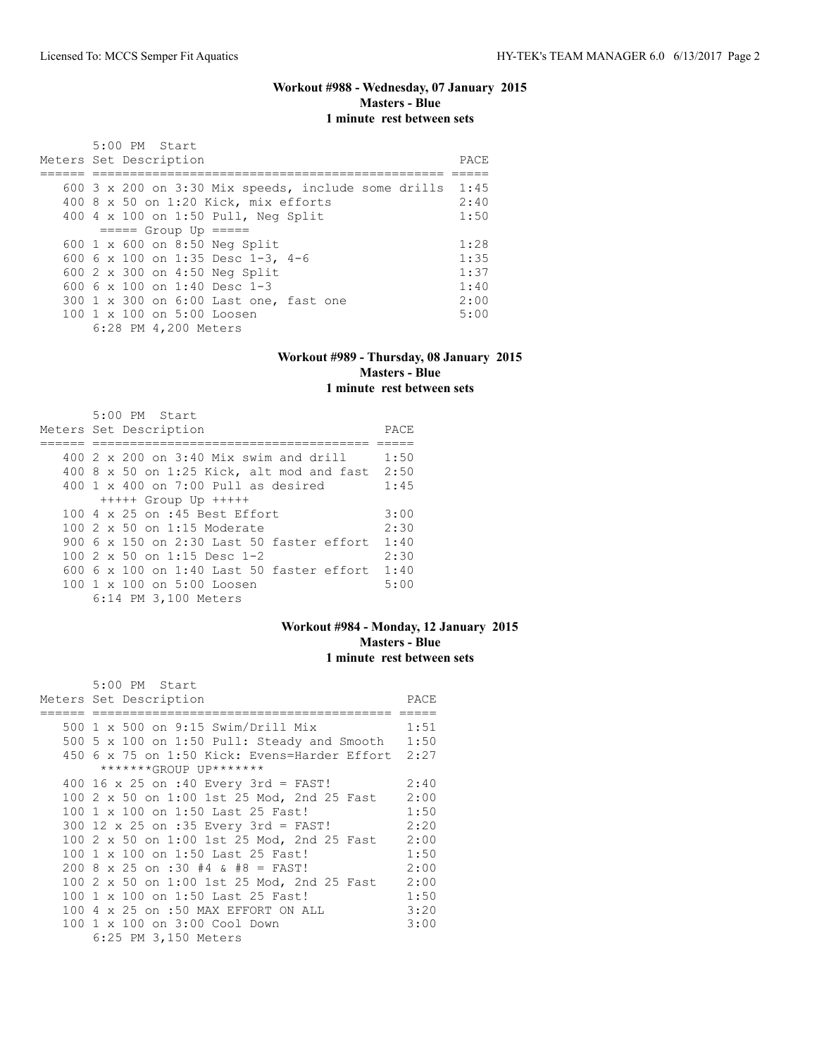# **Workout #988 - Wednesday, 07 January 2015 Masters - Blue 1 minute rest between sets**

| 5:00 PM Start                                              |       |
|------------------------------------------------------------|-------|
| Meters Set Description                                     | PACE. |
|                                                            |       |
| 600 $3 \times 200$ on 3:30 Mix speeds, include some drills | 1:45  |
| 400 8 x 50 on 1:20 Kick, mix efforts                       | 2:40  |
| 400 4 x 100 on 1:50 Pull, Neg Split                        | 1:50  |
| $====$ Group Up $====$                                     |       |
| 600 1 x 600 on 8:50 Neg Split                              | 1:28  |
| 600 6 x 100 on 1:35 Desc 1-3, 4-6                          | 1:35  |
| 600 2 x 300 on 4:50 Neg Split                              | 1:37  |
| 600 6 x 100 on 1:40 Desc 1-3                               | 1:40  |
| 300 1 x 300 on 6:00 Last one, fast one                     | 2:00  |
| 100 1 x 100 on 5:00 Loosen                                 | 5:00  |
| 6:28 PM 4,200 Meters                                       |       |

## **Workout #989 - Thursday, 08 January 2015 Masters - Blue 1 minute rest between sets**

| $5:00$ PM Start<br>Meters Set Description        | PACE |
|--------------------------------------------------|------|
|                                                  |      |
| 400 $2 \times 200$ on $3:40$ Mix swim and drill  | 1:50 |
| 400 8 x 50 on 1:25 Kick, alt mod and fast        | 2:50 |
| $400 \t1 x 400$ on 7:00 Pull as desired          | 1:45 |
| $++++$ Group Up $++++$                           |      |
| 100 4 x 25 on :45 Best Effort                    | 3:00 |
| 100 2 x 50 on 1:15 Moderate                      | 2:30 |
| 900 $6 \times 150$ on 2:30 Last 50 faster effort | 1:40 |
| 100 2 x 50 on 1:15 Desc 1-2                      | 2:30 |
| $600\,$ 6 x 100 on 1:40 Last 50 faster effort    | 1:40 |
| 100 1 x 100 on 5:00 Loosen                       | 5:00 |
| 6:14 PM 3,100 Meters                             |      |

## **Workout #984 - Monday, 12 January 2015 Masters - Blue 1 minute rest between sets**

| 5:00 PM Start                                |      |
|----------------------------------------------|------|
| Meters Set Description                       | PACE |
|                                              |      |
| 500 1 x 500 on 9:15 Swim/Drill Mix           | 1:51 |
| 500 5 x 100 on 1:50 Pull: Steady and Smooth  | 1:50 |
| 450 6 x 75 on 1:50 Kick: Evens=Harder Effort | 2:27 |
| *******GROUP UP*******                       |      |
| 400 16 x 25 on :40 Every 3rd = FAST!         | 2:40 |
| 100 2 x 50 on 1:00 1st 25 Mod, 2nd 25 Fast   | 2:00 |
| 100 1 x 100 on 1:50 Last 25 Fast!            | 1:50 |
| 300 12 x 25 on :35 Every 3rd = FAST!         | 2:20 |
| 100 2 x 50 on 1:00 1st 25 Mod, 2nd 25 Fast   | 2:00 |
| 100 1 x 100 on 1:50 Last 25 Fast!            | 1:50 |
| $200$ 8 x 25 on :30 #4 & #8 = FAST!          | 2:00 |
| 100 2 x 50 on 1:00 1st 25 Mod, 2nd 25 Fast   | 2:00 |
| 100 1 x 100 on 1:50 Last 25 Fast!            | 1:50 |
| 100 4 x 25 on :50 MAX EFFORT ON ALL          | 3:20 |
| 100 1 x 100 on 3:00 Cool Down                | 3:00 |
| 6:25 PM 3,150 Meters                         |      |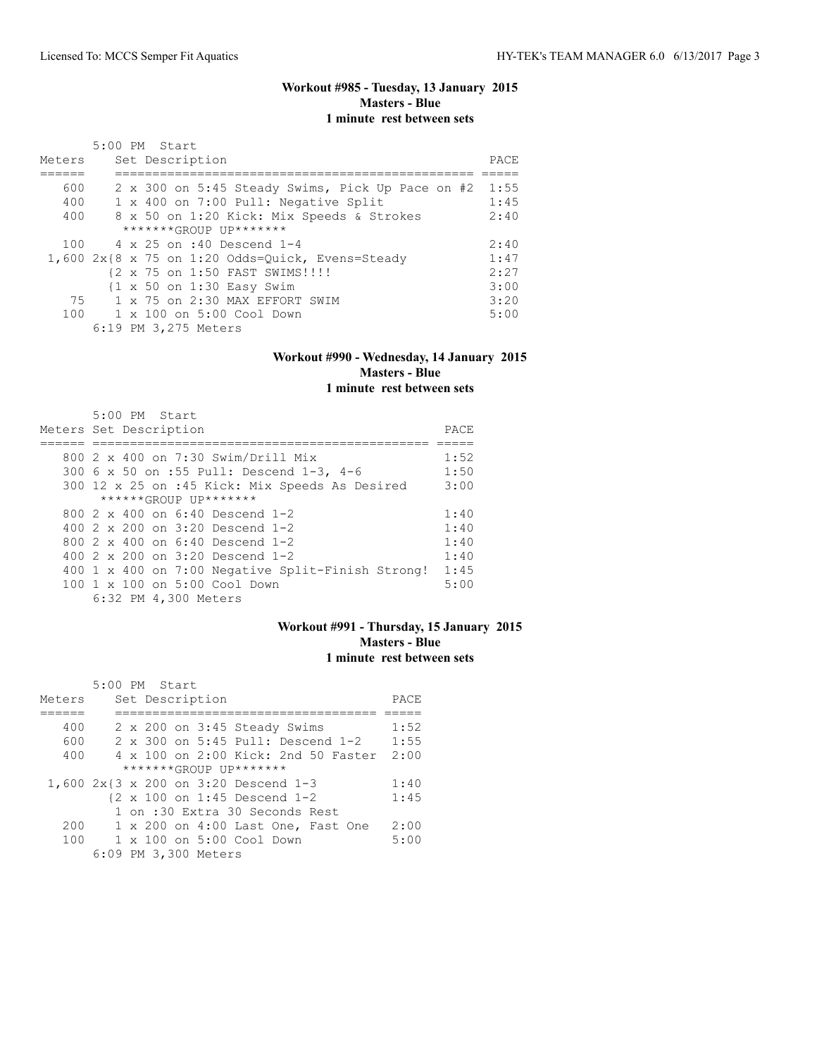# **Workout #985 - Tuesday, 13 January 2015 Masters - Blue 1 minute rest between sets**

| Meters | 5:00 PM Start<br>Set Description                   | PACE |
|--------|----------------------------------------------------|------|
|        |                                                    |      |
| 600    | 2 x 300 on 5:45 Steady Swims, Pick Up Pace on #2   | 1:55 |
| 400    | 1 x 400 on 7:00 Pull: Negative Split               | 1:45 |
| 400    | 8 x 50 on 1:20 Kick: Mix Speeds & Strokes          | 2:40 |
|        | $******GROUP$ $IP*******$                          |      |
| 100    | 4 x 25 on :40 Descend 1-4                          | 2:40 |
|        | $1,600$ 2x{8 x 75 on 1:20 Odds=Ouick, Evens=Steady | 1:47 |
|        | {2 x 75 on 1:50 FAST SWIMS!!!!                     | 2:27 |
|        | {1 x 50 on 1:30 Easy Swim                          | 3:00 |
| 75     | 1 x 75 on 2:30 MAX EFFORT SWIM                     | 3:20 |
|        | 100 1 x 100 on 5:00 Cool Down                      | 5:00 |
|        | 6:19 PM 3,275 Meters                               |      |

#### **Workout #990 - Wednesday, 14 January 2015 Masters - Blue 1 minute rest between sets**

| $5:00$ PM Start<br>Meters Set Description         |      |  |  |  |  |  |  |
|---------------------------------------------------|------|--|--|--|--|--|--|
|                                                   |      |  |  |  |  |  |  |
| 800 2 x 400 on 7:30 Swim/Drill Mix                | 1:52 |  |  |  |  |  |  |
| 300 6 x 50 on :55 Pull: Descend 1-3, 4-6          | 1:50 |  |  |  |  |  |  |
| 300 12 x 25 on :45 Kick: Mix Speeds As Desired    | 3:00 |  |  |  |  |  |  |
| $***$ **** $GROIJP$ $IJP$ *******                 |      |  |  |  |  |  |  |
| 800 $2 \times 400$ on 6:40 Descend 1-2            | 1:40 |  |  |  |  |  |  |
| 400 $2 \times 200$ on $3:20$ Descend 1-2          | 1:40 |  |  |  |  |  |  |
| 800 $2 \times 400$ on 6:40 Descend 1-2            | 1:40 |  |  |  |  |  |  |
| 400 $2 \times 200$ on 3:20 Descend 1-2            | 1:40 |  |  |  |  |  |  |
| 400 1 x 400 on 7:00 Negative Split-Finish Strong! | 1:45 |  |  |  |  |  |  |
| 100 1 x 100 on 5:00 Cool Down                     | 5:00 |  |  |  |  |  |  |
| 6:32 PM 4,300 Meters                              |      |  |  |  |  |  |  |

# **Workout #991 - Thursday, 15 January 2015 Masters - Blue 1 minute rest between sets**

|        | 5:00 PM Start |                      |                                      |      |
|--------|---------------|----------------------|--------------------------------------|------|
| Meters |               | Set Description      |                                      | PACE |
|        |               |                      |                                      |      |
| 400    |               |                      | 2 x 200 on 3:45 Steady Swims         | 1:52 |
| 600    |               |                      | 2 x 300 on 5:45 Pull: Descend 1-2    | 1:55 |
| 400    |               |                      | 4 x 100 on 2:00 Kick: 2nd 50 Faster  | 2:00 |
|        |               |                      | *******GROUP UP*******               |      |
|        |               |                      | 1,600 2x{3 x 200 on 3:20 Descend 1-3 | 1:40 |
|        |               |                      | {2 x 100 on 1:45 Descend 1-2         | 1:45 |
|        |               |                      | 1 on :30 Extra 30 Seconds Rest       |      |
| 200    |               |                      | 1 x 200 on 4:00 Last One, Fast One   | 2:00 |
| 100    |               |                      | 1 x 100 on 5:00 Cool Down            | 5:00 |
|        |               | 6:09 PM 3,300 Meters |                                      |      |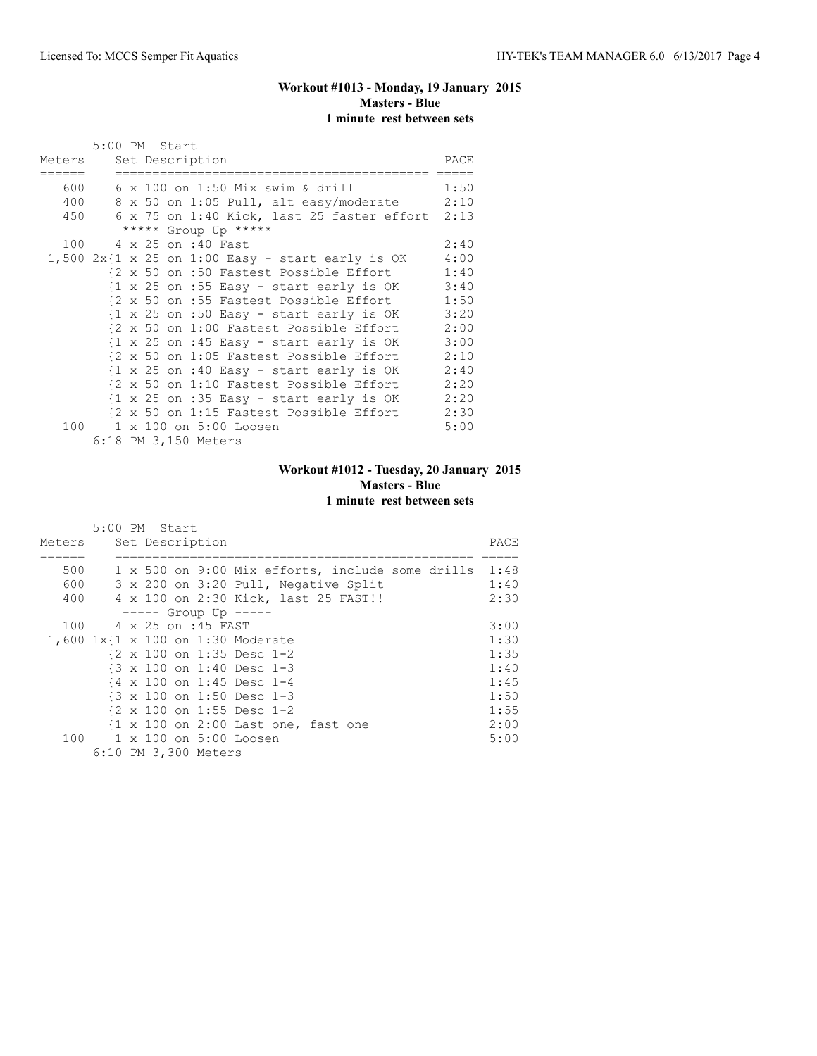# **Workout #1013 - Monday, 19 January 2015 Masters - Blue 1 minute rest between sets**

|        | 5:00 PM Start   |  |  |  |                                                                     |      |  |
|--------|-----------------|--|--|--|---------------------------------------------------------------------|------|--|
| Meters | Set Description |  |  |  |                                                                     |      |  |
| 600    |                 |  |  |  | 6 x 100 on 1:50 Mix swim & drill                                    | 1:50 |  |
| 400    |                 |  |  |  | 8 x 50 on 1:05 Pull, alt easy/moderate                              | 2:10 |  |
| 450    |                 |  |  |  | 6 x 75 on 1:40 Kick, last 25 faster effort 2:13                     |      |  |
|        |                 |  |  |  | ***** Group Up *****                                                |      |  |
|        |                 |  |  |  | 100 4 x 25 on :40 Fast                                              | 2:40 |  |
|        |                 |  |  |  | $1,500 2x$ {1 x 25 on 1:00 Easy - start early is OK                 | 4:00 |  |
|        |                 |  |  |  | {2 x 50 on :50 Fastest Possible Effort                              | 1:40 |  |
|        |                 |  |  |  | $\{1 \times 25 \text{ on } : 55 \text{ Easy} - start early is OK$   | 3:40 |  |
|        |                 |  |  |  | {2 x 50 on :55 Fastest Possible Effort                              | 1:50 |  |
|        |                 |  |  |  | $\{1 \times 25 \text{ on } : 50 \text{ Easy} - start early is OK\}$ | 3:20 |  |
|        |                 |  |  |  | {2 x 50 on 1:00 Fastest Possible Effort                             | 2:00 |  |
|        |                 |  |  |  | $\{1 \times 25 \text{ on } : 45 \text{ Easy} - start early is OK\}$ | 3:00 |  |
|        |                 |  |  |  | {2 x 50 on 1:05 Fastest Possible Effort                             | 2:10 |  |
|        |                 |  |  |  | $\{1 \times 25 \text{ on } : 40 \text{ Easy} - start early is OK\}$ | 2:40 |  |
|        |                 |  |  |  | {2 x 50 on 1:10 Fastest Possible Effort                             | 2:20 |  |
|        |                 |  |  |  | $\{1 \times 25 \text{ on } : 35 \text{ Easy} - start early is OK\}$ | 2:20 |  |
|        |                 |  |  |  | {2 x 50 on 1:15 Fastest Possible Effort                             | 2:30 |  |
|        |                 |  |  |  | 100 1 x 100 on 5:00 Loosen                                          | 5:00 |  |
|        |                 |  |  |  | 6:18 PM 3,150 Meters                                                |      |  |

# **Workout #1012 - Tuesday, 20 January 2015 Masters - Blue 1 minute rest between sets**

|        |  | 5:00 PM Start |                      |                                                       |      |
|--------|--|---------------|----------------------|-------------------------------------------------------|------|
| Meters |  |               | Set Description      |                                                       | PACE |
|        |  |               |                      |                                                       |      |
| 500    |  |               |                      | 1 x 500 on 9:00 Mix efforts, include some drills 1:48 |      |
| 600    |  |               |                      | 3 x 200 on 3:20 Pull, Negative Split                  | 1:40 |
| 400    |  |               |                      | 4 x 100 on 2:30 Kick, last 25 FAST!!                  | 2:30 |
|        |  |               |                      | $--- $ Group Up $--- $                                |      |
| 100    |  |               | 4 x 25 on :45 FAST   |                                                       | 3:00 |
|        |  |               |                      | 1,600 1x{1 x 100 on 1:30 Moderate                     | 1:30 |
|        |  |               |                      | $\{2 \times 100 \text{ on } 1:35 \text{ Desc } 1-2\}$ | 1:35 |
|        |  |               |                      | $\{3 \times 100 \text{ on } 1:40 \text{ Desc } 1-3\}$ | 1:40 |
|        |  |               |                      | {4 x 100 on 1:45 Desc 1-4                             | 1:45 |
|        |  |               |                      | {3 x 100 on 1:50 Desc 1-3                             | 1:50 |
|        |  |               |                      | $\{2 \times 100 \text{ on } 1:55 \text{ Desc } 1-2\}$ | 1:55 |
|        |  |               |                      | {1 x 100 on 2:00 Last one, fast one                   | 2:00 |
|        |  |               |                      | 100 1 x 100 on 5:00 Loosen                            | 5:00 |
|        |  |               | 6:10 PM 3,300 Meters |                                                       |      |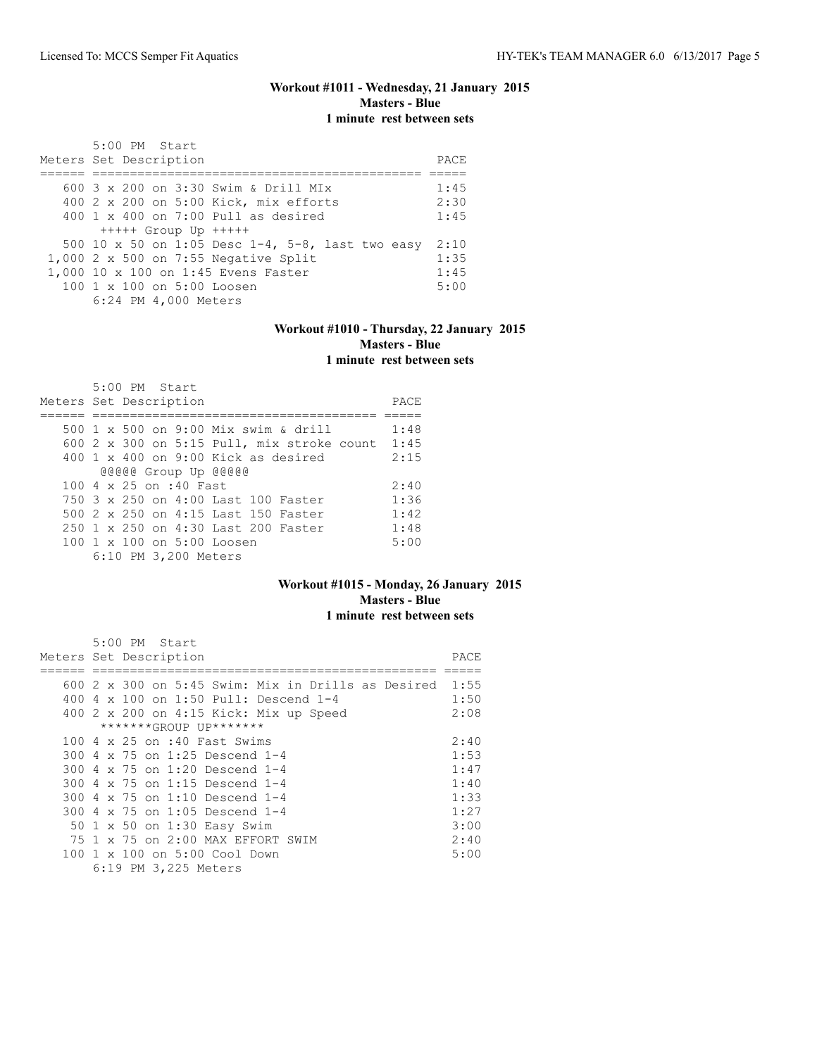# **Workout #1011 - Wednesday, 21 January 2015 Masters - Blue 1 minute rest between sets**

| 5:00 PM Start                                          |      |
|--------------------------------------------------------|------|
| Meters Set Description                                 | PACE |
|                                                        |      |
| 600 $3 \times 200$ on $3:30$ Swim & Drill MIx          | 1:45 |
| 400 2 x 200 on 5:00 Kick, mix efforts                  | 2:30 |
| $400 \t 1 \t x \t 400$ on $7:00$ Pull as desired       | 1:45 |
| $++++$ Group Up $++++$                                 |      |
| 500 10 x 50 on 1:05 Desc $1-4$ , 5-8, last two easy    | 2:10 |
| 1,000 2 x 500 on 7:55 Negative Split                   | 1:35 |
| 1,000 10 x 100 on 1:45 Evens Faster                    | 1:45 |
| $100 \text{ 1 x } 100 \text{ on } 5:00 \text{ Loosen}$ | 5:00 |
| 6:24 PM 4,000 Meters                                   |      |

#### **Workout #1010 - Thursday, 22 January 2015 Masters - Blue 1 minute rest between sets**

| 5:00 PM Start                                     |      |
|---------------------------------------------------|------|
| Meters Set Description                            | PACE |
|                                                   |      |
| 500 1 x 500 on 9:00 Mix swim & drill              | 1:48 |
| 600 $2 \times 300$ on 5:15 Pull, mix stroke count | 1:45 |
| $400 \t 1 \t x \t 400$ on 9:00 Kick as desired    | 2:15 |
| @@@@@ Group Up @@@@@                              |      |
| 100 4 x 25 on :40 Fast                            | 2:40 |
| 750 3 x 250 on 4:00 Last 100 Faster               | 1:36 |
| 500 2 x 250 on 4:15 Last 150 Faster               | 1:42 |
| 250 1 x 250 on 4:30 Last 200 Faster               | 1:48 |
| $100 \t 1 \t x \t 100$ on $5:00$ Loosen           | 5:00 |
| 6:10 PM 3,200 Meters                              |      |

#### **Workout #1015 - Monday, 26 January 2015 Masters - Blue 1 minute rest between sets**

| 5:00 PM Start                                             |      |
|-----------------------------------------------------------|------|
| Meters Set Description                                    | PACE |
|                                                           |      |
| 600 2 x 300 on 5:45 Swim: Mix in Drills as Desired $1:55$ |      |
| 400 4 x 100 on 1:50 Pull: Descend 1-4                     | 1:50 |
| 400 2 x 200 on 4:15 Kick: Mix up Speed                    | 2:08 |
| *******GROUP UP*******                                    |      |
| 100 4 x 25 on :40 Fast Swims                              | 2:40 |
| 300 4 x 75 on 1:25 Descend 1-4                            | 1:53 |
| 300 4 x 75 on 1:20 Descend 1-4                            | 1:47 |
| 300 4 x 75 on 1:15 Descend 1-4                            | 1:40 |
| 300 4 x 75 on 1:10 Descend 1-4                            | 1:33 |
| 300 4 x 75 on 1:05 Descend 1-4                            | 1:27 |
| 50 1 x 50 on 1:30 Easy Swim                               | 3:00 |
| 75 1 x 75 on 2:00 MAX EFFORT SWIM                         | 2:40 |
| 100 1 x 100 on 5:00 Cool Down                             | 5:00 |
| 6:19 PM 3,225 Meters                                      |      |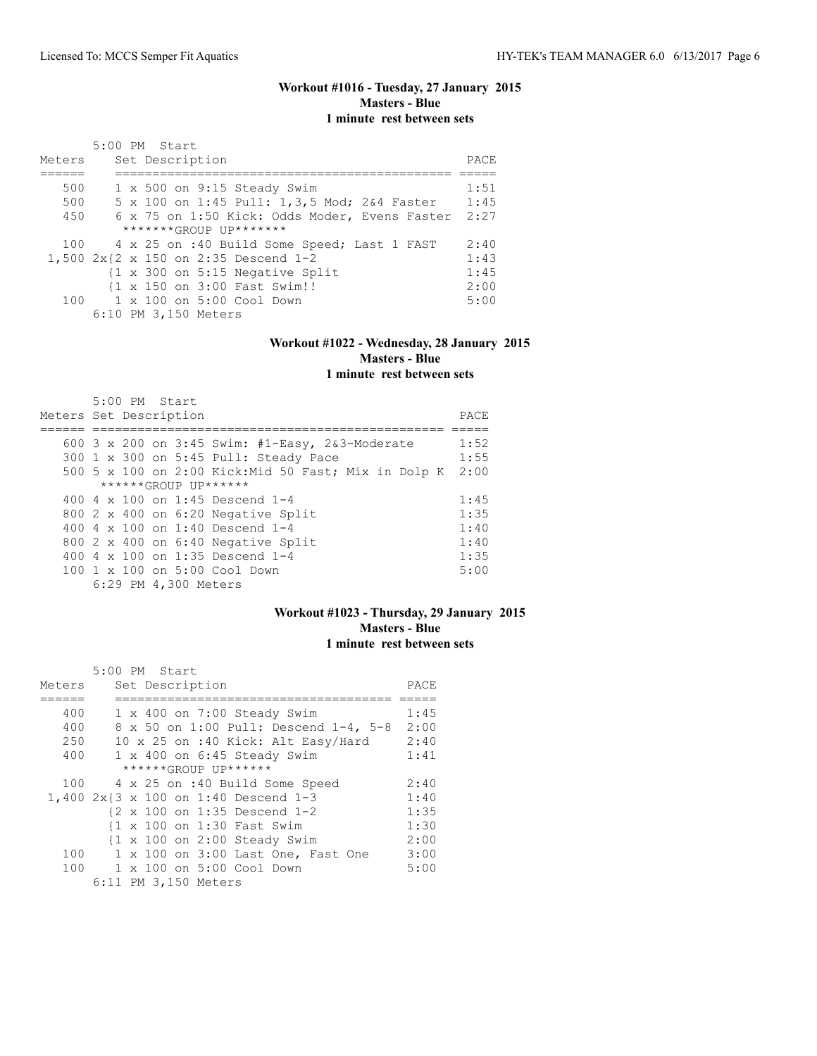## **Workout #1016 - Tuesday, 27 January 2015 Masters - Blue 1 minute rest between sets**

| Meters | 5:00 PM Start<br>Set Description                           | PACE |
|--------|------------------------------------------------------------|------|
|        |                                                            |      |
| 500    | $1 \times 500$ on $9:15$ Steady Swim                       | 1:51 |
| 500    | 5 x 100 on 1:45 Pull: 1,3,5 Mod; 2&4 Faster                | 1:45 |
| 450    | 6 x 75 on 1:50 Kick: Odds Moder, Evens Faster              | 2:27 |
|        | $******GROUP$ $IP*******$                                  |      |
|        | 100 4 x 25 on :40 Build Some Speed; Last 1 FAST            | 2:40 |
|        | 1,500 2x{2 x 150 on 2:35 Descend 1-2                       | 1:43 |
|        | $\{1 \times 300 \text{ on } 5:15 \text{ Negative Split}\}$ | 1:45 |
|        | {1 x 150 on 3:00 Fast Swim!!                               | 2:00 |
|        | $100 \t 1 \times 100$ on $5:00$ Cool Down                  | 5:00 |
|        | 6:10 PM 3,150 Meters                                       |      |

# **Workout #1022 - Wednesday, 28 January 2015 Masters - Blue**

**1 minute rest between sets**

|                        | $5:00$ PM Start |                      |                                                      |      |
|------------------------|-----------------|----------------------|------------------------------------------------------|------|
| Meters Set Description |                 |                      |                                                      | PACE |
|                        |                 |                      |                                                      |      |
|                        |                 |                      | 600 3 x 200 on 3:45 Swim: #1-Easy, 2&3-Moderate      | 1:52 |
|                        |                 |                      | 300 1 x 300 on 5:45 Pull: Steady Pace                | 1:55 |
|                        |                 |                      | 500 5 x 100 on 2:00 Kick: Mid 50 Fast; Mix in Dolp K | 2:00 |
|                        |                 |                      | ******GROUP UP******                                 |      |
|                        |                 |                      | 400 4 x 100 on 1:45 Descend 1-4                      | 1:45 |
|                        |                 |                      | 800 2 x 400 on 6:20 Negative Split                   | 1:35 |
|                        |                 |                      | 400 4 $\times$ 100 on 1:40 Descend 1-4               | 1:40 |
|                        |                 |                      | 800 2 x 400 on 6:40 Negative Split                   | 1:40 |
|                        |                 |                      | 400 4 x 100 on 1:35 Descend 1-4                      | 1:35 |
|                        |                 |                      | $100 \t1 x 100$ on $5:00$ Cool Down                  | 5:00 |
|                        |                 | 6:29 PM 4,300 Meters |                                                      |      |

# **Workout #1023 - Thursday, 29 January 2015 Masters - Blue 1 minute rest between sets**

|        | 5:00 PM Start                                          |      |
|--------|--------------------------------------------------------|------|
| Meters | Set Description                                        | PACE |
|        |                                                        |      |
| 400    | 1 x 400 on 7:00 Steady Swim                            | 1:45 |
| 400    | 8 x 50 on 1:00 Pull: Descend 1-4, 5-8                  | 2:00 |
| 250    | 10 x 25 on :40 Kick: Alt Easy/Hard                     | 2:40 |
| 400    | 1 x 400 on 6:45 Steady Swim                            | 1:41 |
|        | ******GROUP UP******                                   |      |
|        | 100 4 x 25 on :40 Build Some Speed                     | 2:40 |
|        | 1,400 2x{3 x 100 on 1:40 Descend 1-3                   | 1:40 |
|        | $\{2 \times 100 \text{ on } 1:35 \text{ Descend } 1-2$ | 1:35 |
|        | {1 x 100 on 1:30 Fast Swim                             | 1:30 |
|        | $\{1 \times 100 \text{ on } 2:00 \text{ Steadv}$ Swim  | 2:00 |
| 100    | 1 x 100 on 3:00 Last One, Fast One                     | 3:00 |
|        | 100 1 x 100 on 5:00 Cool Down                          | 5:00 |
|        | 6:11 PM 3,150 Meters                                   |      |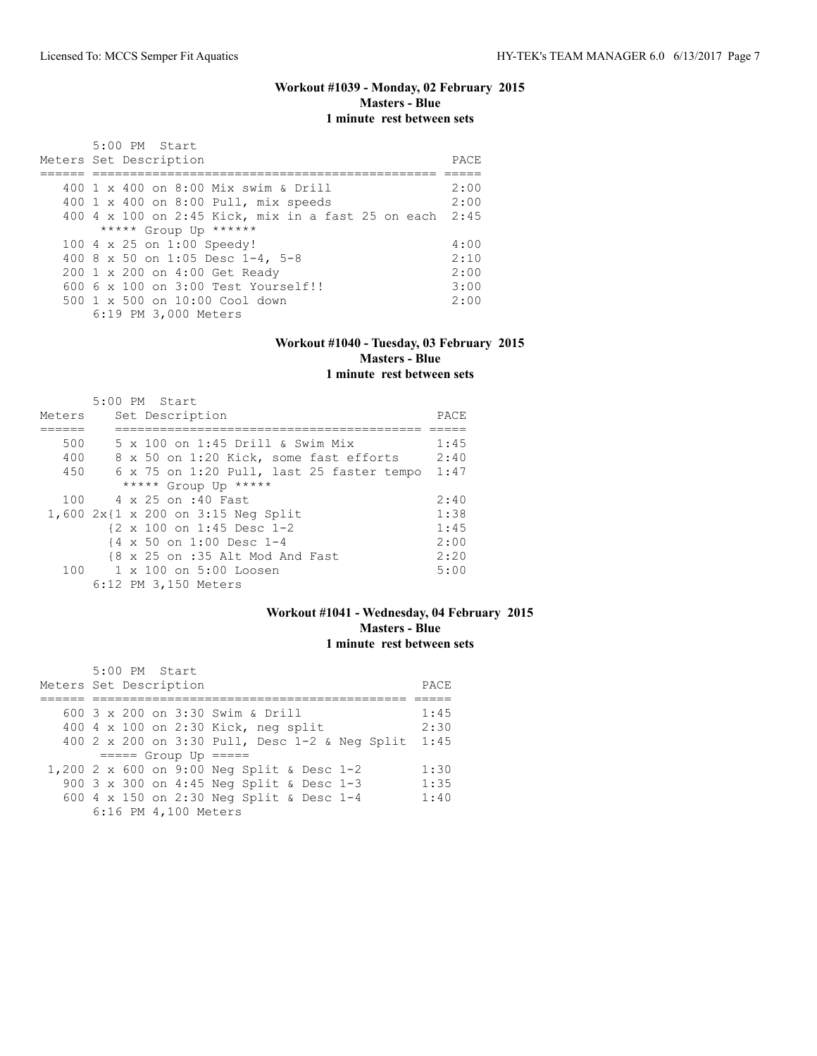# **Workout #1039 - Monday, 02 February 2015 Masters - Blue 1 minute rest between sets**

| 5:00 PM Start<br>Meters Set Description                 | PACE |
|---------------------------------------------------------|------|
| 400 1 x 400 on 8:00 Mix swim & Drill                    | 2:00 |
| 400 1 x 400 on 8:00 Pull, mix speeds                    | 2:00 |
| 400 4 x 100 on 2:45 Kick, mix in a fast 25 on each 2:45 |      |
| ***** Group Up ******                                   |      |
| 100 4 x 25 on 1:00 Speedy!                              | 4:00 |
| 400 8 x 50 on 1:05 Desc 1-4, 5-8                        | 2:10 |
| 200 1 x 200 on 4:00 Get Ready                           | 2:00 |
| $6006 \times 100$ on $3:00$ Test Yourself!!             | 3:00 |
| $500 \t 1 \t x \t 500$ on $10:00$ Cool down             | 2:00 |
| 6:19 PM 3,000 Meters                                    |      |

# **Workout #1040 - Tuesday, 03 February 2015 Masters - Blue**

| 1 minute rest between sets |  |
|----------------------------|--|
|----------------------------|--|

|        | 5:00 PM Start                                         |      |
|--------|-------------------------------------------------------|------|
| Meters | Set Description                                       | PACE |
|        |                                                       |      |
| 500    | 5 x 100 on 1:45 Drill & Swim Mix                      | 1:45 |
| 400    | 8 x 50 on 1:20 Kick, some fast efforts                | 2:40 |
| 450    | 6 x 75 on 1:20 Pull, last 25 faster tempo             | 1:47 |
|        | ***** Group Up *****                                  |      |
| 100    | 4 x 25 on :40 Fast                                    | 2:40 |
|        | 1,600 2x{1 x 200 on 3:15 Neg Split                    | 1:38 |
|        | $\{2 \times 100 \text{ on } 1:45 \text{ Desc } 1-2\}$ | 1:45 |
|        | {4 x 50 on 1:00 Desc 1-4                              | 2:00 |
|        | {8 x 25 on :35 Alt Mod And Fast                       | 2:20 |
| 100    | 1 x 100 on 5:00 Loosen                                | 5:00 |
|        | 6:12 PM 3,150 Meters                                  |      |

# **Workout #1041 - Wednesday, 04 February 2015 Masters - Blue 1 minute rest between sets**

|                                                                                                                                                                                      | PACE                 |
|--------------------------------------------------------------------------------------------------------------------------------------------------------------------------------------|----------------------|
| 600 3 x 200 on 3:30 Swim & Drill<br>400 4 x 100 on 2:30 Kick, neg split<br>400 2 x 200 on 3:30 Pull, Desc 1-2 & Neq Split                                                            | 1:45<br>2:30<br>1:45 |
| $====$ Group Up $====$<br>1,200 2 x 600 on 9:00 Neg Split & Desc 1-2<br>900 3 x 300 on 4:45 Neg Split & Desc 1-3<br>600 4 x 150 on 2:30 Neg Split & Desc 1-4<br>6:16 PM 4,100 Meters | 1:30<br>1:35<br>1:40 |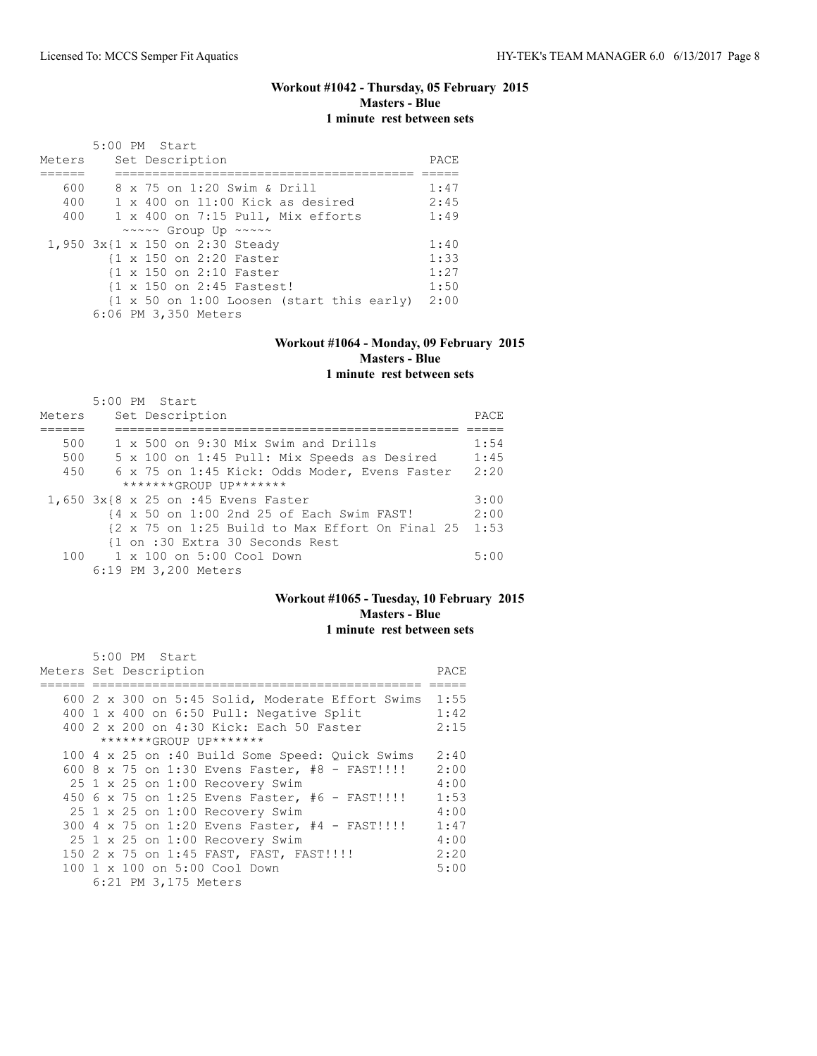## **Workout #1042 - Thursday, 05 February 2015 Masters - Blue 1 minute rest between sets**

|        | 5:00 PM Start                                                                |      |
|--------|------------------------------------------------------------------------------|------|
| Meters | Set Description                                                              | PACE |
|        |                                                                              |      |
| 600    | 8 x 75 on 1:20 Swim & Drill                                                  | 1:47 |
| 400    | $1 \times 400$ on $11:00$ Kick as desired                                    | 2:45 |
| 400    | 1 x 400 on 7:15 Pull, Mix efforts                                            | 1:49 |
|        | $\sim \sim \sim \sim$ Group Up $\sim \sim \sim \sim$                         |      |
|        | 1,950 3x{1 x 150 on 2:30 Steady                                              | 1:40 |
|        | {1 x 150 on 2:20 Faster                                                      | 1:33 |
|        | {1 x 150 on 2:10 Faster                                                      | 1:27 |
|        | {1 x 150 on 2:45 Fastest!                                                    | 1:50 |
|        | $\{1 \times 50 \text{ on } 1:00 \text{ Loosen } (\text{start this early})\}$ | 2:00 |
|        | 6:06 PM 3,350 Meters                                                         |      |

#### **Workout #1064 - Monday, 09 February 2015 Masters - Blue 1 minute rest between sets**

| Meters | $5:00$ PM Start<br>Set Description                                          | PACE |
|--------|-----------------------------------------------------------------------------|------|
| 500    | 1 x 500 on 9:30 Mix Swim and Drills                                         | 1:54 |
| 500    | 5 x 100 on 1:45 Pull: Mix Speeds as Desired                                 | 1:45 |
| 450    | 6 x 75 on 1:45 Kick: Odds Moder, Evens Faster                               | 2:20 |
|        | $******GROUP$ $IP*******$                                                   |      |
|        | 1,650 3x{8 x 25 on :45 Evens Faster                                         | 3:00 |
|        | {4 x 50 on 1:00 2nd 25 of Each Swim FAST!                                   | 2:00 |
|        | $\{2 \times 75 \text{ on } 1:25 \text{ Build to Max Effect On Final } 25\}$ | 1:53 |
|        | {1 on :30 Extra 30 Seconds Rest                                             |      |
|        | 100    1 x 100    an 5:00    Cool    Down                                   | 5:00 |
|        | 6:19 PM 3,200 Meters                                                        |      |

#### **Workout #1065 - Tuesday, 10 February 2015 Masters - Blue 1 minute rest between sets**

| 5:00 PM Start                                         |      |
|-------------------------------------------------------|------|
| Meters Set Description                                | PACE |
|                                                       |      |
| 600 2 x 300 on 5:45 Solid, Moderate Effort Swims 1:55 |      |
| 400 1 x 400 on 6:50 Pull: Negative Split              | 1:42 |
| 400 2 x 200 on 4:30 Kick: Each 50 Faster              | 2:15 |
| *******GROUP UP*******                                |      |
| 100 4 x 25 on :40 Build Some Speed: Quick Swims       | 2:40 |
| 600 8 x 75 on 1:30 Evens Faster, #8 - FAST!!!!        | 2:00 |
| 25 1 x 25 on 1:00 Recovery Swim                       | 4:00 |
| 450 6 x 75 on 1:25 Evens Faster, #6 - FAST!!!!        | 1:53 |
| 25 1 x 25 on 1:00 Recovery Swim                       | 4:00 |
| 300 4 x 75 on 1:20 Evens Faster, #4 - FAST!!!!!       | 1:47 |
| 25 1 x 25 on 1:00 Recovery Swim                       | 4:00 |
| 150 2 x 75 on 1:45 FAST, FAST, FAST!!!!               | 2:20 |
| 100 1 x 100 on 5:00 Cool Down                         | 5:00 |
| 6:21 PM 3,175 Meters                                  |      |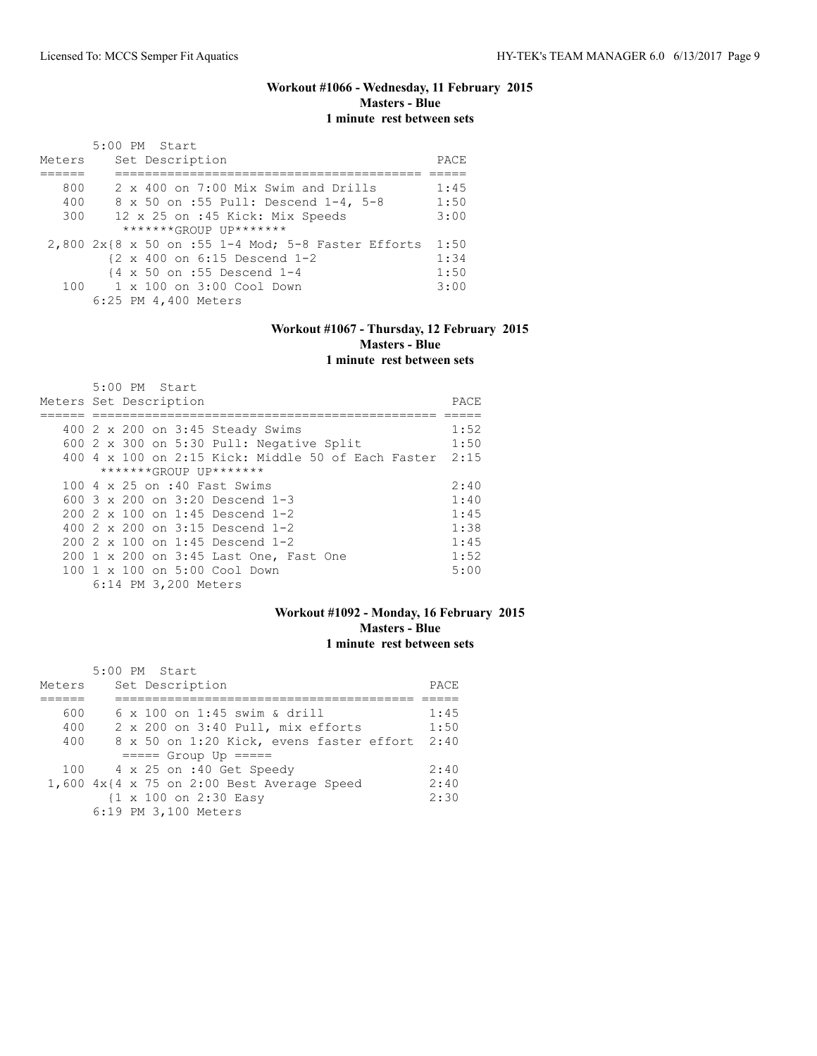## **Workout #1066 - Wednesday, 11 February 2015 Masters - Blue 1 minute rest between sets**

|        | 5:00 PM Start                                            |      |
|--------|----------------------------------------------------------|------|
| Meters | Set Description                                          | PACE |
|        |                                                          |      |
| 800    | $2 \times 400$ on $7:00$ Mix Swim and Drills             | 1:45 |
| 400    | 8 x 50 on :55 Pull: Descend 1-4, 5-8                     | 1:50 |
| 300    | 12 x 25 on :45 Kick: Mix Speeds                          | 3:00 |
|        | $******GROUP$ $IP*******$                                |      |
|        | $2,800$ $2x18$ x 50 on :55 1-4 Mod; 5-8 Faster Efforts   | 1:50 |
|        | $\{2 \times 400 \text{ on } 6:15 \text{ Descend } 1-2\}$ | 1:34 |
|        | {4 x 50 on :55 Descend 1-4                               | 1:50 |
|        | $100 \t 1 \times 100$ on $3:00$ Cool Down                | 3:00 |
|        | 6:25 PM 4,400 Meters                                     |      |

#### **Workout #1067 - Thursday, 12 February 2015 Masters - Blue 1 minute rest between sets**

| 5:00 PM Start                                      |      |
|----------------------------------------------------|------|
| Meters Set Description                             | PACE |
|                                                    |      |
| 400 2 x 200 on 3:45 Steady Swims                   | 1:52 |
| 600 2 x 300 on 5:30 Pull: Negative Split           | 1:50 |
| 400 4 x 100 on 2:15 Kick: Middle 50 of Each Faster | 2:15 |
| *******GROUP UP*******                             |      |
| 100 4 x 25 on :40 Fast Swims                       | 2:40 |
| 600 3 x 200 on 3:20 Descend 1-3                    | 1:40 |
| $200$ $2 \times 100$ on 1:45 Descend 1-2           | 1:45 |
| 400 $2 \times 200$ on $3:15$ Descend 1-2           | 1:38 |
| 200 2 x 100 on 1:45 Descend 1-2                    | 1:45 |
| 200 1 x 200 on 3:45 Last One, Fast One             | 1:52 |
| 100 1 x 100 on 5:00 Cool Down                      | 5:00 |
| 6:14 PM 3,200 Meters                               |      |

# **Workout #1092 - Monday, 16 February 2015 Masters - Blue 1 minute rest between sets**

|        | 5:00 PM Start        |                                                 |      |
|--------|----------------------|-------------------------------------------------|------|
| Meters | Set Description      |                                                 | PACE |
|        |                      |                                                 |      |
| 600    |                      | 6 x 100 on 1:45 swim & drill                    | 1:45 |
| 400    |                      | 2 x 200 on 3:40 Pull, mix efforts               | 1:50 |
| 400    |                      | 8 x 50 on 1:20 Kick, evens faster effort        | 2:40 |
|        |                      | $==== $ Group Up $====$                         |      |
| 100    |                      | 4 x 25 on :40 Get Speedy                        | 2:40 |
|        |                      | $1,600$ $4x$ {4 x 75 on 2:00 Best Average Speed | 2:40 |
|        |                      | {1 x 100 on 2:30 Easy                           | 2:30 |
|        | 6:19 PM 3,100 Meters |                                                 |      |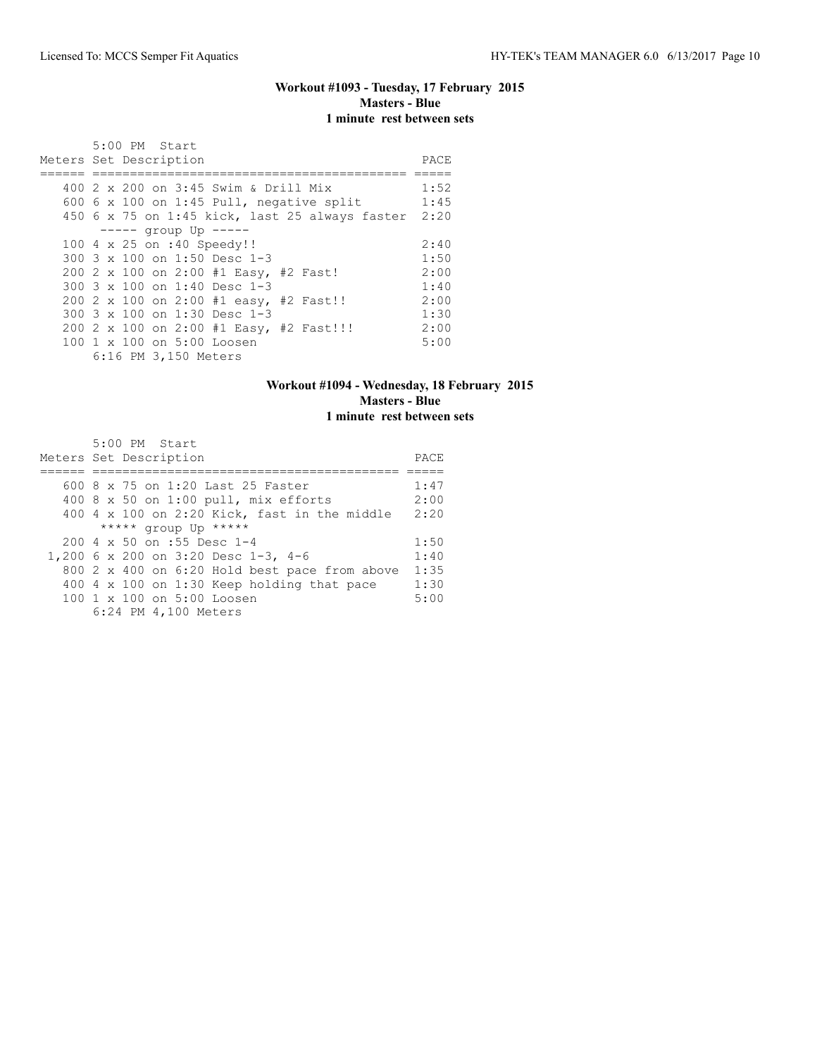# **Workout #1093 - Tuesday, 17 February 2015 Masters - Blue 1 minute rest between sets**

| 5:00 PM Start                                  |      |
|------------------------------------------------|------|
| Meters Set Description                         | PACE |
|                                                |      |
| 400 2 x 200 on 3:45 Swim & Drill Mix           | 1:52 |
| 600 6 x 100 on 1:45 Pull, negative split       | 1:45 |
| 450 6 x 75 on 1:45 kick, last 25 always faster | 2:20 |
| $----$ qroup Up $----$                         |      |
| 100 4 x 25 on :40 Speedy!!                     | 2:40 |
| 300 3 x 100 on 1:50 Desc 1-3                   | 1:50 |
| 200 2 x 100 on 2:00 #1 Easy, #2 Fast!          | 2:00 |
| 300 $3 \times 100$ on 1:40 Desc 1-3            | 1:40 |
| 200 2 x 100 on 2:00 #1 easy, #2 Fast!!         | 2:00 |
| 300 $3 \times 100$ on 1:30 Desc 1-3            | 1:30 |
| 200 2 x 100 on 2:00 #1 Easy, #2 Fast!!!        | 2:00 |
| 100 1 x 100 on 5:00 Loosen                     | 5:00 |
| 6:16 PM 3,150 Meters                           |      |

# **Workout #1094 - Wednesday, 18 February 2015 Masters - Blue 1 minute rest between sets**

|  | 5:00 PM Start<br>Meters Set Description                               |                                               | PACE |
|--|-----------------------------------------------------------------------|-----------------------------------------------|------|
|  | 600 8 x 75 on 1:20 Last 25 Faster                                     |                                               | 1:47 |
|  |                                                                       |                                               | 2:00 |
|  |                                                                       | 400 8 x 50 on 1:00 pull, mix efforts          |      |
|  |                                                                       | 400 4 x 100 on 2:20 Kick, fast in the middle  | 2:20 |
|  | ***** group Up *****                                                  |                                               |      |
|  | $200 \text{ } 4 \text{ } \times \text{ } 50 \text{ }$ on :55 Desc 1-4 |                                               | 1:50 |
|  | 1,200 6 x 200 on 3:20 Desc 1-3, 4-6                                   |                                               | 1:40 |
|  |                                                                       | 800 2 x 400 on 6:20 Hold best pace from above | 1:35 |
|  |                                                                       | 400 4 x 100 on 1:30 Keep holding that pace    | 1:30 |
|  | 100 1 x 100 on 5:00 Loosen                                            |                                               | 5:00 |
|  | 6:24 PM 4,100 Meters                                                  |                                               |      |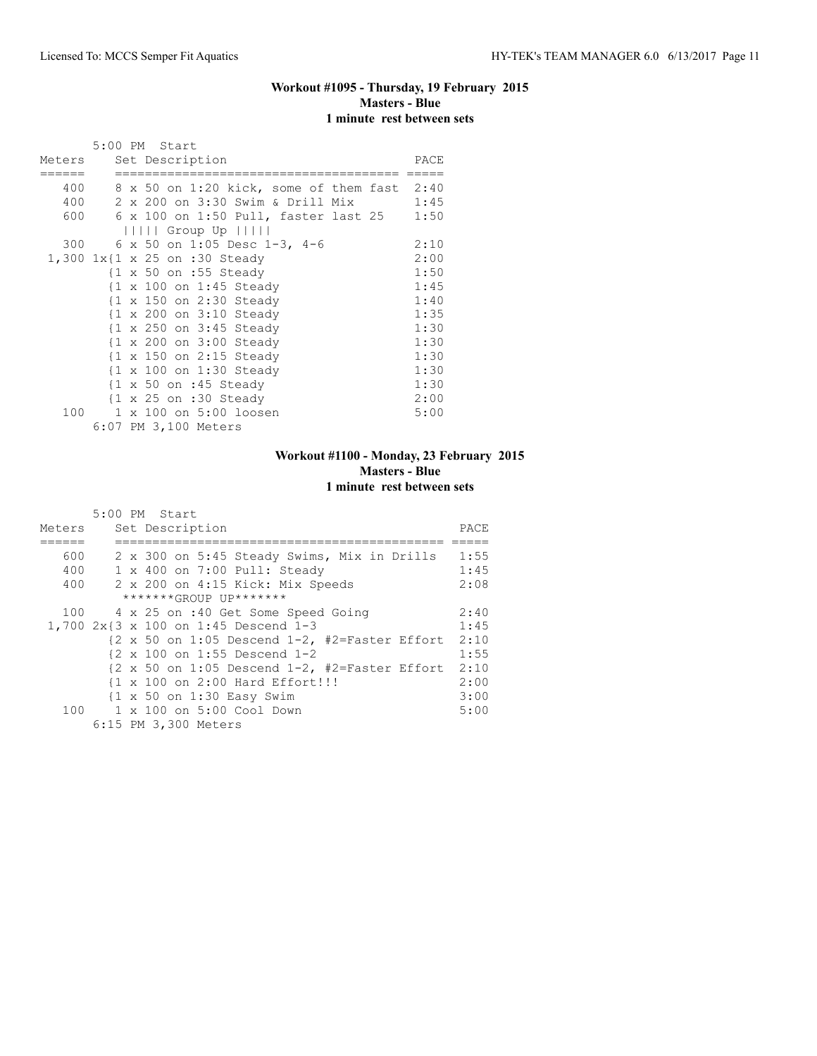# **Workout #1095 - Thursday, 19 February 2015 Masters - Blue 1 minute rest between sets**

|     | 5:00 PM Start                                     |      |
|-----|---------------------------------------------------|------|
|     | Meters Set Description                            | PACE |
|     |                                                   |      |
| 400 | 8 x 50 on 1:20 kick, some of them fast 2:40       |      |
| 400 | 2 x 200 on 3:30 Swim & Drill Mix                  | 1:45 |
|     | 600 6 x 100 on 1:50 Pull, faster last 25          | 1:50 |
|     | $      $ Group Up $      $                        |      |
|     | 300 6 x 50 on 1:05 Desc 1-3, 4-6                  | 2:10 |
|     | 1,300 1x{1 x 25 on :30 Steady                     | 2:00 |
|     | $\{1 \times 50 \text{ on } : 55 \text{ Steady}\}$ | 1:50 |
|     | {1 x 100 on 1:45 Steady                           | 1:45 |
|     | {1 x 150 on 2:30 Steady                           | 1:40 |
|     | {1 x 200 on 3:10 Steady                           | 1:35 |
|     | {1 x 250 on 3:45 Steady                           | 1:30 |
|     | {1 x 200 on 3:00 Steady                           | 1:30 |
|     | {1 x 150 on 2:15 Steady                           | 1:30 |
|     | {1 x 100 on 1:30 Steady                           | 1:30 |
|     | $\{1 \times 50 \text{ on } : 45 \text{ Steady}\}$ | 1:30 |
|     | $\{1 \times 25 \text{ on } : 30 \text{ Steady}\}$ | 2:00 |
| 100 | 1 x 100 on 5:00 loosen                            | 5:00 |
|     | 6:07 PM 3,100 Meters                              |      |

# **Workout #1100 - Monday, 23 February 2015 Masters - Blue 1 minute rest between sets**

|        | 5:00 PM Start                                                                   |      |
|--------|---------------------------------------------------------------------------------|------|
| Meters | Set Description                                                                 | PACE |
|        |                                                                                 |      |
| 600    | 2 x 300 on 5:45 Steady Swims, Mix in Drills                                     | 1:55 |
| 400    | 1 x 400 on 7:00 Pull: Steady                                                    | 1:45 |
| 400    | 2 x 200 on 4:15 Kick: Mix Speeds                                                | 2:08 |
|        | *******GROUP UP*******                                                          |      |
| 100    | 4 x 25 on :40 Get Some Speed Going                                              | 2:40 |
|        | 1,700 2x{3 x 100 on 1:45 Descend 1-3                                            | 1:45 |
|        | $\{2 \times 50 \text{ on } 1:05 \text{ Descend } 1-2, \text{ #2=Faster Effect}$ | 2:10 |
|        | $\{2 \times 100 \text{ on } 1:55 \text{ Descend } 1-2$                          | 1:55 |
|        | $\{2 \times 50 \text{ on } 1:05 \text{ Descend } 1-2$ , #2=Faster Effort        | 2:10 |
|        | {1 x 100 on 2:00 Hard Effort!!!                                                 | 2:00 |
|        | {1 x 50 on 1:30 Easy Swim                                                       | 3:00 |
|        | 100 1 x 100 on 5:00 Cool Down                                                   | 5:00 |
|        | 6:15 PM 3,300 Meters                                                            |      |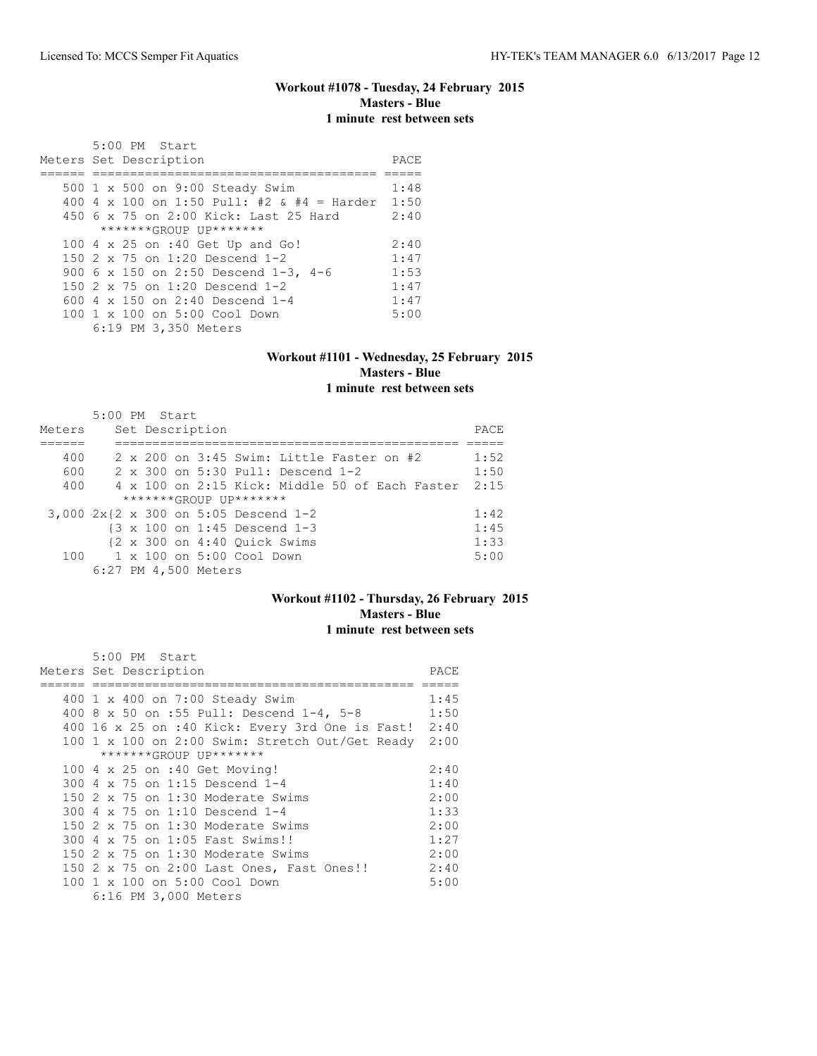# **Workout #1078 - Tuesday, 24 February 2015 Masters - Blue 1 minute rest between sets**

| $5:00$ PM Start<br>Meters Set Description       | PACE |
|-------------------------------------------------|------|
|                                                 |      |
| 500 1 x 500 on 9:00 Steady Swim                 | 1:48 |
| 400 4 x 100 on 1:50 Pull: #2 & #4 = Harder 1:50 |      |
| 450 6 x 75 on 2:00 Kick: Last 25 Hard           | 2:40 |
| $******GROUP$ $IP*******$                       |      |
| 100 4 x 25 on :40 Get Up and Go!                | 2:40 |
| 150 2 x 75 on 1:20 Descend 1-2                  | 1:47 |
| 900 6 x 150 on 2:50 Descend 1-3, 4-6            | 1:53 |
| 150 2 x 75 on 1:20 Descend 1-2                  | 1:47 |
| 600 $4 \times 150$ on 2:40 Descend 1-4          | 1:47 |
| $100 \t1 x 100$ on $5:00$ Cool Down             | 5:00 |
| 6:19 PM 3,350 Meters                            |      |

#### **Workout #1101 - Wednesday, 25 February 2015 Masters - Blue 1 minute rest between sets**

| Meters | 5:00 PM Start |  | Set Description      |                                           |                                                                | PACE |
|--------|---------------|--|----------------------|-------------------------------------------|----------------------------------------------------------------|------|
|        |               |  |                      |                                           |                                                                |      |
| 400    |               |  |                      |                                           | $2 \times 200$ on $3:45$ Swim: Little Faster on #2             | 1:52 |
| 600    |               |  |                      |                                           | $2 \times 300$ on $5:30$ Pull: Descend 1-2                     | 1:50 |
| 400    |               |  |                      |                                           | $4 \times 100$ on 2:15 Kick: Middle 50 of Each Faster          | 2:15 |
|        |               |  |                      | $******GROUP$ $IP*******$                 |                                                                |      |
|        |               |  |                      |                                           | 3,000 2x{2 x 300 on 5:05 Descend 1-2                           | 1:42 |
|        |               |  |                      |                                           | $\{3 \times 100 \text{ on } 1:45 \text{ Descend } 1-3$         | 1:45 |
|        |               |  |                      |                                           | $\{2 \times 300 \text{ on } 4:40 \text{ Quick} \text{Swims}\}$ | 1:33 |
|        |               |  |                      | 100    1 x 100    an 5:00    Cool    Down |                                                                | 5:00 |
|        |               |  | 6:27 PM 4,500 Meters |                                           |                                                                |      |

#### **Workout #1102 - Thursday, 26 February 2015 Masters - Blue 1 minute rest between sets**

| 5:00 PM Start                                        |      |
|------------------------------------------------------|------|
| Meters Set Description                               | PACE |
|                                                      |      |
| 400 1 x 400 on 7:00 Steady Swim                      | 1:45 |
| 400 8 x 50 on :55 Pull: Descend 1-4, 5-8             | 1:50 |
| 400 16 x 25 on :40 Kick: Every 3rd One is Fast! 2:40 |      |
| 100 1 x 100 on 2:00 Swim: Stretch Out/Get Ready      | 2:00 |
| *******GROUP UP*******                               |      |
| 100 4 x 25 on :40 Get Moving!                        | 2:40 |
| 300 4 x 75 on 1:15 Descend 1-4                       | 1:40 |
| 150 $2 \times 75$ on 1:30 Moderate Swims             | 2:00 |
| 300 4 x 75 on 1:10 Descend 1-4                       | 1:33 |
| 150 2 x 75 on 1:30 Moderate Swims                    | 2:00 |
| 300 4 x 75 on 1:05 Fast Swims!!                      | 1:27 |
| 150 2 x 75 on 1:30 Moderate Swims                    | 2:00 |
| 150 2 x 75 on 2:00 Last Ones, Fast Ones!!            | 2:40 |
| 100 1 x 100 on 5:00 Cool Down                        | 5:00 |
| 6:16 PM 3,000 Meters                                 |      |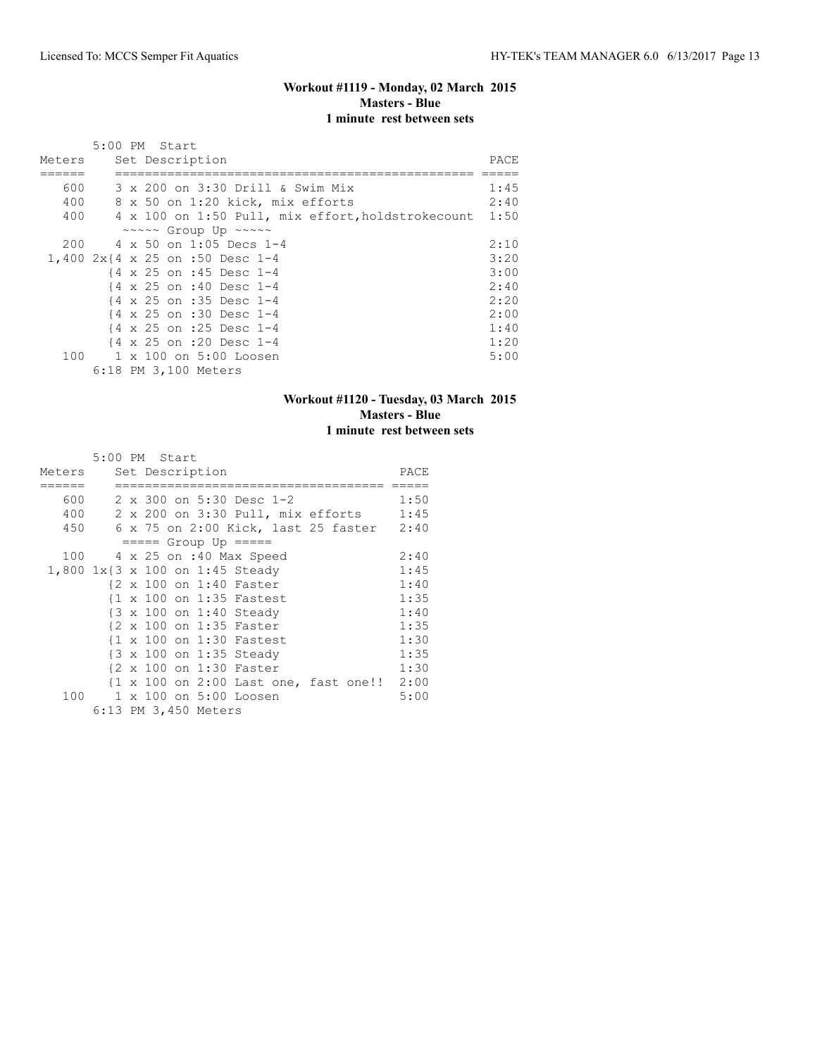## **Workout #1119 - Monday, 02 March 2015 Masters - Blue 1 minute rest between sets**

|        | 5:00 PM Start                                        |      |
|--------|------------------------------------------------------|------|
| Meters | Set Description                                      | PACE |
|        |                                                      |      |
| 600    | 3 x 200 on 3:30 Drill & Swim Mix                     | 1:45 |
| 400    | 8 x 50 on 1:20 kick, mix efforts                     | 2:40 |
| 400    | 4 x 100 on 1:50 Pull, mix effort, holdstrokecount    | 1:50 |
|        | $\sim \sim \sim \sim$ Group Up $\sim \sim \sim \sim$ |      |
| 200    | 4 x 50 on 1:05 Decs 1-4                              | 2:10 |
|        | 1,400 2x{4 x 25 on :50 Desc 1-4                      | 3:20 |
|        | {4 x 25 on :45 Desc 1-4                              | 3:00 |
|        | {4 x 25 on :40 Desc 1-4                              | 2:40 |
|        | {4 x 25 on :35 Desc 1-4                              | 2:20 |
|        | {4 x 25 on :30 Desc 1-4                              | 2:00 |
|        | {4 x 25 on :25 Desc 1-4                              | 1:40 |
|        | {4 x 25 on :20 Desc 1-4                              | 1:20 |
| 100    | 1 x 100 on 5:00 Loosen                               | 5:00 |
|        | 6:18 PM 3,100 Meters                                 |      |

# **Workout #1120 - Tuesday, 03 March 2015 Masters - Blue 1 minute rest between sets**

|        |  | 5:00 PM Start                   |                             |                                            |      |
|--------|--|---------------------------------|-----------------------------|--------------------------------------------|------|
| Meters |  | Set Description                 |                             |                                            | PACE |
| 600    |  |                                 | 2 x 300 on 5:30 Desc 1-2    |                                            | 1:50 |
| 400    |  |                                 |                             | 2 x 200 on 3:30 Pull, mix efforts 1:45     |      |
| 450    |  |                                 |                             | 6 x 75 on 2:00 Kick, last 25 faster 2:40   |      |
|        |  | $== == $ Group Up $== == $      |                             |                                            |      |
|        |  |                                 | 100 4 x 25 on :40 Max Speed |                                            | 2:40 |
|        |  | 1,800 1x{3 x 100 on 1:45 Steady |                             |                                            | 1:45 |
|        |  | {2 x 100 on 1:40 Faster         |                             |                                            | 1:40 |
|        |  |                                 | {1 x 100 on 1:35 Fastest    |                                            | 1:35 |
|        |  |                                 | {3 x 100 on 1:40 Steady     |                                            | 1:40 |
|        |  | {2 x 100 on 1:35 Faster         |                             |                                            | 1:35 |
|        |  |                                 | {1 x 100 on 1:30 Fastest    |                                            | 1:30 |
|        |  | {3 x 100 on 1:35 Steady         |                             |                                            | 1:35 |
|        |  | {2 x 100 on 1:30 Faster         |                             |                                            | 1:30 |
|        |  |                                 |                             | {1 x 100 on 2:00 Last one, fast one!! 2:00 |      |
| 100    |  | 1 x 100 on 5:00 Loosen          |                             |                                            | 5:00 |
|        |  | 6:13 PM 3,450 Meters            |                             |                                            |      |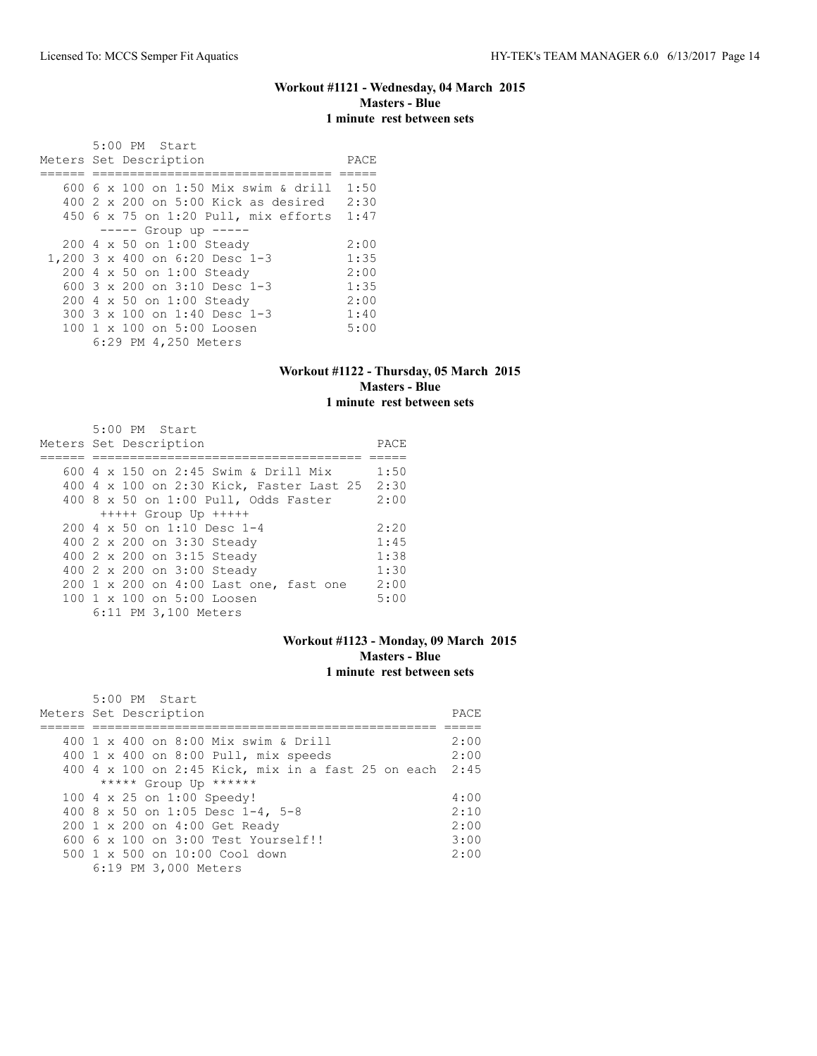#### **Workout #1121 - Wednesday, 04 March 2015 Masters - Blue 1 minute rest between sets**

 5:00 PM Start Meters Set Description PACE ====== ================================ ===== 600 6 x 100 on 1:50 Mix swim & drill 1:50 400 2 x 200 on 5:00 Kick as desired 2:30 450 6 x 75 on 1:20 Pull, mix efforts 1:47 ----- Group up ----- 200 4 x 50 on 1:00 Steady 2:00<br>200 3 x 400 on 6:20 Desc 1-3 1:35 1,200 3 x 400 on 6:20 Desc 1-3 1:35<br>200 4 x 50 on 1:00 Steady 2:00 200 4 x 50 on 1:00 Steady 2:00<br>600 3 x 200 on 3:10 Desc 1-3 1:35 600 3 x 200 on 3:10 Desc 1-3 1:35<br>200 4 x 50 on 1:00 Steady 2:00 200 4 x 50 on 1:00 Steady 2:00<br>300 3 x 100 on 1:40 Desc 1-3 1:40 300 3 x 100 on 1:40 Desc 1-3 1:40<br>100 1 x 100 on 5:00 Loosen 5:00 100 1 x 100 on 5:00 Loosen 6:29 PM 4,250 Meters

#### **Workout #1122 - Thursday, 05 March 2015 Masters - Blue 1 minute rest between sets**

| 5:00 PM Start                                          |      |
|--------------------------------------------------------|------|
| Meters Set Description                                 | PACE |
|                                                        |      |
| 600 4 x 150 on 2:45 Swim & Drill Mix                   | 1:50 |
| 400 4 x 100 on 2:30 Kick, Faster Last 25               | 2:30 |
| 400 8 x 50 on 1:00 Pull, Odds Faster                   | 2:00 |
| $++++$ Group Up $++++$                                 |      |
| $2004 \times 50$ on 1:10 Desc 1-4                      | 2:20 |
| 400 2 x 200 on 3:30 Steady                             | 1:45 |
| 400 2 x 200 on 3:15 Steady                             | 1:38 |
| 400 2 x 200 on 3:00 Steady                             | 1:30 |
| 200 1 x 200 on 4:00 Last one, fast one                 | 2:00 |
| $100 \text{ 1 x } 100 \text{ on } 5:00 \text{ Loosen}$ | 5:00 |
| 6:11 PM 3,100 Meters                                   |      |

#### **Workout #1123 - Monday, 09 March 2015 Masters - Blue 1 minute rest between sets**

| 5:00 PM Start                                           |      |
|---------------------------------------------------------|------|
| Meters Set Description                                  | PACE |
|                                                         |      |
| 400 1 x 400 on 8:00 Mix swim & Drill                    | 2:00 |
| 400 1 x 400 on 8:00 Pull, mix speeds                    | 2:00 |
| 400 4 x 100 on 2:45 Kick, mix in a fast 25 on each 2:45 |      |
| ***** Group Up ******                                   |      |
| 100 4 x 25 on 1:00 Speedy!                              | 4:00 |
| 400 8 x 50 on 1:05 Desc 1-4, 5-8                        | 2:10 |
| 200 1 x 200 on 4:00 Get Ready                           | 2:00 |
| $6006 \times 100$ on $3:00$ Test Yourself!!             | 3:00 |
| $500 \t 1 \t x \t 500$ on $10:00$ Cool down             | 2:00 |
| 6:19 PM 3,000 Meters                                    |      |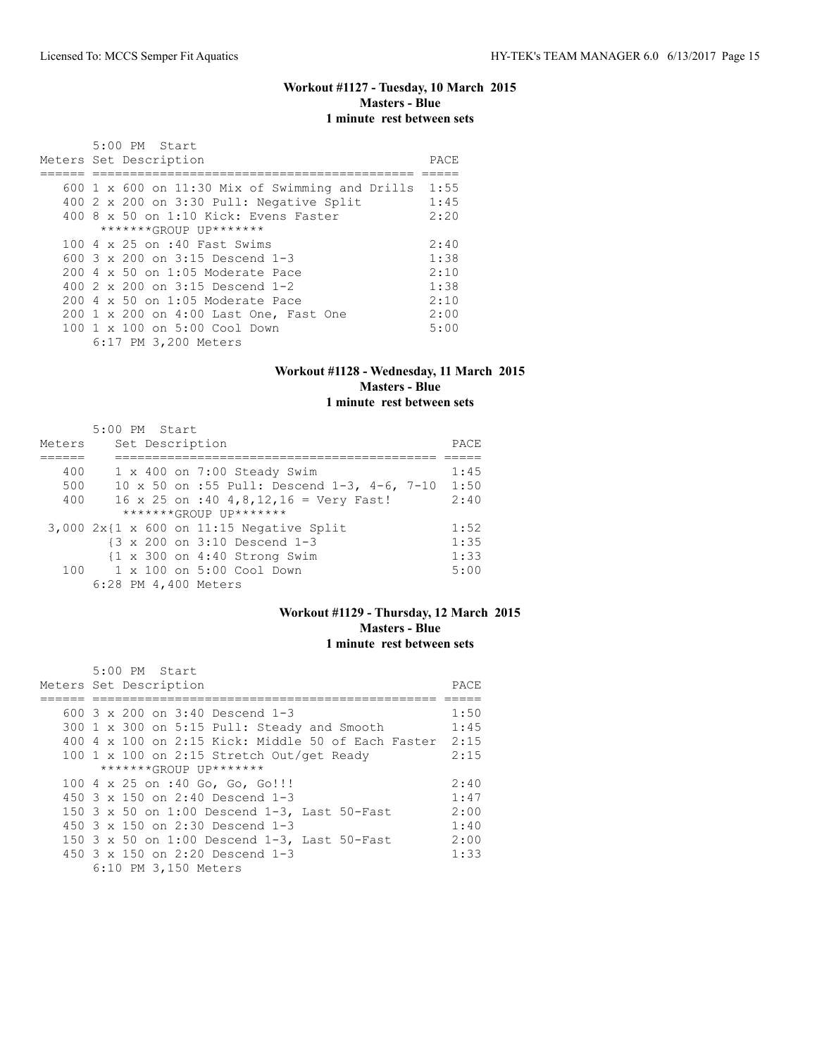#### **Workout #1127 - Tuesday, 10 March 2015 Masters - Blue 1 minute rest between sets**

|  | 5:00 PM Start                                                |      |
|--|--------------------------------------------------------------|------|
|  | Meters Set Description                                       | PACE |
|  |                                                              |      |
|  | $600 \text{ 1 x } 600$ on $11:30$ Mix of Swimming and Drills | 1:55 |
|  | 400 2 x 200 on 3:30 Pull: Negative Split                     | 1:45 |
|  | 400 8 x 50 on 1:10 Kick: Evens Faster                        | 2:20 |
|  | *******GROUP UP*******                                       |      |
|  | 100 4 x 25 on :40 Fast Swims                                 | 2:40 |
|  | 600 $3 \times 200$ on $3:15$ Descend 1-3                     | 1:38 |
|  | 200 4 x 50 on 1:05 Moderate Pace                             | 2:10 |
|  | 400 2 x 200 on 3:15 Descend 1-2                              | 1:38 |
|  | 200 4 x 50 on 1:05 Moderate Pace                             | 2:10 |
|  | 200 1 x 200 on 4:00 Last One, Fast One                       | 2:00 |
|  | $100 \t 1 \t x \t 100$ on $5:00$ Cool Down                   | 5:00 |
|  | 6:17 PM 3,200 Meters                                         |      |

#### **Workout #1128 - Wednesday, 11 March 2015 Masters - Blue 1 minute rest between sets**

#### 5:00 PM Start Meters Set Description **PACE** ====== =========================================== ===== 400 1 x 400 on 7:00 Steady Swim 1:45 500 10 x 50 on :55 Pull: Descend 1-3, 4-6, 7-10 1:50 400 16 x 25 on :40 4,8,12,16 = Very Fast! 2:40 \*\*\*\*\*\*\*GROUP UP\*\*\*\*\*\*\* 3,000 2x{1 x 600 on 11:15 Negative Split 1:52 {3 x 200 on 3:10 Descend 1-3 1:35 {1 x 300 on 4:40 Strong Swim 1:33 100 1 x 100 on 5:00 Cool Down 5:00 6:28 PM 4,400 Meters

# **Workout #1129 - Thursday, 12 March 2015 Masters - Blue 1 minute rest between sets**

| $5:00$ PM Start<br>Meters Set Description                    | PACE |
|--------------------------------------------------------------|------|
| 600 $3 \times 200$ on $3:40$ Descend 1-3                     | 1:50 |
|                                                              |      |
| 300 1 x 300 on 5:15 Pull: Steady and Smooth                  | 1:45 |
| $400\,4\,\times\,100$ on 2:15 Kick: Middle 50 of Each Faster | 2:15 |
| 100 1 x 100 on 2:15 Stretch Out/get Ready                    | 2:15 |
| *******GROUP UP*******                                       |      |
| 100 4 x 25 on :40 Go, Go, Go!!!                              | 2:40 |
| 450 $3 \times 150$ on 2:40 Descend 1-3                       | 1:47 |
| 150 3 x 50 on 1:00 Descend 1-3, Last 50-Fast                 | 2:00 |
| 450 $3 \times 150$ on 2:30 Descend 1-3                       | 1:40 |
| 150 3 x 50 on 1:00 Descend 1-3, Last 50-Fast                 | 2:00 |
| 450 $3 \times 150$ on 2:20 Descend 1-3                       | 1:33 |
| 6:10 PM 3,150 Meters                                         |      |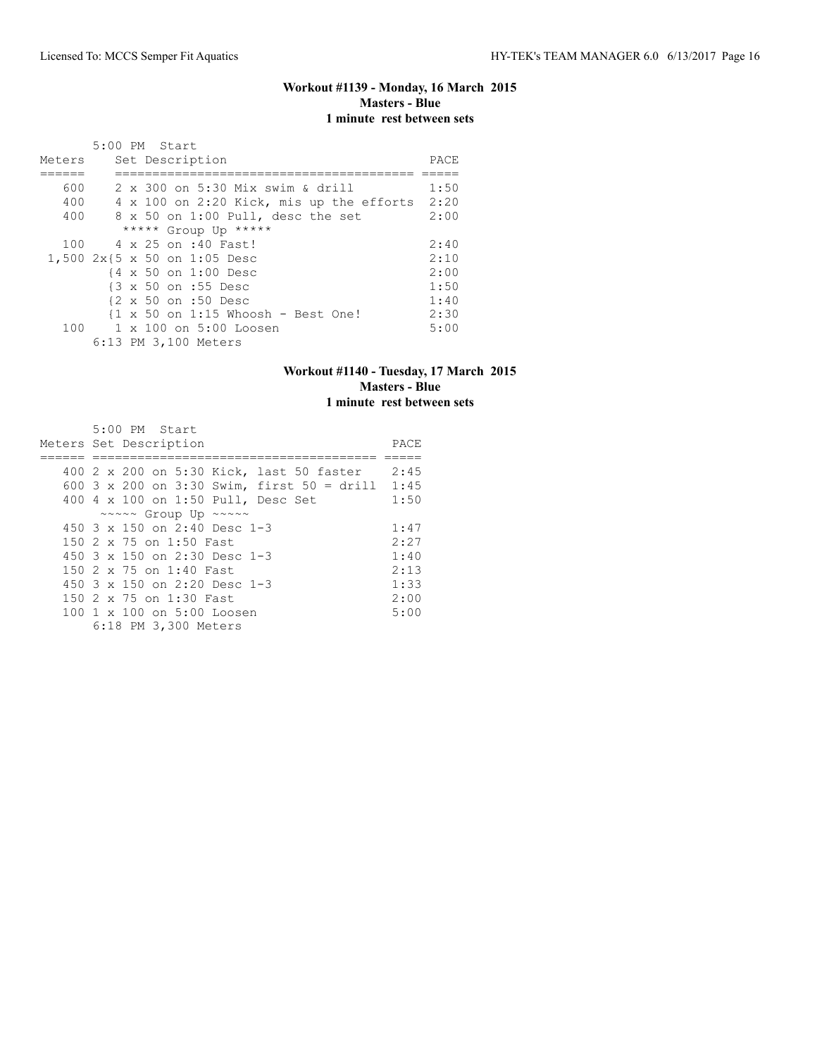# **Workout #1139 - Monday, 16 March 2015 Masters - Blue 1 minute rest between sets**

| Meters | 5:00 PM Start<br>Set Description         | PACE |
|--------|------------------------------------------|------|
| 600    | 2 x 300 on 5:30 Mix swim & drill         | 1:50 |
| 400    | 4 x 100 on 2:20 Kick, mis up the efforts | 2:20 |
| 400    | 8 x 50 on 1:00 Pull, desc the set        | 2:00 |
|        | ***** Group Up *****                     |      |
| 100    | 4 x 25 on :40 Fast!                      | 2:40 |
|        | 1,500 2x{5 x 50 on 1:05 Desc             | 2:10 |
|        | {4 x 50 on 1:00 Desc                     | 2:00 |
|        | {3 x 50 on :55 Desc                      | 1:50 |
|        | {2 x 50 on :50 Desc                      | 1:40 |
|        | {1 x 50 on 1:15 Whoosh - Best One!       | 2:30 |
|        | 100 1 x 100 on 5:00 Loosen               | 5:00 |
|        | 6:13 PM 3,100 Meters                     |      |

#### **Workout #1140 - Tuesday, 17 March 2015 Masters - Blue 1 minute rest between sets**

| $5:00$ PM Start                                      |      |
|------------------------------------------------------|------|
| Meters Set Description                               | PACE |
|                                                      |      |
| 400 2 x 200 on 5:30 Kick, last 50 faster             | 2:45 |
| 600 3 x 200 on 3:30 Swim, first 50 = drill           | 1:45 |
| 400 4 x 100 on 1:50 Pull, Desc Set                   | 1:50 |
| $\sim \sim \sim \sim$ Group Up $\sim \sim \sim \sim$ |      |
| 450 $3 \times 150$ on 2:40 Desc 1-3                  | 1:47 |
| 150 2 x 75 on 1:50 Fast                              | 2:27 |
| 450 $3 \times 150$ on 2:30 Desc 1-3                  | 1:40 |
| 150 2 x 75 on 1:40 Fast                              | 2:13 |
| 450 $3 \times 150$ on 2:20 Desc 1-3                  | 1:33 |
| 150 2 x 75 on 1:30 Fast                              | 2:00 |
| 100 1 x 100 on 5:00 Loosen                           | 5:00 |
| 6:18 PM 3,300 Meters                                 |      |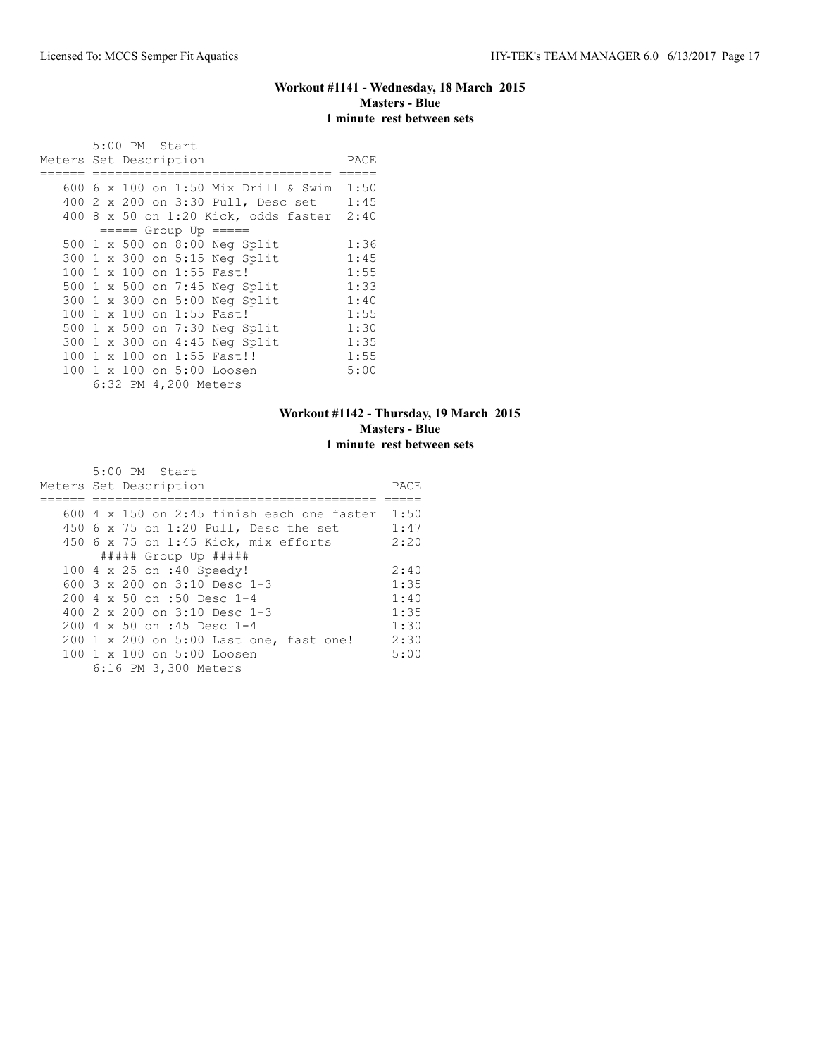## **Workout #1141 - Wednesday, 18 March 2015 Masters - Blue 1 minute rest between sets**

 5:00 PM Start Meters Set Description **PACE** ====== ================================ ===== 600 6 x 100 on 1:50 Mix Drill & Swim 1:50 400 2 x 200 on 3:30 Pull, Desc set 1:45 400 8 x 50 on 1:20 Kick, odds faster 2:40 ===== Group Up ===== 500 1 x 500 on 8:00 Neg Split 1:36<br>300 1 x 300 on 5:15 Neg Split 1:45 300 1 x 300 on 5:15 Neg Split 1:45<br>100 1 x 100 on 1:55 Fast! 1:55 100 1 x 100 on 1:55 Fast! 1:55<br>500 1 x 500 on 7:45 Neg Split 1:33<br>300 1 x 300 on 5:00 Neg Split 1:40<br>1:55 500 1 x 500 on 7:45 Neg Split 300 1 x 300 on 5:00 Neg Split 1:40<br>100 1 x 100 on 1:55 Fast! 1:55 100 1 x 100 on 1:55 Fast! 1:55<br>500 1 x 500 on 7:30 Neg Split 1:30<br>300 1 x 300 on 4:45 Neg Split 1:35 500 1 x 500 on 7:30 Neg Split 1:30 300 1 x 300 on 4:45 Neg Split 1:35<br>100 1 x 100 on 1:55 Fast!! 1:55 100 1 x 100 on 1:55 Fast!! 1:55<br>100 1 x 100 on 5:00 Loosen 5:00 100 1 x 100 on 5:00 Loosen 6:32 PM 4,200 Meters

#### **Workout #1142 - Thursday, 19 March 2015 Masters - Blue 1 minute rest between sets**

| 5:00 PM Start                                          |      |
|--------------------------------------------------------|------|
| Meters Set Description                                 | PACE |
|                                                        |      |
| $600\,4 \times 150$ on 2:45 finish each one faster     | 1:50 |
| 450 6 x 75 on 1:20 Pull, Desc the set                  | 1:47 |
| 450 6 x 75 on 1:45 Kick, mix efforts                   | 2:20 |
| $\#$ #### Group Up $\#$ ####                           |      |
| 100 4 x 25 on :40 Speedy!                              | 2:40 |
| 600 $3 \times 200$ on $3:10$ Desc 1-3                  | 1:35 |
| $200.4 \times 50$ on :50 Desc 1-4                      | 1:40 |
| 400 $2 \times 200$ on $3:10$ Desc 1-3                  | 1:35 |
| 200 4 x 50 on :45 Desc 1-4                             | 1:30 |
| 200 1 x 200 on 5:00 Last one, fast one!                | 2:30 |
| $100 \text{ 1 x } 100 \text{ on } 5:00 \text{ Loosen}$ | 5:00 |
| 6:16 PM 3,300 Meters                                   |      |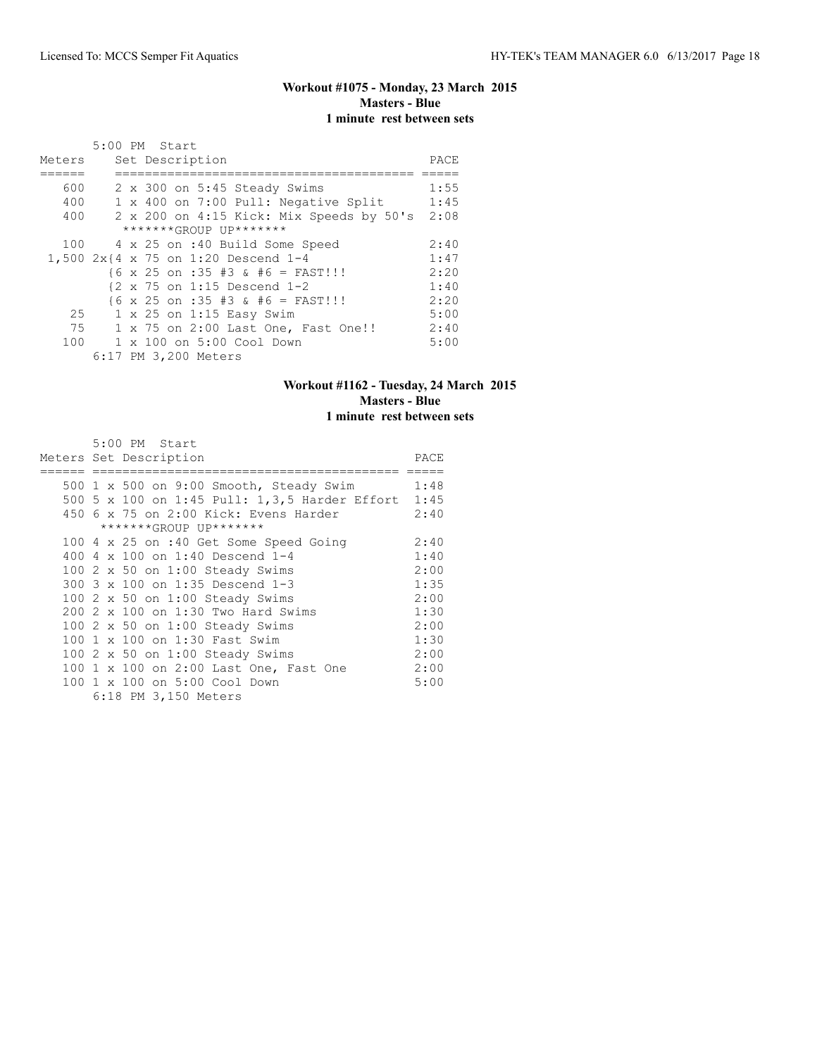# **Workout #1075 - Monday, 23 March 2015 Masters - Blue 1 minute rest between sets**

|        |    | 5:00 PM Start   |                                                          |      |
|--------|----|-----------------|----------------------------------------------------------|------|
| Meters |    | Set Description |                                                          | PACE |
|        |    |                 |                                                          |      |
| 600    |    |                 | 2 x 300 on 5:45 Steady Swims                             | 1:55 |
| 400    |    |                 | 1 x 400 on 7:00 Pull: Negative Split                     | 1:45 |
| 400    |    |                 | 2 x 200 on 4:15 Kick: Mix Speeds by 50's                 | 2:08 |
|        |    |                 | *******GROUP UP*******                                   |      |
|        |    |                 | 100 4 x 25 on :40 Build Some Speed                       | 2:40 |
|        |    |                 | 1,500 2x{4 x 75 on 1:20 Descend 1-4                      | 1:47 |
|        |    |                 | $\{6 \times 25 \text{ on } : 35 \# 3 \& # 6 = FAST!!\}$  | 2:20 |
|        |    |                 | $\{2 \times 75 \text{ on } 1:15 \text{ Descend } 1-2\}$  | 1:40 |
|        |    |                 | $\{6 \times 25 \text{ on } : 35 \# 3 \& # 6 = FAST!!!\}$ | 2:20 |
| 25     |    |                 | 1 x 25 on 1:15 Easy Swim                                 | 5:00 |
|        | 75 |                 | 1 x 75 on 2:00 Last One, Fast One!!                      | 2:40 |
|        |    |                 | 100 1 x 100 on 5:00 Cool Down                            | 5:00 |
|        |    |                 | 6:17 PM 3,200 Meters                                     |      |

# **Workout #1162 - Tuesday, 24 March 2015 Masters - Blue 1 minute rest between sets**

5:00 PM Start

|  | Meters Set Description                        | PACE |
|--|-----------------------------------------------|------|
|  | 500 1 x 500 on 9:00 Smooth, Steady Swim       | 1:48 |
|  | 500 5 x 100 on 1:45 Pull: 1,3,5 Harder Effort | 1:45 |
|  | 450 6 x 75 on 2:00 Kick: Evens Harder         | 2:40 |
|  | *******GROUP UP*******                        |      |
|  | 100 4 x 25 on :40 Get Some Speed Going        | 2:40 |
|  | 400 4 x 100 on 1:40 Descend 1-4               | 1:40 |
|  | 100 $2 \times 50$ on 1:00 Steady Swims        | 2:00 |
|  | 300 3 x 100 on 1:35 Descend 1-3               | 1:35 |
|  | 100 2 x 50 on 1:00 Steady Swims               | 2:00 |
|  | 200 2 x 100 on 1:30 Two Hard Swims            | 1:30 |
|  | 100 2 x 50 on 1:00 Steady Swims               | 2:00 |
|  | 100 1 x 100 on 1:30 Fast Swim                 | 1:30 |
|  | 100 $2 \times 50$ on 1:00 Steady Swims        | 2:00 |
|  | 100 1 x 100 on 2:00 Last One, Fast One        | 2:00 |
|  | 100 1 x 100 on 5:00 Cool Down                 | 5:00 |
|  | 6:18 PM 3,150 Meters                          |      |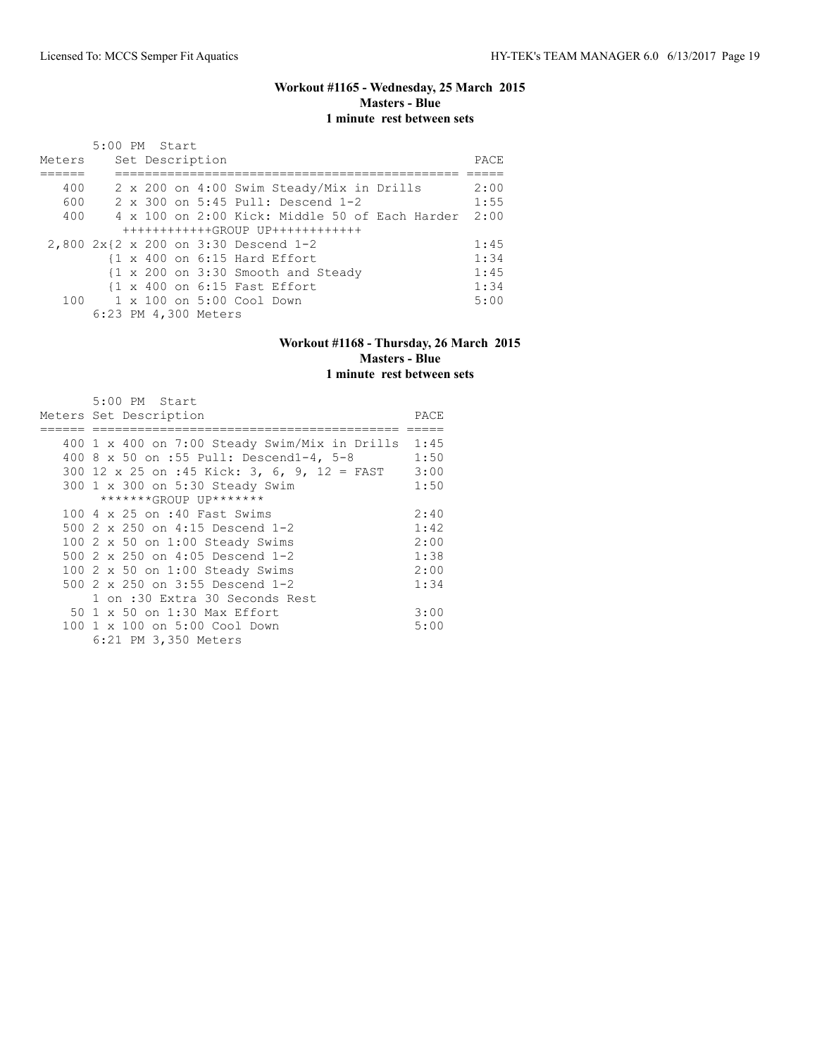# **Workout #1165 - Wednesday, 25 March 2015 Masters - Blue 1 minute rest between sets**

| Meters                               | 5:00 PM Start |  | Set Description      |                                                         |  |  |                                                | PACE |
|--------------------------------------|---------------|--|----------------------|---------------------------------------------------------|--|--|------------------------------------------------|------|
| 400                                  |               |  |                      | 2 x 200 on 4:00 Swim Steady/Mix in Drills               |  |  |                                                | 2:00 |
| 600                                  |               |  |                      | 2 x 300 on 5:45 Pull: Descend 1-2                       |  |  |                                                | 1:55 |
| 400                                  |               |  |                      |                                                         |  |  | 4 x 100 on 2:00 Kick: Middle 50 of Each Harder | 2:00 |
|                                      |               |  |                      | $+++++++++++GROUP$ UP++++++++++++                       |  |  |                                                |      |
| 2,800 2x{2 x 200 on 3:30 Descend 1-2 |               |  |                      |                                                         |  |  |                                                | 1:45 |
|                                      |               |  |                      | $\{1 \times 400 \text{ on } 6:15 \text{ Hard Effect}\}$ |  |  |                                                | 1:34 |
|                                      |               |  |                      | {1 x 200 on 3:30 Smooth and Steady                      |  |  |                                                | 1:45 |
|                                      |               |  |                      | $\{1 \times 400 \text{ on } 6:15 \text{ Fast Effect}\}$ |  |  |                                                | 1:34 |
|                                      |               |  |                      | $100 \t 1 \times 100$ on $5:00$ Cool Down               |  |  |                                                | 5:00 |
|                                      |               |  | 6:23 PM 4,300 Meters |                                                         |  |  |                                                |      |

#### **Workout #1168 - Thursday, 26 March 2015 Masters - Blue 1 minute rest between sets**

| 5:00 PM Start                                        |      |
|------------------------------------------------------|------|
| Meters Set Description                               | PACE |
|                                                      |      |
| $400$ 1 x 400 on 7:00 Steady Swim/Mix in Drills 1:45 |      |
| 400 8 x 50 on :55 Pull: Descend1-4, 5-8              | 1:50 |
| 300 12 x 25 on :45 Kick: 3, 6, 9, 12 = FAST          | 3:00 |
| 300 1 x 300 on 5:30 Steady Swim                      | 1:50 |
| *******GROUP UP*******                               |      |
| 100 4 x 25 on :40 Fast Swims                         | 2:40 |
| 500 2 x 250 on 4:15 Descend 1-2                      | 1:42 |
| 100 2 x 50 on 1:00 Steady Swims                      | 2:00 |
| 500 2 x 250 on 4:05 Descend 1-2                      | 1:38 |
| 100 2 x 50 on 1:00 Steady Swims                      | 2:00 |
| 500 2 x 250 on 3:55 Descend 1-2                      | 1:34 |
| 1 on :30 Extra 30 Seconds Rest                       |      |
| 50 1 x 50 on 1:30 Max Effort                         | 3:00 |
| 100 1 x 100 on 5:00 Cool Down                        | 5:00 |
| 6:21 PM 3,350 Meters                                 |      |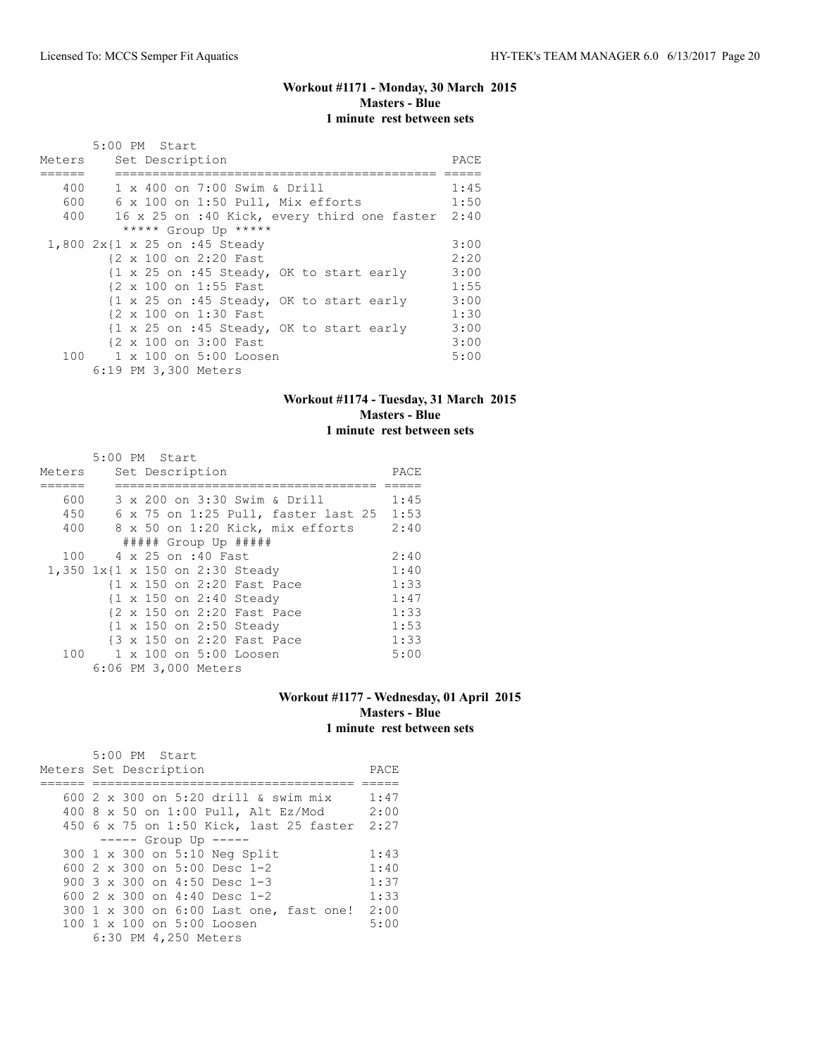# **Workout #1171 - Monday, 30 March 2015 Masters - Blue 1 minute rest between sets**

|        | 5:00 PM Start                                    |      |
|--------|--------------------------------------------------|------|
| Meters | Set Description                                  | PACE |
|        |                                                  |      |
| 400    | 1 x 400 on 7:00 Swim & Drill                     | 1:45 |
| 600    | 6 x 100 on 1:50 Pull, Mix efforts                | 1:50 |
| 400    | 16 x 25 on :40 Kick, every third one faster 2:40 |      |
|        | ***** Group Up *****                             |      |
|        | 1,800 2x{1 x 25 on :45 Steady                    | 3:00 |
|        | {2 x 100 on 2:20 Fast                            | 2:20 |
|        | {1 x 25 on :45 Steady, OK to start early         | 3:00 |
|        | {2 x 100 on 1:55 Fast                            | 1:55 |
|        | {1 x 25 on :45 Steady, OK to start early         | 3:00 |
|        | {2 x 100 on 1:30 Fast                            | 1:30 |
|        | {1 x 25 on :45 Steady, OK to start early         | 3:00 |
|        | {2 x 100 on 3:00 Fast                            | 3:00 |
|        | 100 1 x 100 on 5:00 Loosen                       | 5:00 |
|        | 6:19 PM 3,300 Meters                             |      |

#### **Workout #1174 - Tuesday, 31 March 2015 Masters - Blue 1 minute rest between sets**

|        | 5:00 PM Start      |  |                      |                                     |      |
|--------|--------------------|--|----------------------|-------------------------------------|------|
| Meters |                    |  | Set Description      |                                     | PACE |
|        |                    |  |                      |                                     |      |
| 600    |                    |  |                      | 3 x 200 on 3:30 Swim & Drill        | 1:45 |
| 450    |                    |  |                      | 6 x 75 on 1:25 Pull, faster last 25 | 1:53 |
| 400    |                    |  |                      | 8 x 50 on 1:20 Kick, mix efforts    | 2:40 |
|        |                    |  |                      | $\#$ #### Group Up $\#$ ####        |      |
| 100    | 4 x 25 on :40 Fast |  |                      |                                     | 2:40 |
|        |                    |  |                      | 1,350 1x{1 x 150 on 2:30 Steady     | 1:40 |
|        |                    |  |                      | {1 x 150 on 2:20 Fast Pace          | 1:33 |
|        |                    |  |                      | {1 x 150 on 2:40 Steady             | 1:47 |
|        |                    |  |                      | {2 x 150 on 2:20 Fast Pace          | 1:33 |
|        |                    |  |                      | {1 x 150 on 2:50 Steady             | 1:53 |
|        |                    |  |                      | {3 x 150 on 2:20 Fast Pace          | 1:33 |
|        |                    |  |                      | 100 1 x 100 on 5:00 Loosen          | 5:00 |
|        |                    |  | 6:06 PM 3,000 Meters |                                     |      |

#### **Workout #1177 - Wednesday, 01 April 2015 Masters - Blue 1 minute rest between sets**

|                        |  | 5:00 PM Start |                      |                                       |                                      |                                         |      |
|------------------------|--|---------------|----------------------|---------------------------------------|--------------------------------------|-----------------------------------------|------|
| Meters Set Description |  |               |                      |                                       |                                      |                                         | PACE |
|                        |  |               |                      |                                       |                                      |                                         |      |
|                        |  |               |                      |                                       | 600 2 x 300 on 5:20 drill & swim mix |                                         | 1:47 |
|                        |  |               |                      |                                       | 400 8 x 50 on 1:00 Pull, Alt Ez/Mod  |                                         | 2:00 |
|                        |  |               |                      |                                       |                                      | 450 6 x 75 on 1:50 Kick, last 25 faster | 2:27 |
|                        |  |               |                      | $--- -$ Group Up $--- -$              |                                      |                                         |      |
|                        |  |               |                      | 300 1 x 300 on 5:10 Neg Split         |                                      |                                         | 1:43 |
|                        |  |               |                      | 600 2 x 300 on 5:00 Desc 1-2          |                                      |                                         | 1:40 |
|                        |  |               |                      | 900 $3 \times 300$ on $4:50$ Desc 1-3 |                                      |                                         | 1:37 |
|                        |  |               |                      | 600 $2 \times 300$ on 4:40 Desc 1-2   |                                      |                                         | 1:33 |
|                        |  |               |                      |                                       |                                      | 300 1 x 300 on 6:00 Last one, fast one! | 2:00 |
|                        |  |               |                      | 100 1 x 100 on 5:00 Loosen            |                                      |                                         | 5:00 |
|                        |  |               | 6:30 PM 4,250 Meters |                                       |                                      |                                         |      |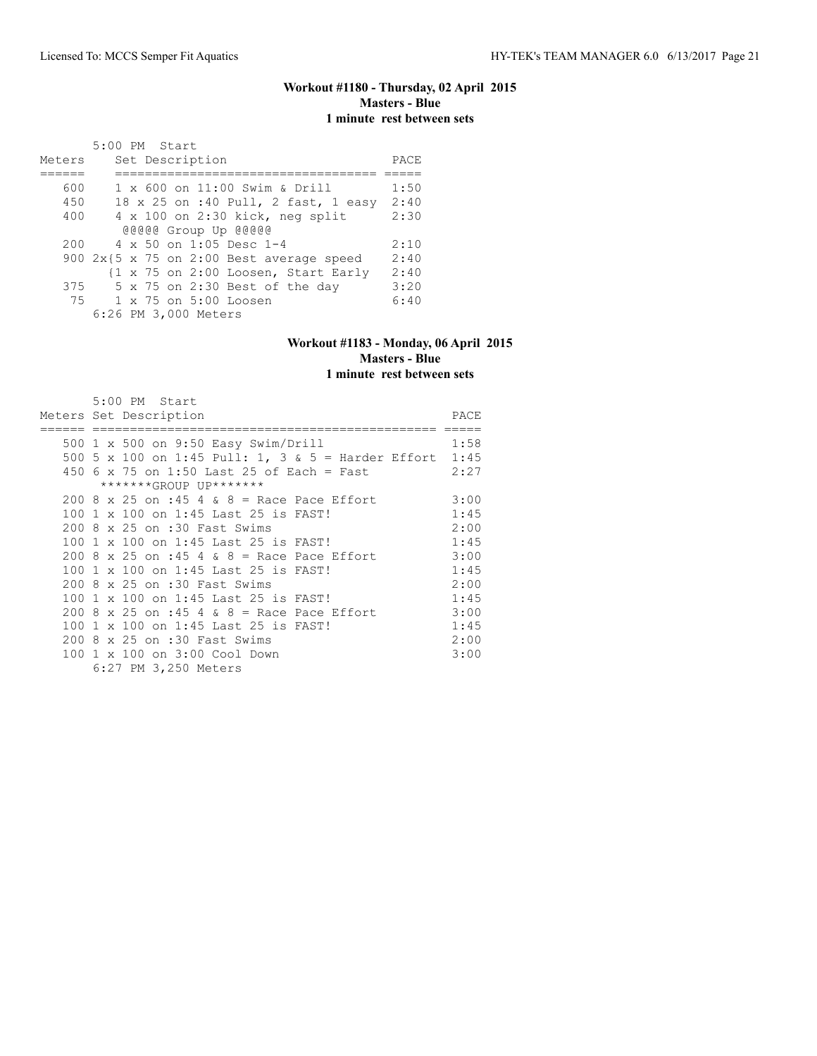#### **Workout #1180 - Thursday, 02 April 2015 Masters - Blue 1 minute rest between sets**

| Meters | 5:00 PM Start<br>Set Description            | PACE |
|--------|---------------------------------------------|------|
|        |                                             |      |
| 600    | 1 x 600 on 11:00 Swim & Drill               | 1:50 |
| 450    | 18 x 25 on :40 Pull, 2 fast, 1 easy         | 2:40 |
| 400    | $4 \times 100$ on 2:30 kick, neg split      | 2:30 |
|        | @@@@@ Group Up @@@@@                        |      |
| 200    | 4 x 50 on 1:05 Desc 1-4                     | 2:10 |
|        | 900 $2x$ {5 x 75 on 2:00 Best average speed | 2:40 |
|        | {1 x 75 on 2:00 Loosen, Start Early         | 2:40 |
| 375    | 5 x 75 on 2:30 Best of the day              | 3:20 |
|        | 75 1 x 75 on 5:00 Loosen                    | 6:40 |
|        | 6:26 PM 3,000 Meters                        |      |

# **Workout #1183 - Monday, 06 April 2015 Masters - Blue**

**1 minute rest between sets**

|  | 5:00 PM Start                                           |      |
|--|---------------------------------------------------------|------|
|  | Meters Set Description                                  | PACE |
|  |                                                         |      |
|  | 500 1 x 500 on 9:50 Easy Swim/Drill                     | 1:58 |
|  | 500 5 x 100 on 1:45 Pull: 1, 3 & 5 = Harder Effort 1:45 |      |
|  | 450 6 x 75 on 1:50 Last 25 of Each = Fast               | 2:27 |
|  | *******GROUP UP*******                                  |      |
|  | $200.8 \times 25$ on :45 4 & 8 = Race Pace Effort       | 3:00 |
|  | 100 1 x 100 on 1:45 Last 25 is FAST!                    | 1:45 |
|  | 200 8 x 25 on :30 Fast Swims                            | 2:00 |
|  | 100 1 x 100 on 1:45 Last 25 is FAST!                    | 1:45 |
|  | 200 8 x 25 on :45 4 & 8 = Race Pace Effort              | 3:00 |
|  | 100 1 x 100 on 1:45 Last 25 is FAST!                    | 1:45 |
|  | 200 8 x 25 on :30 Fast Swims                            | 2:00 |
|  | 100 1 x 100 on 1:45 Last 25 is FAST!                    | 1:45 |
|  | 200 8 x 25 on :45 4 & 8 = Race Pace Effort              | 3:00 |
|  | 100 1 x 100 on 1:45 Last 25 is FAST!                    | 1:45 |
|  | 200 8 x 25 on :30 Fast Swims                            | 2:00 |
|  | 100 1 x 100 on 3:00 Cool Down                           | 3:00 |
|  | 6:27 PM 3,250 Meters                                    |      |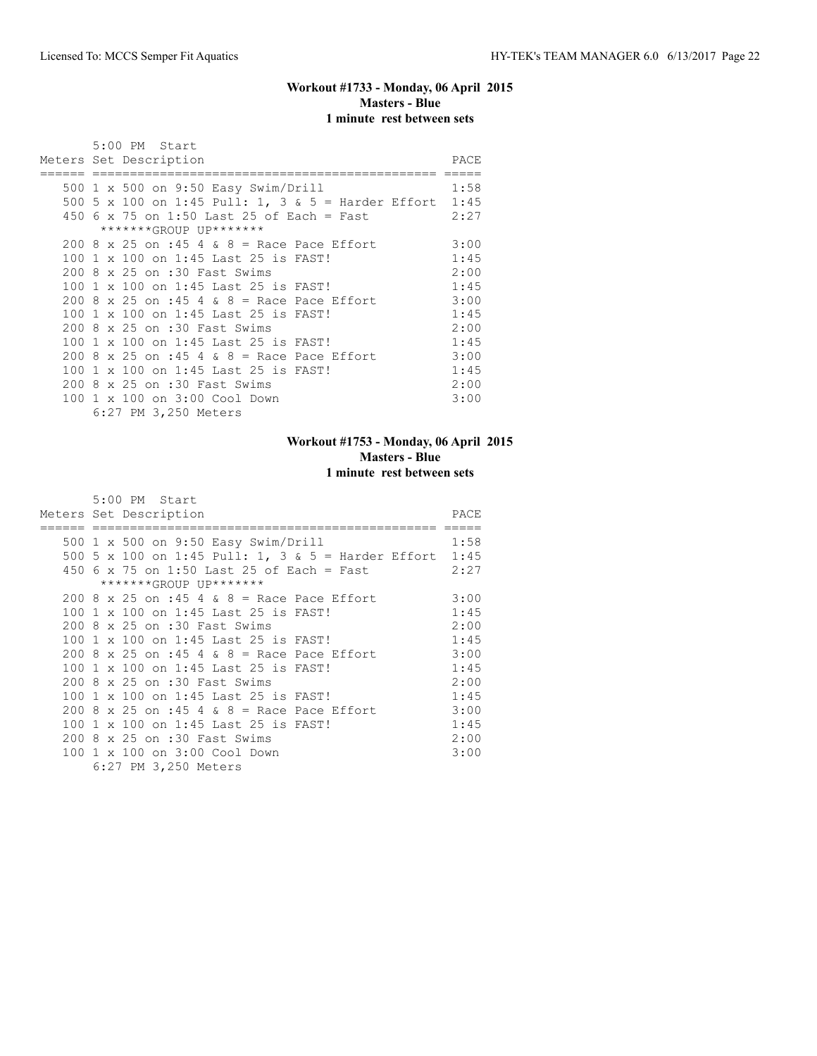## **Workout #1733 - Monday, 06 April 2015 Masters - Blue 1 minute rest between sets**

|  | 5:00 PM Start                                           |      |
|--|---------------------------------------------------------|------|
|  | Meters Set Description                                  | PACE |
|  |                                                         |      |
|  | 500 1 x 500 on 9:50 Easy Swim/Drill                     | 1:58 |
|  | 500 5 x 100 on 1:45 Pull: 1, 3 & 5 = Harder Effort 1:45 |      |
|  | 450 6 x 75 on 1:50 Last 25 of Each = Fast               | 2:27 |
|  | *******GROUP UP*******                                  |      |
|  | 200 8 x 25 on :45 4 & 8 = Race Pace Effort              | 3:00 |
|  | 100 1 x 100 on 1:45 Last 25 is FAST!                    | 1:45 |
|  | 200 8 x 25 on :30 Fast Swims                            | 2:00 |
|  | 100 1 x 100 on 1:45 Last 25 is FAST!                    | 1:45 |
|  | 200 8 x 25 on :45 4 & 8 = Race Pace Effort              | 3:00 |
|  | 100 1 x 100 on 1:45 Last 25 is FAST!                    | 1:45 |
|  | 200 8 x 25 on :30 Fast Swims                            | 2:00 |
|  | 100 1 x 100 on 1:45 Last 25 is FAST!                    | 1:45 |
|  | $200.8 \times 25$ on :45 4 & 8 = Race Pace Effort       | 3:00 |
|  | 100 1 x 100 on 1:45 Last 25 is FAST!                    | 1:45 |
|  | 200 8 x 25 on :30 Fast Swims                            | 2:00 |
|  | 100 1 x 100 on 3:00 Cool Down                           | 3:00 |
|  | 6:27 PM 3,250 Meters                                    |      |

# **Workout #1753 - Monday, 06 April 2015 Masters - Blue 1 minute rest between sets**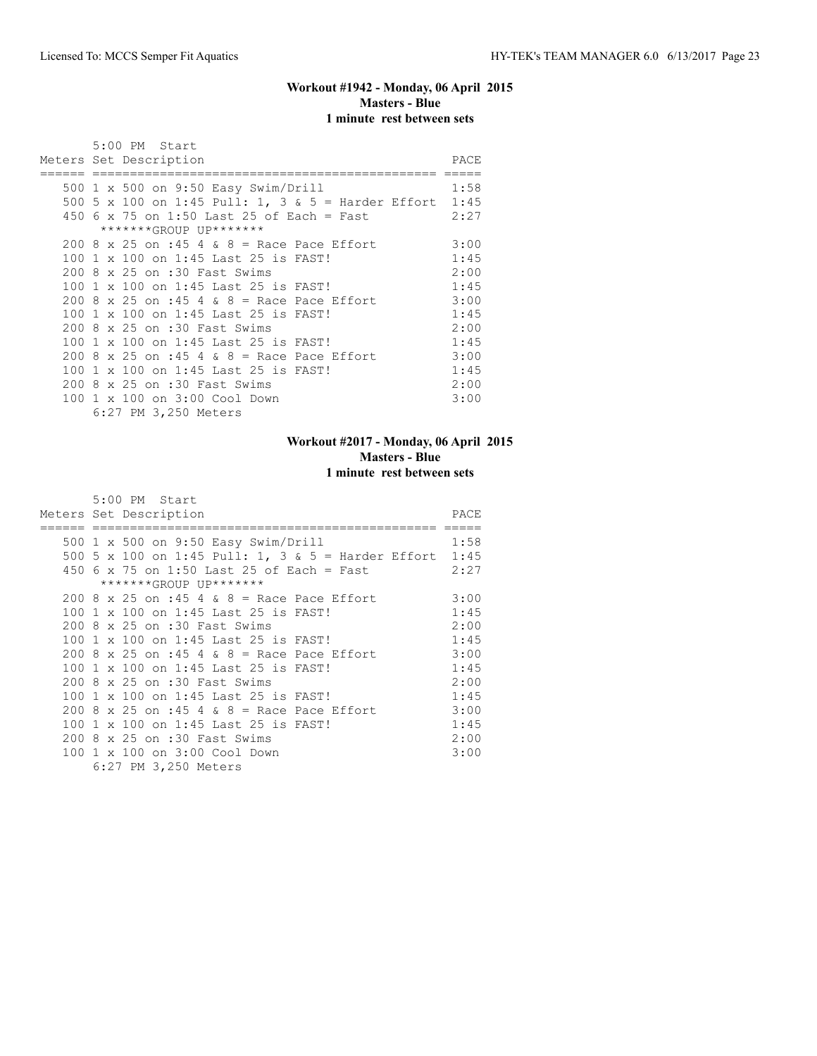## **Workout #1942 - Monday, 06 April 2015 Masters - Blue 1 minute rest between sets**

|  | 5:00 PM Start                                           |      |
|--|---------------------------------------------------------|------|
|  | Meters Set Description                                  | PACE |
|  |                                                         |      |
|  | 500 1 x 500 on 9:50 Easy Swim/Drill                     | 1:58 |
|  | 500 5 x 100 on 1:45 Pull: 1, 3 & 5 = Harder Effort 1:45 |      |
|  | 450 6 x 75 on 1:50 Last 25 of Each = Fast               | 2:27 |
|  | *******GROUP UP*******                                  |      |
|  | 200 8 x 25 on :45 4 & 8 = Race Pace Effort              | 3:00 |
|  | 100 1 x 100 on 1:45 Last 25 is FAST!                    | 1:45 |
|  | 200 8 x 25 on :30 Fast Swims                            | 2:00 |
|  | 100 1 x 100 on 1:45 Last 25 is FAST!                    | 1:45 |
|  | 200 8 x 25 on :45 4 & 8 = Race Pace Effort              | 3:00 |
|  | 100 1 x 100 on 1:45 Last 25 is FAST!                    | 1:45 |
|  | 200 8 x 25 on :30 Fast Swims                            | 2:00 |
|  | 100 1 x 100 on 1:45 Last 25 is FAST!                    | 1:45 |
|  | $200.8 \times 25$ on :45 4 & 8 = Race Pace Effort       | 3:00 |
|  | 100 1 x 100 on 1:45 Last 25 is FAST!                    | 1:45 |
|  | 200 8 x 25 on :30 Fast Swims                            | 2:00 |
|  | 100 1 x 100 on 3:00 Cool Down                           | 3:00 |
|  | 6:27 PM 3,250 Meters                                    |      |

# **Workout #2017 - Monday, 06 April 2015 Masters - Blue 1 minute rest between sets**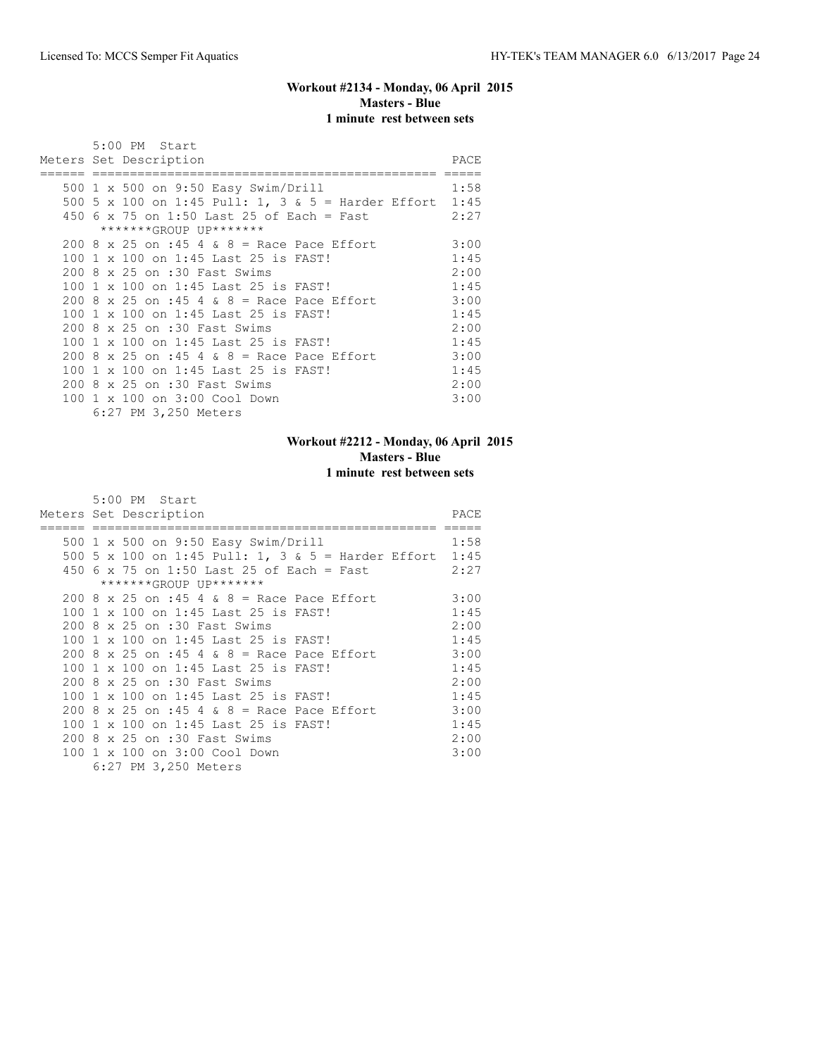## **Workout #2134 - Monday, 06 April 2015 Masters - Blue 1 minute rest between sets**

|  | 5:00 PM Start                                           |      |
|--|---------------------------------------------------------|------|
|  | Meters Set Description                                  | PACE |
|  |                                                         |      |
|  | 500 1 x 500 on 9:50 Easy Swim/Drill                     | 1:58 |
|  | 500 5 x 100 on 1:45 Pull: 1, 3 & 5 = Harder Effort 1:45 |      |
|  | 450 6 x 75 on 1:50 Last 25 of Each = Fast               | 2:27 |
|  | *******GROUP UP*******                                  |      |
|  | 200 8 x 25 on :45 4 & 8 = Race Pace Effort              | 3:00 |
|  | 100 1 x 100 on 1:45 Last 25 is FAST!                    | 1:45 |
|  | 200 8 x 25 on :30 Fast Swims                            | 2:00 |
|  | 100 1 x 100 on 1:45 Last 25 is FAST!                    | 1:45 |
|  | 200 8 x 25 on :45 4 & 8 = Race Pace Effort              | 3:00 |
|  | 100 1 x 100 on 1:45 Last 25 is FAST!                    | 1:45 |
|  | 200 8 x 25 on :30 Fast Swims                            | 2:00 |
|  | 100 1 x 100 on 1:45 Last 25 is FAST!                    | 1:45 |
|  | $200.8 \times 25$ on :45 4 & 8 = Race Pace Effort       | 3:00 |
|  | 100 1 x 100 on 1:45 Last 25 is FAST!                    | 1:45 |
|  | 200 8 x 25 on :30 Fast Swims                            | 2:00 |
|  | 100 1 x 100 on 3:00 Cool Down                           | 3:00 |
|  | 6:27 PM 3,250 Meters                                    |      |

## **Workout #2212 - Monday, 06 April 2015 Masters - Blue 1 minute rest between sets**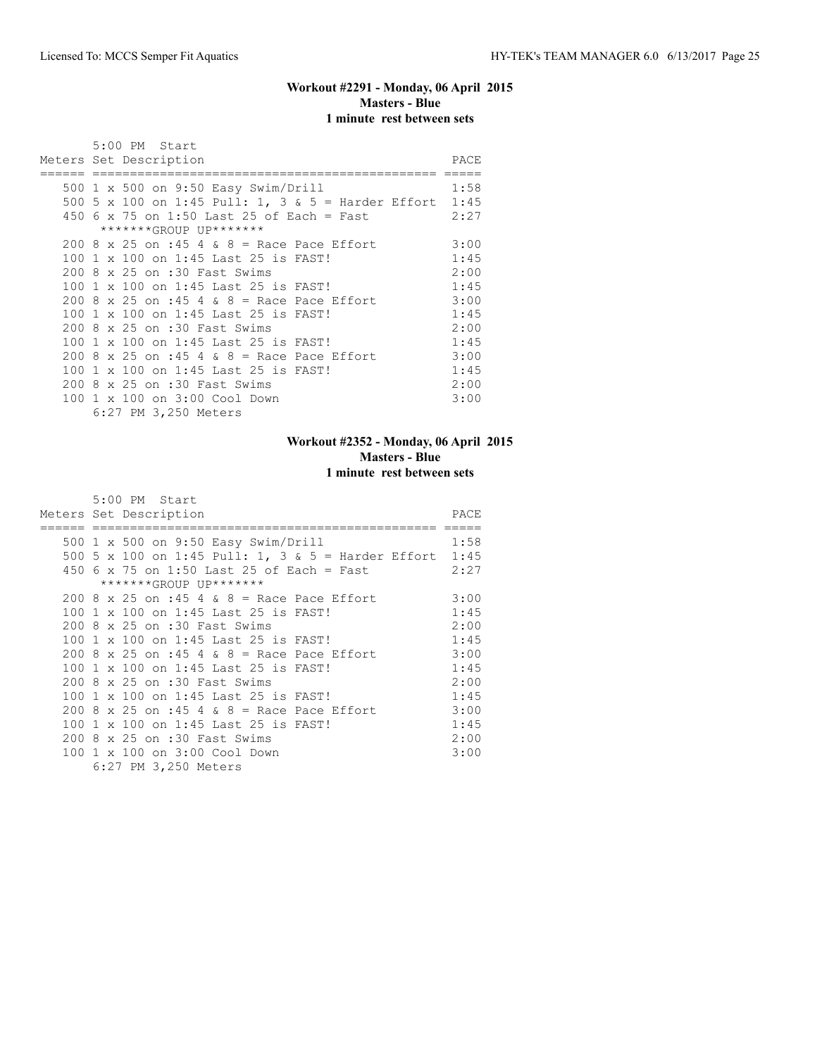## **Workout #2291 - Monday, 06 April 2015 Masters - Blue 1 minute rest between sets**

|  | 5:00 PM Start                                           |      |
|--|---------------------------------------------------------|------|
|  | Meters Set Description                                  | PACE |
|  |                                                         |      |
|  | 500 1 x 500 on 9:50 Easy Swim/Drill                     | 1:58 |
|  | 500 5 x 100 on 1:45 Pull: 1, 3 & 5 = Harder Effort 1:45 |      |
|  | 450 6 x 75 on 1:50 Last 25 of Each = Fast               | 2:27 |
|  | *******GROUP UP*******                                  |      |
|  | 200 8 x 25 on :45 4 & 8 = Race Pace Effort              | 3:00 |
|  | 100 1 x 100 on 1:45 Last 25 is FAST!                    | 1:45 |
|  | 200 8 x 25 on :30 Fast Swims                            | 2:00 |
|  | 100 1 x 100 on 1:45 Last 25 is FAST!                    | 1:45 |
|  | 200 8 x 25 on :45 4 & 8 = Race Pace Effort              | 3:00 |
|  | 100 1 x 100 on 1:45 Last 25 is FAST!                    | 1:45 |
|  | 200 8 x 25 on :30 Fast Swims                            | 2:00 |
|  | 100 1 x 100 on 1:45 Last 25 is FAST!                    | 1:45 |
|  | $200.8 \times 25$ on :45 4 & 8 = Race Pace Effort       | 3:00 |
|  | 100 1 x 100 on 1:45 Last 25 is FAST!                    | 1:45 |
|  | 200 8 x 25 on :30 Fast Swims                            | 2:00 |
|  | 100 1 x 100 on 3:00 Cool Down                           | 3:00 |
|  | 6:27 PM 3,250 Meters                                    |      |

## **Workout #2352 - Monday, 06 April 2015 Masters - Blue 1 minute rest between sets**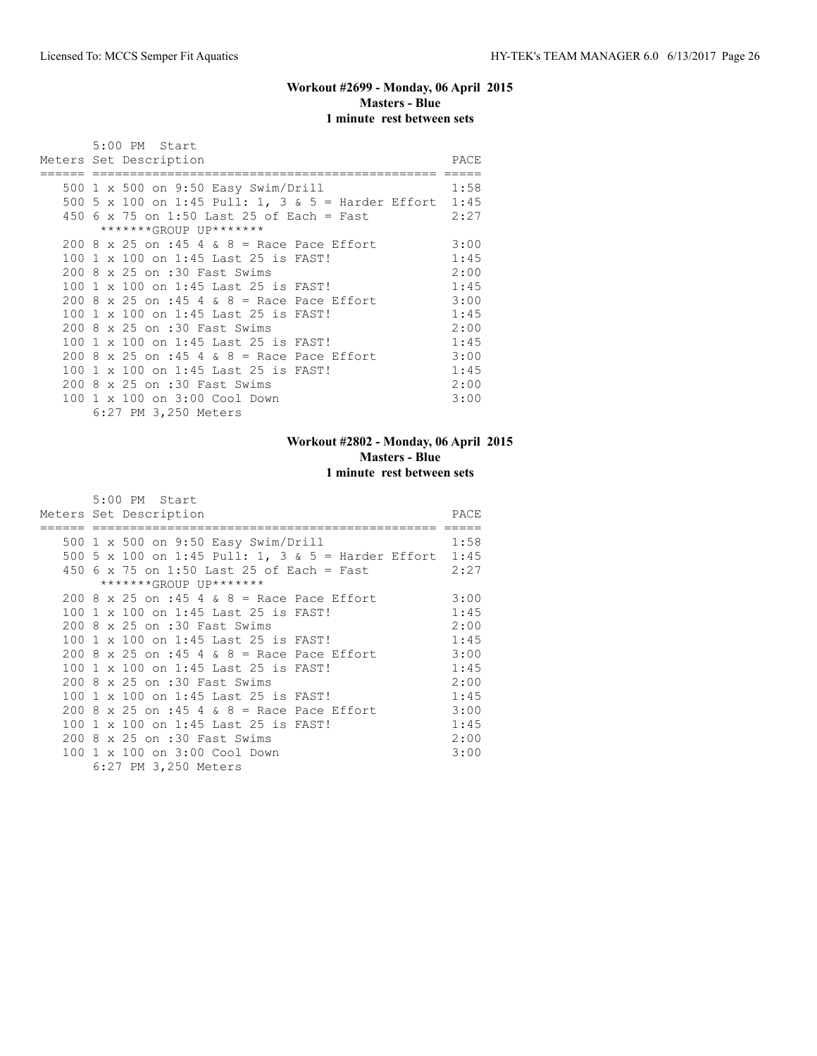## **Workout #2699 - Monday, 06 April 2015 Masters - Blue 1 minute rest between sets**

|  | 5:00 PM Start                                           |      |
|--|---------------------------------------------------------|------|
|  | Meters Set Description                                  | PACE |
|  |                                                         |      |
|  | 500 1 x 500 on 9:50 Easy Swim/Drill                     | 1:58 |
|  | 500 5 x 100 on 1:45 Pull: 1, 3 & 5 = Harder Effort 1:45 |      |
|  | 450 6 x 75 on 1:50 Last 25 of Each = Fast               | 2:27 |
|  | *******GROUP UP*******                                  |      |
|  | 200 8 x 25 on :45 4 & 8 = Race Pace Effort              | 3:00 |
|  | 100 1 x 100 on 1:45 Last 25 is FAST!                    | 1:45 |
|  | 200 8 x 25 on :30 Fast Swims                            | 2:00 |
|  | 100 1 x 100 on 1:45 Last 25 is FAST!                    | 1:45 |
|  | 200 8 x 25 on :45 4 & 8 = Race Pace Effort              | 3:00 |
|  | 100 1 x 100 on 1:45 Last 25 is FAST!                    | 1:45 |
|  | 200 8 x 25 on :30 Fast Swims                            | 2:00 |
|  | 100 1 x 100 on 1:45 Last 25 is FAST!                    | 1:45 |
|  | $200.8 \times 25$ on :45 4 & 8 = Race Pace Effort       | 3:00 |
|  | 100 1 x 100 on 1:45 Last 25 is FAST!                    | 1:45 |
|  | 200 8 x 25 on :30 Fast Swims                            | 2:00 |
|  | 100 1 x 100 on 3:00 Cool Down                           | 3:00 |
|  | 6:27 PM 3,250 Meters                                    |      |

## **Workout #2802 - Monday, 06 April 2015 Masters - Blue 1 minute rest between sets**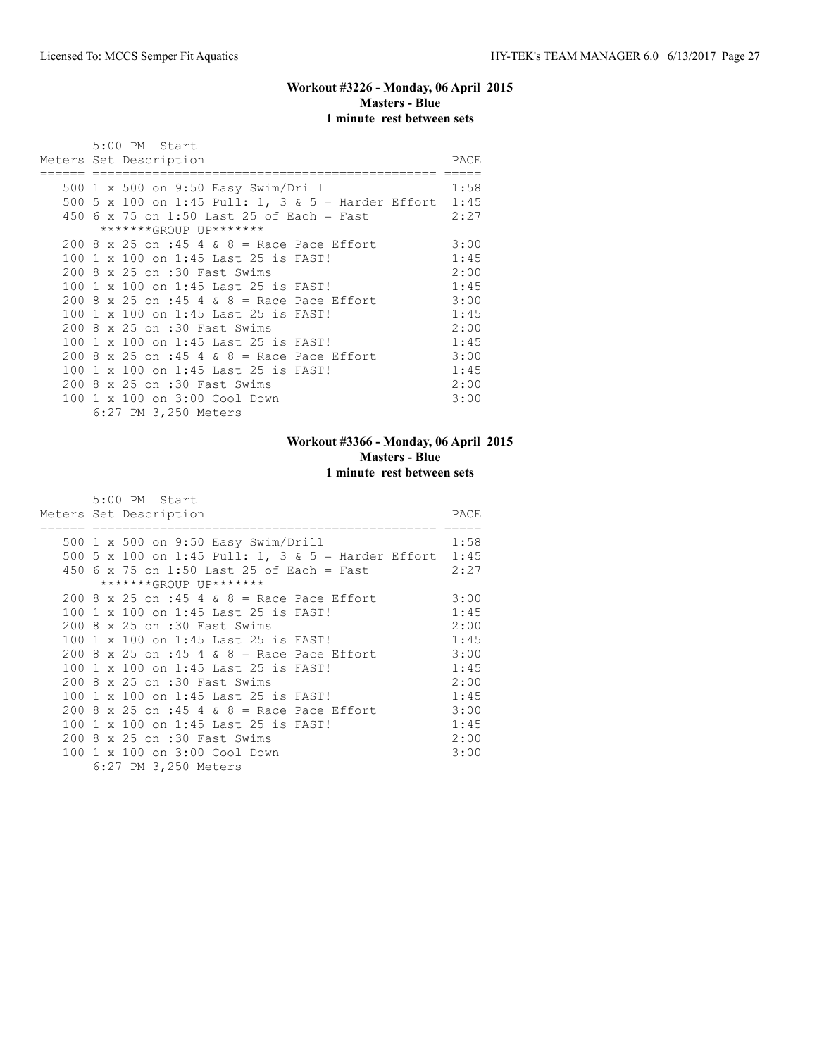## **Workout #3226 - Monday, 06 April 2015 Masters - Blue 1 minute rest between sets**

|  | 5:00 PM Start                                           |      |
|--|---------------------------------------------------------|------|
|  | Meters Set Description                                  | PACE |
|  |                                                         |      |
|  | 500 1 x 500 on 9:50 Easy Swim/Drill                     | 1:58 |
|  | 500 5 x 100 on 1:45 Pull: 1, 3 & 5 = Harder Effort 1:45 |      |
|  | 450 6 x 75 on 1:50 Last 25 of Each = Fast               | 2:27 |
|  | *******GROUP UP*******                                  |      |
|  | 200 8 x 25 on :45 4 & 8 = Race Pace Effort              | 3:00 |
|  | 100 1 x 100 on 1:45 Last 25 is FAST!                    | 1:45 |
|  | 200 8 x 25 on :30 Fast Swims                            | 2:00 |
|  | 100 1 x 100 on 1:45 Last 25 is FAST!                    | 1:45 |
|  | 200 8 x 25 on :45 4 & 8 = Race Pace Effort              | 3:00 |
|  | 100 1 x 100 on 1:45 Last 25 is FAST!                    | 1:45 |
|  | 200 8 x 25 on :30 Fast Swims                            | 2:00 |
|  | 100 1 x 100 on 1:45 Last 25 is FAST!                    | 1:45 |
|  | $200.8 \times 25$ on :45 4 & 8 = Race Pace Effort       | 3:00 |
|  | 100 1 x 100 on 1:45 Last 25 is FAST!                    | 1:45 |
|  | 200 8 x 25 on :30 Fast Swims                            | 2:00 |
|  | 100 1 x 100 on 3:00 Cool Down                           | 3:00 |
|  | 6:27 PM 3,250 Meters                                    |      |

## **Workout #3366 - Monday, 06 April 2015 Masters - Blue 1 minute rest between sets**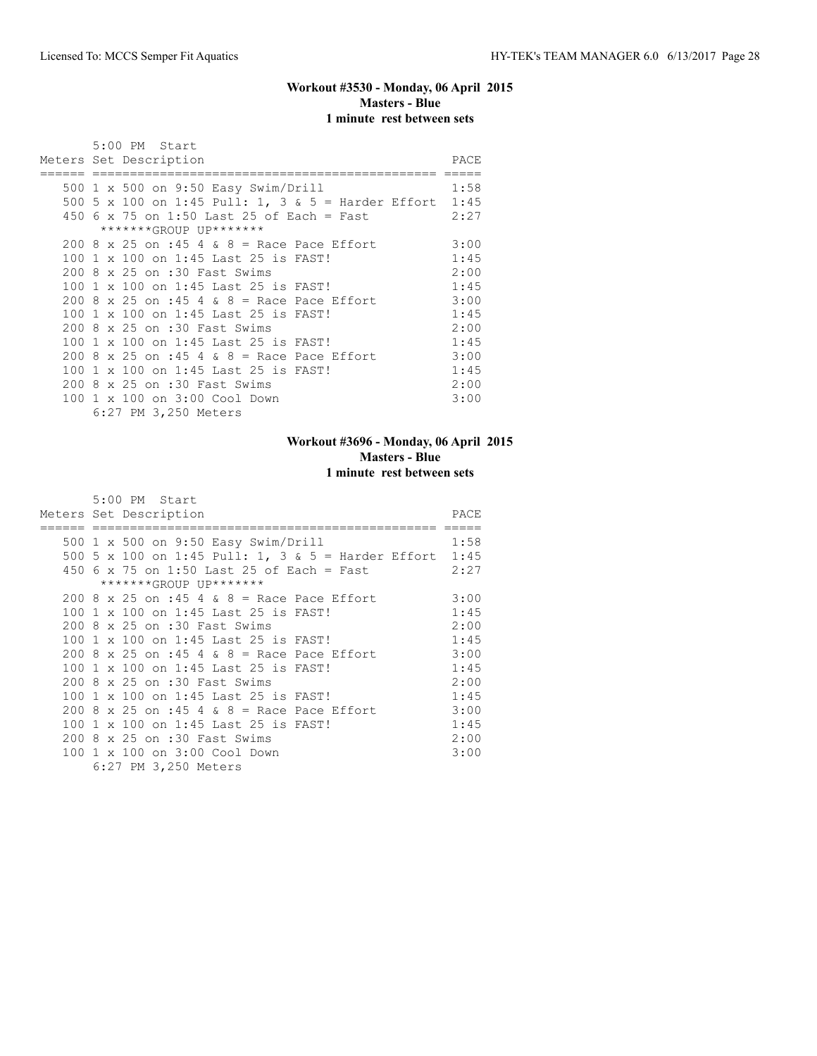## **Workout #3530 - Monday, 06 April 2015 Masters - Blue 1 minute rest between sets**

|  | 5:00 PM Start                                           |      |
|--|---------------------------------------------------------|------|
|  | Meters Set Description                                  | PACE |
|  |                                                         |      |
|  | 500 1 x 500 on 9:50 Easy Swim/Drill                     | 1:58 |
|  | 500 5 x 100 on 1:45 Pull: 1, 3 & 5 = Harder Effort 1:45 |      |
|  | 450 6 x 75 on 1:50 Last 25 of Each = Fast               | 2:27 |
|  | *******GROUP UP*******                                  |      |
|  | 200 8 x 25 on :45 4 & 8 = Race Pace Effort              | 3:00 |
|  | 100 1 x 100 on 1:45 Last 25 is FAST!                    | 1:45 |
|  | 200 8 x 25 on :30 Fast Swims                            | 2:00 |
|  | 100 1 x 100 on 1:45 Last 25 is FAST!                    | 1:45 |
|  | 200 8 x 25 on :45 4 & 8 = Race Pace Effort              | 3:00 |
|  | 100 1 x 100 on 1:45 Last 25 is FAST!                    | 1:45 |
|  | 200 8 x 25 on :30 Fast Swims                            | 2:00 |
|  | 100 1 x 100 on 1:45 Last 25 is FAST!                    | 1:45 |
|  | $200.8 \times 25$ on :45 4 & 8 = Race Pace Effort       | 3:00 |
|  | 100 1 x 100 on 1:45 Last 25 is FAST!                    | 1:45 |
|  | 200 8 x 25 on :30 Fast Swims                            | 2:00 |
|  | 100 1 x 100 on 3:00 Cool Down                           | 3:00 |
|  | 6:27 PM 3,250 Meters                                    |      |

# **Workout #3696 - Monday, 06 April 2015 Masters - Blue 1 minute rest between sets**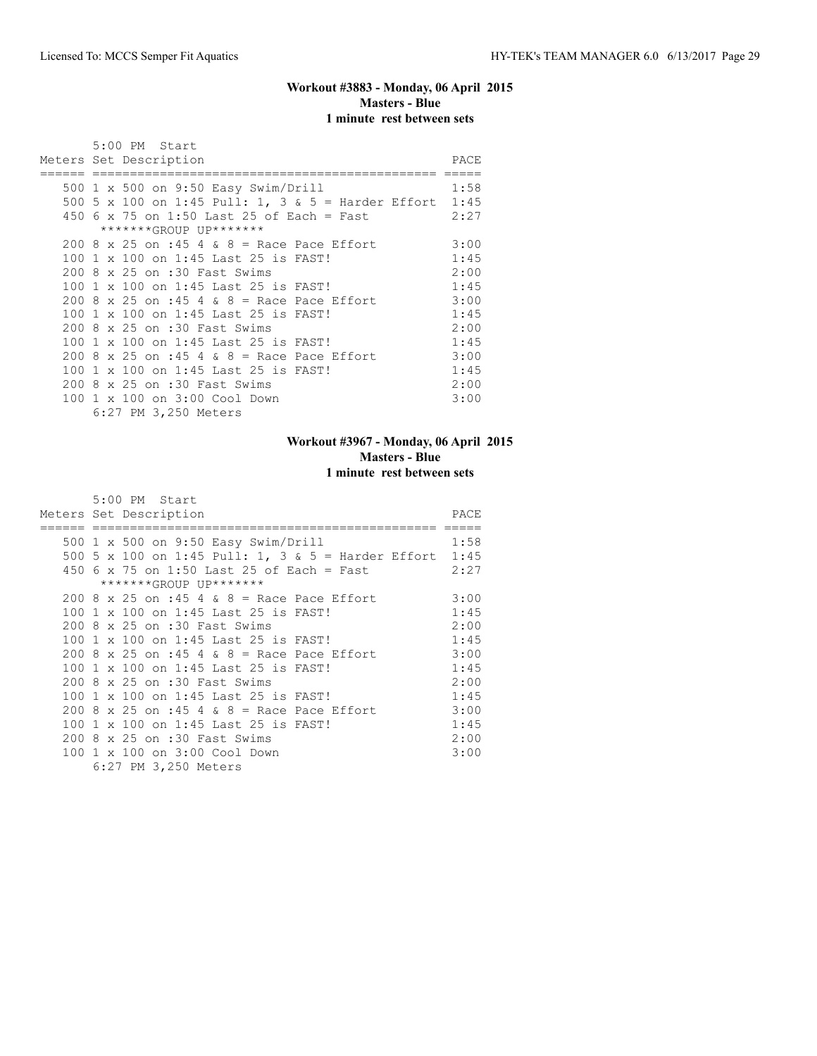## **Workout #3883 - Monday, 06 April 2015 Masters - Blue 1 minute rest between sets**

|  | 5:00 PM Start                                           |      |
|--|---------------------------------------------------------|------|
|  | Meters Set Description                                  | PACE |
|  |                                                         |      |
|  | 500 1 x 500 on 9:50 Easy Swim/Drill                     | 1:58 |
|  | 500 5 x 100 on 1:45 Pull: 1, 3 & 5 = Harder Effort 1:45 |      |
|  | 450 6 x 75 on 1:50 Last 25 of Each = Fast               | 2:27 |
|  | *******GROUP UP*******                                  |      |
|  | 200 8 x 25 on :45 4 & 8 = Race Pace Effort              | 3:00 |
|  | 100 1 x 100 on 1:45 Last 25 is FAST!                    | 1:45 |
|  | 200 8 x 25 on :30 Fast Swims                            | 2:00 |
|  | 100 1 x 100 on 1:45 Last 25 is FAST!                    | 1:45 |
|  | 200 8 x 25 on :45 4 & 8 = Race Pace Effort              | 3:00 |
|  | 100 1 x 100 on 1:45 Last 25 is FAST!                    | 1:45 |
|  | 200 8 x 25 on :30 Fast Swims                            | 2:00 |
|  | 100 1 x 100 on 1:45 Last 25 is FAST!                    | 1:45 |
|  | 200 8 x 25 on :45 4 & 8 = Race Pace Effort              | 3:00 |
|  | 100 1 x 100 on 1:45 Last 25 is FAST!                    | 1:45 |
|  | 200 8 x 25 on :30 Fast Swims                            | 2:00 |
|  | 100 1 x 100 on 3:00 Cool Down                           | 3:00 |
|  | 6:27 PM 3,250 Meters                                    |      |

# **Workout #3967 - Monday, 06 April 2015 Masters - Blue 1 minute rest between sets**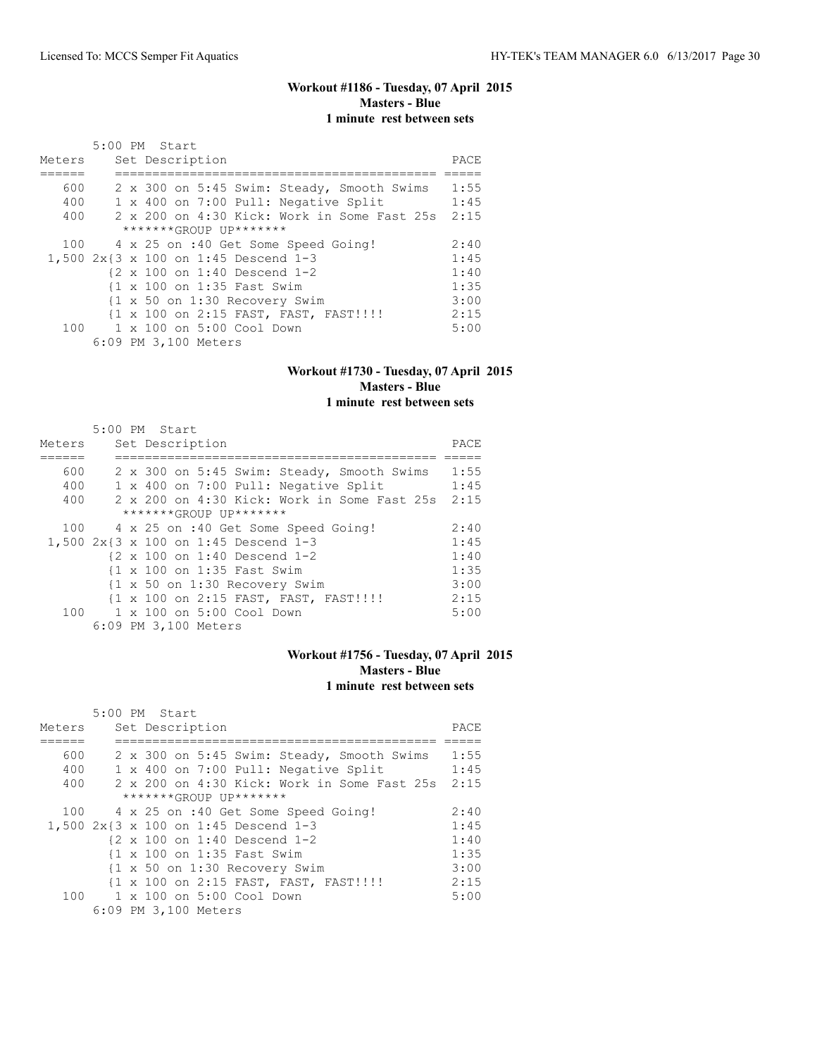#### **Workout #1186 - Tuesday, 07 April 2015 Masters - Blue 1 minute rest between sets**

|        | 5:00 PM Start                               |      |
|--------|---------------------------------------------|------|
| Meters | Set Description                             | PACE |
|        |                                             |      |
| 600    | 2 x 300 on 5:45 Swim: Steady, Smooth Swims  | 1:55 |
| 400    | 1 x 400 on 7:00 Pull: Negative Split        | 1:45 |
| 400    | 2 x 200 on 4:30 Kick: Work in Some Fast 25s | 2:15 |
|        | *******GROUP UP*******                      |      |
|        | 100 4 x 25 on :40 Get Some Speed Going!     | 2:40 |
|        | 1,500 2x{3 x 100 on 1:45 Descend 1-3        | 1:45 |
|        | {2 x 100 on 1:40 Descend 1-2                | 1:40 |
|        | {1 x 100 on 1:35 Fast Swim                  | 1:35 |
|        | {1 x 50 on 1:30 Recovery Swim               | 3:00 |
|        | {1 x 100 on 2:15 FAST, FAST, FAST!!!!       | 2:15 |
|        | 100 1 x 100 on 5:00 Cool Down               | 5:00 |
|        | 6:09 PM 3,100 Meters                        |      |

#### **Workout #1730 - Tuesday, 07 April 2015 Masters - Blue 1 minute rest between sets**

| Meters | $5:00$ PM Start |  |  |  | Set Description      |                                      |                                                                  |  |  | PACE |  |
|--------|-----------------|--|--|--|----------------------|--------------------------------------|------------------------------------------------------------------|--|--|------|--|
|        |                 |  |  |  |                      |                                      |                                                                  |  |  |      |  |
| 600    |                 |  |  |  |                      |                                      | 2 x 300 on 5:45 Swim: Steady, Smooth Swims                       |  |  | 1:55 |  |
| 400    |                 |  |  |  |                      |                                      | 1 x 400 on 7:00 Pull: Negative Split                             |  |  | 1:45 |  |
| 400    |                 |  |  |  |                      |                                      | 2 x 200 on 4:30 Kick: Work in Some Fast 25s                      |  |  | 2:15 |  |
|        |                 |  |  |  |                      | *******GROUP UP*******               |                                                                  |  |  |      |  |
| 100    |                 |  |  |  |                      |                                      | 4 x 25 on :40 Get Some Speed Going!                              |  |  | 2:40 |  |
|        |                 |  |  |  |                      | 1,500 2x{3 x 100 on 1:45 Descend 1-3 |                                                                  |  |  | 1:45 |  |
|        |                 |  |  |  |                      |                                      | $\{2 \times 100 \text{ on } 1:40 \text{ Descend } 1-2$           |  |  | 1:40 |  |
|        |                 |  |  |  |                      | {1 x 100 on 1:35 Fast Swim           |                                                                  |  |  | 1:35 |  |
|        |                 |  |  |  |                      |                                      | $\{1 \times 50 \text{ on } 1:30 \text{ Recovery } \text{Swim}\}$ |  |  | 3:00 |  |
|        |                 |  |  |  |                      |                                      | {1 x 100 on 2:15 FAST, FAST, FAST!!!!                            |  |  | 2:15 |  |
| 100    |                 |  |  |  |                      | 1 x 100 on 5:00 Cool Down            |                                                                  |  |  | 5:00 |  |
|        |                 |  |  |  | 6:09 PM 3,100 Meters |                                      |                                                                  |  |  |      |  |

#### **Workout #1756 - Tuesday, 07 April 2015 Masters - Blue 1 minute rest between sets**

|        | 5:00 PM Start          |  |  |  |                      |                                                        |                                             |  |  |      |
|--------|------------------------|--|--|--|----------------------|--------------------------------------------------------|---------------------------------------------|--|--|------|
| Meters |                        |  |  |  | Set Description      |                                                        |                                             |  |  | PACE |
|        |                        |  |  |  |                      |                                                        |                                             |  |  |      |
| 600    |                        |  |  |  |                      |                                                        | 2 x 300 on 5:45 Swim: Steady, Smooth Swims  |  |  | 1:55 |
| 400    |                        |  |  |  |                      |                                                        | 1 x 400 on 7:00 Pull: Negative Split        |  |  | 1:45 |
| 400    |                        |  |  |  |                      |                                                        | 2 x 200 on 4:30 Kick: Work in Some Fast 25s |  |  | 2:15 |
|        | *******GROUP UP******* |  |  |  |                      |                                                        |                                             |  |  |      |
| 100    |                        |  |  |  |                      |                                                        | 4 x 25 on :40 Get Some Speed Going!         |  |  | 2:40 |
|        |                        |  |  |  |                      | 1,500 2x{3 x 100 on 1:45 Descend 1-3                   |                                             |  |  | 1:45 |
|        |                        |  |  |  |                      | $\{2 \times 100 \text{ on } 1:40 \text{ Descend } 1-2$ |                                             |  |  | 1:40 |
|        |                        |  |  |  |                      | {1 x 100 on 1:35 Fast Swim                             |                                             |  |  | 1:35 |
|        |                        |  |  |  |                      |                                                        | {1 x 50 on 1:30 Recovery Swim               |  |  | 3:00 |
|        |                        |  |  |  |                      |                                                        | {1 x 100 on 2:15 FAST, FAST, FAST!!!!       |  |  | 2:15 |
|        |                        |  |  |  |                      | 100 1 x 100 on 5:00 Cool Down                          |                                             |  |  | 5:00 |
|        |                        |  |  |  | 6:09 PM 3,100 Meters |                                                        |                                             |  |  |      |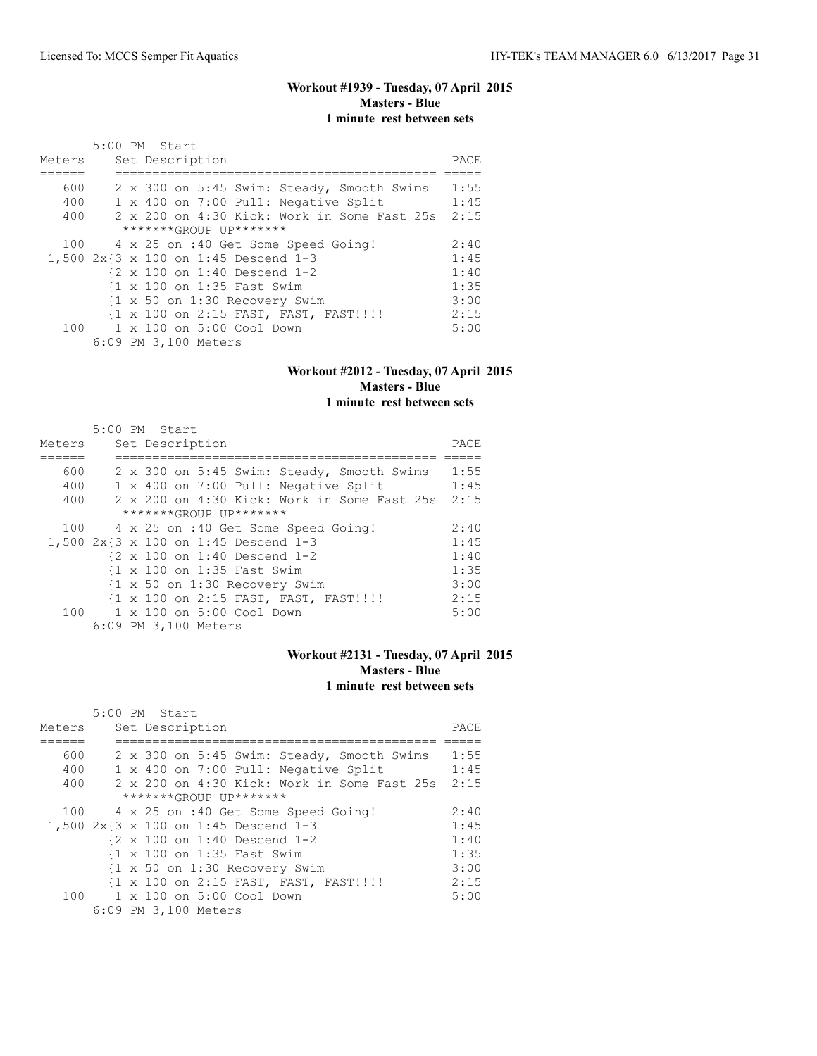# **Workout #1939 - Tuesday, 07 April 2015 Masters - Blue 1 minute rest between sets**

|        | 5:00 PM Start                                                    |      |
|--------|------------------------------------------------------------------|------|
| Meters | Set Description                                                  | PACE |
|        |                                                                  |      |
| 600    | 2 x 300 on 5:45 Swim: Steady, Smooth Swims                       | 1:55 |
| 400    | 1 x 400 on 7:00 Pull: Negative Split                             | 1:45 |
| 400    | 2 x 200 on 4:30 Kick: Work in Some Fast 25s                      | 2:15 |
|        | *******GROUP UP*******                                           |      |
|        | 100 4 x 25 on :40 Get Some Speed Going!                          | 2:40 |
|        | 1,500 2x{3 x 100 on 1:45 Descend 1-3                             | 1:45 |
|        | {2 x 100 on 1:40 Descend 1-2                                     | 1:40 |
|        | {1 x 100 on 1:35 Fast Swim                                       | 1:35 |
|        | $\{1 \times 50 \text{ on } 1:30 \text{ Recovery } \text{Swim}\}$ | 3:00 |
|        | {1 x 100 on 2:15 FAST, FAST, FAST!!!!                            | 2:15 |
|        | 100 1 x 100 on 5:00 Cool Down                                    | 5:00 |
|        | 6:09 PM 3,100 Meters                                             |      |

#### **Workout #2012 - Tuesday, 07 April 2015 Masters - Blue 1 minute rest between sets**

|        | 5:00 PM Start                                          |      |
|--------|--------------------------------------------------------|------|
| Meters | Set Description                                        | PACE |
|        |                                                        |      |
| 600    | 2 x 300 on 5:45 Swim: Steady, Smooth Swims             | 1:55 |
| 400    | 1 x 400 on 7:00 Pull: Negative Split                   | 1:45 |
| 400    | 2 x 200 on 4:30 Kick: Work in Some Fast 25s            | 2:15 |
|        | $******GROUP$ $IP*******$                              |      |
|        | 100 4 x 25 on :40 Get Some Speed Going!                | 2:40 |
|        | 1,500 2x{3 x 100 on 1:45 Descend 1-3                   | 1:45 |
|        | $\{2 \times 100 \text{ on } 1:40 \text{ Descend } 1-2$ | 1:40 |
|        | {1 x 100 on 1:35 Fast Swim                             | 1:35 |
|        | {1 x 50 on 1:30 Recovery Swim                          | 3:00 |
|        | {1 x 100 on 2:15 FAST, FAST, FAST!!!!!                 | 2:15 |
|        | 100 1 x 100 on 5:00 Cool Down                          | 5:00 |
|        | 6:09 PM 3,100 Meters                                   |      |

#### **Workout #2131 - Tuesday, 07 April 2015 Masters - Blue 1 minute rest between sets**

|                           | 5:00 PM Start |  |  |  |                      |                                                        |                                       |                                             |  |      |
|---------------------------|---------------|--|--|--|----------------------|--------------------------------------------------------|---------------------------------------|---------------------------------------------|--|------|
| Meters                    |               |  |  |  | Set Description      |                                                        |                                       |                                             |  | PACE |
|                           |               |  |  |  |                      |                                                        |                                       |                                             |  |      |
| 600                       |               |  |  |  |                      |                                                        |                                       | 2 x 300 on 5:45 Swim: Steady, Smooth Swims  |  | 1:55 |
| 400                       |               |  |  |  |                      |                                                        | 1 x 400 on 7:00 Pull: Negative Split  |                                             |  | 1:45 |
| 400                       |               |  |  |  |                      |                                                        |                                       | 2 x 200 on 4:30 Kick: Work in Some Fast 25s |  | 2:15 |
| $******GROUP$ $IP*******$ |               |  |  |  |                      |                                                        |                                       |                                             |  |      |
| 100                       |               |  |  |  |                      |                                                        | 4 x 25 on :40 Get Some Speed Going!   |                                             |  | 2:40 |
|                           |               |  |  |  |                      | 1,500 2x{3 x 100 on 1:45 Descend 1-3                   |                                       |                                             |  | 1:45 |
|                           |               |  |  |  |                      | $\{2 \times 100 \text{ on } 1:40 \text{ Descend } 1-2$ |                                       |                                             |  | 1:40 |
|                           |               |  |  |  |                      | {1 x 100 on 1:35 Fast Swim                             |                                       |                                             |  | 1:35 |
|                           |               |  |  |  |                      |                                                        | {1 x 50 on 1:30 Recovery Swim         |                                             |  | 3:00 |
|                           |               |  |  |  |                      |                                                        | {1 x 100 on 2:15 FAST, FAST, FAST!!!! |                                             |  | 2:15 |
|                           |               |  |  |  |                      | 100 1 x 100 on 5:00 Cool Down                          |                                       |                                             |  | 5:00 |
|                           |               |  |  |  | 6:09 PM 3,100 Meters |                                                        |                                       |                                             |  |      |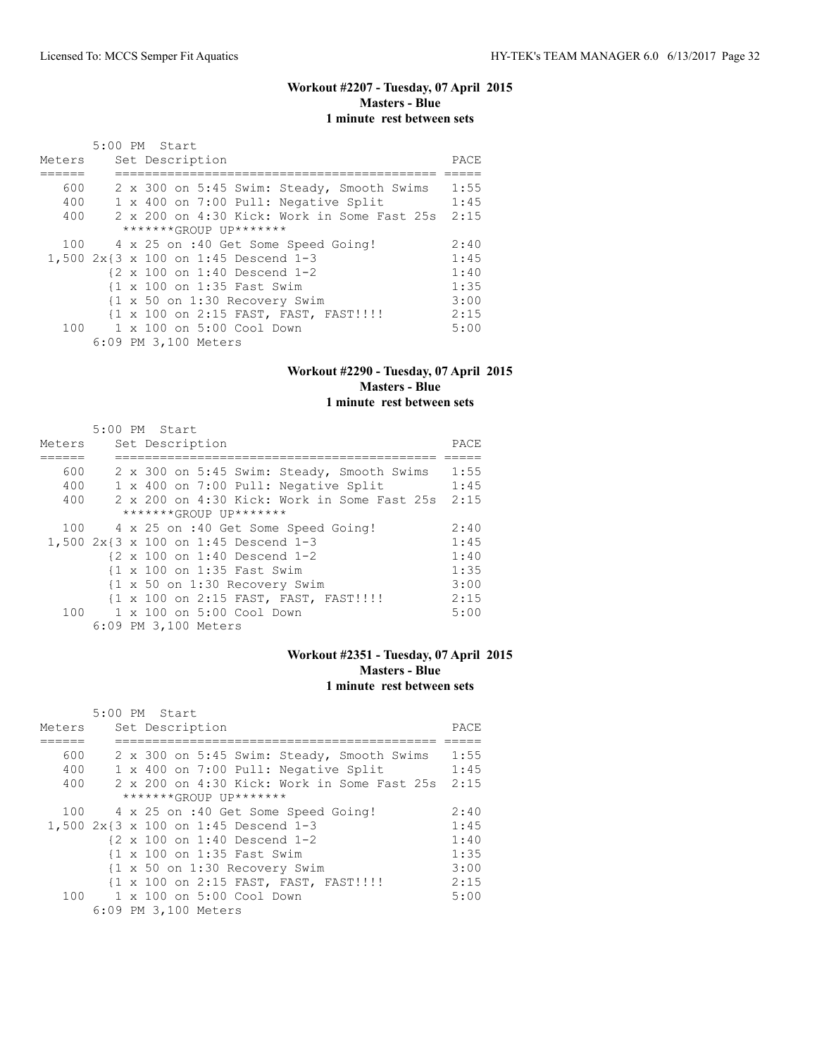# **Workout #2207 - Tuesday, 07 April 2015 Masters - Blue 1 minute rest between sets**

|        | 5:00 PM Start                               |      |
|--------|---------------------------------------------|------|
| Meters | Set Description                             | PACE |
|        |                                             |      |
| 600    | 2 x 300 on 5:45 Swim: Steady, Smooth Swims  | 1:55 |
| 400    | 1 x 400 on 7:00 Pull: Negative Split        | 1:45 |
| 400    | 2 x 200 on 4:30 Kick: Work in Some Fast 25s | 2:15 |
|        | *******GROUP UP*******                      |      |
|        | 100 4 x 25 on :40 Get Some Speed Going!     | 2:40 |
|        | 1,500 2x{3 x 100 on 1:45 Descend 1-3        | 1:45 |
|        | {2 x 100 on 1:40 Descend 1-2                | 1:40 |
|        | {1 x 100 on 1:35 Fast Swim                  | 1:35 |
|        | {1 x 50 on 1:30 Recovery Swim               | 3:00 |
|        | {1 x 100 on 2:15 FAST, FAST, FAST!!!!       | 2:15 |
|        | 100 1 x 100 on 5:00 Cool Down               | 5:00 |
|        | 6:09 PM 3,100 Meters                        |      |

#### **Workout #2290 - Tuesday, 07 April 2015 Masters - Blue 1 minute rest between sets**

|        | 5:00 PM Start |  |                      |                                                        |                                             |  |      |
|--------|---------------|--|----------------------|--------------------------------------------------------|---------------------------------------------|--|------|
| Meters |               |  | Set Description      |                                                        |                                             |  | PACE |
|        |               |  |                      |                                                        |                                             |  |      |
| 600    |               |  |                      |                                                        | 2 x 300 on 5:45 Swim: Steady, Smooth Swims  |  | 1:55 |
| 400    |               |  |                      |                                                        | 1 x 400 on 7:00 Pull: Negative Split        |  | 1:45 |
| 400    |               |  |                      |                                                        | 2 x 200 on 4:30 Kick: Work in Some Fast 25s |  | 2:15 |
|        |               |  |                      | *******GROUP UP*******                                 |                                             |  |      |
| 100    |               |  |                      |                                                        | 4 x 25 on :40 Get Some Speed Going!         |  | 2:40 |
|        |               |  |                      | 1,500 2x{3 x 100 on 1:45 Descend 1-3                   |                                             |  | 1:45 |
|        |               |  |                      | $\{2 \times 100 \text{ on } 1:40 \text{ Descend } 1-2$ |                                             |  | 1:40 |
|        |               |  |                      | {1 x 100 on 1:35 Fast Swim                             |                                             |  | 1:35 |
|        |               |  |                      |                                                        | {1 x 50 on 1:30 Recovery Swim               |  | 3:00 |
|        |               |  |                      |                                                        | {1 x 100 on 2:15 FAST, FAST, FAST!!!!       |  | 2:15 |
|        |               |  |                      | 100 1 x 100 on 5:00 Cool Down                          |                                             |  | 5:00 |
|        |               |  | 6:09 PM 3,100 Meters |                                                        |                                             |  |      |

## **Workout #2351 - Tuesday, 07 April 2015 Masters - Blue 1 minute rest between sets**

|        | 5:00 PM Start             |  |  |  |                      |                                                        |                                             |  |  |      |  |
|--------|---------------------------|--|--|--|----------------------|--------------------------------------------------------|---------------------------------------------|--|--|------|--|
| Meters |                           |  |  |  | Set Description      |                                                        |                                             |  |  | PACE |  |
|        |                           |  |  |  |                      |                                                        |                                             |  |  |      |  |
| 600    |                           |  |  |  |                      |                                                        | 2 x 300 on 5:45 Swim: Steady, Smooth Swims  |  |  | 1:55 |  |
| 400    |                           |  |  |  |                      |                                                        | 1 x 400 on 7:00 Pull: Negative Split        |  |  | 1:45 |  |
| 400    |                           |  |  |  |                      |                                                        | 2 x 200 on 4:30 Kick: Work in Some Fast 25s |  |  | 2:15 |  |
|        | $******GROIJP IJP*******$ |  |  |  |                      |                                                        |                                             |  |  |      |  |
| 100    |                           |  |  |  |                      |                                                        | 4 x 25 on :40 Get Some Speed Going!         |  |  | 2:40 |  |
|        |                           |  |  |  |                      | 1,500 2x{3 x 100 on 1:45 Descend 1-3                   |                                             |  |  | 1:45 |  |
|        |                           |  |  |  |                      | $\{2 \times 100 \text{ on } 1:40 \text{ Descend } 1-2$ |                                             |  |  | 1:40 |  |
|        |                           |  |  |  |                      | {1 x 100 on 1:35 Fast Swim                             |                                             |  |  | 1:35 |  |
|        |                           |  |  |  |                      |                                                        | {1 x 50 on 1:30 Recovery Swim               |  |  | 3:00 |  |
|        |                           |  |  |  |                      |                                                        | {1 x 100 on 2:15 FAST, FAST, FAST!!!!       |  |  | 2:15 |  |
| 100    |                           |  |  |  |                      | 1 x 100 on 5:00 Cool Down                              |                                             |  |  | 5:00 |  |
|        |                           |  |  |  | 6:09 PM 3,100 Meters |                                                        |                                             |  |  |      |  |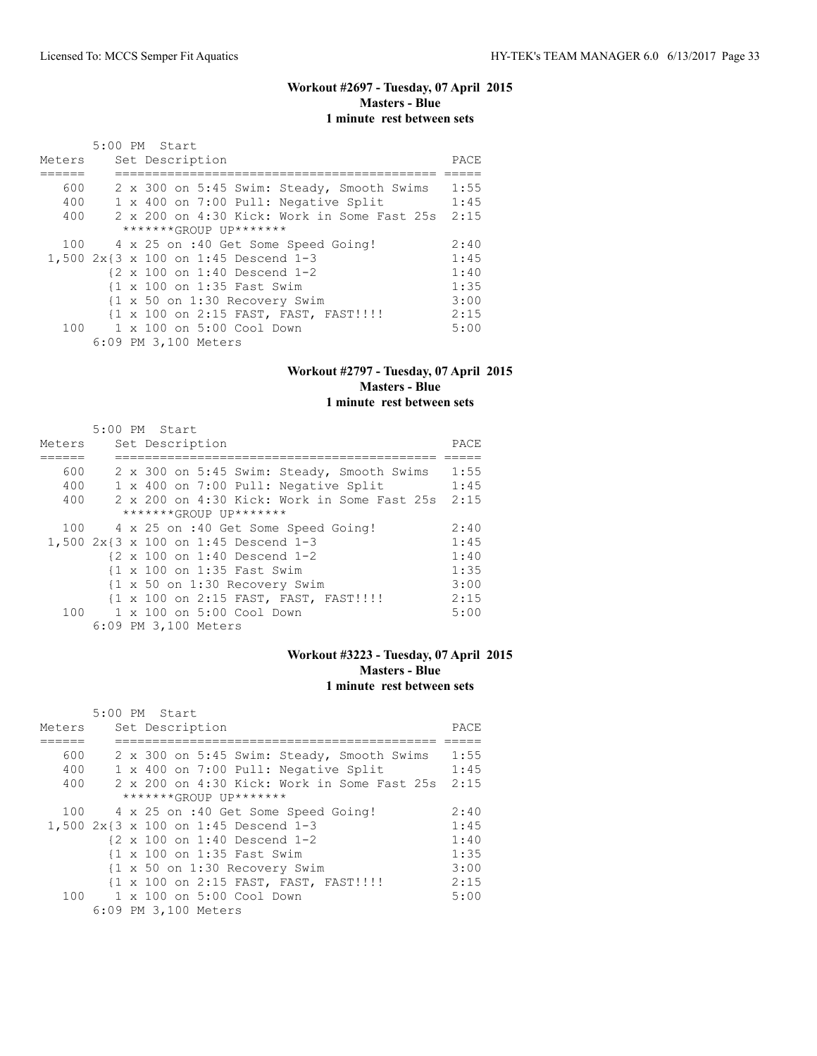## **Workout #2697 - Tuesday, 07 April 2015 Masters - Blue 1 minute rest between sets**

|        | 5:00 PM Start                                        |      |
|--------|------------------------------------------------------|------|
| Meters | Set Description                                      | PACE |
|        |                                                      |      |
| 600    | 2 x 300 on 5:45 Swim: Steady, Smooth Swims           | 1:55 |
| 400    | 1 x 400 on 7:00 Pull: Negative Split                 | 1:45 |
| 400    | $2 \times 200$ on $4:30$ Kick: Work in Some Fast 25s | 2:15 |
|        | *******GROUP UP*******                               |      |
|        | 100 4 x 25 on :40 Get Some Speed Going!              | 2:40 |
|        | 1,500 2x{3 x 100 on 1:45 Descend 1-3                 | 1:45 |
|        | {2 x 100 on 1:40 Descend 1-2                         | 1:40 |
|        | {1 x 100 on 1:35 Fast Swim                           | 1:35 |
|        | {1 x 50 on 1:30 Recovery Swim                        | 3:00 |
|        | {1 x 100 on 2:15 FAST, FAST, FAST!!!!                | 2:15 |
|        | 100    1 x 100    an 5:00    Cool    Down            | 5:00 |
|        | 6:09 PM 3,100 Meters                                 |      |

#### **Workout #2797 - Tuesday, 07 April 2015 Masters - Blue 1 minute rest between sets**

#### 5:00 PM Start Meters Set Description PACE ====== =========================================== ===== 600 2 x 300 on 5:45 Swim: Steady, Smooth Swims 1:55 400 1 x 400 on 7:00 Pull: Negative Split 1:45 400 2 x 200 on 4:30 Kick: Work in Some Fast 25s 2:15 \*\*\*\*\*\*\*GROUP UP\*\*\*\*\*\*\* 100 4 x 25 on :40 Get Some Speed Going! 2:40 1,500 2x{3 x 100 on 1:45 Descend 1-3 1:45 {2 x 100 on 1:40 Descend 1-2 1:40<br>{1 x 100 on 1:35 Fast Swim 1:35 {1 x 100 on 1:35 Fast Swim 1:35 {1 x 50 on 1:30 Recovery Swim 3:00 {1 x 100 on 2:15 FAST, FAST, FAST!!!! 2:15 100 1 x 100 on 5:00 Cool Down 5:00 6:09 PM 3,100 Meters

#### **Workout #3223 - Tuesday, 07 April 2015 Masters - Blue 1 minute rest between sets**

|                           | 5:00 PM Start |  |  |  |                      |                                                        |                                             |  |  |      |
|---------------------------|---------------|--|--|--|----------------------|--------------------------------------------------------|---------------------------------------------|--|--|------|
| Meters                    |               |  |  |  | Set Description      |                                                        |                                             |  |  | PACE |
|                           |               |  |  |  |                      |                                                        |                                             |  |  |      |
| 600                       |               |  |  |  |                      |                                                        | 2 x 300 on 5:45 Swim: Steady, Smooth Swims  |  |  | 1:55 |
| 400                       |               |  |  |  |                      |                                                        | 1 x 400 on 7:00 Pull: Negative Split        |  |  | 1:45 |
| 400                       |               |  |  |  |                      |                                                        | 2 x 200 on 4:30 Kick: Work in Some Fast 25s |  |  | 2:15 |
| $******GROUP$ $IP*******$ |               |  |  |  |                      |                                                        |                                             |  |  |      |
| 100                       |               |  |  |  |                      |                                                        | 4 x 25 on :40 Get Some Speed Going!         |  |  | 2:40 |
|                           |               |  |  |  |                      | 1,500 2x{3 x 100 on 1:45 Descend 1-3                   |                                             |  |  | 1:45 |
|                           |               |  |  |  |                      | $\{2 \times 100 \text{ on } 1:40 \text{ Descend } 1-2$ |                                             |  |  | 1:40 |
|                           |               |  |  |  |                      | {1 x 100 on 1:35 Fast Swim                             |                                             |  |  | 1:35 |
|                           |               |  |  |  |                      |                                                        | {1 x 50 on 1:30 Recovery Swim               |  |  | 3:00 |
|                           |               |  |  |  |                      |                                                        | {1 x 100 on 2:15 FAST, FAST, FAST!!!!       |  |  | 2:15 |
|                           |               |  |  |  |                      | 100 1 x 100 on 5:00 Cool Down                          |                                             |  |  | 5:00 |
|                           |               |  |  |  | 6:09 PM 3,100 Meters |                                                        |                                             |  |  |      |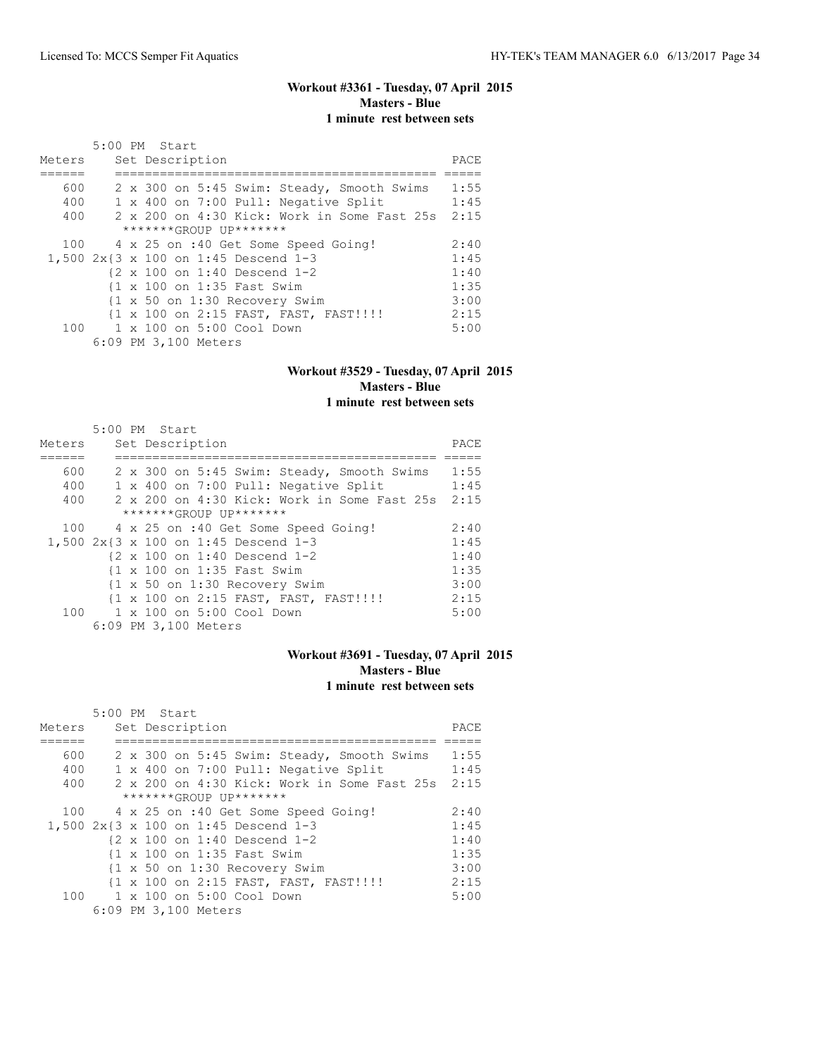## **Workout #3361 - Tuesday, 07 April 2015 Masters - Blue 1 minute rest between sets**

|        | 5:00 PM Start                               |      |
|--------|---------------------------------------------|------|
| Meters | Set Description                             | PACE |
|        |                                             |      |
| 600    | 2 x 300 on 5:45 Swim: Steady, Smooth Swims  | 1:55 |
| 400    | 1 x 400 on 7:00 Pull: Negative Split        | 1:45 |
| 400    | 2 x 200 on 4:30 Kick: Work in Some Fast 25s | 2:15 |
|        | *******GROUP UP*******                      |      |
|        | 100 4 x 25 on :40 Get Some Speed Going!     | 2:40 |
|        | 1,500 2x{3 x 100 on 1:45 Descend 1-3        | 1:45 |
|        | {2 x 100 on 1:40 Descend 1-2                | 1:40 |
|        | {1 x 100 on 1:35 Fast Swim                  | 1:35 |
|        | {1 x 50 on 1:30 Recovery Swim               | 3:00 |
|        | {1 x 100 on 2:15 FAST, FAST, FAST!!!!!      | 2:15 |
|        | $100 \t 1 \times 100$ on $5:00$ Cool Down   | 5:00 |
|        | 6:09 PM 3,100 Meters                        |      |

#### **Workout #3529 - Tuesday, 07 April 2015 Masters - Blue 1 minute rest between sets**

#### 5:00 PM Start Meters Set Description PACE ====== =========================================== ===== 600 2 x 300 on 5:45 Swim: Steady, Smooth Swims 1:55 400 1 x 400 on 7:00 Pull: Negative Split 1:45 400 2 x 200 on 4:30 Kick: Work in Some Fast 25s 2:15 \*\*\*\*\*\*\*GROUP UP\*\*\*\*\*\*\* 100 4 x 25 on :40 Get Some Speed Going! 2:40 1,500 2x{3 x 100 on 1:45 Descend 1-3 1:45 {2 x 100 on 1:40 Descend 1-2 1:40<br>{1 x 100 on 1:35 Fast Swim 1:35 {1 x 100 on 1:35 Fast Swim 1:35 {1 x 50 on 1:30 Recovery Swim 3:00 {1 x 100 on 2:15 FAST, FAST, FAST!!!! 2:15 100 1 x 100 on 5:00 Cool Down 5:00 6:09 PM 3,100 Meters

#### **Workout #3691 - Tuesday, 07 April 2015 Masters - Blue 1 minute rest between sets**

|                        | $5:00$ PM Start |                 |  |  |                      |                                                        |                                             |  |      |      |
|------------------------|-----------------|-----------------|--|--|----------------------|--------------------------------------------------------|---------------------------------------------|--|------|------|
| Meters                 |                 | Set Description |  |  |                      |                                                        |                                             |  | PACE |      |
|                        |                 |                 |  |  |                      |                                                        |                                             |  |      |      |
| 600                    |                 |                 |  |  |                      |                                                        | 2 x 300 on 5:45 Swim: Steady, Smooth Swims  |  |      | 1:55 |
| 400                    |                 |                 |  |  |                      |                                                        | 1 x 400 on 7:00 Pull: Negative Split        |  |      | 1:45 |
| 400                    |                 |                 |  |  |                      |                                                        | 2 x 200 on 4:30 Kick: Work in Some Fast 25s |  |      | 2:15 |
| *******GROUP UP******* |                 |                 |  |  |                      |                                                        |                                             |  |      |      |
|                        |                 |                 |  |  |                      |                                                        | 100 4 x 25 on :40 Get Some Speed Going!     |  |      | 2:40 |
|                        |                 |                 |  |  |                      | 1,500 2x{3 x 100 on 1:45 Descend 1-3                   |                                             |  |      | 1:45 |
|                        |                 |                 |  |  |                      | $\{2 \times 100 \text{ on } 1:40 \text{ Descend } 1-2$ |                                             |  |      | 1:40 |
|                        |                 |                 |  |  |                      | {1 x 100 on 1:35 Fast Swim                             |                                             |  |      | 1:35 |
|                        |                 |                 |  |  |                      |                                                        | {1 x 50 on 1:30 Recovery Swim               |  |      | 3:00 |
|                        |                 |                 |  |  |                      |                                                        | {1 x 100 on 2:15 FAST, FAST, FAST!!!!       |  |      | 2:15 |
|                        |                 |                 |  |  |                      | 100 1 x 100 on 5:00 Cool Down                          |                                             |  |      | 5:00 |
|                        |                 |                 |  |  | 6:09 PM 3,100 Meters |                                                        |                                             |  |      |      |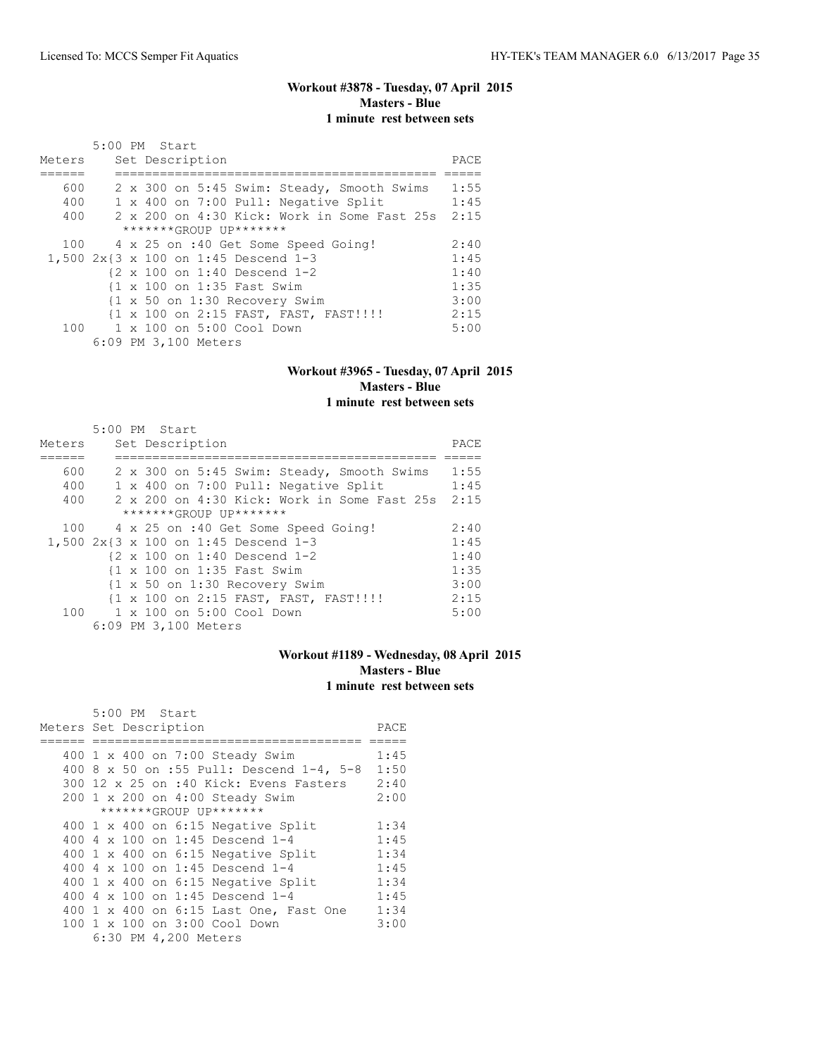# **Workout #3878 - Tuesday, 07 April 2015 Masters - Blue 1 minute rest between sets**

|        | 5:00 PM Start                                                    |      |  |  |  |  |  |
|--------|------------------------------------------------------------------|------|--|--|--|--|--|
| Meters | Set Description                                                  |      |  |  |  |  |  |
|        |                                                                  |      |  |  |  |  |  |
| 600    | 2 x 300 on 5:45 Swim: Steady, Smooth Swims                       | 1:55 |  |  |  |  |  |
| 400    | 1 x 400 on 7:00 Pull: Negative Split                             | 1:45 |  |  |  |  |  |
| 400    | 2 x 200 on 4:30 Kick: Work in Some Fast 25s                      | 2:15 |  |  |  |  |  |
|        | *******GROUP UP*******                                           |      |  |  |  |  |  |
|        | 100 4 x 25 on :40 Get Some Speed Going!                          | 2:40 |  |  |  |  |  |
|        | 1,500 2x{3 x 100 on 1:45 Descend 1-3                             | 1:45 |  |  |  |  |  |
|        | {2 x 100 on 1:40 Descend 1-2                                     | 1:40 |  |  |  |  |  |
|        | {1 x 100 on 1:35 Fast Swim                                       | 1:35 |  |  |  |  |  |
|        | $\{1 \times 50 \text{ on } 1:30 \text{ Recovery } \text{Swim}\}$ | 3:00 |  |  |  |  |  |
|        | {1 x 100 on 2:15 FAST, FAST, FAST!!!!                            | 2:15 |  |  |  |  |  |
|        | 100 1 x 100 on 5:00 Cool Down                                    | 5:00 |  |  |  |  |  |
|        | 6:09 PM 3,100 Meters                                             |      |  |  |  |  |  |

#### **Workout #3965 - Tuesday, 07 April 2015 Masters - Blue 1 minute rest between sets**

| Meters | $5:00$ PM Start |  | Set Description      |                               |                                                        |  | PACE |
|--------|-----------------|--|----------------------|-------------------------------|--------------------------------------------------------|--|------|
|        |                 |  |                      |                               |                                                        |  |      |
| 600    |                 |  |                      |                               | 2 x 300 on 5:45 Swim: Steady, Smooth Swims             |  | 1:55 |
| 400    |                 |  |                      |                               | 1 x 400 on 7:00 Pull: Negative Split                   |  | 1:45 |
| 400    |                 |  |                      |                               | 2 x 200 on 4:30 Kick: Work in Some Fast 25s            |  | 2:15 |
|        |                 |  |                      | *******GROUP UP*******        |                                                        |  |      |
| 100    |                 |  |                      |                               | 4 x 25 on :40 Get Some Speed Going!                    |  | 2:40 |
|        |                 |  |                      |                               | 1,500 2x{3 x 100 on 1:45 Descend 1-3                   |  | 1:45 |
|        |                 |  |                      |                               | $\{2 \times 100 \text{ on } 1:40 \text{ Descend } 1-2$ |  | 1:40 |
|        |                 |  |                      | {1 x 100 on 1:35 Fast Swim    |                                                        |  | 1:35 |
|        |                 |  |                      |                               | {1 x 50 on 1:30 Recovery Swim                          |  | 3:00 |
|        |                 |  |                      |                               | {1 x 100 on 2:15 FAST, FAST, FAST!!!!                  |  | 2:15 |
|        |                 |  |                      | 100 1 x 100 on 5:00 Cool Down |                                                        |  | 5:00 |
|        |                 |  | 6:09 PM 3,100 Meters |                               |                                                        |  |      |

# **Workout #1189 - Wednesday, 08 April 2015 Masters - Blue 1 minute rest between sets**

| 5:00 PM Start                             |      |
|-------------------------------------------|------|
| Meters Set Description                    | PACE |
|                                           |      |
| 400 1 x 400 on 7:00 Steady Swim           | 1:45 |
| 400 8 x 50 on :55 Pull: Descend 1-4, 5-8  | 1:50 |
| 300 12 x 25 on :40 Kick: Evens Fasters    | 2:40 |
| 200 1 x 200 on 4:00 Steady Swim           | 2:00 |
| *******GROUP UP*******                    |      |
| 400 $1 \times 400$ on 6:15 Negative Split | 1:34 |
| 400 4 x 100 on 1:45 Descend 1-4           | 1:45 |
| 400 1 x 400 on 6:15 Negative Split        | 1:34 |
| 400 4 x 100 on 1:45 Descend 1-4           | 1:45 |
| $400$ 1 x $400$ on $6:15$ Negative Split  | 1:34 |
| 400 4 x 100 on 1:45 Descend 1-4           | 1:45 |
| 400 1 x 400 on 6:15 Last One, Fast One    | 1:34 |
| 100 1 x 100 on 3:00 Cool Down             | 3:00 |
| 6:30 PM 4,200 Meters                      |      |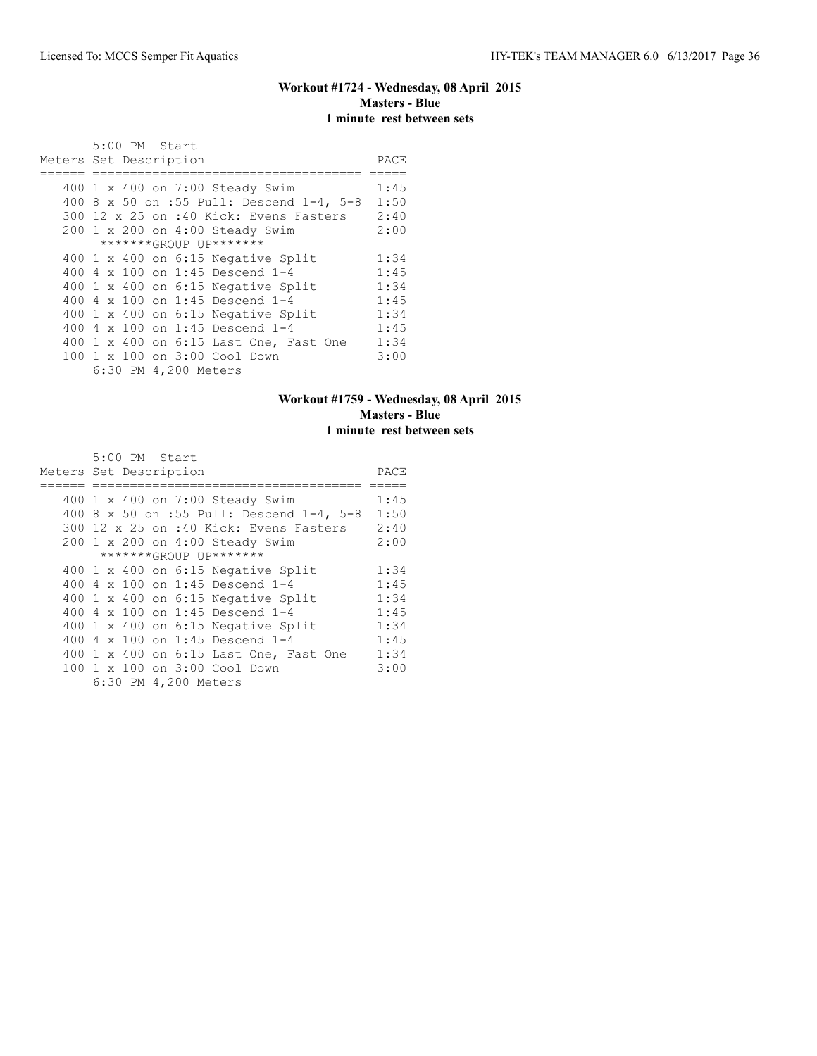# **Workout #1724 - Wednesday, 08 April 2015 Masters - Blue 1 minute rest between sets**

|     | $5:00$ PM Start<br>Meters Set Description | PACE |
|-----|-------------------------------------------|------|
|     |                                           |      |
|     | 400 1 x 400 on 7:00 Steady Swim           | 1:45 |
|     | 400 8 x 50 on :55 Pull: Descend 1-4, 5-8  | 1:50 |
|     | 300 12 x 25 on :40 Kick: Evens Fasters    | 2:40 |
|     | 200 1 x 200 on 4:00 Steady Swim           | 2:00 |
|     | *******GROUP UP*******                    |      |
|     | 400 1 x 400 on 6:15 Negative Split        | 1:34 |
|     | 400 $4 \times 100$ on 1:45 Descend 1-4    | 1:45 |
|     | 400 1 x 400 on 6:15 Negative Split        | 1:34 |
| 400 | 4 x 100 on 1:45 Descend 1-4               | 1:45 |
|     | $400$ 1 x $400$ on $6:15$ Negative Split  | 1:34 |
|     | 400 $4 \times 100$ on 1:45 Descend 1-4    | 1:45 |
|     | 400 1 x 400 on 6:15 Last One, Fast One    | 1:34 |
|     | 100 1 x 100 on 3:00 Cool Down             | 3:00 |
|     | 6:30 PM 4,200 Meters                      |      |

# **Workout #1759 - Wednesday, 08 April 2015 Masters - Blue 1 minute rest between sets**

| Meters Set Description | 5:00 PM Start |                      |                                           | PACE |
|------------------------|---------------|----------------------|-------------------------------------------|------|
|                        |               |                      |                                           |      |
|                        |               |                      | 400 1 x 400 on 7:00 Steady Swim           | 1:45 |
|                        |               |                      | 400 8 x 50 on :55 Pull: Descend 1-4, 5-8  | 1:50 |
|                        |               |                      | 300 12 x 25 on :40 Kick: Evens Fasters    | 2:40 |
|                        |               |                      | 200 1 x 200 on 4:00 Steady Swim           | 2:00 |
|                        |               |                      | *******GROUP UP*******                    |      |
|                        |               |                      | 400 $1 \times 400$ on 6:15 Negative Split | 1:34 |
|                        |               |                      | 400 4 x 100 on 1:45 Descend 1-4           | 1:45 |
|                        |               |                      | 400 1 x 400 on 6:15 Negative Split        | 1:34 |
|                        |               |                      | 400 4 x 100 on 1:45 Descend 1-4           | 1:45 |
|                        |               |                      | 400 1 x 400 on 6:15 Negative Split        | 1:34 |
|                        |               |                      | 400 4 x 100 on 1:45 Descend 1-4           | 1:45 |
|                        |               |                      | 400 1 x 400 on 6:15 Last One, Fast One    | 1:34 |
|                        |               |                      | 100 1 x 100 on 3:00 Cool Down             | 3:00 |
|                        |               | 6:30 PM 4,200 Meters |                                           |      |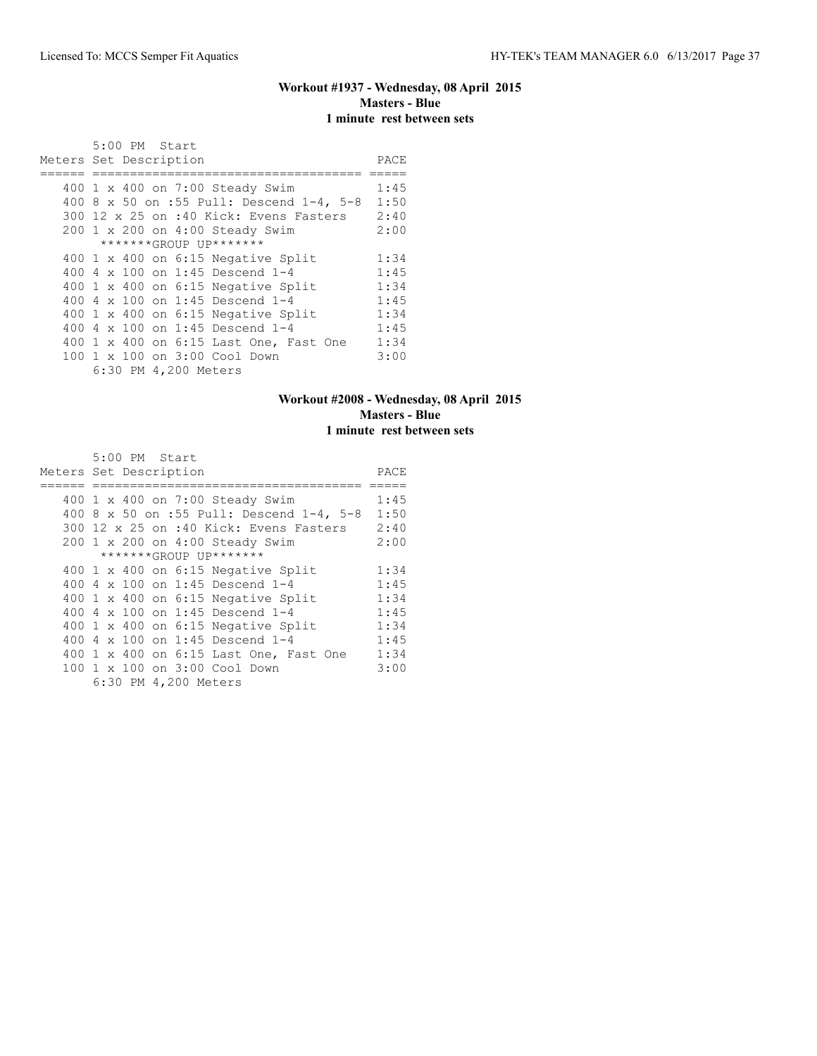# **Workout #1937 - Wednesday, 08 April 2015 Masters - Blue 1 minute rest between sets**

|     | $5:00$ PM Start<br>Meters Set Description | PACE |
|-----|-------------------------------------------|------|
|     |                                           |      |
|     | 400 1 x 400 on 7:00 Steady Swim           | 1:45 |
|     | 400 8 x 50 on :55 Pull: Descend 1-4, 5-8  | 1:50 |
|     | 300 12 x 25 on :40 Kick: Evens Fasters    | 2:40 |
|     | 200 1 x 200 on 4:00 Steady Swim           | 2:00 |
|     | *******GROUP UP*******                    |      |
|     | 400 1 x 400 on 6:15 Negative Split        | 1:34 |
|     | 400 $4 \times 100$ on 1:45 Descend 1-4    | 1:45 |
|     | 400 1 x 400 on 6:15 Negative Split        | 1:34 |
| 400 | 4 x 100 on 1:45 Descend 1-4               | 1:45 |
|     | $400$ 1 x $400$ on $6:15$ Negative Split  | 1:34 |
|     | 400 $4 \times 100$ on 1:45 Descend 1-4    | 1:45 |
|     | 400 1 x 400 on 6:15 Last One, Fast One    | 1:34 |
|     | 100 1 x 100 on 3:00 Cool Down             | 3:00 |
|     | 6:30 PM 4,200 Meters                      |      |

# **Workout #2008 - Wednesday, 08 April 2015 Masters - Blue 1 minute rest between sets**

| 5:00 PM Start                             |      |
|-------------------------------------------|------|
| Meters Set Description                    | PACE |
|                                           |      |
| 400 1 x 400 on 7:00 Steady Swim           | 1:45 |
| 400 8 x 50 on :55 Pull: Descend 1-4, 5-8  | 1:50 |
| 300 12 x 25 on :40 Kick: Evens Fasters    | 2:40 |
| 200 1 x 200 on 4:00 Steady Swim           | 2:00 |
| *******GROUP UP*******                    |      |
| 400 $1 \times 400$ on 6:15 Negative Split | 1:34 |
| 400 4 x 100 on 1:45 Descend 1-4           | 1:45 |
| 400 1 x 400 on 6:15 Negative Split        | 1:34 |
| 400 4 x 100 on 1:45 Descend 1-4           | 1:45 |
| 400 1 x 400 on 6:15 Negative Split        | 1:34 |
| 400 4 x 100 on 1:45 Descend 1-4           | 1:45 |
| 400 1 x 400 on 6:15 Last One, Fast One    | 1:34 |
| 100 1 x 100 on 3:00 Cool Down             | 3:00 |
| 6:30 PM 4,200 Meters                      |      |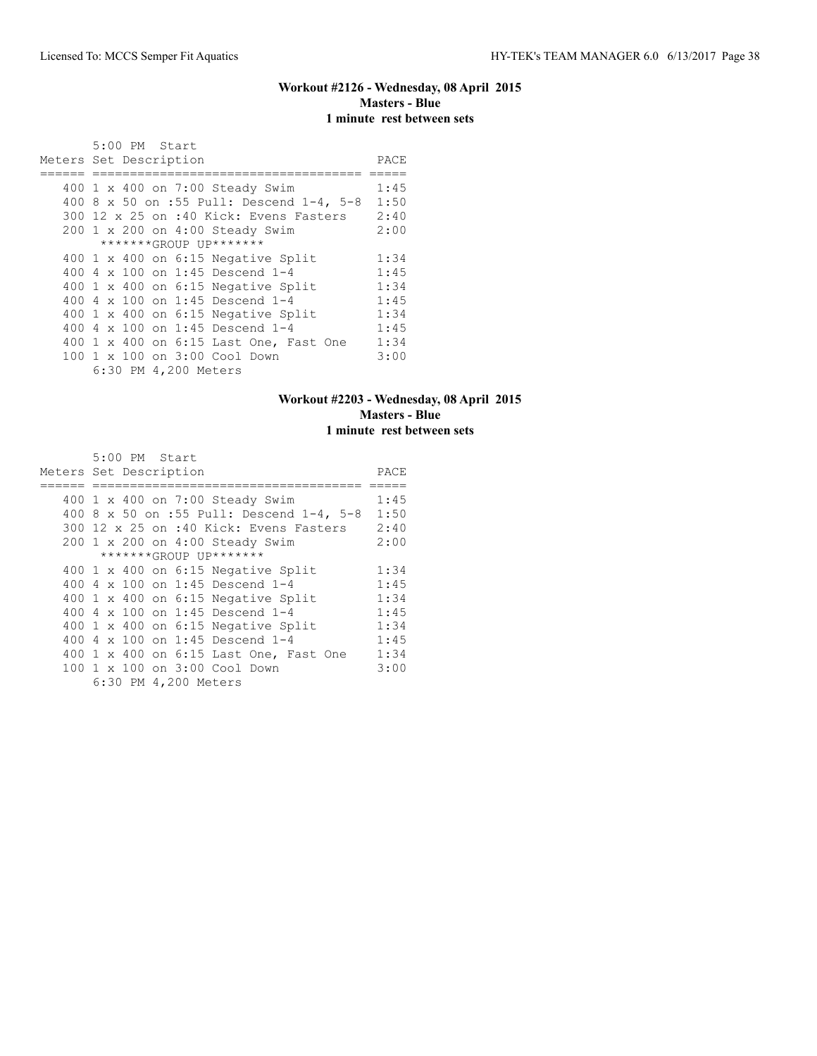# **Workout #2126 - Wednesday, 08 April 2015 Masters - Blue 1 minute rest between sets**

|     | $5:00$ PM Start<br>Meters Set Description | PACE |
|-----|-------------------------------------------|------|
|     |                                           |      |
|     | 400 1 x 400 on 7:00 Steady Swim           | 1:45 |
|     | 400 8 x 50 on :55 Pull: Descend 1-4, 5-8  | 1:50 |
|     | 300 12 x 25 on :40 Kick: Evens Fasters    | 2:40 |
|     | 200 1 x 200 on 4:00 Steady Swim           | 2:00 |
|     | *******GROUP UP*******                    |      |
|     | 400 1 x 400 on 6:15 Negative Split        | 1:34 |
|     | 400 $4 \times 100$ on 1:45 Descend 1-4    | 1:45 |
|     | 400 1 x 400 on 6:15 Negative Split        | 1:34 |
| 400 | 4 x 100 on 1:45 Descend 1-4               | 1:45 |
|     | $400$ 1 x $400$ on $6:15$ Negative Split  | 1:34 |
|     | 400 $4 \times 100$ on 1:45 Descend 1-4    | 1:45 |
|     | 400 1 x 400 on 6:15 Last One, Fast One    | 1:34 |
|     | 100 1 x 100 on 3:00 Cool Down             | 3:00 |
|     | 6:30 PM 4,200 Meters                      |      |

# **Workout #2203 - Wednesday, 08 April 2015 Masters - Blue 1 minute rest between sets**

| 5:00 PM Start                             |      |
|-------------------------------------------|------|
| Meters Set Description                    | PACE |
|                                           |      |
| 400 1 x 400 on 7:00 Steady Swim           | 1:45 |
| 400 8 x 50 on :55 Pull: Descend 1-4, 5-8  | 1:50 |
| 300 12 x 25 on :40 Kick: Evens Fasters    | 2:40 |
| 200 1 x 200 on 4:00 Steady Swim           | 2:00 |
| *******GROUP UP*******                    |      |
| 400 $1 \times 400$ on 6:15 Negative Split | 1:34 |
| 400 4 x 100 on 1:45 Descend 1-4           | 1:45 |
| 400 1 x 400 on 6:15 Negative Split        | 1:34 |
| 400 4 x 100 on 1:45 Descend 1-4           | 1:45 |
| 400 1 x 400 on 6:15 Negative Split        | 1:34 |
| 400 4 x 100 on 1:45 Descend 1-4           | 1:45 |
| 400 1 x 400 on 6:15 Last One, Fast One    | 1:34 |
| 100 1 x 100 on 3:00 Cool Down             | 3:00 |
| 6:30 PM 4,200 Meters                      |      |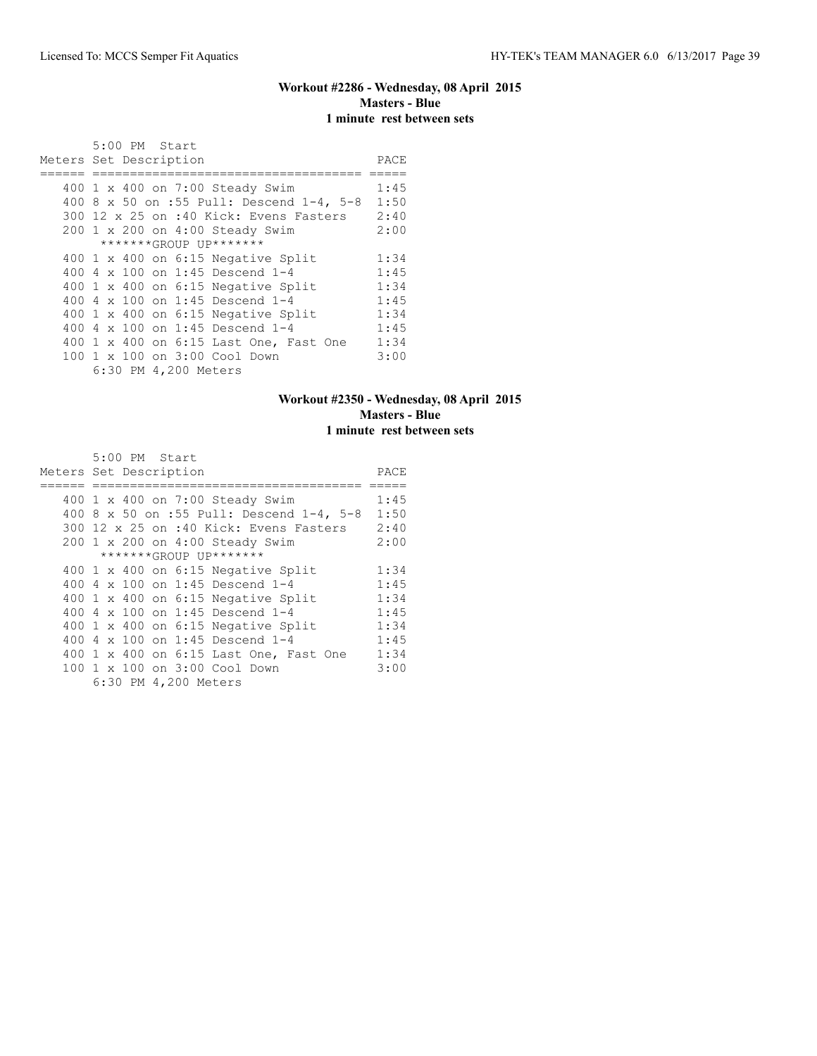# **Workout #2286 - Wednesday, 08 April 2015 Masters - Blue 1 minute rest between sets**

|     | $5:00$ PM Start<br>Meters Set Description | PACE |
|-----|-------------------------------------------|------|
|     |                                           |      |
|     | 400 1 x 400 on 7:00 Steady Swim           | 1:45 |
|     | 400 8 x 50 on :55 Pull: Descend 1-4, 5-8  | 1:50 |
|     | 300 12 x 25 on :40 Kick: Evens Fasters    | 2:40 |
|     | 200 1 x 200 on 4:00 Steady Swim           | 2:00 |
|     | *******GROUP UP*******                    |      |
|     | 400 1 x 400 on 6:15 Negative Split        | 1:34 |
|     | 400 $4 \times 100$ on 1:45 Descend 1-4    | 1:45 |
|     | 400 1 x 400 on 6:15 Negative Split        | 1:34 |
| 400 | 4 x 100 on 1:45 Descend 1-4               | 1:45 |
|     | $400$ 1 x $400$ on $6:15$ Negative Split  | 1:34 |
|     | 400 $4 \times 100$ on 1:45 Descend 1-4    | 1:45 |
|     | 400 1 x 400 on 6:15 Last One, Fast One    | 1:34 |
|     | 100 1 x 100 on 3:00 Cool Down             | 3:00 |
|     | 6:30 PM 4,200 Meters                      |      |

# **Workout #2350 - Wednesday, 08 April 2015 Masters - Blue 1 minute rest between sets**

| 5:00 PM Start                             |      |
|-------------------------------------------|------|
| Meters Set Description                    | PACE |
|                                           |      |
| 400 1 x 400 on 7:00 Steady Swim           | 1:45 |
| 400 8 x 50 on :55 Pull: Descend 1-4, 5-8  | 1:50 |
| 300 12 x 25 on :40 Kick: Evens Fasters    | 2:40 |
| 200 1 x 200 on 4:00 Steady Swim           | 2:00 |
| *******GROUP UP*******                    |      |
| 400 $1 \times 400$ on 6:15 Negative Split | 1:34 |
| 400 4 x 100 on 1:45 Descend 1-4           | 1:45 |
| $400$ 1 x $400$ on $6:15$ Negative Split  | 1:34 |
| 400 4 x 100 on 1:45 Descend 1-4           | 1:45 |
| 400 1 x 400 on 6:15 Negative Split        | 1:34 |
| 400 4 x 100 on 1:45 Descend 1-4           | 1:45 |
| 400 1 x 400 on 6:15 Last One, Fast One    | 1:34 |
| 100 1 x 100 on 3:00 Cool Down             | 3:00 |
| 6:30 PM 4,200 Meters                      |      |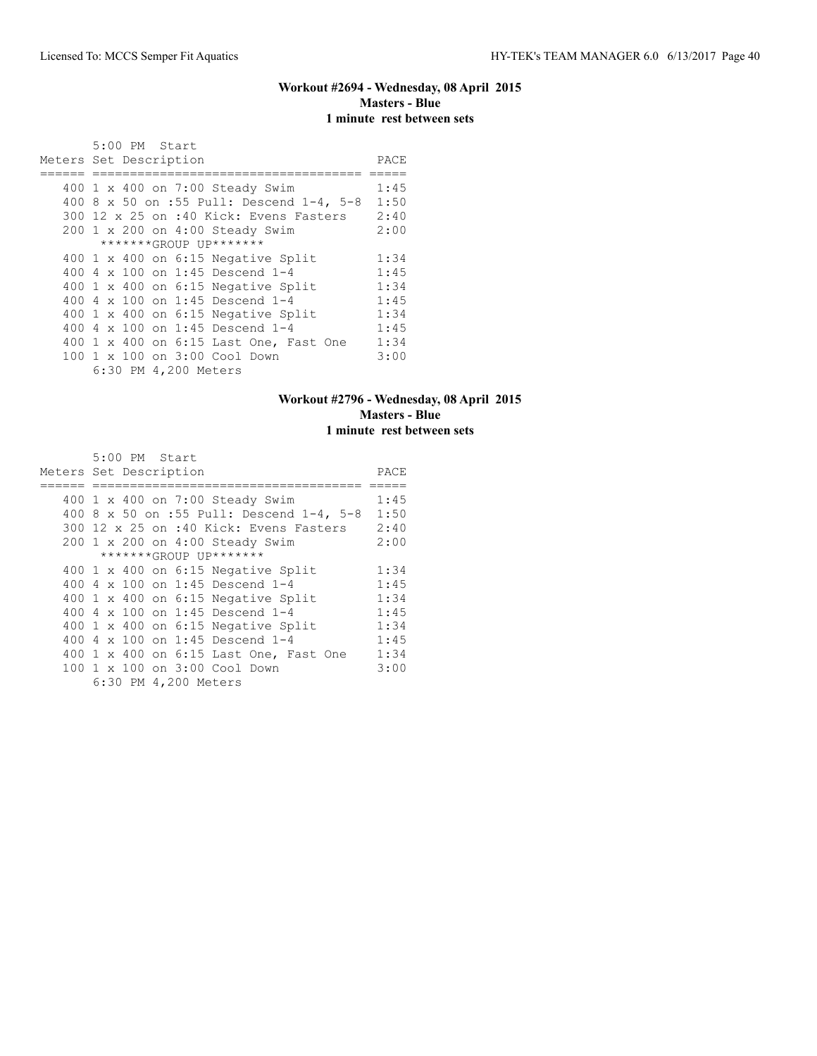# **Workout #2694 - Wednesday, 08 April 2015 Masters - Blue 1 minute rest between sets**

|     | $5:00$ PM Start<br>Meters Set Description | PACE |
|-----|-------------------------------------------|------|
|     |                                           |      |
|     | 400 1 x 400 on 7:00 Steady Swim           | 1:45 |
|     | 400 8 x 50 on :55 Pull: Descend 1-4, 5-8  | 1:50 |
|     | 300 12 x 25 on :40 Kick: Evens Fasters    | 2:40 |
|     | 200 1 x 200 on 4:00 Steady Swim           | 2:00 |
|     | *******GROUP UP*******                    |      |
|     | 400 1 x 400 on 6:15 Negative Split        | 1:34 |
|     | 400 $4 \times 100$ on 1:45 Descend 1-4    | 1:45 |
|     | 400 1 x 400 on 6:15 Negative Split        | 1:34 |
| 400 | 4 x 100 on 1:45 Descend 1-4               | 1:45 |
|     | $400$ 1 x $400$ on $6:15$ Negative Split  | 1:34 |
|     | 400 $4 \times 100$ on 1:45 Descend 1-4    | 1:45 |
|     | 400 1 x 400 on 6:15 Last One, Fast One    | 1:34 |
|     | 100 1 x 100 on 3:00 Cool Down             | 3:00 |
|     | 6:30 PM 4,200 Meters                      |      |

# **Workout #2796 - Wednesday, 08 April 2015 Masters - Blue 1 minute rest between sets**

| 5:00 PM Start                             |      |
|-------------------------------------------|------|
| Meters Set Description                    | PACE |
|                                           |      |
| 400 1 x 400 on 7:00 Steady Swim           | 1:45 |
| 400 8 x 50 on :55 Pull: Descend 1-4, 5-8  | 1:50 |
| 300 12 x 25 on :40 Kick: Evens Fasters    | 2:40 |
| 200 1 x 200 on 4:00 Steady Swim           | 2:00 |
| *******GROUP UP*******                    |      |
| 400 $1 \times 400$ on 6:15 Negative Split | 1:34 |
| 400 4 x 100 on 1:45 Descend 1-4           | 1:45 |
| $400$ 1 x $400$ on $6:15$ Negative Split  | 1:34 |
| 400 4 x 100 on 1:45 Descend 1-4           | 1:45 |
| 400 1 x 400 on 6:15 Negative Split        | 1:34 |
| 400 4 x 100 on 1:45 Descend 1-4           | 1:45 |
| 400 1 x 400 on 6:15 Last One, Fast One    | 1:34 |
| 100 1 x 100 on 3:00 Cool Down             | 3:00 |
| 6:30 PM 4,200 Meters                      |      |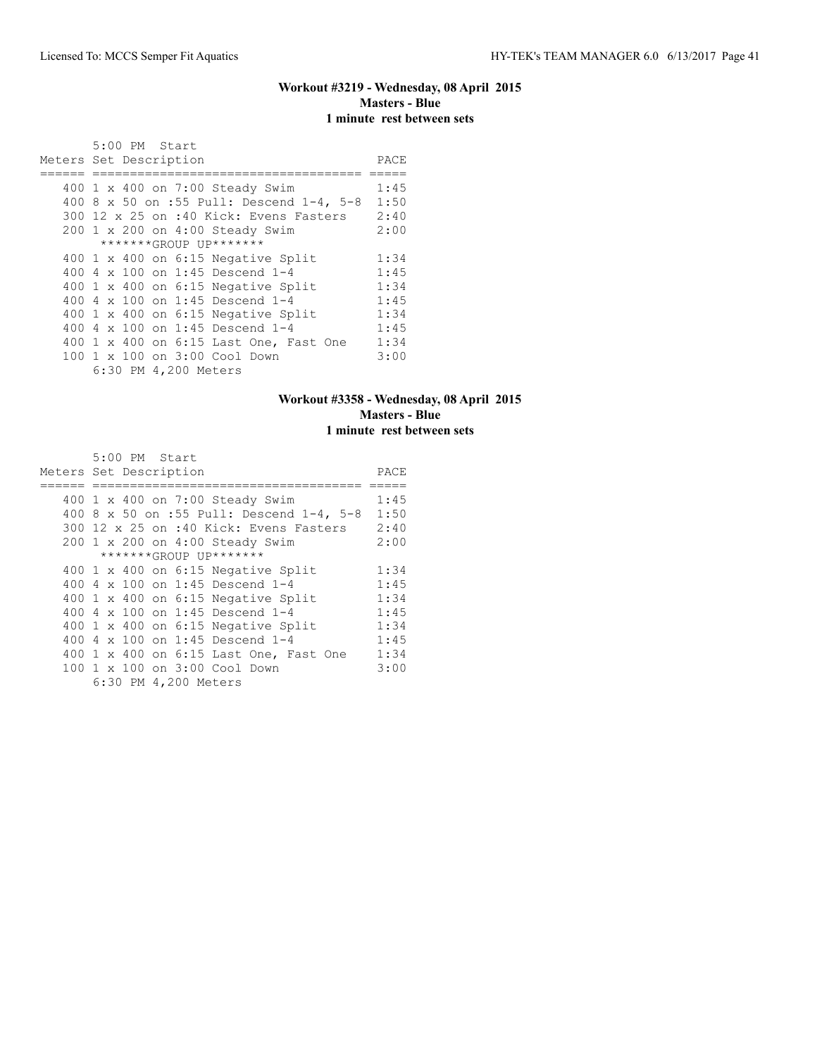# **Workout #3219 - Wednesday, 08 April 2015 Masters - Blue 1 minute rest between sets**

| $5:00$ PM Start                           |      |
|-------------------------------------------|------|
| Meters Set Description                    | PACE |
|                                           |      |
| 400 1 x 400 on 7:00 Steady Swim           | 1:45 |
| 400 8 x 50 on :55 Pull: Descend 1-4, 5-8  | 1:50 |
| 300 12 x 25 on :40 Kick: Evens Fasters    | 2:40 |
| 200 1 x 200 on 4:00 Steady Swim           | 2:00 |
| *******GROUP UP*******                    |      |
| 400 1 x 400 on 6:15 Negative Split        | 1:34 |
| 400 $4 \times 100$ on 1:45 Descend 1-4    | 1:45 |
| 400 1 x 400 on 6:15 Negative Split        | 1:34 |
| 400 4 x 100 on 1:45 Descend 1-4           | 1:45 |
| 400 $1 \times 400$ on 6:15 Negative Split | 1:34 |
| 400 $4 \times 100$ on 1:45 Descend 1-4    | 1:45 |
| 400 1 x 400 on 6:15 Last One, Fast One    | 1:34 |
| 100 1 x 100 on 3:00 Cool Down             | 3:00 |
| 6:30 PM 4,200 Meters                      |      |

# **Workout #3358 - Wednesday, 08 April 2015 Masters - Blue 1 minute rest between sets**

| 5:00 PM Start                             |      |
|-------------------------------------------|------|
| Meters Set Description                    | PACE |
|                                           |      |
| 400 1 x 400 on 7:00 Steady Swim           | 1:45 |
| 400 8 x 50 on :55 Pull: Descend 1-4, 5-8  | 1:50 |
| 300 12 x 25 on :40 Kick: Evens Fasters    | 2:40 |
| 200 1 x 200 on 4:00 Steady Swim           | 2:00 |
| *******GROUP UP*******                    |      |
| 400 $1 \times 400$ on 6:15 Negative Split | 1:34 |
| 400 4 x 100 on 1:45 Descend 1-4           | 1:45 |
| $400$ 1 x $400$ on $6:15$ Negative Split  | 1:34 |
| 400 4 x 100 on 1:45 Descend 1-4           | 1:45 |
| 400 1 x 400 on 6:15 Negative Split        | 1:34 |
| 400 4 x 100 on 1:45 Descend 1-4           | 1:45 |
| 400 1 x 400 on 6:15 Last One, Fast One    | 1:34 |
| 100 1 x 100 on 3:00 Cool Down             | 3:00 |
| 6:30 PM 4,200 Meters                      |      |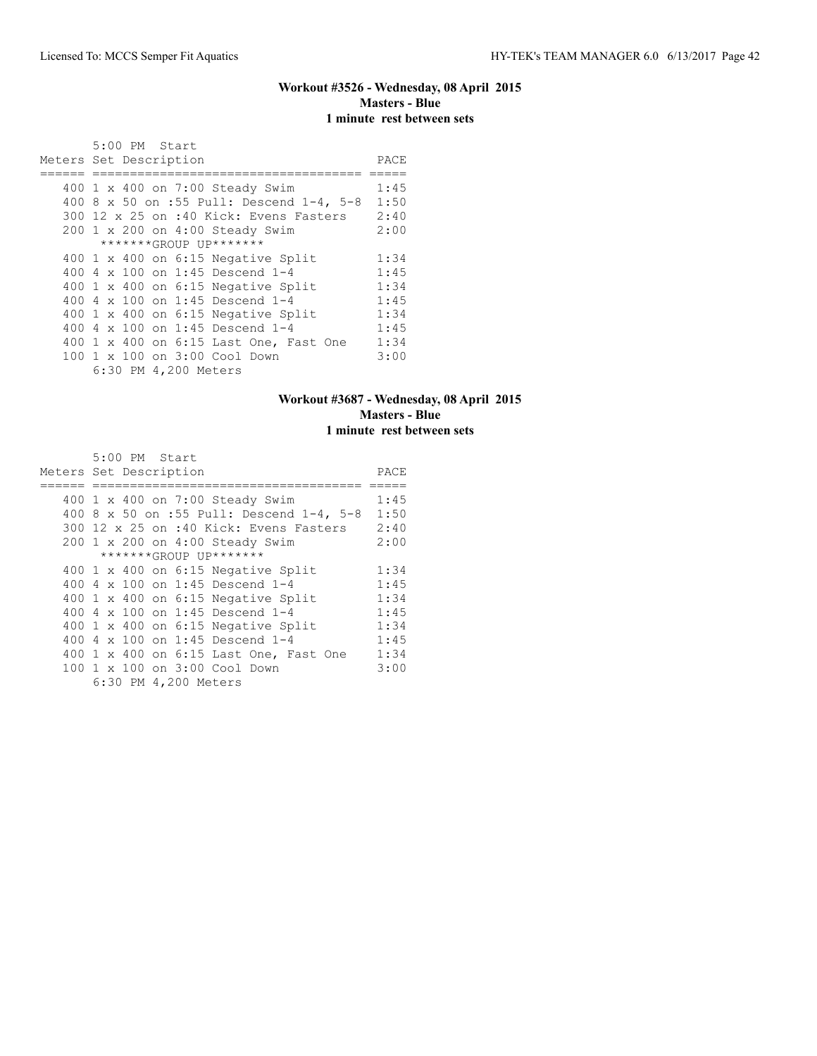# **Workout #3526 - Wednesday, 08 April 2015 Masters - Blue 1 minute rest between sets**

|     | $5:00$ PM Start<br>Meters Set Description | PACE |
|-----|-------------------------------------------|------|
|     |                                           |      |
|     | 400 1 x 400 on 7:00 Steady Swim           | 1:45 |
|     | 400 8 x 50 on :55 Pull: Descend 1-4, 5-8  | 1:50 |
|     | 300 12 x 25 on :40 Kick: Evens Fasters    | 2:40 |
|     | 200 1 x 200 on 4:00 Steady Swim           | 2:00 |
|     | *******GROUP UP*******                    |      |
|     | 400 1 x 400 on 6:15 Negative Split        | 1:34 |
|     | 400 $4 \times 100$ on 1:45 Descend 1-4    | 1:45 |
|     | 400 1 x 400 on 6:15 Negative Split        | 1:34 |
| 400 | 4 x 100 on 1:45 Descend 1-4               | 1:45 |
|     | $400$ 1 x $400$ on $6:15$ Negative Split  | 1:34 |
|     | 400 $4 \times 100$ on 1:45 Descend 1-4    | 1:45 |
|     | 400 1 x 400 on 6:15 Last One, Fast One    | 1:34 |
|     | 100 1 x 100 on 3:00 Cool Down             | 3:00 |
|     | 6:30 PM 4,200 Meters                      |      |

# **Workout #3687 - Wednesday, 08 April 2015 Masters - Blue 1 minute rest between sets**

| 5:00 PM Start                             |      |
|-------------------------------------------|------|
| Meters Set Description                    | PACE |
|                                           |      |
| 400 1 x 400 on 7:00 Steady Swim           | 1:45 |
| 400 8 x 50 on :55 Pull: Descend 1-4, 5-8  | 1:50 |
| 300 12 x 25 on :40 Kick: Evens Fasters    | 2:40 |
| 200 1 x 200 on 4:00 Steady Swim           | 2:00 |
| *******GROUP UP*******                    |      |
| 400 $1 \times 400$ on 6:15 Negative Split | 1:34 |
| 400 4 x 100 on 1:45 Descend 1-4           | 1:45 |
| 400 1 x 400 on 6:15 Negative Split        | 1:34 |
| 400 4 x 100 on 1:45 Descend 1-4           | 1:45 |
| 400 1 x 400 on 6:15 Negative Split        | 1:34 |
| 400 4 x 100 on 1:45 Descend 1-4           | 1:45 |
| 400 1 x 400 on 6:15 Last One, Fast One    | 1:34 |
| 100 1 x 100 on 3:00 Cool Down             | 3:00 |
| 6:30 PM 4,200 Meters                      |      |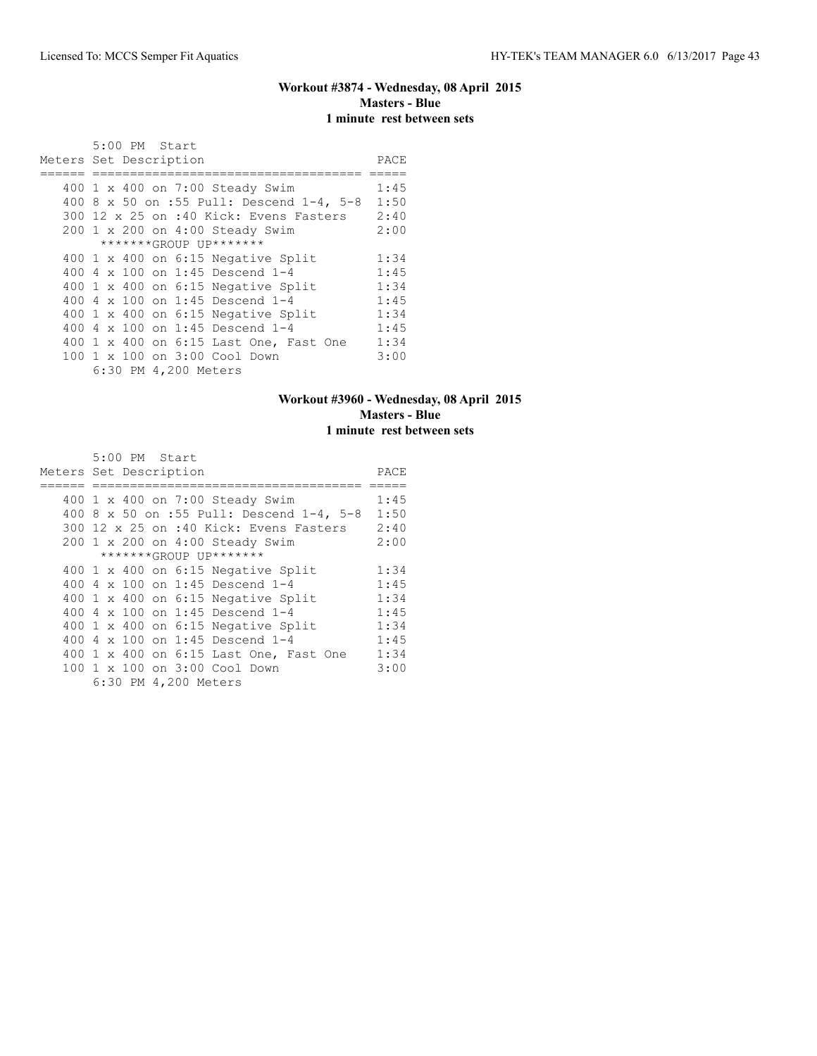# **Workout #3874 - Wednesday, 08 April 2015 Masters - Blue 1 minute rest between sets**

| 5:00 PM Start<br>Meters Set Description  | PACE |
|------------------------------------------|------|
|                                          |      |
| 400 1 x 400 on 7:00 Steady Swim          | 1:45 |
| 400 8 x 50 on :55 Pull: Descend 1-4, 5-8 | 1:50 |
| 300 12 x 25 on :40 Kick: Evens Fasters   | 2:40 |
| 200 1 x 200 on 4:00 Steady Swim          | 2:00 |
| *******GROUP UP*******                   |      |
| 400 1 x 400 on 6:15 Negative Split       | 1:34 |
| 400 4 x 100 on 1:45 Descend 1-4          | 1:45 |
| 400 1 x 400 on 6:15 Negative Split       | 1:34 |
| 400 4 x 100 on 1:45 Descend 1-4          | 1:45 |
| $400$ 1 x $400$ on $6:15$ Negative Split | 1:34 |
| 400 $4 \times 100$ on 1:45 Descend 1-4   | 1:45 |
| 400 1 x 400 on 6:15 Last One, Fast One   | 1:34 |
| 100 1 x 100 on 3:00 Cool Down            | 3:00 |
| 6:30 PM 4,200 Meters                     |      |

# **Workout #3960 - Wednesday, 08 April 2015 Masters - Blue 1 minute rest between sets**

| 5:00 PM Start                             |      |
|-------------------------------------------|------|
| Meters Set Description                    | PACE |
|                                           |      |
| 400 1 x 400 on 7:00 Steady Swim           | 1:45 |
| 400 8 x 50 on :55 Pull: Descend 1-4, 5-8  | 1:50 |
| 300 12 x 25 on :40 Kick: Evens Fasters    | 2:40 |
| 200 1 x 200 on 4:00 Steady Swim           | 2:00 |
| *******GROUP UP*******                    |      |
| 400 $1 \times 400$ on 6:15 Negative Split | 1:34 |
| 400 4 x 100 on 1:45 Descend 1-4           | 1:45 |
| 400 1 x 400 on 6:15 Negative Split        | 1:34 |
| 400 4 x 100 on 1:45 Descend 1-4           | 1:45 |
| 400 1 x 400 on 6:15 Negative Split        | 1:34 |
| 400 4 x 100 on 1:45 Descend 1-4           | 1:45 |
| 400 1 x 400 on 6:15 Last One, Fast One    | 1:34 |
| 100 1 x 100 on 3:00 Cool Down             | 3:00 |
| 6:30 PM 4,200 Meters                      |      |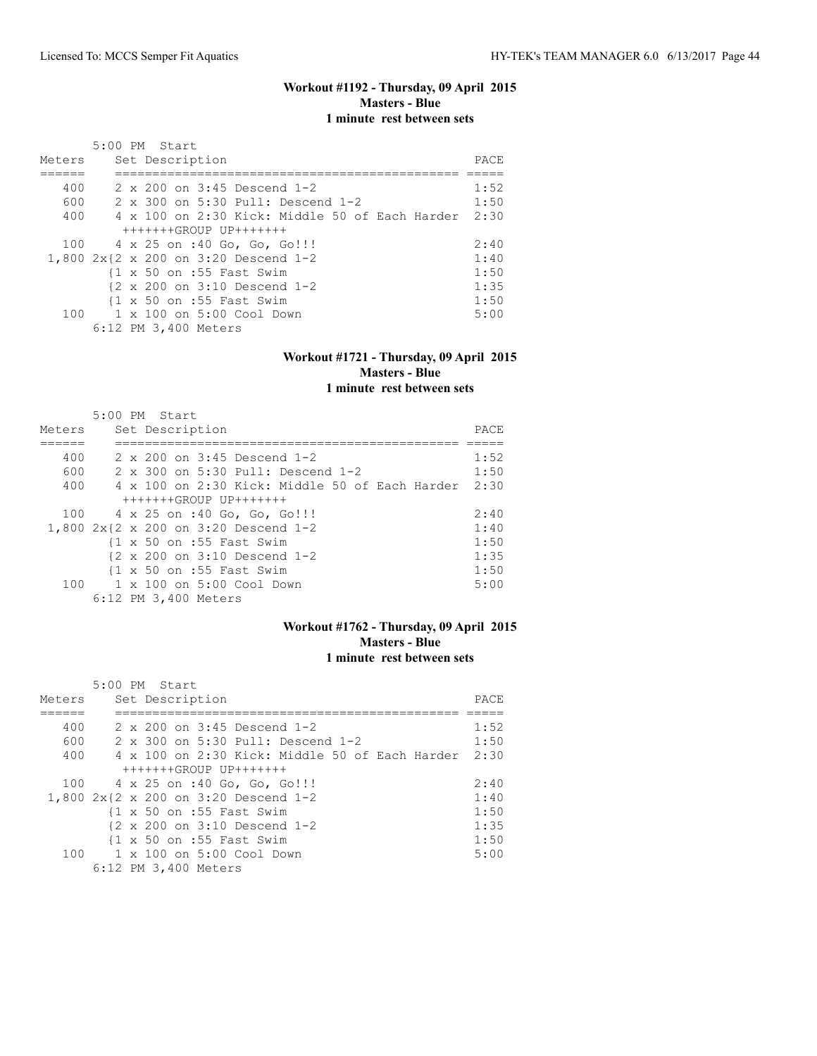### **Workout #1192 - Thursday, 09 April 2015 Masters - Blue 1 minute rest between sets**

| Meters | $5:00$ PM Start<br>Set Description                           | PACE |
|--------|--------------------------------------------------------------|------|
|        |                                                              |      |
| 400    | $2 \times 200$ on $3:45$ Descend 1-2                         | 1:52 |
| 600    | 2 x 300 on 5:30 Pull: Descend 1-2                            | 1:50 |
| 400    | $4 \times 100$ on 2:30 Kick: Middle 50 of Each Harder        | 2:30 |
|        | $+++++GROUP$ UP+++++++                                       |      |
| 100    | 4 x 25 on :40 Go, Go, Go!!!                                  | 2:40 |
|        | 1,800 2x{2 x 200 on 3:20 Descend 1-2                         | 1:40 |
|        | $\{1 \times 50 \text{ on } : 55 \text{ Fast } \text{Swim}\}$ | 1:50 |
|        | $\{2 \times 200 \text{ on } 3:10 \text{ Descend } 1-2$       | 1:35 |
|        | {1 x 50 on :55 Fast Swim                                     | 1:50 |
| 100    | 1 x 100 on 5:00 Cool Down                                    | 5:00 |
|        | 6:12 PM 3,400 Meters                                         |      |

### **Workout #1721 - Thursday, 09 April 2015 Masters - Blue 1 minute rest between sets**

| Meters | $5:00$ PM Start<br>Set Description                           | PACE |
|--------|--------------------------------------------------------------|------|
|        |                                                              |      |
| 400    | 2 x 200 on 3:45 Descend 1-2                                  | 1:52 |
| 600    | 2 x 300 on 5:30 Pull: Descend 1-2                            | 1:50 |
| 400    | 4 x 100 on 2:30 Kick: Middle 50 of Each Harder               | 2:30 |
|        | $+++++GROUP$ UP+++++++                                       |      |
| 100    | 4 x 25 on :40 Go, Go, Go!!!                                  | 2:40 |
|        | 1,800 2x{2 x 200 on 3:20 Descend 1-2                         | 1:40 |
|        | $\{1 \times 50 \text{ on } : 55 \text{ Fast} \text{ Swim}\}$ | 1:50 |
|        | {2 x 200 on 3:10 Descend 1-2                                 | 1:35 |
|        | $\{1 \times 50 \text{ on } : 55 \text{ Fast} \text{ Swim}\}$ | 1:50 |
|        | 100    1 x 100    an 5:00    Cool    Down                    | 5:00 |
|        | 6:12 PM 3,400 Meters                                         |      |

### **Workout #1762 - Thursday, 09 April 2015 Masters - Blue 1 minute rest between sets**

|        | 5:00 PM Start                                                 |       |
|--------|---------------------------------------------------------------|-------|
| Meters | Set Description                                               | PACE. |
|        |                                                               |       |
| 400    | 2 x 200 on 3:45 Descend 1-2                                   | 1:52  |
| 600    | 2 x 300 on 5:30 Pull: Descend 1-2                             | 1:50  |
| 400    | 4 x 100 on 2:30 Kick: Middle 50 of Each Harder                | 2:30  |
|        | +++++++GROUP UP+++++++                                        |       |
|        | 100 4 x 25 on :40 Go, Go, Go!!!                               | 2:40  |
|        | 1,800 2x{2 x 200 on 3:20 Descend 1-2                          | 1:40  |
|        | $\{1 \times 50 \text{ on } : 55 \text{ Fast} \text{ Swim} \}$ | 1:50  |
|        | $\{2 \times 200 \text{ on } 3:10 \text{ Descend } 1-2$        | 1:35  |
|        | {1 x 50 on :55 Fast Swim                                      | 1:50  |
| 100    | 1 x 100 on 5:00 Cool Down                                     | 5:00  |
|        | 6:12 PM 3,400 Meters                                          |       |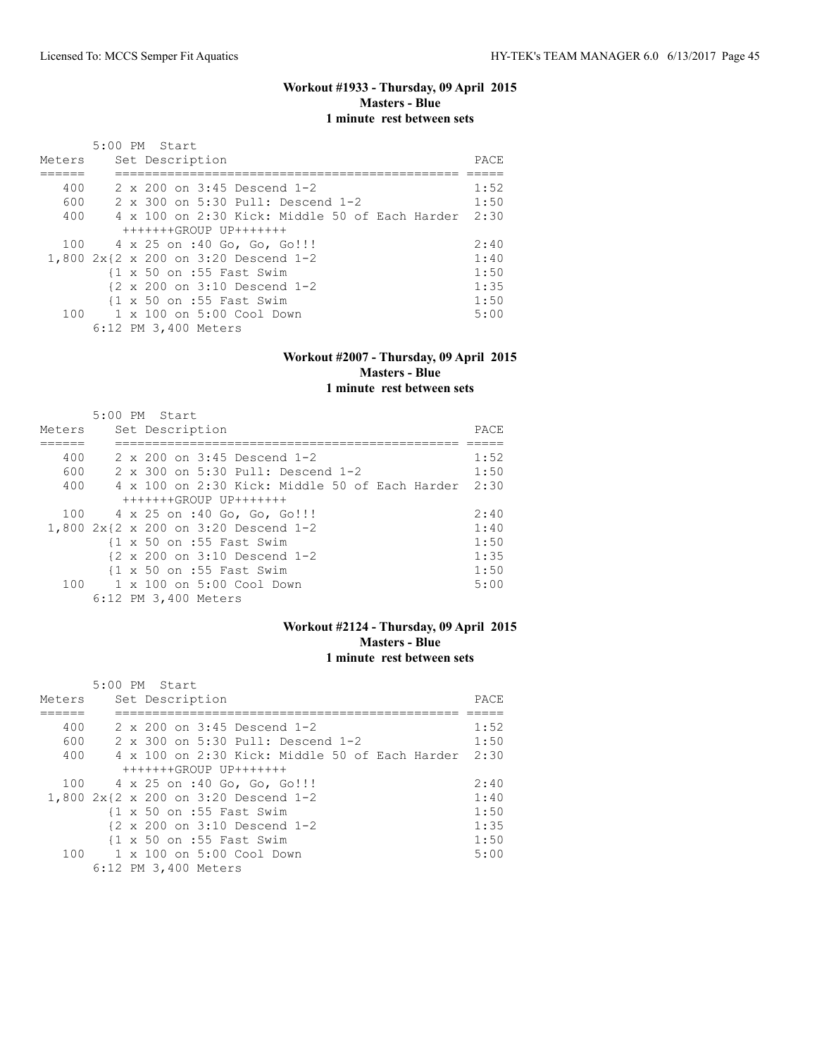### **Workout #1933 - Thursday, 09 April 2015 Masters - Blue 1 minute rest between sets**

| Meters | $5:00$ PM Start<br>Set Description                           | PACE |
|--------|--------------------------------------------------------------|------|
|        |                                                              |      |
| 400    | 2 x 200 on 3:45 Descend 1-2                                  | 1:52 |
| 600    | 2 x 300 on 5:30 Pull: Descend 1-2                            | 1:50 |
| 400    | $4 \times 100$ on 2:30 Kick: Middle 50 of Each Harder        | 2:30 |
|        | $+++++GROUP$ UP+++++++                                       |      |
| 100    | 4 x 25 on :40 Go, Go, Go!!!                                  | 2:40 |
|        | 1,800 2x{2 x 200 on 3:20 Descend 1-2                         | 1:40 |
|        | $\{1 \times 50 \text{ on } : 55 \text{ Fast} \text{ Swim}\}$ | 1:50 |
|        | $\{2 \times 200 \text{ on } 3:10 \text{ Descend } 1-2\}$     | 1:35 |
|        | {1 x 50 on :55 Fast Swim                                     | 1:50 |
| 100    | 1 x 100 on 5:00 Cool Down                                    | 5:00 |
|        | 6:12 PM 3,400 Meters                                         |      |

### **Workout #2007 - Thursday, 09 April 2015 Masters - Blue 1 minute rest between sets**

| Meters | $5:00$ PM Start<br>Set Description                           | PACE |
|--------|--------------------------------------------------------------|------|
|        |                                                              |      |
| 400    | 2 x 200 on 3:45 Descend 1-2                                  | 1:52 |
| 600    | 2 x 300 on 5:30 Pull: Descend 1-2                            | 1:50 |
| 400    | 4 x 100 on 2:30 Kick: Middle 50 of Each Harder               | 2:30 |
|        | $+++++GROUP$ UP+++++++                                       |      |
| 100    | 4 x 25 on :40 Go, Go, Go!!!                                  | 2:40 |
|        | 1,800 2x{2 x 200 on 3:20 Descend 1-2                         | 1:40 |
|        | $\{1 \times 50 \text{ on } : 55 \text{ Fast} \text{ Swim}\}$ | 1:50 |
|        | {2 x 200 on 3:10 Descend 1-2                                 | 1:35 |
|        | $\{1 \times 50 \text{ on } : 55 \text{ Fast} \text{ Swim}\}$ | 1:50 |
|        | 100    1 x 100    an 5:00    Cool    Down                    | 5:00 |
|        | 6:12 PM 3,400 Meters                                         |      |

### **Workout #2124 - Thursday, 09 April 2015 Masters - Blue 1 minute rest between sets**

|        | 5:00 PM Start                                                 |      |
|--------|---------------------------------------------------------------|------|
| Meters | Set Description                                               | PACE |
|        |                                                               |      |
| 400    | $2 \times 200$ on $3:45$ Descend 1-2                          | 1:52 |
| 600    | 2 x 300 on 5:30 Pull: Descend 1-2                             | 1:50 |
| 400    | 4 x 100 on 2:30 Kick: Middle 50 of Each Harder                | 2:30 |
|        | +++++++GROUP UP+++++++                                        |      |
|        | 100 4 x 25 on :40 Go, Go, Go!!!                               | 2:40 |
|        | 1,800 2x{2 x 200 on 3:20 Descend 1-2                          | 1:40 |
|        | $\{1 \times 50 \text{ on } : 55 \text{ Fast} \text{ Swim} \}$ | 1:50 |
|        | $\{2 \times 200 \text{ on } 3:10 \text{ Descend } 1-2$        | 1:35 |
|        | $\{1 \times 50 \text{ on } : 55 \text{ Fast} \text{ Swim} \}$ | 1:50 |
| 100    | 1 x 100 on 5:00 Cool Down                                     | 5:00 |
|        | 6:12 PM 3,400 Meters                                          |      |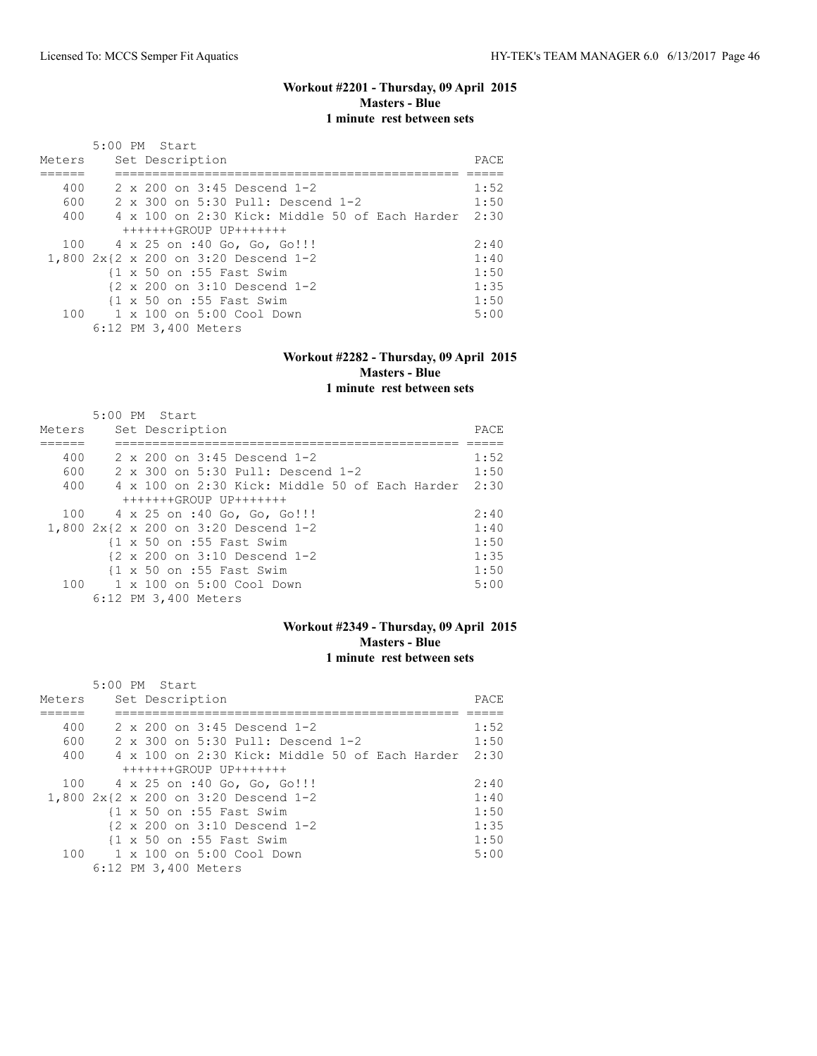### **Workout #2201 - Thursday, 09 April 2015 Masters - Blue 1 minute rest between sets**

| Meters | $5:00$ PM Start<br>Set Description                            | PACE |
|--------|---------------------------------------------------------------|------|
|        |                                                               |      |
| 400    | $2 \times 200$ on $3:45$ Descend 1-2                          | 1:52 |
| 600    | 2 x 300 on 5:30 Pull: Descend 1-2                             | 1:50 |
| 400    | $4 \times 100$ on 2:30 Kick: Middle 50 of Each Harder         | 2:30 |
|        | $+++++GROUP$ UP+++++++                                        |      |
| 100    | 4 x 25 on :40 Go, Go, Go!!!                                   | 2:40 |
|        | 1,800 2x{2 x 200 on 3:20 Descend 1-2                          | 1:40 |
|        | $\{1 \times 50 \text{ on } : 55 \text{ Fast} \text{ Swim}\}$  | 1:50 |
|        | $\{2 \times 200 \text{ on } 3:10 \text{ Descend } 1-2\}$      | 1:35 |
|        | $\{1 \times 50 \text{ on } : 55 \text{ Fast} \text{ Swim} \}$ | 1:50 |
| 100    | 1 x 100 on 5:00 Cool Down                                     | 5:00 |
|        | 6:12 PM 3,400 Meters                                          |      |

### **Workout #2282 - Thursday, 09 April 2015 Masters - Blue 1 minute rest between sets**

| Meters | $5:00$ PM Start<br>Set Description                           | PACE |
|--------|--------------------------------------------------------------|------|
|        |                                                              |      |
| 400    | 2 x 200 on 3:45 Descend 1-2                                  | 1:52 |
| 600    | 2 x 300 on 5:30 Pull: Descend 1-2                            | 1:50 |
| 400    | 4 x 100 on 2:30 Kick: Middle 50 of Each Harder               | 2:30 |
|        | $+++++GROUP$ UP+++++++                                       |      |
| 100    | 4 x 25 on :40 Go, Go, Go!!!                                  | 2:40 |
|        | 1,800 2x{2 x 200 on 3:20 Descend 1-2                         | 1:40 |
|        | $\{1 \times 50 \text{ on } : 55 \text{ Fast} \text{ Swim}\}$ | 1:50 |
|        | {2 x 200 on 3:10 Descend 1-2                                 | 1:35 |
|        | $\{1 \times 50 \text{ on } : 55 \text{ Fast} \text{ Swim}\}$ | 1:50 |
|        | 100    1 x 100    an 5:00    Cool    Down                    | 5:00 |
|        | 6:12 PM 3,400 Meters                                         |      |

### **Workout #2349 - Thursday, 09 April 2015 Masters - Blue 1 minute rest between sets**

|        | 5:00 PM Start                                                 |       |
|--------|---------------------------------------------------------------|-------|
| Meters | Set Description                                               | PACE. |
|        |                                                               |       |
| 400    | 2 x 200 on 3:45 Descend 1-2                                   | 1:52  |
| 600    | 2 x 300 on 5:30 Pull: Descend 1-2                             | 1:50  |
| 400    | 4 x 100 on 2:30 Kick: Middle 50 of Each Harder                | 2:30  |
|        | +++++++GROUP UP+++++++                                        |       |
|        | 100 4 x 25 on :40 Go, Go, Go!!!                               | 2:40  |
|        | 1,800 2x{2 x 200 on 3:20 Descend 1-2                          | 1:40  |
|        | $\{1 \times 50 \text{ on } : 55 \text{ Fast} \text{ Swim} \}$ | 1:50  |
|        | $\{2 \times 200 \text{ on } 3:10 \text{ Descend } 1-2$        | 1:35  |
|        | {1 x 50 on :55 Fast Swim                                      | 1:50  |
| 100    | 1 x 100 on 5:00 Cool Down                                     | 5:00  |
|        | 6:12 PM 3,400 Meters                                          |       |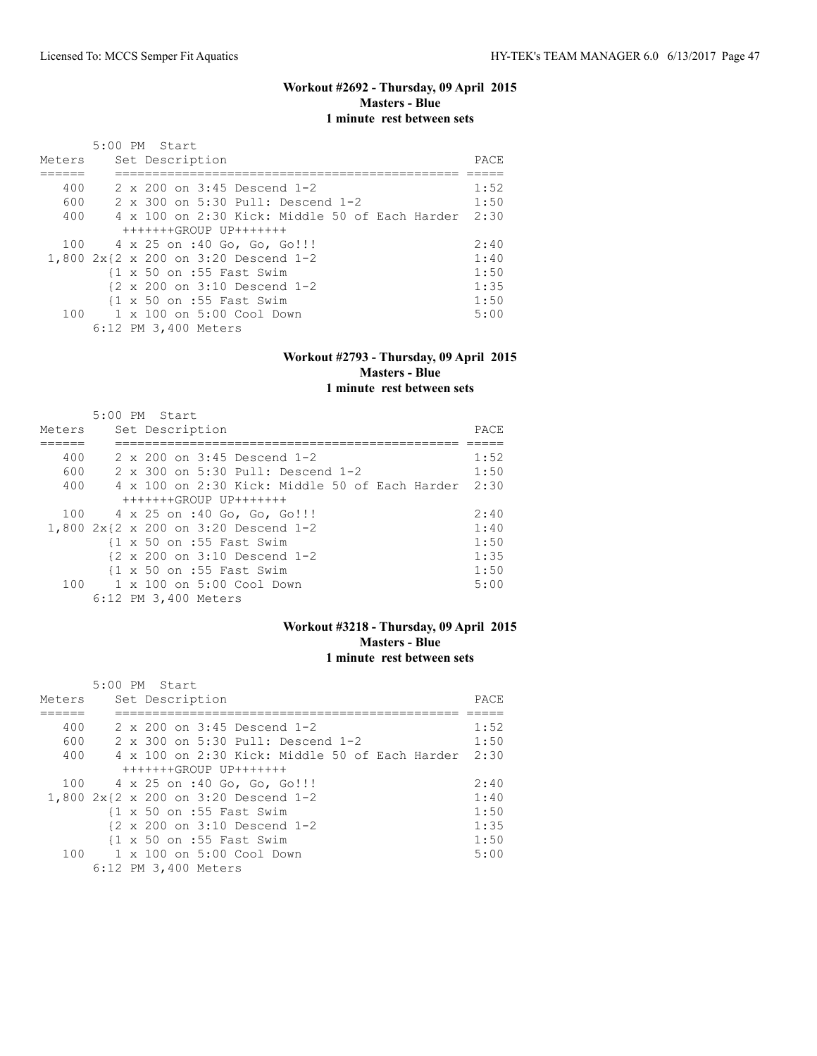### **Workout #2692 - Thursday, 09 April 2015 Masters - Blue 1 minute rest between sets**

| Meters | $5:00$ PM Start<br>Set Description                            | PACE |
|--------|---------------------------------------------------------------|------|
|        |                                                               |      |
| 400    | $2 \times 200$ on $3:45$ Descend 1-2                          | 1:52 |
| 600    | 2 x 300 on 5:30 Pull: Descend 1-2                             | 1:50 |
| 400    | $4 \times 100$ on 2:30 Kick: Middle 50 of Each Harder         | 2:30 |
|        | $+++++GROUP$ UP+++++++                                        |      |
| 100    | 4 x 25 on :40 Go, Go, Go!!!                                   | 2:40 |
|        | 1,800 2x{2 x 200 on 3:20 Descend 1-2                          | 1:40 |
|        | $\{1 \times 50 \text{ on } : 55 \text{ Fast} \text{ Swim}\}$  | 1:50 |
|        | $\{2 \times 200 \text{ on } 3:10 \text{ Descend } 1-2\}$      | 1:35 |
|        | $\{1 \times 50 \text{ on } : 55 \text{ Fast} \text{ Swim} \}$ | 1:50 |
| 100    | 1 x 100 on 5:00 Cool Down                                     | 5:00 |
|        | 6:12 PM 3,400 Meters                                          |      |

### **Workout #2793 - Thursday, 09 April 2015 Masters - Blue 1 minute rest between sets**

| Meters | $5:00$ PM Start<br>Set Description                           | PACE |
|--------|--------------------------------------------------------------|------|
|        |                                                              |      |
| 400    | 2 x 200 on 3:45 Descend 1-2                                  | 1:52 |
| 600    | 2 x 300 on 5:30 Pull: Descend 1-2                            | 1:50 |
| 400    | 4 x 100 on 2:30 Kick: Middle 50 of Each Harder               | 2:30 |
|        | $+++++GROUP$ UP+++++++                                       |      |
| 100    | 4 x 25 on :40 Go, Go, Go!!!                                  | 2:40 |
|        | 1,800 2x{2 x 200 on 3:20 Descend 1-2                         | 1:40 |
|        | $\{1 \times 50 \text{ on } : 55 \text{ Fast} \text{ Swim}\}$ | 1:50 |
|        | {2 x 200 on 3:10 Descend 1-2                                 | 1:35 |
|        | $\{1 \times 50 \text{ on } : 55 \text{ Fast} \text{ Swim}\}$ | 1:50 |
|        | 100    1 x 100    an 5:00    Cool    Down                    | 5:00 |
|        | 6:12 PM 3,400 Meters                                         |      |

### **Workout #3218 - Thursday, 09 April 2015 Masters - Blue 1 minute rest between sets**

|        | 5:00 PM Start                                                 |      |
|--------|---------------------------------------------------------------|------|
| Meters | Set Description                                               | PACE |
|        |                                                               |      |
| 400    | $2 \times 200$ on $3:45$ Descend 1-2                          | 1:52 |
| 600    | 2 x 300 on 5:30 Pull: Descend 1-2                             | 1:50 |
| 400    | 4 x 100 on 2:30 Kick: Middle 50 of Each Harder                | 2:30 |
|        | +++++++GROUP UP+++++++                                        |      |
|        | 100 4 x 25 on :40 Go, Go, Go!!!                               | 2:40 |
|        | 1,800 2x{2 x 200 on 3:20 Descend 1-2                          | 1:40 |
|        | $\{1 \times 50 \text{ on } : 55 \text{ Fast} \text{ Swim} \}$ | 1:50 |
|        | $\{2 \times 200 \text{ on } 3:10 \text{ Descend } 1-2$        | 1:35 |
|        | $\{1 \times 50 \text{ on } : 55 \text{ Fast} \text{ Swim} \}$ | 1:50 |
| 100    | 1 x 100 on 5:00 Cool Down                                     | 5:00 |
|        | 6:12 PM 3,400 Meters                                          |      |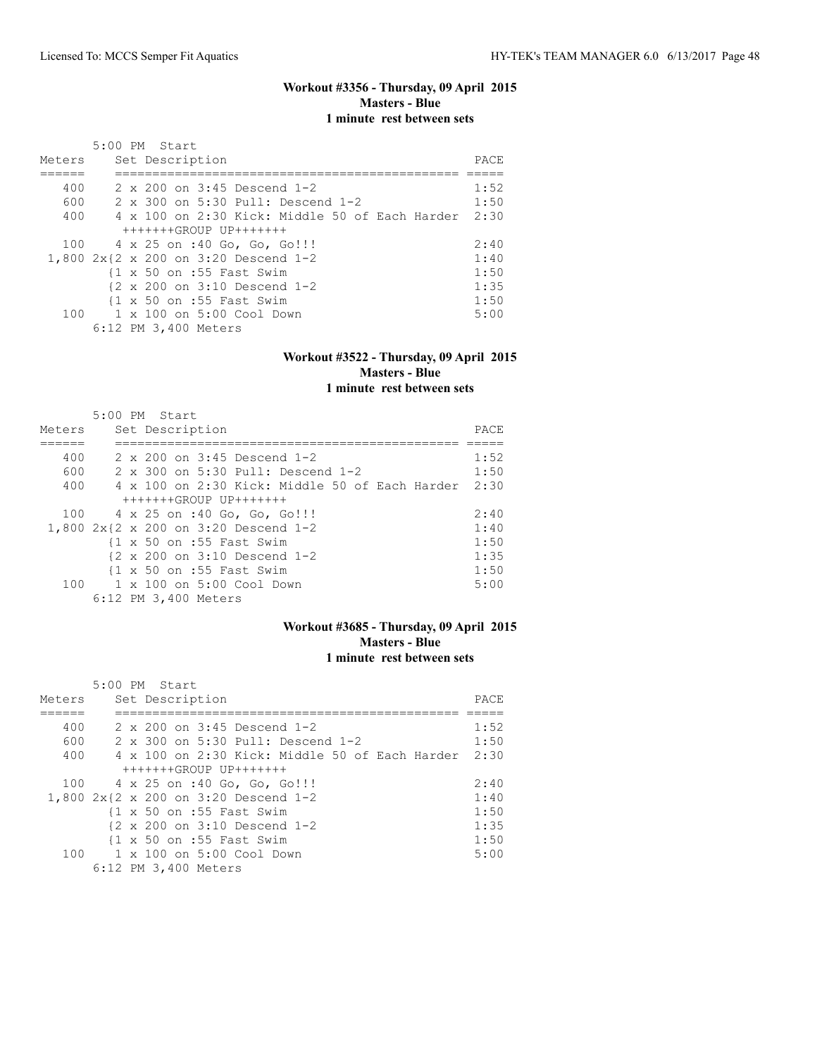#### **Workout #3356 - Thursday, 09 April 2015 Masters - Blue 1 minute rest between sets**

|        | $5:00$ PM Start                                               |      |
|--------|---------------------------------------------------------------|------|
| Meters | Set Description                                               | PACE |
|        |                                                               |      |
| 400    | $2 \times 200$ on $3:45$ Descend 1-2                          | 1:52 |
| 600    | 2 x 300 on 5:30 Pull: Descend 1-2                             | 1:50 |
| 400    | 4 x 100 on 2:30 Kick: Middle 50 of Each Harder                | 2:30 |
|        | $+++++GROUP$ UP+++++++                                        |      |
| 100    | 4 x 25 on :40 Go, Go, Go!!!                                   | 2:40 |
|        | 1,800 2x{2 x 200 on 3:20 Descend 1-2                          | 1:40 |
|        | $\{1 \times 50 \text{ on } : 55 \text{ Fast} \text{ Swim}\}$  | 1:50 |
|        | $\{2 \times 200 \text{ on } 3:10 \text{ Descend } 1-2\}$      | 1:35 |
|        | $\{1 \times 50 \text{ on } : 55 \text{ Fast} \text{ Swim} \}$ | 1:50 |
| 100    | 1 x 100 on 5:00 Cool Down                                     | 5:00 |
|        | 6:12 PM 3,400 Meters                                          |      |

### **Workout #3522 - Thursday, 09 April 2015 Masters - Blue 1 minute rest between sets**

| Meters | $5:00$ PM Start<br>Set Description                           | PACE |
|--------|--------------------------------------------------------------|------|
|        |                                                              |      |
| 400    | 2 x 200 on 3:45 Descend 1-2                                  | 1:52 |
| 600    | 2 x 300 on 5:30 Pull: Descend 1-2                            | 1:50 |
| 400    | 4 x 100 on 2:30 Kick: Middle 50 of Each Harder               | 2:30 |
|        | $+++++GROUP$ UP+++++++                                       |      |
| 100    | 4 x 25 on :40 Go, Go, Go!!!                                  | 2:40 |
|        | 1,800 2x{2 x 200 on 3:20 Descend 1-2                         | 1:40 |
|        | $\{1 \times 50 \text{ on } : 55 \text{ Fast} \text{ Swim}\}$ | 1:50 |
|        | {2 x 200 on 3:10 Descend 1-2                                 | 1:35 |
|        | $\{1 \times 50 \text{ on } : 55 \text{ Fast} \text{ Swim}\}$ | 1:50 |
|        | 100    1 x 100    an 5:00    Cool    Down                    | 5:00 |
|        | 6:12 PM 3,400 Meters                                         |      |

### **Workout #3685 - Thursday, 09 April 2015 Masters - Blue 1 minute rest between sets**

|        | 5:00 PM Start                                                 |       |
|--------|---------------------------------------------------------------|-------|
| Meters | Set Description                                               | PACE. |
|        |                                                               |       |
| 400    | 2 x 200 on 3:45 Descend 1-2                                   | 1:52  |
| 600    | 2 x 300 on 5:30 Pull: Descend 1-2                             | 1:50  |
| 400    | 4 x 100 on 2:30 Kick: Middle 50 of Each Harder                | 2:30  |
|        | +++++++GROUP UP+++++++                                        |       |
|        | 100 4 x 25 on :40 Go, Go, Go!!!                               | 2:40  |
|        | 1,800 2x{2 x 200 on 3:20 Descend 1-2                          | 1:40  |
|        | $\{1 \times 50 \text{ on } : 55 \text{ Fast} \text{ Swim} \}$ | 1:50  |
|        | $\{2 \times 200 \text{ on } 3:10 \text{ Descend } 1-2$        | 1:35  |
|        | {1 x 50 on :55 Fast Swim                                      | 1:50  |
| 100    | 1 x 100 on 5:00 Cool Down                                     | 5:00  |
|        | 6:12 PM 3,400 Meters                                          |       |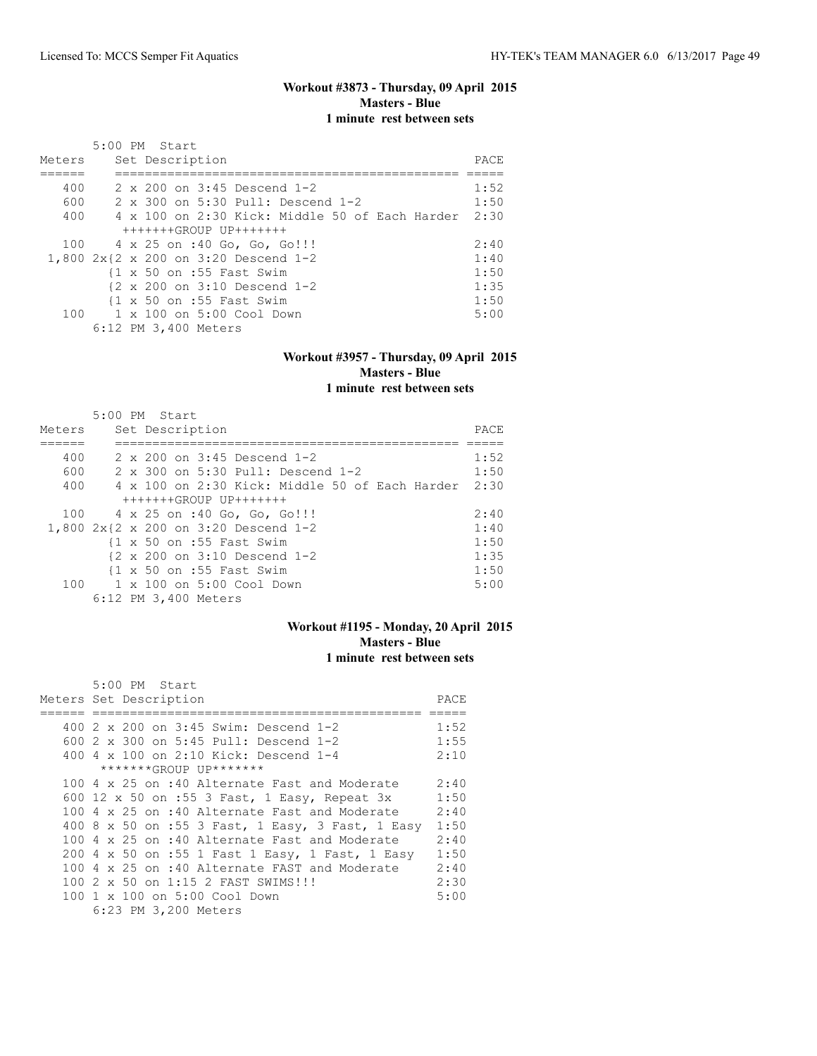### **Workout #3873 - Thursday, 09 April 2015 Masters - Blue 1 minute rest between sets**

| Meters | $5:00$ PM Start<br>Set Description                            | PACE |
|--------|---------------------------------------------------------------|------|
|        |                                                               |      |
| 400    | $2 \times 200$ on $3:45$ Descend 1-2                          | 1:52 |
| 600    | 2 x 300 on 5:30 Pull: Descend 1-2                             | 1:50 |
| 400    | $4 \times 100$ on 2:30 Kick: Middle 50 of Each Harder         | 2:30 |
|        | $+++++GROUP$ UP+++++++                                        |      |
| 100    | 4 x 25 on :40 Go, Go, Go!!!                                   | 2:40 |
|        | 1,800 2x{2 x 200 on 3:20 Descend 1-2                          | 1:40 |
|        | $\{1 \times 50 \text{ on } : 55 \text{ Fast} \text{ Swim}\}$  | 1:50 |
|        | $\{2 \times 200 \text{ on } 3:10 \text{ Descend } 1-2\}$      | 1:35 |
|        | $\{1 \times 50 \text{ on } : 55 \text{ Fast} \text{ Swim} \}$ | 1:50 |
| 100    | 1 x 100 on 5:00 Cool Down                                     | 5:00 |
|        | 6:12 PM 3,400 Meters                                          |      |

### **Workout #3957 - Thursday, 09 April 2015 Masters - Blue 1 minute rest between sets**

| Meters | $5:00$ PM Start<br>Set Description                           | PACE |
|--------|--------------------------------------------------------------|------|
|        |                                                              |      |
| 400    | $2 \times 200$ on $3:45$ Descend 1-2                         | 1:52 |
| 600    | 2 x 300 on 5:30 Pull: Descend 1-2                            | 1:50 |
| 400    | $4 \times 100$ on 2:30 Kick: Middle 50 of Each Harder        | 2:30 |
|        | $+++++GROUP$ UP+++++++                                       |      |
| 100    | 4 x 25 on :40 Go, Go, Go!!!                                  | 2:40 |
|        | 1,800 2x{2 x 200 on 3:20 Descend 1-2                         | 1:40 |
|        | $\{1 \times 50 \text{ on } : 55 \text{ Fast} \text{ Swim}\}$ | 1:50 |
|        | $\{2 \times 200 \text{ on } 3:10 \text{ Descend } 1-2\}$     | 1:35 |
|        | $\{1 \times 50 \text{ on } : 55 \text{ Fast} \text{ Swim}\}$ | 1:50 |
| 100    | 1 x 100 on 5:00 Cool Down                                    | 5:00 |
|        | 6:12 PM 3,400 Meters                                         |      |

### **Workout #1195 - Monday, 20 April 2015 Masters - Blue 1 minute rest between sets**

| $5:00$ PM Start                                  |      |
|--------------------------------------------------|------|
| Meters Set Description                           | PACE |
|                                                  |      |
| 400 2 x 200 on 3:45 Swim: Descend 1-2            | 1:52 |
| 600 2 x 300 on 5:45 Pull: Descend 1-2            | 1:55 |
| 400 4 x 100 on 2:10 Kick: Descend 1-4            | 2:10 |
| *******GROUP UP*******                           |      |
| 100 4 x 25 on :40 Alternate Fast and Moderate    | 2:40 |
| 600 12 x 50 on :55 3 Fast, 1 Easy, Repeat 3x     | 1:50 |
| 100 4 x 25 on :40 Alternate Fast and Moderate    | 2:40 |
| 400 8 x 50 on :55 3 Fast, 1 Easy, 3 Fast, 1 Easy | 1:50 |
| 100 4 x 25 on :40 Alternate Fast and Moderate    | 2:40 |
| 200 4 x 50 on :55 1 Fast 1 Easy, 1 Fast, 1 Easy  | 1:50 |
| 100 4 x 25 on :40 Alternate FAST and Moderate    | 2:40 |
| 100 2 x 50 on 1:15 2 FAST SWIMS!!!               | 2:30 |
| 100 1 x 100 on 5:00 Cool Down                    | 5:00 |
| 6:23 PM 3,200 Meters                             |      |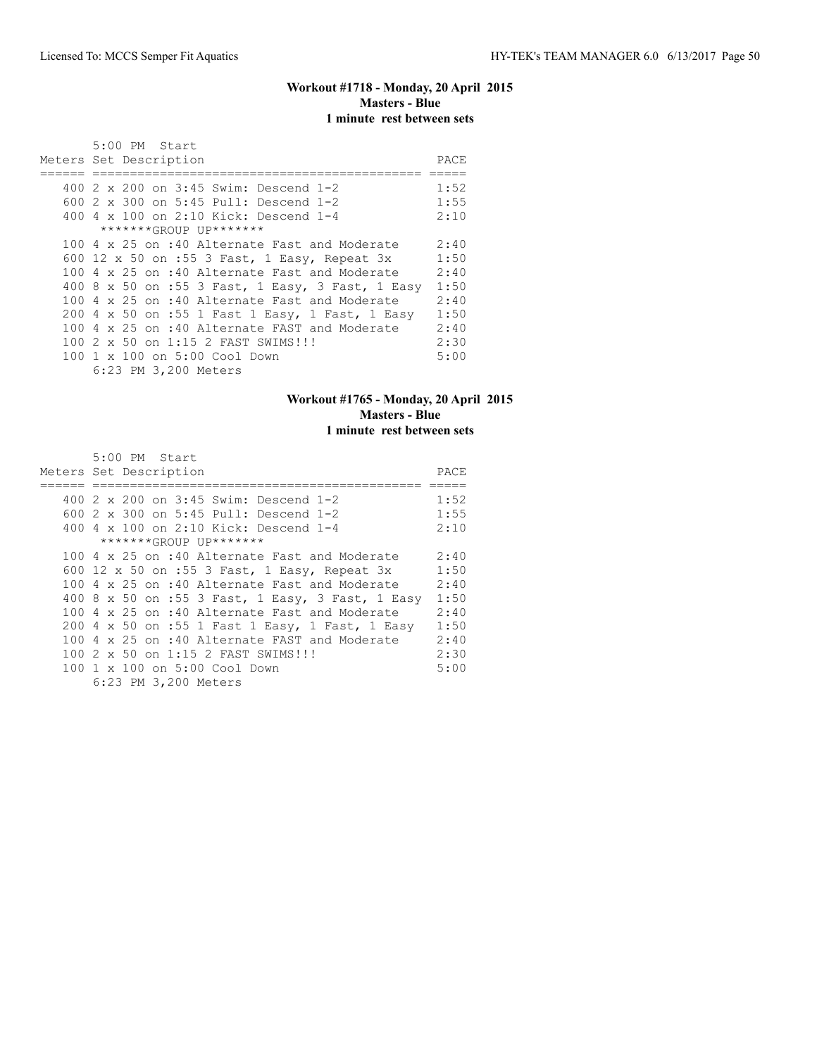### **Workout #1718 - Monday, 20 April 2015 Masters - Blue 1 minute rest between sets**

| $5:00$ PM Start                                  |       |
|--------------------------------------------------|-------|
| Meters Set Description                           | PACE. |
|                                                  |       |
| 400 2 x 200 on 3:45 Swim: Descend 1-2            | 1:52  |
| 600 2 x 300 on 5:45 Pull: Descend 1-2            | 1:55  |
| 400 4 x 100 on 2:10 Kick: Descend 1-4            | 2:10  |
| *******GROUP UP*******                           |       |
| 100 4 x 25 on :40 Alternate Fast and Moderate    | 2:40  |
| 600 12 x 50 on :55 3 Fast, 1 Easy, Repeat 3x     | 1:50  |
| 100 4 x 25 on :40 Alternate Fast and Moderate    | 2:40  |
| 400 8 x 50 on :55 3 Fast, 1 Easy, 3 Fast, 1 Easy | 1:50  |
| 100 4 x 25 on :40 Alternate Fast and Moderate    | 2:40  |
| 200 4 x 50 on :55 1 Fast 1 Easy, 1 Fast, 1 Easy  | 1:50  |
| 100 4 x 25 on :40 Alternate FAST and Moderate    | 2:40  |
| 100 2 x 50 on 1:15 2 FAST SWIMS!!!               | 2:30  |
| 100 1 x 100 on 5:00 Cool Down                    | 5:00  |
| 6:23 PM 3,200 Meters                             |       |

# **Workout #1765 - Monday, 20 April 2015 Masters - Blue 1 minute rest between sets**

| 5:00 PM Start                                        |      |
|------------------------------------------------------|------|
| Meters Set Description                               | PACE |
|                                                      |      |
| 400 2 x 200 on 3:45 Swim: Descend 1-2                | 1:52 |
| 600 2 x 300 on 5:45 Pull: Descend 1-2                | 1:55 |
| 400 4 x 100 on 2:10 Kick: Descend 1-4                | 2:10 |
| *******GROUP UP*******                               |      |
| 100 4 x 25 on :40 Alternate Fast and Moderate        | 2:40 |
| 600 12 x 50 on :55 3 Fast, 1 Easy, Repeat 3x         | 1:50 |
| 100 4 x 25 on :40 Alternate Fast and Moderate        | 2:40 |
| 400 8 x 50 on :55 3 Fast, 1 Easy, 3 Fast, 1 Easy     | 1:50 |
| 100 $4 \times 25$ on :40 Alternate Fast and Moderate | 2:40 |
| 200 4 x 50 on :55 1 Fast 1 Easy, 1 Fast, 1 Easy      | 1:50 |
| 100 4 $\times$ 25 on :40 Alternate FAST and Moderate | 2:40 |
| 100 2 x 50 on 1:15 2 FAST SWIMS!!!                   | 2:30 |
| 100 1 x 100 on 5:00 Cool Down                        | 5:00 |
| 6:23 PM 3,200 Meters                                 |      |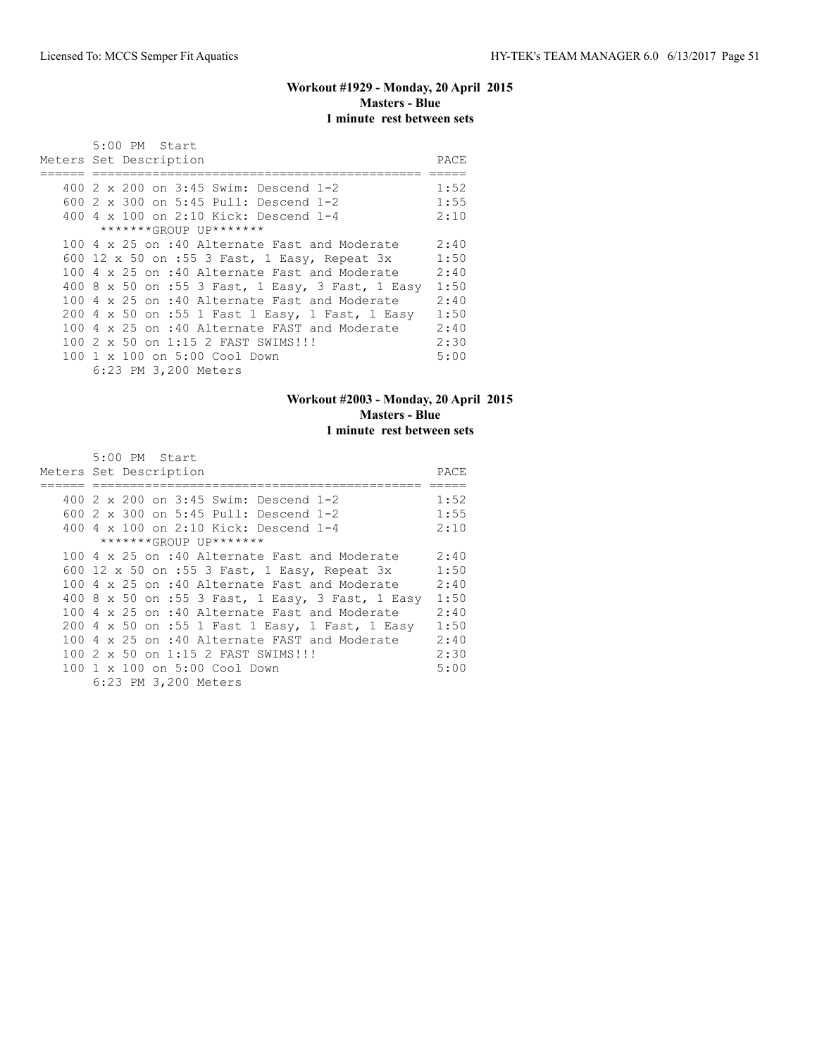# **Workout #1929 - Monday, 20 April 2015 Masters - Blue 1 minute rest between sets**

| 5:00 PM Start                                        |      |
|------------------------------------------------------|------|
| Meters Set Description                               | PACE |
|                                                      |      |
| 400 2 x 200 on 3:45 Swim: Descend 1-2                | 1:52 |
| 600 2 x 300 on 5:45 Pull: Descend 1-2                | 1:55 |
| 400 4 x 100 on 2:10 Kick: Descend 1-4                | 2:10 |
| *******GROUP UP*******                               |      |
| 100 4 x 25 on :40 Alternate Fast and Moderate        | 2:40 |
| 600 12 x 50 on :55 3 Fast, 1 Easy, Repeat 3x         | 1:50 |
| 100 4 x 25 on :40 Alternate Fast and Moderate        | 2:40 |
| 400 8 x 50 on :55 3 Fast, 1 Easy, 3 Fast, 1 Easy     | 1:50 |
| 100 $4 \times 25$ on :40 Alternate Fast and Moderate | 2:40 |
| 200 4 x 50 on :55 1 Fast 1 Easy, 1 Fast, 1 Easy      | 1:50 |
| 100 4 x 25 on :40 Alternate FAST and Moderate        | 2:40 |
| 100 2 x 50 on 1:15 2 FAST SWIMS!!!                   | 2:30 |
| 100 1 x 100 on 5:00 Cool Down                        | 5:00 |
| 6:23 PM 3,200 Meters                                 |      |

# **Workout #2003 - Monday, 20 April 2015 Masters - Blue 1 minute rest between sets**

| 5:00 PM Start                                        |      |
|------------------------------------------------------|------|
| Meters Set Description                               | PACE |
|                                                      |      |
| 400 2 x 200 on 3:45 Swim: Descend 1-2                | 1:52 |
| 600 2 x 300 on 5:45 Pull: Descend 1-2                | 1:55 |
| 400 4 x 100 on 2:10 Kick: Descend 1-4                | 2:10 |
| *******GROUP UP*******                               |      |
| 100 4 x 25 on :40 Alternate Fast and Moderate        | 2:40 |
| 600 12 x 50 on :55 3 Fast, 1 Easy, Repeat 3x         | 1:50 |
| 100 4 x 25 on :40 Alternate Fast and Moderate        | 2:40 |
| 400 8 x 50 on :55 3 Fast, 1 Easy, 3 Fast, 1 Easy     | 1:50 |
| 100 $4 \times 25$ on :40 Alternate Fast and Moderate | 2:40 |
| 200 4 x 50 on :55 1 Fast 1 Easy, 1 Fast, 1 Easy      | 1:50 |
| 100 4 $\times$ 25 on :40 Alternate FAST and Moderate | 2:40 |
| 100 2 x 50 on 1:15 2 FAST SWIMS!!!                   | 2:30 |
| 100 1 x 100 on 5:00 Cool Down                        | 5:00 |
| 6:23 PM 3,200 Meters                                 |      |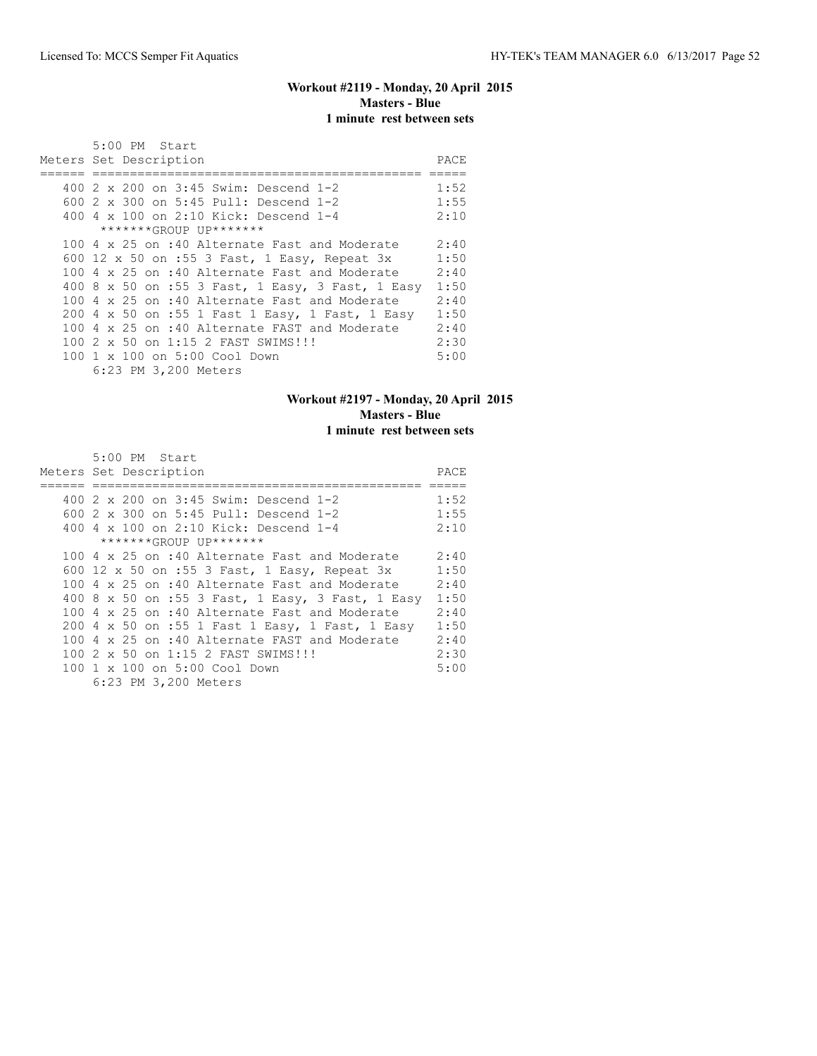### **Workout #2119 - Monday, 20 April 2015 Masters - Blue 1 minute rest between sets**

| $5:00$ PM Start                                  |      |
|--------------------------------------------------|------|
| Meters Set Description                           | PACE |
|                                                  |      |
| 400 2 x 200 on 3:45 Swim: Descend 1-2            | 1:52 |
| 600 2 x 300 on 5:45 Pull: Descend 1-2            | 1:55 |
| 400 4 x 100 on 2:10 Kick: Descend 1-4            | 2:10 |
| *******GROUP UP*******                           |      |
| 100 4 x 25 on :40 Alternate Fast and Moderate    | 2:40 |
| 600 12 x 50 on :55 3 Fast, 1 Easy, Repeat 3x     | 1:50 |
| 100 4 x 25 on :40 Alternate Fast and Moderate    | 2:40 |
| 400 8 x 50 on :55 3 Fast, 1 Easy, 3 Fast, 1 Easy | 1:50 |
| 100 4 x 25 on :40 Alternate Fast and Moderate    | 2:40 |
| 200 4 x 50 on :55 1 Fast 1 Easy, 1 Fast, 1 Easy  | 1:50 |
| 100 4 x 25 on :40 Alternate FAST and Moderate    | 2:40 |
| 100 2 x 50 on 1:15 2 FAST SWIMS!!!               | 2:30 |
| 100 1 x 100 on 5:00 Cool Down                    | 5:00 |
| 6:23 PM 3,200 Meters                             |      |

# **Workout #2197 - Monday, 20 April 2015 Masters - Blue 1 minute rest between sets**

| 5:00 PM Start                                        |      |
|------------------------------------------------------|------|
| Meters Set Description                               | PACE |
|                                                      |      |
| 400 2 x 200 on 3:45 Swim: Descend 1-2                | 1:52 |
| 600 2 x 300 on 5:45 Pull: Descend 1-2                | 1:55 |
| 400 4 x 100 on 2:10 Kick: Descend 1-4                | 2:10 |
| *******GROUP UP*******                               |      |
| 100 4 x 25 on :40 Alternate Fast and Moderate        | 2:40 |
| 600 12 x 50 on :55 3 Fast, 1 Easy, Repeat 3x         | 1:50 |
| 100 4 x 25 on :40 Alternate Fast and Moderate        | 2:40 |
| 400 8 x 50 on :55 3 Fast, 1 Easy, 3 Fast, 1 Easy     | 1:50 |
| 100 $4 \times 25$ on :40 Alternate Fast and Moderate | 2:40 |
| 200 4 x 50 on :55 1 Fast 1 Easy, 1 Fast, 1 Easy      | 1:50 |
| 100 4 $\times$ 25 on :40 Alternate FAST and Moderate | 2:40 |
| 100 2 x 50 on 1:15 2 FAST SWIMS!!!                   | 2:30 |
| 100 1 x 100 on 5:00 Cool Down                        | 5:00 |
| 6:23 PM 3,200 Meters                                 |      |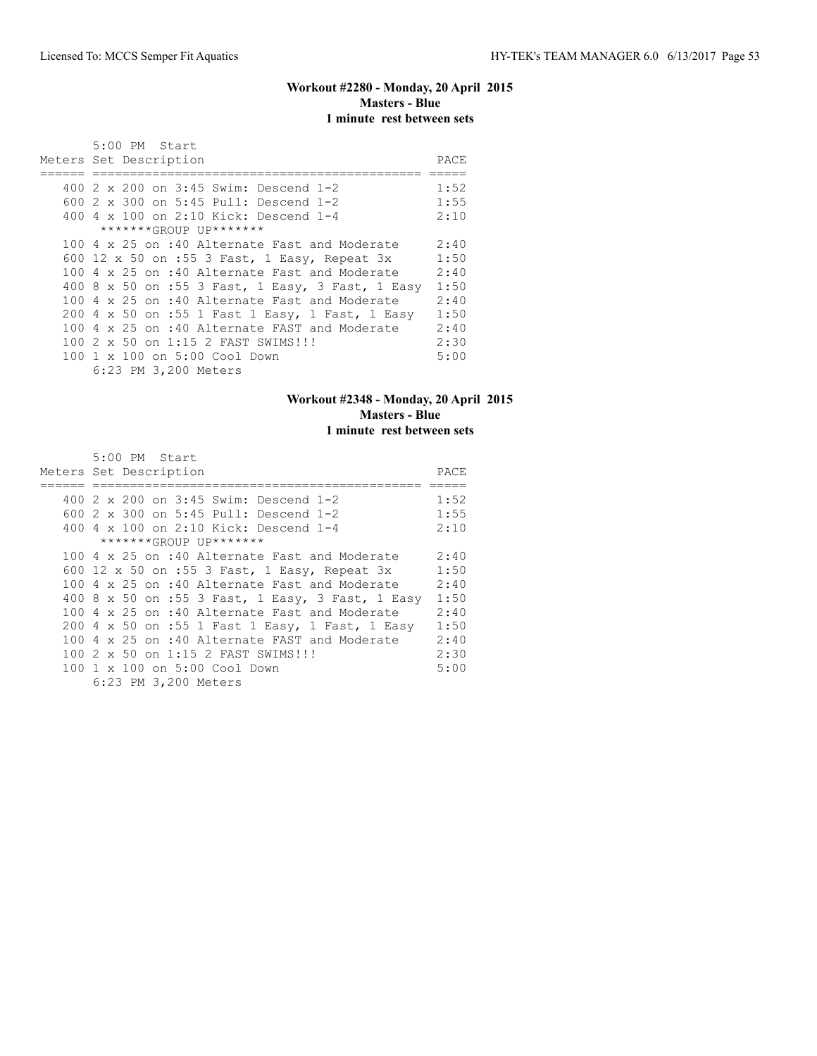# **Workout #2280 - Monday, 20 April 2015 Masters - Blue 1 minute rest between sets**

| $5:00$ PM Start                                      |      |
|------------------------------------------------------|------|
| Meters Set Description                               | PACE |
|                                                      |      |
| 400 2 x 200 on 3:45 Swim: Descend 1-2                | 1:52 |
| 600 2 x 300 on 5:45 Pull: Descend 1-2                | 1:55 |
| 400 4 x 100 on 2:10 Kick: Descend 1-4                | 2:10 |
| *******GROUP UP*******                               |      |
| 100 4 x 25 on :40 Alternate Fast and Moderate        | 2:40 |
| 600 12 x 50 on :55 3 Fast, 1 Easy, Repeat 3x         | 1:50 |
| 100 4 x 25 on :40 Alternate Fast and Moderate        | 2:40 |
| 400 8 x 50 on :55 3 Fast, 1 Easy, 3 Fast, 1 Easy     | 1:50 |
| 100 4 x 25 on :40 Alternate Fast and Moderate        | 2:40 |
| 200 4 x 50 on :55 1 Fast 1 Easy, 1 Fast, 1 Easy      | 1:50 |
| 100 4 $\times$ 25 on :40 Alternate FAST and Moderate | 2:40 |
| 100 2 x 50 on 1:15 2 FAST SWIMS!!!                   | 2:30 |
| 100 1 x 100 on 5:00 Cool Down                        | 5:00 |
| 6:23 PM 3,200 Meters                                 |      |

# **Workout #2348 - Monday, 20 April 2015 Masters - Blue 1 minute rest between sets**

| 5:00 PM Start                                        |      |
|------------------------------------------------------|------|
| Meters Set Description                               | PACE |
|                                                      |      |
| 400 2 x 200 on 3:45 Swim: Descend 1-2                | 1:52 |
| 600 2 x 300 on 5:45 Pull: Descend 1-2                | 1:55 |
| 400 4 x 100 on 2:10 Kick: Descend 1-4                | 2:10 |
| *******GROUP UP*******                               |      |
| 100 4 x 25 on :40 Alternate Fast and Moderate        | 2:40 |
| 600 12 x 50 on :55 3 Fast, 1 Easy, Repeat 3x         | 1:50 |
| 100 4 x 25 on :40 Alternate Fast and Moderate        | 2:40 |
| 400 8 x 50 on :55 3 Fast, 1 Easy, 3 Fast, 1 Easy     | 1:50 |
| 100 $4 \times 25$ on :40 Alternate Fast and Moderate | 2:40 |
| 200 4 x 50 on :55 1 Fast 1 Easy, 1 Fast, 1 Easy      | 1:50 |
| 100 4 $\times$ 25 on :40 Alternate FAST and Moderate | 2:40 |
| 100 2 x 50 on 1:15 2 FAST SWIMS!!!                   | 2:30 |
| 100 1 x 100 on 5:00 Cool Down                        | 5:00 |
| 6:23 PM 3,200 Meters                                 |      |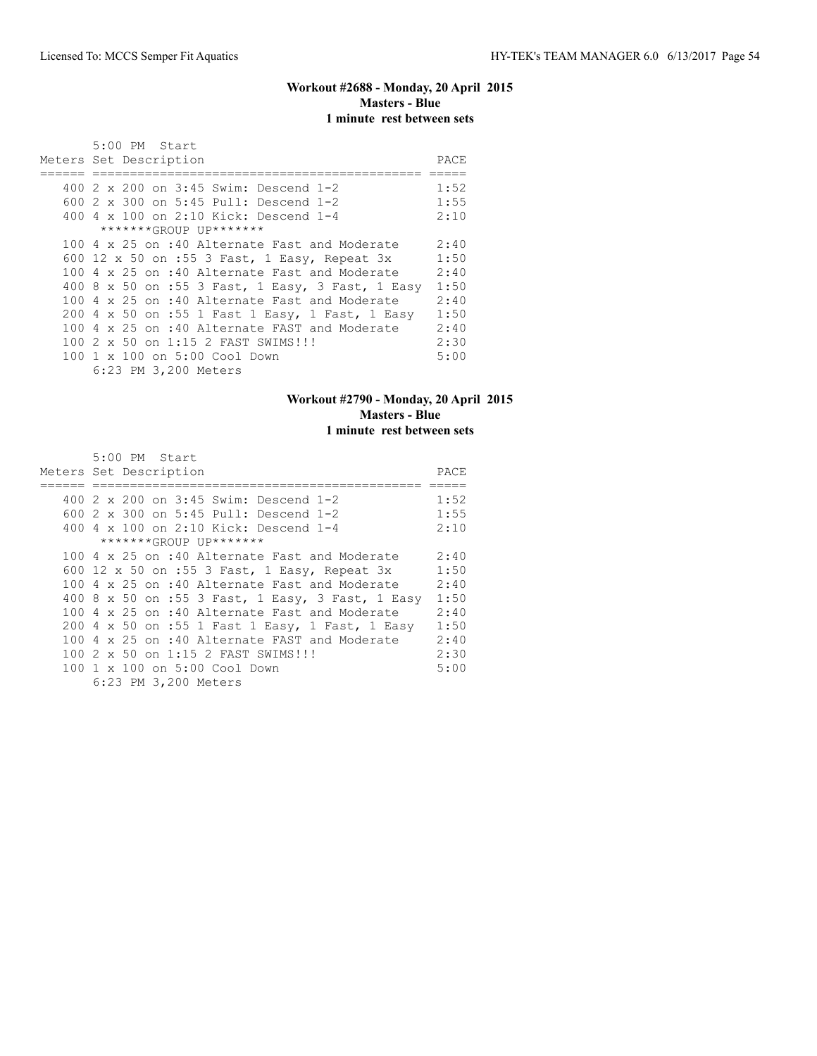# **Workout #2688 - Monday, 20 April 2015 Masters - Blue 1 minute rest between sets**

| 5:00 PM Start                                        |      |
|------------------------------------------------------|------|
| Meters Set Description                               | PACE |
|                                                      |      |
| 400 2 x 200 on 3:45 Swim: Descend 1-2                | 1:52 |
| 600 2 x 300 on 5:45 Pull: Descend 1-2                | 1:55 |
| 400 4 x 100 on 2:10 Kick: Descend 1-4                | 2:10 |
| *******GROUP UP*******                               |      |
| 100 4 x 25 on :40 Alternate Fast and Moderate        | 2:40 |
| 600 12 x 50 on :55 3 Fast, 1 Easy, Repeat 3x         | 1:50 |
| 100 4 x 25 on :40 Alternate Fast and Moderate        | 2:40 |
| 400 8 x 50 on :55 3 Fast, 1 Easy, 3 Fast, 1 Easy     | 1:50 |
| 100 $4 \times 25$ on :40 Alternate Fast and Moderate | 2:40 |
| 200 4 x 50 on :55 1 Fast 1 Easy, 1 Fast, 1 Easy      | 1:50 |
| 100 4 x 25 on :40 Alternate FAST and Moderate        | 2:40 |
| 100 2 x 50 on 1:15 2 FAST SWIMS!!!                   | 2:30 |
| 100 1 x 100 on 5:00 Cool Down                        | 5:00 |
| 6:23 PM 3,200 Meters                                 |      |

# **Workout #2790 - Monday, 20 April 2015 Masters - Blue 1 minute rest between sets**

| 5:00 PM Start                                        |      |
|------------------------------------------------------|------|
| Meters Set Description                               | PACE |
|                                                      |      |
| 400 2 x 200 on 3:45 Swim: Descend 1-2                | 1:52 |
| 600 2 x 300 on 5:45 Pull: Descend 1-2                | 1:55 |
| 400 4 x 100 on 2:10 Kick: Descend 1-4                | 2:10 |
| *******GROUP UP*******                               |      |
| 100 4 x 25 on :40 Alternate Fast and Moderate        | 2:40 |
| 600 12 x 50 on :55 3 Fast, 1 Easy, Repeat 3x         | 1:50 |
| 100 4 x 25 on :40 Alternate Fast and Moderate        | 2:40 |
| 400 8 x 50 on :55 3 Fast, 1 Easy, 3 Fast, 1 Easy     | 1:50 |
| 100 $4 \times 25$ on :40 Alternate Fast and Moderate | 2:40 |
| 200 4 x 50 on :55 1 Fast 1 Easy, 1 Fast, 1 Easy      | 1:50 |
| 100 4 $\times$ 25 on :40 Alternate FAST and Moderate | 2:40 |
| 100 2 x 50 on 1:15 2 FAST SWIMS!!!                   | 2:30 |
| 100 1 x 100 on 5:00 Cool Down                        | 5:00 |
| 6:23 PM 3,200 Meters                                 |      |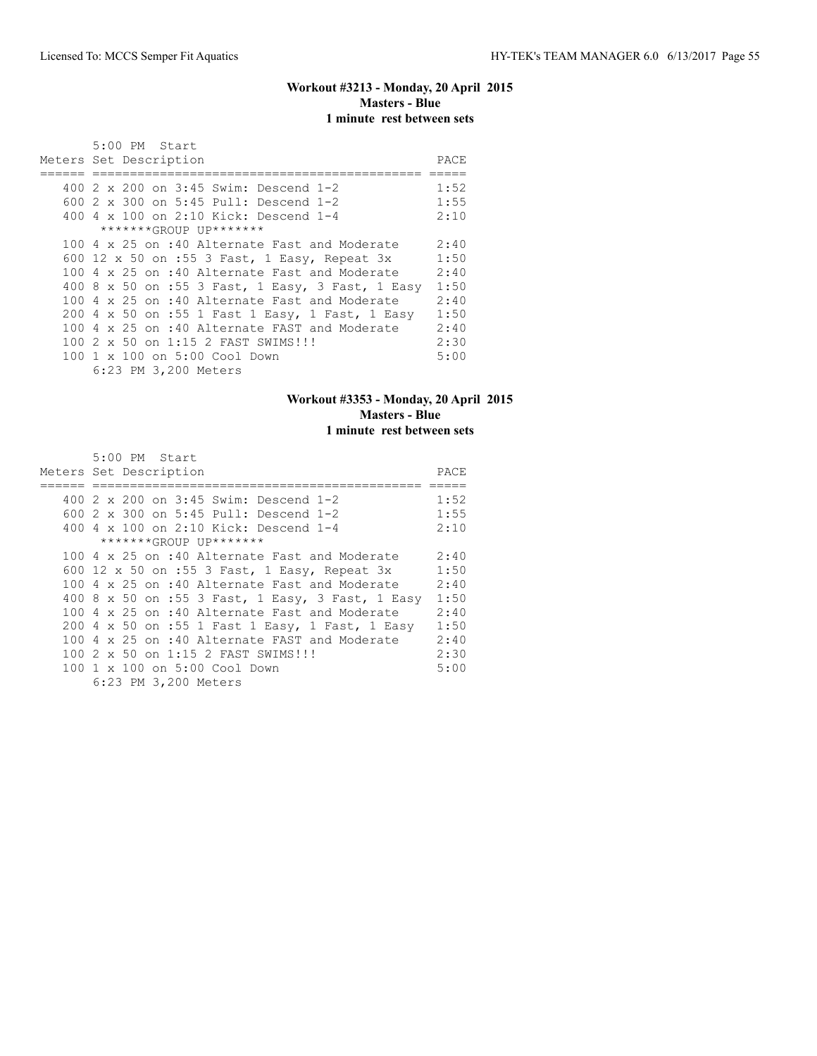### **Workout #3213 - Monday, 20 April 2015 Masters - Blue 1 minute rest between sets**

| $5:00$ PM Start                                  |      |
|--------------------------------------------------|------|
| Meters Set Description                           | PACE |
|                                                  |      |
| 400 2 x 200 on 3:45 Swim: Descend 1-2            | 1:52 |
| 600 2 x 300 on 5:45 Pull: Descend 1-2            | 1:55 |
| 400 4 x 100 on 2:10 Kick: Descend 1-4            | 2:10 |
| *******GROUP UP*******                           |      |
| 100 4 x 25 on :40 Alternate Fast and Moderate    | 2:40 |
| 600 12 x 50 on :55 3 Fast, 1 Easy, Repeat 3x     | 1:50 |
| 100 4 x 25 on :40 Alternate Fast and Moderate    | 2:40 |
| 400 8 x 50 on :55 3 Fast, 1 Easy, 3 Fast, 1 Easy | 1:50 |
| 100 4 x 25 on :40 Alternate Fast and Moderate    | 2:40 |
| 200 4 x 50 on :55 1 Fast 1 Easy, 1 Fast, 1 Easy  | 1:50 |
| 100 4 x 25 on :40 Alternate FAST and Moderate    | 2:40 |
| 100 2 x 50 on 1:15 2 FAST SWIMS!!!               | 2:30 |
| 100 1 x 100 on 5:00 Cool Down                    | 5:00 |
| 6:23 PM 3,200 Meters                             |      |

# **Workout #3353 - Monday, 20 April 2015 Masters - Blue 1 minute rest between sets**

| 5:00 PM Start                                        |      |
|------------------------------------------------------|------|
| Meters Set Description                               | PACE |
|                                                      |      |
| 400 2 x 200 on 3:45 Swim: Descend 1-2                | 1:52 |
| 600 2 x 300 on 5:45 Pull: Descend 1-2                | 1:55 |
| 400 4 x 100 on 2:10 Kick: Descend 1-4                | 2:10 |
| *******GROUP UP*******                               |      |
| 100 4 x 25 on :40 Alternate Fast and Moderate        | 2:40 |
| 600 12 x 50 on :55 3 Fast, 1 Easy, Repeat 3x         | 1:50 |
| 100 4 x 25 on :40 Alternate Fast and Moderate        | 2:40 |
| 400 8 x 50 on :55 3 Fast, 1 Easy, 3 Fast, 1 Easy     | 1:50 |
| 100 4 $\times$ 25 on :40 Alternate Fast and Moderate | 2:40 |
| 200 4 x 50 on :55 1 Fast 1 Easy, 1 Fast, 1 Easy      | 1:50 |
| 100 4 $\times$ 25 on :40 Alternate FAST and Moderate | 2:40 |
| 100 2 x 50 on 1:15 2 FAST SWIMS!!!                   | 2:30 |
| 100 1 x 100 on 5:00 Cool Down                        | 5:00 |
| 6:23 PM 3,200 Meters                                 |      |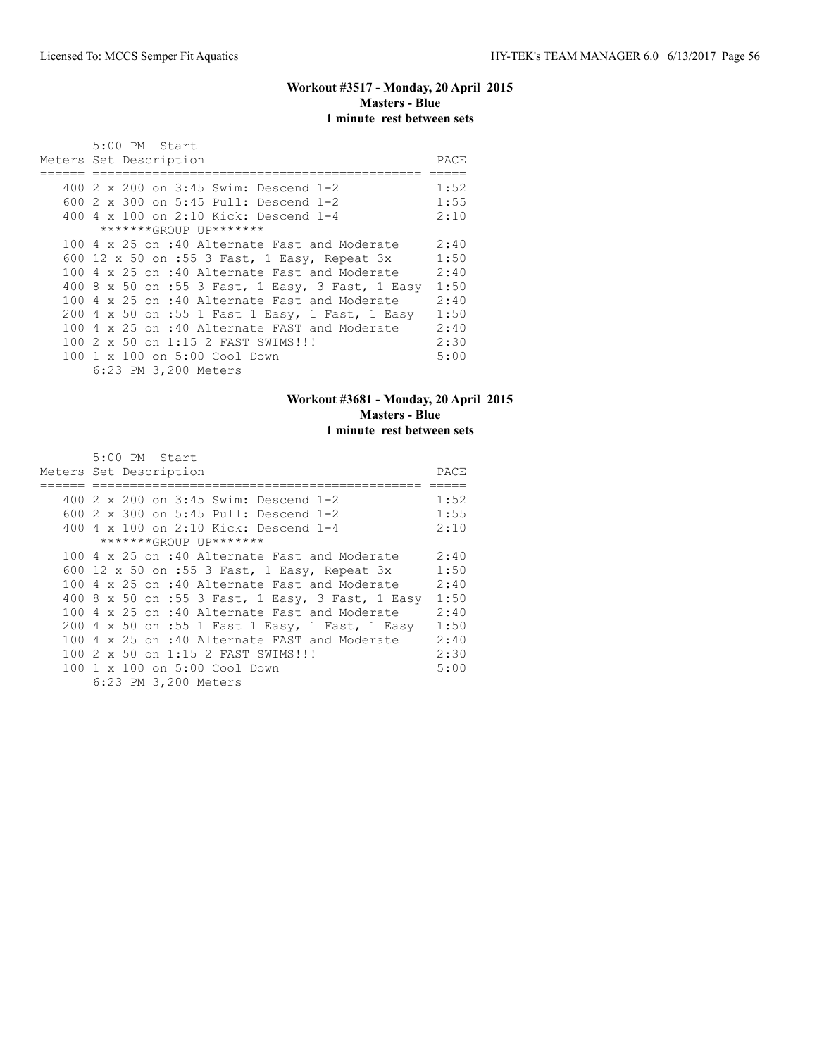# **Workout #3517 - Monday, 20 April 2015 Masters - Blue 1 minute rest between sets**

| 5:00 PM Start                                    |       |
|--------------------------------------------------|-------|
| Meters Set Description                           | PACE. |
|                                                  |       |
| 400 2 x 200 on 3:45 Swim: Descend 1-2            | 1:52  |
| 600 2 x 300 on 5:45 Pull: Descend 1-2            | 1:55  |
| 400 4 x 100 on 2:10 Kick: Descend 1-4            | 2:10  |
| *******GROUP UP*******                           |       |
| 100 4 x 25 on :40 Alternate Fast and Moderate    | 2:40  |
| 600 12 x 50 on :55 3 Fast, 1 Easy, Repeat 3x     | 1:50  |
| 100 4 x 25 on :40 Alternate Fast and Moderate    | 2:40  |
| 400 8 x 50 on :55 3 Fast, 1 Easy, 3 Fast, 1 Easy | 1:50  |
| 100 4 x 25 on :40 Alternate Fast and Moderate    | 2:40  |
| 200 4 x 50 on :55 1 Fast 1 Easy, 1 Fast, 1 Easy  | 1:50  |
| 100 4 x 25 on :40 Alternate FAST and Moderate    | 2:40  |
| 100 2 x 50 on 1:15 2 FAST SWIMS!!!               | 2:30  |
| 100 1 x 100 on 5:00 Cool Down                    | 5:00  |
| 6:23 PM 3,200 Meters                             |       |

# **Workout #3681 - Monday, 20 April 2015 Masters - Blue 1 minute rest between sets**

| 5:00 PM Start                                        |      |
|------------------------------------------------------|------|
| Meters Set Description                               | PACE |
|                                                      |      |
| 400 2 x 200 on 3:45 Swim: Descend 1-2                | 1:52 |
| 600 2 x 300 on 5:45 Pull: Descend 1-2                | 1:55 |
| 400 4 x 100 on 2:10 Kick: Descend 1-4                | 2:10 |
| *******GROUP UP*******                               |      |
| 100 4 x 25 on :40 Alternate Fast and Moderate        | 2:40 |
| 600 12 x 50 on :55 3 Fast, 1 Easy, Repeat 3x         | 1:50 |
| 100 4 x 25 on :40 Alternate Fast and Moderate        | 2:40 |
| 400 8 x 50 on :55 3 Fast, 1 Easy, 3 Fast, 1 Easy     | 1:50 |
| 100 4 $\times$ 25 on :40 Alternate Fast and Moderate | 2:40 |
| 200 4 x 50 on :55 1 Fast 1 Easy, 1 Fast, 1 Easy      | 1:50 |
| 100 4 x 25 on :40 Alternate FAST and Moderate        | 2:40 |
| 100 2 x 50 on 1:15 2 FAST SWIMS!!!                   | 2:30 |
| 100 1 x 100 on 5:00 Cool Down                        | 5:00 |
| 6:23 PM 3,200 Meters                                 |      |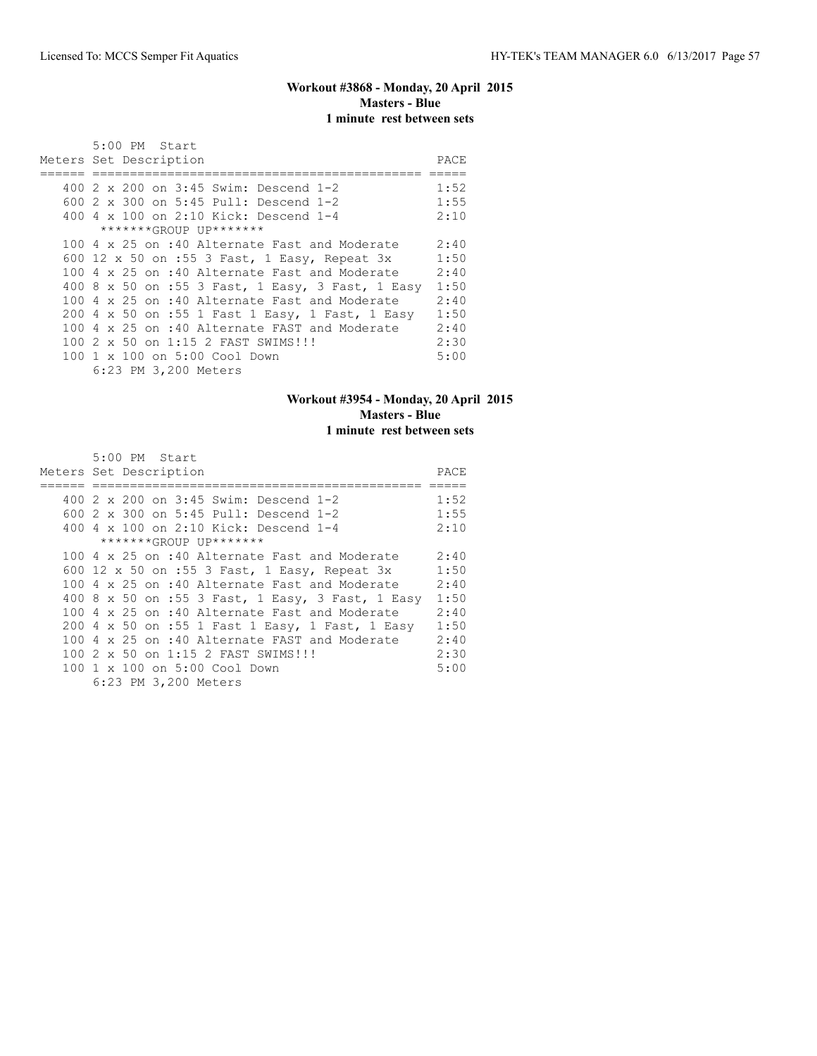# **Workout #3868 - Monday, 20 April 2015 Masters - Blue 1 minute rest between sets**

| $5:00$ PM Start                                  |      |
|--------------------------------------------------|------|
| Meters Set Description                           | PACE |
|                                                  |      |
| 400 2 x 200 on 3:45 Swim: Descend 1-2            | 1:52 |
| 600 2 x 300 on 5:45 Pull: Descend 1-2            | 1:55 |
| 400 4 x 100 on 2:10 Kick: Descend 1-4            | 2:10 |
| *******GROUP UP*******                           |      |
| 100 4 x 25 on :40 Alternate Fast and Moderate    | 2:40 |
| 600 12 x 50 on :55 3 Fast, 1 Easy, Repeat 3x     | 1:50 |
| 100 4 x 25 on :40 Alternate Fast and Moderate    | 2:40 |
| 400 8 x 50 on :55 3 Fast, 1 Easy, 3 Fast, 1 Easy | 1:50 |
| 100 4 x 25 on :40 Alternate Fast and Moderate    | 2:40 |
| 200 4 x 50 on :55 1 Fast 1 Easy, 1 Fast, 1 Easy  | 1:50 |
| 100 4 x 25 on :40 Alternate FAST and Moderate    | 2:40 |
| 100 2 x 50 on 1:15 2 FAST SWIMS!!!               | 2:30 |
| 100 1 x 100 on 5:00 Cool Down                    | 5:00 |
| 6:23 PM 3,200 Meters                             |      |

# **Workout #3954 - Monday, 20 April 2015 Masters - Blue 1 minute rest between sets**

| 5:00 PM Start                                        |      |
|------------------------------------------------------|------|
| Meters Set Description                               | PACE |
|                                                      |      |
| 400 2 x 200 on 3:45 Swim: Descend 1-2                | 1:52 |
| 600 2 x 300 on 5:45 Pull: Descend 1-2                | 1:55 |
| 400 4 x 100 on 2:10 Kick: Descend 1-4                | 2:10 |
| *******GROUP UP*******                               |      |
| 100 4 x 25 on :40 Alternate Fast and Moderate        | 2:40 |
| 600 12 x 50 on :55 3 Fast, 1 Easy, Repeat 3x         | 1:50 |
| 100 4 x 25 on :40 Alternate Fast and Moderate        | 2:40 |
| 400 8 x 50 on :55 3 Fast, 1 Easy, 3 Fast, 1 Easy     | 1:50 |
| 100 $4 \times 25$ on :40 Alternate Fast and Moderate | 2:40 |
| 200 4 x 50 on :55 1 Fast 1 Easy, 1 Fast, 1 Easy      | 1:50 |
| 100 4 $\times$ 25 on :40 Alternate FAST and Moderate | 2:40 |
| 100 2 x 50 on 1:15 2 FAST SWIMS!!!                   | 2:30 |
| 100 1 x 100 on 5:00 Cool Down                        | 5:00 |
| 6:23 PM 3,200 Meters                                 |      |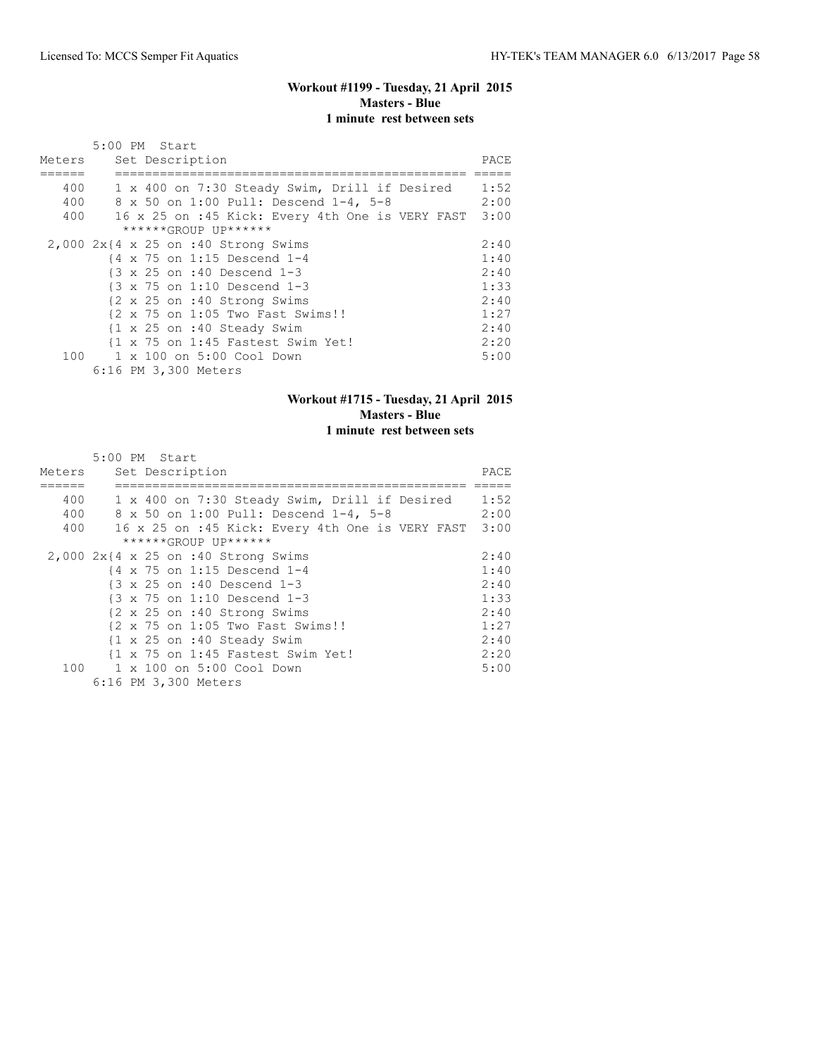#### **Workout #1199 - Tuesday, 21 April 2015 Masters - Blue 1 minute rest between sets**

|        | 5:00 PM Start                                         |      |
|--------|-------------------------------------------------------|------|
| Meters | Set Description                                       | PACE |
|        |                                                       |      |
| 400    | 1 x 400 on 7:30 Steady Swim, Drill if Desired         | 1:52 |
| 400    | 8 x 50 on 1:00 Pull: Descend 1-4, 5-8                 | 2:00 |
| 400    | 16 x 25 on :45 Kick: Every 4th One is VERY FAST       | 3:00 |
|        | ******GROUP UP******                                  |      |
|        | $2,000$ $2x$ {4 x 25 on :40 Strong Swims              | 2:40 |
|        | {4 x 75 on 1:15 Descend 1-4                           | 1:40 |
|        | {3 x 25 on :40 Descend 1-3                            | 2:40 |
|        | $\{3 \times 75 \text{ on } 1:10 \text{ Descend } 1-3$ | 1:33 |
|        | {2 x 25 on :40 Strong Swims                           | 2:40 |
|        | {2 x 75 on 1:05 Two Fast Swims!!                      | 1:27 |
|        | {1 x 25 on :40 Steady Swim                            | 2:40 |
|        | {1 x 75 on 1:45 Fastest Swim Yet!                     | 2:20 |
| 100    | 1 x 100 on 5:00 Cool Down                             | 5:00 |
|        | 6:16 PM 3,300 Meters                                  |      |

# **Workout #1715 - Tuesday, 21 April 2015 Masters - Blue 1 minute rest between sets**

|        | 5:00 PM Start                                         |      |
|--------|-------------------------------------------------------|------|
| Meters | Set Description                                       | PACE |
|        |                                                       |      |
| 400    | 1 x 400 on 7:30 Steady Swim, Drill if Desired         | 1:52 |
| 400    | 8 x 50 on 1:00 Pull: Descend 1-4, 5-8                 | 2:00 |
| 400    | 16 x 25 on :45 Kick: Every 4th One is VERY FAST 3:00  |      |
|        | ******GROUP UP******                                  |      |
|        | $2,000$ $2x$ {4 x 25 on :40 Strong Swims              | 2:40 |
|        | {4 x 75 on 1:15 Descend 1-4                           | 1:40 |
|        | $\{3 \times 25 \text{ on } : 40 \text{ Descend } 1-3$ | 2:40 |
|        | $\{3 \times 75 \text{ on } 1:10 \text{ Descend } 1-3$ | 1:33 |
|        | {2 x 25 on :40 Strong Swims                           | 2:40 |
|        | {2 x 75 on 1:05 Two Fast Swims!!                      | 1:27 |
|        | {1 x 25 on :40 Steady Swim                            | 2:40 |
|        | {1 x 75 on 1:45 Fastest Swim Yet!                     | 2:20 |
| 100    | 1 x 100 on 5:00 Cool Down                             | 5:00 |
|        | 6:16 PM 3,300 Meters                                  |      |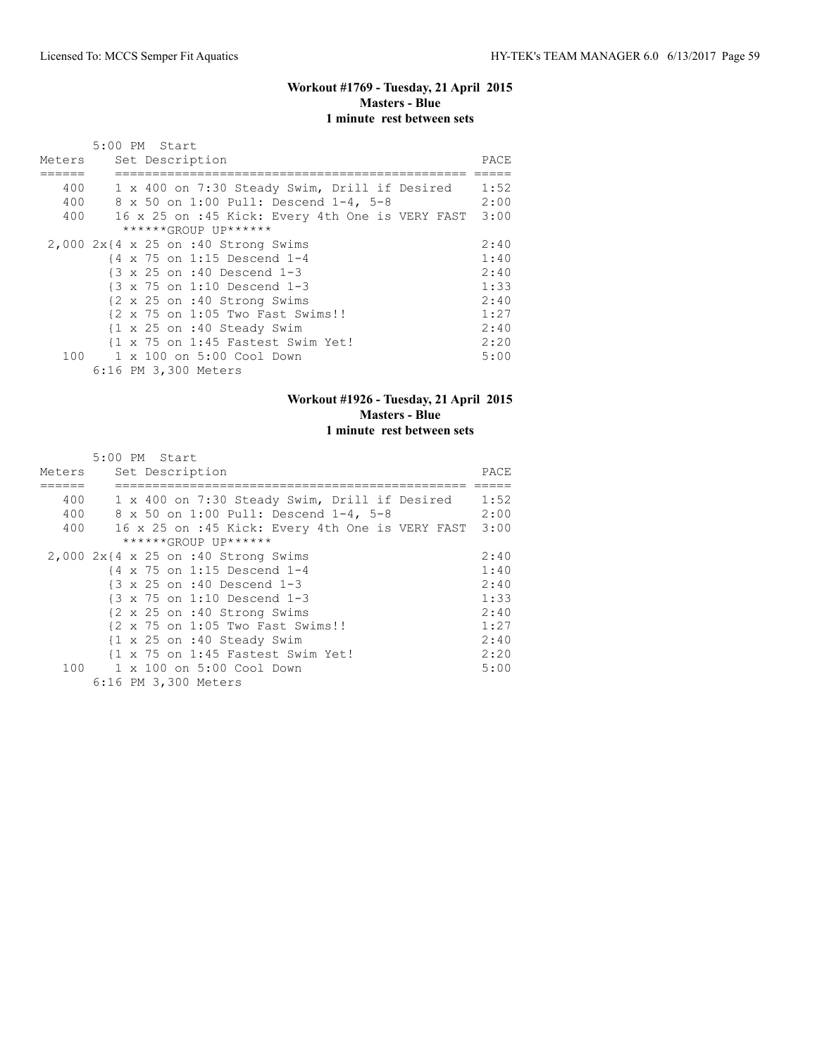### **Workout #1769 - Tuesday, 21 April 2015 Masters - Blue 1 minute rest between sets**

|        | 5:00 PM Start                                         |      |
|--------|-------------------------------------------------------|------|
| Meters | Set Description                                       | PACE |
|        |                                                       |      |
| 400    | 1 x 400 on 7:30 Steady Swim, Drill if Desired         | 1:52 |
| 400    | 8 x 50 on 1:00 Pull: Descend 1-4, 5-8                 | 2:00 |
| 400    | 16 x 25 on :45 Kick: Every 4th One is VERY FAST       | 3:00 |
|        | ******GROUP UP******                                  |      |
|        | $2,000$ $2x$ {4 x 25 on :40 Strong Swims              | 2:40 |
|        | {4 x 75 on 1:15 Descend 1-4                           | 1:40 |
|        | {3 x 25 on :40 Descend 1-3                            | 2:40 |
|        | $\{3 \times 75 \text{ on } 1:10 \text{ Descend } 1-3$ | 1:33 |
|        | {2 x 25 on :40 Strong Swims                           | 2:40 |
|        | {2 x 75 on 1:05 Two Fast Swims!!                      | 1:27 |
|        | {1 x 25 on :40 Steady Swim                            | 2:40 |
|        | {1 x 75 on 1:45 Fastest Swim Yet!                     | 2:20 |
| 100    | 1 x 100 on 5:00 Cool Down                             | 5:00 |
|        | 6:16 PM 3,300 Meters                                  |      |

# **Workout #1926 - Tuesday, 21 April 2015 Masters - Blue 1 minute rest between sets**

|        | 5:00 PM Start                                         |      |
|--------|-------------------------------------------------------|------|
| Meters | Set Description                                       | PACE |
|        |                                                       |      |
| 400    | 1 x 400 on 7:30 Steady Swim, Drill if Desired         | 1:52 |
| 400    | 8 x 50 on 1:00 Pull: Descend 1-4, 5-8                 | 2:00 |
| 400    | 16 x 25 on :45 Kick: Every 4th One is VERY FAST 3:00  |      |
|        | ******GROUP UP******                                  |      |
|        | $2,000$ $2x$ {4 x 25 on :40 Strong Swims              | 2:40 |
|        | {4 x 75 on 1:15 Descend 1-4                           | 1:40 |
|        | $\{3 \times 25 \text{ on } : 40 \text{ Descend } 1-3$ | 2:40 |
|        | $\{3 \times 75 \text{ on } 1:10 \text{ Descend } 1-3$ | 1:33 |
|        | {2 x 25 on :40 Strong Swims                           | 2:40 |
|        | {2 x 75 on 1:05 Two Fast Swims!!                      | 1:27 |
|        | {1 x 25 on :40 Steady Swim                            | 2:40 |
|        | {1 x 75 on 1:45 Fastest Swim Yet!                     | 2:20 |
| 100    | 1 x 100 on 5:00 Cool Down                             | 5:00 |
|        | 6:16 PM 3,300 Meters                                  |      |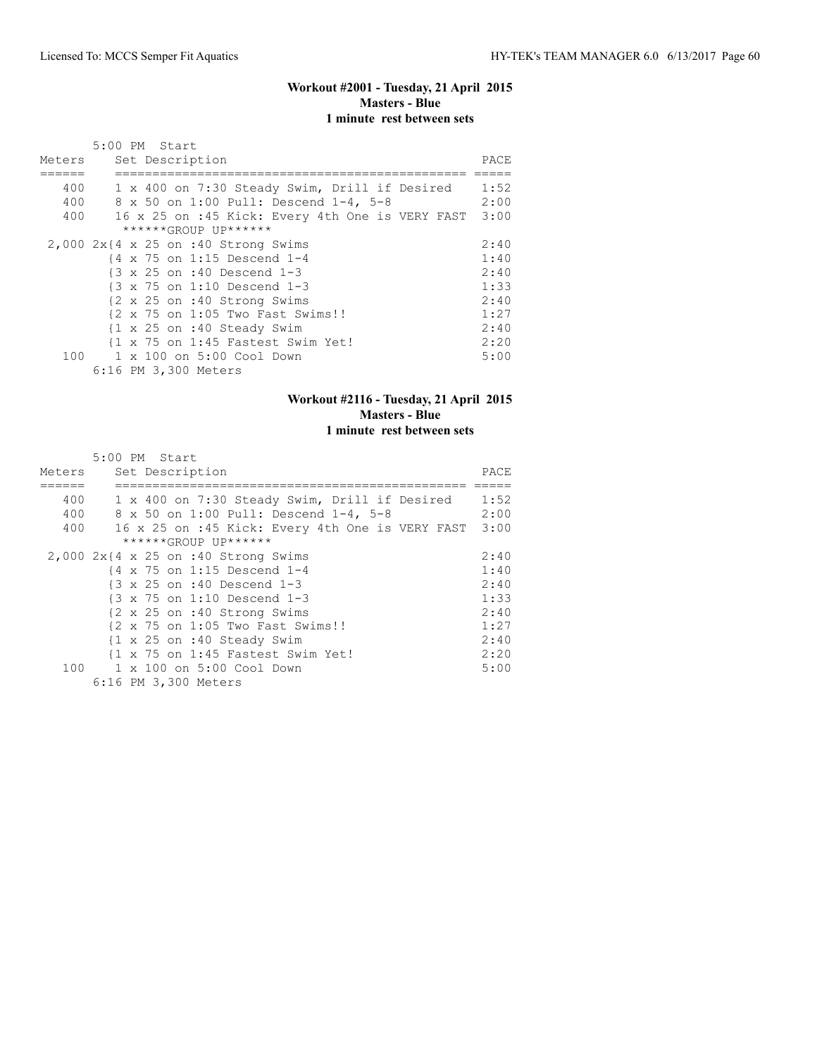### **Workout #2001 - Tuesday, 21 April 2015 Masters - Blue 1 minute rest between sets**

|        | 5:00 PM Start                                         |      |
|--------|-------------------------------------------------------|------|
| Meters | Set Description                                       | PACE |
|        |                                                       |      |
| 400    | 1 x 400 on 7:30 Steady Swim, Drill if Desired         | 1:52 |
| 400    | 8 x 50 on 1:00 Pull: Descend 1-4, 5-8                 | 2:00 |
| 400    | 16 x 25 on :45 Kick: Every 4th One is VERY FAST       | 3:00 |
|        | ******GROUP UP******                                  |      |
|        | $2,000$ $2x$ {4 x 25 on :40 Strong Swims              | 2:40 |
|        | $\{4 \times 75 \text{ on } 1:15 \text{ Descend } 1-4$ | 1:40 |
|        | {3 x 25 on :40 Descend 1-3                            | 2:40 |
|        | $\{3 \times 75 \text{ on } 1:10 \text{ Descend } 1-3$ | 1:33 |
|        | {2 x 25 on :40 Strong Swims                           | 2:40 |
|        | {2 x 75 on 1:05 Two Fast Swims!!                      | 1:27 |
|        | {1 x 25 on :40 Steady Swim                            | 2:40 |
|        | {1 x 75 on 1:45 Fastest Swim Yet!                     | 2:20 |
| 100    | 1 x 100 on 5:00 Cool Down                             | 5:00 |
|        | 6:16 PM 3,300 Meters                                  |      |

# **Workout #2116 - Tuesday, 21 April 2015 Masters - Blue 1 minute rest between sets**

|        | 5:00 PM Start                                         |      |
|--------|-------------------------------------------------------|------|
| Meters | Set Description                                       | PACE |
|        |                                                       |      |
| 400    | 1 x 400 on 7:30 Steady Swim, Drill if Desired         | 1:52 |
| 400    | 8 x 50 on 1:00 Pull: Descend 1-4, 5-8                 | 2:00 |
| 400    | 16 x 25 on :45 Kick: Every 4th One is VERY FAST       | 3:00 |
|        | ******GROUP UP******                                  |      |
|        | $2,000$ $2x$ {4 x 25 on :40 Strong Swims              | 2:40 |
|        | $\{4 \times 75 \text{ on } 1:15 \text{ Descend } 1-4$ | 1:40 |
|        | $\{3 \times 25 \text{ on } : 40 \text{ Descend } 1-3$ | 2:40 |
|        | $\{3 \times 75 \text{ on } 1:10 \text{ Descend } 1-3$ | 1:33 |
|        | {2 x 25 on :40 Strong Swims                           | 2:40 |
|        | {2 x 75 on 1:05 Two Fast Swims!!                      | 1:27 |
|        | {1 x 25 on :40 Steady Swim                            | 2:40 |
|        | {1 x 75 on 1:45 Fastest Swim Yet!                     | 2:20 |
| 100    | 1 x 100 on 5:00 Cool Down                             | 5:00 |
|        | 6:16 PM 3,300 Meters                                  |      |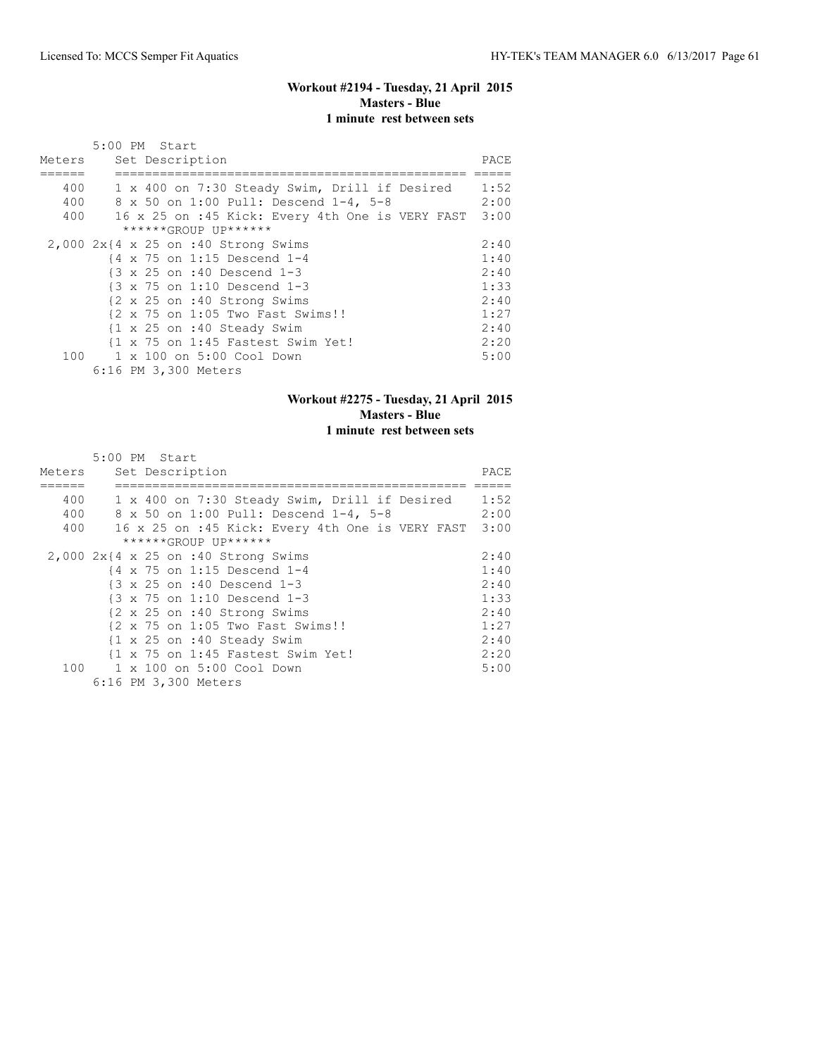#### **Workout #2194 - Tuesday, 21 April 2015 Masters - Blue 1 minute rest between sets**

|        | 5:00 PM Start                                         |      |
|--------|-------------------------------------------------------|------|
| Meters | Set Description                                       | PACE |
|        |                                                       |      |
| 400    | 1 x 400 on 7:30 Steady Swim, Drill if Desired         | 1:52 |
| 400    | 8 x 50 on 1:00 Pull: Descend 1-4, 5-8                 | 2:00 |
| 400    | 16 x 25 on :45 Kick: Every 4th One is VERY FAST       | 3:00 |
|        | ******GROUP UP******                                  |      |
|        | $2,000$ $2x$ {4 x 25 on :40 Strong Swims              | 2:40 |
|        | $\{4 \times 75 \text{ on } 1:15 \text{ Descend } 1-4$ | 1:40 |
|        | {3 x 25 on :40 Descend 1-3                            | 2:40 |
|        | $\{3 \times 75 \text{ on } 1:10 \text{ Descend } 1-3$ | 1:33 |
|        | {2 x 25 on :40 Strong Swims                           | 2:40 |
|        | {2 x 75 on 1:05 Two Fast Swims!!                      | 1:27 |
|        | {1 x 25 on :40 Steady Swim                            | 2:40 |
|        | {1 x 75 on 1:45 Fastest Swim Yet!                     | 2:20 |
| 100    | 1 x 100 on 5:00 Cool Down                             | 5:00 |
|        | 6:16 PM 3,300 Meters                                  |      |

# **Workout #2275 - Tuesday, 21 April 2015 Masters - Blue 1 minute rest between sets**

|        | 5:00 PM Start                                         |      |
|--------|-------------------------------------------------------|------|
| Meters | Set Description                                       | PACE |
|        |                                                       |      |
| 400    | 1 x 400 on 7:30 Steady Swim, Drill if Desired         | 1:52 |
| 400    | 8 x 50 on 1:00 Pull: Descend 1-4, 5-8                 | 2:00 |
| 400    | 16 x 25 on :45 Kick: Every 4th One is VERY FAST 3:00  |      |
|        | ******GROUP UP******                                  |      |
|        | $2,000$ $2x$ {4 x 25 on :40 Strong Swims              | 2:40 |
|        | {4 x 75 on 1:15 Descend 1-4                           | 1:40 |
|        | $\{3 \times 25 \text{ on } : 40 \text{ Descend } 1-3$ | 2:40 |
|        | $\{3 \times 75 \text{ on } 1:10 \text{ Descend } 1-3$ | 1:33 |
|        | {2 x 25 on :40 Strong Swims                           | 2:40 |
|        | {2 x 75 on 1:05 Two Fast Swims!!                      | 1:27 |
|        | {1 x 25 on :40 Steady Swim                            | 2:40 |
|        | {1 x 75 on 1:45 Fastest Swim Yet!                     | 2:20 |
| 100    | 1 x 100 on 5:00 Cool Down                             | 5:00 |
|        | 6:16 PM 3,300 Meters                                  |      |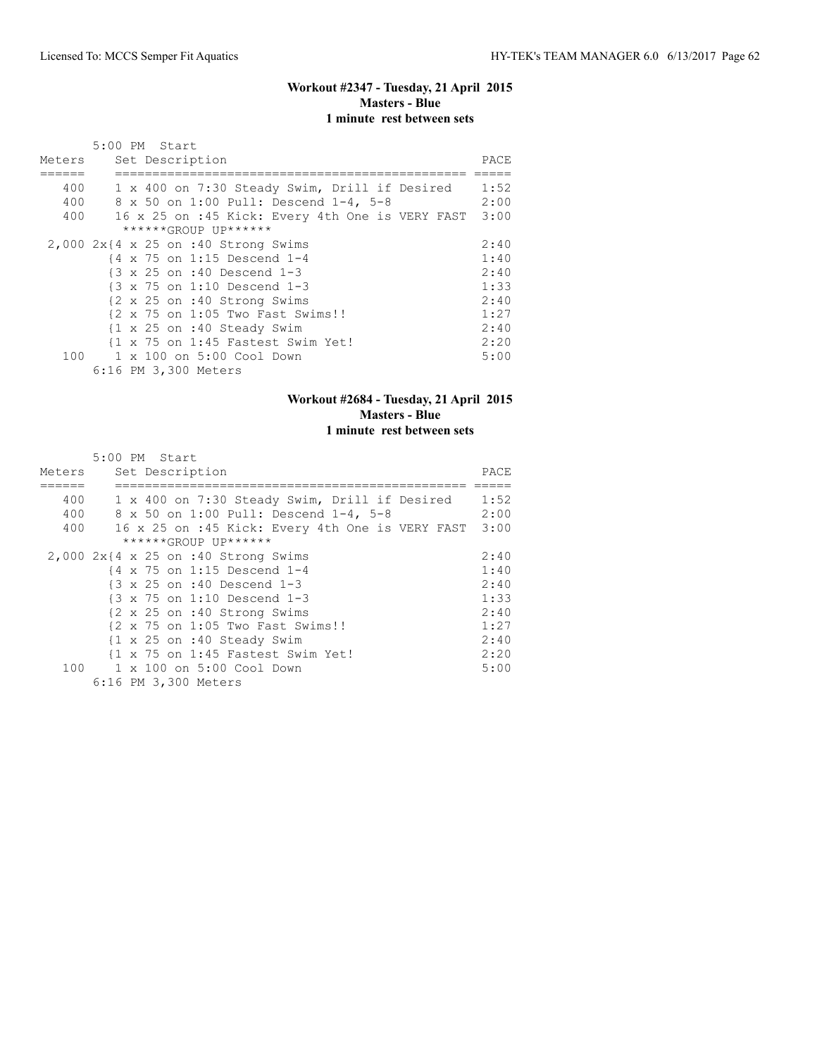#### **Workout #2347 - Tuesday, 21 April 2015 Masters - Blue 1 minute rest between sets**

|        | 5:00 PM Start                                         |      |
|--------|-------------------------------------------------------|------|
| Meters | Set Description                                       | PACE |
|        |                                                       |      |
| 400    | 1 x 400 on 7:30 Steady Swim, Drill if Desired         | 1:52 |
| 400    | 8 x 50 on 1:00 Pull: Descend 1-4, 5-8                 | 2:00 |
| 400    | 16 x 25 on :45 Kick: Every 4th One is VERY FAST       | 3:00 |
|        | ******GROUP UP******                                  |      |
|        | $2,000$ $2x$ {4 x 25 on :40 Strong Swims              | 2:40 |
|        | $\{4 \times 75 \text{ on } 1:15 \text{ Descend } 1-4$ | 1:40 |
|        | {3 x 25 on :40 Descend 1-3                            | 2:40 |
|        | $\{3 \times 75 \text{ on } 1:10 \text{ Descend } 1-3$ | 1:33 |
|        | {2 x 25 on :40 Strong Swims                           | 2:40 |
|        | {2 x 75 on 1:05 Two Fast Swims!!                      | 1:27 |
|        | {1 x 25 on :40 Steady Swim                            | 2:40 |
|        | {1 x 75 on 1:45 Fastest Swim Yet!                     | 2:20 |
| 100    | 1 x 100 on 5:00 Cool Down                             | 5:00 |
|        | 6:16 PM 3,300 Meters                                  |      |

# **Workout #2684 - Tuesday, 21 April 2015 Masters - Blue 1 minute rest between sets**

|        | 5:00 PM Start                                         |      |
|--------|-------------------------------------------------------|------|
| Meters | Set Description                                       | PACE |
|        |                                                       |      |
| 400    | 1 x 400 on 7:30 Steady Swim, Drill if Desired         | 1:52 |
| 400    | 8 x 50 on 1:00 Pull: Descend 1-4, 5-8                 | 2:00 |
| 400    | 16 x 25 on :45 Kick: Every 4th One is VERY FAST 3:00  |      |
|        | ******GROUP UP******                                  |      |
|        | $2,000$ $2x$ {4 x 25 on :40 Strong Swims              | 2:40 |
|        | {4 x 75 on 1:15 Descend 1-4                           | 1:40 |
|        | $\{3 \times 25 \text{ on } : 40 \text{ Descend } 1-3$ | 2:40 |
|        | $\{3 \times 75 \text{ on } 1:10 \text{ Descend } 1-3$ | 1:33 |
|        | {2 x 25 on :40 Strong Swims                           | 2:40 |
|        | {2 x 75 on 1:05 Two Fast Swims!!                      | 1:27 |
|        | {1 x 25 on :40 Steady Swim                            | 2:40 |
|        | {1 x 75 on 1:45 Fastest Swim Yet!                     | 2:20 |
| 100    | 1 x 100 on 5:00 Cool Down                             | 5:00 |
|        | 6:16 PM 3,300 Meters                                  |      |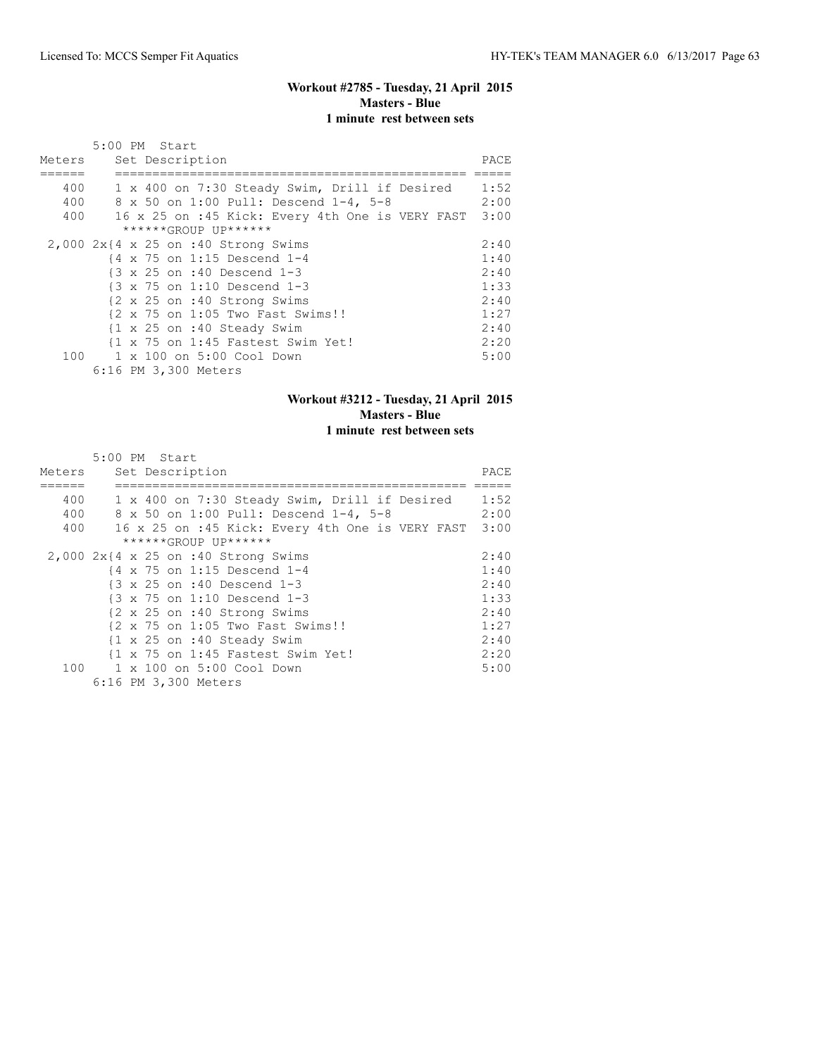#### **Workout #2785 - Tuesday, 21 April 2015 Masters - Blue 1 minute rest between sets**

|        | 5:00 PM Start                                         |      |
|--------|-------------------------------------------------------|------|
| Meters | Set Description                                       | PACE |
|        |                                                       |      |
| 400    | 1 x 400 on 7:30 Steady Swim, Drill if Desired         | 1:52 |
| 400    | 8 x 50 on 1:00 Pull: Descend 1-4, 5-8                 | 2:00 |
| 400    | 16 x 25 on :45 Kick: Every 4th One is VERY FAST       | 3:00 |
|        | ******GROUP UP******                                  |      |
|        | $2,000$ $2x$ {4 x 25 on :40 Strong Swims              | 2:40 |
|        | {4 x 75 on 1:15 Descend 1-4                           | 1:40 |
|        | {3 x 25 on :40 Descend 1-3                            | 2:40 |
|        | $\{3 \times 75 \text{ on } 1:10 \text{ Descend } 1-3$ | 1:33 |
|        | {2 x 25 on :40 Strong Swims                           | 2:40 |
|        | {2 x 75 on 1:05 Two Fast Swims!!                      | 1:27 |
|        | {1 x 25 on :40 Steady Swim                            | 2:40 |
|        | {1 x 75 on 1:45 Fastest Swim Yet!                     | 2:20 |
| 100    | 1 x 100 on 5:00 Cool Down                             | 5:00 |
|        | 6:16 PM 3,300 Meters                                  |      |

# **Workout #3212 - Tuesday, 21 April 2015 Masters - Blue 1 minute rest between sets**

|                   | 5:00 PM Start                                                                                                                             |                      |
|-------------------|-------------------------------------------------------------------------------------------------------------------------------------------|----------------------|
| Meters            | Set Description                                                                                                                           | PACE                 |
| 400<br>400<br>400 | 1 x 400 on 7:30 Steady Swim, Drill if Desired<br>8 x 50 on 1:00 Pull: Descend 1-4, 5-8<br>16 x 25 on :45 Kick: Every 4th One is VERY FAST | 1:52<br>2:00<br>3:00 |
|                   | ******GROUP UP******                                                                                                                      |                      |
|                   | $2,000$ $2x$ {4 x 25 on :40 Strong Swims                                                                                                  | 2:40                 |
|                   | $\{4 \times 75 \text{ on } 1:15 \text{ Descend } 1-4$                                                                                     | 1:40                 |
|                   | {3 x 25 on :40 Descend 1-3                                                                                                                | 2:40                 |
|                   | $\{3 \times 75 \text{ on } 1:10 \text{ Descend } 1-3$                                                                                     | 1:33                 |
|                   | {2 x 25 on :40 Strong Swims                                                                                                               | 2:40                 |
|                   | {2 x 75 on 1:05 Two Fast Swims!!                                                                                                          | 1:27                 |
|                   | $\{1 \times 25 \text{ on } : 40 \text{ Steady } \text{Swim}\}$                                                                            | 2:40                 |
|                   | {1 x 75 on 1:45 Fastest Swim Yet!                                                                                                         | 2:20                 |
|                   | 100 1 x 100 on 5:00 Cool Down                                                                                                             | 5:00                 |
|                   | 6:16 PM 3,300 Meters                                                                                                                      |                      |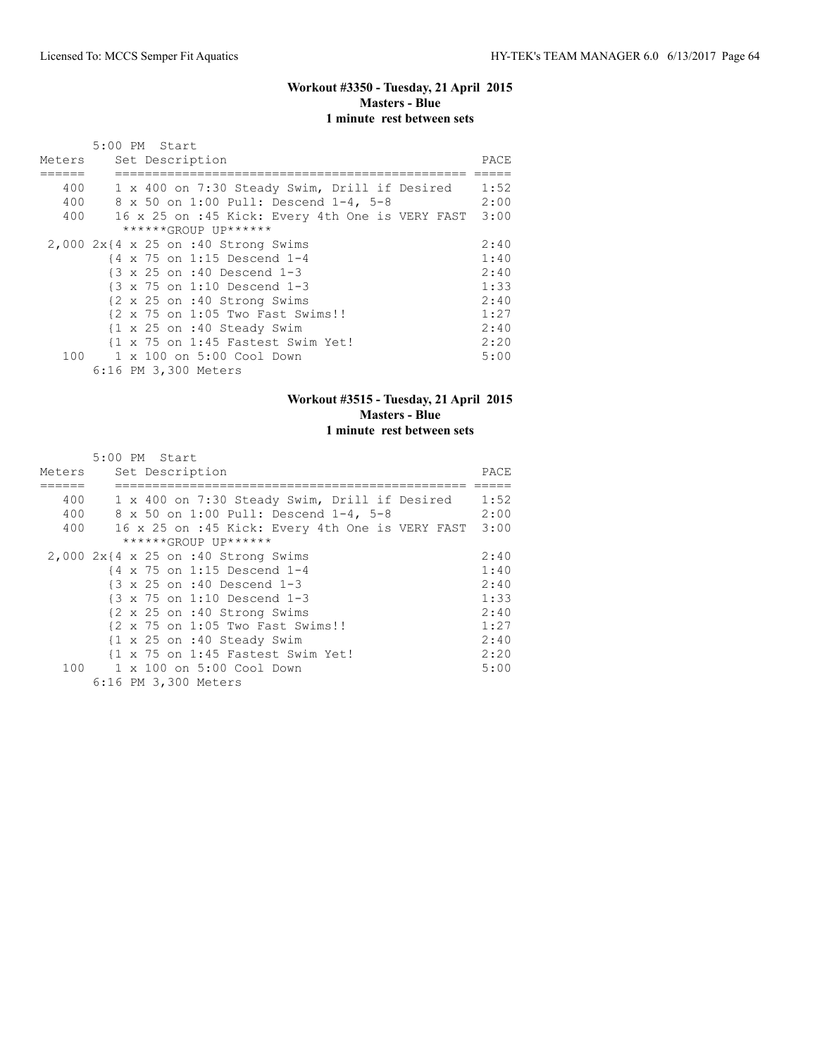#### **Workout #3350 - Tuesday, 21 April 2015 Masters - Blue 1 minute rest between sets**

|        | 5:00 PM Start                                         |      |
|--------|-------------------------------------------------------|------|
| Meters | Set Description                                       | PACE |
|        |                                                       |      |
| 400    | 1 x 400 on 7:30 Steady Swim, Drill if Desired         | 1:52 |
| 400    | 8 x 50 on 1:00 Pull: Descend 1-4, 5-8                 | 2:00 |
| 400    | 16 x 25 on :45 Kick: Every 4th One is VERY FAST       | 3:00 |
|        | ******GROUP UP******                                  |      |
|        | $2,000$ $2x$ {4 x 25 on :40 Strong Swims              | 2:40 |
|        | {4 x 75 on 1:15 Descend 1-4                           | 1:40 |
|        | {3 x 25 on :40 Descend 1-3                            | 2:40 |
|        | $\{3 \times 75 \text{ on } 1:10 \text{ Descend } 1-3$ | 1:33 |
|        | {2 x 25 on :40 Strong Swims                           | 2:40 |
|        | {2 x 75 on 1:05 Two Fast Swims!!                      | 1:27 |
|        | {1 x 25 on :40 Steady Swim                            | 2:40 |
|        | {1 x 75 on 1:45 Fastest Swim Yet!                     | 2:20 |
| 100    | 1 x 100 on 5:00 Cool Down                             | 5:00 |
|        | 6:16 PM 3,300 Meters                                  |      |

# **Workout #3515 - Tuesday, 21 April 2015 Masters - Blue 1 minute rest between sets**

|        | 5:00 PM Start                                         |       |
|--------|-------------------------------------------------------|-------|
| Meters | Set Description                                       | PACE. |
| 400    | 1 x 400 on 7:30 Steady Swim, Drill if Desired         | 1:52  |
| 400    | 8 x 50 on 1:00 Pull: Descend 1-4, 5-8                 | 2:00  |
| 400    | 16 x 25 on :45 Kick: Every 4th One is VERY FAST       | 3:00  |
|        | ******GROUP UP******                                  |       |
|        | $2,000$ $2x$ {4 x 25 on :40 Strong Swims              | 2:40  |
|        | $\{4 \times 75 \text{ on } 1:15 \text{ Descend } 1-4$ | 1:40  |
|        | $\{3 \times 25 \text{ on } : 40 \text{ Descend } 1-3$ | 2:40  |
|        | $\{3 \times 75 \text{ on } 1:10 \text{ Descend } 1-3$ | 1:33  |
|        | {2 x 25 on :40 Strong Swims                           | 2:40  |
|        | {2 x 75 on 1:05 Two Fast Swims!!                      | 1:27  |
|        | {1 x 25 on :40 Steady Swim                            | 2:40  |
|        | {1 x 75 on 1:45 Fastest Swim Yet!                     | 2:20  |
|        | 100 1 x 100 on 5:00 Cool Down                         | 5:00  |
|        | 6:16 PM 3,300 Meters                                  |       |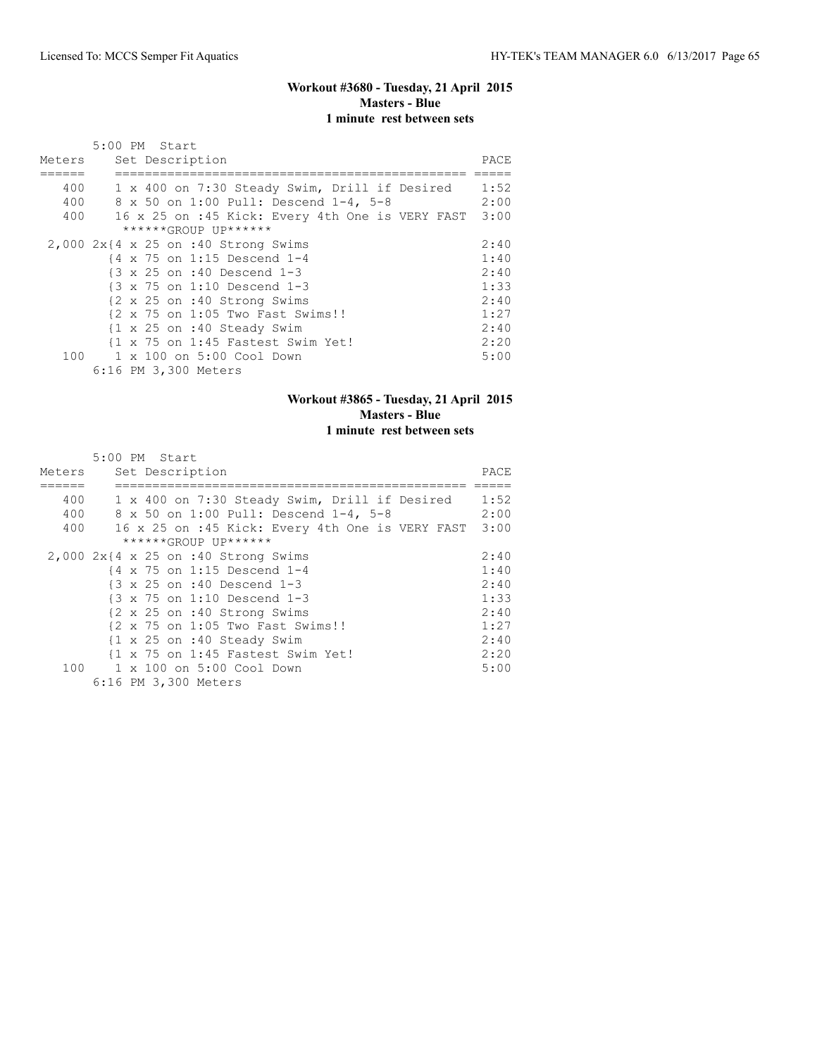### **Workout #3680 - Tuesday, 21 April 2015 Masters - Blue 1 minute rest between sets**

|        | 5:00 PM Start                                         |      |
|--------|-------------------------------------------------------|------|
| Meters | Set Description                                       | PACE |
|        |                                                       |      |
| 400    | 1 x 400 on 7:30 Steady Swim, Drill if Desired         | 1:52 |
| 400    | 8 x 50 on 1:00 Pull: Descend 1-4, 5-8                 | 2:00 |
| 400    | 16 x 25 on :45 Kick: Every 4th One is VERY FAST       | 3:00 |
|        | ******GROUP UP******                                  |      |
|        | $2,000$ $2x$ {4 x 25 on :40 Strong Swims              | 2:40 |
|        | $\{4 \times 75 \text{ on } 1:15 \text{ Descend } 1-4$ | 1:40 |
|        | {3 x 25 on :40 Descend 1-3                            | 2:40 |
|        | $\{3 \times 75 \text{ on } 1:10 \text{ Descend } 1-3$ | 1:33 |
|        | {2 x 25 on :40 Strong Swims                           | 2:40 |
|        | {2 x 75 on 1:05 Two Fast Swims!!                      | 1:27 |
|        | {1 x 25 on :40 Steady Swim                            | 2:40 |
|        | {1 x 75 on 1:45 Fastest Swim Yet!                     | 2:20 |
| 100    | 1 x 100 on 5:00 Cool Down                             | 5:00 |
|        | 6:16 PM 3,300 Meters                                  |      |

# **Workout #3865 - Tuesday, 21 April 2015 Masters - Blue 1 minute rest between sets**

|        | 5:00 PM Start                                         |      |
|--------|-------------------------------------------------------|------|
| Meters | Set Description                                       | PACE |
|        |                                                       |      |
| 400    | 1 x 400 on 7:30 Steady Swim, Drill if Desired         | 1:52 |
| 400    | 8 x 50 on 1:00 Pull: Descend 1-4, 5-8                 | 2:00 |
| 400    | 16 x 25 on :45 Kick: Every 4th One is VERY FAST 3:00  |      |
|        | ******GROUP UP******                                  |      |
|        | $2,000$ $2x$ {4 x 25 on :40 Strong Swims              | 2:40 |
|        | {4 x 75 on 1:15 Descend 1-4                           | 1:40 |
|        | $\{3 \times 25 \text{ on } : 40 \text{ Descend } 1-3$ | 2:40 |
|        | $\{3 \times 75 \text{ on } 1:10 \text{ Descend } 1-3$ | 1:33 |
|        | {2 x 25 on :40 Strong Swims                           | 2:40 |
|        | {2 x 75 on 1:05 Two Fast Swims!!                      | 1:27 |
|        | {1 x 25 on :40 Steady Swim                            | 2:40 |
|        | {1 x 75 on 1:45 Fastest Swim Yet!                     | 2:20 |
| 100    | 1 x 100 on 5:00 Cool Down                             | 5:00 |
|        | 6:16 PM 3,300 Meters                                  |      |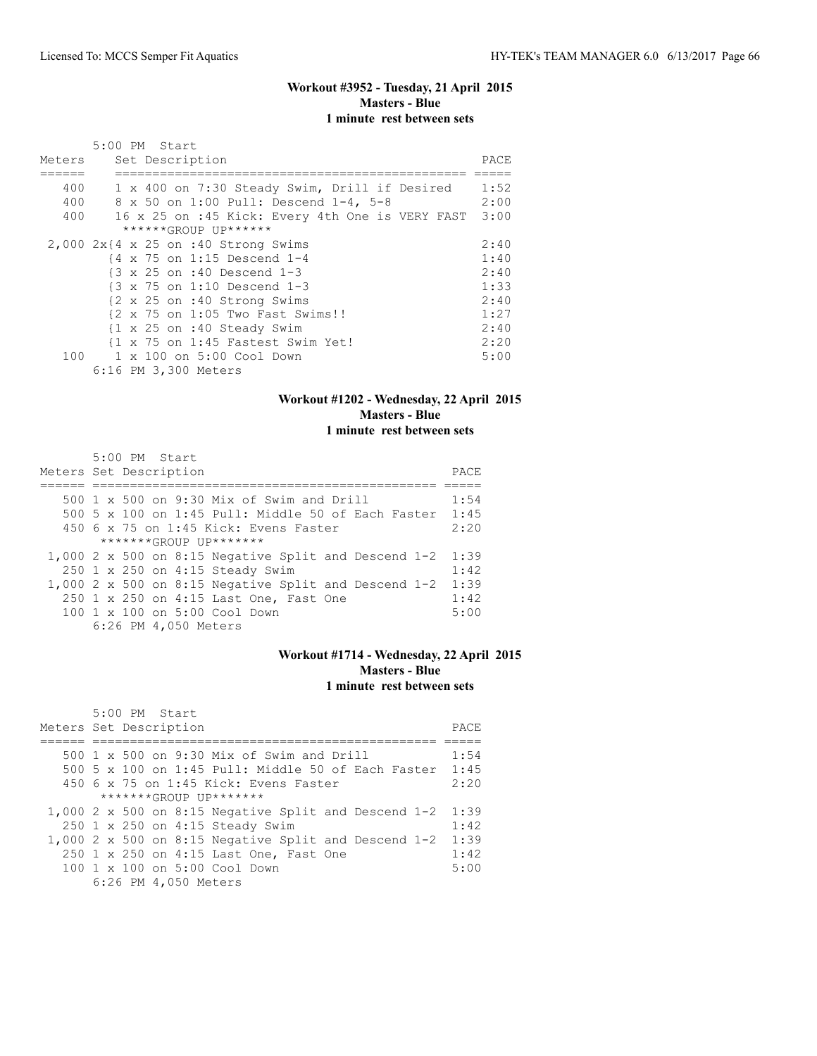# **Workout #3952 - Tuesday, 21 April 2015 Masters - Blue 1 minute rest between sets**

|        | 5:00 PM Start                                         |      |
|--------|-------------------------------------------------------|------|
| Meters | Set Description                                       | PACE |
|        |                                                       |      |
| 400    | 1 x 400 on 7:30 Steady Swim, Drill if Desired         | 1:52 |
| 400    | 8 x 50 on 1:00 Pull: Descend 1-4, 5-8                 | 2:00 |
| 400    | 16 x 25 on :45 Kick: Every 4th One is VERY FAST       | 3:00 |
|        | ******GROUP UP******                                  |      |
|        | $2,000$ $2x$ {4 x 25 on :40 Strong Swims              | 2:40 |
|        | $\{4 \times 75 \text{ on } 1:15 \text{ Descend } 1-4$ | 1:40 |
|        | {3 x 25 on :40 Descend 1-3                            | 2:40 |
|        | $\{3 \times 75 \text{ on } 1:10 \text{ Descend } 1-3$ | 1:33 |
|        | {2 x 25 on :40 Strong Swims                           | 2:40 |
|        | {2 x 75 on 1:05 Two Fast Swims!!                      | 1:27 |
|        | {1 x 25 on :40 Steady Swim                            | 2:40 |
|        | {1 x 75 on 1:45 Fastest Swim Yet!                     | 2:20 |
| 100    | 1 x 100 on 5:00 Cool Down                             | 5:00 |
|        | 6:16 PM 3,300 Meters                                  |      |

### **Workout #1202 - Wednesday, 22 April 2015 Masters - Blue 1 minute rest between sets**

| 5:00 PM Start                                          |      |
|--------------------------------------------------------|------|
| Meters Set Description                                 | PACE |
|                                                        |      |
| 500 1 x 500 on 9:30 Mix of Swim and Drill              | 1:54 |
| 500 5 x 100 on 1:45 Pull: Middle 50 of Each Faster     | 1:45 |
| $450$ 6 x 75 on 1:45 Kick: Evens Faster                | 2:20 |
| $******GROUP$ $IP*******$                              |      |
| 1,000 2 x 500 on 8:15 Negative Split and Descend $1-2$ | 1:39 |
| 250 1 x 250 on 4:15 Steady Swim                        | 1:42 |
| 1,000 2 x 500 on 8:15 Negative Split and Descend $1-2$ | 1:39 |
| 250 1 x 250 on 4:15 Last One, Fast One                 | 1:42 |
| 100 1 x 100 on 5:00 Cool Down                          | 5:00 |
| 6:26 PM 4,050 Meters                                   |      |

### **Workout #1714 - Wednesday, 22 April 2015 Masters - Blue 1 minute rest between sets**

| 5:00 PM Start                                          |      |
|--------------------------------------------------------|------|
| Meters Set Description                                 | PACE |
|                                                        |      |
| 500 1 x 500 on 9:30 Mix of Swim and Drill              | 1:54 |
| 500 5 x 100 on 1:45 Pull: Middle 50 of Each Faster     | 1:45 |
| 450 6 x 75 on 1:45 Kick: Evens Faster                  | 2:20 |
| $******GROIJP IJP*******$                              |      |
| 1,000 2 x 500 on 8:15 Negative Split and Descend $1-2$ | 1:39 |
| 250 1 x 250 on 4:15 Steady Swim                        | 1:42 |
| 1,000 2 x 500 on 8:15 Negative Split and Descend 1-2   | 1:39 |
| 250 1 x 250 on 4:15 Last One, Fast One                 | 1:42 |
| $100 \t 1 \t x \t 100$ on 5:00 Cool Down               | 5:00 |
| 6:26 PM 4,050 Meters                                   |      |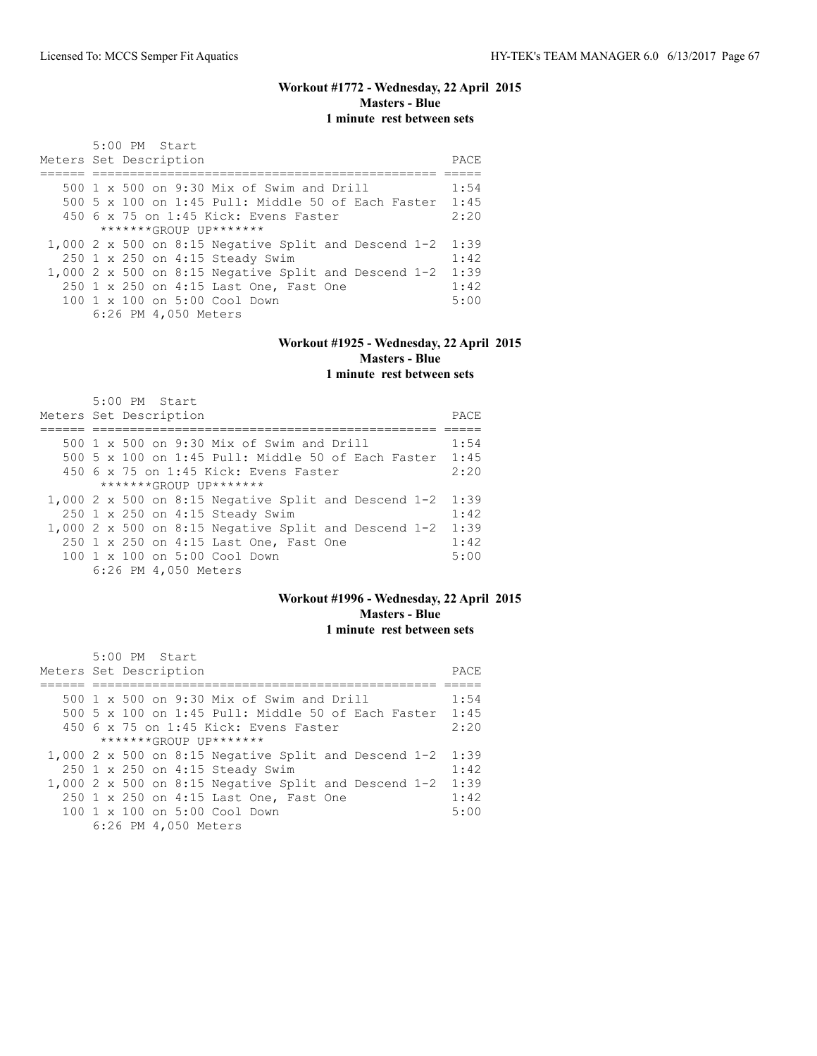# **Workout #1772 - Wednesday, 22 April 2015 Masters - Blue 1 minute rest between sets**

| 5:00 PM Start<br>Meters Set Description                 | PACE |
|---------------------------------------------------------|------|
| 500 1 x 500 on 9:30 Mix of Swim and Drill               | 1:54 |
|                                                         |      |
| 500 5 x 100 on 1:45 Pull: Middle 50 of Each Faster 1:45 |      |
| $450$ 6 x 75 on 1:45 Kick: Evens Faster                 | 2:20 |
| $******GROUP$ $IP*******$                               |      |
| $1,000$ 2 x 500 on 8:15 Negative Split and Descend 1-2  | 1:39 |
| 250 1 x 250 on 4:15 Steady Swim                         | 1:42 |
| 1,000 2 x 500 on 8:15 Negative Split and Descend $1-2$  | 1:39 |
| 250 1 x 250 on 4:15 Last One, Fast One                  | 1:42 |
| $100 \t 1 \t x \t 100$ on 5:00 Cool Down                | 5:00 |
| 6:26 PM 4,050 Meters                                    |      |

# **Workout #1925 - Wednesday, 22 April 2015 Masters - Blue**

**1 minute rest between sets**

| 5:00 PM Start<br>Meters Set Description                | PACE |
|--------------------------------------------------------|------|
|                                                        |      |
| 500 1 x 500 on 9:30 Mix of Swim and Drill              | 1:54 |
| 500 5 x 100 on 1:45 Pull: Middle 50 of Each Faster     | 1:45 |
| 450 6 x 75 on 1:45 Kick: Evens Faster                  | 2:20 |
| $******GROUP$ $IP*******$                              |      |
| $1,000$ 2 x 500 on 8:15 Negative Split and Descend 1-2 | 1:39 |
| 250 1 x 250 on 4:15 Steady Swim                        | 1:42 |
| 1,000 2 x 500 on 8:15 Negative Split and Descend 1-2   | 1:39 |
| 250 1 x 250 on 4:15 Last One, Fast One                 | 1:42 |
| 100 1 x 100 on 5:00 Cool Down                          | 5:00 |
| 6:26 PM 4,050 Meters                                   |      |

### **Workout #1996 - Wednesday, 22 April 2015 Masters - Blue 1 minute rest between sets**

| $5:00$ PM Start                                        |      |
|--------------------------------------------------------|------|
| Meters Set Description                                 | PACE |
|                                                        |      |
| 500 $1 \times 500$ on 9:30 Mix of Swim and Drill       | 1:54 |
| 500 5 x 100 on 1:45 Pull: Middle 50 of Each Faster     | 1:45 |
| 450 6 x 75 on 1:45 Kick: Evens Faster                  | 2:20 |
| $******GROIJP IJP*******$                              |      |
| 1,000 2 x 500 on 8:15 Negative Split and Descend 1-2   | 1:39 |
| 250 1 x 250 on 4:15 Steady Swim                        | 1:42 |
| $1,000$ 2 x 500 on 8:15 Negative Split and Descend 1-2 | 1:39 |
| 250 1 x 250 on 4:15 Last One, Fast One                 | 1:42 |
| 100 1 x 100 on 5:00 Cool Down                          | 5:00 |
| 6:26 PM 4,050 Meters                                   |      |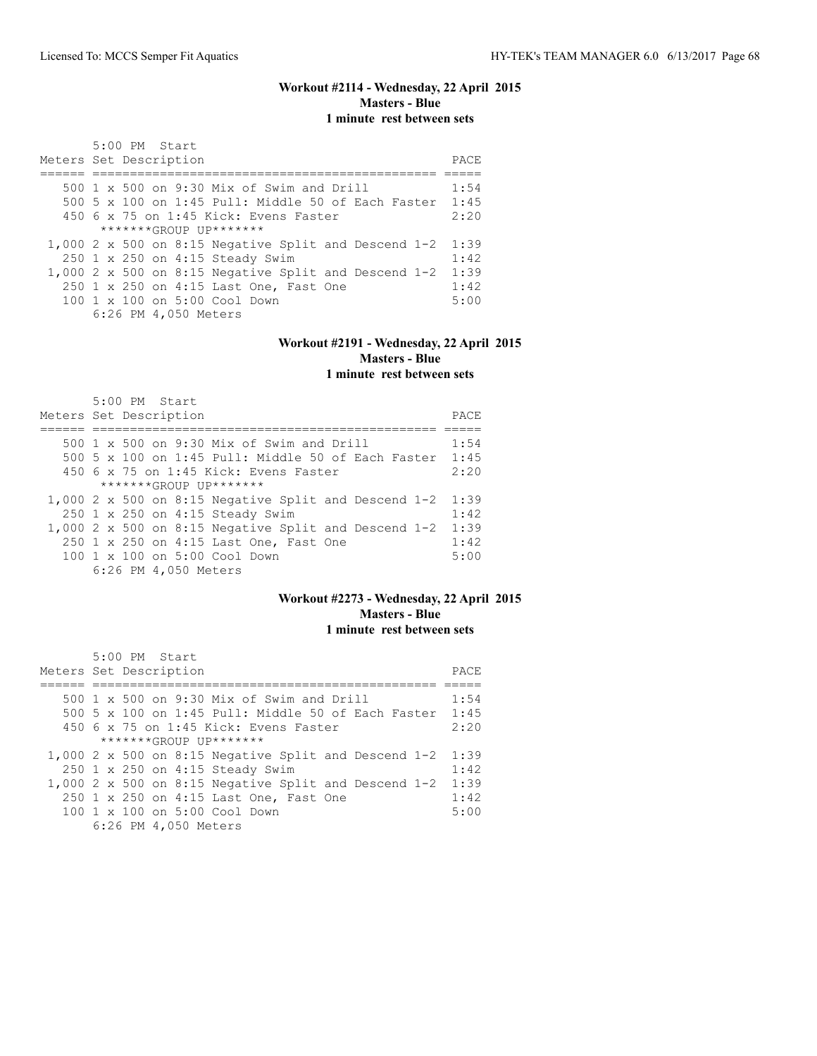# **Workout #2114 - Wednesday, 22 April 2015 Masters - Blue 1 minute rest between sets**

| 5:00 PM Start<br>Meters Set Description                 | PACE |
|---------------------------------------------------------|------|
| 500 1 x 500 on 9:30 Mix of Swim and Drill               | 1:54 |
|                                                         |      |
| 500 5 x 100 on 1:45 Pull: Middle 50 of Each Faster 1:45 |      |
| $450$ 6 x 75 on 1:45 Kick: Evens Faster                 | 2:20 |
| $******GROUP$ $IP*******$                               |      |
| $1,000$ 2 x 500 on 8:15 Negative Split and Descend 1-2  | 1:39 |
| 250 1 x 250 on 4:15 Steady Swim                         | 1:42 |
| 1,000 2 x 500 on 8:15 Negative Split and Descend $1-2$  | 1:39 |
| 250 1 x 250 on 4:15 Last One, Fast One                  | 1:42 |
| $100 \t 1 \t x \t 100$ on 5:00 Cool Down                | 5:00 |
| 6:26 PM 4,050 Meters                                    |      |

# **Workout #2191 - Wednesday, 22 April 2015 Masters - Blue**

**1 minute rest between sets**

| $5:00$ PM Start<br>Meters Set Description              | PACE |
|--------------------------------------------------------|------|
|                                                        |      |
| 500 1 x 500 on 9:30 Mix of Swim and Drill              | 1:54 |
| 500 5 x 100 on 1:45 Pull: Middle 50 of Each Faster     | 1:45 |
| $450$ 6 x 75 on 1:45 Kick: Evens Faster                | 2:20 |
| $******GROIJP IJP*******$                              |      |
| 1,000 2 x 500 on 8:15 Negative Split and Descend $1-2$ | 1:39 |
| 250 1 x 250 on 4:15 Steady Swim                        | 1:42 |
| 1,000 2 x 500 on 8:15 Negative Split and Descend $1-2$ | 1:39 |
| 250 1 x 250 on 4:15 Last One, Fast One                 | 1:42 |
| 100 1 x 100 on 5:00 Cool Down                          | 5:00 |
| 6:26 PM 4,050 Meters                                   |      |

### **Workout #2273 - Wednesday, 22 April 2015 Masters - Blue 1 minute rest between sets**

| $5:00$ PM Start                                        |      |
|--------------------------------------------------------|------|
| Meters Set Description                                 | PACE |
|                                                        |      |
| 500 $1 \times 500$ on 9:30 Mix of Swim and Drill       | 1:54 |
| 500 5 x 100 on 1:45 Pull: Middle 50 of Each Faster     | 1:45 |
| 450 6 x 75 on 1:45 Kick: Evens Faster                  | 2:20 |
| $******GROIJP IJP*******$                              |      |
| 1,000 2 x 500 on 8:15 Negative Split and Descend 1-2   | 1:39 |
| 250 1 x 250 on 4:15 Steady Swim                        | 1:42 |
| $1,000$ 2 x 500 on 8:15 Negative Split and Descend 1-2 | 1:39 |
| 250 1 x 250 on 4:15 Last One, Fast One                 | 1:42 |
| 100 1 x 100 on 5:00 Cool Down                          | 5:00 |
| 6:26 PM 4,050 Meters                                   |      |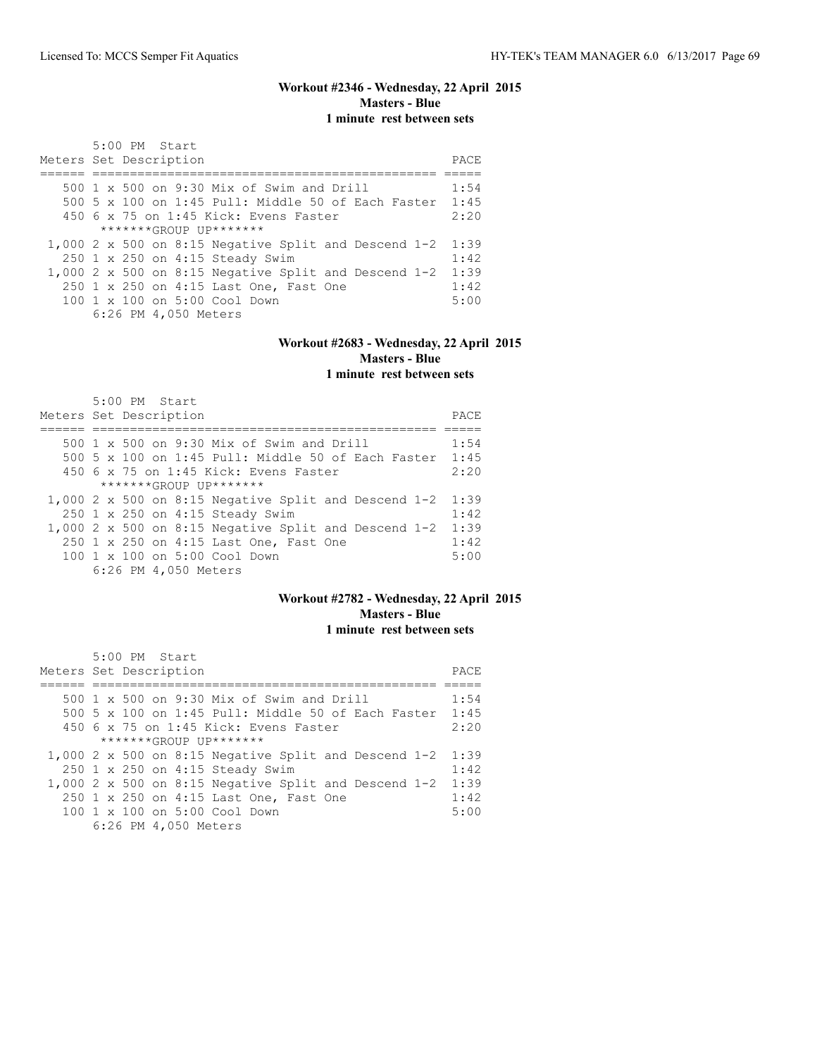# **Workout #2346 - Wednesday, 22 April 2015 Masters - Blue 1 minute rest between sets**

| 5:00 PM Start<br>Meters Set Description                 | PACE |
|---------------------------------------------------------|------|
| 500 $1 \times 500$ on 9:30 Mix of Swim and Drill        | 1:54 |
|                                                         |      |
| 500 5 x 100 on 1:45 Pull: Middle 50 of Each Faster 1:45 |      |
| $450$ 6 x 75 on 1:45 Kick: Evens Faster                 | 2:20 |
| $******GROUP$ $IP*******$                               |      |
| $1,000$ 2 x 500 on 8:15 Negative Split and Descend 1-2  | 1:39 |
| 250 1 x 250 on 4:15 Steady Swim                         | 1:42 |
| 1,000 2 x 500 on 8:15 Negative Split and Descend $1-2$  | 1:39 |
| 250 1 x 250 on 4:15 Last One, Fast One                  | 1:42 |
| $100 \t 1 \t x \t 100$ on 5:00 Cool Down                | 5:00 |
| 6:26 PM 4,050 Meters                                    |      |

# **Workout #2683 - Wednesday, 22 April 2015 Masters - Blue**

**1 minute rest between sets**

| $5:00$ PM Start<br>Meters Set Description              | PACE |
|--------------------------------------------------------|------|
|                                                        |      |
| 500 1 x 500 on 9:30 Mix of Swim and Drill              | 1:54 |
| 500 5 x 100 on 1:45 Pull: Middle 50 of Each Faster     | 1:45 |
| $450$ 6 x 75 on 1:45 Kick: Evens Faster                | 2:20 |
| $******GROUP$ $IP*******$                              |      |
| $1,000$ 2 x 500 on 8:15 Negative Split and Descend 1-2 | 1:39 |
| 250 1 x 250 on 4:15 Steady Swim                        | 1:42 |
| 1,000 2 x 500 on 8:15 Negative Split and Descend $1-2$ | 1:39 |
| 250 1 x 250 on 4:15 Last One, Fast One                 | 1:42 |
| 100 1 x 100 on 5:00 Cool Down                          | 5:00 |
| 6:26 PM 4,050 Meters                                   |      |

### **Workout #2782 - Wednesday, 22 April 2015 Masters - Blue 1 minute rest between sets**

| $5:00$ PM Start                                        |      |
|--------------------------------------------------------|------|
| Meters Set Description                                 | PACE |
|                                                        |      |
| 500 $1 \times 500$ on 9:30 Mix of Swim and Drill       | 1:54 |
| 500 5 x 100 on 1:45 Pull: Middle 50 of Each Faster     | 1:45 |
| 450 6 x 75 on 1:45 Kick: Evens Faster                  | 2:20 |
| $******GROIJP IJP*******$                              |      |
| 1,000 2 x 500 on 8:15 Negative Split and Descend 1-2   | 1:39 |
| 250 1 x 250 on 4:15 Steady Swim                        | 1:42 |
| $1,000$ 2 x 500 on 8:15 Negative Split and Descend 1-2 | 1:39 |
| 250 1 x 250 on 4:15 Last One, Fast One                 | 1:42 |
| 100 1 x 100 on 5:00 Cool Down                          | 5:00 |
| 6:26 PM 4,050 Meters                                   |      |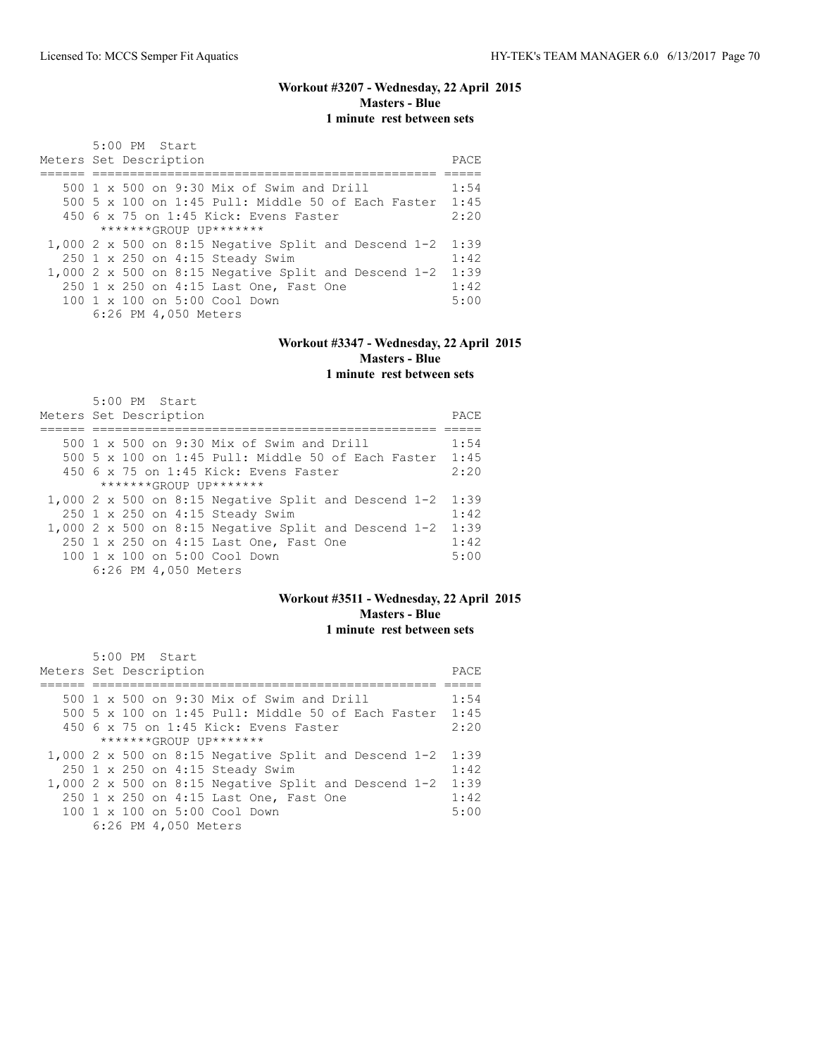# **Workout #3207 - Wednesday, 22 April 2015 Masters - Blue 1 minute rest between sets**

| 5:00 PM Start                                          |      |
|--------------------------------------------------------|------|
| Meters Set Description                                 | PACE |
|                                                        |      |
| 500 1 x 500 on 9:30 Mix of Swim and Drill              | 1:54 |
| 500 5 x 100 on 1:45 Pull: Middle 50 of Each Faster     | 1:45 |
| $450$ 6 x 75 on 1:45 Kick: Evens Faster                | 2:20 |
| $*******(ROIIP IJP******$                              |      |
| 1,000 2 x 500 on 8:15 Negative Split and Descend $1-2$ | 1:39 |
| 250 1 x 250 on 4:15 Steady Swim                        | 1:42 |
| 1,000 2 x 500 on 8:15 Negative Split and Descend $1-2$ | 1:39 |
| 250 1 x 250 on 4:15 Last One, Fast One                 | 1:42 |
| 100 1 x 100 on 5:00 Cool Down                          | 5:00 |
| 6:26 PM 4,050 Meters                                   |      |

# **Workout #3347 - Wednesday, 22 April 2015 Masters - Blue**

**1 minute rest between sets**

| $5:00$ PM Start<br>Meters Set Description              | PACE |
|--------------------------------------------------------|------|
|                                                        |      |
| 500 1 x 500 on 9:30 Mix of Swim and Drill              | 1:54 |
| 500 5 x 100 on 1:45 Pull: Middle 50 of Each Faster     | 1:45 |
| $450$ 6 x 75 on 1:45 Kick: Evens Faster                | 2:20 |
| $******GROUP$ $IP*******$                              |      |
| $1,000$ 2 x 500 on 8:15 Negative Split and Descend 1-2 | 1:39 |
| 250 1 x 250 on 4:15 Steady Swim                        | 1:42 |
| 1,000 2 x 500 on 8:15 Negative Split and Descend $1-2$ | 1:39 |
| 250 1 x 250 on 4:15 Last One, Fast One                 | 1:42 |
| 100 1 x 100 on 5:00 Cool Down                          | 5:00 |
| 6:26 PM 4,050 Meters                                   |      |

### **Workout #3511 - Wednesday, 22 April 2015 Masters - Blue 1 minute rest between sets**

| $5:00$ PM Start                                        |      |
|--------------------------------------------------------|------|
| Meters Set Description                                 | PACE |
|                                                        |      |
| 500 $1 \times 500$ on 9:30 Mix of Swim and Drill       | 1:54 |
| 500 5 x 100 on 1:45 Pull: Middle 50 of Each Faster     | 1:45 |
| 450 6 x 75 on 1:45 Kick: Evens Faster                  | 2:20 |
| $******GROIJP IJP*******$                              |      |
| 1,000 2 x 500 on 8:15 Negative Split and Descend 1-2   | 1:39 |
| 250 1 x 250 on 4:15 Steady Swim                        | 1:42 |
| $1,000$ 2 x 500 on 8:15 Negative Split and Descend 1-2 | 1:39 |
| 250 1 x 250 on 4:15 Last One, Fast One                 | 1:42 |
| 100 1 x 100 on 5:00 Cool Down                          | 5:00 |
| 6:26 PM 4,050 Meters                                   |      |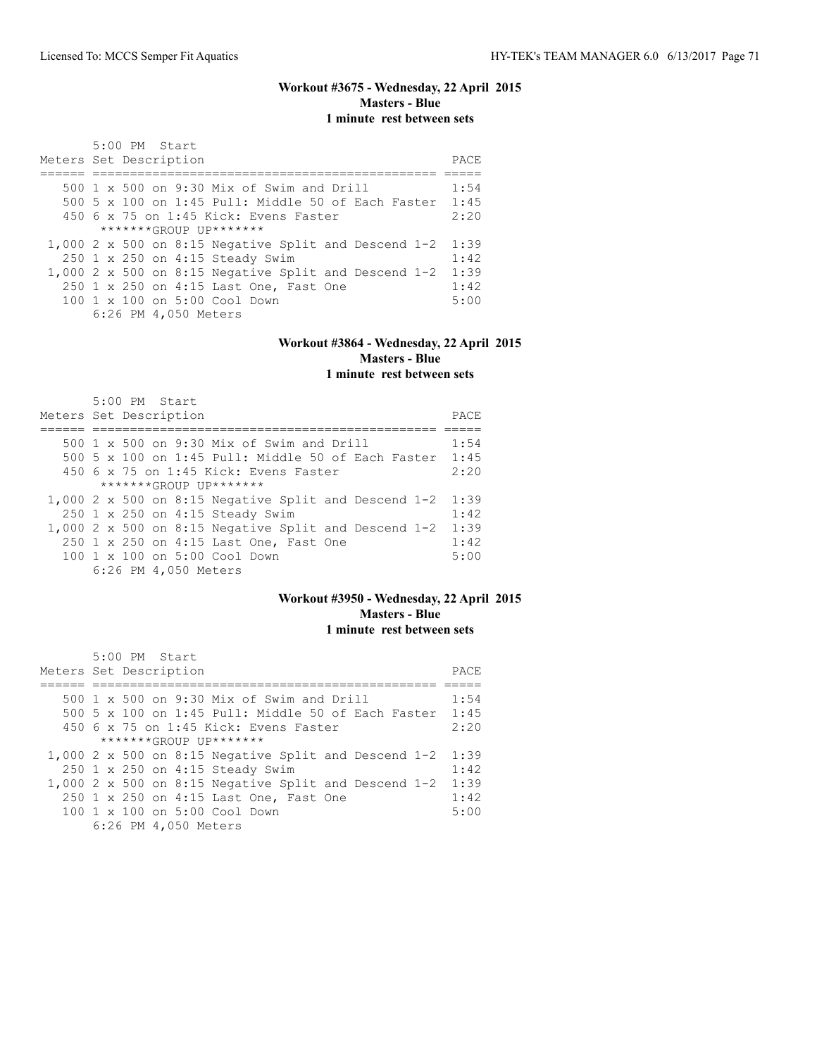# **Workout #3675 - Wednesday, 22 April 2015 Masters - Blue 1 minute rest between sets**

| 5:00 PM Start<br>Meters Set Description                 | PACE |
|---------------------------------------------------------|------|
| 500 1 x 500 on 9:30 Mix of Swim and Drill               | 1:54 |
|                                                         |      |
| 500 5 x 100 on 1:45 Pull: Middle 50 of Each Faster 1:45 |      |
| $450$ 6 x 75 on 1:45 Kick: Evens Faster                 | 2:20 |
| $******GROUP$ $IP*******$                               |      |
| $1,000$ 2 x 500 on 8:15 Negative Split and Descend 1-2  | 1:39 |
| 250 1 x 250 on 4:15 Steady Swim                         | 1:42 |
| 1,000 2 x 500 on 8:15 Negative Split and Descend $1-2$  | 1:39 |
| 250 1 x 250 on 4:15 Last One, Fast One                  | 1:42 |
| $100 \t 1 \t x \t 100$ on 5:00 Cool Down                | 5:00 |
| 6:26 PM 4,050 Meters                                    |      |

# **Workout #3864 - Wednesday, 22 April 2015 Masters - Blue**

**1 minute rest between sets**

| $5:00$ PM Start<br>Meters Set Description              | PACE |
|--------------------------------------------------------|------|
|                                                        |      |
| 500 1 x 500 on 9:30 Mix of Swim and Drill              | 1:54 |
| 500 5 x 100 on 1:45 Pull: Middle 50 of Each Faster     | 1:45 |
| $450$ 6 x 75 on 1:45 Kick: Evens Faster                | 2:20 |
| $******GROUP$ $IP*******$                              |      |
| $1,000$ 2 x 500 on 8:15 Negative Split and Descend 1-2 | 1:39 |
| 250 1 x 250 on 4:15 Steady Swim                        | 1:42 |
| 1,000 2 x 500 on 8:15 Negative Split and Descend $1-2$ | 1:39 |
| 250 1 x 250 on 4:15 Last One, Fast One                 | 1:42 |
| 100 1 x 100 on 5:00 Cool Down                          | 5:00 |
| 6:26 PM 4,050 Meters                                   |      |

### **Workout #3950 - Wednesday, 22 April 2015 Masters - Blue 1 minute rest between sets**

| $5:00$ PM Start                                        |      |
|--------------------------------------------------------|------|
| Meters Set Description                                 | PACE |
|                                                        |      |
| 500 $1 \times 500$ on 9:30 Mix of Swim and Drill       | 1:54 |
| 500 5 x 100 on 1:45 Pull: Middle 50 of Each Faster     | 1:45 |
| 450 6 x 75 on 1:45 Kick: Evens Faster                  | 2:20 |
| $******GROIJP IJP*******$                              |      |
| 1,000 2 x 500 on 8:15 Negative Split and Descend 1-2   | 1:39 |
| 250 1 x 250 on 4:15 Steady Swim                        | 1:42 |
| $1,000$ 2 x 500 on 8:15 Negative Split and Descend 1-2 | 1:39 |
| 250 1 x 250 on 4:15 Last One, Fast One                 | 1:42 |
| 100 1 x 100 on 5:00 Cool Down                          | 5:00 |
| 6:26 PM 4,050 Meters                                   |      |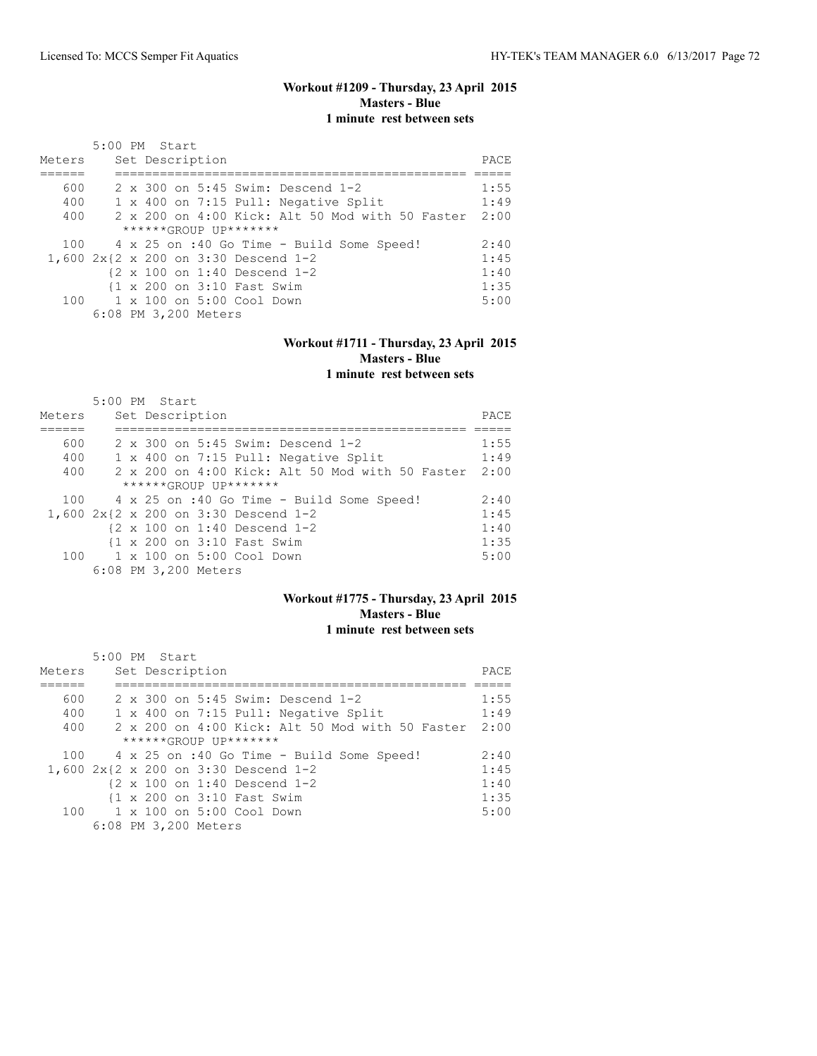### **Workout #1209 - Thursday, 23 April 2015 Masters - Blue 1 minute rest between sets**

| Meters | 5:00 PM Start |  | Set Description      |                                           |                                                 | PACE |
|--------|---------------|--|----------------------|-------------------------------------------|-------------------------------------------------|------|
| 600    |               |  |                      |                                           | 2 x 300 on 5:45 Swim: Descend 1-2               | 1:55 |
| 400    |               |  |                      |                                           | 1 x 400 on 7:15 Pull: Negative Split            | 1:49 |
| 400    |               |  |                      |                                           | 2 x 200 on 4:00 Kick: Alt 50 Mod with 50 Faster | 2:00 |
|        |               |  |                      | $***$ **** $GROIJP$ $IJP$ *******         |                                                 |      |
|        |               |  |                      |                                           | 100 4 x 25 on :40 Go Time - Build Some Speed!   | 2:40 |
|        |               |  |                      |                                           | 1,600 2x{2 x 200 on 3:30 Descend 1-2            | 1:45 |
|        |               |  |                      |                                           | {2 x 100 on 1:40 Descend 1-2                    | 1:40 |
|        |               |  |                      | {1 x 200 on 3:10 Fast Swim                |                                                 | 1:35 |
|        |               |  |                      | $100 \t 1 \times 100$ on $5:00$ Cool Down |                                                 | 5:00 |
|        |               |  | 6:08 PM 3,200 Meters |                                           |                                                 |      |

### **Workout #1711 - Thursday, 23 April 2015 Masters - Blue 1 minute rest between sets**

|        | $5:00$ PM Start                                          |      |
|--------|----------------------------------------------------------|------|
| Meters | Set Description                                          | PACE |
|        |                                                          |      |
| 600    | 2 x 300 on 5:45 Swim: Descend 1-2                        | 1:55 |
| 400    | 1 x 400 on 7:15 Pull: Negative Split                     | 1:49 |
| 400    | $2 \times 200$ on $4:00$ Kick: Alt 50 Mod with 50 Faster | 2:00 |
|        | $***$ **** $GROIJP$ $IJP$ *******                        |      |
| 100    | 4 x 25 on :40 Go Time - Build Some Speed!                | 2:40 |
|        | 1,600 2x{2 x 200 on 3:30 Descend 1-2                     | 1:45 |
|        | $\{2 \times 100 \text{ on } 1:40 \text{ Descend } 1-2$   | 1:40 |
|        | {1 x 200 on 3:10 Fast Swim                               | 1:35 |
| 100    | 1 x 100 on 5:00 Cool Down                                | 5:00 |
|        | 6:08 PM 3,200 Meters                                     |      |

### **Workout #1775 - Thursday, 23 April 2015 Masters - Blue 1 minute rest between sets**

| Meters | 5:00 PM Start<br>Set Description                       | PACE |
|--------|--------------------------------------------------------|------|
|        |                                                        |      |
| 600    | 2 x 300 on 5:45 Swim: Descend 1-2                      | 1:55 |
| 400    | 1 x 400 on 7:15 Pull: Negative Split                   | 1:49 |
| 400    | 2 x 200 on 4:00 Kick: Alt 50 Mod with 50 Faster        | 2:00 |
|        | $***$ **** $GROIIP$ $IIP$ *******                      |      |
| 100    | 4 x 25 on :40 Go Time - Build Some Speed!              | 2:40 |
|        | 1,600 2x{2 x 200 on 3:30 Descend 1-2                   | 1:45 |
|        | $\{2 \times 100 \text{ on } 1:40 \text{ Descend } 1-2$ | 1:40 |
|        | {1 x 200 on 3:10 Fast Swim                             | 1:35 |
| 100    | 1 x 100 on 5:00 Cool Down                              | 5:00 |
|        | 6:08 PM 3,200 Meters                                   |      |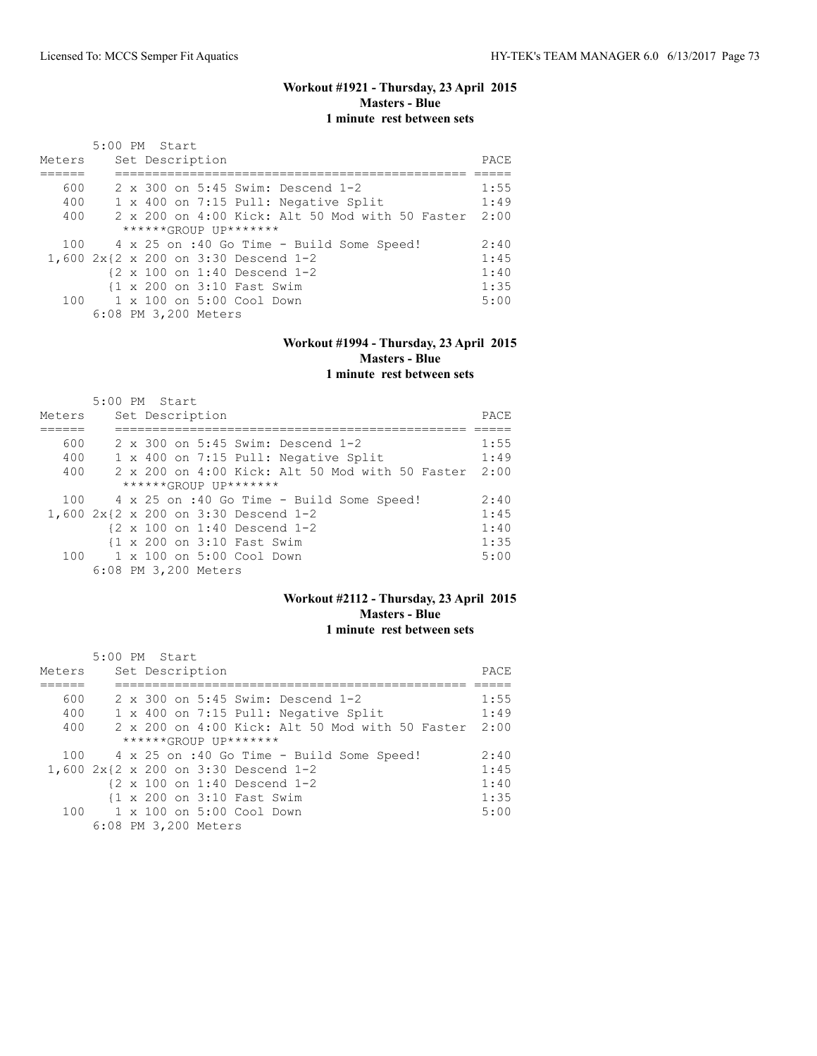#### **Workout #1921 - Thursday, 23 April 2015 Masters - Blue 1 minute rest between sets**

| Meters | 5:00 PM Start |  | Set Description      |                                           |                                                        | PACE |
|--------|---------------|--|----------------------|-------------------------------------------|--------------------------------------------------------|------|
| 600    |               |  |                      |                                           | 2 x 300 on 5:45 Swim: Descend 1-2                      | 1:55 |
| 400    |               |  |                      |                                           | 1 x 400 on 7:15 Pull: Negative Split                   | 1:49 |
| 400    |               |  |                      |                                           | 2 x 200 on 4:00 Kick: Alt 50 Mod with 50 Faster        | 2:00 |
|        |               |  |                      | $***$ **** $GROIIP$ $IIP$ *******         |                                                        |      |
| 100    |               |  |                      |                                           | 4 x 25 on :40 Go Time - Build Some Speed!              | 2:40 |
|        |               |  |                      |                                           | 1,600 2x{2 x 200 on 3:30 Descend 1-2                   | 1:45 |
|        |               |  |                      |                                           | $\{2 \times 100 \text{ on } 1:40 \text{ Descend } 1-2$ | 1:40 |
|        |               |  |                      | 11 x 200 on 3:10 Fast Swim                |                                                        | 1:35 |
|        |               |  |                      | $100 \t 1 \times 100$ on $5:00$ Cool Down |                                                        | 5:00 |
|        |               |  | 6:08 PM 3,200 Meters |                                           |                                                        |      |

#### **Workout #1994 - Thursday, 23 April 2015 Masters - Blue 1 minute rest between sets**

|        | $5:00$ PM Start                                          |      |
|--------|----------------------------------------------------------|------|
| Meters | Set Description                                          | PACE |
|        |                                                          |      |
| 600    | 2 x 300 on 5:45 Swim: Descend 1-2                        | 1:55 |
| 400    | 1 x 400 on 7:15 Pull: Negative Split                     | 1:49 |
| 400    | $2 \times 200$ on $4:00$ Kick: Alt 50 Mod with 50 Faster | 2:00 |
|        | ******GROUP UP*******                                    |      |
| 100    | 4 x 25 on :40 Go Time - Build Some Speed!                | 2:40 |
|        | 1,600 2x{2 x 200 on 3:30 Descend 1-2                     | 1:45 |
|        | $\{2 \times 100 \text{ on } 1:40 \text{ Descend } 1-2$   | 1:40 |
|        | {1 x 200 on 3:10 Fast Swim                               | 1:35 |
| 100    | 1 x 100 on 5:00 Cool Down                                | 5:00 |
|        | 6:08 PM 3,200 Meters                                     |      |

#### **Workout #2112 - Thursday, 23 April 2015 Masters - Blue 1 minute rest between sets**

| Meters | 5:00 PM Start<br>Set Description                       | PACE |
|--------|--------------------------------------------------------|------|
|        |                                                        |      |
| 600    | 2 x 300 on 5:45 Swim: Descend 1-2                      | 1:55 |
| 400    | 1 x 400 on 7:15 Pull: Negative Split                   | 1:49 |
| 400    | 2 x 200 on 4:00 Kick: Alt 50 Mod with 50 Faster        | 2:00 |
|        | $***$ **** $GROIIP$ $IIP$ *******                      |      |
| 100    | 4 x 25 on :40 Go Time - Build Some Speed!              | 2:40 |
|        | 1,600 2x{2 x 200 on 3:30 Descend 1-2                   | 1:45 |
|        | $\{2 \times 100 \text{ on } 1:40 \text{ Descend } 1-2$ | 1:40 |
|        | {1 x 200 on 3:10 Fast Swim                             | 1:35 |
| 100    | 1 x 100 on 5:00 Cool Down                              | 5:00 |
|        | 6:08 PM 3,200 Meters                                   |      |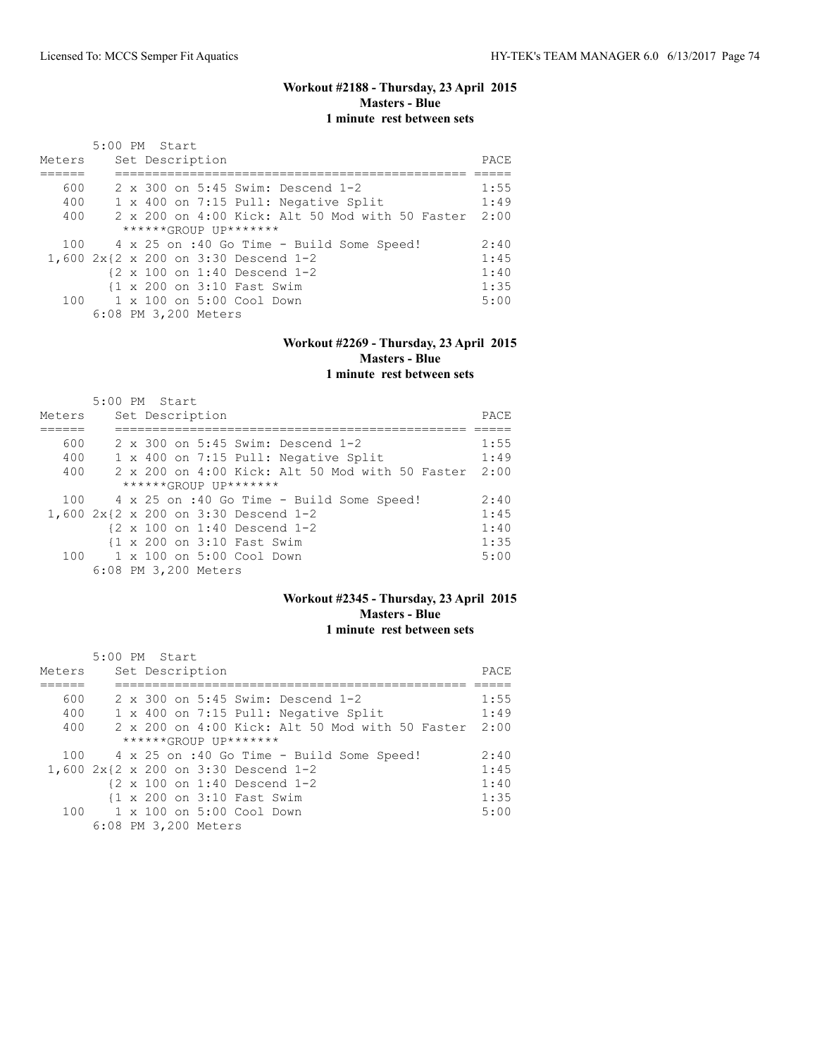## **Workout #2188 - Thursday, 23 April 2015 Masters - Blue 1 minute rest between sets**

| Meters | 5:00 PM Start |  | Set Description      |                                           |                                                 | PACE |
|--------|---------------|--|----------------------|-------------------------------------------|-------------------------------------------------|------|
| 600    |               |  |                      |                                           | 2 x 300 on 5:45 Swim: Descend 1-2               | 1:55 |
| 400    |               |  |                      |                                           | 1 x 400 on 7:15 Pull: Negative Split            | 1:49 |
| 400    |               |  |                      |                                           | 2 x 200 on 4:00 Kick: Alt 50 Mod with 50 Faster | 2:00 |
|        |               |  |                      | $***$ **** $GROIJP$ $IJP$ *******         |                                                 |      |
|        |               |  |                      |                                           | 100 4 x 25 on :40 Go Time - Build Some Speed!   | 2:40 |
|        |               |  |                      |                                           | 1,600 2x{2 x 200 on 3:30 Descend 1-2            | 1:45 |
|        |               |  |                      |                                           | {2 x 100 on 1:40 Descend 1-2                    | 1:40 |
|        |               |  |                      | {1 x 200 on 3:10 Fast Swim                |                                                 | 1:35 |
|        |               |  |                      | $100 \t 1 \times 100$ on $5:00$ Cool Down |                                                 | 5:00 |
|        |               |  | 6:08 PM 3,200 Meters |                                           |                                                 |      |

#### **Workout #2269 - Thursday, 23 April 2015 Masters - Blue 1 minute rest between sets**

|        | $5:00$ PM Start |  |                      |                                           |                                                        |      |
|--------|-----------------|--|----------------------|-------------------------------------------|--------------------------------------------------------|------|
| Meters |                 |  | Set Description      |                                           |                                                        | PACE |
|        |                 |  |                      |                                           |                                                        |      |
| 600    |                 |  |                      |                                           | 2 x 300 on 5:45 Swim: Descend 1-2                      | 1:55 |
| 400    |                 |  |                      |                                           | 1 x 400 on 7:15 Pull: Negative Split                   | 1:49 |
| 400    |                 |  |                      |                                           | 2 x 200 on 4:00 Kick: Alt 50 Mod with 50 Faster        | 2:00 |
|        |                 |  |                      | $***$ **** $GROIIP$ $IIP$ *******         |                                                        |      |
| 100    |                 |  |                      |                                           | 4 x 25 on :40 Go Time - Build Some Speed!              | 2:40 |
|        |                 |  |                      |                                           | 1,600 2x{2 x 200 on 3:30 Descend 1-2                   | 1:45 |
|        |                 |  |                      |                                           | $\{2 \times 100 \text{ on } 1:40 \text{ Descend } 1-2$ | 1:40 |
|        |                 |  |                      | {1 x 200 on 3:10 Fast Swim                |                                                        | 1:35 |
|        |                 |  |                      | $100 \t 1 \times 100$ on $5:00$ Cool Down |                                                        | 5:00 |
|        |                 |  | 6:08 PM 3,200 Meters |                                           |                                                        |      |

### **Workout #2345 - Thursday, 23 April 2015 Masters - Blue 1 minute rest between sets**

|        | 5:00 PM Start                                          |      |
|--------|--------------------------------------------------------|------|
| Meters | Set Description                                        | PACE |
|        |                                                        |      |
| 600    | 2 x 300 on 5:45 Swim: Descend 1-2                      | 1:55 |
| 400    | 1 x 400 on 7:15 Pull: Negative Split                   | 1:49 |
| 400    | 2 x 200 on 4:00 Kick: Alt 50 Mod with 50 Faster        | 2:00 |
|        | $***$ **** $GROIIP$ $IIP$ *******                      |      |
| 100    | 4 x 25 on :40 Go Time - Build Some Speed!              | 2:40 |
|        | 1,600 2x{2 x 200 on 3:30 Descend 1-2                   | 1:45 |
|        | $\{2 \times 100 \text{ on } 1:40 \text{ Descend } 1-2$ | 1:40 |
|        | {1 x 200 on 3:10 Fast Swim                             | 1:35 |
| 100    | 1 x 100 on 5:00 Cool Down                              | 5:00 |
|        | 6:08 PM 3,200 Meters                                   |      |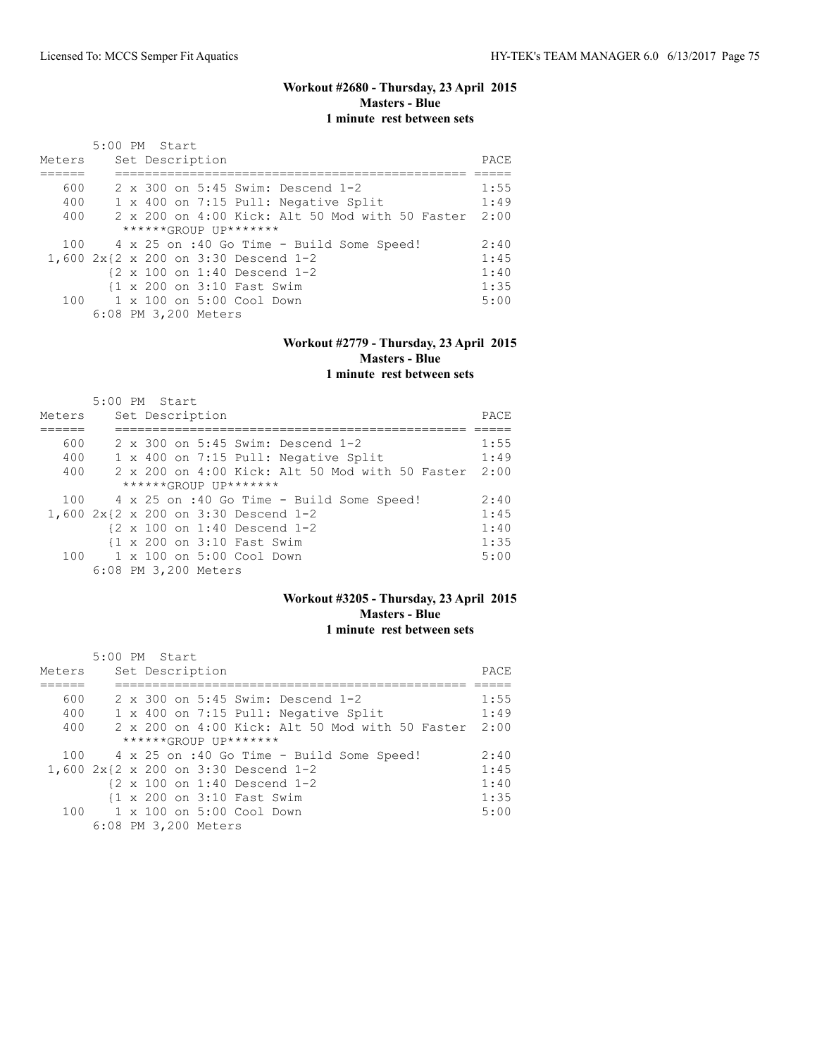## **Workout #2680 - Thursday, 23 April 2015 Masters - Blue 1 minute rest between sets**

| Meters                               | 5:00 PM Start |  | Set Description      |                                                        |                                           |  |                                                 | PACE |
|--------------------------------------|---------------|--|----------------------|--------------------------------------------------------|-------------------------------------------|--|-------------------------------------------------|------|
| 600                                  |               |  |                      |                                                        | 2 x 300 on 5:45 Swim: Descend 1-2         |  |                                                 | 1:55 |
| 400                                  |               |  |                      |                                                        | 1 x 400 on 7:15 Pull: Negative Split      |  |                                                 | 1:49 |
| 400                                  |               |  |                      |                                                        |                                           |  | 2 x 200 on 4:00 Kick: Alt 50 Mod with 50 Faster | 2:00 |
|                                      |               |  |                      | $***$ **** $GROIIP$ $IIP$ *******                      |                                           |  |                                                 |      |
| 100                                  |               |  |                      |                                                        | 4 x 25 on :40 Go Time - Build Some Speed! |  |                                                 | 2:40 |
| 1,600 2x{2 x 200 on 3:30 Descend 1-2 |               |  |                      |                                                        |                                           |  |                                                 | 1:45 |
|                                      |               |  |                      | $\{2 \times 100 \text{ on } 1:40 \text{ Descend } 1-2$ |                                           |  |                                                 | 1:40 |
|                                      |               |  |                      | {1 x 200 on 3:10 Fast Swim                             |                                           |  |                                                 | 1:35 |
|                                      |               |  |                      | $100 \t 1 \times 100$ on $5:00$ Cool Down              |                                           |  |                                                 | 5:00 |
|                                      |               |  | 6:08 PM 3,200 Meters |                                                        |                                           |  |                                                 |      |

#### **Workout #2779 - Thursday, 23 April 2015 Masters - Blue 1 minute rest between sets**

|        | 5:00 PM Start             |                 |  |                                   |                                                          |      |
|--------|---------------------------|-----------------|--|-----------------------------------|----------------------------------------------------------|------|
| Meters |                           | Set Description |  |                                   |                                                          | PACE |
|        |                           |                 |  |                                   |                                                          |      |
| 600    |                           |                 |  |                                   | 2 x 300 on 5:45 Swim: Descend 1-2                        | 1:55 |
| 400    |                           |                 |  |                                   | 1 x 400 on 7:15 Pull: Negative Split                     | 1:49 |
| 400    |                           |                 |  |                                   | $2 \times 200$ on $4:00$ Kick: Alt 50 Mod with 50 Faster | 2:00 |
|        |                           |                 |  | $***$ **** $GROIIP$ $IIP$ ******* |                                                          |      |
| 100    |                           |                 |  |                                   | 4 x 25 on :40 Go Time - Build Some Speed!                | 2:40 |
|        |                           |                 |  |                                   | 1,600 2x{2 x 200 on 3:30 Descend 1-2                     | 1:45 |
|        |                           |                 |  |                                   | $\{2 \times 100 \text{ on } 1:40 \text{ Descend } 1-2$   | 1:40 |
|        |                           |                 |  | {1 x 200 on 3:10 Fast Swim        |                                                          | 1:35 |
| 100    | 1 x 100 on 5:00 Cool Down |                 |  |                                   |                                                          | 5:00 |
|        | 6:08 PM 3,200 Meters      |                 |  |                                   |                                                          |      |

#### **Workout #3205 - Thursday, 23 April 2015 Masters - Blue 1 minute rest between sets**

| Meters | 5:00 PM Start<br>Set Description                       | PACE |
|--------|--------------------------------------------------------|------|
|        |                                                        |      |
| 600    | 2 x 300 on 5:45 Swim: Descend 1-2                      | 1:55 |
| 400    | 1 x 400 on 7:15 Pull: Negative Split                   | 1:49 |
| 400    | 2 x 200 on 4:00 Kick: Alt 50 Mod with 50 Faster        | 2:00 |
|        | $***$ **** $GROIIP$ $IIP$ *******                      |      |
| 100    | 4 x 25 on :40 Go Time - Build Some Speed!              | 2:40 |
|        | 1,600 2x{2 x 200 on 3:30 Descend 1-2                   | 1:45 |
|        | $\{2 \times 100 \text{ on } 1:40 \text{ Descend } 1-2$ | 1:40 |
|        | {1 x 200 on 3:10 Fast Swim                             | 1:35 |
| 100    | 1 x 100 on 5:00 Cool Down                              | 5:00 |
|        | 6:08 PM 3,200 Meters                                   |      |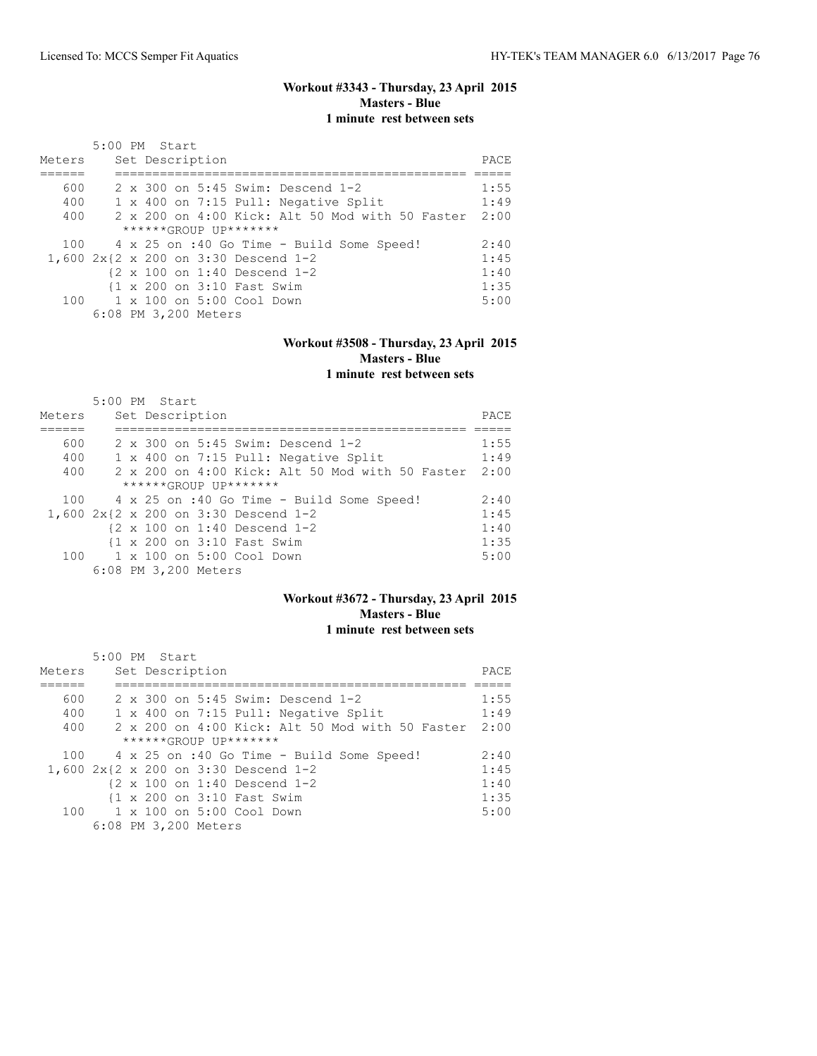## **Workout #3343 - Thursday, 23 April 2015 Masters - Blue 1 minute rest between sets**

| Meters | 5:00 PM Start |  | Set Description      |                                           |                                                 | PACE |
|--------|---------------|--|----------------------|-------------------------------------------|-------------------------------------------------|------|
| 600    |               |  |                      |                                           | 2 x 300 on 5:45 Swim: Descend 1-2               | 1:55 |
| 400    |               |  |                      |                                           | 1 x 400 on 7:15 Pull: Negative Split            | 1:49 |
| 400    |               |  |                      |                                           | 2 x 200 on 4:00 Kick: Alt 50 Mod with 50 Faster | 2:00 |
|        |               |  |                      | $***$ **** $GROIJP$ $IJP$ *******         |                                                 |      |
|        |               |  |                      |                                           | 100 4 x 25 on :40 Go Time - Build Some Speed!   | 2:40 |
|        |               |  |                      |                                           | 1,600 2x{2 x 200 on 3:30 Descend 1-2            | 1:45 |
|        |               |  |                      |                                           | {2 x 100 on 1:40 Descend 1-2                    | 1:40 |
|        |               |  |                      | {1 x 200 on 3:10 Fast Swim                |                                                 | 1:35 |
|        |               |  |                      | $100 \t 1 \times 100$ on $5:00$ Cool Down |                                                 | 5:00 |
|        |               |  | 6:08 PM 3,200 Meters |                                           |                                                 |      |

#### **Workout #3508 - Thursday, 23 April 2015 Masters - Blue 1 minute rest between sets**

|        | 5:00 PM Start |  |                      |                                   |                                                          |      |
|--------|---------------|--|----------------------|-----------------------------------|----------------------------------------------------------|------|
| Meters |               |  | Set Description      |                                   |                                                          | PACE |
|        |               |  |                      |                                   |                                                          |      |
| 600    |               |  |                      |                                   | 2 x 300 on 5:45 Swim: Descend 1-2                        | 1:55 |
| 400    |               |  |                      |                                   | 1 x 400 on 7:15 Pull: Negative Split                     | 1:49 |
| 400    |               |  |                      |                                   | $2 \times 200$ on $4:00$ Kick: Alt 50 Mod with 50 Faster | 2:00 |
|        |               |  |                      | $***$ **** $GROIIP$ $IIP$ ******* |                                                          |      |
| 100    |               |  |                      |                                   | 4 x 25 on :40 Go Time - Build Some Speed!                | 2:40 |
|        |               |  |                      |                                   | 1,600 2x{2 x 200 on 3:30 Descend 1-2                     | 1:45 |
|        |               |  |                      |                                   | $\{2 \times 100 \text{ on } 1:40 \text{ Descend } 1-2$   | 1:40 |
|        |               |  |                      | {1 x 200 on 3:10 Fast Swim        |                                                          | 1:35 |
| 100    |               |  |                      | 1 x 100 on 5:00 Cool Down         |                                                          | 5:00 |
|        |               |  | 6:08 PM 3,200 Meters |                                   |                                                          |      |

### **Workout #3672 - Thursday, 23 April 2015 Masters - Blue 1 minute rest between sets**

|        | 5:00 PM Start                                          |      |
|--------|--------------------------------------------------------|------|
| Meters | Set Description                                        | PACE |
|        |                                                        |      |
| 600    | 2 x 300 on 5:45 Swim: Descend 1-2                      | 1:55 |
| 400    | 1 x 400 on 7:15 Pull: Negative Split                   | 1:49 |
| 400    | 2 x 200 on 4:00 Kick: Alt 50 Mod with 50 Faster        | 2:00 |
|        | $***$ **** $GROIIP$ $IIP$ *******                      |      |
|        | 100 4 x 25 on :40 Go Time - Build Some Speed!          | 2:40 |
|        | 1,600 2x{2 x 200 on 3:30 Descend 1-2                   | 1:45 |
|        | $\{2 \times 100 \text{ on } 1:40 \text{ Descend } 1-2$ | 1:40 |
|        | {1 x 200 on 3:10 Fast Swim                             | 1:35 |
|        | 100 1 x 100 on 5:00 Cool Down                          | 5:00 |
|        | 6:08 PM 3,200 Meters                                   |      |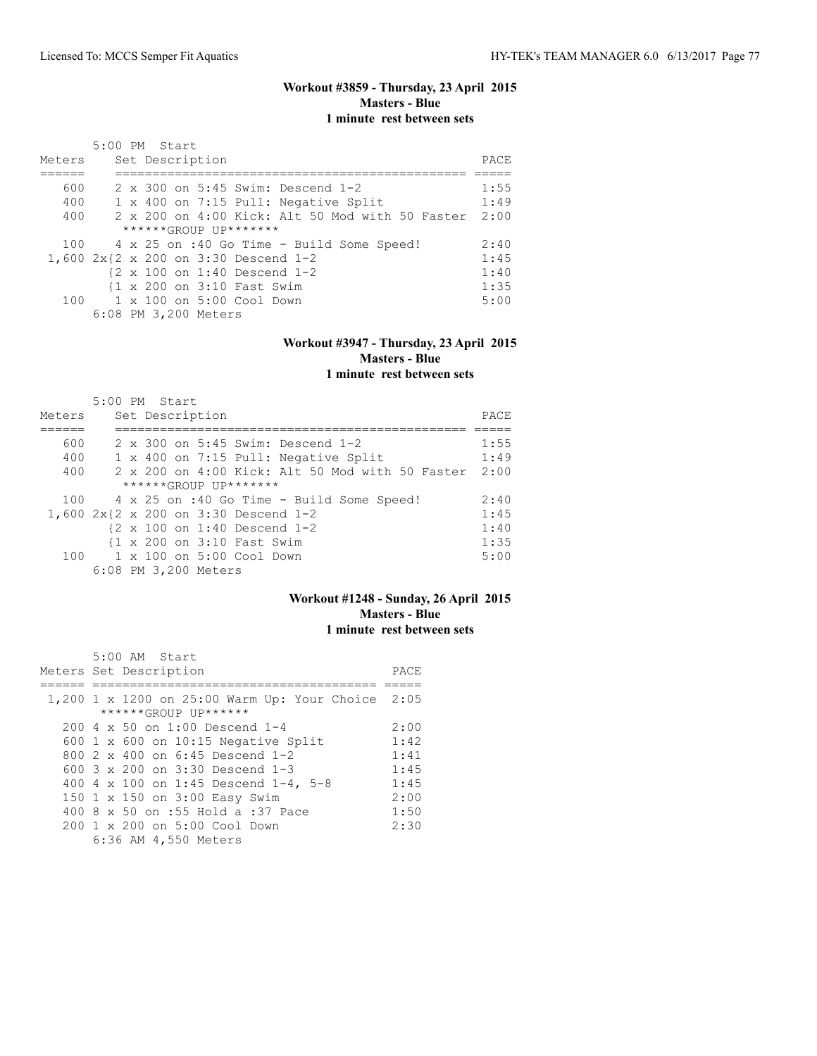## **Workout #3859 - Thursday, 23 April 2015 Masters - Blue 1 minute rest between sets**

| Meters | 5:00 PM Start |  | Set Description      |                                           |                                                 | PACE |
|--------|---------------|--|----------------------|-------------------------------------------|-------------------------------------------------|------|
| 600    |               |  |                      |                                           | 2 x 300 on 5:45 Swim: Descend 1-2               | 1:55 |
| 400    |               |  |                      |                                           | 1 x 400 on 7:15 Pull: Negative Split            | 1:49 |
| 400    |               |  |                      |                                           | 2 x 200 on 4:00 Kick: Alt 50 Mod with 50 Faster | 2:00 |
|        |               |  |                      | $***$ **** $GROIJP$ $IJP$ *******         |                                                 |      |
|        |               |  |                      |                                           | 100 4 x 25 on :40 Go Time - Build Some Speed!   | 2:40 |
|        |               |  |                      |                                           | 1,600 2x{2 x 200 on 3:30 Descend 1-2            | 1:45 |
|        |               |  |                      |                                           | {2 x 100 on 1:40 Descend 1-2                    | 1:40 |
|        |               |  |                      | {1 x 200 on 3:10 Fast Swim                |                                                 | 1:35 |
|        |               |  |                      | $100 \t 1 \times 100$ on $5:00$ Cool Down |                                                 | 5:00 |
|        |               |  | 6:08 PM 3,200 Meters |                                           |                                                 |      |

#### **Workout #3947 - Thursday, 23 April 2015 Masters - Blue 1 minute rest between sets**

|        | 5:00 PM Start             |                 |  |                                   |                                                          |      |
|--------|---------------------------|-----------------|--|-----------------------------------|----------------------------------------------------------|------|
| Meters |                           | Set Description |  |                                   |                                                          | PACE |
|        |                           |                 |  |                                   |                                                          |      |
| 600    |                           |                 |  |                                   | 2 x 300 on 5:45 Swim: Descend 1-2                        | 1:55 |
| 400    |                           |                 |  |                                   | 1 x 400 on 7:15 Pull: Negative Split                     | 1:49 |
| 400    |                           |                 |  |                                   | $2 \times 200$ on $4:00$ Kick: Alt 50 Mod with 50 Faster | 2:00 |
|        |                           |                 |  | $***$ **** $GROIIP$ $IIP$ ******* |                                                          |      |
| 100    |                           |                 |  |                                   | 4 x 25 on :40 Go Time - Build Some Speed!                | 2:40 |
|        |                           |                 |  |                                   | 1,600 2x{2 x 200 on 3:30 Descend 1-2                     | 1:45 |
|        |                           |                 |  |                                   | $\{2 \times 100 \text{ on } 1:40 \text{ Descend } 1-2$   | 1:40 |
|        |                           |                 |  | {1 x 200 on 3:10 Fast Swim        |                                                          | 1:35 |
| 100    | 1 x 100 on 5:00 Cool Down |                 |  |                                   |                                                          | 5:00 |
|        | 6:08 PM 3,200 Meters      |                 |  |                                   |                                                          |      |

## **Workout #1248 - Sunday, 26 April 2015 Masters - Blue 1 minute rest between sets**

| 5:00 AM Start                                     |      |
|---------------------------------------------------|------|
| Meters Set Description                            | PACE |
|                                                   |      |
| 1,200 1 x 1200 on 25:00 Warm Up: Your Choice 2:05 |      |
| ******GROUP UP******                              |      |
| 200 4 x 50 on 1:00 Descend 1-4                    | 2:00 |
| 600 $1 \times 600$ on 10:15 Negative Split        | 1:42 |
| 800 $2 \times 400$ on 6:45 Descend 1-2            | 1:41 |
| 600 $3 \times 200$ on $3:30$ Descend 1-3          | 1:45 |
| 400 4 x 100 on 1:45 Descend 1-4, 5-8              | 1:45 |
| 150 1 x 150 on 3:00 Easy Swim                     | 2:00 |
| 400 8 x 50 on :55 Hold a :37 Pace                 | 1:50 |
| 200 1 x 200 on 5:00 Cool Down                     | 2:30 |
| 6:36 AM 4,550 Meters                              |      |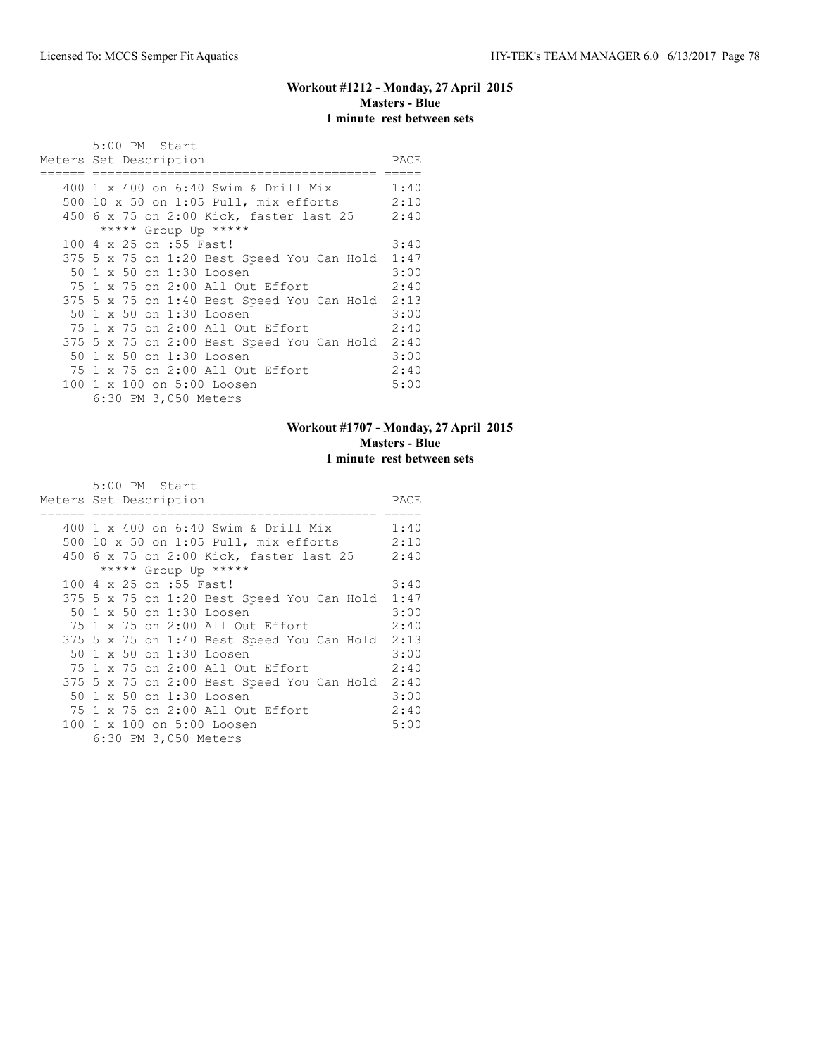## **Workout #1212 - Monday, 27 April 2015 Masters - Blue 1 minute rest between sets**

|     | 5:00 PM Start<br>Meters Set Description         | PACE |
|-----|-------------------------------------------------|------|
|     |                                                 |      |
|     | 400 1 x 400 on 6:40 Swim & Drill Mix            | 1:40 |
| 500 | $10 \times 50$ on $1:05$ Pull, mix efforts 2:10 |      |
|     | 450 6 x 75 on 2:00 Kick, faster last 25         | 2:40 |
|     | ***** Group Up *****                            |      |
|     | 100 4 x 25 on :55 Fast!                         | 3:40 |
|     | 375 5 x 75 on 1:20 Best Speed You Can Hold 1:47 |      |
|     | 50 1 x 50 on 1:30 Loosen                        | 3:00 |
|     | 75 1 x 75 on 2:00 All Out Effort                | 2:40 |
|     | 375 5 x 75 on 1:40 Best Speed You Can Hold      | 2:13 |
|     | 50 1 x 50 on 1:30 Loosen                        | 3:00 |
|     | 75 1 x 75 on 2:00 All Out Effort                | 2:40 |
|     | 375 5 x 75 on 2:00 Best Speed You Can Hold      | 2:40 |
|     | 50 1 x 50 on 1:30 Loosen                        | 3:00 |
|     | 75 1 x 75 on 2:00 All Out Effort                | 2:40 |
|     | 100 1 x 100 on 5:00 Loosen                      | 5:00 |
|     | 6:30 PM 3,050 Meters                            |      |

## **Workout #1707 - Monday, 27 April 2015 Masters - Blue 1 minute rest between sets**

| Meters Set Description                     | PACE |
|--------------------------------------------|------|
|                                            |      |
| 400 1 x 400 on 6:40 Swim & Drill Mix       | 1:40 |
| 500 10 x 50 on 1:05 Pull, mix efforts      | 2:10 |
| 450 6 x 75 on 2:00 Kick, faster last 25    | 2:40 |
| ***** Group Up *****                       |      |
| 100 4 x 25 on :55 Fast!                    | 3:40 |
| 375 5 x 75 on 1:20 Best Speed You Can Hold | 1:47 |
| 50 1 x 50 on 1:30 Loosen                   | 3:00 |
| 75 1 x 75 on 2:00 All Out Effort           | 2:40 |
| 375 5 x 75 on 1:40 Best Speed You Can Hold | 2:13 |
| 50 1 x 50 on 1:30 Loosen                   | 3:00 |
| 75 1 x 75 on 2:00 All Out Effort           | 2:40 |
| 375 5 x 75 on 2:00 Best Speed You Can Hold | 2:40 |
| 50 1 x 50 on 1:30 Loosen                   | 3:00 |
| 75 1 x 75 on 2:00 All Out Effort           | 2:40 |
| 100 1 x 100 on 5:00 Loosen                 | 5:00 |
| 6:30 PM 3,050 Meters                       |      |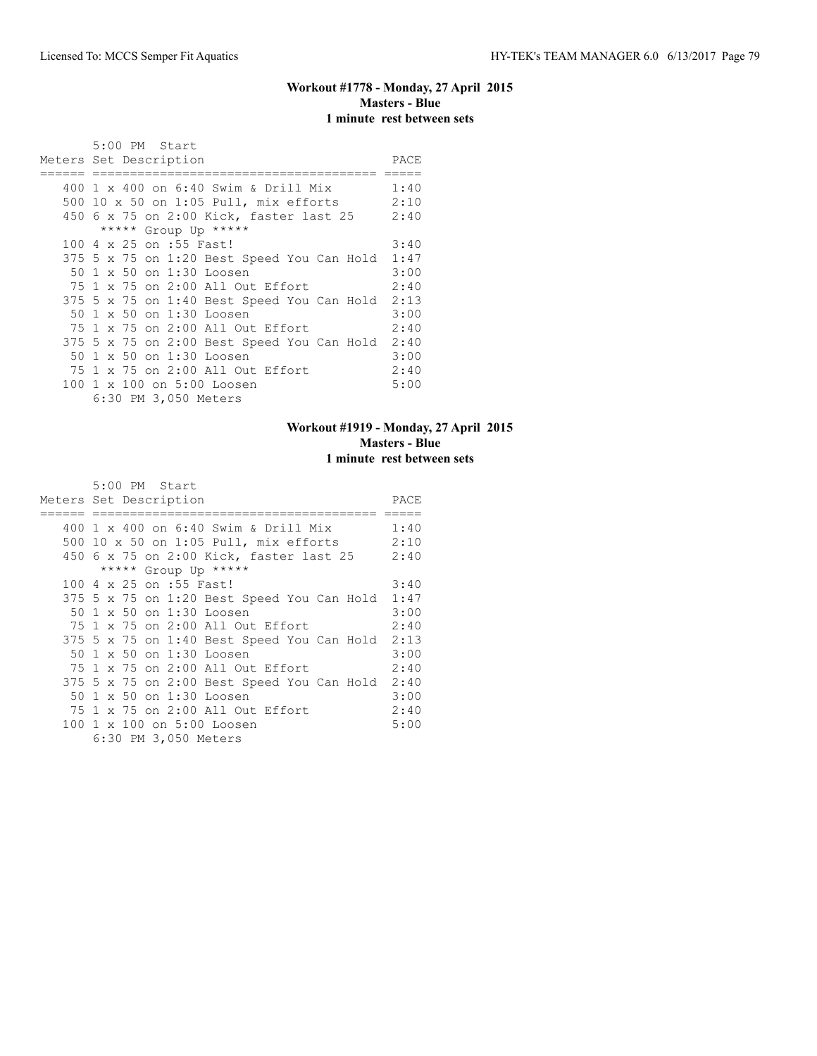## **Workout #1778 - Monday, 27 April 2015 Masters - Blue 1 minute rest between sets**

|     | 5:00 PM Start<br>Meters Set Description         | PACE |
|-----|-------------------------------------------------|------|
|     |                                                 |      |
|     | 400 1 x 400 on 6:40 Swim & Drill Mix            | 1:40 |
| 500 | $10 \times 50$ on $1:05$ Pull, mix efforts 2:10 |      |
|     | 450 6 x 75 on 2:00 Kick, faster last 25         | 2:40 |
|     | ***** Group Up *****                            |      |
|     | 100 4 x 25 on :55 Fast!                         | 3:40 |
|     | 375 5 x 75 on 1:20 Best Speed You Can Hold 1:47 |      |
|     | 50 1 x 50 on 1:30 Loosen                        | 3:00 |
|     | 75 1 x 75 on 2:00 All Out Effort                | 2:40 |
|     | 375 5 x 75 on 1:40 Best Speed You Can Hold      | 2:13 |
|     | 50 1 x 50 on 1:30 Loosen                        | 3:00 |
|     | 75 1 x 75 on 2:00 All Out Effort                | 2:40 |
|     | 375 5 x 75 on 2:00 Best Speed You Can Hold      | 2:40 |
|     | 50 1 x 50 on 1:30 Loosen                        | 3:00 |
|     | 75 1 x 75 on 2:00 All Out Effort                | 2:40 |
|     | 100 1 x 100 on 5:00 Loosen                      | 5:00 |
|     | 6:30 PM 3,050 Meters                            |      |

## **Workout #1919 - Monday, 27 April 2015 Masters - Blue 1 minute rest between sets**

| Meters Set Description                     | PACE |
|--------------------------------------------|------|
|                                            |      |
| 400 1 x 400 on 6:40 Swim & Drill Mix       | 1:40 |
| 500 10 x 50 on 1:05 Pull, mix efforts      | 2:10 |
| 450 6 x 75 on 2:00 Kick, faster last 25    | 2:40 |
| ***** Group Up *****                       |      |
| 100 4 x 25 on :55 Fast!                    | 3:40 |
| 375 5 x 75 on 1:20 Best Speed You Can Hold | 1:47 |
| 50 1 x 50 on 1:30 Loosen                   | 3:00 |
| 75 1 x 75 on 2:00 All Out Effort           | 2:40 |
| 375 5 x 75 on 1:40 Best Speed You Can Hold | 2:13 |
| 50 1 x 50 on 1:30 Loosen                   | 3:00 |
| 75 1 x 75 on 2:00 All Out Effort           | 2:40 |
| 375 5 x 75 on 2:00 Best Speed You Can Hold | 2:40 |
| 50 1 x 50 on 1:30 Loosen                   | 3:00 |
| 75 1 x 75 on 2:00 All Out Effort           | 2:40 |
| 100 1 x 100 on 5:00 Loosen                 | 5:00 |
| 6:30 PM 3,050 Meters                       |      |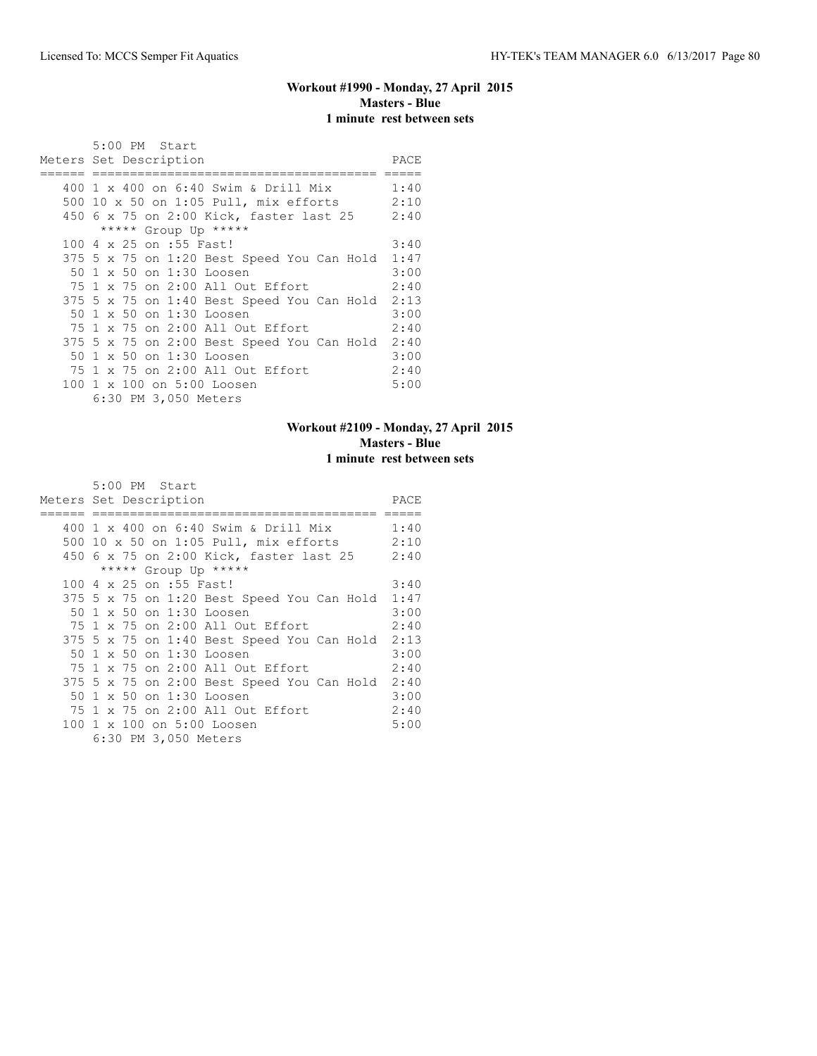## **Workout #1990 - Monday, 27 April 2015 Masters - Blue 1 minute rest between sets**

|     | 5:00 PM Start<br>Meters Set Description         | PACE |
|-----|-------------------------------------------------|------|
|     |                                                 |      |
|     | 400 1 x 400 on 6:40 Swim & Drill Mix            | 1:40 |
| 500 | $10 \times 50$ on $1:05$ Pull, mix efforts 2:10 |      |
|     | 450 6 x 75 on 2:00 Kick, faster last 25         | 2:40 |
|     | ***** Group Up *****                            |      |
|     | 100 4 x 25 on :55 Fast!                         | 3:40 |
|     | 375 5 x 75 on 1:20 Best Speed You Can Hold 1:47 |      |
|     | 50 1 x 50 on 1:30 Loosen                        | 3:00 |
|     | 75 1 x 75 on 2:00 All Out Effort                | 2:40 |
|     | 375 5 x 75 on 1:40 Best Speed You Can Hold      | 2:13 |
|     | 50 1 x 50 on 1:30 Loosen                        | 3:00 |
|     | 75 1 x 75 on 2:00 All Out Effort                | 2:40 |
|     | 375 5 x 75 on 2:00 Best Speed You Can Hold      | 2:40 |
|     | 50 1 x 50 on 1:30 Loosen                        | 3:00 |
|     | 75 1 x 75 on 2:00 All Out Effort                | 2:40 |
|     | 100 1 x 100 on 5:00 Loosen                      | 5:00 |
|     | 6:30 PM 3,050 Meters                            |      |

## **Workout #2109 - Monday, 27 April 2015 Masters - Blue 1 minute rest between sets**

| Meters Set Description                     | PACE |
|--------------------------------------------|------|
|                                            |      |
| 400 1 x 400 on 6:40 Swim & Drill Mix       | 1:40 |
| 500 10 x 50 on 1:05 Pull, mix efforts      | 2:10 |
| 450 6 x 75 on 2:00 Kick, faster last 25    | 2:40 |
| ***** Group Up *****                       |      |
| 100 4 x 25 on :55 Fast!                    | 3:40 |
| 375 5 x 75 on 1:20 Best Speed You Can Hold | 1:47 |
| 50 1 x 50 on 1:30 Loosen                   | 3:00 |
| 75 1 x 75 on 2:00 All Out Effort           | 2:40 |
| 375 5 x 75 on 1:40 Best Speed You Can Hold | 2:13 |
| 50 1 x 50 on 1:30 Loosen                   | 3:00 |
| 75 1 x 75 on 2:00 All Out Effort           | 2:40 |
| 375 5 x 75 on 2:00 Best Speed You Can Hold | 2:40 |
| 50 1 x 50 on 1:30 Loosen                   | 3:00 |
| 75 1 x 75 on 2:00 All Out Effort           | 2:40 |
| 100 1 x 100 on 5:00 Loosen                 | 5:00 |
| 6:30 PM 3,050 Meters                       |      |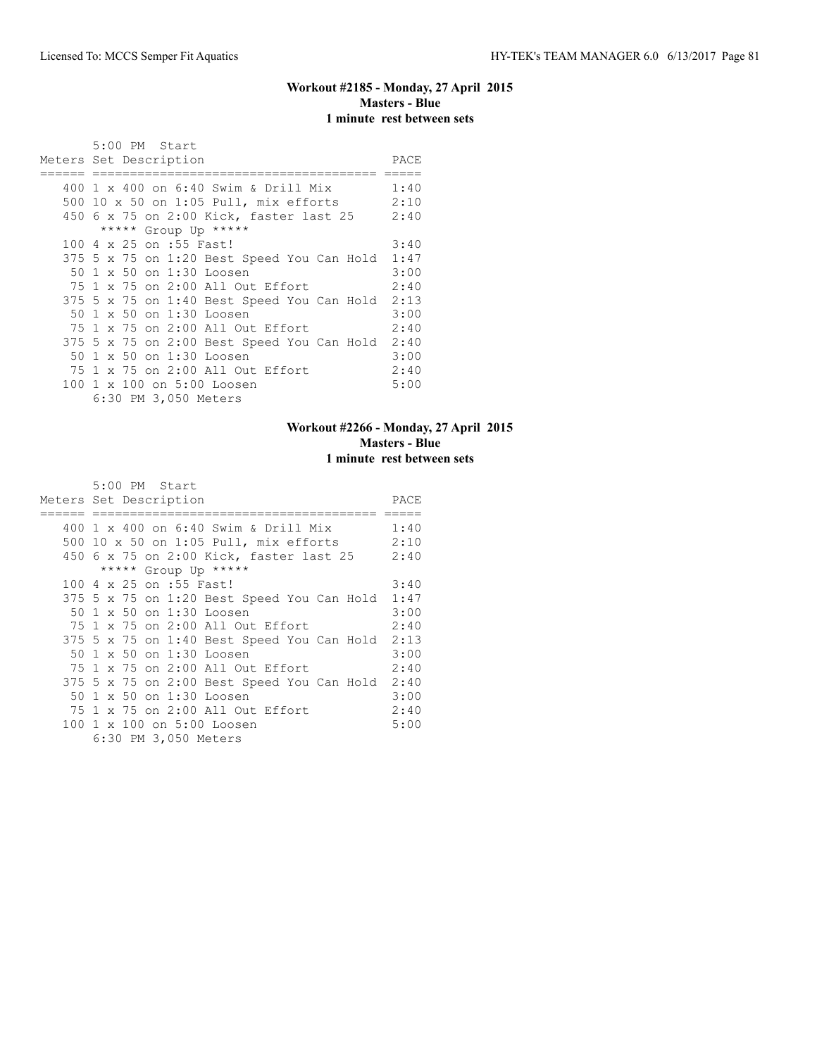#### **Workout #2185 - Monday, 27 April 2015 Masters - Blue 1 minute rest between sets**

|     | 5:00 PM Start<br>Meters Set Description         | PACE |
|-----|-------------------------------------------------|------|
|     |                                                 |      |
|     | 400 1 x 400 on 6:40 Swim & Drill Mix            | 1:40 |
| 500 | $10 \times 50$ on $1:05$ Pull, mix efforts 2:10 |      |
|     | 450 6 x 75 on 2:00 Kick, faster last 25         | 2:40 |
|     | ***** Group Up *****                            |      |
|     | 100 4 x 25 on :55 Fast!                         | 3:40 |
|     | 375 5 x 75 on 1:20 Best Speed You Can Hold      | 1:47 |
|     | 50 1 x 50 on 1:30 Loosen                        | 3:00 |
|     | 75 1 x 75 on 2:00 All Out Effort                | 2:40 |
|     | 375 5 x 75 on 1:40 Best Speed You Can Hold      | 2:13 |
|     | 50 1 x 50 on 1:30 Loosen                        | 3:00 |
|     | 75 1 x 75 on 2:00 All Out Effort                | 2:40 |
|     | 375 5 x 75 on 2:00 Best Speed You Can Hold      | 2:40 |
|     | 50 1 x 50 on 1:30 Loosen                        | 3:00 |
|     | 75 1 x 75 on 2:00 All Out Effort                | 2:40 |
|     | 100 1 x 100 on 5:00 Loosen                      | 5:00 |
|     |                                                 |      |
|     | 6:30 PM 3,050 Meters                            |      |

## **Workout #2266 - Monday, 27 April 2015 Masters - Blue 1 minute rest between sets**

| Meters Set Description                     | PACE |
|--------------------------------------------|------|
|                                            |      |
| 400 1 x 400 on 6:40 Swim & Drill Mix       | 1:40 |
| 500 10 x 50 on 1:05 Pull, mix efforts      | 2:10 |
| 450 6 x 75 on 2:00 Kick, faster last 25    | 2:40 |
| ***** Group Up *****                       |      |
| 100 4 x 25 on :55 Fast!                    | 3:40 |
| 375 5 x 75 on 1:20 Best Speed You Can Hold | 1:47 |
| 50 1 x 50 on 1:30 Loosen                   | 3:00 |
| 75 1 x 75 on 2:00 All Out Effort           | 2:40 |
| 375 5 x 75 on 1:40 Best Speed You Can Hold | 2:13 |
| 50 1 x 50 on 1:30 Loosen                   | 3:00 |
| 75 1 x 75 on 2:00 All Out Effort           | 2:40 |
| 375 5 x 75 on 2:00 Best Speed You Can Hold | 2:40 |
| 50 1 x 50 on 1:30 Loosen                   | 3:00 |
| 75 1 x 75 on 2:00 All Out Effort           | 2:40 |
| 100 1 x 100 on 5:00 Loosen                 | 5:00 |
| 6:30 PM 3,050 Meters                       |      |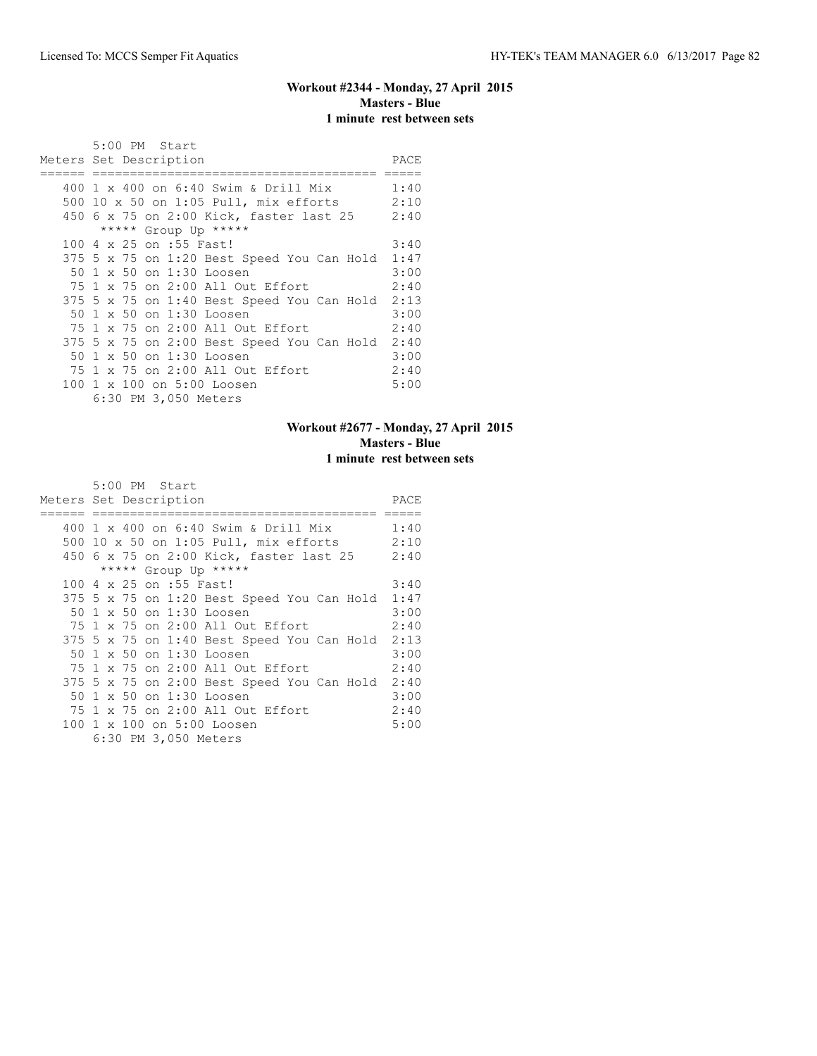## **Workout #2344 - Monday, 27 April 2015 Masters - Blue 1 minute rest between sets**

| 5:00 PM Start                                   |      |
|-------------------------------------------------|------|
| Meters Set Description                          | PACE |
|                                                 |      |
| 400 1 x 400 on 6:40 Swim & Drill Mix            | 1:40 |
| 500 10 x 50 on 1:05 Pull, mix efforts 2:10      |      |
| 450 6 x 75 on 2:00 Kick, faster last 25 2:40    |      |
| ***** Group Up *****                            |      |
| 100 4 x 25 on :55 Fast!                         | 3:40 |
| 375 5 x 75 on 1:20 Best Speed You Can Hold 1:47 |      |
| 50 1 x 50 on 1:30 Loosen                        | 3:00 |
| 75 1 x 75 on 2:00 All Out Effort                | 2:40 |
| 375 5 x 75 on 1:40 Best Speed You Can Hold 2:13 |      |
| 50 1 x 50 on 1:30 Loosen                        | 3:00 |
| 75 1 x 75 on 2:00 All Out Effort                | 2:40 |
| 375 5 x 75 on 2:00 Best Speed You Can Hold 2:40 |      |
| 50 1 x 50 on 1:30 Loosen                        | 3:00 |
| 75 1 x 75 on 2:00 All Out Effort                | 2:40 |
| 100 1 x 100 on 5:00 Loosen                      | 5:00 |
| 6:30 PM 3,050 Meters                            |      |

## **Workout #2677 - Monday, 27 April 2015 Masters - Blue 1 minute rest between sets**

| Meters Set Description                     | PACE |
|--------------------------------------------|------|
|                                            |      |
| 400 1 x 400 on 6:40 Swim & Drill Mix       | 1:40 |
| 500 10 x 50 on 1:05 Pull, mix efforts      | 2:10 |
| 450 6 x 75 on 2:00 Kick, faster last 25    | 2:40 |
| ***** Group Up *****                       |      |
| 100 4 x 25 on :55 Fast!                    | 3:40 |
| 375 5 x 75 on 1:20 Best Speed You Can Hold | 1:47 |
| 50 1 x 50 on 1:30 Loosen                   | 3:00 |
| 75 1 x 75 on 2:00 All Out Effort           | 2:40 |
| 375 5 x 75 on 1:40 Best Speed You Can Hold | 2:13 |
| 50 1 x 50 on 1:30 Loosen                   | 3:00 |
| 75 1 x 75 on 2:00 All Out Effort           | 2:40 |
| 375 5 x 75 on 2:00 Best Speed You Can Hold | 2:40 |
| 50 1 x 50 on 1:30 Loosen                   | 3:00 |
| 75 1 x 75 on 2:00 All Out Effort           | 2:40 |
| 100 1 x 100 on 5:00 Loosen                 | 5:00 |
| 6:30 PM 3,050 Meters                       |      |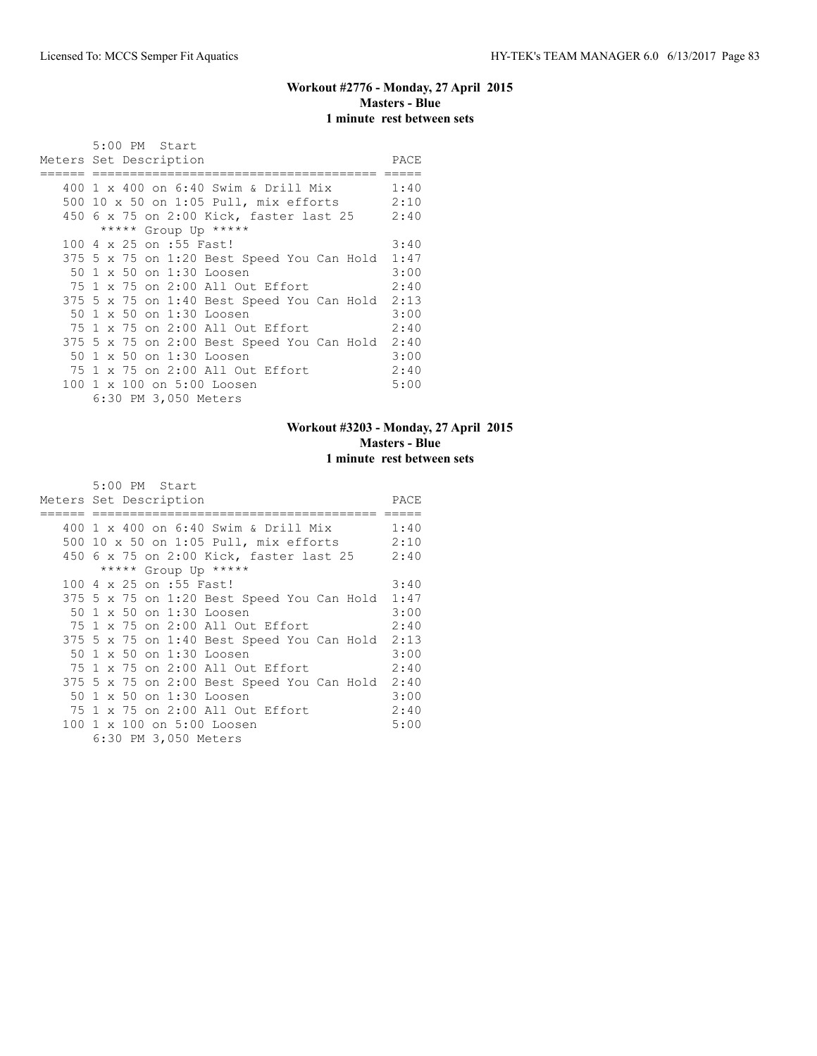### **Workout #2776 - Monday, 27 April 2015 Masters - Blue 1 minute rest between sets**

|     | 5:00 PM Start<br>Meters Set Description         | PACE |
|-----|-------------------------------------------------|------|
|     |                                                 |      |
|     | 400 1 x 400 on 6:40 Swim & Drill Mix            | 1:40 |
| 500 | $10 \times 50$ on $1:05$ Pull, mix efforts 2:10 |      |
|     | 450 6 x 75 on 2:00 Kick, faster last 25         | 2:40 |
|     | ***** Group Up *****                            |      |
|     | 100 4 x 25 on :55 Fast!                         | 3:40 |
|     | 375 5 x 75 on 1:20 Best Speed You Can Hold      | 1:47 |
|     | 50 1 x 50 on 1:30 Loosen                        | 3:00 |
|     | 75 1 x 75 on 2:00 All Out Effort                | 2:40 |
|     | 375 5 x 75 on 1:40 Best Speed You Can Hold      | 2:13 |
|     | 50 1 x 50 on 1:30 Loosen                        | 3:00 |
|     | 75 1 x 75 on 2:00 All Out Effort                | 2:40 |
|     | 375 5 x 75 on 2:00 Best Speed You Can Hold      | 2:40 |
|     | 50 1 x 50 on 1:30 Loosen                        | 3:00 |
|     | 75 1 x 75 on 2:00 All Out Effort                | 2:40 |
|     | 100 1 x 100 on 5:00 Loosen                      | 5:00 |
|     | 6:30 PM 3,050 Meters                            |      |

## **Workout #3203 - Monday, 27 April 2015 Masters - Blue 1 minute rest between sets**

| Meters Set Description                     | PACE |
|--------------------------------------------|------|
|                                            |      |
| 400 1 x 400 on 6:40 Swim & Drill Mix       | 1:40 |
| 500 10 x 50 on 1:05 Pull, mix efforts      | 2:10 |
| 450 6 x 75 on 2:00 Kick, faster last 25    | 2:40 |
| ***** Group Up *****                       |      |
| 100 4 x 25 on :55 Fast!                    | 3:40 |
| 375 5 x 75 on 1:20 Best Speed You Can Hold | 1:47 |
| 50 1 x 50 on 1:30 Loosen                   | 3:00 |
| 75 1 x 75 on 2:00 All Out Effort           | 2:40 |
| 375 5 x 75 on 1:40 Best Speed You Can Hold | 2:13 |
| 50 1 x 50 on 1:30 Loosen                   | 3:00 |
| 75 1 x 75 on 2:00 All Out Effort           | 2:40 |
| 375 5 x 75 on 2:00 Best Speed You Can Hold | 2:40 |
| 50 1 x 50 on 1:30 Loosen                   | 3:00 |
| 75 1 x 75 on 2:00 All Out Effort           | 2:40 |
| 100 1 x 100 on 5:00 Loosen                 | 5:00 |
| 6:30 PM 3,050 Meters                       |      |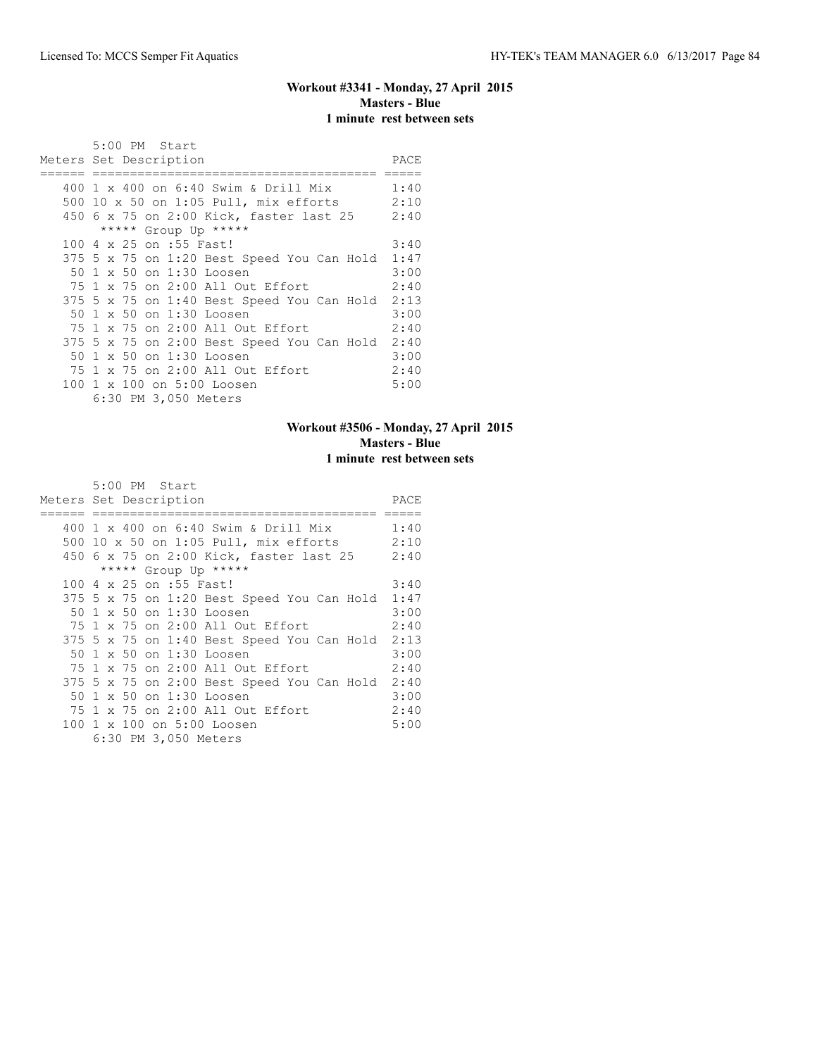## **Workout #3341 - Monday, 27 April 2015 Masters - Blue 1 minute rest between sets**

|     | 5:00 PM Start<br>Meters Set Description         | PACE |
|-----|-------------------------------------------------|------|
|     |                                                 |      |
|     | 400 1 x 400 on 6:40 Swim & Drill Mix            | 1:40 |
| 500 | $10 \times 50$ on $1:05$ Pull, mix efforts 2:10 |      |
|     | 450 6 x 75 on 2:00 Kick, faster last 25         | 2:40 |
|     | ***** Group Up *****                            |      |
|     | 100 4 x 25 on :55 Fast!                         | 3:40 |
|     | 375 5 x 75 on 1:20 Best Speed You Can Hold 1:47 |      |
|     | 50 1 x 50 on 1:30 Loosen                        | 3:00 |
|     | 75 1 x 75 on 2:00 All Out Effort                | 2:40 |
|     | 375 5 x 75 on 1:40 Best Speed You Can Hold      | 2:13 |
|     | 50 1 x 50 on 1:30 Loosen                        | 3:00 |
|     | 75 1 x 75 on 2:00 All Out Effort                | 2:40 |
|     | 375 5 x 75 on 2:00 Best Speed You Can Hold      | 2:40 |
|     | 50 1 x 50 on 1:30 Loosen                        | 3:00 |
|     | 75 1 x 75 on 2:00 All Out Effort                | 2:40 |
|     | 100 1 x 100 on 5:00 Loosen                      | 5:00 |
|     | 6:30 PM 3,050 Meters                            |      |

## **Workout #3506 - Monday, 27 April 2015 Masters - Blue 1 minute rest between sets**

| Meters Set Description                     | PACE |
|--------------------------------------------|------|
|                                            |      |
| 400 1 x 400 on 6:40 Swim & Drill Mix       | 1:40 |
| 500 10 x 50 on 1:05 Pull, mix efforts      | 2:10 |
| 450 6 x 75 on 2:00 Kick, faster last 25    | 2:40 |
| ***** Group Up *****                       |      |
| 100 4 x 25 on :55 Fast!                    | 3:40 |
| 375 5 x 75 on 1:20 Best Speed You Can Hold | 1:47 |
| 50 1 x 50 on 1:30 Loosen                   | 3:00 |
| 75 1 x 75 on 2:00 All Out Effort           | 2:40 |
| 375 5 x 75 on 1:40 Best Speed You Can Hold | 2:13 |
| 50 1 x 50 on 1:30 Loosen                   | 3:00 |
| 75 1 x 75 on 2:00 All Out Effort           | 2:40 |
| 375 5 x 75 on 2:00 Best Speed You Can Hold | 2:40 |
| 50 1 x 50 on 1:30 Loosen                   | 3:00 |
| 75 1 x 75 on 2:00 All Out Effort           | 2:40 |
| 100 1 x 100 on 5:00 Loosen                 | 5:00 |
| 6:30 PM 3,050 Meters                       |      |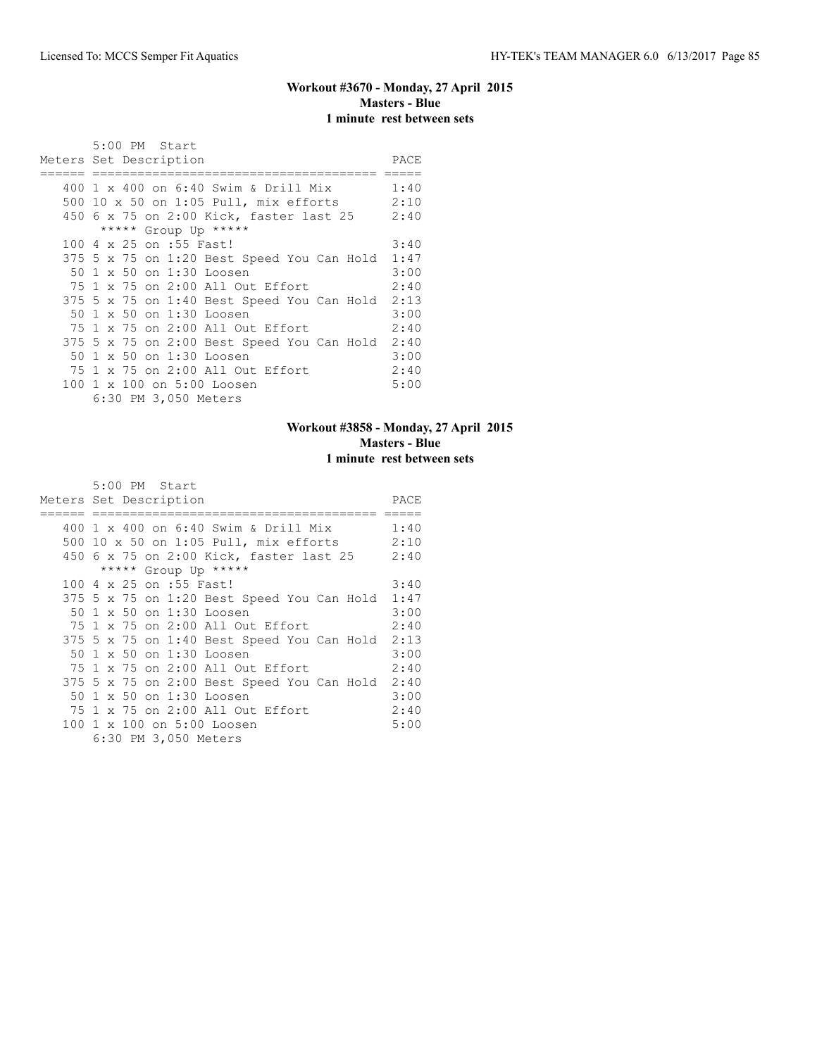## **Workout #3670 - Monday, 27 April 2015 Masters - Blue 1 minute rest between sets**

| 5:00 PM Start<br>Meters Set Description    | PACE |
|--------------------------------------------|------|
|                                            |      |
| 400 1 x 400 on 6:40 Swim & Drill Mix       | 1:40 |
| 500 10 x 50 on 1:05 Pull, mix efforts      | 2:10 |
| 450 6 x 75 on 2:00 Kick, faster last 25    | 2:40 |
| ***** Group Up *****                       |      |
| 100 4 x 25 on :55 Fast!                    | 3:40 |
| 375 5 x 75 on 1:20 Best Speed You Can Hold | 1:47 |
| 50 1 x 50 on 1:30 Loosen                   | 3:00 |
| 75 1 x 75 on 2:00 All Out Effort           | 2:40 |
| 375 5 x 75 on 1:40 Best Speed You Can Hold | 2:13 |
| 50 1 x 50 on 1:30 Loosen                   | 3:00 |
| 75 1 x 75 on 2:00 All Out Effort           | 2:40 |
| 375 5 x 75 on 2:00 Best Speed You Can Hold | 2:40 |
| 50 1 x 50 on 1:30 Loosen                   | 3:00 |
| 75 1 x 75 on 2:00 All Out Effort           | 2:40 |
| 100 1 x 100 on 5:00 Loosen                 | 5:00 |
| 6:30 PM 3,050 Meters                       |      |

## **Workout #3858 - Monday, 27 April 2015 Masters - Blue 1 minute rest between sets**

| Meters Set Description                     | PACE |
|--------------------------------------------|------|
|                                            |      |
| 400 1 x 400 on 6:40 Swim & Drill Mix       | 1:40 |
| 500 10 x 50 on 1:05 Pull, mix efforts      | 2:10 |
| 450 6 x 75 on 2:00 Kick, faster last 25    | 2:40 |
| ***** Group Up *****                       |      |
| 100 4 x 25 on :55 Fast!                    | 3:40 |
| 375 5 x 75 on 1:20 Best Speed You Can Hold | 1:47 |
| 50 1 x 50 on 1:30 Loosen                   | 3:00 |
| 75 1 x 75 on 2:00 All Out Effort           | 2:40 |
| 375 5 x 75 on 1:40 Best Speed You Can Hold | 2:13 |
| 50 1 x 50 on 1:30 Loosen                   | 3:00 |
| 75 1 x 75 on 2:00 All Out Effort           | 2:40 |
| 375 5 x 75 on 2:00 Best Speed You Can Hold | 2:40 |
| 50 1 x 50 on 1:30 Loosen                   | 3:00 |
| 75 1 x 75 on 2:00 All Out Effort           | 2:40 |
| 100 1 x 100 on 5:00 Loosen                 | 5:00 |
| 6:30 PM 3,050 Meters                       |      |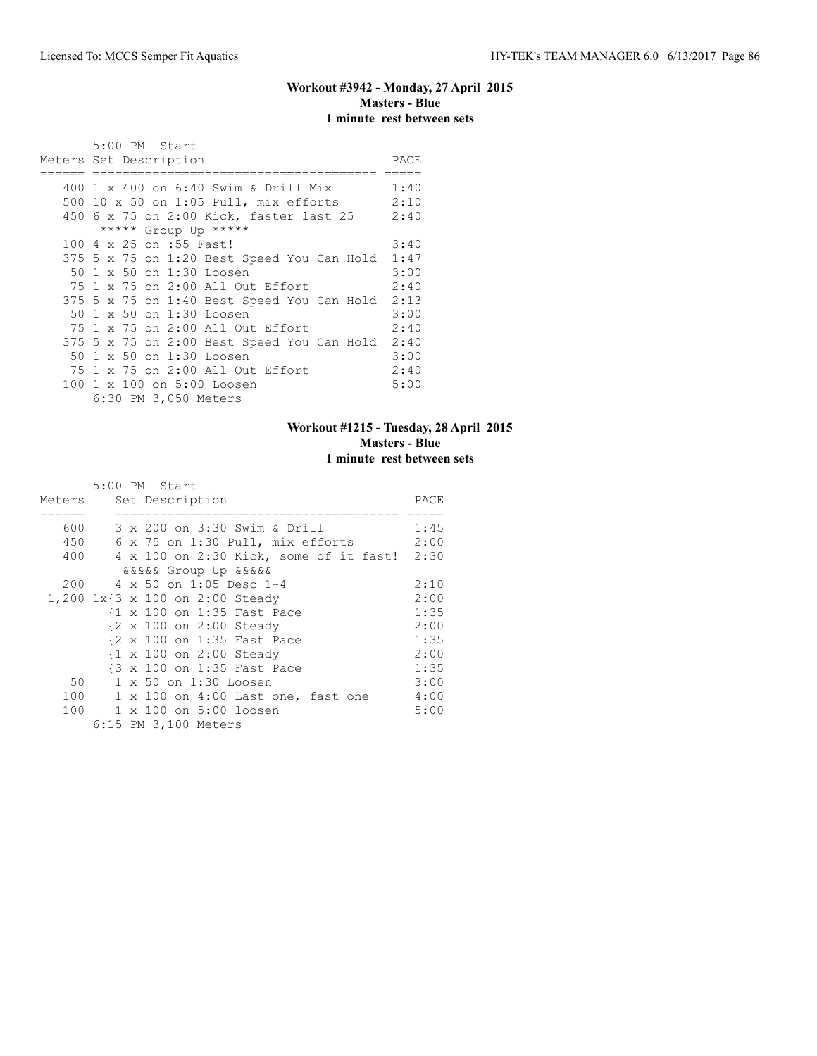### **Workout #3942 - Monday, 27 April 2015 Masters - Blue 1 minute rest between sets**

|     | 5:00 PM Start<br>Meters Set Description         | PACE |
|-----|-------------------------------------------------|------|
|     |                                                 |      |
|     | 400 1 x 400 on 6:40 Swim & Drill Mix            | 1:40 |
| 500 | $10 \times 50$ on $1:05$ Pull, mix efforts 2:10 |      |
|     | 450 6 x 75 on 2:00 Kick, faster last 25         | 2:40 |
|     | ***** Group Up *****                            |      |
|     | 100 4 x 25 on :55 Fast!                         | 3:40 |
|     | 375 5 x 75 on 1:20 Best Speed You Can Hold 1:47 |      |
|     | 50 1 x 50 on 1:30 Loosen                        | 3:00 |
|     | 75 1 x 75 on 2:00 All Out Effort                | 2:40 |
|     | 375 5 x 75 on 1:40 Best Speed You Can Hold 2:13 |      |
|     | 50 1 x 50 on 1:30 Loosen                        | 3:00 |
|     | 75 1 x 75 on 2:00 All Out Effort                | 2:40 |
|     | 375 5 x 75 on 2:00 Best Speed You Can Hold      | 2:40 |
|     | 50 1 x 50 on 1:30 Loosen                        | 3:00 |
|     | 75 1 x 75 on 2:00 All Out Effort                | 2:40 |
|     | 100 1 x 100 on 5:00 Loosen                      | 5:00 |
|     | 6:30 PM 3,050 Meters                            |      |

## **Workout #1215 - Tuesday, 28 April 2015 Masters - Blue 1 minute rest between sets**

|           | 5:00 PM Start                                   |      |
|-----------|-------------------------------------------------|------|
| Meters    | Set Description                                 | PACE |
|           |                                                 |      |
| 600 - 100 | 3 x 200 on 3:30 Swim & Drill                    | 1:45 |
| 450       | $6 \times 75$ on $1:30$ Pull, mix efforts       | 2:00 |
|           | 400 4 x 100 on 2:30 Kick, some of it fast! 2:30 |      |
|           | <i>aaaaa</i> Group Up aaaaa                     |      |
|           | 200 4 x 50 on 1:05 Desc 1-4                     | 2:10 |
|           | 1,200 1x{3 x 100 on 2:00 Steady                 | 2:00 |
|           | {1 x 100 on 1:35 Fast Pace                      | 1:35 |
|           | {2 x 100 on 2:00 Steady                         | 2:00 |
|           | {2 x 100 on 1:35 Fast Pace                      | 1:35 |
|           | {1 x 100 on 2:00 Steady                         | 2:00 |
|           | {3 x 100 on 1:35 Fast Pace                      | 1:35 |
| 50        | 1 x 50 on 1:30 Loosen                           | 3:00 |
| 100       | 1 x 100 on 4:00 Last one, fast one              | 4:00 |
|           | 100 1 x 100 on 5:00 loosen                      | 5:00 |
|           | 6:15 PM 3,100 Meters                            |      |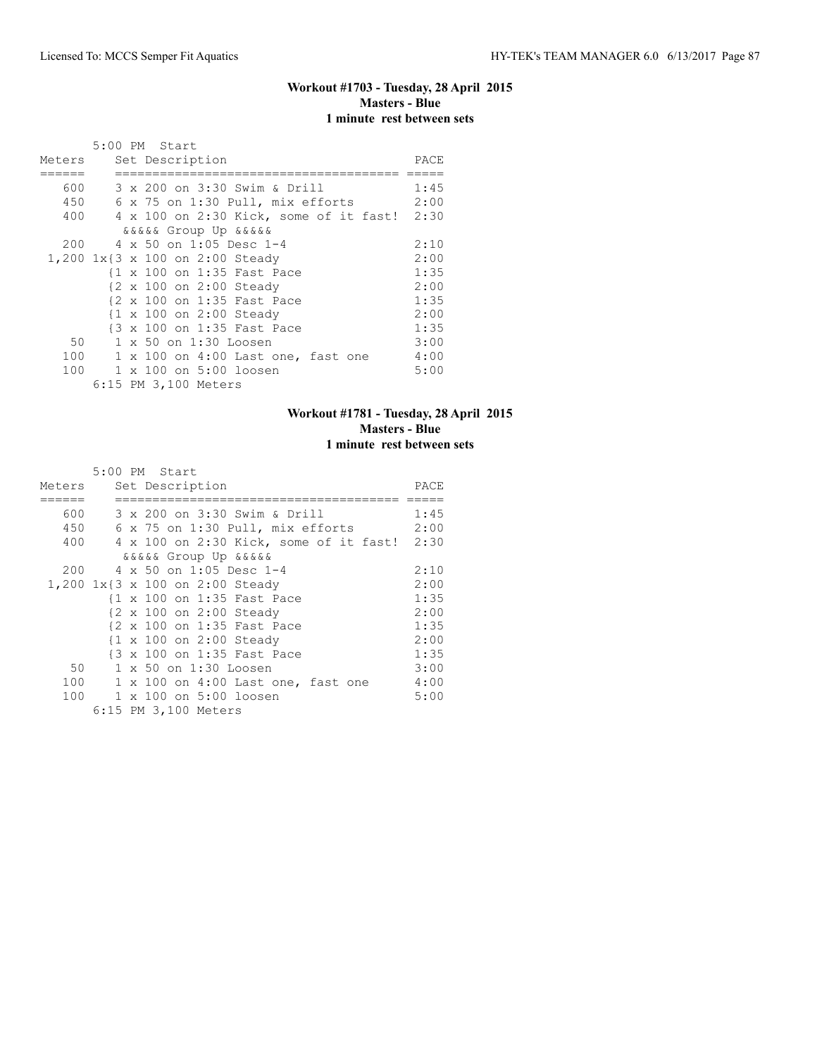#### **Workout #1703 - Tuesday, 28 April 2015 Masters - Blue 1 minute rest between sets**

|        | 5:00 PM Start                                   |      |
|--------|-------------------------------------------------|------|
| Meters | Set Description                                 | PACE |
|        |                                                 |      |
| 600    | 3 x 200 on 3:30 Swim & Drill                    | 1:45 |
| 450    | 6 x 75 on 1:30 Pull, mix efforts                | 2:00 |
|        | 400 4 x 100 on 2:30 Kick, some of it fast! 2:30 |      |
|        | <i>dadaa</i> Group Up <i>dadaa</i>              |      |
|        | 200 4 x 50 on 1:05 Desc 1-4                     | 2:10 |
|        | 1,200 1x{3 x 100 on 2:00 Steady                 | 2:00 |
|        | {1 x 100 on 1:35 Fast Pace                      | 1:35 |
|        | {2 x 100 on 2:00 Steady                         | 2:00 |
|        | {2 x 100 on 1:35 Fast Pace                      | 1:35 |
|        | {1 x 100 on 2:00 Steady                         | 2:00 |
|        | {3 x 100 on 1:35 Fast Pace                      | 1:35 |
| 50     | 1 x 50 on 1:30 Loosen                           | 3:00 |
| 100    | 1 x 100 on 4:00 Last one, fast one              | 4:00 |
| 100    | 1 x 100 on 5:00 loosen                          | 5:00 |
|        | 6:15 PM 3,100 Meters                            |      |

#### **Workout #1781 - Tuesday, 28 April 2015 Masters - Blue 1 minute rest between sets**

|           | 5:00 PM Start                                   |      |
|-----------|-------------------------------------------------|------|
| Meters    | Set Description                                 | PACE |
|           |                                                 |      |
| 600 - 100 | 3 x 200 on 3:30 Swim & Drill                    | 1:45 |
| 450       | 6 x 75 on 1:30 Pull, mix efforts                | 2:00 |
|           | 400 4 x 100 on 2:30 Kick, some of it fast! 2:30 |      |
|           | <i>aaaaa</i> Group Up aaaaa                     |      |
|           | 200 4 x 50 on 1:05 Desc 1-4                     | 2:10 |
|           | 1,200 1x{3 x 100 on 2:00 Steady                 | 2:00 |
|           | {1 x 100 on 1:35 Fast Pace                      | 1:35 |
|           | {2 x 100 on 2:00 Steady                         | 2:00 |
|           | {2 x 100 on 1:35 Fast Pace                      | 1:35 |
|           | {1 x 100 on 2:00 Steady                         | 2:00 |
|           | {3 x 100 on 1:35 Fast Pace                      | 1:35 |
| 50        | 1 x 50 on 1:30 Loosen                           | 3:00 |
|           | 100 1 x 100 on 4:00 Last one, fast one          | 4:00 |
|           | 100 1 x 100 on 5:00 loosen                      | 5:00 |
|           | 6:15 PM 3,100 Meters                            |      |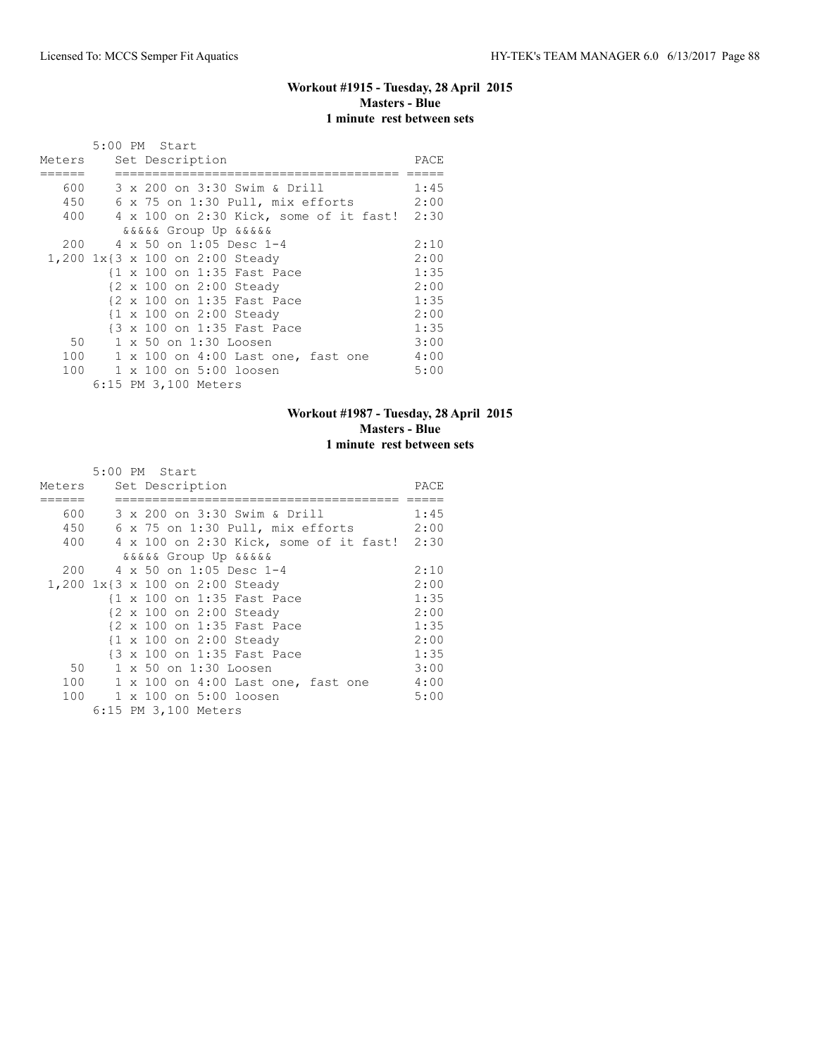#### **Workout #1915 - Tuesday, 28 April 2015 Masters - Blue 1 minute rest between sets**

|        | 5:00 PM Start                                   |      |
|--------|-------------------------------------------------|------|
| Meters | Set Description                                 | PACE |
|        |                                                 |      |
| 600    | 3 x 200 on 3:30 Swim & Drill                    | 1:45 |
| 450    | 6 x 75 on 1:30 Pull, mix efforts                | 2:00 |
|        | 400 4 x 100 on 2:30 Kick, some of it fast! 2:30 |      |
|        | <i>dadaa</i> Group Up <i>dadaa</i>              |      |
|        | 200 4 x 50 on 1:05 Desc 1-4                     | 2:10 |
|        | 1,200 1x{3 x 100 on 2:00 Steady                 | 2:00 |
|        | {1 x 100 on 1:35 Fast Pace                      | 1:35 |
|        | {2 x 100 on 2:00 Steady                         | 2:00 |
|        | {2 x 100 on 1:35 Fast Pace                      | 1:35 |
|        | {1 x 100 on 2:00 Steady                         | 2:00 |
|        | {3 x 100 on 1:35 Fast Pace                      | 1:35 |
| 50     | 1 x 50 on 1:30 Loosen                           | 3:00 |
| 100    | 1 x 100 on 4:00 Last one, fast one              | 4:00 |
| 100    | 1 x 100 on 5:00 loosen                          | 5:00 |
|        | 6:15 PM 3,100 Meters                            |      |

## **Workout #1987 - Tuesday, 28 April 2015 Masters - Blue 1 minute rest between sets**

|        | 5:00 PM Start                                   |      |
|--------|-------------------------------------------------|------|
| Meters | Set Description                                 | PACE |
|        |                                                 |      |
|        | 600 - 100<br>3 x 200 on 3:30 Swim & Drill       | 1:45 |
|        | 450 6 x 75 on 1:30 Pull, mix efforts            | 2:00 |
|        | 400 4 x 100 on 2:30 Kick, some of it fast! 2:30 |      |
|        | <i>aaaaa</i> Group Up aaaaa                     |      |
|        | 200 4 x 50 on 1:05 Desc 1-4                     | 2:10 |
|        | 1,200 1x{3 x 100 on 2:00 Steady                 | 2:00 |
|        | {1 x 100 on 1:35 Fast Pace                      | 1:35 |
|        | {2 x 100 on 2:00 Steady                         | 2:00 |
|        | {2 x 100 on 1:35 Fast Pace                      | 1:35 |
|        | {1 x 100 on 2:00 Steady                         | 2:00 |
|        | {3 x 100 on 1:35 Fast Pace                      | 1:35 |
| 50     | 1 x 50 on 1:30 Loosen                           | 3:00 |
|        | 100<br>1 x 100 on 4:00 Last one, fast one       | 4:00 |
|        | 100 1 x 100 on 5:00 loosen                      | 5:00 |
|        | 6:15 PM 3,100 Meters                            |      |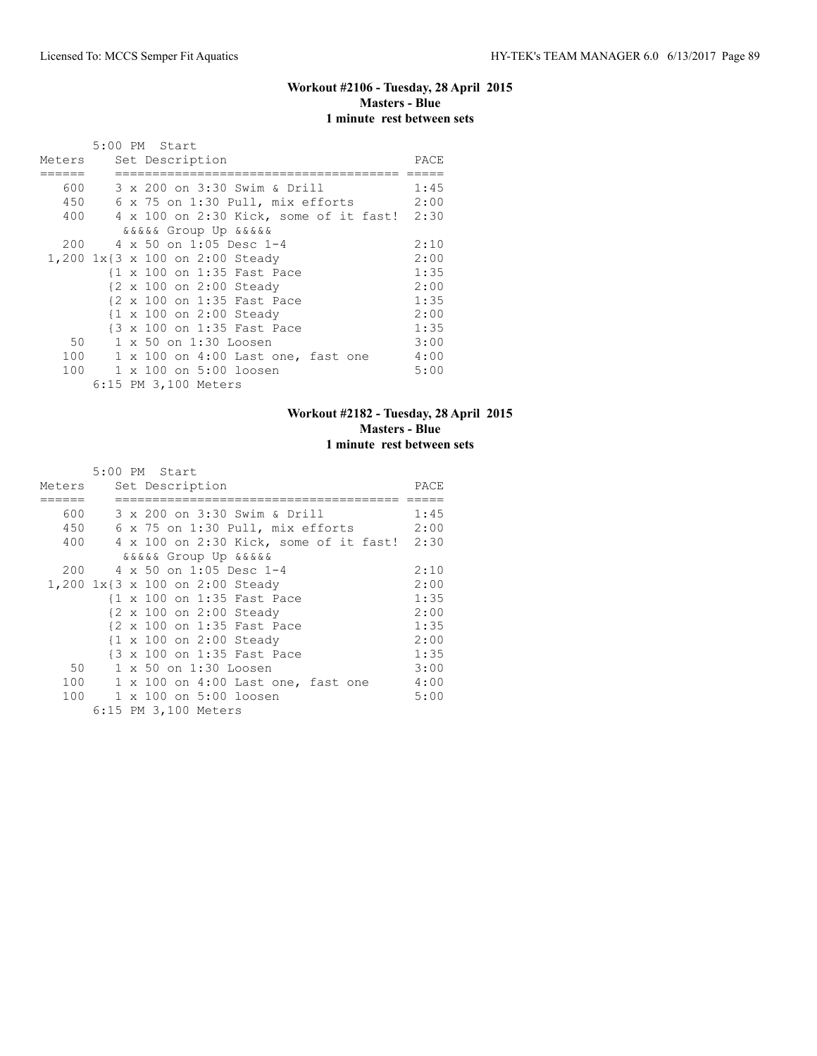#### **Workout #2106 - Tuesday, 28 April 2015 Masters - Blue 1 minute rest between sets**

|        | 5:00 PM Start                                   |      |
|--------|-------------------------------------------------|------|
| Meters | Set Description                                 | PACE |
|        |                                                 |      |
| 600    | 3 x 200 on 3:30 Swim & Drill                    | 1:45 |
| 450    | 6 x 75 on 1:30 Pull, mix efforts                | 2:00 |
|        | 400 4 x 100 on 2:30 Kick, some of it fast! 2:30 |      |
|        | <i>dadaa</i> Group Up <i>dadaa</i>              |      |
| 200    | 4 x 50 on 1:05 Desc 1-4                         | 2:10 |
|        | 1,200 1x{3 x 100 on 2:00 Steady                 | 2:00 |
|        | {1 x 100 on 1:35 Fast Pace                      | 1:35 |
|        | {2 x 100 on 2:00 Steady                         | 2:00 |
|        | {2 x 100 on 1:35 Fast Pace                      | 1:35 |
|        | {1 x 100 on 2:00 Steady                         | 2:00 |
|        | {3 x 100 on 1:35 Fast Pace                      | 1:35 |
| 50     | 1 x 50 on 1:30 Loosen                           | 3:00 |
| 100    | 1 x 100 on 4:00 Last one, fast one              | 4:00 |
| 100    | 1 x 100 on 5:00 loosen                          | 5:00 |
|        | 6:15 PM 3,100 Meters                            |      |

## **Workout #2182 - Tuesday, 28 April 2015 Masters - Blue 1 minute rest between sets**

|           | 5:00 PM Start                               |      |
|-----------|---------------------------------------------|------|
| Meters    | Set Description                             | PACE |
|           |                                             |      |
| 600 - 100 | 3 x 200 on 3:30 Swim & Drill                | 1:45 |
| 450       | 6 x 75 on 1:30 Pull, mix efforts            | 2:00 |
| 400       | 4 x 100 on 2:30 Kick, some of it fast! 2:30 |      |
|           | <i>aaaaa</i> Group Up aaaaa                 |      |
|           | 200 4 x 50 on 1:05 Desc 1-4                 | 2:10 |
|           | 1,200 1x{3 x 100 on 2:00 Steady             | 2:00 |
|           | {1 x 100 on 1:35 Fast Pace                  | 1:35 |
|           | {2 x 100 on 2:00 Steady                     | 2:00 |
|           | {2 x 100 on 1:35 Fast Pace                  | 1:35 |
|           | {1 x 100 on 2:00 Steady                     | 2:00 |
|           | {3 x 100 on 1:35 Fast Pace                  | 1:35 |
| 50        | 1 x 50 on 1:30 Loosen                       | 3:00 |
|           | 100 1 x 100 on 4:00 Last one, fast one      | 4:00 |
|           | 100 1 x 100 on 5:00 loosen                  | 5:00 |
|           | 6:15 PM 3,100 Meters                        |      |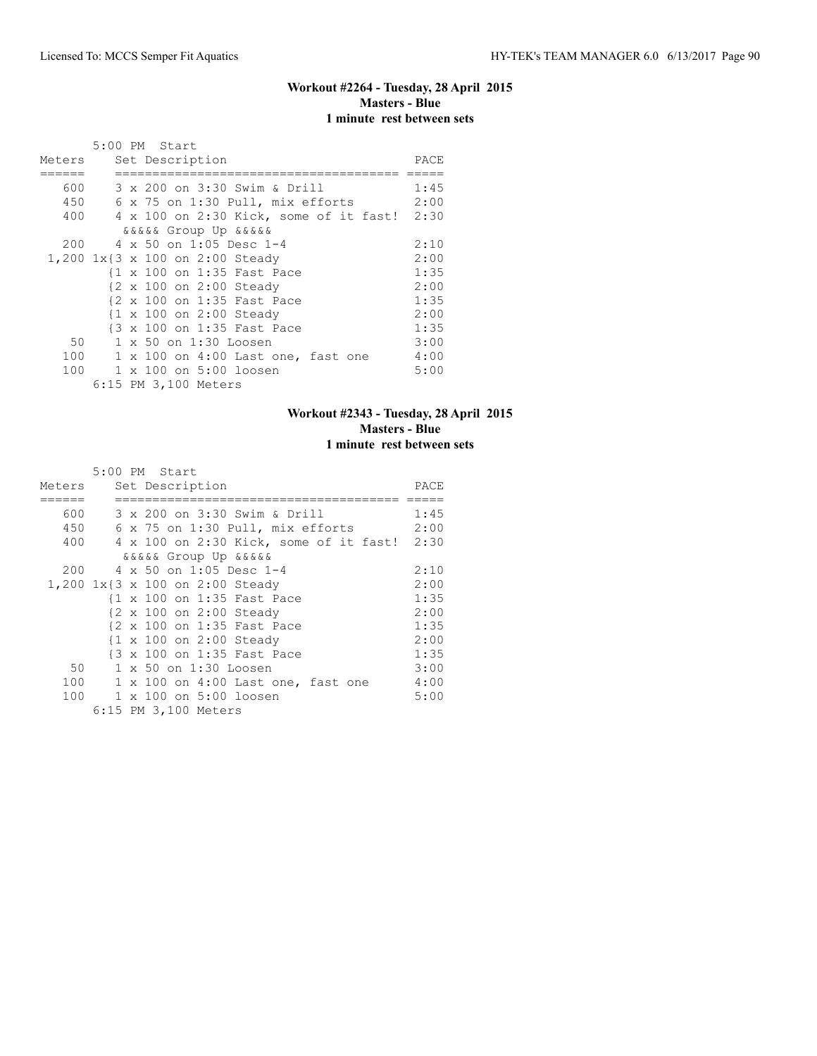#### **Workout #2264 - Tuesday, 28 April 2015 Masters - Blue 1 minute rest between sets**

|        | 5:00 PM Start                                   |      |
|--------|-------------------------------------------------|------|
| Meters | Set Description                                 | PACE |
|        |                                                 |      |
| 600    | 3 x 200 on 3:30 Swim & Drill                    | 1:45 |
| 450    | 6 x 75 on 1:30 Pull, mix efforts                | 2:00 |
|        | 400 4 x 100 on 2:30 Kick, some of it fast! 2:30 |      |
|        | <i>dadaa</i> Group Up <i>dadaa</i>              |      |
|        | 200 4 x 50 on 1:05 Desc 1-4                     | 2:10 |
|        | 1,200 1x{3 x 100 on 2:00 Steady                 | 2:00 |
|        | {1 x 100 on 1:35 Fast Pace                      | 1:35 |
|        | {2 x 100 on 2:00 Steady                         | 2:00 |
|        | {2 x 100 on 1:35 Fast Pace                      | 1:35 |
|        | {1 x 100 on 2:00 Steady                         | 2:00 |
|        | {3 x 100 on 1:35 Fast Pace                      | 1:35 |
| 50     | 1 x 50 on 1:30 Loosen                           | 3:00 |
| 100    | 1 x 100 on 4:00 Last one, fast one              | 4:00 |
| 100    | 1 x 100 on 5:00 loosen                          | 5:00 |
|        | 6:15 PM 3,100 Meters                            |      |

#### **Workout #2343 - Tuesday, 28 April 2015 Masters - Blue 1 minute rest between sets**

|           | 5:00 PM Start                               |      |
|-----------|---------------------------------------------|------|
| Meters    | Set Description                             | PACE |
|           |                                             |      |
| 600 - 100 | 3 x 200 on 3:30 Swim & Drill                | 1:45 |
| 450       | 6 x 75 on 1:30 Pull, mix efforts            | 2:00 |
| 400       | 4 x 100 on 2:30 Kick, some of it fast! 2:30 |      |
|           | <i>aaaaa</i> Group Up aaaaa                 |      |
|           | 200 4 x 50 on 1:05 Desc 1-4                 | 2:10 |
|           | 1,200 1x{3 x 100 on 2:00 Steady             | 2:00 |
|           | {1 x 100 on 1:35 Fast Pace                  | 1:35 |
|           | {2 x 100 on 2:00 Steady                     | 2:00 |
|           | {2 x 100 on 1:35 Fast Pace                  | 1:35 |
|           | {1 x 100 on 2:00 Steady                     | 2:00 |
|           | {3 x 100 on 1:35 Fast Pace                  | 1:35 |
| 50        | 1 x 50 on 1:30 Loosen                       | 3:00 |
|           | 100 1 x 100 on 4:00 Last one, fast one      | 4:00 |
|           | 100 1 x 100 on 5:00 loosen                  | 5:00 |
|           | 6:15 PM 3,100 Meters                        |      |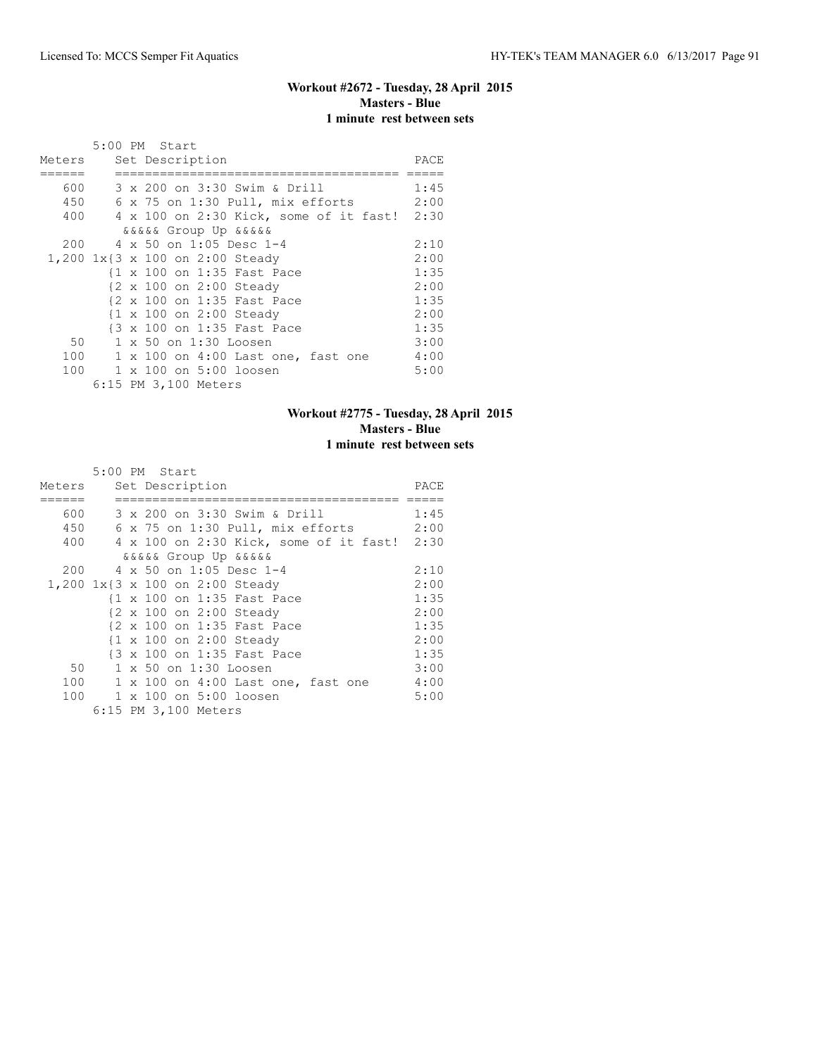#### **Workout #2672 - Tuesday, 28 April 2015 Masters - Blue 1 minute rest between sets**

|        | 5:00 PM Start                                   |      |
|--------|-------------------------------------------------|------|
| Meters | Set Description                                 | PACE |
|        |                                                 |      |
| 600    | 3 x 200 on 3:30 Swim & Drill                    | 1:45 |
| 450    | 6 x 75 on 1:30 Pull, mix efforts                | 2:00 |
|        | 400 4 x 100 on 2:30 Kick, some of it fast! 2:30 |      |
|        | <i>dadaa</i> Group Up <i>dadaa</i>              |      |
| 200    | 4 x 50 on 1:05 Desc 1-4                         | 2:10 |
|        | 1,200 1x{3 x 100 on 2:00 Steady                 | 2:00 |
|        | {1 x 100 on 1:35 Fast Pace                      | 1:35 |
|        | {2 x 100 on 2:00 Steady                         | 2:00 |
|        | {2 x 100 on 1:35 Fast Pace                      | 1:35 |
|        | {1 x 100 on 2:00 Steady                         | 2:00 |
|        | {3 x 100 on 1:35 Fast Pace                      | 1:35 |
| 50     | 1 x 50 on 1:30 Loosen                           | 3:00 |
| 100    | 1 x 100 on 4:00 Last one, fast one              | 4:00 |
| 100    | 1 x 100 on 5:00 loosen                          | 5:00 |
|        | 6:15 PM 3,100 Meters                            |      |

## **Workout #2775 - Tuesday, 28 April 2015 Masters - Blue 1 minute rest between sets**

|           | 5:00 PM Start                                   |      |
|-----------|-------------------------------------------------|------|
| Meters    | Set Description                                 | PACE |
|           |                                                 |      |
| 600 - 100 | 3 x 200 on 3:30 Swim & Drill                    | 1:45 |
| 450       | 6 x 75 on 1:30 Pull, mix efforts                | 2:00 |
|           | 400 4 x 100 on 2:30 Kick, some of it fast! 2:30 |      |
|           | <i>aaaaa</i> Group Up aaaaa                     |      |
|           | 200 4 x 50 on 1:05 Desc 1-4                     | 2:10 |
|           | 1,200 1x{3 x 100 on 2:00 Steady                 | 2:00 |
|           | {1 x 100 on 1:35 Fast Pace                      | 1:35 |
|           | {2 x 100 on 2:00 Steady                         | 2:00 |
|           | {2 x 100 on 1:35 Fast Pace                      | 1:35 |
|           | {1 x 100 on 2:00 Steady                         | 2:00 |
|           | {3 x 100 on 1:35 Fast Pace                      | 1:35 |
| 50        | 1 x 50 on 1:30 Loosen                           | 3:00 |
|           | 100 1 x 100 on 4:00 Last one, fast one          | 4:00 |
|           | 100 1 x 100 on 5:00 loosen                      | 5:00 |
|           | 6:15 PM 3,100 Meters                            |      |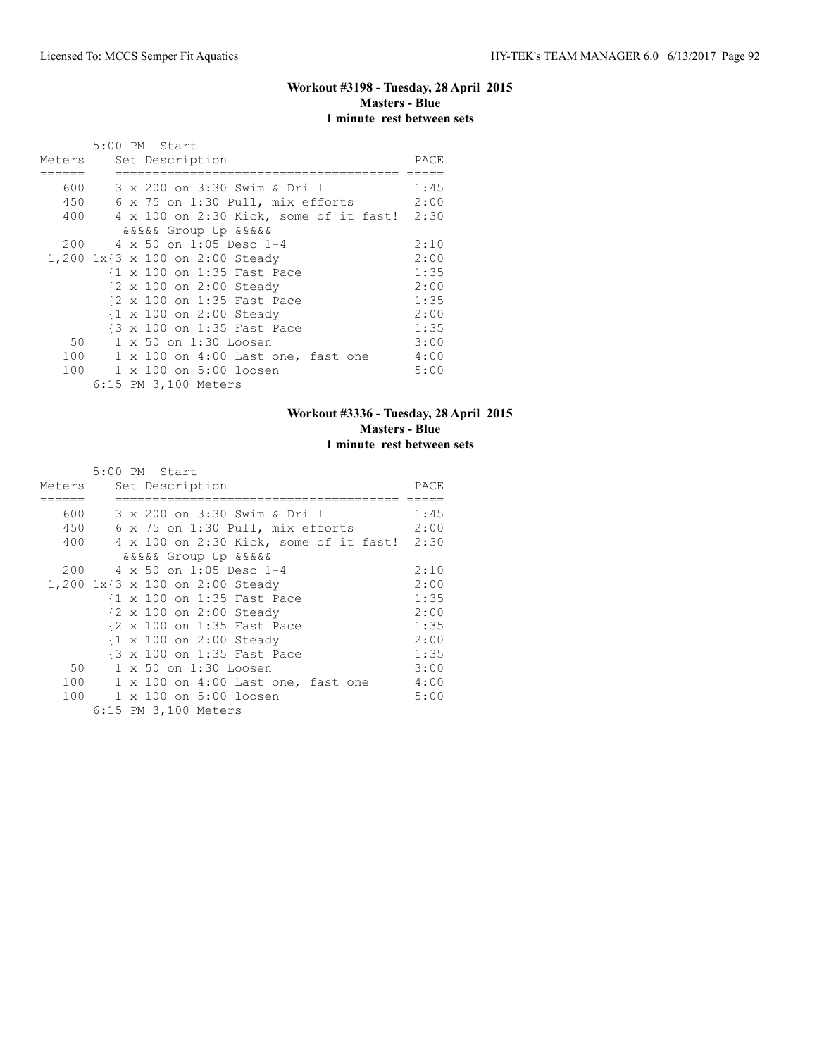#### **Workout #3198 - Tuesday, 28 April 2015 Masters - Blue 1 minute rest between sets**

|        | 5:00 PM Start                                   |      |
|--------|-------------------------------------------------|------|
| Meters | Set Description                                 | PACE |
|        |                                                 |      |
| 600    | 3 x 200 on 3:30 Swim & Drill                    | 1:45 |
| 450    | 6 x 75 on 1:30 Pull, mix efforts                | 2:00 |
|        | 400 4 x 100 on 2:30 Kick, some of it fast! 2:30 |      |
|        | <i>dadaa</i> Group Up <i>dadaa</i>              |      |
| 200    | 4 x 50 on 1:05 Desc 1-4                         | 2:10 |
|        | 1,200 1x{3 x 100 on 2:00 Steady                 | 2:00 |
|        | {1 x 100 on 1:35 Fast Pace                      | 1:35 |
|        | {2 x 100 on 2:00 Steady                         | 2:00 |
|        | {2 x 100 on 1:35 Fast Pace                      | 1:35 |
|        | {1 x 100 on 2:00 Steady                         | 2:00 |
|        | {3 x 100 on 1:35 Fast Pace                      | 1:35 |
| 50     | 1 x 50 on 1:30 Loosen                           | 3:00 |
| 100    | 1 x 100 on 4:00 Last one, fast one              | 4:00 |
| 100    | 1 x 100 on 5:00 loosen                          | 5:00 |
|        | 6:15 PM 3,100 Meters                            |      |

#### **Workout #3336 - Tuesday, 28 April 2015 Masters - Blue 1 minute rest between sets**

|           | 5:00 PM Start                               |      |
|-----------|---------------------------------------------|------|
| Meters    | Set Description                             | PACE |
|           |                                             |      |
| 600 - 100 | 3 x 200 on 3:30 Swim & Drill                | 1:45 |
| 450       | 6 x 75 on 1:30 Pull, mix efforts            | 2:00 |
| 400       | 4 x 100 on 2:30 Kick, some of it fast! 2:30 |      |
|           | <i>aaaaa</i> Group Up aaaaa                 |      |
|           | 200 4 x 50 on 1:05 Desc 1-4                 | 2:10 |
|           | 1,200 1x{3 x 100 on 2:00 Steady             | 2:00 |
|           | {1 x 100 on 1:35 Fast Pace                  | 1:35 |
|           | {2 x 100 on 2:00 Steady                     | 2:00 |
|           | {2 x 100 on 1:35 Fast Pace                  | 1:35 |
|           | {1 x 100 on 2:00 Steady                     | 2:00 |
|           | {3 x 100 on 1:35 Fast Pace                  | 1:35 |
| 50        | 1 x 50 on 1:30 Loosen                       | 3:00 |
|           | 100 1 x 100 on 4:00 Last one, fast one      | 4:00 |
|           | 100 1 x 100 on 5:00 loosen                  | 5:00 |
|           | 6:15 PM 3,100 Meters                        |      |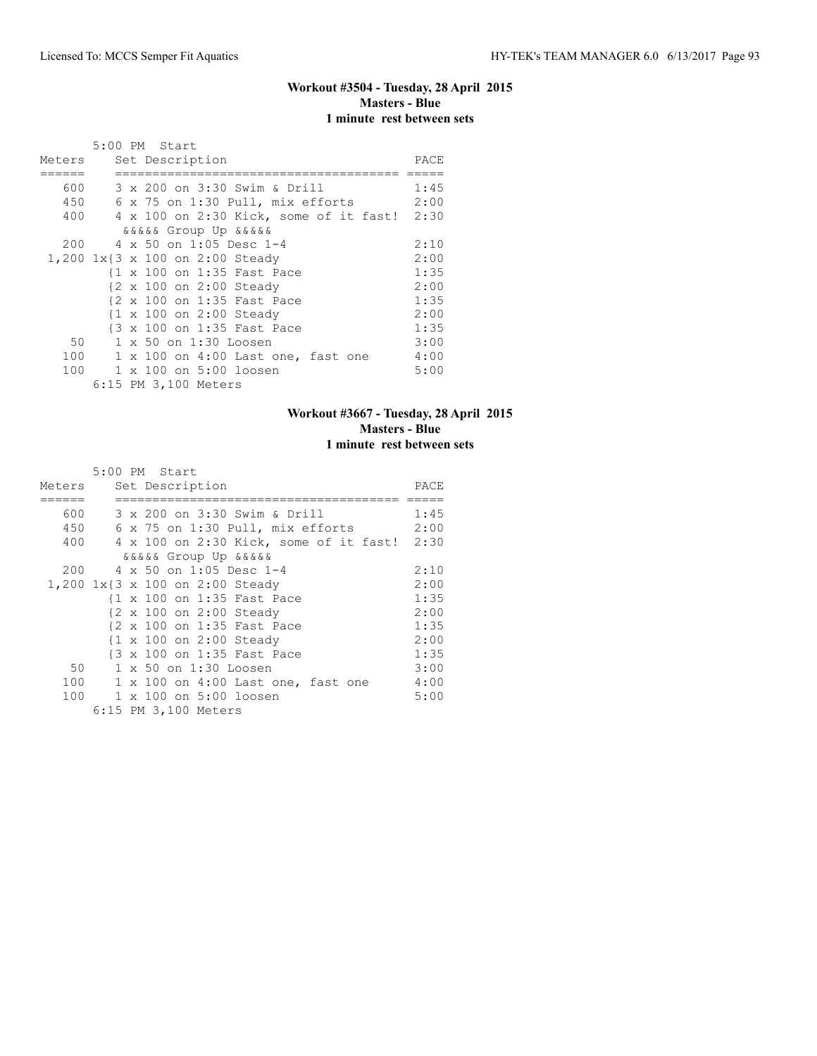#### **Workout #3504 - Tuesday, 28 April 2015 Masters - Blue 1 minute rest between sets**

|        | 5:00 PM Start                                   |      |
|--------|-------------------------------------------------|------|
| Meters | Set Description                                 | PACE |
|        |                                                 |      |
| 600    | 3 x 200 on 3:30 Swim & Drill                    | 1:45 |
| 450    | 6 x 75 on 1:30 Pull, mix efforts                | 2:00 |
|        | 400 4 x 100 on 2:30 Kick, some of it fast! 2:30 |      |
|        | <i>dadaa</i> Group Up <i>dadaa</i>              |      |
| 200    | 4 x 50 on 1:05 Desc 1-4                         | 2:10 |
|        | 1,200 1x{3 x 100 on 2:00 Steady                 | 2:00 |
|        | {1 x 100 on 1:35 Fast Pace                      | 1:35 |
|        | {2 x 100 on 2:00 Steady                         | 2:00 |
|        | {2 x 100 on 1:35 Fast Pace                      | 1:35 |
|        | {1 x 100 on 2:00 Steady                         | 2:00 |
|        | {3 x 100 on 1:35 Fast Pace                      | 1:35 |
| 50     | 1 x 50 on 1:30 Loosen                           | 3:00 |
| 100    | 1 x 100 on 4:00 Last one, fast one              | 4:00 |
| 100    | 1 x 100 on 5:00 loosen                          | 5:00 |
|        | 6:15 PM 3,100 Meters                            |      |

## **Workout #3667 - Tuesday, 28 April 2015 Masters - Blue 1 minute rest between sets**

|           | 5:00 PM Start                               |      |
|-----------|---------------------------------------------|------|
| Meters    | Set Description                             | PACE |
|           |                                             |      |
| 600 - 100 | 3 x 200 on 3:30 Swim & Drill                | 1:45 |
| 450       | 6 x 75 on 1:30 Pull, mix efforts            | 2:00 |
| 400       | 4 x 100 on 2:30 Kick, some of it fast! 2:30 |      |
|           | <i>aaaaa</i> Group Up aaaaa                 |      |
|           | 200 4 x 50 on 1:05 Desc 1-4                 | 2:10 |
|           | 1,200 1x{3 x 100 on 2:00 Steady             | 2:00 |
|           | {1 x 100 on 1:35 Fast Pace                  | 1:35 |
|           | {2 x 100 on 2:00 Steady                     | 2:00 |
|           | {2 x 100 on 1:35 Fast Pace                  | 1:35 |
|           | {1 x 100 on 2:00 Steady                     | 2:00 |
|           | {3 x 100 on 1:35 Fast Pace                  | 1:35 |
| 50        | 1 x 50 on 1:30 Loosen                       | 3:00 |
|           | 100 1 x 100 on 4:00 Last one, fast one      | 4:00 |
|           | 100 1 x 100 on 5:00 loosen                  | 5:00 |
|           | 6:15 PM 3,100 Meters                        |      |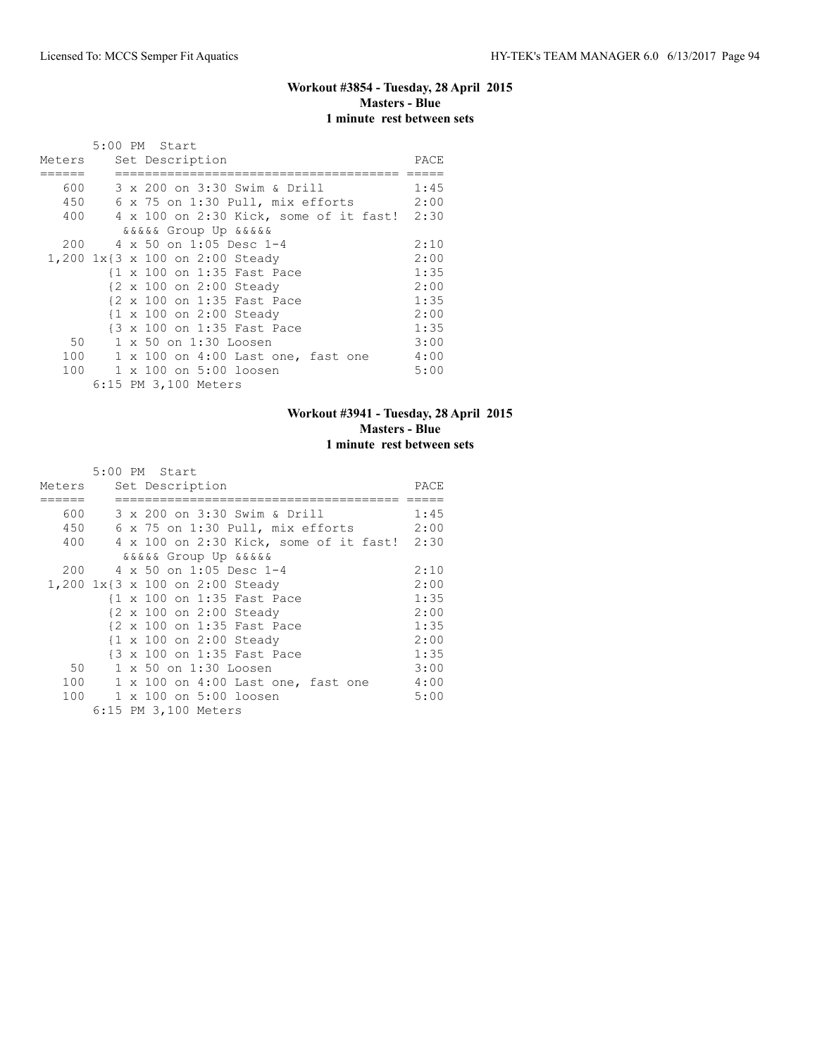#### **Workout #3854 - Tuesday, 28 April 2015 Masters - Blue 1 minute rest between sets**

|        | 5:00 PM Start                                   |      |
|--------|-------------------------------------------------|------|
| Meters | Set Description                                 | PACE |
|        |                                                 |      |
| 600    | 3 x 200 on 3:30 Swim & Drill                    | 1:45 |
| 450    | 6 x 75 on 1:30 Pull, mix efforts                | 2:00 |
|        | 400 4 x 100 on 2:30 Kick, some of it fast! 2:30 |      |
|        | <i>dadaa</i> Group Up <i>dadaa</i>              |      |
| 200    | 4 x 50 on 1:05 Desc 1-4                         | 2:10 |
|        | 1,200 1x{3 x 100 on 2:00 Steady                 | 2:00 |
|        | {1 x 100 on 1:35 Fast Pace                      | 1:35 |
|        | {2 x 100 on 2:00 Steady                         | 2:00 |
|        | {2 x 100 on 1:35 Fast Pace                      | 1:35 |
|        | {1 x 100 on 2:00 Steady                         | 2:00 |
|        | {3 x 100 on 1:35 Fast Pace                      | 1:35 |
| 50     | 1 x 50 on 1:30 Loosen                           | 3:00 |
| 100    | 1 x 100 on 4:00 Last one, fast one              | 4:00 |
| 100    | 1 x 100 on 5:00 loosen                          | 5:00 |
|        | 6:15 PM 3,100 Meters                            |      |

## **Workout #3941 - Tuesday, 28 April 2015 Masters - Blue 1 minute rest between sets**

|           | 5:00 PM Start                               |      |
|-----------|---------------------------------------------|------|
| Meters    | Set Description                             | PACE |
|           |                                             |      |
| 600 - 100 | 3 x 200 on 3:30 Swim & Drill                | 1:45 |
| 450       | 6 x 75 on 1:30 Pull, mix efforts            | 2:00 |
| 400       | 4 x 100 on 2:30 Kick, some of it fast! 2:30 |      |
|           | <i>aaaaa</i> Group Up aaaaa                 |      |
|           | 200 4 x 50 on 1:05 Desc 1-4                 | 2:10 |
|           | 1,200 1x{3 x 100 on 2:00 Steady             | 2:00 |
|           | {1 x 100 on 1:35 Fast Pace                  | 1:35 |
|           | {2 x 100 on 2:00 Steady                     | 2:00 |
|           | {2 x 100 on 1:35 Fast Pace                  | 1:35 |
|           | {1 x 100 on 2:00 Steady                     | 2:00 |
|           | {3 x 100 on 1:35 Fast Pace                  | 1:35 |
| 50        | 1 x 50 on 1:30 Loosen                       | 3:00 |
|           | 100 1 x 100 on 4:00 Last one, fast one      | 4:00 |
|           | 100 1 x 100 on 5:00 loosen                  | 5:00 |
|           | 6:15 PM 3,100 Meters                        |      |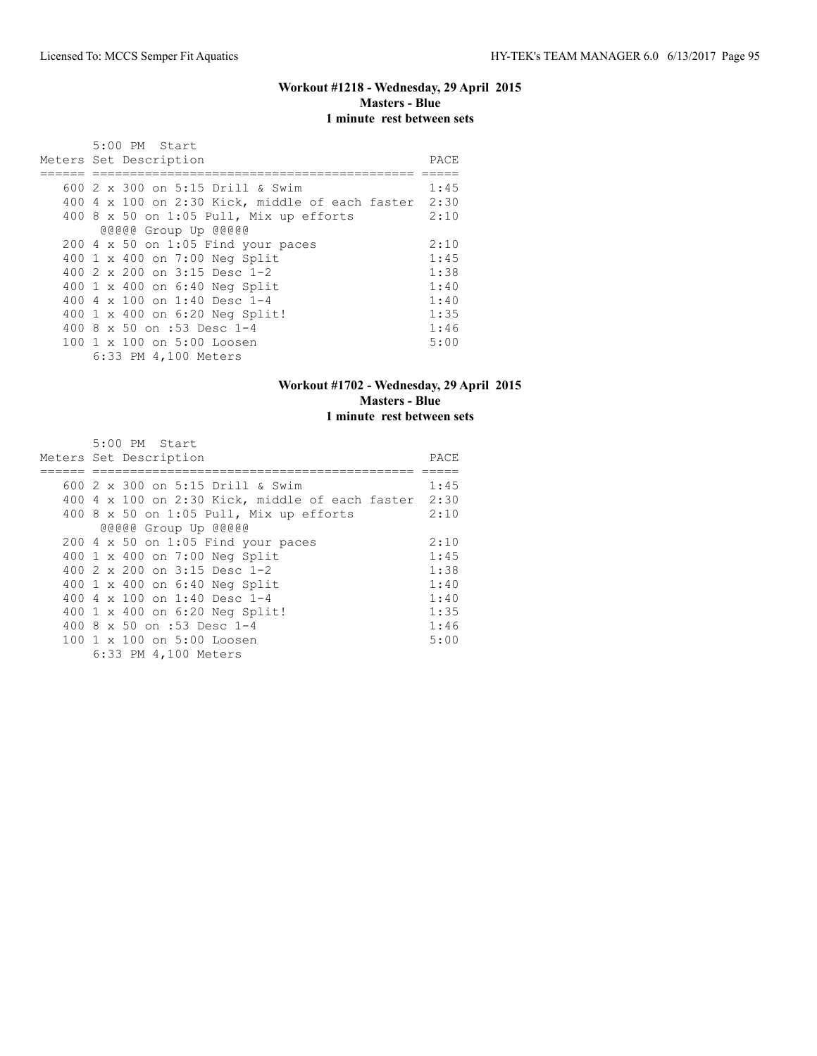#### **Workout #1218 - Wednesday, 29 April 2015 Masters - Blue 1 minute rest between sets**

| 5:00 PM Start                                   |      |
|-------------------------------------------------|------|
| Meters Set Description                          | PACE |
|                                                 |      |
| 600 2 x 300 on 5:15 Drill & Swim                | 1:45 |
| 400 4 x 100 on 2:30 Kick, middle of each faster | 2:30 |
| 400 8 $\times$ 50 on 1:05 Pull, Mix up efforts  | 2:10 |
| @@@@@ Group Up @@@@@                            |      |
| 200 4 x 50 on 1:05 Find your paces              | 2:10 |
| 400 1 x 400 on 7:00 Neg Split                   | 1:45 |
| 400 $2 \times 200$ on $3:15$ Desc 1-2           | 1:38 |
| 400 1 x 400 on 6:40 Neg Split                   | 1:40 |
| 400 4 x 100 on 1:40 Desc 1-4                    | 1:40 |
| 400 1 x 400 on 6:20 Neg Split!                  | 1:35 |
| 400 8 x 50 on :53 Desc 1-4                      | 1:46 |
| 100 1 x 100 on 5:00 Loosen                      | 5:00 |
| 6:33 PM 4,100 Meters                            |      |

## **Workout #1702 - Wednesday, 29 April 2015 Masters - Blue 1 minute rest between sets**

| $5:00$ PM Start                                      |      |
|------------------------------------------------------|------|
| Meters Set Description                               | PACE |
|                                                      |      |
| 600 2 x 300 on 5:15 Drill & Swim                     | 1:45 |
| 400 4 x 100 on 2:30 Kick, middle of each faster 2:30 |      |
| 400 8 x 50 on 1:05 Pull, Mix up efforts              | 2:10 |
| @@@@@ Group Up @@@@@                                 |      |
| $200$ 4 x 50 on 1:05 Find your paces                 | 2:10 |
| 400 1 x 400 on 7:00 Neg Split                        | 1:45 |
| 400 2 x 200 on 3:15 Desc 1-2                         | 1:38 |
| 400 1 x 400 on 6:40 Neg Split                        | 1:40 |
| 400 4 x 100 on 1:40 Desc 1-4                         | 1:40 |
| 400 1 x 400 on 6:20 Neg Split!                       | 1:35 |
| 400 8 x 50 on :53 Desc 1-4                           | 1:46 |
| 100 1 x 100 on 5:00 Loosen                           | 5:00 |
| 6:33 PM 4,100 Meters                                 |      |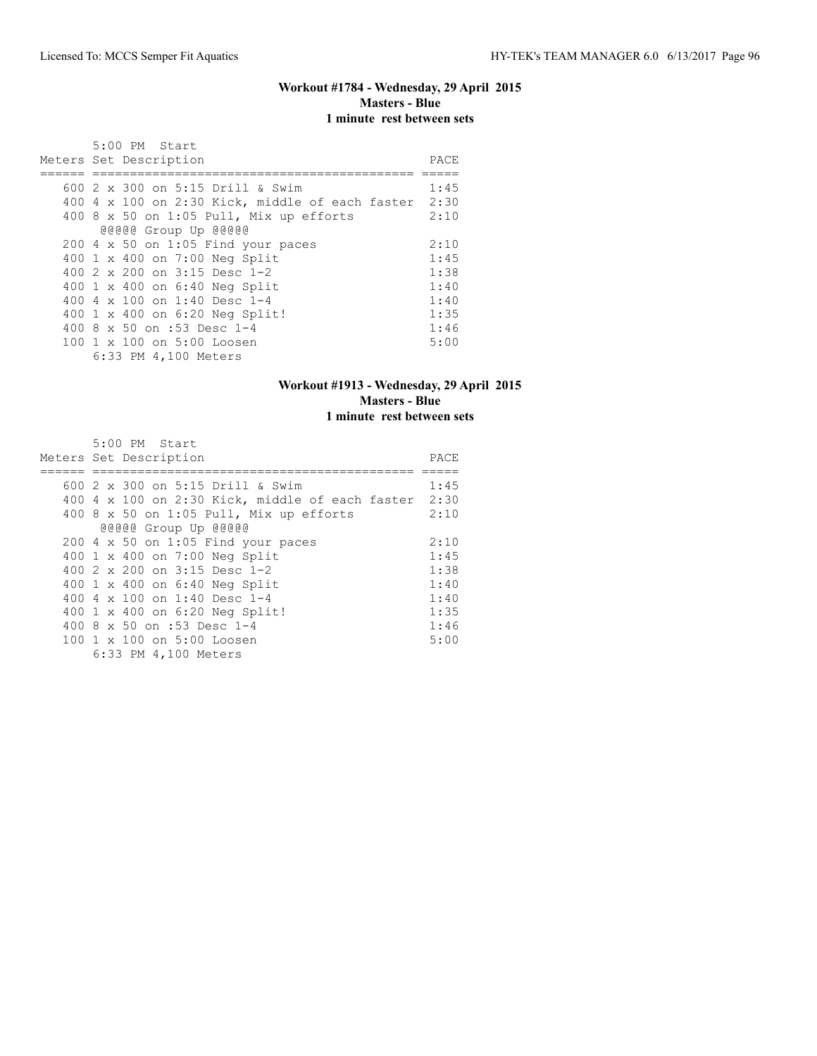#### **Workout #1784 - Wednesday, 29 April 2015 Masters - Blue 1 minute rest between sets**

| 5:00 PM Start                                   |      |
|-------------------------------------------------|------|
| Meters Set Description                          | PACE |
|                                                 |      |
| 600 2 x 300 on 5:15 Drill & Swim                | 1:45 |
| 400 4 x 100 on 2:30 Kick, middle of each faster | 2:30 |
| 400 8 $\times$ 50 on 1:05 Pull, Mix up efforts  | 2:10 |
| @@@@@ Group Up @@@@@                            |      |
| 200 4 x 50 on 1:05 Find your paces              | 2:10 |
| 400 1 x 400 on 7:00 Neg Split                   | 1:45 |
| 400 $2 \times 200$ on $3:15$ Desc 1-2           | 1:38 |
| 400 1 x 400 on 6:40 Neg Split                   | 1:40 |
| 400 4 x 100 on 1:40 Desc 1-4                    | 1:40 |
| 400 1 x 400 on 6:20 Neg Split!                  | 1:35 |
| 400 8 x 50 on :53 Desc 1-4                      | 1:46 |
| 100 1 x 100 on 5:00 Loosen                      | 5:00 |
| 6:33 PM 4,100 Meters                            |      |

## **Workout #1913 - Wednesday, 29 April 2015 Masters - Blue 1 minute rest between sets**

| $5:00$ PM Start                                        |      |
|--------------------------------------------------------|------|
| Meters Set Description                                 | PACE |
|                                                        |      |
| 600 2 x 300 on 5:15 Drill & Swim                       | 1:45 |
| $400$ 4 x 100 on 2:30 Kick, middle of each faster 2:30 |      |
| 400 8 x 50 on 1:05 Pull, Mix up efforts                | 2:10 |
| @@@@@ Group Up @@@@@                                   |      |
| $200$ 4 x 50 on 1:05 Find your paces                   | 2:10 |
| 400 1 x 400 on 7:00 Neg Split                          | 1:45 |
| 400 2 x 200 on 3:15 Desc 1-2                           | 1:38 |
| 400 1 x 400 on 6:40 Neg Split                          | 1:40 |
| 400 4 $\times$ 100 on 1:40 Desc 1-4                    | 1:40 |
| 400 1 x 400 on 6:20 Neg Split!                         | 1:35 |
| 400 8 x 50 on :53 Desc 1-4                             | 1:46 |
| 100 1 x 100 on 5:00 Loosen                             | 5:00 |
| 6:33 PM 4,100 Meters                                   |      |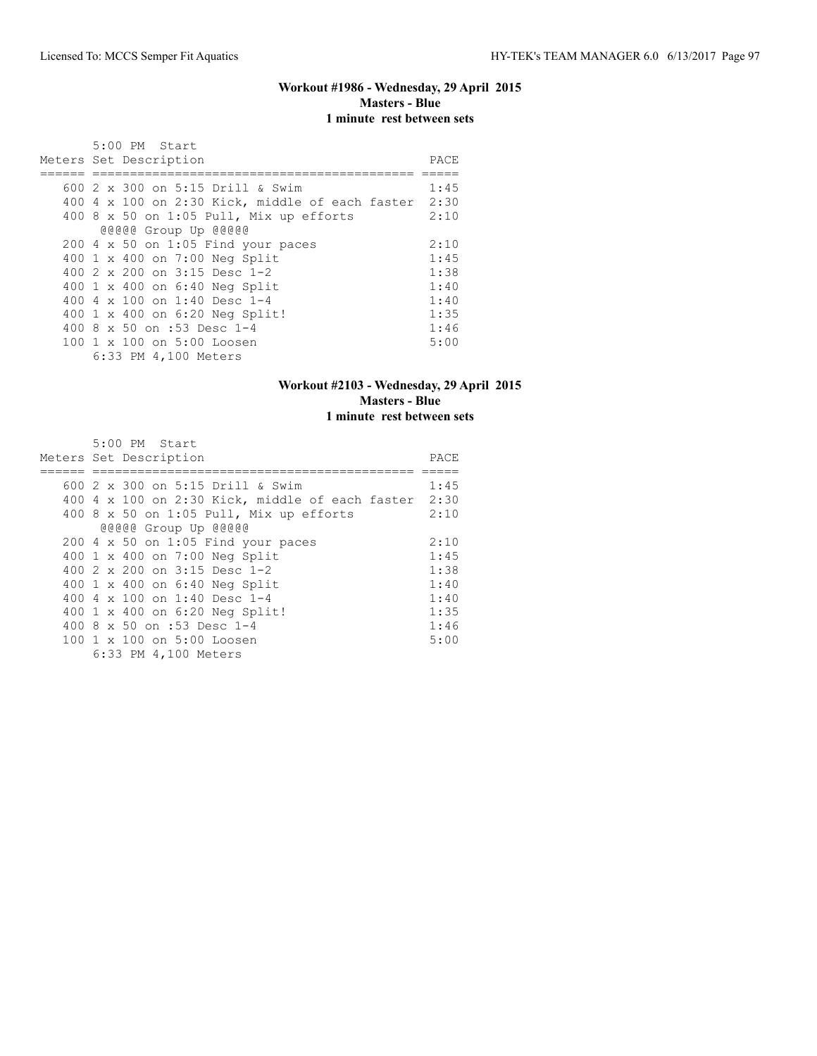#### **Workout #1986 - Wednesday, 29 April 2015 Masters - Blue 1 minute rest between sets**

| 5:00 PM Start                                   |      |
|-------------------------------------------------|------|
| Meters Set Description                          | PACE |
|                                                 |      |
| 600 2 x 300 on 5:15 Drill & Swim                | 1:45 |
| 400 4 x 100 on 2:30 Kick, middle of each faster | 2:30 |
| 400 8 $\times$ 50 on 1:05 Pull, Mix up efforts  | 2:10 |
| @@@@@ Group Up @@@@@                            |      |
| 200 4 x 50 on 1:05 Find your paces              | 2:10 |
| 400 1 x 400 on 7:00 Neg Split                   | 1:45 |
| 400 $2 \times 200$ on $3:15$ Desc 1-2           | 1:38 |
| 400 1 x 400 on 6:40 Neg Split                   | 1:40 |
| 400 4 x 100 on 1:40 Desc 1-4                    | 1:40 |
| 400 1 x 400 on 6:20 Neg Split!                  | 1:35 |
| 400 8 x 50 on :53 Desc 1-4                      | 1:46 |
| 100 1 x 100 on 5:00 Loosen                      | 5:00 |
| 6:33 PM 4,100 Meters                            |      |

## **Workout #2103 - Wednesday, 29 April 2015 Masters - Blue 1 minute rest between sets**

| $5:00$ PM Start                                        |      |
|--------------------------------------------------------|------|
| Meters Set Description                                 | PACE |
|                                                        |      |
| 600 2 x 300 on 5:15 Drill & Swim                       | 1:45 |
| $400$ 4 x 100 on 2:30 Kick, middle of each faster 2:30 |      |
| 400 8 x 50 on 1:05 Pull, Mix up efforts                | 2:10 |
| @@@@@ Group Up @@@@@                                   |      |
| $200$ 4 x 50 on 1:05 Find your paces                   | 2:10 |
| 400 1 x 400 on 7:00 Neg Split                          | 1:45 |
| 400 2 x 200 on 3:15 Desc 1-2                           | 1:38 |
| 400 1 x 400 on 6:40 Neg Split                          | 1:40 |
| 400 4 $\times$ 100 on 1:40 Desc 1-4                    | 1:40 |
| 400 1 x 400 on 6:20 Neg Split!                         | 1:35 |
| 400 8 x 50 on :53 Desc 1-4                             | 1:46 |
| 100 1 x 100 on 5:00 Loosen                             | 5:00 |
| 6:33 PM 4,100 Meters                                   |      |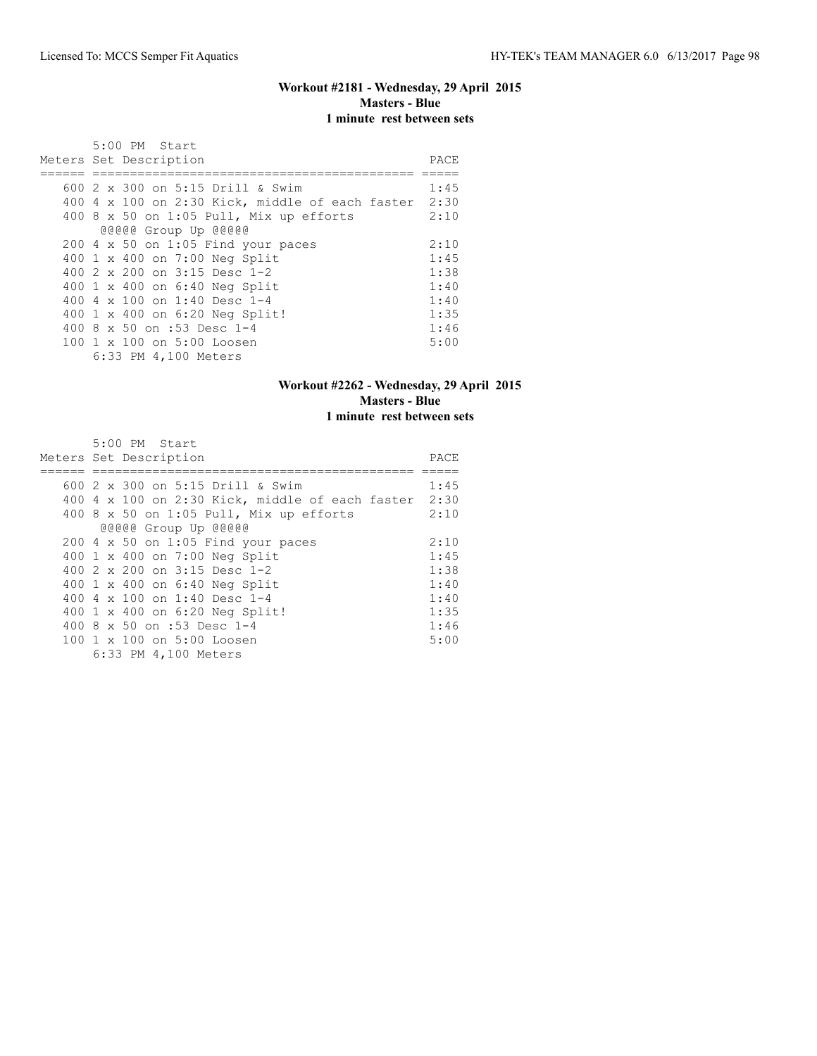#### **Workout #2181 - Wednesday, 29 April 2015 Masters - Blue 1 minute rest between sets**

| 5:00 PM Start                                   |      |
|-------------------------------------------------|------|
| Meters Set Description                          | PACE |
|                                                 |      |
| 600 2 x 300 on 5:15 Drill & Swim                | 1:45 |
| 400 4 x 100 on 2:30 Kick, middle of each faster | 2:30 |
| 400 8 $\times$ 50 on 1:05 Pull, Mix up efforts  | 2:10 |
| @@@@@ Group Up @@@@@                            |      |
| 200 4 x 50 on 1:05 Find your paces              | 2:10 |
| 400 1 x 400 on 7:00 Neg Split                   | 1:45 |
| 400 $2 \times 200$ on $3:15$ Desc 1-2           | 1:38 |
| 400 1 x 400 on 6:40 Neg Split                   | 1:40 |
| 400 4 x 100 on 1:40 Desc 1-4                    | 1:40 |
| 400 1 x 400 on 6:20 Neg Split!                  | 1:35 |
| 400 8 x 50 on :53 Desc 1-4                      | 1:46 |
| 100 1 x 100 on 5:00 Loosen                      | 5:00 |
| 6:33 PM 4,100 Meters                            |      |

## **Workout #2262 - Wednesday, 29 April 2015 Masters - Blue 1 minute rest between sets**

| $5:00$ PM Start                                        |      |
|--------------------------------------------------------|------|
| Meters Set Description                                 | PACE |
|                                                        |      |
| 600 2 x 300 on 5:15 Drill & Swim                       | 1:45 |
| $400$ 4 x 100 on 2:30 Kick, middle of each faster 2:30 |      |
| 400 8 x 50 on 1:05 Pull, Mix up efforts                | 2:10 |
| @@@@@ Group Up @@@@@                                   |      |
| $200$ 4 x 50 on 1:05 Find your paces                   | 2:10 |
| 400 1 x 400 on 7:00 Neg Split                          | 1:45 |
| 400 2 x 200 on 3:15 Desc 1-2                           | 1:38 |
| 400 1 x 400 on 6:40 Neg Split                          | 1:40 |
| 400 4 $\times$ 100 on 1:40 Desc 1-4                    | 1:40 |
| 400 1 x 400 on 6:20 Neg Split!                         | 1:35 |
| 400 8 x 50 on :53 Desc 1-4                             | 1:46 |
| 100 1 x 100 on 5:00 Loosen                             | 5:00 |
| 6:33 PM 4,100 Meters                                   |      |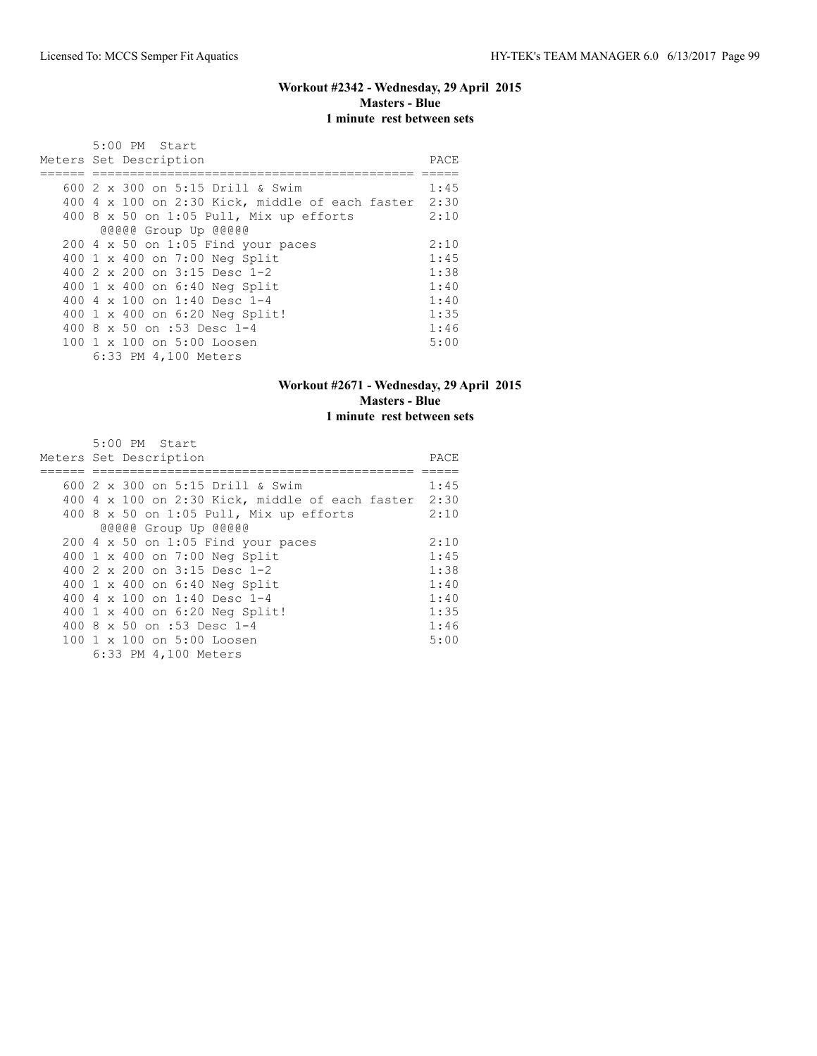#### **Workout #2342 - Wednesday, 29 April 2015 Masters - Blue 1 minute rest between sets**

| 5:00 PM Start                                   |      |
|-------------------------------------------------|------|
| Meters Set Description                          | PACE |
|                                                 |      |
| 600 2 x 300 on 5:15 Drill & Swim                | 1:45 |
| 400 4 x 100 on 2:30 Kick, middle of each faster | 2:30 |
| 400 8 $\times$ 50 on 1:05 Pull, Mix up efforts  | 2:10 |
| @@@@@ Group Up @@@@@                            |      |
| 200 4 x 50 on 1:05 Find your paces              | 2:10 |
| 400 1 x 400 on 7:00 Neg Split                   | 1:45 |
| 400 $2 \times 200$ on $3:15$ Desc 1-2           | 1:38 |
| 400 1 x 400 on 6:40 Neg Split                   | 1:40 |
| 400 4 x 100 on 1:40 Desc 1-4                    | 1:40 |
| 400 1 x 400 on 6:20 Neg Split!                  | 1:35 |
| 400 8 x 50 on :53 Desc 1-4                      | 1:46 |
| 100 1 x 100 on 5:00 Loosen                      | 5:00 |
| 6:33 PM 4,100 Meters                            |      |

## **Workout #2671 - Wednesday, 29 April 2015 Masters - Blue 1 minute rest between sets**

| $5:00$ PM Start                                        |      |
|--------------------------------------------------------|------|
| Meters Set Description                                 | PACE |
|                                                        |      |
| 600 2 x 300 on 5:15 Drill & Swim                       | 1:45 |
| $400$ 4 x 100 on 2:30 Kick, middle of each faster 2:30 |      |
| 400 8 x 50 on 1:05 Pull, Mix up efforts                | 2:10 |
| @@@@@ Group Up @@@@@                                   |      |
| $200$ 4 x 50 on 1:05 Find your paces                   | 2:10 |
| 400 1 x 400 on 7:00 Neg Split                          | 1:45 |
| 400 2 x 200 on 3:15 Desc 1-2                           | 1:38 |
| 400 1 x 400 on 6:40 Neg Split                          | 1:40 |
| 400 4 $\times$ 100 on 1:40 Desc 1-4                    | 1:40 |
| 400 1 x 400 on 6:20 Neg Split!                         | 1:35 |
| 400 8 x 50 on :53 Desc 1-4                             | 1:46 |
| 100 1 x 100 on 5:00 Loosen                             | 5:00 |
| 6:33 PM 4,100 Meters                                   |      |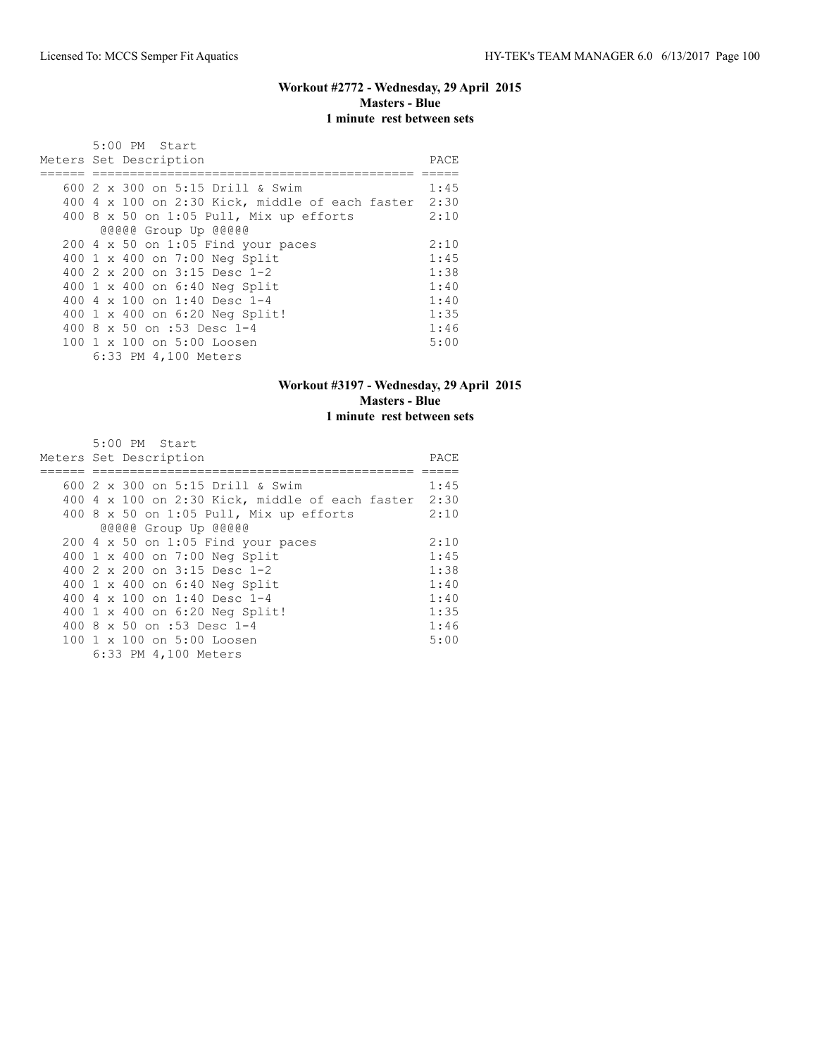#### **Workout #2772 - Wednesday, 29 April 2015 Masters - Blue 1 minute rest between sets**

| 5:00 PM Start                                   |      |
|-------------------------------------------------|------|
| Meters Set Description                          | PACE |
|                                                 |      |
| 600 2 x 300 on 5:15 Drill & Swim                | 1:45 |
| 400 4 x 100 on 2:30 Kick, middle of each faster | 2:30 |
| 400 8 $x$ 50 on 1:05 Pull, Mix up efforts       | 2:10 |
| @@@@@ Group Up @@@@@                            |      |
| $200$ 4 x 50 on 1:05 Find your paces            | 2:10 |
| 400 1 x 400 on 7:00 Neg Split                   | 1:45 |
| 400 $2 \times 200$ on $3:15$ Desc 1-2           | 1:38 |
| 400 1 x 400 on 6:40 Neg Split                   | 1:40 |
| 400 4 $\times$ 100 on 1:40 Desc 1-4             | 1:40 |
| 400 1 x 400 on 6:20 Neg Split!                  | 1:35 |
| 400 8 x 50 on :53 Desc 1-4                      | 1:46 |
| 100 1 x 100 on 5:00 Loosen                      | 5:00 |
| 6:33 PM 4,100 Meters                            |      |

## **Workout #3197 - Wednesday, 29 April 2015 Masters - Blue 1 minute rest between sets**

| $5:00$ PM Start                                      |      |
|------------------------------------------------------|------|
| Meters Set Description                               | PACE |
|                                                      |      |
| 600 2 x 300 on 5:15 Drill & Swim                     | 1:45 |
| 400 4 x 100 on 2:30 Kick, middle of each faster 2:30 |      |
| 400 8 x 50 on 1:05 Pull, Mix up efforts              | 2:10 |
| @@@@@ Group Up @@@@@                                 |      |
| $200$ 4 x 50 on 1:05 Find your paces                 | 2:10 |
| 400 1 x 400 on 7:00 Neg Split                        | 1:45 |
| 400 2 x 200 on 3:15 Desc 1-2                         | 1:38 |
| 400 1 x 400 on 6:40 Neg Split                        | 1:40 |
| 400 4 x 100 on 1:40 Desc 1-4                         | 1:40 |
| 400 1 x 400 on 6:20 Neg Split!                       | 1:35 |
| 400 8 x 50 on :53 Desc 1-4                           | 1:46 |
| 100 1 x 100 on 5:00 Loosen                           | 5:00 |
| 6:33 PM 4,100 Meters                                 |      |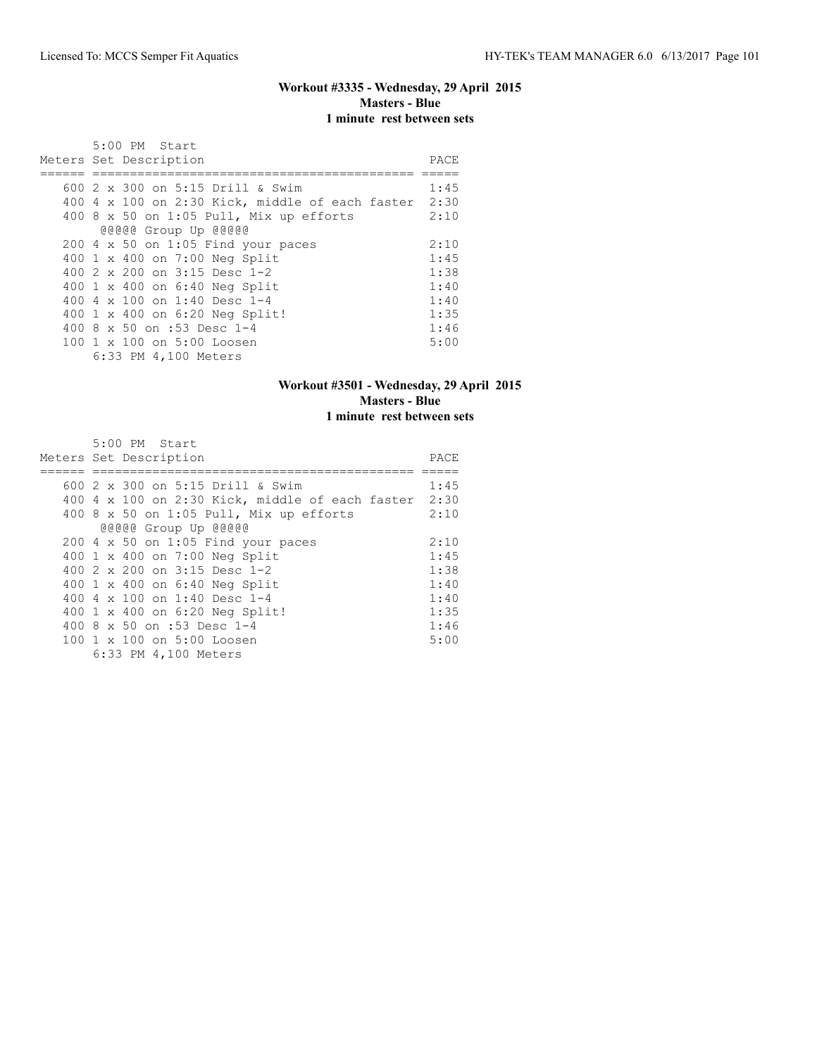#### **Workout #3335 - Wednesday, 29 April 2015 Masters - Blue 1 minute rest between sets**

| 5:00 PM Start                                   |      |
|-------------------------------------------------|------|
| Meters Set Description                          | PACE |
|                                                 |      |
| 600 2 x 300 on 5:15 Drill & Swim                | 1:45 |
| 400 4 x 100 on 2:30 Kick, middle of each faster | 2:30 |
| 400 8 $\times$ 50 on 1:05 Pull, Mix up efforts  | 2:10 |
| @@@@@ Group Up @@@@@                            |      |
| 200 4 x 50 on 1:05 Find your paces              | 2:10 |
| 400 1 x 400 on 7:00 Neg Split                   | 1:45 |
| 400 $2 \times 200$ on $3:15$ Desc 1-2           | 1:38 |
| 400 1 x 400 on 6:40 Neg Split                   | 1:40 |
| 400 4 x 100 on 1:40 Desc 1-4                    | 1:40 |
| 400 1 x 400 on 6:20 Neg Split!                  | 1:35 |
| 400 8 x 50 on :53 Desc 1-4                      | 1:46 |
| 100 1 x 100 on 5:00 Loosen                      | 5:00 |
| 6:33 PM 4,100 Meters                            |      |

## **Workout #3501 - Wednesday, 29 April 2015 Masters - Blue 1 minute rest between sets**

| $5:00$ PM Start                                      |      |
|------------------------------------------------------|------|
| Meters Set Description                               | PACE |
|                                                      |      |
| 600 2 x 300 on 5:15 Drill & Swim                     | 1:45 |
| 400 4 x 100 on 2:30 Kick, middle of each faster 2:30 |      |
| 400 8 x 50 on 1:05 Pull, Mix up efforts              | 2:10 |
| @@@@@ Group Up @@@@@                                 |      |
| $200$ 4 x 50 on 1:05 Find your paces                 | 2:10 |
| 400 1 x 400 on 7:00 Neg Split                        | 1:45 |
| 400 2 x 200 on 3:15 Desc 1-2                         | 1:38 |
| 400 1 x 400 on 6:40 Neg Split                        | 1:40 |
| 400 4 x 100 on 1:40 Desc 1-4                         | 1:40 |
| 400 1 x 400 on 6:20 Neg Split!                       | 1:35 |
| 400 8 x 50 on :53 Desc 1-4                           | 1:46 |
| 100 1 x 100 on 5:00 Loosen                           | 5:00 |
| 6:33 PM 4,100 Meters                                 |      |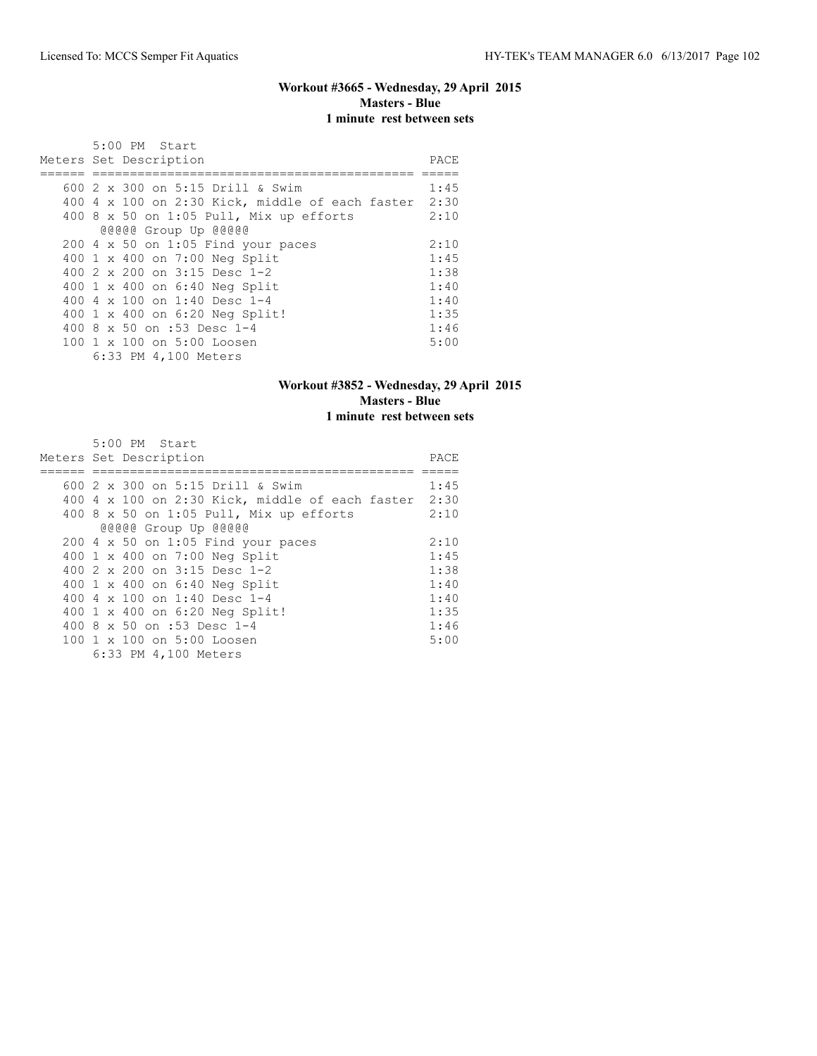#### **Workout #3665 - Wednesday, 29 April 2015 Masters - Blue 1 minute rest between sets**

|  | $5:00$ PM Start                                 |      |
|--|-------------------------------------------------|------|
|  | Meters Set Description                          | PACE |
|  |                                                 |      |
|  | 600 2 x 300 on 5:15 Drill & Swim                | 1:45 |
|  | 400 4 x 100 on 2:30 Kick, middle of each faster | 2:30 |
|  | 400 8 x 50 on 1:05 Pull, Mix up efforts         | 2:10 |
|  | @@@@@ Group Up @@@@@                            |      |
|  | $200$ 4 x 50 on 1:05 Find your paces            | 2:10 |
|  | 400 1 x 400 on 7:00 Neg Split                   | 1:45 |
|  | 400 2 x 200 on 3:15 Desc 1-2                    | 1:38 |
|  | 400 1 x 400 on 6:40 Neg Split                   | 1:40 |
|  | 400 4 $\times$ 100 on 1:40 Desc 1-4             | 1:40 |
|  | 400 1 x 400 on 6:20 Neg Split!                  | 1:35 |
|  | 400 8 x 50 on :53 Desc 1-4                      | 1:46 |
|  | 100 1 x 100 on 5:00 Loosen                      | 5:00 |
|  | 6:33 PM 4,100 Meters                            |      |

## **Workout #3852 - Wednesday, 29 April 2015 Masters - Blue 1 minute rest between sets**

| $5:00$ PM Start                                        |      |
|--------------------------------------------------------|------|
| Meters Set Description                                 | PACE |
|                                                        |      |
| 600 2 x 300 on 5:15 Drill & Swim                       | 1:45 |
| $400$ 4 x 100 on 2:30 Kick, middle of each faster 2:30 |      |
| 400 8 x 50 on 1:05 Pull, Mix up efforts                | 2:10 |
| @@@@@ Group Up @@@@@                                   |      |
| $200$ 4 x 50 on 1:05 Find your paces                   | 2:10 |
| 400 1 x 400 on 7:00 Neg Split                          | 1:45 |
| 400 2 x 200 on 3:15 Desc 1-2                           | 1:38 |
| 400 1 x 400 on 6:40 Neg Split                          | 1:40 |
| 400 4 $\times$ 100 on 1:40 Desc 1-4                    | 1:40 |
| 400 1 x 400 on 6:20 Neg Split!                         | 1:35 |
| 400 8 x 50 on :53 Desc 1-4                             | 1:46 |
| 100 1 x 100 on 5:00 Loosen                             | 5:00 |
| 6:33 PM 4,100 Meters                                   |      |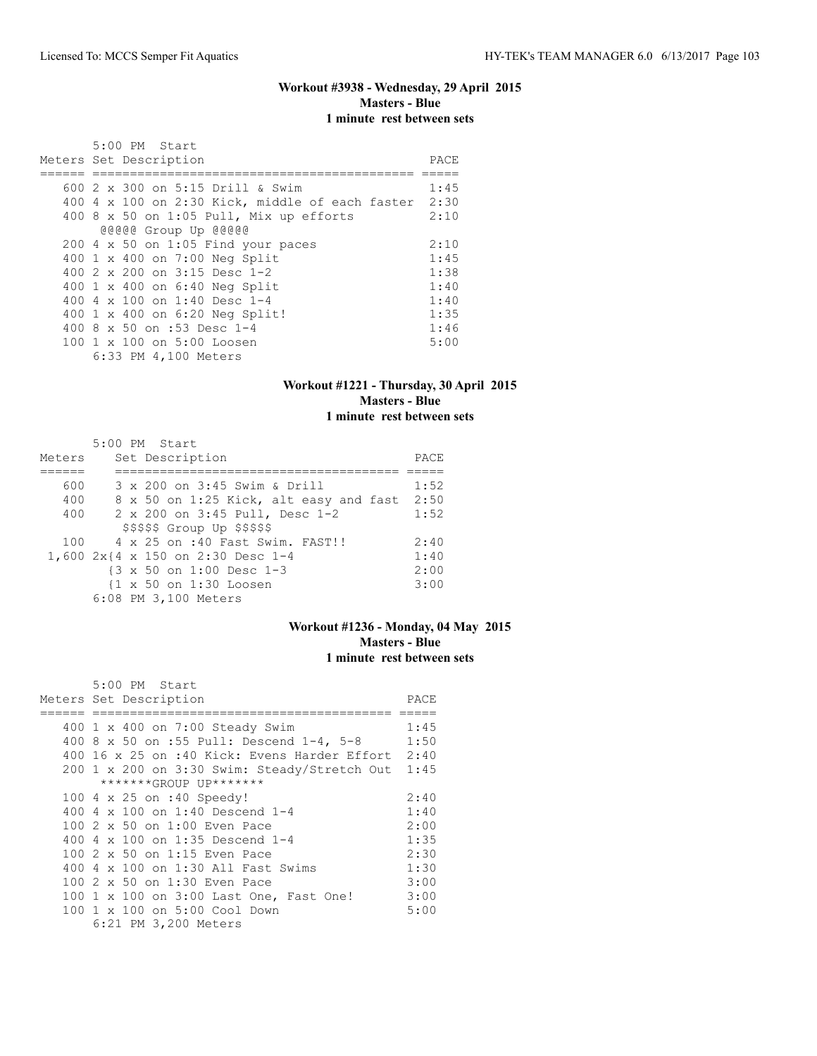## **Workout #3938 - Wednesday, 29 April 2015 Masters - Blue 1 minute rest between sets**

| 5:00 PM Start                                   |      |
|-------------------------------------------------|------|
| Meters Set Description                          | PACE |
|                                                 |      |
| 600 2 x 300 on 5:15 Drill & Swim                | 1:45 |
| 400 4 x 100 on 2:30 Kick, middle of each faster | 2:30 |
| 400 8 $\times$ 50 on 1:05 Pull, Mix up efforts  | 2:10 |
| @@@@@ Group Up @@@@@                            |      |
| $200$ 4 x 50 on 1:05 Find your paces            | 2:10 |
| 400 1 x 400 on 7:00 Neg Split                   | 1:45 |
| 400 $2 \times 200$ on $3:15$ Desc 1-2           | 1:38 |
| 400 1 x 400 on 6:40 Neg Split                   | 1:40 |
| 400 4 x 100 on 1:40 Desc 1-4                    | 1:40 |
| 400 1 x 400 on 6:20 Neg Split!                  | 1:35 |
| 400 8 x 50 on :53 Desc 1-4                      | 1:46 |
| 100 1 x 100 on 5:00 Loosen                      | 5:00 |
| 6:33 PM 4,100 Meters                            |      |

#### **Workout #1221 - Thursday, 30 April 2015 Masters - Blue 1 minute rest between sets**

|        | $5:00$ PM Start                                      |      |
|--------|------------------------------------------------------|------|
| Meters | Set Description                                      | PACE |
|        |                                                      |      |
| 600    | 3 x 200 on 3:45 Swim & Drill                         | 1:52 |
| 400    | 8 x 50 on 1:25 Kick, alt easy and fast               | 2:50 |
| 400    | 2 x 200 on 3:45 Pull, Desc 1-2                       | 1:52 |
|        | $$$ \$\$\$\$\$ Group Up \$\$\$\$\$                   |      |
|        | 100 4 x 25 on :40 Fast Swim, FAST!!                  | 2:40 |
|        | 1,600 2x{4 x 150 on 2:30 Desc 1-4                    | 1:40 |
|        | $\{3 \times 50 \text{ on } 1:00 \text{ Desc } 1-3\}$ | 2:00 |
|        | {1 x 50 on 1:30 Loosen                               | 3:00 |
|        | 6:08 PM 3,100 Meters                                 |      |

#### **Workout #1236 - Monday, 04 May 2015 Masters - Blue 1 minute rest between sets**

| 5:00 PM Start                                     |      |
|---------------------------------------------------|------|
| Meters Set Description                            | PACE |
|                                                   |      |
| 400 1 x 400 on 7:00 Steady Swim                   | 1:45 |
| 400 8 x 50 on :55 Pull: Descend 1-4, 5-8          | 1:50 |
| 400 16 x 25 on :40 Kick: Evens Harder Effort 2:40 |      |
| 200 1 x 200 on 3:30 Swim: Steady/Stretch Out 1:45 |      |
| *******GROUP UP*******                            |      |
| 100 4 x 25 on :40 Speedy!                         | 2:40 |
| 400 4 x 100 on 1:40 Descend 1-4                   | 1:40 |
| $100.2 \times 50$ on $1:00$ Even Pace             | 2:00 |
| 400 4 $\times$ 100 on 1:35 Descend 1-4            | 1:35 |
| 100 2 x 50 on 1:15 Even Pace                      | 2:30 |
| 400 4 x 100 on 1:30 All Fast Swims                | 1:30 |
| 100 2 x 50 on 1:30 Even Pace                      | 3:00 |
| 100 1 x 100 on 3:00 Last One, Fast One!           | 3:00 |
| 100 1 x 100 on 5:00 Cool Down                     | 5:00 |
| 6:21 PM 3,200 Meters                              |      |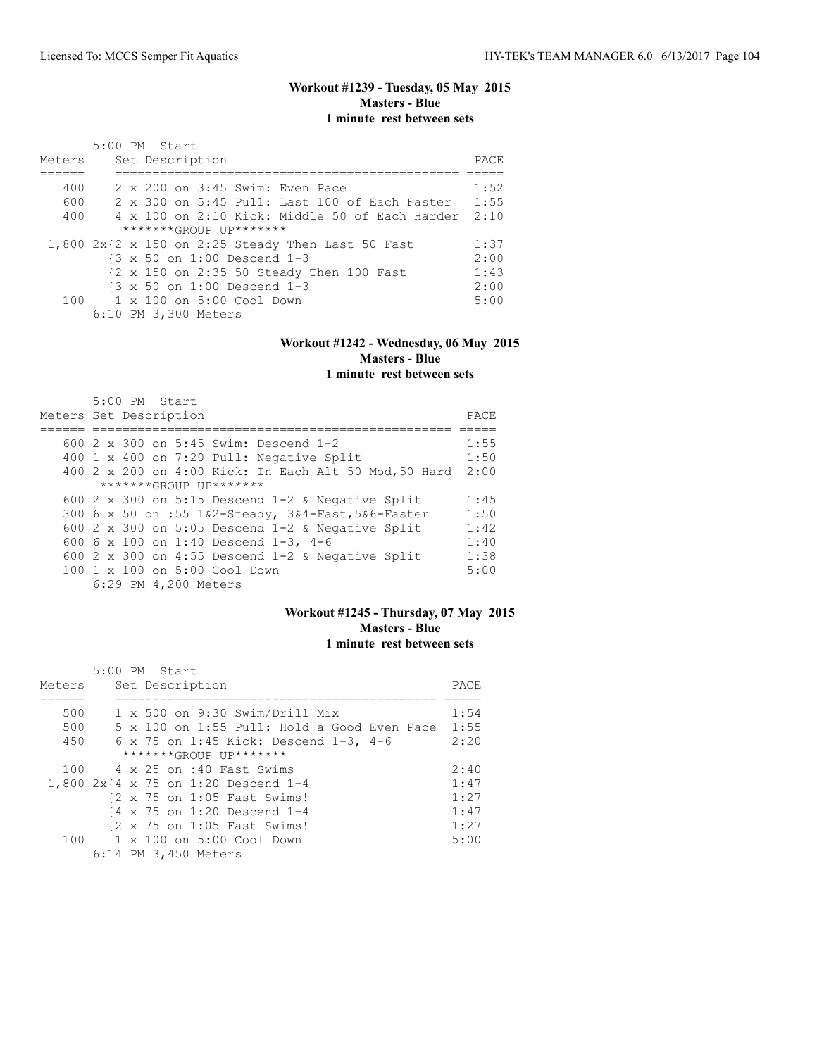## **Workout #1239 - Tuesday, 05 May 2015 Masters - Blue 1 minute rest between sets**

| Meters | 5:00 PM Start<br>Set Description                      | PACE |
|--------|-------------------------------------------------------|------|
|        |                                                       |      |
| 400    | 2 x 200 on 3:45 Swim: Even Pace                       | 1:52 |
| 600    | 2 x 300 on 5:45 Pull: Last 100 of Each Faster         | 1:55 |
| 400    | 4 x 100 on 2:10 Kick: Middle 50 of Each Harder        | 2:10 |
|        | $******GROUP$ $IP*******$                             |      |
|        | $1,800$ 2x{2 x 150 on 2:25 Steady Then Last 50 Fast   | 1:37 |
|        | $\{3 \times 50 \text{ on } 1:00 \text{ Descend } 1-3$ | 2:00 |
|        | {2 x 150 on 2:35 50 Steady Then 100 Fast              | 1:43 |
|        | {3 x 50 on 1:00 Descend 1-3                           | 2:00 |
|        | $100 \t 1 \times 100$ on $5:00$ Cool Down             | 5:00 |
|        | 6:10 PM 3,300 Meters                                  |      |

# **Workout #1242 - Wednesday, 06 May 2015 Masters - Blue**

## **1 minute rest between sets**

| 5:00 PM Start<br>Meters Set Description               | PACE |
|-------------------------------------------------------|------|
|                                                       |      |
|                                                       |      |
| 600 2 x 300 on 5:45 Swim: Descend 1-2                 | 1:55 |
| 400 1 x 400 on 7:20 Pull: Negative Split              | 1:50 |
| 400 2 x 200 on 4:00 Kick: In Each Alt 50 Mod, 50 Hard | 2:00 |
| *******GROUP UP*******                                |      |
| 600 2 x 300 on 5:15 Descend $1-2$ & Negative Split    | 1:45 |
| 300 6 x 50 on :55 1&2-Steady, 3&4-Fast, 5&6-Faster    | 1:50 |
| 600 2 x 300 on 5:05 Descend $1-2$ & Negative Split    | 1:42 |
| 600 6 x 100 on 1:40 Descend 1-3, 4-6                  | 1:40 |
| 600 2 x 300 on 4:55 Descend 1-2 & Negative Split      | 1:38 |
| 100 1 x 100 on 5:00 Cool Down                         | 5:00 |
| 6:29 PM 4,200 Meters                                  |      |

## **Workout #1245 - Thursday, 07 May 2015 Masters - Blue 1 minute rest between sets**

|        | $5:00$ PM Start                                         |      |
|--------|---------------------------------------------------------|------|
| Meters | Set Description                                         | PACE |
|        |                                                         |      |
| 500    | $1 \times 500$ on 9:30 Swim/Drill Mix                   | 1:54 |
| 500    | $5 \times 100$ on 1:55 Pull: Hold a Good Even Pace 1:55 |      |
| 450    | 6 x 75 on 1:45 Kick: Descend 1-3, 4-6                   | 2:20 |
|        | $******GROUP$ $IP*******$                               |      |
|        | 100 4 x 25 on :40 Fast Swims                            | 2:40 |
|        | 1,800 2x{4 x 75 on 1:20 Descend 1-4                     | 1:47 |
|        | {2 x 75 on 1:05 Fast Swims!                             | 1:27 |
|        | $\{4 \times 75 \text{ on } 1:20 \text{ Descend } 1-4$   | 1:47 |
|        | {2 x 75 on 1:05 Fast Swims!                             | 1:27 |
|        | 100 1 x 100 on 5:00 Cool Down                           | 5:00 |
|        | 6:14 PM 3,450 Meters                                    |      |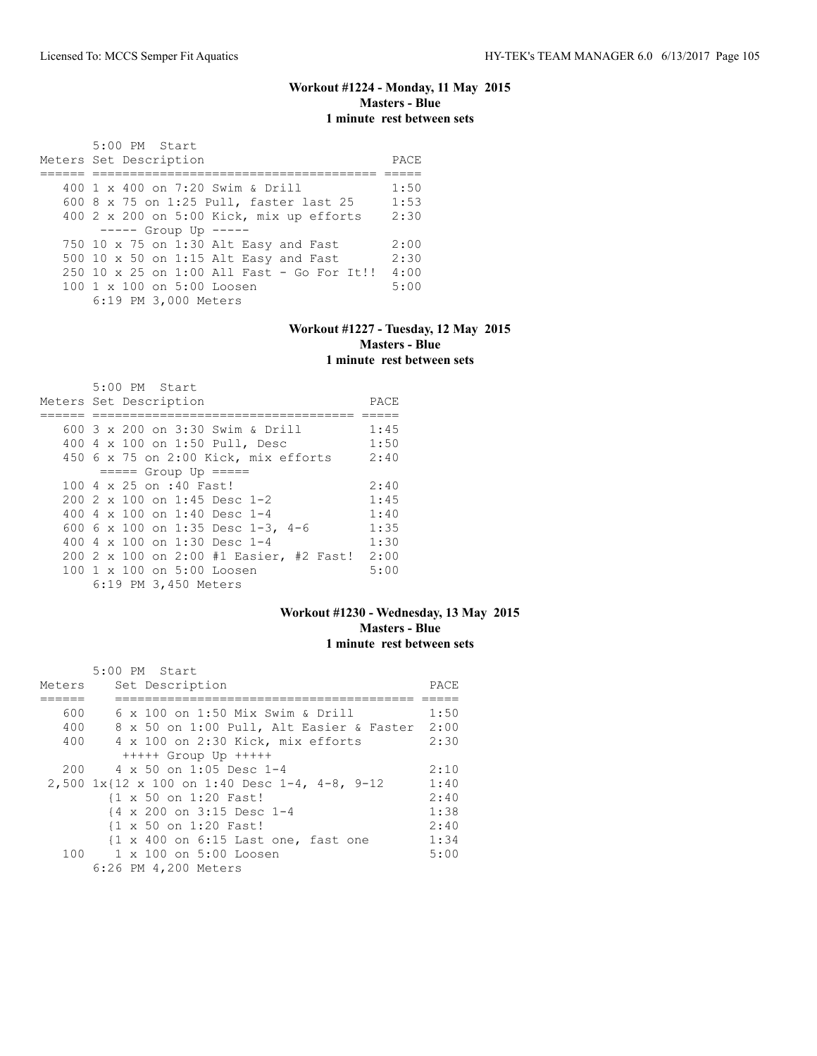## **Workout #1224 - Monday, 11 May 2015 Masters - Blue 1 minute rest between sets**

 5:00 PM Start Meters Set Description **PACE** ====== ====================================== ===== 400 1 x 400 on 7:20 Swim & Drill 1:50 600 8 x 75 on 1:25 Pull, faster last 25 1:53 400 2 x 200 on 5:00 Kick, mix up efforts 2:30 ----- Group Up ----- 750 10 x 75 on 1:30 Alt Easy and Fast 2:00 500 10 x 50 on 1:15 Alt Easy and Fast 2:30 250 10 x 25 on 1:00 All Fast - Go For It!! 4:00 100 1 x 100 on 5:00 Loosen 6:19 PM 3,000 Meters

#### **Workout #1227 - Tuesday, 12 May 2015 Masters - Blue 1 minute rest between sets**

| 5:00 PM Start                             |      |
|-------------------------------------------|------|
| Meters Set Description                    | PACE |
|                                           |      |
| 600 $3 \times 200$ on $3:30$ Swim & Drill | 1:45 |
| 400 4 x 100 on 1:50 Pull, Desc            | 1:50 |
| 450 6 x 75 on 2:00 Kick, mix efforts      | 2:40 |
| $====$ Group Up $====$                    |      |
| 100 4 x 25 on :40 Fast!                   | 2:40 |
| 200 2 x 100 on 1:45 Desc 1-2              | 1:45 |
| 400 4 $\times$ 100 on 1:40 Desc 1-4       | 1:40 |
| 600 6 x 100 on 1:35 Desc 1-3, 4-6         | 1:35 |
| 400 4 $\times$ 100 on 1:30 Desc 1-4       | 1:30 |
| 200 2 x 100 on 2:00 #1 Easier, #2 Fast!   | 2:00 |
| 100 1 x 100 on 5:00 Loosen                | 5:00 |
| 6:19 PM 3,450 Meters                      |      |

#### **Workout #1230 - Wednesday, 13 May 2015 Masters - Blue 1 minute rest between sets**

|        | $5:00$ PM Start                                                       |      |
|--------|-----------------------------------------------------------------------|------|
| Meters | Set Description                                                       | PACE |
|        |                                                                       |      |
| 600    | 6 x 100 on 1:50 Mix Swim & Drill                                      | 1:50 |
| 400    | 8 x 50 on 1:00 Pull, Alt Easier & Faster 2:00                         |      |
| 400    | 4 x 100 on 2:30 Kick, mix efforts                                     | 2:30 |
|        | $++++$ Group Up $++++$                                                |      |
| 200    | $4 \times 50$ on 1:05 Desc 1-4                                        | 2:10 |
|        | $2,500$ 1x{12 x 100 on 1:40 Desc 1-4, 4-8, 9-12                       | 1:40 |
|        | {1 x 50 on 1:20 Fast!                                                 | 2:40 |
|        | {4 x 200 on 3:15 Desc 1-4                                             | 1:38 |
|        | {1 x 50 on 1:20 Fast!                                                 | 2:40 |
|        | $\{1 \times 400 \text{ on } 6:15 \text{ Last one}, \text{fast one}\}$ | 1:34 |
|        | 100 1 x 100 on 5:00 Loosen                                            | 5:00 |
|        | 6:26 PM 4,200 Meters                                                  |      |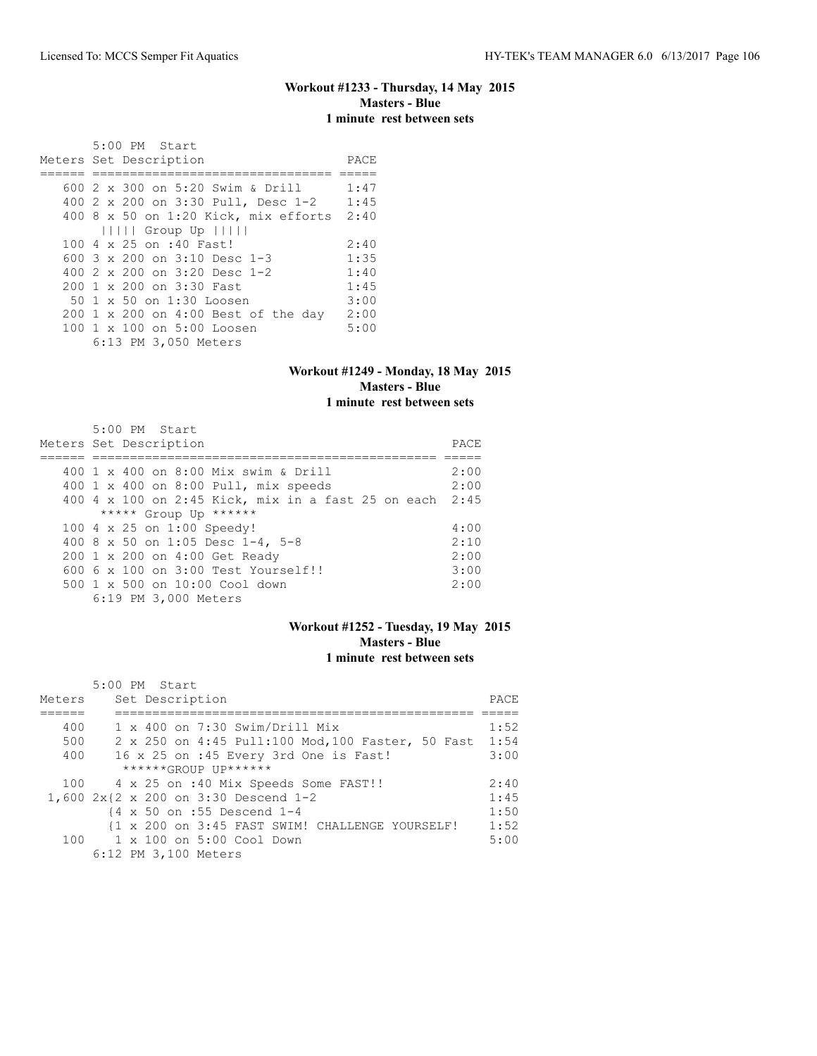## **Workout #1233 - Thursday, 14 May 2015 Masters - Blue 1 minute rest between sets**

 5:00 PM Start Meters Set Description **PACE** ====== ================================ ===== 600 2 x 300 on 5:20 Swim & Drill 1:47 400 2 x 200 on 3:30 Pull, Desc 1-2 1:45 400 8 x 50 on 1:20 Kick, mix efforts 2:40 ||||| Group Up ||||| 100 4 x 25 on :40 Fast! 2:40<br>600 3 x 200 on 3:10 Desc 1-3 1:35 600 3 x 200 on 3:10 Desc 1-3 1:35<br>400 2 x 200 on 3:20 Desc 1-2 1:40 400 2 x 200 on 3:20 Desc 1-2 1:40<br>200 1 x 200 on 3:30 Fast 1:45 200 1 x 200 on 3:30 Fast 1:45<br>50 1 x 50 on 1:30 Loosen 3:00 50 1 x 50 on 1:30 Loosen 200 1 x 200 on 4:00 Best of the day 2:00 100 1 x 100 on 5:00 Loosen 6:13 PM 3,050 Meters

#### **Workout #1249 - Monday, 18 May 2015 Masters - Blue 1 minute rest between sets**

| 5:00 PM Start                                           |      |  |  |  |  |  |  |  |
|---------------------------------------------------------|------|--|--|--|--|--|--|--|
| Meters Set Description                                  |      |  |  |  |  |  |  |  |
|                                                         |      |  |  |  |  |  |  |  |
| 400 1 x 400 on 8:00 Mix swim & Drill                    | 2:00 |  |  |  |  |  |  |  |
| 400 1 x 400 on 8:00 Pull, mix speeds                    | 2:00 |  |  |  |  |  |  |  |
| 400 4 x 100 on 2:45 Kick, mix in a fast 25 on each 2:45 |      |  |  |  |  |  |  |  |
| ***** Group Up ******                                   |      |  |  |  |  |  |  |  |
| 100 4 x 25 on 1:00 Speedy!                              | 4:00 |  |  |  |  |  |  |  |
| 400 8 x 50 on 1:05 Desc 1-4, 5-8                        | 2:10 |  |  |  |  |  |  |  |
| 200 1 x 200 on 4:00 Get Ready                           | 2:00 |  |  |  |  |  |  |  |
| 600 6 x 100 on 3:00 Test Yourself!!                     | 3:00 |  |  |  |  |  |  |  |
| 500 1 x 500 on 10:00 Cool down                          | 2:00 |  |  |  |  |  |  |  |
| 6:19 PM 3,000 Meters                                    |      |  |  |  |  |  |  |  |

#### **Workout #1252 - Tuesday, 19 May 2015 Masters - Blue 1 minute rest between sets**

|        | 5:00 PM Start                                           |      |  |  |  |  |  |  |
|--------|---------------------------------------------------------|------|--|--|--|--|--|--|
| Meters | Set Description                                         |      |  |  |  |  |  |  |
|        |                                                         |      |  |  |  |  |  |  |
| 400    | $1 \times 400$ on 7:30 Swim/Drill Mix                   | 1:52 |  |  |  |  |  |  |
| 500    | 2 x 250 on 4:45 Pull:100 Mod, 100 Faster, 50 Fast       | 1:54 |  |  |  |  |  |  |
| 400    | 16 x 25 on :45 Every 3rd One is Fast!                   | 3:00 |  |  |  |  |  |  |
|        | ******GROUP UP******                                    |      |  |  |  |  |  |  |
| 100    | 4 x 25 on :40 Mix Speeds Some FAST!!                    | 2:40 |  |  |  |  |  |  |
|        | 1,600 2x{2 x 200 on 3:30 Descend 1-2                    | 1:45 |  |  |  |  |  |  |
|        | $\{4 \times 50 \text{ on } : 55 \text{ Descend } 1 - 4$ | 1:50 |  |  |  |  |  |  |
|        | {1 x 200 on 3:45 FAST SWIM! CHALLENGE YOURSELF!         | 1:52 |  |  |  |  |  |  |
|        | 100 1 x 100 on 5:00 Cool Down                           | 5:00 |  |  |  |  |  |  |
|        | 6:12 PM 3,100 Meters                                    |      |  |  |  |  |  |  |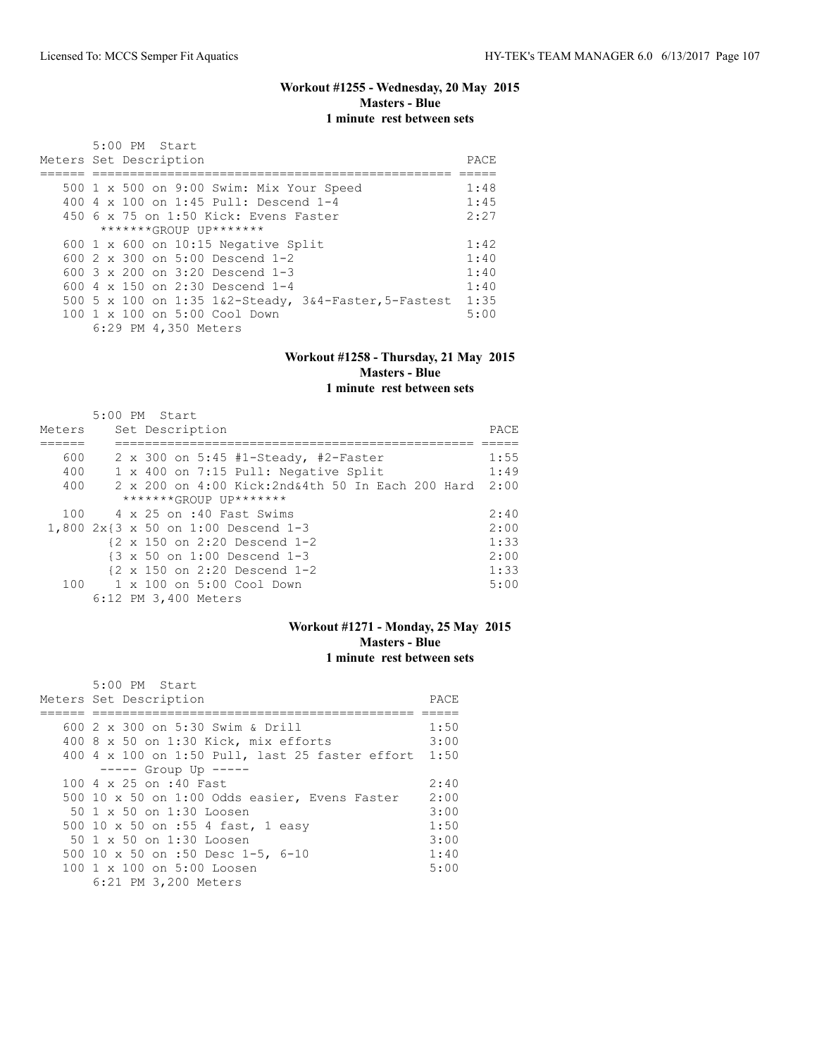## **Workout #1255 - Wednesday, 20 May 2015 Masters - Blue 1 minute rest between sets**

| 5:00 PM Start                                                 | PACE |  |  |  |  |  |  |
|---------------------------------------------------------------|------|--|--|--|--|--|--|
| Meters Set Description                                        |      |  |  |  |  |  |  |
|                                                               |      |  |  |  |  |  |  |
| 500 1 x 500 on 9:00 Swim: Mix Your Speed                      | 1:48 |  |  |  |  |  |  |
| 400 4 x 100 on 1:45 Pull: Descend 1-4                         | 1:45 |  |  |  |  |  |  |
| 450 6 x 75 on 1:50 Kick: Evens Faster                         | 2:27 |  |  |  |  |  |  |
| *******GROUP UP*******                                        |      |  |  |  |  |  |  |
| 600 $1 \times 600$ on 10:15 Negative Split                    | 1:42 |  |  |  |  |  |  |
| 600 $2 \times 300$ on $5:00$ Descend 1-2                      | 1:40 |  |  |  |  |  |  |
| 600 $3 \times 200$ on $3:20$ Descend 1-3                      | 1:40 |  |  |  |  |  |  |
| 600 $4 \times 150$ on 2:30 Descend 1-4                        | 1:40 |  |  |  |  |  |  |
| 500 5 x 100 on 1:35 $1\&2$ -Steady, $3\&4$ -Faster, 5-Fastest | 1:35 |  |  |  |  |  |  |
| $100 \t 1 \t x \t 100$ on 5:00 Cool Down                      | 5:00 |  |  |  |  |  |  |
| 6:29 PM 4,350 Meters                                          |      |  |  |  |  |  |  |

#### **Workout #1258 - Thursday, 21 May 2015 Masters - Blue 1 minute rest between sets**

| Meters | 5:00 PM Start<br>Set Description                       | PACE |
|--------|--------------------------------------------------------|------|
| 600    | 2 x 300 on 5:45 #1-Steady, #2-Faster                   | 1:55 |
| 400    | 1 x 400 on 7:15 Pull: Negative Split                   | 1:49 |
| 400    | 2 x 200 on 4:00 Kick: 2nd& 4th 50 In Each 200 Hard     | 2:00 |
|        | *******GROUP UP*******                                 |      |
| 100    | 4 x 25 on :40 Fast Swims                               | 2:40 |
|        | 1,800 2x{3 x 50 on 1:00 Descend 1-3                    | 2:00 |
|        | $\{2 \times 150 \text{ on } 2:20 \text{ Descend } 1-2$ | 1:33 |
|        | $\{3 \times 50 \text{ on } 1:00 \text{ Descend } 1-3$  | 2:00 |
|        | $\{2 \times 150 \text{ on } 2:20 \text{ Descend } 1-2$ | 1:33 |
| 100    | 1 x 100 on 5:00 Cool Down                              | 5:00 |
|        | 6:12 PM 3,400 Meters                                   |      |

#### **Workout #1271 - Monday, 25 May 2015 Masters - Blue 1 minute rest between sets**

| $5:00$ PM Start                                        |      |  |  |  |  |  |  |  |
|--------------------------------------------------------|------|--|--|--|--|--|--|--|
| Meters Set Description                                 |      |  |  |  |  |  |  |  |
|                                                        |      |  |  |  |  |  |  |  |
| 600 2 x 300 on 5:30 Swim & Drill                       | 1:50 |  |  |  |  |  |  |  |
| 400 8 x 50 on 1:30 Kick, mix efforts                   | 3:00 |  |  |  |  |  |  |  |
| 400 4 x 100 on 1:50 Pull, last 25 faster effort 1:50   |      |  |  |  |  |  |  |  |
| $--- -$ Group Up $--- -$                               |      |  |  |  |  |  |  |  |
| $100.4 \times 25$ on :40 Fast                          | 2:40 |  |  |  |  |  |  |  |
| 500 10 x 50 on 1:00 Odds easier, Evens Faster          | 2:00 |  |  |  |  |  |  |  |
| 50 1 x 50 on 1:30 Loosen                               | 3:00 |  |  |  |  |  |  |  |
| 500 10 x 50 on :55 4 fast, 1 easy                      | 1:50 |  |  |  |  |  |  |  |
| 50 1 x 50 on 1:30 Loosen                               | 3:00 |  |  |  |  |  |  |  |
| 500 10 x 50 on :50 Desc 1-5, 6-10                      | 1:40 |  |  |  |  |  |  |  |
| $100 \text{ 1 x } 100 \text{ on } 5:00 \text{ Loosen}$ | 5:00 |  |  |  |  |  |  |  |
| 6:21 PM 3,200 Meters                                   |      |  |  |  |  |  |  |  |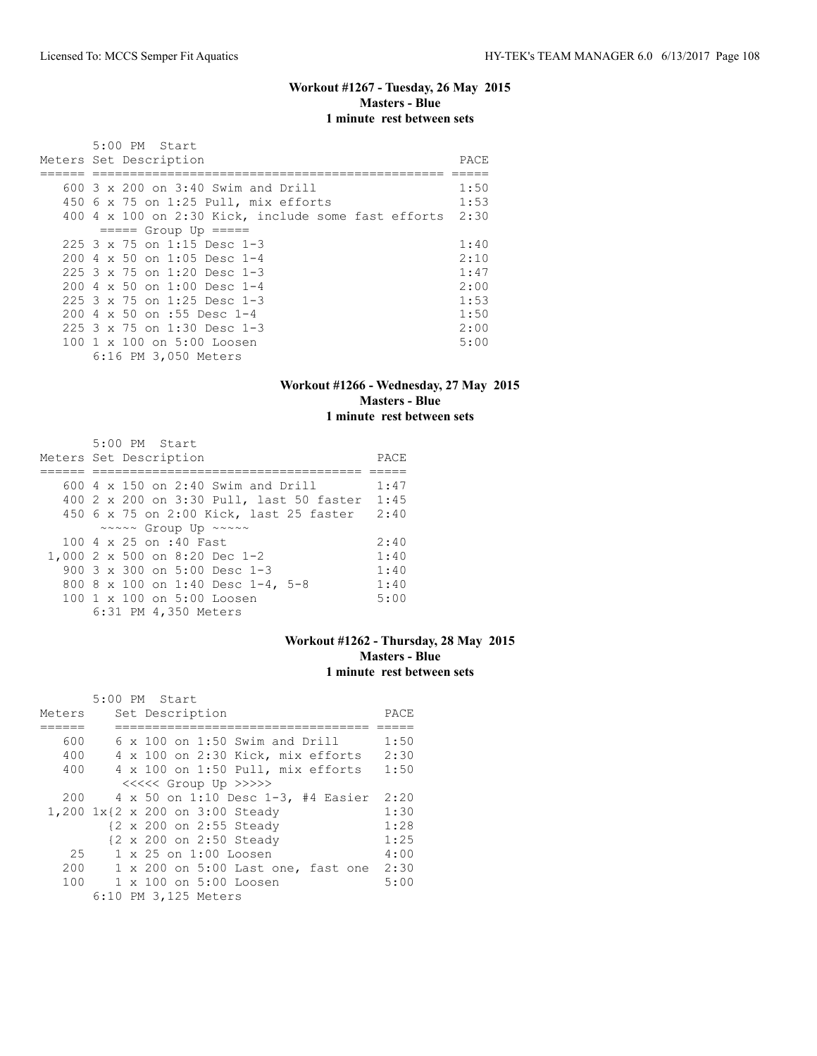## **Workout #1267 - Tuesday, 26 May 2015 Masters - Blue 1 minute rest between sets**

| 5:00 PM Start                                            |      |  |  |  |  |  |  |  |  |
|----------------------------------------------------------|------|--|--|--|--|--|--|--|--|
| Meters Set Description                                   |      |  |  |  |  |  |  |  |  |
|                                                          |      |  |  |  |  |  |  |  |  |
| $600$ 3 x 200 on 3:40 Swim and Drill                     | 1:50 |  |  |  |  |  |  |  |  |
| 450 6 x 75 on 1:25 Pull, mix efforts                     | 1:53 |  |  |  |  |  |  |  |  |
| 400 4 x 100 on 2:30 Kick, include some fast efforts 2:30 |      |  |  |  |  |  |  |  |  |
| $====$ Group Up $====$                                   |      |  |  |  |  |  |  |  |  |
| $225$ 3 x 75 on 1:15 Desc 1-3                            | 1:40 |  |  |  |  |  |  |  |  |
| $200 \text{ } 4 \text{ } \times 50$ on 1:05 Desc 1-4     | 2:10 |  |  |  |  |  |  |  |  |
| $225$ 3 x 75 on 1:20 Desc 1-3                            | 1:47 |  |  |  |  |  |  |  |  |
| $2004 \times 50$ on $1:00$ Desc 1-4                      | 2:00 |  |  |  |  |  |  |  |  |
| $225$ 3 x 75 on 1:25 Desc 1-3                            | 1:53 |  |  |  |  |  |  |  |  |
| 200 4 x 50 on :55 Desc 1-4                               | 1:50 |  |  |  |  |  |  |  |  |
| 225 3 x 75 on 1:30 Desc 1-3                              | 2:00 |  |  |  |  |  |  |  |  |
| 100 1 x 100 on 5:00 Loosen                               | 5:00 |  |  |  |  |  |  |  |  |
| 6:16 PM 3,050 Meters                                     |      |  |  |  |  |  |  |  |  |

#### **Workout #1266 - Wednesday, 27 May 2015 Masters - Blue 1 minute rest between sets**

| 5:00 PM Start<br>Meters Set Description                | PACE |
|--------------------------------------------------------|------|
|                                                        |      |
| $600$ 4 x 150 on 2:40 Swim and Drill                   | 1:47 |
| 400 2 x 200 on 3:30 Pull, last 50 faster               | 1:45 |
| 450 6 x 75 on 2:00 Kick, last 25 faster                | 2:40 |
| $\sim \sim \sim \sim$ Group Up $\sim \sim \sim \sim$   |      |
| 100 4 x 25 on :40 Fast                                 | 2:40 |
| 1,000 2 x 500 on 8:20 Dec 1-2                          | 1:40 |
| 900 $3 \times 300$ on $5:00$ Desc 1-3                  | 1:40 |
| 800 8 x 100 on 1:40 Desc 1-4, 5-8                      | 1:40 |
| $100 \text{ 1 x } 100 \text{ on } 5:00 \text{ Loosen}$ | 5:00 |
| 6:31 PM 4,350 Meters                                   |      |

## **Workout #1262 - Thursday, 28 May 2015 Masters - Blue 1 minute rest between sets**

|        | 5:00 PM Start        |  |                 |                                       |      |
|--------|----------------------|--|-----------------|---------------------------------------|------|
| Meters |                      |  | Set Description |                                       | PACE |
|        |                      |  |                 |                                       |      |
| 600    |                      |  |                 | $6 \times 100$ on 1:50 Swim and Drill | 1:50 |
| 400    |                      |  |                 | 4 x 100 on 2:30 Kick, mix efforts     | 2:30 |
| 400    |                      |  |                 | 4 x 100 on 1:50 Pull, mix efforts     | 1:50 |
|        |                      |  |                 | <<<<<< Group Up >>>>>                 |      |
| 200    |                      |  |                 | 4 x 50 on 1:10 Desc 1-3, #4 Easier    | 2:20 |
|        |                      |  |                 | 1,200 1x{2 x 200 on 3:00 Steady       | 1:30 |
|        |                      |  |                 | {2 x 200 on 2:55 Steady               | 1:28 |
|        |                      |  |                 | {2 x 200 on 2:50 Steady               | 1:25 |
| 25     |                      |  |                 | 1 x 25 on 1:00 Loosen                 | 4:00 |
| 200    |                      |  |                 | 1 x 200 on 5:00 Last one, fast one    | 2:30 |
|        |                      |  |                 | 100 1 x 100 on 5:00 Loosen            | 5:00 |
|        | 6:10 PM 3,125 Meters |  |                 |                                       |      |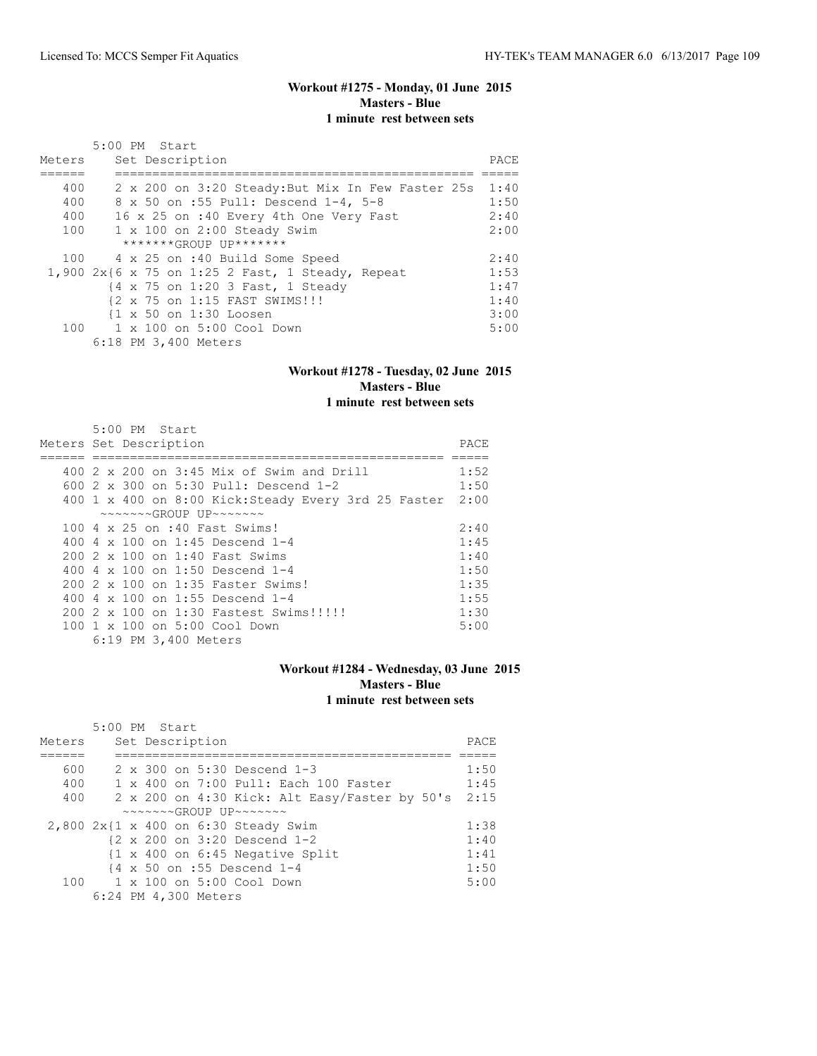#### **Workout #1275 - Monday, 01 June 2015 Masters - Blue 1 minute rest between sets**

| Meters | 5:00 PM Start<br>Set Description                  | PACE |
|--------|---------------------------------------------------|------|
|        |                                                   |      |
| 400    | 2 x 200 on 3:20 Steady: But Mix In Few Faster 25s | 1:40 |
| 400    | 8 x 50 on :55 Pull: Descend 1-4, 5-8              | 1:50 |
| 400    | 16 x 25 on :40 Every 4th One Very Fast            | 2:40 |
| 100    | $1 \times 100$ on 2:00 Steady Swim                | 2:00 |
|        | *******GROUP UP*******                            |      |
|        | 100 4 x 25 on :40 Build Some Speed                | 2:40 |
|        | 1,900 2x{6 x 75 on 1:25 2 Fast, 1 Steady, Repeat  | 1:53 |
|        | {4 x 75 on 1:20 3 Fast, 1 Steady                  | 1:47 |
|        | {2 x 75 on 1:15 FAST SWIMS !!!                    | 1:40 |
|        | {1 x 50 on 1:30 Loosen                            | 3:00 |
|        | 100 1 x 100 on 5:00 Cool Down                     | 5:00 |
|        | 6:18 PM 3,400 Meters                              |      |

#### **Workout #1278 - Tuesday, 02 June 2015 Masters - Blue 1 minute rest between sets**

#### 5:00 PM Start Meters Set Description PACE ====== =============================================== ===== 400 2 x 200 on 3:45 Mix of Swim and Drill 1:52 600 2 x 300 on 5:30 Pull: Descend 1-2 1:50 400 1 x 400 on 8:00 Kick:Steady Every 3rd 25 Faster 2:00 ~~~~~~~GROUP UP~~~~~~~ 100 4 x 25 on :40 Fast Swims! 2:40 400 4 x 100 on 1:45 Descend 1-4 1:45 200 2 x 100 on 1:40 Fast Swims 1:40<br>400 4 x 100 on 1:50 Descend 1-4 1:50 400 4 x 100 on 1:50 Descend 1-4 200 2 x 100 on 1:35 Faster Swims! 1:35 400 4 x 100 on 1:55 Descend 1-4 1:55 200 2 x 100 on 1:30 Fastest Swims!!!!! 1:30 100 1 x 100 on 5:00 Cool Down 5:00 6:19 PM 3,400 Meters

#### **Workout #1284 - Wednesday, 03 June 2015 Masters - Blue 1 minute rest between sets**

|        | $5:00$ PM Start |  |                      |                                                            |                                                            |       |
|--------|-----------------|--|----------------------|------------------------------------------------------------|------------------------------------------------------------|-------|
| Meters |                 |  | Set Description      |                                                            |                                                            | PACE. |
|        |                 |  |                      |                                                            |                                                            |       |
| 600    |                 |  |                      | $2 \times 300$ on $5:30$ Descend 1-3                       |                                                            | 1:50  |
| 400    |                 |  |                      |                                                            | 1 x 400 on 7:00 Pull: Each 100 Faster                      | 1:45  |
| 400    |                 |  |                      |                                                            | 2 x 200 on 4:30 Kick: Alt Easy/Faster by 50's              | 2:15  |
|        |                 |  |                      | $\sim\sim\sim\sim\sim GROUP$ UP $\sim\sim\sim\sim\sim\sim$ |                                                            |       |
|        |                 |  |                      |                                                            | $2,800$ $2x$ {1 x 400 on 6:30 Steady Swim                  | 1:38  |
|        |                 |  |                      | $\{2 \times 200 \text{ on } 3:20 \text{ Descend } 1-2\}$   |                                                            | 1:40  |
|        |                 |  |                      |                                                            | $\{1 \times 400 \text{ on } 6:45 \text{ Negative Split}\}$ | 1:41  |
|        |                 |  |                      | $\{4 \times 50 \text{ on } : 55 \text{ Descend } 1-4$      |                                                            | 1:50  |
|        |                 |  |                      | $100 \t 1 \times 100$ on $5:00$ Cool Down                  |                                                            | 5:00  |
|        |                 |  | 6:24 PM 4,300 Meters |                                                            |                                                            |       |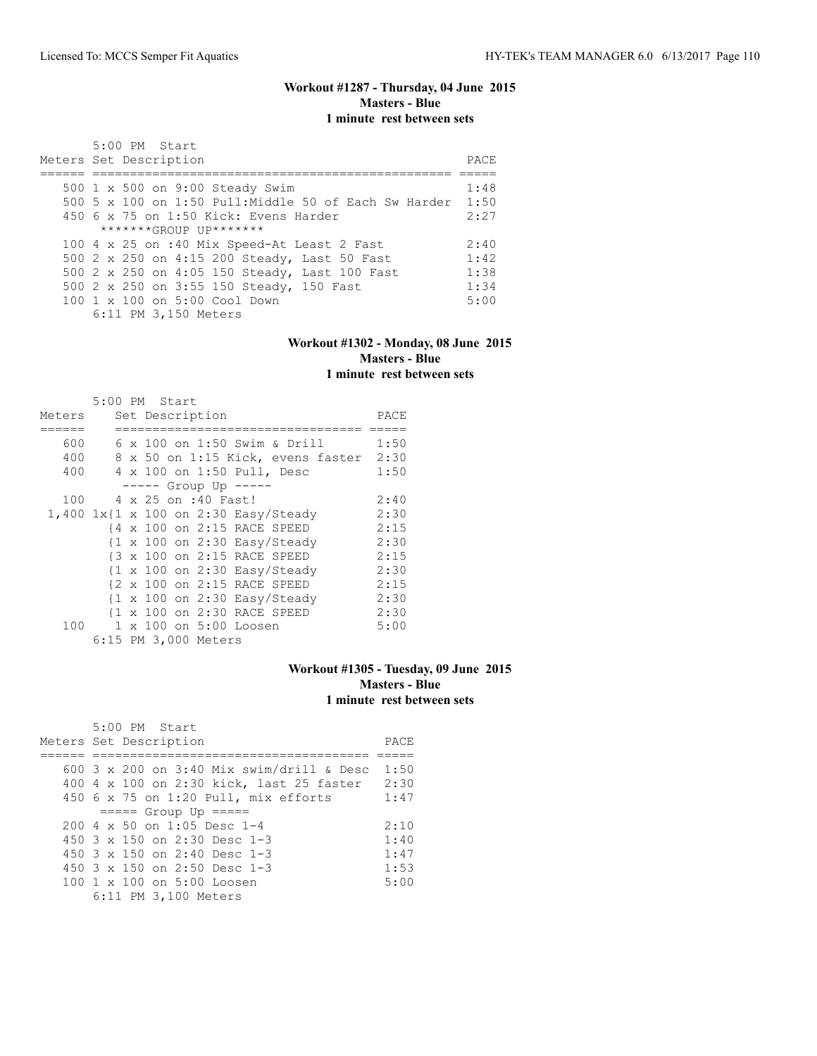## **Workout #1287 - Thursday, 04 June 2015 Masters - Blue 1 minute rest between sets**

| 5:00 PM Start<br>Meters Set Description               | PACE |
|-------------------------------------------------------|------|
| 500 1 x 500 on 9:00 Steady Swim                       | 1:48 |
| 500 5 x 100 on 1:50 Pull: Middle 50 of Each Sw Harder | 1:50 |
| $450$ 6 x 75 on 1:50 Kick: Evens Harder               | 2:27 |
| $******GROUP$ $IP*******$                             |      |
| 100 4 x 25 on :40 Mix Speed-At Least 2 Fast           | 2:40 |
| 500 2 x 250 on 4:15 200 Steady, Last 50 Fast          | 1:42 |
| 500 2 x 250 on 4:05 150 Steady, Last 100 Fast         | 1:38 |
| 500 2 x 250 on 3:55 150 Steady, 150 Fast              | 1:34 |
| $100 \t 1 \t x \t 100$ on $5:00$ Cool Down            | 5:00 |
| 6:11 PM 3,150 Meters                                  |      |

#### **Workout #1302 - Monday, 08 June 2015 Masters - Blue 1 minute rest between sets**

|        | 5:00 PM Start |  |                      |                                                                |      |
|--------|---------------|--|----------------------|----------------------------------------------------------------|------|
| Meters |               |  | Set Description      |                                                                | PACE |
|        |               |  |                      |                                                                |      |
| 600    |               |  |                      | 6 x 100 on 1:50 Swim & Drill                                   | 1:50 |
| 400    |               |  |                      | 8 x 50 on 1:15 Kick, evens faster 2:30                         |      |
| 400    |               |  |                      | 4 x 100 on 1:50 Pull, Desc                                     | 1:50 |
|        |               |  |                      | $--- $ Group Up $--- $                                         |      |
| 100    |               |  | 4 x 25 on :40 Fast!  |                                                                | 2:40 |
|        |               |  |                      | 1,400 1x{1 x 100 on 2:30 Easy/Steady                           | 2:30 |
|        |               |  |                      | {4 x 100 on 2:15 RACE SPEED                                    | 2:15 |
|        |               |  |                      | $\{1 \times 100 \text{ on } 2:30 \text{ Easy}/\text{steady}\}$ | 2:30 |
|        |               |  |                      | {3 x 100 on 2:15 RACE SPEED                                    | 2:15 |
|        |               |  |                      | $\{1 \times 100 \text{ on } 2:30 \text{ Easy}/\text{steady}\}$ | 2:30 |
|        |               |  |                      | {2 x 100 on 2:15 RACE SPEED                                    | 2:15 |
|        |               |  |                      | $\{1 \times 100 \text{ on } 2:30 \text{ Easy}/\text{Steady}\}$ | 2:30 |
|        |               |  |                      | {1 x 100 on 2:30 RACE SPEED                                    | 2:30 |
| 100    |               |  |                      | 1 x 100 on 5:00 Loosen                                         | 5:00 |
|        |               |  | 6:15 PM 3,000 Meters |                                                                |      |

#### **Workout #1305 - Tuesday, 09 June 2015 Masters - Blue 1 minute rest between sets**

| 5:00 PM Start                                      |      |
|----------------------------------------------------|------|
| Meters Set Description                             | PACE |
|                                                    |      |
| 600 $3 \times 200$ on $3:40$ Mix swim/drill & Desc | 1:50 |
| 400 4 x 100 on 2:30 kick, last 25 faster           | 2:30 |
| 450 $6 \times 75$ on 1:20 Pull, mix efforts        | 1:47 |
| $== == $ Group Up $== == $                         |      |
| $200 \text{ } 4 \times 50$ on 1:05 Desc 1-4        | 2:10 |
| 450 3 x 150 on 2:30 Desc 1-3                       | 1:40 |
| 450 $3 \times 150$ on 2:40 Desc 1-3                | 1:47 |
| 450 $3 \times 150$ on 2:50 Desc 1-3                | 1:53 |
| 100 1 x 100 on 5:00 Loosen                         | 5:00 |
| 6:11 PM 3,100 Meters                               |      |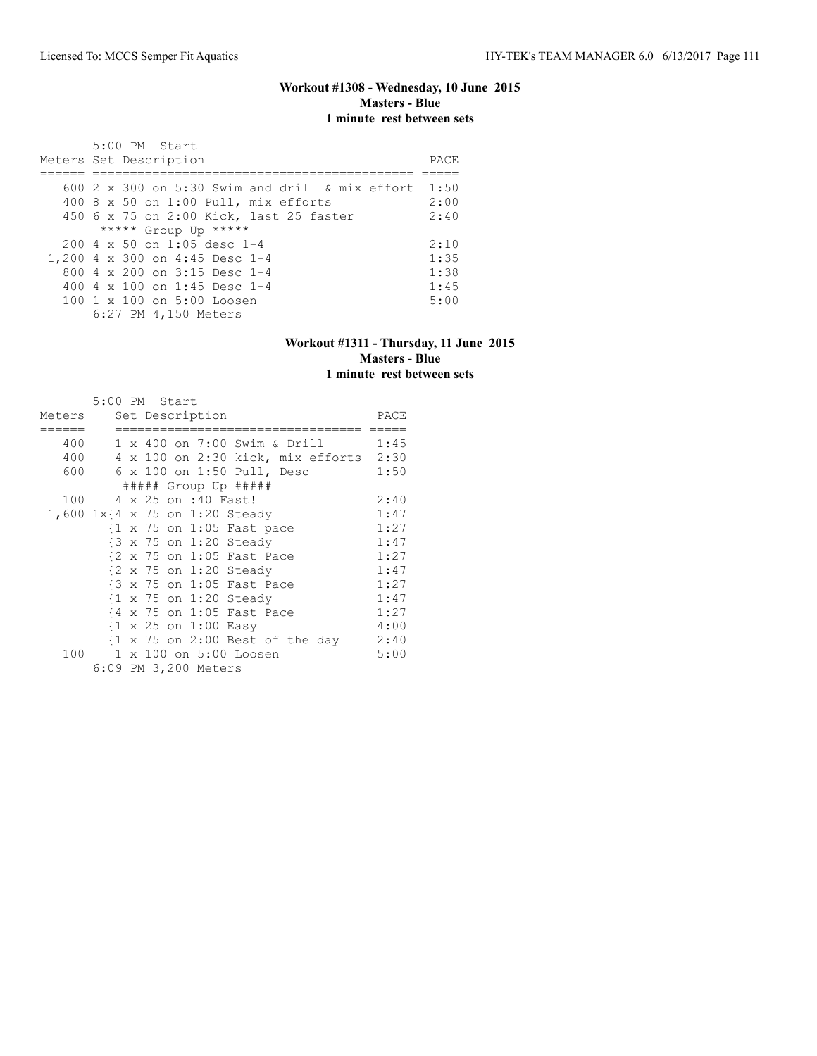## **Workout #1308 - Wednesday, 10 June 2015 Masters - Blue 1 minute rest between sets**

| $5:00$ PM Start<br>Meters Set Description              | PACE |
|--------------------------------------------------------|------|
|                                                        |      |
| 600 $2 \times 300$ on 5:30 Swim and drill & mix effort | 1:50 |
| 400 8 x 50 on 1:00 Pull, mix efforts                   | 2:00 |
| 450 6 x 75 on 2:00 Kick, last 25 faster                | 2:40 |
| ***** Group Up *****                                   |      |
| $200.4 \times 50$ on 1:05 desc 1-4                     | 2:10 |
| 1,200 4 x 300 on 4:45 Desc 1-4                         | 1:35 |
| 800 4 $\times$ 200 on 3:15 Desc 1-4                    | 1:38 |
| 400 4 $\times$ 100 on 1:45 Desc 1-4                    | 1:45 |
| $100 \text{ 1 x } 100 \text{ on } 5:00 \text{ Loosen}$ | 5:00 |
| 6:27 PM 4,150 Meters                                   |      |

#### **Workout #1311 - Thursday, 11 June 2015 Masters - Blue 1 minute rest between sets**

|                        | 5:00 PM Start           |  |                      |                                                                |      |
|------------------------|-------------------------|--|----------------------|----------------------------------------------------------------|------|
| Meters Set Description |                         |  |                      |                                                                | PACE |
|                        |                         |  |                      | ======                                                         |      |
|                        |                         |  |                      | 400 1 x 400 on 7:00 Swim & Drill 1:45                          |      |
|                        |                         |  |                      | 400 4 x 100 on 2:30 kick, mix efforts 2:30                     |      |
|                        |                         |  |                      | 600 6 x 100 on 1:50 Pull, Desc                                 | 1:50 |
|                        |                         |  |                      | ##### Group Up #####                                           |      |
|                        | 100 4 x 25 on :40 Fast! |  |                      |                                                                | 2:40 |
|                        |                         |  |                      | 1,600 1x{4 x 75 on 1:20 Steady                                 | 1:47 |
|                        |                         |  |                      | $\{1 \times 75 \text{ on } 1:05 \text{ Fast pace}\}$           | 1:27 |
|                        |                         |  |                      | {3 x 75 on 1:20 Steady                                         | 1:47 |
|                        |                         |  |                      | {2 x 75 on 1:05 Fast Pace                                      | 1:27 |
|                        |                         |  |                      | $\{2 \times 75 \text{ on } 1:20 \text{ Steady}\}$              | 1:47 |
|                        |                         |  |                      | {3 x 75 on 1:05 Fast Pace                                      | 1:27 |
|                        |                         |  |                      | {1 x 75 on 1:20 Steady                                         | 1:47 |
|                        |                         |  |                      | {4 x 75 on 1:05 Fast Pace                                      | 1:27 |
|                        |                         |  |                      | $\{1 \times 25 \text{ on } 1:00 \text{ Easy}\}$                | 4:00 |
|                        |                         |  |                      | $\{1 \times 75 \text{ on } 2:00 \text{ Best of the day } 2:40$ |      |
| 100                    |                         |  |                      | 1 x 100 on 5:00 Loosen                                         | 5:00 |
|                        |                         |  | 6:09 PM 3,200 Meters |                                                                |      |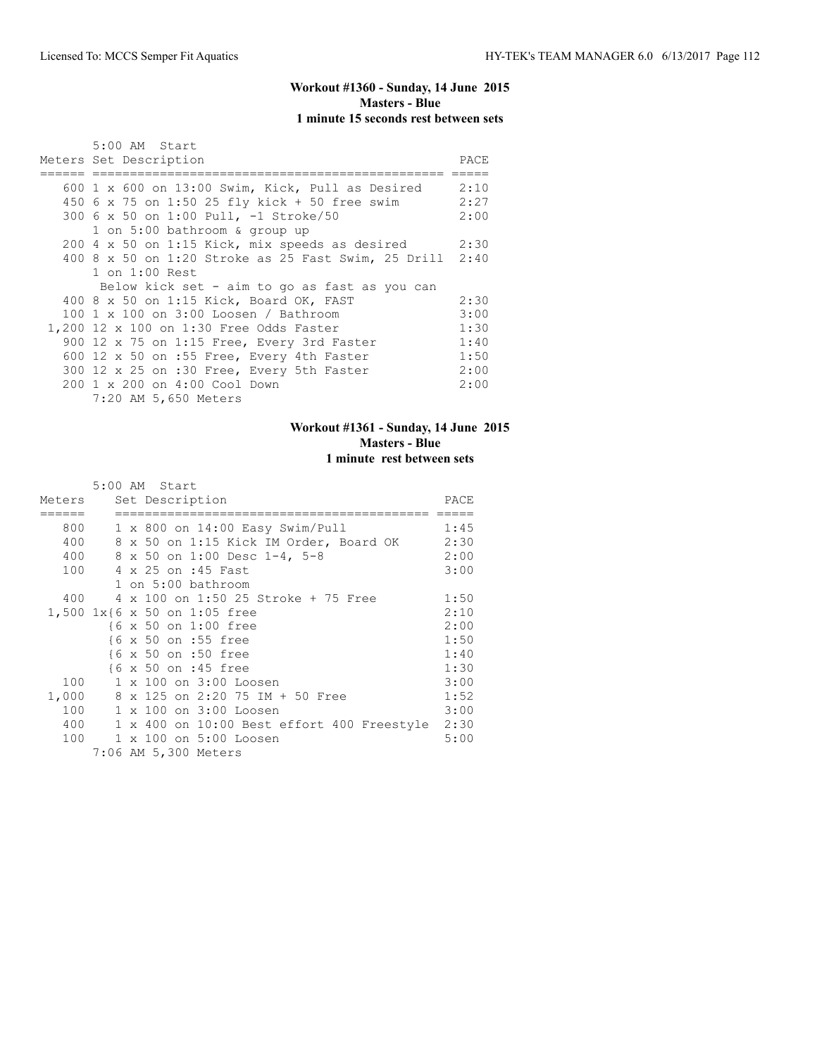## **Workout #1360 - Sunday, 14 June 2015 Masters - Blue 1 minute 15 seconds rest between sets**

| 5:00 AM Start                                            |      |
|----------------------------------------------------------|------|
| Meters Set Description                                   | PACE |
|                                                          |      |
| 600 1 x 600 on 13:00 Swim, Kick, Pull as Desired $2:10$  |      |
| 450 6 x 75 on 1:50 25 fly kick + 50 free swim            | 2:27 |
| 300 6 x 50 on 1:00 Pull, -1 Stroke/50                    | 2:00 |
| 1 on 5:00 bathroom & group up                            |      |
| $200$ 4 x 50 on 1:15 Kick, mix speeds as desired         | 2:30 |
| 400 8 x 50 on 1:20 Stroke as 25 Fast Swim, 25 Drill 2:40 |      |
| $1$ on $1:00$ Rest                                       |      |
| Below kick set - aim to go as fast as you can            |      |
| 400 8 x 50 on 1:15 Kick, Board OK, FAST                  | 2:30 |
| 100 $1 \times 100$ on $3:00$ Loosen / Bathroom           | 3:00 |
| 1,200 12 x 100 on 1:30 Free Odds Faster                  | 1:30 |
| 900 12 x 75 on 1:15 Free, Every 3rd Faster               | 1:40 |
| 600 12 x 50 on :55 Free, Every 4th Faster                | 1:50 |
| 300 12 x 25 on :30 Free, Every 5th Faster                | 2:00 |
| 200 1 x 200 on 4:00 Cool Down                            | 2:00 |
| 7:20 AM 5,650 Meters                                     |      |

## **Workout #1361 - Sunday, 14 June 2015 Masters - Blue 1 minute rest between sets**

|        | 5:00 AM Start                                   |      |
|--------|-------------------------------------------------|------|
| Meters | Set Description                                 | PACE |
|        |                                                 |      |
| 800    | $1 \times 800$ on $14:00$ Easy Swim/Pull        | 1:45 |
| 400    | 8 x 50 on 1:15 Kick IM Order, Board OK          | 2:30 |
| 400    | 8 x 50 on 1:00 Desc 1-4, 5-8                    | 2:00 |
| 100    | 4 x 25 on :45 Fast                              | 3:00 |
|        | 1 on 5:00 bathroom                              |      |
|        | 400 4 x 100 on 1:50 25 Stroke + 75 Free         | 1:50 |
|        | 1,500 1x{6 x 50 on 1:05 free                    | 2:10 |
|        | {6 x 50 on 1:00 free                            | 2:00 |
|        | {6 x 50 on :55 free                             | 1:50 |
|        | {6 x 50 on :50 free                             | 1:40 |
|        | {6 x 50 on :45 free                             | 1:30 |
|        | 100 1 x 100 on 3:00 Loosen                      | 3:00 |
|        | 1,000 8 x 125 on 2:20 75 IM + 50 Free           | 1:52 |
|        | 100 1 x 100 on 3:00 Loosen                      | 3:00 |
| 400    | 1 x 400 on 10:00 Best effort 400 Freestyle 2:30 |      |
| 100    | 1 x 100 on 5:00 Loosen                          | 5:00 |
|        | 7:06 AM 5,300 Meters                            |      |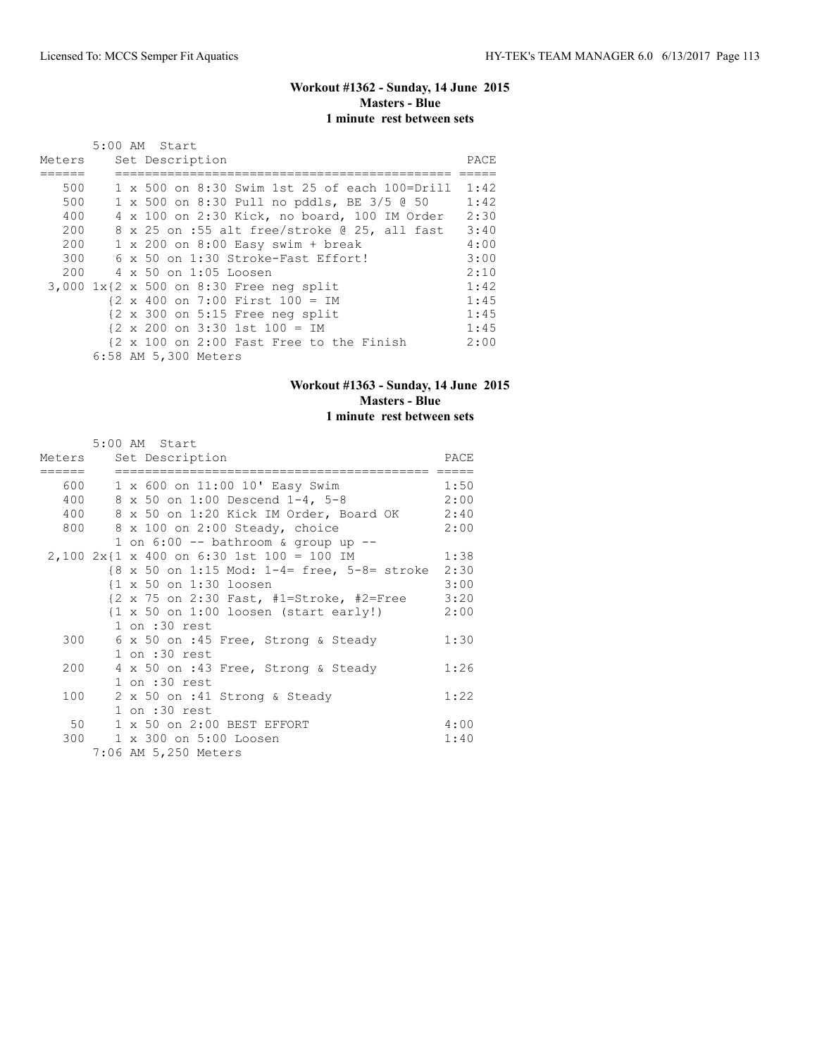## **Workout #1362 - Sunday, 14 June 2015 Masters - Blue 1 minute rest between sets**

|        | 5:00 AM Start                                                     |      |
|--------|-------------------------------------------------------------------|------|
| Meters | Set Description                                                   | PACE |
|        |                                                                   |      |
| 500    | 1 x 500 on 8:30 Swim 1st 25 of each 100=Drill                     | 1:42 |
| 500    | 1 x 500 on 8:30 Pull no pddls, BE 3/5 @ 50                        | 1:42 |
| 400    | 4 x 100 on 2:30 Kick, no board, 100 IM Order                      | 2:30 |
| 200    | 8 x 25 on :55 alt free/stroke @ 25, all fast                      | 3:40 |
| 200    | $1 \times 200$ on $8:00$ Easy swim + break                        | 4:00 |
| 300    | 6 x 50 on 1:30 Stroke-Fast Effort!                                | 3:00 |
|        | 200 4 x 50 on 1:05 Loosen                                         | 2:10 |
|        | 3,000 1x{2 x 500 on 8:30 Free neg split                           | 1:42 |
|        | $\{2 \times 400 \text{ on } 7:00 \text{ First } 100 = 100\}$      | 1:45 |
|        | $\{2 \times 300 \text{ on } 5:15 \text{ Free neg split}\}$        | 1:45 |
|        | $\{2 \times 200 \text{ on } 3:30 \text{ 1st } 100 = \text{IM} \}$ | 1:45 |
|        | {2 x 100 on 2:00 Fast Free to the Finish                          | 2:00 |
|        | 6:58 AM 5,300 Meters                                              |      |

## **Workout #1363 - Sunday, 14 June 2015 Masters - Blue 1 minute rest between sets**

|     | 5:00 AM Start                                                                    |      |
|-----|----------------------------------------------------------------------------------|------|
|     | Meters Set Description                                                           | PACE |
|     |                                                                                  |      |
|     | 600 1 x 600 on 11:00 10' Easy Swim                                               | 1:50 |
|     | 400 8 x 50 on 1:00 Descend 1-4, 5-8                                              | 2:00 |
|     | 400 8 x 50 on 1:20 Kick IM Order, Board OK 2:40                                  |      |
|     | 800 8 x 100 on 2:00 Steady, choice                                               | 2:00 |
|     | 1 on $6:00$ -- bathroom & group up --                                            |      |
|     | $2,100$ $2x\{1 \times 400 \text{ on } 6:30 \text{ 1st } 100 = 100 \text{ IM} \}$ | 1:38 |
|     | $8 \times 50$ on 1:15 Mod: 1-4= free, 5-8= stroke                                | 2:30 |
|     | {1 x 50 on 1:30 loosen                                                           | 3:00 |
|     | $\{2 \times 75 \text{ on } 2:30 \text{ Fast}, \#1=Stroke, \#2=Free \}$ 3:20      |      |
|     | $\{1 \times 50 \text{ on } 1:00 \text{ loosen } (\text{start early!})$           | 2:00 |
|     | $1$ on $:30$ rest                                                                |      |
|     | 300 6 x 50 on :45 Free, Strong & Steady                                          | 1:30 |
|     | $1$ on $:30$ rest                                                                |      |
| 200 | 4 x 50 on :43 Free, Strong & Steady                                              | 1:26 |
|     | $1$ on $:30$ rest                                                                |      |
| 100 | 2 x 50 on :41 Strong & Steady                                                    | 1:22 |
|     | $1$ on $:30$ rest                                                                |      |
|     | 50 1 x 50 on 2:00 BEST EFFORT                                                    | 4:00 |
|     | 300 1 x 300 on 5:00 Loosen                                                       | 1:40 |
|     | 7:06 AM 5,250 Meters                                                             |      |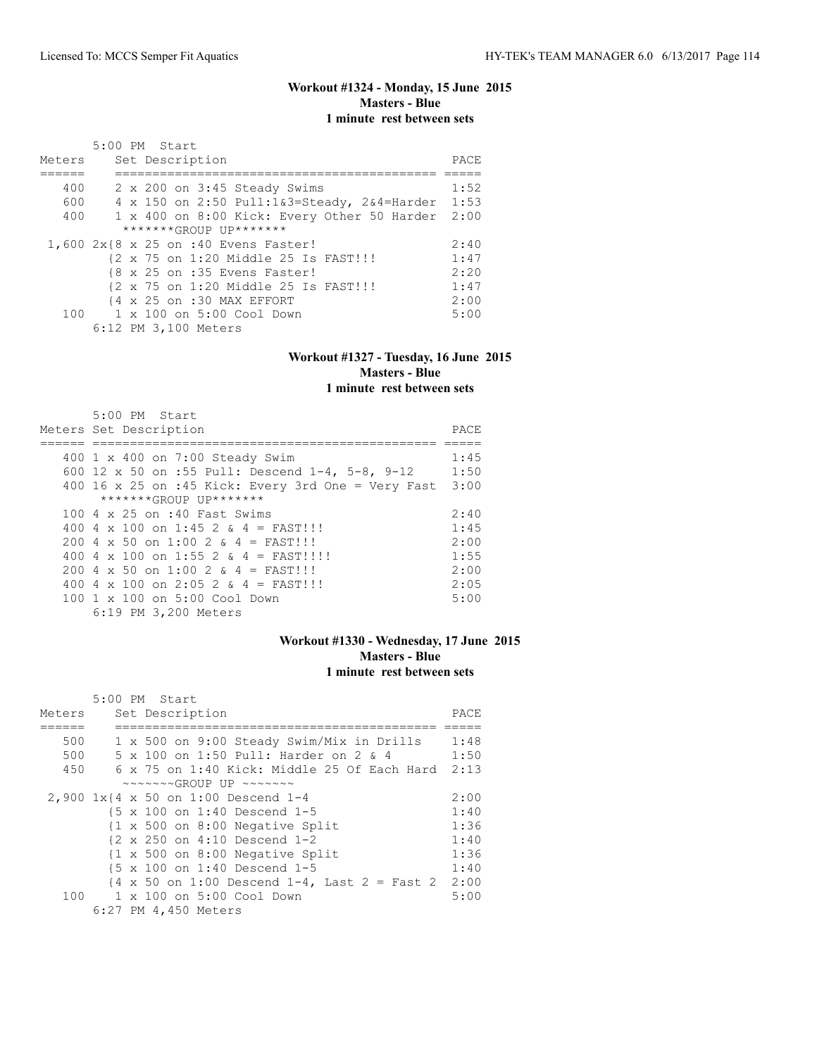## **Workout #1324 - Monday, 15 June 2015 Masters - Blue 1 minute rest between sets**

|        | 5:00 PM Start                                    |      |
|--------|--------------------------------------------------|------|
| Meters | Set Description                                  | PACE |
|        |                                                  |      |
| 400    | 2 x 200 on 3:45 Steady Swims                     | 1:52 |
| 600    | 4 x 150 on 2:50 Pull:1&3=Steady, 2&4=Harder 1:53 |      |
| 400    | 1 x 400 on 8:00 Kick: Every Other 50 Harder      | 2:00 |
|        | *******GROUP UP*******                           |      |
|        | 1,600 2x{8 x 25 on :40 Evens Faster!             | 2:40 |
|        | {2 x 75 on 1:20 Middle 25 Is FAST!!!             | 1:47 |
|        | {8 x 25 on :35 Evens Faster!                     | 2:20 |
|        | {2 x 75 on 1:20 Middle 25 Is FAST!!!             | 1:47 |
|        | {4 x 25 on :30 MAX EFFORT                        | 2:00 |
|        | 100 1 x 100 on 5:00 Cool Down                    | 5:00 |
|        | 6:12 PM 3,100 Meters                             |      |

#### **Workout #1327 - Tuesday, 16 June 2015 Masters - Blue 1 minute rest between sets**

| $5:00$ PM Start<br>Meters Set Description          | PACE |
|----------------------------------------------------|------|
| 400 1 x 400 on 7:00 Steady Swim                    | 1:45 |
|                                                    |      |
| 600 12 x 50 on :55 Pull: Descend 1-4, 5-8, 9-12    | 1:50 |
| 400 16 x 25 on :45 Kick: Every 3rd One = Very Fast | 3:00 |
| *******GROUP UP*******                             |      |
| 100 4 x 25 on :40 Fast Swims                       | 2:40 |
| 400 4 x 100 on 1:45 2 & 4 = FAST!!!                | 1:45 |
| 200 4 x 50 on 1:00 2 & 4 = FAST!!!                 | 2:00 |
| 400 4 x 100 on 1:55 2 & 4 = FAST!!!!               | 1:55 |
| 200 4 x 50 on 1:00 2 $\&$ 4 = FAST!!!              | 2:00 |
| 400 4 x 100 on 2:05 2 & 4 = FAST!!!                | 2:05 |
| $100 \t 1 \t x \t 100$ on $5:00$ Cool Down         | 5:00 |
| 6:19 PM 3,200 Meters                               |      |

#### **Workout #1330 - Wednesday, 17 June 2015 Masters - Blue 1 minute rest between sets**

|        | 5:00 PM Start                                                                          |      |
|--------|----------------------------------------------------------------------------------------|------|
| Meters | Set Description                                                                        | PACE |
|        |                                                                                        |      |
| 500    | 1 x 500 on 9:00 Steady Swim/Mix in Drills                                              | 1:48 |
| 500    | 5 x 100 on 1:50 Pull: Harder on 2 & 4                                                  | 1:50 |
| 450    | 6 x 75 on 1:40 Kick: Middle 25 Of Each Hard 2:13                                       |      |
|        | $\sim \sim \sim \sim \sim GROUP$ UP $\sim \sim \sim \sim \sim \sim$                    |      |
|        | 2,900 1x{4 x 50 on 1:00 Descend 1-4                                                    | 2:00 |
|        | $\{5 \times 100 \text{ on } 1:40 \text{ Descend } 1-5$                                 | 1:40 |
|        | {1 x 500 on 8:00 Negative Split                                                        | 1:36 |
|        | $\{2 \times 250 \text{ on } 4:10 \text{ Descend } 1-2$                                 | 1:40 |
|        | $\{1 \times 500$ on 8:00 Negative Split                                                | 1:36 |
|        | $15 \times 100$ on 1:40 Descend 1-5                                                    | 1:40 |
|        | $\{4 \times 50 \text{ on } 1:00 \text{ Descend } 1-4$ , Last $2 = \text{Fast } 2$ 2:00 |      |
|        | 100    1 x 100    an 5:00    Cool    Down                                              | 5:00 |
|        | 6:27 PM 4,450 Meters                                                                   |      |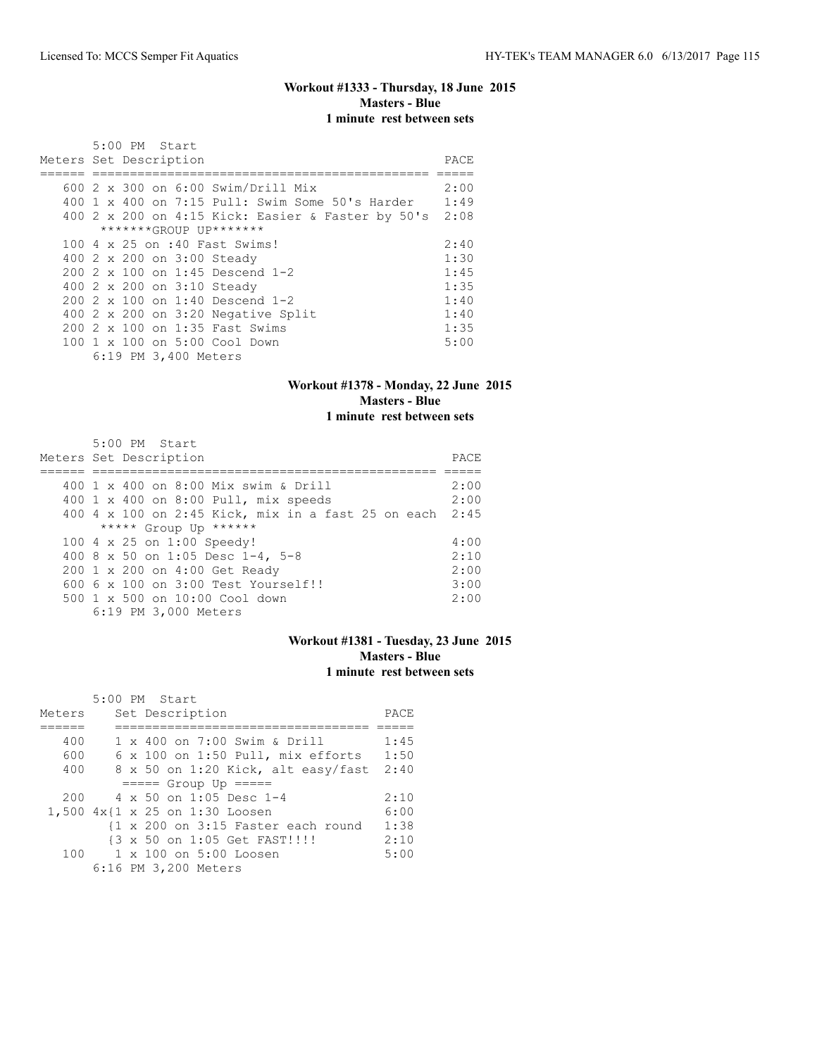## **Workout #1333 - Thursday, 18 June 2015 Masters - Blue 1 minute rest between sets**

|                        | $5:00$ PM Start |                      |                                                                                              |      |
|------------------------|-----------------|----------------------|----------------------------------------------------------------------------------------------|------|
| Meters Set Description |                 |                      |                                                                                              | PACE |
|                        |                 |                      |                                                                                              |      |
|                        |                 |                      | 600 2 x 300 on 6:00 Swim/Drill Mix                                                           | 2:00 |
|                        |                 |                      | $400 \text{ 1 x } 400 \text{ on } 7:15 \text{ Pull: } \text{Swim Some } 50 \text{'s Harder}$ | 1:49 |
|                        |                 |                      | 400 2 x 200 on 4:15 Kick: Easier & Faster by 50's 2:08                                       |      |
|                        |                 |                      | *******GROUP UP*******                                                                       |      |
|                        |                 |                      | 100 4 x 25 on :40 Fast Swims!                                                                | 2:40 |
|                        |                 |                      | 400 2 x 200 on 3:00 Steady                                                                   | 1:30 |
|                        |                 |                      | $200.2 \times 100$ on 1:45 Descend 1-2                                                       | 1:45 |
|                        |                 |                      | 400 2 x 200 on 3:10 Steady                                                                   | 1:35 |
|                        |                 |                      | 200 2 x 100 on 1:40 Descend 1-2                                                              | 1:40 |
|                        |                 |                      | 400 2 x 200 on 3:20 Negative Split                                                           | 1:40 |
|                        |                 |                      | 200 2 x 100 on 1:35 Fast Swims                                                               | 1:35 |
|                        |                 |                      | 100 1 x 100 on 5:00 Cool Down                                                                | 5:00 |
|                        |                 | 6:19 PM 3,400 Meters |                                                                                              |      |

## **Workout #1378 - Monday, 22 June 2015 Masters - Blue 1 minute rest between sets**

| 5:00 PM Start                                           |      |
|---------------------------------------------------------|------|
| Meters Set Description                                  | PACE |
|                                                         |      |
| 400 1 x 400 on 8:00 Mix swim & Drill                    | 2:00 |
| 400 1 x 400 on 8:00 Pull, mix speeds                    | 2:00 |
| 400 4 x 100 on 2:45 Kick, mix in a fast 25 on each 2:45 |      |
| ***** Group Up ******                                   |      |
| 100 4 x 25 on 1:00 Speedy!                              | 4:00 |
| 400 8 x 50 on 1:05 Desc 1-4, 5-8                        | 2:10 |
| 200 1 x 200 on 4:00 Get Ready                           | 2:00 |
| $6006 \times 100$ on $3:00$ Test Yourself!!             | 3:00 |
| 500 1 x 500 on 10:00 Cool down                          | 2:00 |
| 6:19 PM 3,000 Meters                                    |      |

#### **Workout #1381 - Tuesday, 23 June 2015 Masters - Blue 1 minute rest between sets**

|        |  | $5:00$ PM Start                          |      |
|--------|--|------------------------------------------|------|
| Meters |  | Set Description                          | PACE |
|        |  |                                          |      |
| 400    |  | $1 \times 400$ on 7:00 Swim & Drill      | 1:45 |
| 600    |  | $6 \times 100$ on 1:50 Pull, mix efforts | 1:50 |
| 400    |  | 8 x 50 on 1:20 Kick, alt easy/fast       | 2:40 |
|        |  | $====$ Group Up $====$                   |      |
| 200    |  | $4 \times 50$ on 1:05 Desc 1-4           | 2:10 |
|        |  | 1,500 4x{1 x 25 on 1:30 Loosen           | 6:00 |
|        |  | {1 x 200 on 3:15 Faster each round       | 1:38 |
|        |  | {3 x 50 on 1:05 Get FAST!!!!             | 2:10 |
| 100    |  | 1 x 100 on 5:00 Loosen                   | 5:00 |
|        |  | 6:16 PM 3,200 Meters                     |      |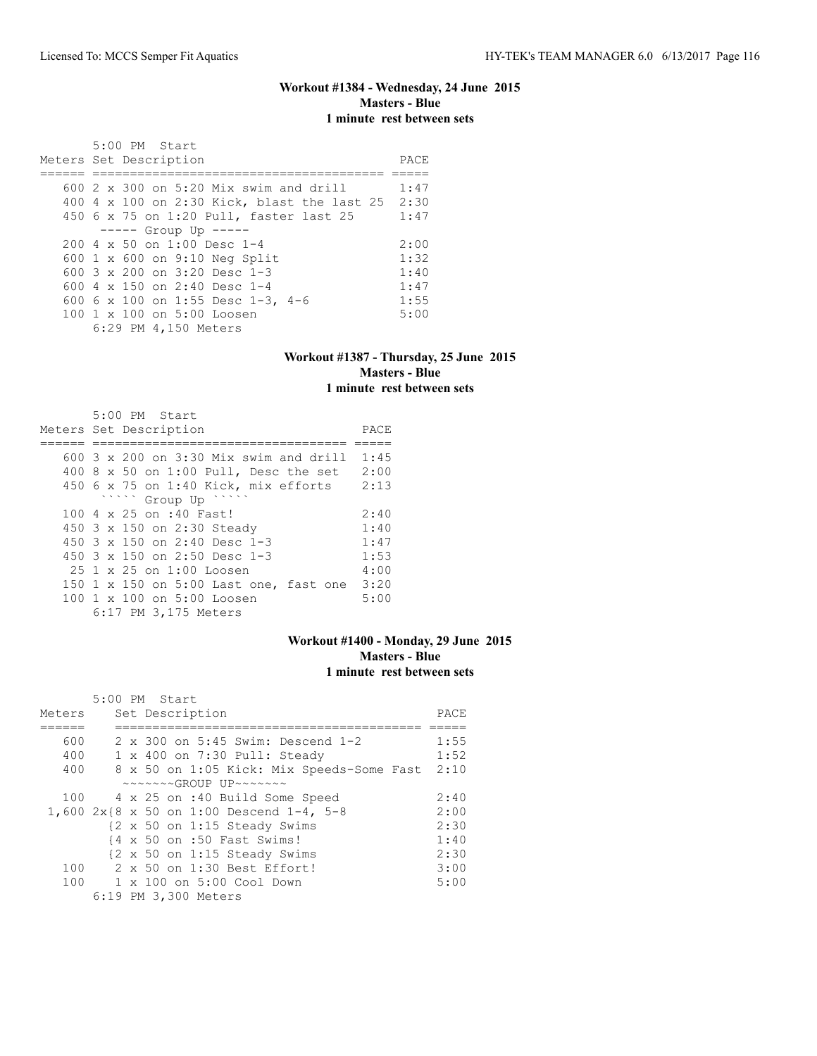## **Workout #1384 - Wednesday, 24 June 2015 Masters - Blue 1 minute rest between sets**

| 5:00 PM Start<br>Meters Set Description                | PACE. |
|--------------------------------------------------------|-------|
| $600$ 2 x 300 on 5:20 Mix swim and drill               | 1:47  |
| 400 4 x 100 on 2:30 Kick, blast the last 25 2:30       |       |
| 450 6 x 75 on 1:20 Pull, faster last 25                | 1:47  |
| ----- Group Up -----                                   |       |
| $200.4 \times 50$ on 1:00 Desc 1-4                     | 2:00  |
| 600 1 x 600 on 9:10 Neg Split                          | 1:32  |
| 600 $3 \times 200$ on $3:20$ Desc 1-3                  | 1:40  |
| 600 $4 \times 150$ on 2:40 Desc 1-4                    | 1:47  |
| 600 6 x 100 on 1:55 Desc 1-3, 4-6                      | 1:55  |
| $100 \text{ 1 x } 100 \text{ on } 5:00 \text{ Loosen}$ | 5:00  |
| 6:29 PM 4,150 Meters                                   |       |

#### **Workout #1387 - Thursday, 25 June 2015 Masters - Blue 1 minute rest between sets**

| $5:00$ PM Start<br>Meters Set Description       | PACE |
|-------------------------------------------------|------|
| 600 $3 \times 200$ on $3:30$ Mix swim and drill | 1:45 |
|                                                 |      |
| 400 8 x 50 on 1:00 Pull, Desc the set           | 2:00 |
| $450$ 6 x 75 on 1:40 Kick, mix efforts          | 2:13 |
| www.group Up "                                  |      |
| 100 4 x 25 on :40 Fast!                         | 2:40 |
| 450 3 x 150 on 2:30 Steady                      | 1:40 |
| 450 $3 \times 150$ on 2:40 Desc 1-3             | 1:47 |
| 450 3 x 150 on 2:50 Desc 1-3                    | 1:53 |
| $25.1 \times 25$ on $1:00$ Loosen               | 4:00 |
| 150 1 x 150 on 5:00 Last one, fast one          | 3:20 |
| 100 1 x 100 on 5:00 Loosen                      | 5:00 |
| 6:17 PM 3,175 Meters                            |      |

#### **Workout #1400 - Monday, 29 June 2015 Masters - Blue 1 minute rest between sets**

|        | $5:00$ PM Start                                            |      |
|--------|------------------------------------------------------------|------|
| Meters | Set Description                                            | PACE |
|        |                                                            |      |
| 600    | 2 x 300 on 5:45 Swim: Descend 1-2                          | 1:55 |
| 400    | 1 x 400 on 7:30 Pull: Steady                               | 1:52 |
| 400    | 8 x 50 on 1:05 Kick: Mix Speeds-Some Fast                  | 2:10 |
|        | $\sim\sim\sim\sim\sim GROUP$ UP $\sim\sim\sim\sim\sim\sim$ |      |
| 100    | 4 x 25 on :40 Build Some Speed                             | 2:40 |
|        | 1,600 2x{8 x 50 on 1:00 Descend 1-4, 5-8                   | 2:00 |
|        | {2 x 50 on 1:15 Steady Swims                               | 2:30 |
|        | {4 x 50 on :50 Fast Swims!                                 | 1:40 |
|        | {2 x 50 on 1:15 Steady Swims                               | 2:30 |
| 100    | 2 x 50 on 1:30 Best Effort!                                | 3:00 |
| 100    | 1 x 100 on 5:00 Cool Down                                  | 5:00 |
|        | 6:19 PM 3,300 Meters                                       |      |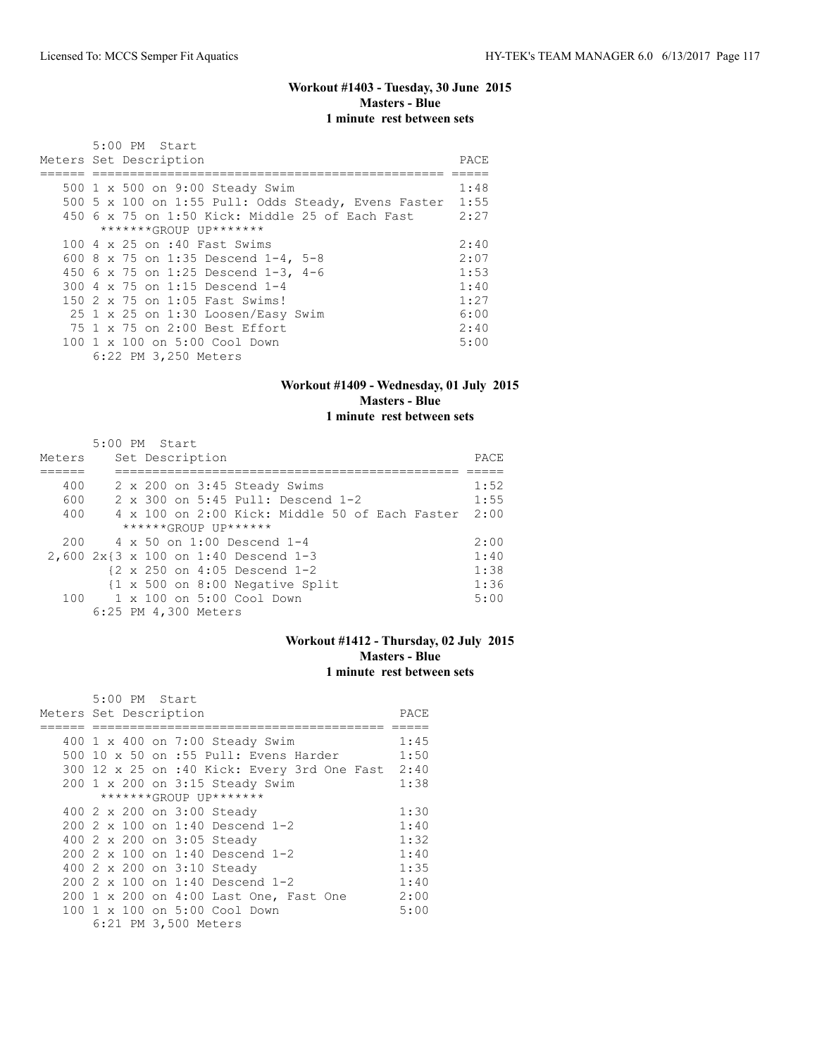## **Workout #1403 - Tuesday, 30 June 2015 Masters - Blue 1 minute rest between sets**

| $5:00$ PM Start                                        |       |
|--------------------------------------------------------|-------|
| Meters Set Description                                 | PACE. |
|                                                        |       |
| 500 1 x 500 on 9:00 Steady Swim                        | 1:48  |
| 500 5 x 100 on 1:55 Pull: Odds Steady, Evens Faster    | 1:55  |
| 450 $6 \times 75$ on 1:50 Kick: Middle 25 of Each Fast | 2:27  |
| *******GROUP UP*******                                 |       |
| 100 4 x 25 on :40 Fast Swims                           | 2:40  |
| 600 8 x 75 on 1:35 Descend 1-4, 5-8                    | 2:07  |
| 450 6 x 75 on 1:25 Descend 1-3, 4-6                    | 1:53  |
| 300 4 x 75 on 1:15 Descend 1-4                         | 1:40  |
| 150 2 x 75 on 1:05 Fast Swims!                         | 1:27  |
| $25$ 1 x 25 on 1:30 Loosen/Easy Swim                   | 6:00  |
| 75 1 x 75 on 2:00 Best Effort                          | 2:40  |
| 100 1 x 100 on 5:00 Cool Down                          | 5:00  |
| 6:22 PM 3,250 Meters                                   |       |

# **Workout #1409 - Wednesday, 01 July 2015 Masters - Blue**

## **1 minute rest between sets**

|        | $5:00$ PM Start |  |                      |                                                        |                                                            |  |                                                       |      |
|--------|-----------------|--|----------------------|--------------------------------------------------------|------------------------------------------------------------|--|-------------------------------------------------------|------|
| Meters |                 |  | Set Description      |                                                        |                                                            |  |                                                       | PACE |
|        |                 |  |                      |                                                        |                                                            |  |                                                       |      |
| 400    |                 |  |                      |                                                        | 2 x 200 on 3:45 Steady Swims                               |  |                                                       | 1:52 |
| 600    |                 |  |                      |                                                        | 2 x 300 on 5:45 Pull: Descend 1-2                          |  |                                                       | 1:55 |
| 400    |                 |  |                      |                                                        |                                                            |  | $4 \times 100$ on 2:00 Kick: Middle 50 of Each Faster | 2:00 |
|        |                 |  |                      | $***$ **** $GROIJP$ $IJP$ ******                       |                                                            |  |                                                       |      |
| 200    |                 |  |                      | 4 x 50 on 1:00 Descend 1-4                             |                                                            |  |                                                       | 2:00 |
|        |                 |  |                      | 2,600 2x{3 x 100 on 1:40 Descend 1-3                   |                                                            |  |                                                       | 1:40 |
|        |                 |  |                      | $\{2 \times 250 \text{ on } 4:05 \text{ Descend } 1-2$ |                                                            |  |                                                       | 1:38 |
|        |                 |  |                      |                                                        | $\{1 \times 500 \text{ on } 8:00 \text{ Negative Split}\}$ |  |                                                       | 1:36 |
|        |                 |  |                      | 100 1 x 100 on 5:00 Cool Down                          |                                                            |  |                                                       | 5:00 |
|        |                 |  | 6:25 PM 4,300 Meters |                                                        |                                                            |  |                                                       |      |

#### **Workout #1412 - Thursday, 02 July 2015 Masters - Blue 1 minute rest between sets**

| 5:00 PM Start<br>Meters Set Description          | PACE |
|--------------------------------------------------|------|
|                                                  | 1:45 |
| 400 1 x 400 on 7:00 Steady Swim                  |      |
| 500 10 x 50 on :55 Pull: Evens Harder            | 1:50 |
| 300 12 x 25 on :40 Kick: Every 3rd One Fast 2:40 |      |
| 200 1 x 200 on 3:15 Steady Swim                  | 1:38 |
| *******GROUP UP*******                           |      |
| 400 2 x 200 on 3:00 Steady                       | 1:30 |
| 200 2 x 100 on 1:40 Descend 1-2                  | 1:40 |
| 400 2 x 200 on 3:05 Steady                       | 1:32 |
| 200 2 x 100 on 1:40 Descend 1-2                  | 1:40 |
| 400 2 x 200 on 3:10 Steady                       | 1:35 |
| 200 2 x 100 on 1:40 Descend 1-2                  | 1:40 |
| 200 1 x 200 on 4:00 Last One, Fast One           | 2:00 |
| 100 1 x 100 on 5:00 Cool Down                    | 5:00 |
| 6:21 PM 3,500 Meters                             |      |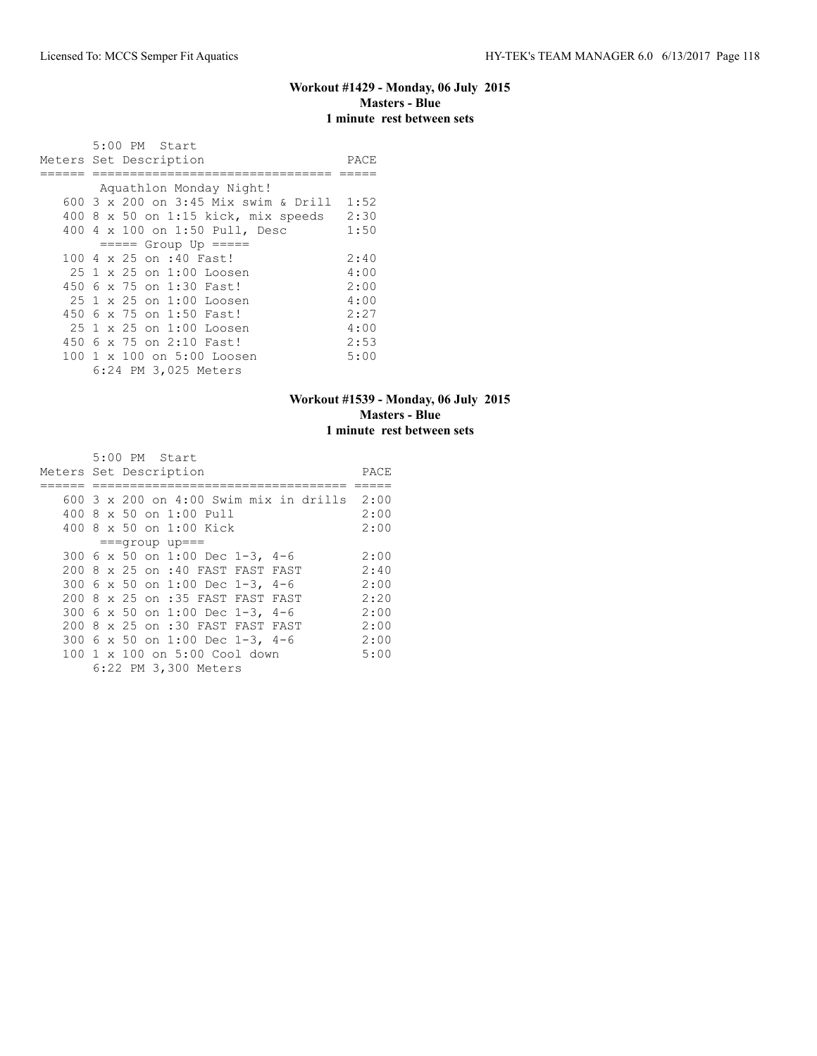#### **Workout #1429 - Monday, 06 July 2015 Masters - Blue 1 minute rest between sets**

| 5:00 PM Start<br>Meters Set Description | PACE |
|-----------------------------------------|------|
|                                         |      |
| Aquathlon Monday Night!                 |      |
| 600 3 x 200 on 3:45 Mix swim & Drill    | 1:52 |
| $400$ 8 x 50 on 1:15 kick, mix speeds   | 2:30 |
| 400 4 x 100 on 1:50 Pull, Desc          | 1:50 |
| $====$ Group Up $====$                  |      |
| 100 4 x 25 on :40 Fast!                 | 2:40 |
| $25.1 \times 25$ on $1:00$ Loosen       | 4:00 |
| 450 6 x 75 on 1:30 Fast!                | 2:00 |
| $25.1 \times 25$ on $1:00$ Loosen       | 4:00 |
| 450 6 x 75 on 1:50 Fast!                | 2:27 |
| $25.1 \times 25$ on $1:00$ Loosen       | 4:00 |
| 450 6 x 75 on 2:10 Fast!                | 2:53 |
| 100 1 x 100 on 5:00 Loosen              | 5:00 |
| 6:24 PM 3,025 Meters                    |      |

## **Workout #1539 - Monday, 06 July 2015 Masters - Blue 1 minute rest between sets**

|  | $5:00$ PM Start                             |      |
|--|---------------------------------------------|------|
|  | Meters Set Description                      | PACE |
|  |                                             |      |
|  | 600 3 x 200 on 4:00 Swim mix in drills 2:00 |      |
|  | 400 8 x 50 on 1:00 Pull                     | 2:00 |
|  | 400 8 x 50 on 1:00 Kick                     | 2:00 |
|  | $==qroup$ up===                             |      |
|  | 300 6 x 50 on 1:00 Dec 1-3, 4-6             | 2:00 |
|  | 200 8 x 25 on :40 FAST FAST FAST            | 2:40 |
|  | 300 6 x 50 on 1:00 Dec 1-3, 4-6             | 2:00 |
|  | 200 8 x 25 on :35 FAST FAST FAST            | 2:20 |
|  | 300 6 x 50 on 1:00 Dec 1-3, 4-6             | 2:00 |
|  | 200 8 x 25 on :30 FAST FAST FAST            | 2:00 |
|  | 300 6 x 50 on 1:00 Dec 1-3, 4-6             | 2:00 |
|  | 100 1 x 100 on 5:00 Cool down               | 5:00 |
|  | 6:22 PM 3,300 Meters                        |      |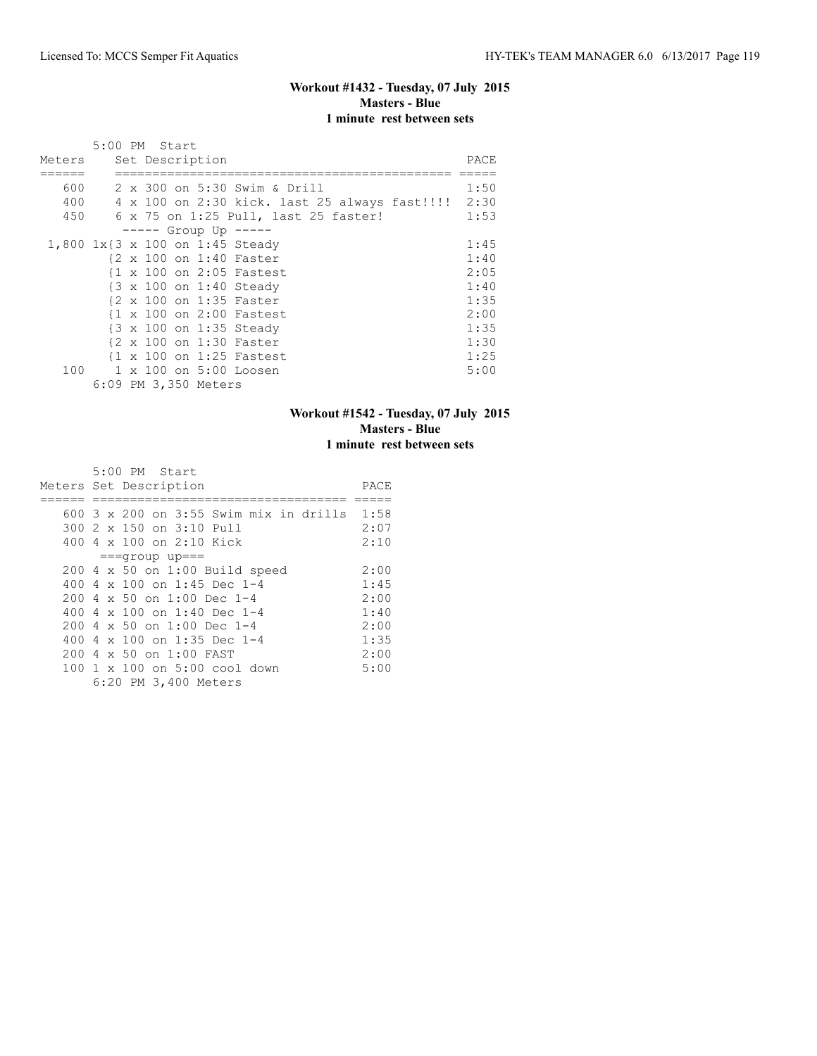## **Workout #1432 - Tuesday, 07 July 2015 Masters - Blue 1 minute rest between sets**

|        |  | 5:00 PM Start        |  |                                                    |      |
|--------|--|----------------------|--|----------------------------------------------------|------|
| Meters |  | Set Description      |  |                                                    | PACE |
|        |  |                      |  |                                                    |      |
| 600    |  |                      |  | 2 x 300 on 5:30 Swim & Drill                       | 1:50 |
| 400    |  |                      |  | 4 x 100 on 2:30 kick. last 25 always fast!!!! 2:30 |      |
| 450    |  |                      |  | 6 x 75 on 1:25 Pull, last 25 faster!               | 1:53 |
|        |  |                      |  | $--- $ Group Up $--- $                             |      |
|        |  |                      |  | 1,800 1x{3 x 100 on 1:45 Steady                    | 1:45 |
|        |  |                      |  | {2 x 100 on 1:40 Faster                            | 1:40 |
|        |  |                      |  | {1 x 100 on 2:05 Fastest                           | 2:05 |
|        |  |                      |  | {3 x 100 on 1:40 Steady                            | 1:40 |
|        |  |                      |  | {2 x 100 on 1:35 Faster                            | 1:35 |
|        |  |                      |  | {1 x 100 on 2:00 Fastest                           | 2:00 |
|        |  |                      |  | {3 x 100 on 1:35 Steady                            | 1:35 |
|        |  |                      |  | {2 x 100 on 1:30 Faster                            | 1:30 |
|        |  |                      |  | {1 x 100 on 1:25 Fastest                           | 1:25 |
| 100    |  |                      |  | 1 x 100 on 5:00 Loosen                             | 5:00 |
|        |  | 6:09 PM 3,350 Meters |  |                                                    |      |

## **Workout #1542 - Tuesday, 07 July 2015 Masters - Blue 1 minute rest between sets**

|                        |  | $5:00$ PM Start |                                 |                                    |  |                                             |      |
|------------------------|--|-----------------|---------------------------------|------------------------------------|--|---------------------------------------------|------|
| Meters Set Description |  |                 |                                 |                                    |  |                                             | PACE |
|                        |  |                 |                                 |                                    |  |                                             |      |
|                        |  |                 |                                 |                                    |  | 600 3 x 200 on 3:55 Swim mix in drills 1:58 |      |
|                        |  |                 | 300 2 x 150 on 3:10 Pull        |                                    |  |                                             | 2:07 |
|                        |  |                 | 400 4 x 100 on 2:10 Kick        |                                    |  |                                             | 2:10 |
|                        |  |                 | $===qrow$ up===                 |                                    |  |                                             |      |
|                        |  |                 |                                 | 200 4 x 50 on 1:00 Build speed     |  |                                             | 2:00 |
|                        |  |                 |                                 | 400 4 x 100 on 1:45 Dec 1-4        |  |                                             | 1:45 |
|                        |  |                 |                                 | 200 4 x 50 on 1:00 Dec 1-4         |  |                                             | 2:00 |
|                        |  |                 |                                 | 400 4 $\times$ 100 on 1:40 Dec 1-4 |  |                                             | 1:40 |
|                        |  |                 |                                 | 200 4 x 50 on 1:00 Dec 1-4         |  |                                             | 2:00 |
|                        |  |                 |                                 | 400 4 x 100 on 1:35 Dec 1-4        |  |                                             | 1:35 |
|                        |  |                 | $2004 \times 50$ on $1:00$ FAST |                                    |  |                                             | 2:00 |
|                        |  |                 |                                 | 100 1 x 100 on 5:00 cool down      |  |                                             | 5:00 |
|                        |  |                 | 6:20 PM 3,400 Meters            |                                    |  |                                             |      |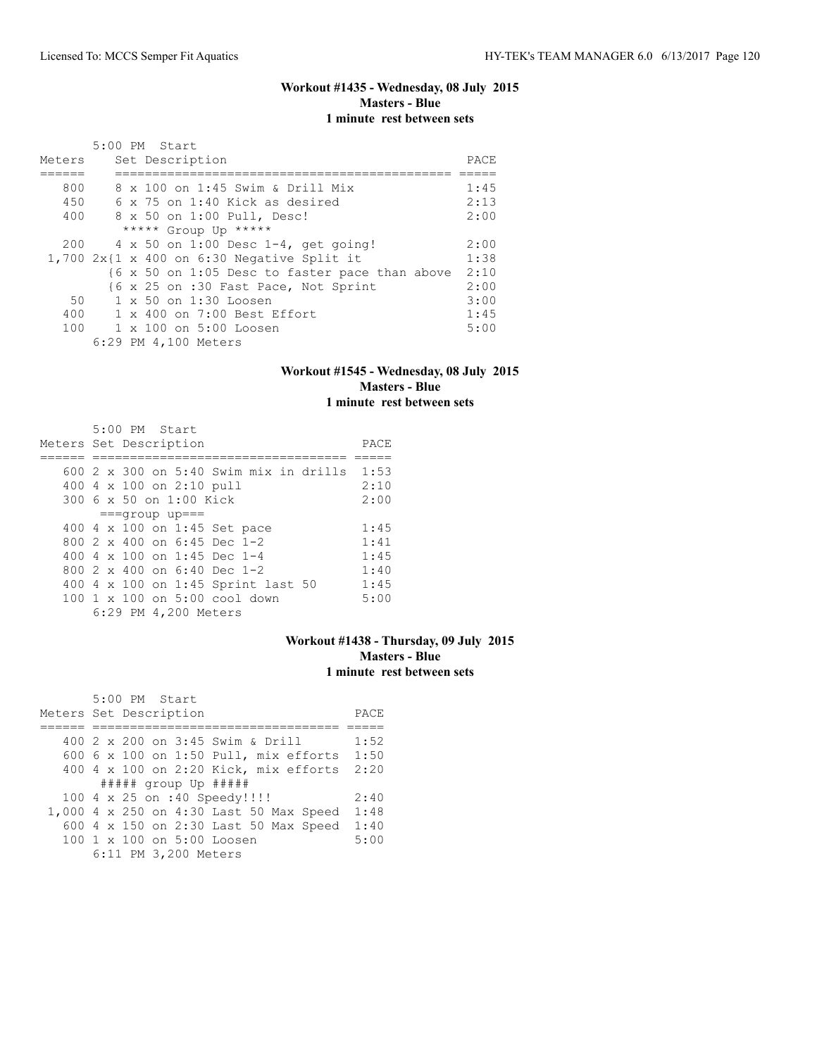## **Workout #1435 - Wednesday, 08 July 2015 Masters - Blue 1 minute rest between sets**

| Meters | $5:00$ PM Start<br>Set Description             | PACE |
|--------|------------------------------------------------|------|
| 800    | 8 x 100 on 1:45 Swim & Drill Mix               | 1:45 |
| 450    | $6 \times 75$ on 1:40 Kick as desired          | 2:13 |
| 400    | 8 x 50 on 1:00 Pull, Desc!                     | 2:00 |
|        | ***** Group Up *****                           |      |
| 200    | $4 \times 50$ on 1:00 Desc 1-4, get going!     | 2:00 |
|        | $1,700$ 2x{1 x 400 on 6:30 Negative Split it   | 1:38 |
|        | {6 x 50 on 1:05 Desc to faster pace than above | 2:10 |
|        | {6 x 25 on :30 Fast Pace, Not Sprint           | 2:00 |
| 50     | $1 \times 50$ on $1:30$ Loosen                 | 3:00 |
| 400    | 1 x 400 on 7:00 Best Effort                    | 1:45 |
| 100    | $1 \times 100$ on $5:00$ Loosen                | 5:00 |
|        | 6:29 PM 4,100 Meters                           |      |

#### **Workout #1545 - Wednesday, 08 July 2015 Masters - Blue 1 minute rest between sets**

|                        |  | 5:00 PM Start |                          |                                        |  |      |
|------------------------|--|---------------|--------------------------|----------------------------------------|--|------|
| Meters Set Description |  |               |                          |                                        |  | PACE |
|                        |  |               |                          |                                        |  |      |
|                        |  |               |                          | 600 2 x 300 on 5:40 Swim mix in drills |  | 1:53 |
|                        |  |               | 400 4 x 100 on 2:10 pull |                                        |  | 2:10 |
|                        |  |               | 300 6 x 50 on 1:00 Kick  |                                        |  | 2:00 |
|                        |  |               | $===$ qroup up===        |                                        |  |      |
|                        |  |               |                          | 400 4 x 100 on 1:45 Set pace           |  | 1:45 |
|                        |  |               |                          | 800 2 x 400 on 6:45 Dec 1-2            |  | 1:41 |
|                        |  |               |                          | 400 4 x 100 on 1:45 Dec 1-4            |  | 1:45 |
|                        |  |               |                          | 800 $2 \times 400$ on 6:40 Dec 1-2     |  | 1:40 |
|                        |  |               |                          | 400 4 x 100 on 1:45 Sprint last 50     |  | 1:45 |
|                        |  |               |                          | 100 1 x 100 on 5:00 cool down          |  | 5:00 |
|                        |  |               | 6:29 PM 4,200 Meters     |                                        |  |      |

## **Workout #1438 - Thursday, 09 July 2015 Masters - Blue 1 minute rest between sets**

| 5:00 PM Start                                |      |
|----------------------------------------------|------|
| Meters Set Description                       | PACE |
|                                              |      |
| 400 2 x 200 on 3:45 Swim & Drill             | 1:52 |
| 600 $6 \times 100$ on 1:50 Pull, mix efforts | 1:50 |
| 400 4 x 100 on 2:20 Kick, mix efforts        | 2:20 |
|                                              |      |
| 100 4 x 25 on :40 Speedy!!!!                 | 2:40 |
| 1,000 4 x 250 on 4:30 Last 50 Max Speed      | 1:48 |
| 600 4 x 150 on 2:30 Last 50 Max Speed        | 1:40 |
| 100 1 x 100 on 5:00 Loosen                   | 5:00 |
| 6:11 PM 3,200 Meters                         |      |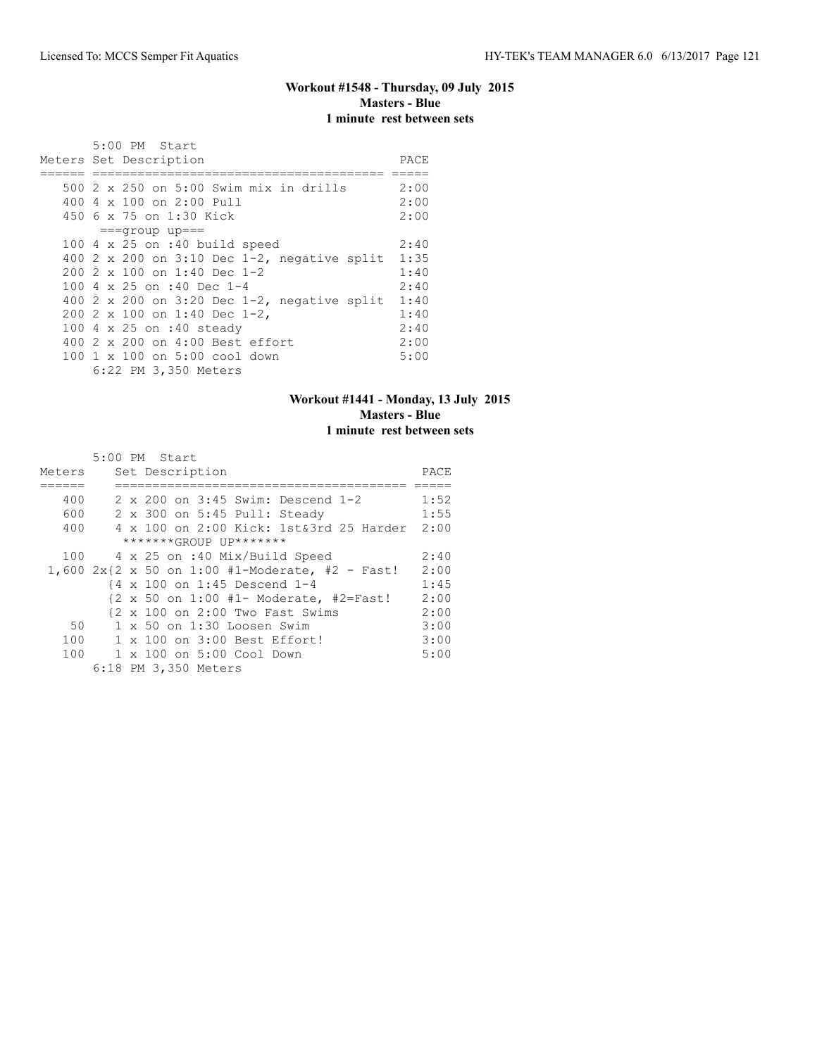#### **Workout #1548 - Thursday, 09 July 2015 Masters - Blue 1 minute rest between sets**

|  | 5:00 PM Start<br>Meters Set Description                                                               | PACE                 |
|--|-------------------------------------------------------------------------------------------------------|----------------------|
|  | 500 2 x 250 on 5:00 Swim mix in drills<br>$4004 \times 100$ on $2:00$ Pull<br>450 6 x 75 on 1:30 Kick | 2:00<br>2:00<br>2:00 |
|  | $===qrow$ up===                                                                                       |                      |
|  | 100 $4 \times 25$ on :40 build speed                                                                  | 2:40                 |
|  | 400 2 x 200 on 3:10 Dec 1-2, negative split                                                           | 1:35                 |
|  | $2002 \times 100$ on 1:40 Dec 1-2                                                                     | 1:40                 |
|  | 100 4 $\times$ 25 on :40 Dec 1-4                                                                      | 2:40                 |
|  | 400 2 x 200 on 3:20 Dec $1-2$ , negative split                                                        | 1:40                 |
|  | 200 2 x 100 on 1:40 Dec 1-2,                                                                          | 1:40                 |
|  | 100 4 x 25 on :40 steady                                                                              | 2:40                 |
|  | $400$ 2 x 200 on $4:00$ Best effort                                                                   | 2:00                 |
|  | 100 1 x 100 on 5:00 cool down<br>6:22 PM 3,350 Meters                                                 | 5:00                 |

## **Workout #1441 - Monday, 13 July 2015 Masters - Blue 1 minute rest between sets**

|        | 5:00 PM Start                                                               |      |
|--------|-----------------------------------------------------------------------------|------|
| Meters | Set Description                                                             | PACE |
|        |                                                                             |      |
| 400    | 2 x 200 on 3:45 Swim: Descend 1-2                                           | 1:52 |
| 600    | 2 x 300 on 5:45 Pull: Steady                                                | 1:55 |
| 400    | 4 x 100 on 2:00 Kick: 1st&3rd 25 Harder 2:00                                |      |
|        | *******GROUP UP*******                                                      |      |
| 100    | 4 x 25 on :40 Mix/Build Speed                                               | 2:40 |
|        | 1,600 $2x\{2 \times 50 \text{ on } 1:00 \text{ } #1-Moderate, #2 - Fast!}\$ | 2:00 |
|        | {4 x 100 on 1:45 Descend 1-4                                                | 1:45 |
|        | $\{2 \times 50 \text{ on } 1:00 +1- \text{Modern} \}$ #2=Fast!              | 2:00 |
|        | $\{2 \times 100 \text{ on } 2:00 \text{ Two Fast Swiss}\}$                  | 2:00 |
| 50     | $1 \times 50$ on $1:30$ Loosen Swim                                         | 3:00 |
| 100    | 1 x 100 on 3:00 Best Effort!                                                | 3:00 |
|        | 100 1 x 100 on 5:00 Cool Down                                               | 5:00 |
|        | 6:18 PM 3,350 Meters                                                        |      |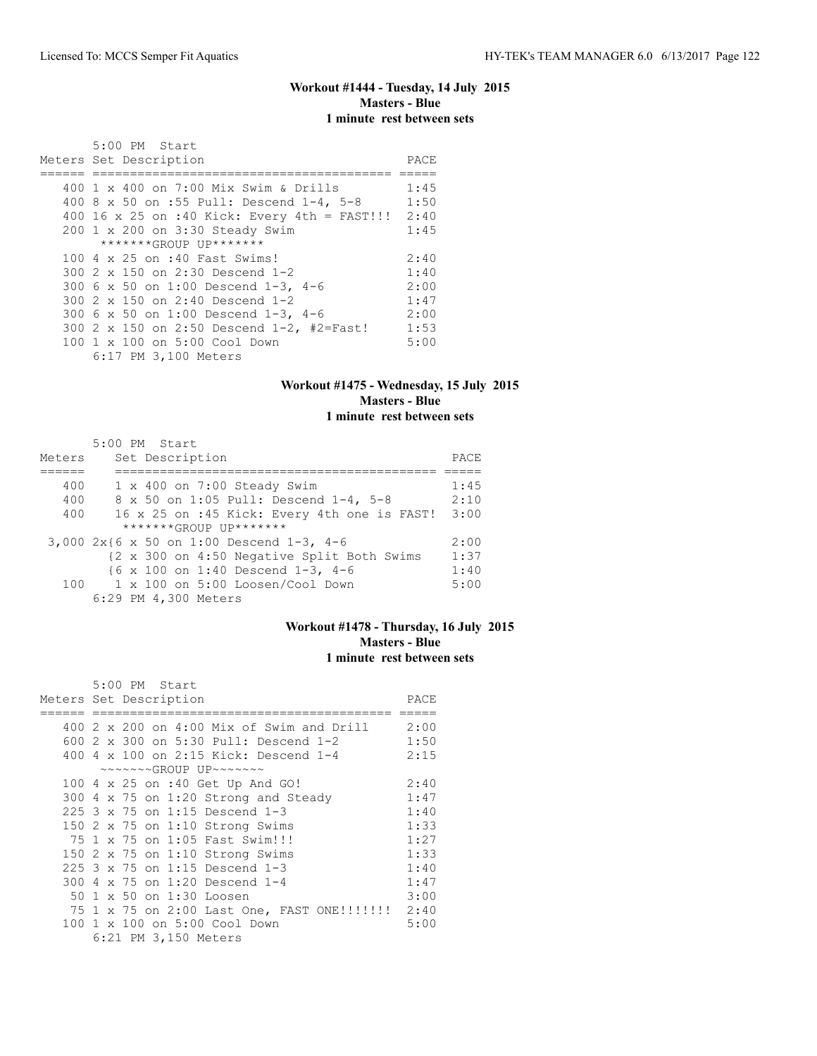## **Workout #1444 - Tuesday, 14 July 2015 Masters - Blue 1 minute rest between sets**

| 5:00 PM Start                                     |      |
|---------------------------------------------------|------|
| Meters Set Description                            | PACE |
|                                                   |      |
| 400 1 x 400 on 7:00 Mix Swim & Drills             | 1:45 |
| 400 8 x 50 on :55 Pull: Descend 1-4, 5-8          | 1:50 |
| 400 16 x 25 on :40 Kick: Every 4th = FAST!!! 2:40 |      |
| 200 1 x 200 on 3:30 Steady Swim                   | 1:45 |
| *******GROUP UP*******                            |      |
| 100 4 x 25 on :40 Fast Swims!                     | 2:40 |
| 300 2 x 150 on 2:30 Descend 1-2                   | 1:40 |
| 300 6 x 50 on 1:00 Descend 1-3, 4-6               | 2:00 |
| 300 2 x 150 on 2:40 Descend 1-2                   | 1:47 |
| 300 6 x 50 on 1:00 Descend 1-3, 4-6               | 2:00 |
| 300 2 x 150 on 2:50 Descend 1-2, #2=Fast!         | 1:53 |
| 100 1 x 100 on 5:00 Cool Down                     | 5:00 |
| 6:17 PM 3,100 Meters                              |      |

## **Workout #1475 - Wednesday, 15 July 2015 Masters - Blue 1 minute rest between sets**

|        | 5:00 PM Start                                 |      |
|--------|-----------------------------------------------|------|
| Meters | Set Description                               | PACE |
|        |                                               |      |
| 400    | 1 x 400 on 7:00 Steady Swim                   | 1:45 |
| 400    | 8 x 50 on 1:05 Pull: Descend 1-4, 5-8         | 2:10 |
| 400    | 16 x 25 on :45 Kick: Every 4th one is FAST!   | 3:00 |
|        | *******GROUP UP*******                        |      |
|        | 3,000 2x{6 x 50 on 1:00 Descend 1-3, 4-6      | 2:00 |
|        | {2 x 300 on 4:50 Negative Split Both Swims    | 1:37 |
|        | {6 x 100 on 1:40 Descend 1-3, 4-6             | 1:40 |
|        | $100$ $1 \times 100$ on 5:00 Loosen/Cool Down | 5:00 |
|        | 6:29 PM 4,300 Meters                          |      |

#### **Workout #1478 - Thursday, 16 July 2015 Masters - Blue 1 minute rest between sets**

|     | 5:00 PM Start                                              |      |
|-----|------------------------------------------------------------|------|
|     | Meters Set Description                                     | PACE |
|     |                                                            |      |
|     | 400 2 x 200 on 4:00 Mix of Swim and Drill 2:00             |      |
|     | 600 2 x 300 on 5:30 Pull: Descend 1-2                      | 1:50 |
|     | 400 4 x 100 on 2:15 Kick: Descend 1-4                      | 2:15 |
|     | $\sim\sim\sim\sim\sim GROUP$ UP $\sim\sim\sim\sim\sim\sim$ |      |
|     | 100 4 x 25 on :40 Get Up And GO!                           | 2:40 |
| 300 | 4 x 75 on 1:20 Strong and Steady                           | 1:47 |
|     | 225 3 x 75 on 1:15 Descend 1-3                             | 1:40 |
| 150 | 2 x 75 on 1:10 Strong Swims                                | 1:33 |
|     | 75 1 x 75 on 1:05 Fast Swim!!!                             | 1:27 |
|     | 150 2 x 75 on 1:10 Strong Swims                            | 1:33 |
|     | 225 3 x 75 on 1:15 Descend 1-3                             | 1:40 |
| 300 | 4 x 75 on 1:20 Descend 1-4                                 | 1:47 |
| 50  | 1 x 50 on 1:30 Loosen                                      | 3:00 |
|     | 75 1 x 75 on 2:00 Last One, FAST ONE!!!!!!! 2:40           |      |
| 100 | 1 x 100 on 5:00 Cool Down                                  | 5:00 |
|     | 6:21 PM 3,150 Meters                                       |      |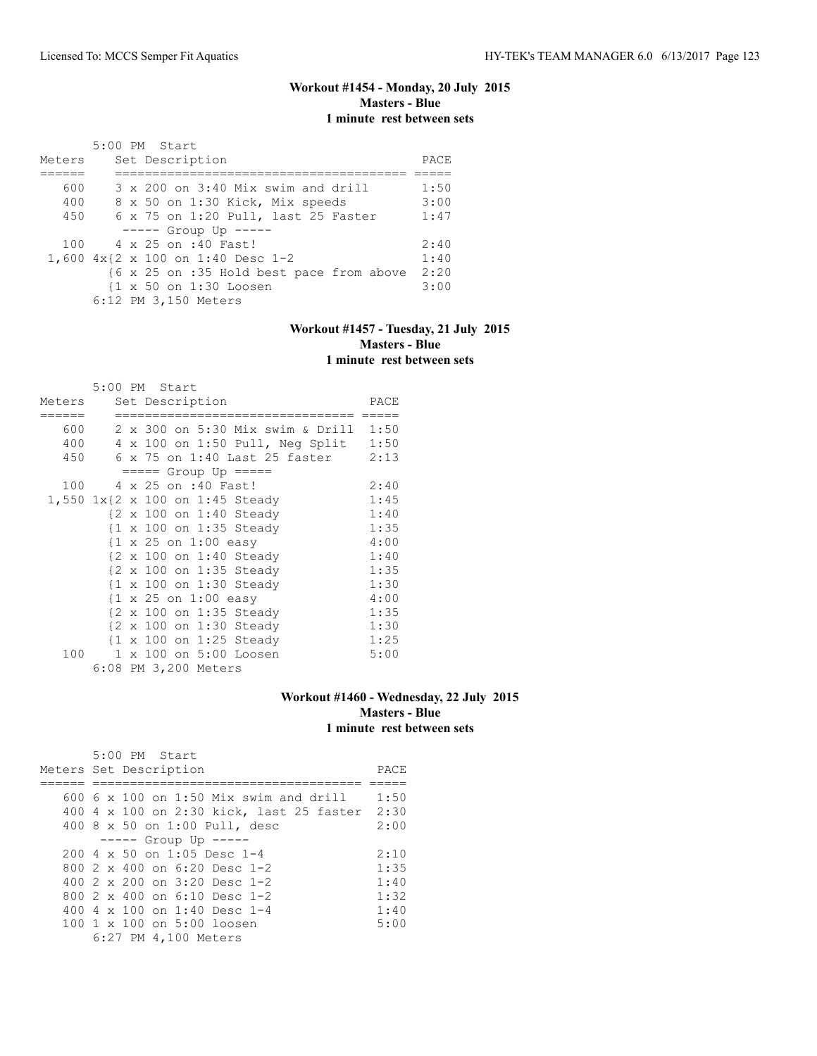## **Workout #1454 - Monday, 20 July 2015 Masters - Blue 1 minute rest between sets**

|        | 5:00 PM Start                               |      |
|--------|---------------------------------------------|------|
| Meters | Set Description                             | PACE |
|        |                                             |      |
| 600    | $3 \times 200$ on $3:40$ Mix swim and drill | 1:50 |
| 400    | 8 x 50 on 1:30 Kick, Mix speeds             | 3:00 |
| 450    | 6 x 75 on 1:20 Pull, last 25 Faster         | 1:47 |
|        | $--- $ Group Up $--- $                      |      |
|        | 100 4 x 25 on :40 Fast!                     | 2:40 |
|        | 1,600 4x{2 x 100 on 1:40 Desc 1-2           | 1:40 |
|        | {6 x 25 on :35 Hold best pace from above    | 2:20 |
|        | {1 x 50 on 1:30 Loosen                      | 3:00 |
|        | 6:12 PM 3,150 Meters                        |      |

## **Workout #1457 - Tuesday, 21 July 2015 Masters - Blue 1 minute rest between sets**

|        | 5:00 PM Start                                   |      |
|--------|-------------------------------------------------|------|
| Meters | Set Description                                 | PACE |
| 600    | 2 x 300 on 5:30 Mix swim & Drill                | 1:50 |
| 400    | 4 x 100 on 1:50 Pull, Neg Split                 | 1:50 |
| 450    | 6 x 75 on 1:40 Last 25 faster                   | 2:13 |
|        | $== == $ Group Up $== == $                      |      |
| 100    | 4 x 25 on :40 Fast!                             | 2:40 |
|        | 1,550 1x{2 x 100 on 1:45 Steady                 | 1:45 |
|        | {2 x 100 on 1:40 Steady                         | 1:40 |
|        | {1 x 100 on 1:35 Steady                         | 1:35 |
|        | $\{1 \times 25 \text{ on } 1:00 \text{ easy}\}$ | 4:00 |
|        | {2 x 100 on 1:40 Steady                         | 1:40 |
|        | {2 x 100 on 1:35 Steady                         | 1:35 |
|        | {1 x 100 on 1:30 Steady                         | 1:30 |
|        | $\{1 \times 25 \text{ on } 1:00 \text{ easy}\}$ | 4:00 |
|        | {2 x 100 on 1:35 Steady                         | 1:35 |
|        | {2 x 100 on 1:30 Steady                         | 1:30 |
|        | {1 x 100 on 1:25 Steady                         | 1:25 |
| 100    | 1 x 100 on 5:00 Loosen                          | 5:00 |
|        | 6:08 PM 3,200 Meters                            |      |

#### **Workout #1460 - Wednesday, 22 July 2015 Masters - Blue 1 minute rest between sets**

| 5:00 PM Start<br>Meters Set Description       | PACE |
|-----------------------------------------------|------|
|                                               |      |
| $600\,$ 6 x 100 on 1:50 Mix swim and drill    | 1:50 |
| 400 4 x 100 on 2:30 kick, last 25 faster 2:30 |      |
| 400 8 x 50 on 1:00 Pull, desc                 | 2:00 |
| $--- -$ Group Up $---$                        |      |
| $200 \text{ } 4 \times 50$ on 1:05 Desc 1-4   | 2:10 |
| 800 $2 \times 400$ on 6:20 Desc 1-2           | 1:35 |
| 400 $2 \times 200$ on $3:20$ Desc 1-2         | 1:40 |
| 800 2 x 400 on 6:10 Desc 1-2                  | 1:32 |
| 400 4 x 100 on 1:40 Desc 1-4                  | 1:40 |
| 100 1 x 100 on 5:00 loosen                    | 5:00 |
| 6:27 PM 4,100 Meters                          |      |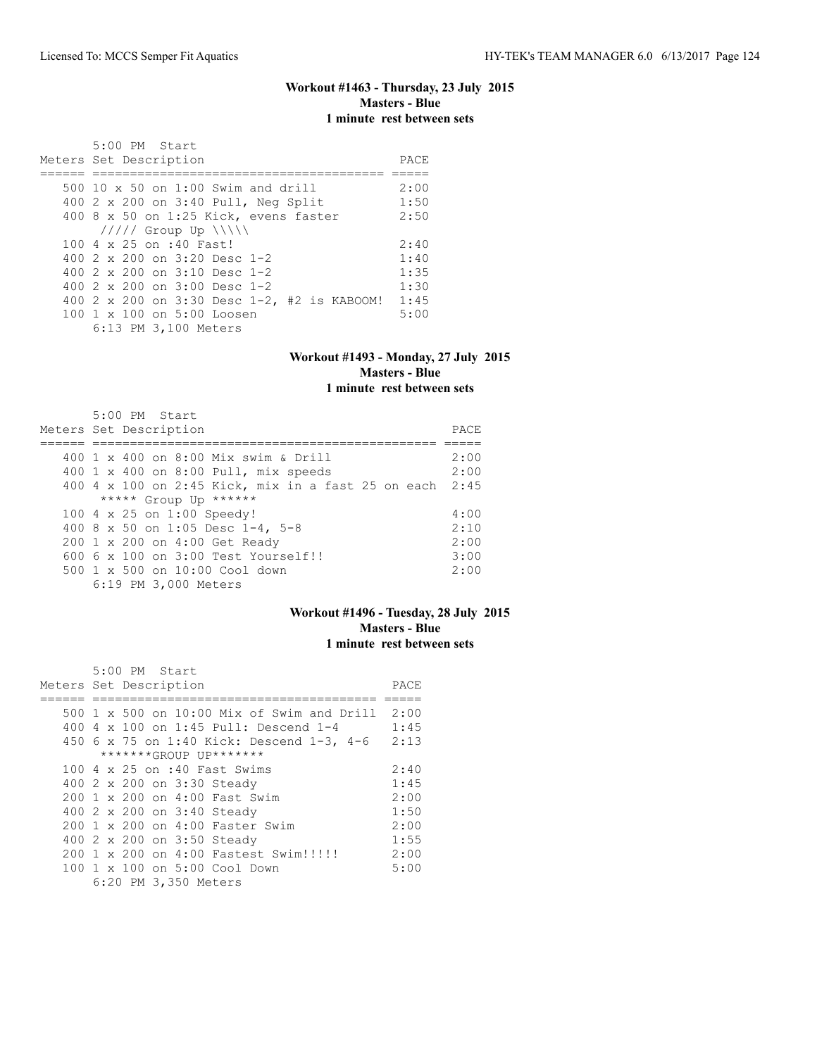#### **Workout #1463 - Thursday, 23 July 2015 Masters - Blue 1 minute rest between sets**

 5:00 PM Start Meters Set Description PACE ====== ======================================= ===== 500 10 x 50 on 1:00 Swim and drill 2:00 400 2 x 200 on 3:40 Pull, Neg Split 1:50 400 8 x 50 on 1:25 Kick, evens faster 2:50 ///// Group Up \\\\\ 100 4 x 25 on :40 Fast! 2:40<br>400 2 x 200 on 3:20 Desc 1-2 1:40 400 2 x 200 on 3:20 Desc 1-2 1:40<br>400 2 x 200 on 3:10 Desc 1-2 1:35 400 2 x 200 on 3:10 Desc 1-2 1:35<br>400 2 x 200 on 3:00 Desc 1-2 1:30 400 2 x 200 on 3:00 Desc  $1-z$ 400 2 x 200 on 3:30 Desc 1-2, #2 is KABOOM! 1:45<br>100 1 x 100 on 5:00 Loosen 5:00 100 1 x 100 on 5:00 Loosen 6:13 PM 3,100 Meters

#### **Workout #1493 - Monday, 27 July 2015 Masters - Blue 1 minute rest between sets**

| $5:00$ PM Start                                         |      |
|---------------------------------------------------------|------|
| Meters Set Description                                  | PACE |
|                                                         |      |
| 400 1 x 400 on 8:00 Mix swim & Drill                    | 2:00 |
| 400 1 x 400 on 8:00 Pull, mix speeds                    | 2:00 |
| 400 4 x 100 on 2:45 Kick, mix in a fast 25 on each 2:45 |      |
| ***** Group Up ******                                   |      |
| 100 4 x 25 on 1:00 Speedy!                              | 4:00 |
| 400 8 x 50 on 1:05 Desc 1-4, 5-8                        | 2:10 |
| 200 1 x 200 on 4:00 Get Ready                           | 2:00 |
| $6006 \times 100$ on $3:00$ Test Yourself!!             | 3:00 |
| $500 \t 1 \t x \t 500$ on $10:00$ Cool down             | 2:00 |
| 6:19 PM 3,000 Meters                                    |      |

## **Workout #1496 - Tuesday, 28 July 2015 Masters - Blue 1 minute rest between sets**

|                        | 5:00 PM Start |                      |                                                 |      |
|------------------------|---------------|----------------------|-------------------------------------------------|------|
| Meters Set Description |               |                      |                                                 | PACE |
|                        |               |                      |                                                 |      |
|                        |               |                      | 500 1 x 500 on 10:00 Mix of Swim and Drill 2:00 |      |
|                        |               |                      | 400 4 x 100 on 1:45 Pull: Descend 1-4           | 1:45 |
|                        |               |                      | 450 6 x 75 on 1:40 Kick: Descend 1-3, 4-6 2:13  |      |
|                        |               |                      | *******GROUP UP*******                          |      |
|                        |               |                      | 100 4 x 25 on :40 Fast Swims                    | 2:40 |
|                        |               |                      | 400 2 x 200 on 3:30 Steady                      | 1:45 |
|                        |               |                      | 200 1 x 200 on 4:00 Fast Swim                   | 2:00 |
|                        |               |                      | 400 2 x 200 on 3:40 Steady                      | 1:50 |
|                        |               |                      | 200 1 x 200 on 4:00 Faster Swim                 | 2:00 |
|                        |               |                      | 400 2 x 200 on 3:50 Steady                      | 1:55 |
|                        |               |                      | 200 1 x 200 on 4:00 Fastest Swim!!!!!!          | 2:00 |
|                        |               |                      | 100 1 x 100 on 5:00 Cool Down                   | 5:00 |
|                        |               | 6:20 PM 3,350 Meters |                                                 |      |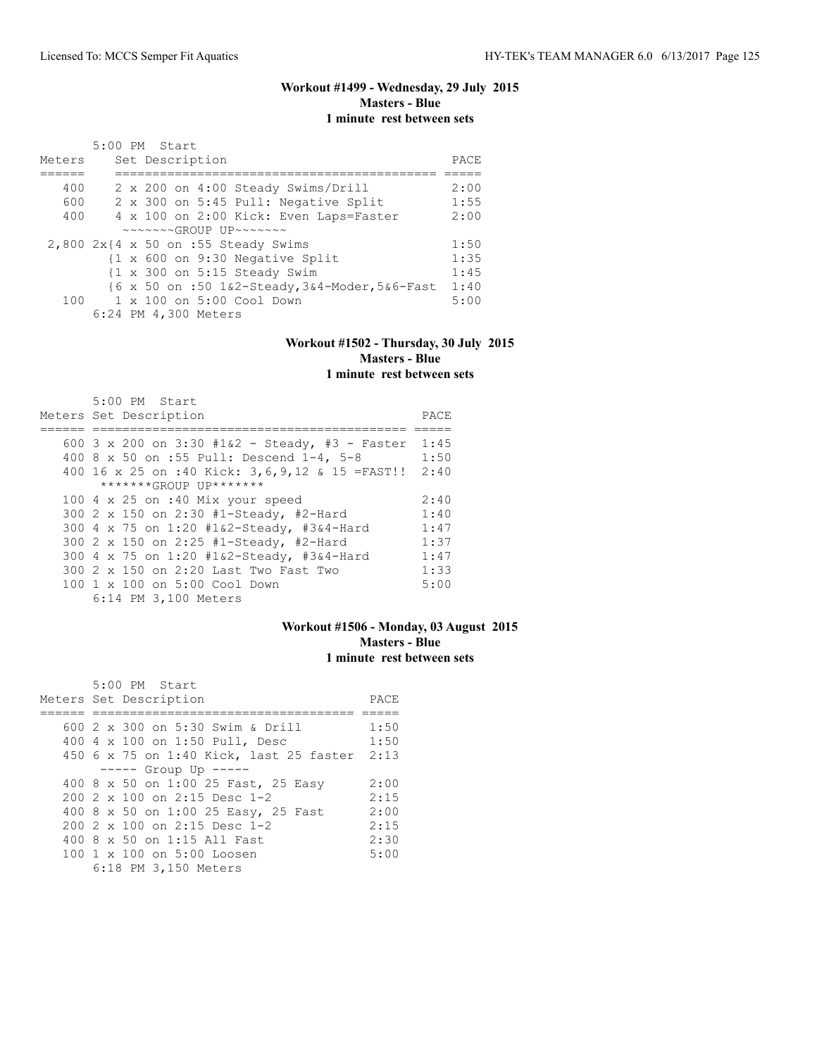## **Workout #1499 - Wednesday, 29 July 2015 Masters - Blue 1 minute rest between sets**

| Meters                                         | 5:00 PM Start |  | Set Description      |                                                             |  |  |                                                | PACE |
|------------------------------------------------|---------------|--|----------------------|-------------------------------------------------------------|--|--|------------------------------------------------|------|
| 400                                            |               |  |                      | 2 x 200 on 4:00 Steady Swims/Drill                          |  |  |                                                | 2:00 |
| 600                                            |               |  |                      | 2 x 300 on 5:45 Pull: Negative Split                        |  |  |                                                | 1:55 |
| 400                                            |               |  |                      | 4 x 100 on 2:00 Kick: Even Laps=Faster                      |  |  |                                                | 2:00 |
|                                                |               |  |                      | $\sim\sim\sim\sim\sim GROUP$ IJP $\sim\sim\sim\sim\sim\sim$ |  |  |                                                |      |
| $2,800$ $2x$ $4 \times 50$ on :55 Steady Swims |               |  |                      |                                                             |  |  |                                                | 1:50 |
|                                                |               |  |                      | {1 x 600 on 9:30 Negative Split                             |  |  |                                                | 1:35 |
|                                                |               |  |                      | $\{1 \times 300 \text{ on } 5:15 \text{ Steady Swim}\}$     |  |  |                                                | 1:45 |
|                                                |               |  |                      |                                                             |  |  | {6 x 50 on :50 1&2-Steady, 3&4-Moder, 5&6-Fast | 1:40 |
|                                                |               |  |                      | 100 1 x 100 on 5:00 Cool Down                               |  |  |                                                | 5:00 |
|                                                |               |  | 6:24 PM 4,300 Meters |                                                             |  |  |                                                |      |

#### **Workout #1502 - Thursday, 30 July 2015 Masters - Blue 1 minute rest between sets**

| 5:00 PM Start                                   |      |
|-------------------------------------------------|------|
| Meters Set Description                          | PACE |
|                                                 |      |
| 600 3 x 200 on 3:30 #1&2 - Steady, #3 - Faster  | 1:45 |
| 400 8 x 50 on :55 Pull: Descend 1-4, 5-8        | 1:50 |
| 400 16 x 25 on :40 Kick: 3,6,9,12 & 15 = FAST!! | 2:40 |
| *******GROUP UP*******                          |      |
| 100 $4 \times 25$ on :40 Mix your speed         | 2:40 |
| 300 2 x 150 on 2:30 #1-Steady, #2-Hard          | 1:40 |
| 300 4 x 75 on 1:20 #1&2-Steady, #3&4-Hard       | 1:47 |
| 300 2 x 150 on 2:25 #1-Steady, #2-Hard          | 1:37 |
| 300 4 x 75 on 1:20 #1&2-Steady, #3&4-Hard       | 1:47 |
| 300 2 x 150 on 2:20 Last Two Fast Two           | 1:33 |
| $100 \t 1 \t x \t 100$ on $5:00$ Cool Down      | 5:00 |
| 6:14 PM 3,100 Meters                            |      |

#### **Workout #1506 - Monday, 03 August 2015 Masters - Blue 1 minute rest between sets**

| 5:00 PM Start<br>Meters Set Description      | PACE |
|----------------------------------------------|------|
|                                              |      |
| 600 2 x 300 on 5:30 Swim & Drill             | 1:50 |
| 400 4 x 100 on 1:50 Pull, Desc               | 1:50 |
| 450 6 x 75 on 1:40 Kick, last 25 faster 2:13 |      |
| $--- -$ Group Up $--- -$                     |      |
| 400 8 x 50 on 1:00 25 Fast, 25 Easy          | 2:00 |
| 200 2 x 100 on 2:15 Desc 1-2                 | 2:15 |
| 400 8 x 50 on 1:00 25 Easy, 25 Fast          | 2:00 |
| $200$ $2 \times 100$ on $2:15$ Desc 1-2      | 2:15 |
| 400 8 x 50 on 1:15 All Fast                  | 2:30 |
| 100 1 x 100 on 5:00 Loosen                   | 5:00 |
| 6:18 PM 3,150 Meters                         |      |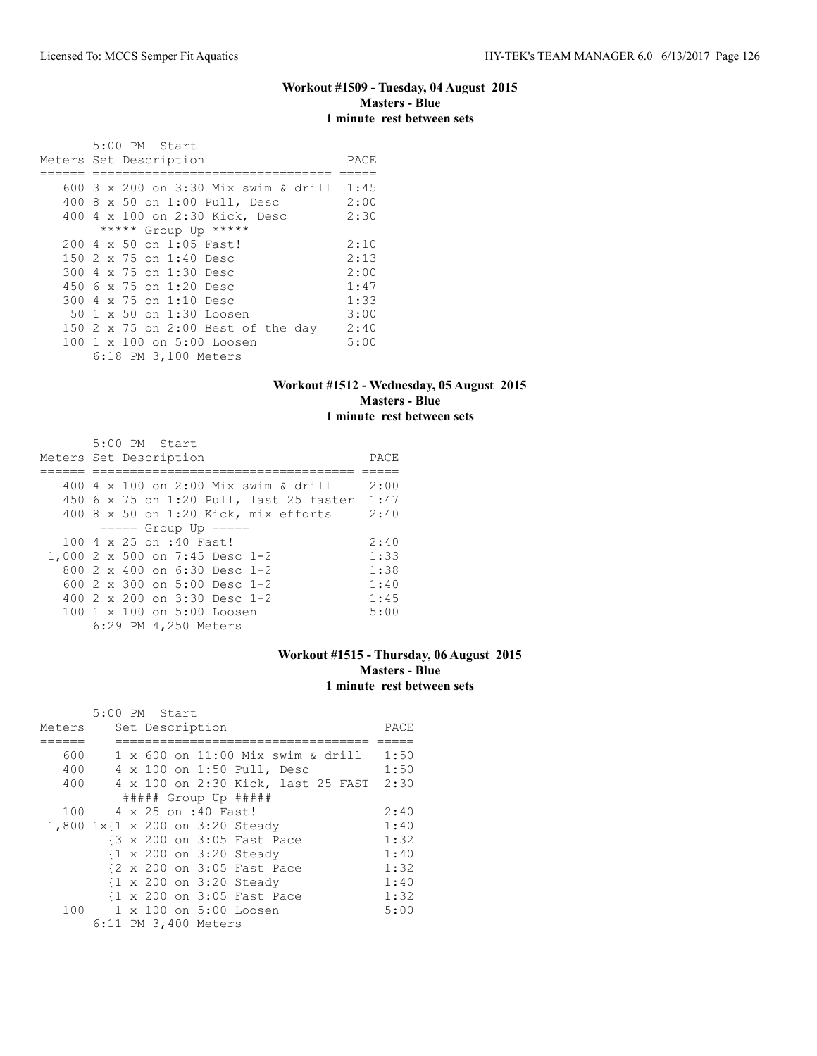#### **Workout #1509 - Tuesday, 04 August 2015 Masters - Blue 1 minute rest between sets**

| 5:00 PM Start                            |      |
|------------------------------------------|------|
| Meters Set Description                   | PACE |
|                                          |      |
| 600 3 x 200 on 3:30 Mix swim & drill     | 1:45 |
| 400 8 x 50 on 1:00 Pull, Desc            | 2:00 |
| 400 4 x 100 on 2:30 Kick, Desc           | 2:30 |
| ***** Group Up *****                     |      |
| $200 \text{ } 4 \times 50$ on 1:05 Fast! | 2:10 |
| 150 2 x 75 on 1:40 Desc                  | 2:13 |
| 300 4 x 75 on 1:30 Desc                  | 2:00 |
| 450 6 x 75 on 1:20 Desc                  | 1:47 |
| 300 4 x 75 on 1:10 Desc                  | 1:33 |
| 50 1 x 50 on 1:30 Loosen                 | 3:00 |
| 150 2 x 75 on 2:00 Best of the day       | 2:40 |
| 100 1 x 100 on 5:00 Loosen               | 5:00 |
| 6:18 PM 3,100 Meters                     |      |

## **Workout #1512 - Wednesday, 05 August 2015 Masters - Blue 1 minute rest between sets**

| 5:00 PM Start<br>Meters Set Description      | PACE |
|----------------------------------------------|------|
|                                              |      |
| 400 4 $\times$ 100 on 2:00 Mix swim & drill  | 2:00 |
| 450 6 x 75 on 1:20 Pull, last 25 faster 1:47 |      |
| 400 8 x 50 on 1:20 Kick, mix efforts         | 2:40 |
| $====$ Group Up $====$                       |      |
| 100 4 x 25 on :40 Fast!                      | 2:40 |
| 1,000 2 x 500 on 7:45 Desc 1-2               | 1:33 |
| 800 2 x 400 on 6:30 Desc 1-2                 | 1:38 |
| 600 $2 \times 300$ on $5:00$ Desc 1-2        | 1:40 |
| 400 2 x 200 on 3:30 Desc 1-2                 | 1:45 |
| 100 1 x 100 on 5:00 Loosen                   | 5:00 |
| 6:29 PM 4,250 Meters                         |      |

## **Workout #1515 - Thursday, 06 August 2015 Masters - Blue 1 minute rest between sets**

|        | 5:00 PM Start |  |                      |                                    |      |
|--------|---------------|--|----------------------|------------------------------------|------|
| Meters |               |  | Set Description      |                                    | PACE |
|        |               |  |                      |                                    |      |
| 600    |               |  |                      | 1 x 600 on 11:00 Mix swim & drill  | 1:50 |
| 400    |               |  |                      | 4 x 100 on 1:50 Pull, Desc         | 1:50 |
| 400    |               |  |                      | 4 x 100 on 2:30 Kick, last 25 FAST | 2:30 |
|        |               |  |                      | ##### Group Up #####               |      |
| 100    |               |  | 4 x 25 on :40 Fast!  |                                    | 2:40 |
|        |               |  |                      | 1,800 1x{1 x 200 on 3:20 Steady    | 1:40 |
|        |               |  |                      | {3 x 200 on 3:05 Fast Pace         | 1:32 |
|        |               |  |                      | {1 x 200 on 3:20 Steady            | 1:40 |
|        |               |  |                      | {2 x 200 on 3:05 Fast Pace         | 1:32 |
|        |               |  |                      | {1 x 200 on 3:20 Steady            | 1:40 |
|        |               |  |                      | {1 x 200 on 3:05 Fast Pace         | 1:32 |
| 100    |               |  |                      | 1 x 100 on 5:00 Loosen             | 5:00 |
|        |               |  | 6:11 PM 3,400 Meters |                                    |      |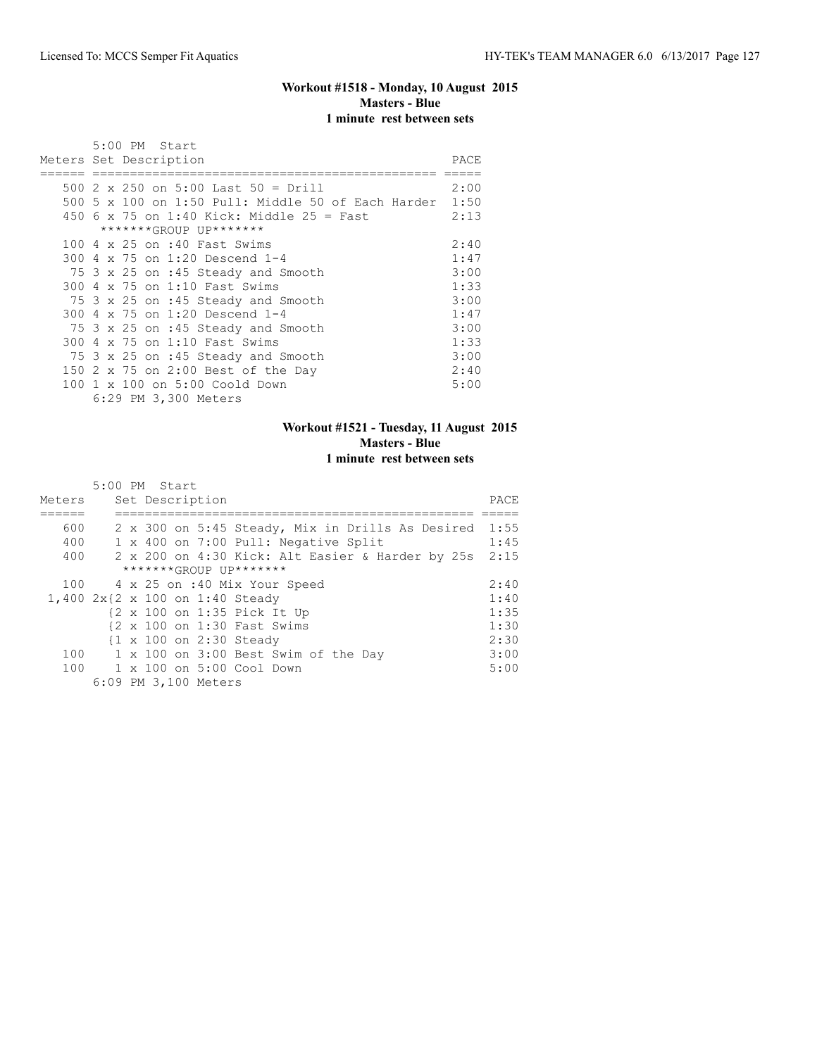## **Workout #1518 - Monday, 10 August 2015 Masters - Blue 1 minute rest between sets**

|     |  | 5:00 PM Start                                           |       |
|-----|--|---------------------------------------------------------|-------|
|     |  | Meters Set Description                                  | PACE. |
|     |  |                                                         |       |
|     |  | 500 2 x 250 on 5:00 Last 50 = Drill                     | 2:00  |
|     |  | 500 5 x 100 on 1:50 Pull: Middle 50 of Each Harder 1:50 |       |
|     |  | 450 6 x 75 on 1:40 Kick: Middle 25 = Fast               | 2:13  |
|     |  | *******GROUP UP*******                                  |       |
|     |  | 100 4 x 25 on :40 Fast Swims                            | 2:40  |
|     |  | 300 4 x 75 on 1:20 Descend 1-4                          | 1:47  |
|     |  | 75 3 x 25 on :45 Steady and Smooth                      | 3:00  |
|     |  | 300 4 x 75 on 1:10 Fast Swims                           | 1:33  |
|     |  | 75 3 x 25 on :45 Steady and Smooth                      | 3:00  |
|     |  | 300 4 x 75 on 1:20 Descend 1-4                          | 1:47  |
|     |  | 75 3 x 25 on :45 Steady and Smooth                      | 3:00  |
|     |  | 300 4 x 75 on 1:10 Fast Swims                           | 1:33  |
|     |  | 75 3 x 25 on :45 Steady and Smooth                      | 3:00  |
|     |  | 150 2 x 75 on 2:00 Best of the Day                      | 2:40  |
| 100 |  | 1 x 100 on 5:00 Coold Down                              | 5:00  |
|     |  | 6:29 PM 3,300 Meters                                    |       |

#### **Workout #1521 - Tuesday, 11 August 2015 Masters - Blue 1 minute rest between sets**

|  | T illinute Test between sets |  |
|--|------------------------------|--|
|  |                              |  |
|  |                              |  |

|        | 5:00 PM Start                                    |      |
|--------|--------------------------------------------------|------|
| Meters | Set Description                                  | PACE |
|        |                                                  |      |
| 600    | 2 x 300 on 5:45 Steady, Mix in Drills As Desired | 1:55 |
| 400    | 1 x 400 on 7:00 Pull: Negative Split             | 1:45 |
| 400    | 2 x 200 on 4:30 Kick: Alt Easier & Harder by 25s | 2:15 |
|        | *******GROUP UP*******                           |      |
| 100    | 4 x 25 on :40 Mix Your Speed                     | 2:40 |
|        | 1,400 2x{2 x 100 on 1:40 Steady                  | 1:40 |
|        | {2 x 100 on 1:35 Pick It Up                      | 1:35 |
|        | {2 x 100 on 1:30 Fast Swims                      | 1:30 |
|        | {1 x 100 on 2:30 Steady                          | 2:30 |
| 100    | 1 x 100 on 3:00 Best Swim of the Day             | 3:00 |
|        | 100 1 x 100 on 5:00 Cool Down                    | 5:00 |
|        | 6:09 PM 3,100 Meters                             |      |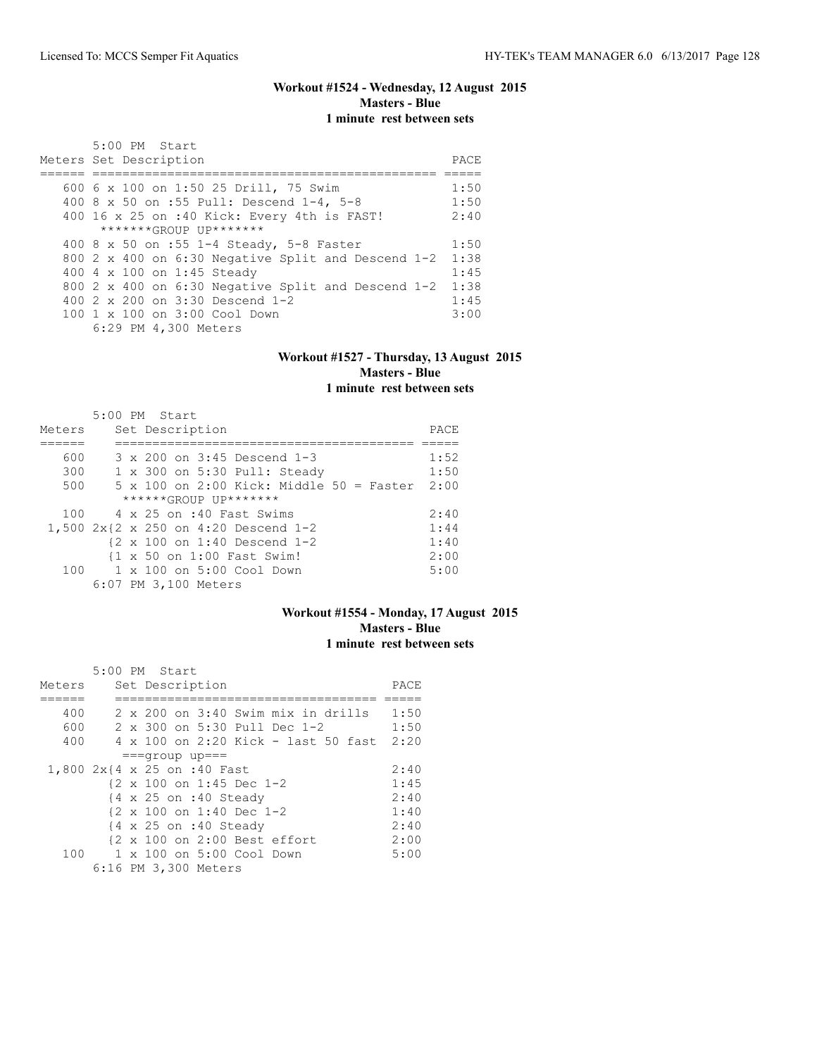## **Workout #1524 - Wednesday, 12 August 2015 Masters - Blue 1 minute rest between sets**

| $5:00$ PM Start<br>Meters Set Description          | PACE |
|----------------------------------------------------|------|
|                                                    |      |
| 600 6 x 100 on 1:50 25 Drill, 75 Swim              | 1:50 |
| 400 8 x 50 on :55 Pull: Descend 1-4, 5-8           | 1:50 |
| 400 16 x 25 on :40 Kick: Every 4th is FAST!        | 2:40 |
| *******GROUP UP*******                             |      |
| 400 8 x 50 on :55 1-4 Steady, 5-8 Faster           | 1:50 |
| 800 2 x 400 on 6:30 Negative Split and Descend 1-2 | 1:38 |
| 400 4 x 100 on 1:45 Steady                         | 1:45 |
| 800 2 x 400 on 6:30 Negative Split and Descend 1-2 | 1:38 |
| 400 2 x 200 on 3:30 Descend 1-2                    | 1:45 |
| 100 1 x 100 on 3:00 Cool Down                      | 3:00 |
| 6:29 PM 4,300 Meters                               |      |

#### **Workout #1527 - Thursday, 13 August 2015 Masters - Blue 1 minute rest between sets**

| Meters | 5:00 PM Start |  | Set Description      |                                           |                                                        |                                                        | PACE |
|--------|---------------|--|----------------------|-------------------------------------------|--------------------------------------------------------|--------------------------------------------------------|------|
| 600    |               |  |                      |                                           | $3 \times 200$ on $3:45$ Descend 1-3                   |                                                        | 1:52 |
| 300    |               |  |                      |                                           | 1 x 300 on 5:30 Pull: Steady                           |                                                        | 1:50 |
|        |               |  |                      |                                           |                                                        |                                                        |      |
| 500    |               |  |                      |                                           |                                                        | $5 \times 100$ on 2:00 Kick: Middle $50 =$ Faster 2:00 |      |
|        |               |  |                      | ******GROUP UP*******                     |                                                        |                                                        |      |
|        |               |  |                      | 100 4 x 25 on :40 Fast Swims              |                                                        |                                                        | 2:40 |
|        |               |  |                      |                                           | 1,500 2x{2 x 250 on 4:20 Descend 1-2                   |                                                        | 1:44 |
|        |               |  |                      |                                           | $\{2 \times 100 \text{ on } 1:40 \text{ Descend } 1-2$ |                                                        | 1:40 |
|        |               |  |                      | {1 x 50 on 1:00 Fast Swim!                |                                                        |                                                        | 2:00 |
|        |               |  |                      | $100 \t 1 \times 100$ on $5:00$ Cool Down |                                                        |                                                        | 5:00 |
|        |               |  | 6:07 PM 3,100 Meters |                                           |                                                        |                                                        |      |

#### **Workout #1554 - Monday, 17 August 2015 Masters - Blue 1 minute rest between sets**

|        |  | 5:00 PM Start                                        |      |
|--------|--|------------------------------------------------------|------|
| Meters |  | Set Description                                      | PACE |
|        |  |                                                      |      |
| 400    |  | 2 x 200 on 3:40 Swim mix in drills                   | 1:50 |
| 600    |  | 2 x 300 on 5:30 Pull Dec 1-2                         | 1:50 |
| 400    |  | 4 x 100 on 2:20 Kick - last 50 fast                  | 2:20 |
|        |  | $==qrow$ up===                                       |      |
|        |  | 1,800 2x{4 x 25 on :40 Fast                          | 2:40 |
|        |  | $\{2 \times 100 \text{ on } 1:45 \text{ Dec } 1-2\}$ | 1:45 |
|        |  | $\{4 \times 25 \text{ on } : 40 \text{ Steady}\}$    | 2:40 |
|        |  | $\{2 \times 100 \text{ on } 1:40 \text{ Dec } 1-2\}$ | 1:40 |
|        |  | {4 x 25 on :40 Steady                                | 2:40 |
|        |  | {2 x 100 on 2:00 Best effort                         | 2:00 |
| 100    |  | 1 x 100 on 5:00 Cool Down                            | 5:00 |
|        |  | 6:16 PM 3,300 Meters                                 |      |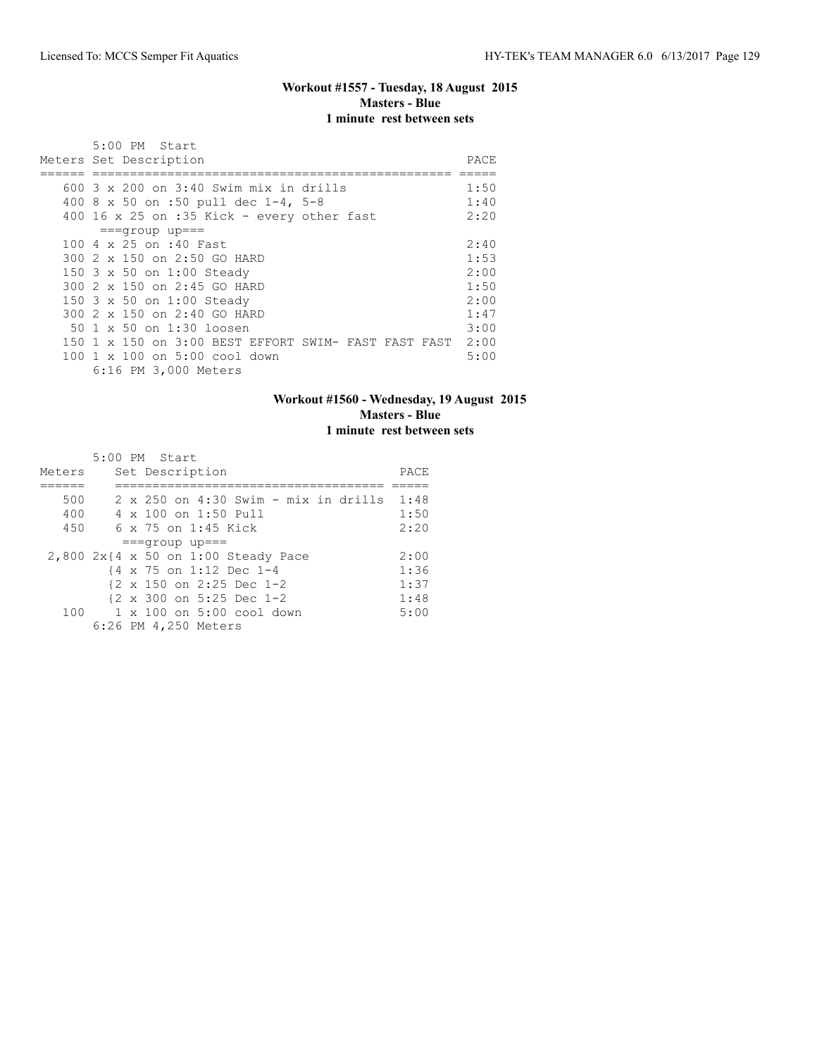## **Workout #1557 - Tuesday, 18 August 2015 Masters - Blue 1 minute rest between sets**

| 5:00 PM Start<br>Meters Set Description                                                                                                                                                          | PACE                                         |
|--------------------------------------------------------------------------------------------------------------------------------------------------------------------------------------------------|----------------------------------------------|
| 600 3 x 200 on 3:40 Swim mix in drills<br>400 8 x 50 on :50 pull dec $1-4$ , 5-8<br>400 16 x 25 on :35 Kick - every other fast                                                                   | 1:50<br>1:40<br>2:20                         |
| $===qrow$ up===<br>100 4 x 25 on :40 Fast<br>300 2 x 150 on 2:50 GO HARD<br>150 3 x 50 on 1:00 Steady<br>300 2 x 150 on 2:45 GO HARD<br>150 3 x 50 on 1:00 Steady<br>300 2 x 150 on 2:40 GO HARD | 2:40<br>1:53<br>2:00<br>1:50<br>2:00<br>1:47 |
| 50 1 x 50 on 1:30 loosen<br>150 1 x 150 on 3:00 BEST EFFORT SWIM- FAST FAST FAST<br>100 1 x 100 on 5:00 cool down<br>6:16 PM 3,000 Meters                                                        | 3:00<br>2:00<br>5:00                         |

## **Workout #1560 - Wednesday, 19 August 2015 Masters - Blue 1 minute rest between sets**

|        | 5:00 PM Start                                        |      |
|--------|------------------------------------------------------|------|
| Meters | Set Description                                      | PACE |
|        |                                                      |      |
| 500    | 2 x 250 on 4:30 Swim - mix in drills                 | 1:48 |
| 400    | 4 x 100 on 1:50 Pull                                 | 1:50 |
| 450    | 6 x 75 on 1:45 Kick                                  | 2:20 |
|        | $==qrow$ up===                                       |      |
|        | 2,800 2x{4 x 50 on 1:00 Steady Pace                  | 2:00 |
|        | {4 x 75 on 1:12 Dec 1-4                              | 1:36 |
|        | $\{2 \times 150 \text{ on } 2:25 \text{ Dec } 1-2\}$ | 1:37 |
|        | $\{2 \times 300 \text{ on } 5:25 \text{ Dec } 1-2\}$ | 1:48 |
| 100    | $1 \times 100$ on 5:00 cool down                     | 5:00 |
|        | 6:26 PM 4,250 Meters                                 |      |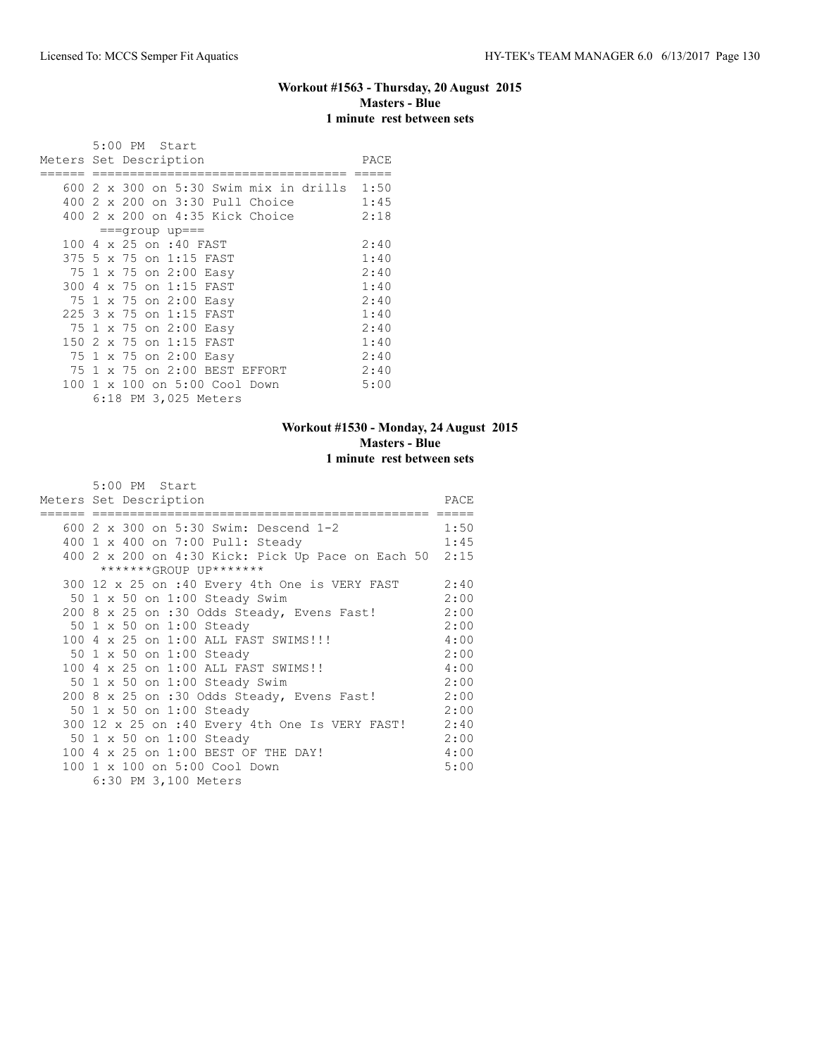## **Workout #1563 - Thursday, 20 August 2015 Masters - Blue 1 minute rest between sets**

|      |                | 5:00 PM Start                               |      |
|------|----------------|---------------------------------------------|------|
|      |                | Meters Set Description                      | PACE |
|      |                |                                             |      |
|      |                | 600 2 x 300 on 5:30 Swim mix in drills 1:50 |      |
| 400  |                | 2 x 200 on 3:30 Pull Choice                 | 1:45 |
|      |                | 400 2 x 200 on 4:35 Kick Choice             | 2:18 |
|      |                | $==qrow$ up ===                             |      |
|      |                | 100 4 x 25 on :40 FAST                      | 2:40 |
|      |                | 375 5 x 75 on 1:15 FAST                     | 1:40 |
|      |                | 75 1 x 75 on 2:00 Easy                      | 2:40 |
| 300  | $\overline{4}$ | x 75 on 1:15 FAST                           | 1:40 |
|      |                | 75 1 x 75 on 2:00 Easy                      | 2:40 |
|      |                | 225 3 x 75 on 1:15 FAST                     | 1:40 |
|      |                | 75 1 x 75 on 2:00 Easy                      | 2:40 |
| 150  | -2             | x 75 on 1:15 FAST                           | 1:40 |
|      |                | 75 1 x 75 on 2:00 Easy                      | 2:40 |
| 75 1 |                | x 75 on 2:00 BEST EFFORT                    | 2:40 |
| 100  |                | 1 x 100 on 5:00 Cool Down                   | 5:00 |
|      |                | 6:18 PM 3,025 Meters                        |      |

## **Workout #1530 - Monday, 24 August 2015 Masters - Blue 1 minute rest between sets**

| 5:00 PM Start<br>Meters Set Description                | PACE |
|--------------------------------------------------------|------|
| 1:50<br>600 2 x 300 on 5:30 Swim: Descend 1-2          |      |
| 400 1 x 400 on 7:00 Pull: Steady                       | 1:45 |
| 400 2 x 200 on 4:30 Kick: Pick Up Pace on Each 50 2:15 |      |
| *******GROUP UP*******                                 |      |
| 300 12 x 25 on :40 Every 4th One is VERY FAST          | 2:40 |
| 50 1 x 50 on 1:00 Steady Swim                          | 2:00 |
| 200 8 x 25 on :30 Odds Steady, Evens Fast!             | 2:00 |
| 50 1 x 50 on 1:00 Steady                               | 2:00 |
| 100 4 x 25 on 1:00 ALL FAST SWIMS!!!                   | 4:00 |
| 50 1 x 50 on 1:00 Steady                               | 2:00 |
| 100 4 x 25 on 1:00 ALL FAST SWIMS!!                    | 4:00 |
| 50 1 x 50 on 1:00 Steady Swim                          | 2:00 |
| 200 8 x 25 on :30 Odds Steady, Evens Fast!             | 2:00 |
| 50 1 x 50 on 1:00 Steady                               | 2:00 |
| 300 12 x 25 on :40 Every 4th One Is VERY FAST!         | 2:40 |
| 50 1 x 50 on 1:00 Steady                               | 2:00 |
| 100 4 x 25 on 1:00 BEST OF THE DAY!                    | 4:00 |
| 100 1 x 100 on 5:00 Cool Down                          | 5:00 |
| 6:30 PM 3,100 Meters                                   |      |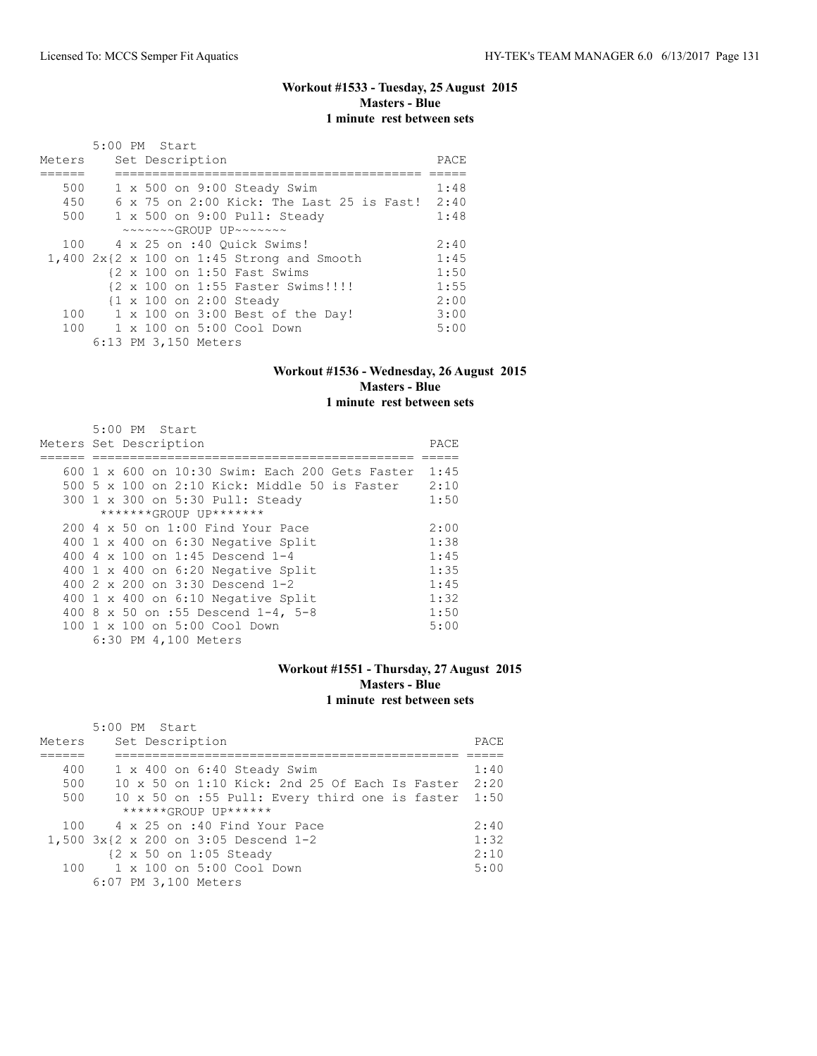## **Workout #1533 - Tuesday, 25 August 2015 Masters - Blue 1 minute rest between sets**

|        | 5:00 PM Start                                              |      |
|--------|------------------------------------------------------------|------|
| Meters | Set Description                                            | PACE |
|        |                                                            |      |
| 500    | $1 \times 500$ on 9:00 Steady Swim                         | 1:48 |
| 450    | 6 x 75 on 2:00 Kick: The Last 25 is Fast! 2:40             |      |
| 500    | 1 x 500 on 9:00 Pull: Steady                               | 1:48 |
|        | $\sim\sim\sim\sim\sim GROUP$ UP $\sim\sim\sim\sim\sim\sim$ |      |
|        | 100 4 x 25 on :40 Ouick Swims!                             | 2:40 |
|        | $1,400$ 2x{2 x 100 on 1:45 Strong and Smooth               | 1:45 |
|        | {2 x 100 on 1:50 Fast Swims                                | 1:50 |
|        | {2 x 100 on 1:55 Faster Swims!!!!                          | 1:55 |
|        | {1 x 100 on 2:00 Steady                                    | 2:00 |
| 100    | 1 x 100 on 3:00 Best of the Day!                           | 3:00 |
|        | 100 1 x 100 on 5:00 Cool Down                              | 5:00 |
|        | 6:13 PM 3,150 Meters                                       |      |

#### **Workout #1536 - Wednesday, 26 August 2015 Masters - Blue 1 minute rest between sets**

| 5:00 PM Start                                   |      |
|-------------------------------------------------|------|
| Meters Set Description                          | PACE |
|                                                 |      |
| 600 1 x 600 on 10:30 Swim: Each 200 Gets Faster | 1:45 |
| 500 5 x 100 on 2:10 Kick: Middle 50 is Faster   | 2:10 |
| 300 1 x 300 on 5:30 Pull: Steady                | 1:50 |
| *******GROUP UP*******                          |      |
| 200 4 x 50 on 1:00 Find Your Pace               | 2:00 |
| 400 1 x 400 on 6:30 Negative Split              | 1:38 |
| 400 4 $\times$ 100 on 1:45 Descend 1-4          | 1:45 |
| 400 1 x 400 on 6:20 Negative Split              | 1:35 |
| 400 $2 \times 200$ on $3:30$ Descend 1-2        | 1:45 |
| 400 1 x 400 on 6:10 Negative Split              | 1:32 |
| 400 8 x 50 on :55 Descend 1-4, 5-8              | 1:50 |
| 100 1 x 100 on 5:00 Cool Down                   | 5:00 |
| 6:30 PM 4,100 Meters                            |      |

#### **Workout #1551 - Thursday, 27 August 2015 Masters - Blue 1 minute rest between sets**

|        | 5:00 PM Start                                           |       |
|--------|---------------------------------------------------------|-------|
| Meters | Set Description                                         | PACE. |
|        |                                                         |       |
| 400    | $1 \times 400$ on $6:40$ Steady Swim                    | 1:40  |
| 500    | $10 \times 50$ on $1:10$ Kick: 2nd 25 Of Each Is Faster | 2:20  |
| 500    | 10 x 50 on :55 Pull: Every third one is faster          | 1:50  |
|        | $***$ **** $GROIJP$ $IJP$ ******                        |       |
| 100    | 4 x 25 on :40 Find Your Pace                            | 2:40  |
|        | 1,500 3x{2 x 200 on 3:05 Descend 1-2                    | 1:32  |
|        | {2 x 50 on 1:05 Steady                                  | 2:10  |
| 100    | 1 x 100 on 5:00 Cool Down                               | 5:00  |
|        | 6:07 PM 3,100 Meters                                    |       |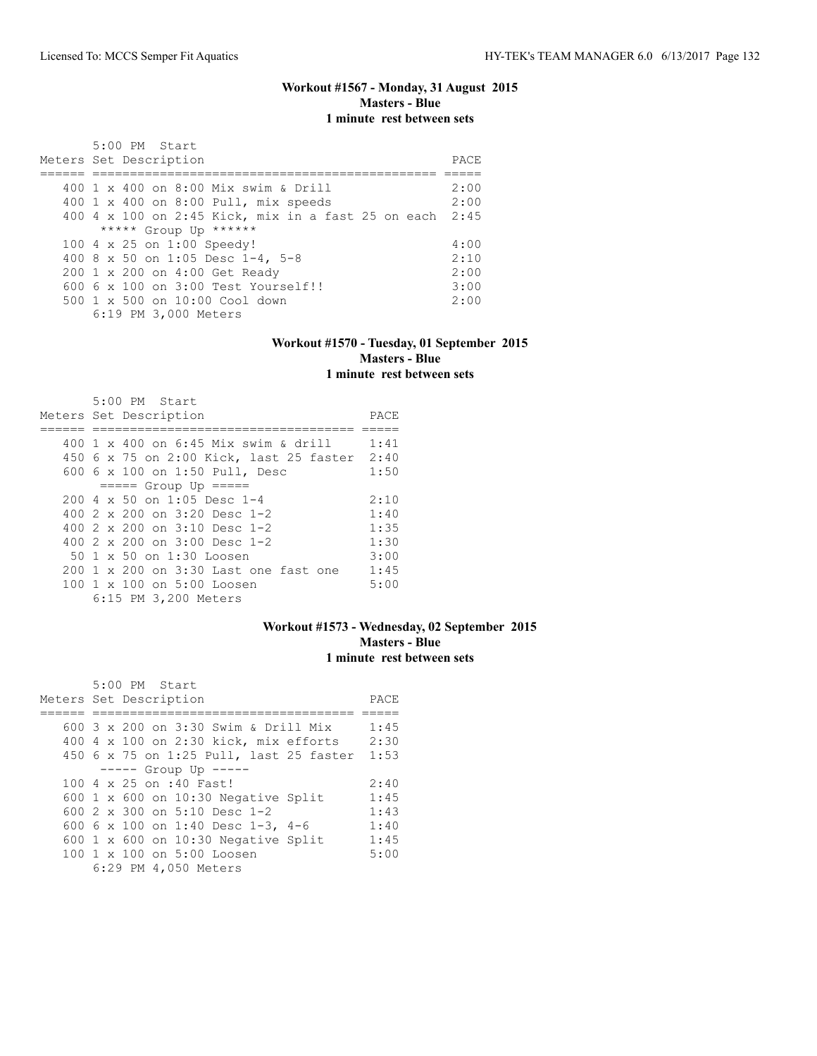## **Workout #1567 - Monday, 31 August 2015 Masters - Blue 1 minute rest between sets**

| 5:00 PM Start<br>Meters Set Description                 | PACE. |
|---------------------------------------------------------|-------|
| 400 1 x 400 on 8:00 Mix swim & Drill                    | 2:00  |
|                                                         |       |
| 400 1 x 400 on 8:00 Pull, mix speeds                    | 2:00  |
| 400 4 x 100 on 2:45 Kick, mix in a fast 25 on each 2:45 |       |
| ***** Group Up ******                                   |       |
| 100 4 x 25 on 1:00 Speedy!                              | 4:00  |
| 400 8 x 50 on 1:05 Desc 1-4, 5-8                        | 2:10  |
| 200 1 x 200 on 4:00 Get Ready                           | 2:00  |
| $6006 \times 100$ on $3:00$ Test Yourself!!             | 3:00  |
| $500 \t 1 \t x \t 500$ on $10:00$ Cool down             | 2:00  |
| 6:19 PM 3,000 Meters                                    |       |

#### **Workout #1570 - Tuesday, 01 September 2015 Masters - Blue 1 minute rest between sets**

| $5:00$ PM Start<br>Meters Set Description   | PACE |
|---------------------------------------------|------|
|                                             |      |
| 400 $1 \times 400$ on 6:45 Mix swim & drill | 1:41 |
| 450 6 x 75 on 2:00 Kick, last 25 faster     | 2:40 |
| 600 6 x 100 on 1:50 Pull, Desc              | 1:50 |
| $== == $ Group Up $== == $                  |      |
| $200.4 \times 50$ on 1:05 Desc 1-4          | 2:10 |
| 400 $2 \times 200$ on $3:20$ Desc 1-2       | 1:40 |
| 400 $2 \times 200$ on $3:10$ Desc 1-2       | 1:35 |
| 400 $2 \times 200$ on $3:00$ Desc 1-2       | 1:30 |
| 50 1 x 50 on 1:30 Loosen                    | 3:00 |
| 200 1 x 200 on 3:30 Last one fast one       | 1:45 |
| 100 1 x 100 on 5:00 Loosen                  | 5:00 |
| 6:15 PM 3,200 Meters                        |      |

#### **Workout #1573 - Wednesday, 02 September 2015 Masters - Blue 1 minute rest between sets**

| 5:00 PM Start                              |      |
|--------------------------------------------|------|
| Meters Set Description                     | PACE |
|                                            |      |
| 600 3 x 200 on 3:30 Swim & Drill Mix       | 1:45 |
| 400 4 x 100 on 2:30 kick, mix efforts      | 2:30 |
| 450 6 x 75 on 1:25 Pull, last 25 faster    | 1:53 |
| $--- $ Group Up $---$                      |      |
| 100 4 x 25 on :40 Fast!                    | 2:40 |
| 600 1 x 600 on 10:30 Negative Split        | 1:45 |
| 600 2 x 300 on 5:10 Desc 1-2               | 1:43 |
| 600 6 x 100 on 1:40 Desc 1-3, 4-6          | 1:40 |
| 600 $1 \times 600$ on 10:30 Negative Split | 1:45 |
| 100 1 x 100 on 5:00 Loosen                 | 5:00 |
| 6:29 PM 4,050 Meters                       |      |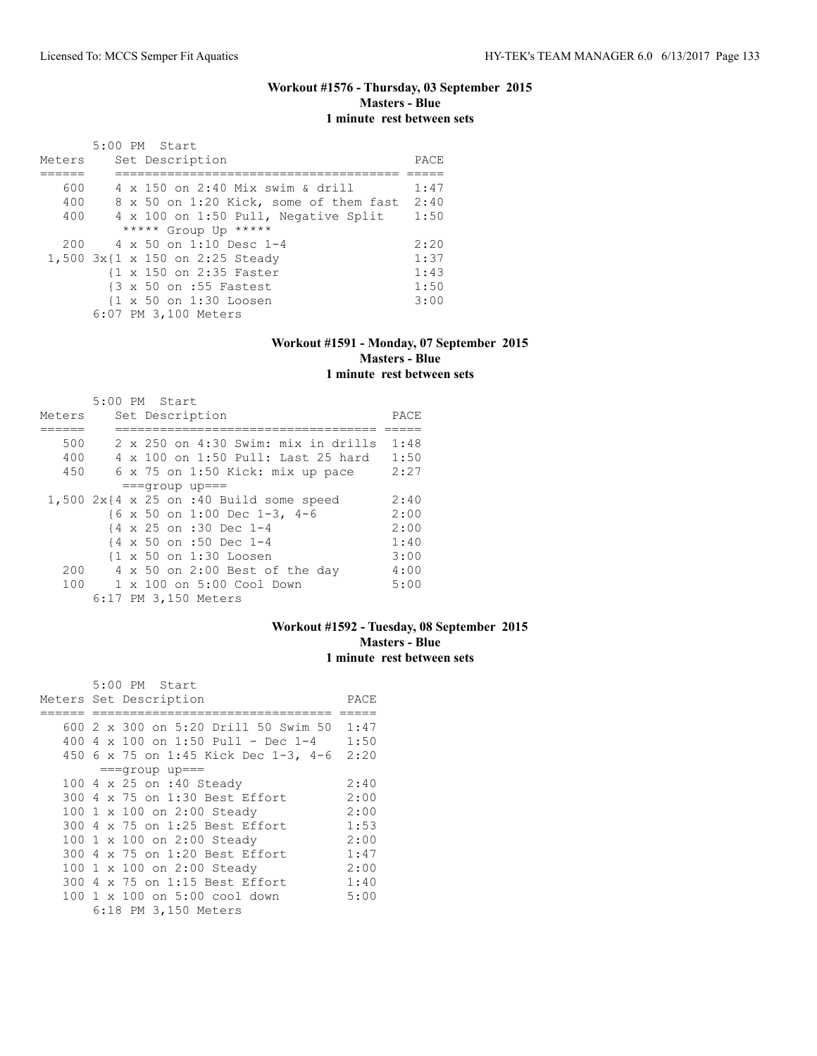#### **Workout #1576 - Thursday, 03 September 2015 Masters - Blue 1 minute rest between sets**

| Meters | 5:00 PM Start<br>Set Description       | PACE |
|--------|----------------------------------------|------|
|        |                                        |      |
|        |                                        |      |
| 600    | 4 x 150 on 2:40 Mix swim & drill       | 1:47 |
| 400    | 8 x 50 on 1:20 Kick, some of them fast | 2:40 |
| 400    | 4 x 100 on 1:50 Pull, Negative Split   | 1:50 |
|        | ***** Group Up *****                   |      |
| 200    | $4 \times 50$ on 1:10 Desc 1-4         | 2:20 |
|        | 1,500 3x{1 x 150 on 2:25 Steady        | 1:37 |
|        | {1 x 150 on 2:35 Faster                | 1:43 |
|        | {3 x 50 on :55 Fastest                 | 1:50 |
|        | {1 x 50 on 1:30 Loosen                 | 3:00 |
|        | 6:07 PM 3,100 Meters                   |      |

#### **Workout #1591 - Monday, 07 September 2015 Masters - Blue 1 minute rest between sets**

|        | 5:00 PM Start |  |                                              |      |
|--------|---------------|--|----------------------------------------------|------|
| Meters |               |  | Set Description                              | PACE |
|        |               |  |                                              |      |
| 500    |               |  | $2 \times 250$ on $4:30$ Swim: mix in drills | 1:48 |
| 400    |               |  | 4 x 100 on 1:50 Pull: Last 25 hard           | 1:50 |
| 450    |               |  | 6 x 75 on 1:50 Kick: mix up pace             | 2:27 |
|        |               |  | $==qrow$ up===                               |      |
|        |               |  | $1,500$ 2x{4 x 25 on :40 Build some speed    | 2:40 |
|        |               |  | {6 x 50 on 1:00 Dec 1-3, 4-6                 | 2:00 |
|        |               |  | {4 x 25 on :30 Dec 1-4                       | 2:00 |
|        |               |  | {4 x 50 on :50 Dec 1-4                       | 1:40 |
|        |               |  | {1 x 50 on 1:30 Loosen                       | 3:00 |
| 200    |               |  | 4 x 50 on 2:00 Best of the day               | 4:00 |
| 100    |               |  | $1 \times 100$ on $5:00$ Cool Down           | 5:00 |
|        |               |  | 6:17 PM 3,150 Meters                         |      |

## **Workout #1592 - Tuesday, 08 September 2015 Masters - Blue 1 minute rest between sets**

| 5:00 PM Start                        |      |
|--------------------------------------|------|
| Meters Set Description               | PACE |
|                                      |      |
| 600 2 x 300 on 5:20 Drill 50 Swim 50 | 1:47 |
| 400 4 x 100 on 1:50 Pull - Dec 1-4   | 1:50 |
| 450 6 x 75 on 1:45 Kick Dec 1-3, 4-6 | 2:20 |
| $===qrow$ up===                      |      |
| 100 4 x 25 on :40 Steady             | 2:40 |
| 300 4 x 75 on 1:30 Best Effort       | 2:00 |
| 100 1 x 100 on 2:00 Steady           | 2:00 |
| 300 4 x 75 on 1:25 Best Effort       | 1:53 |
| 100 1 x 100 on 2:00 Steady           | 2:00 |
| 300 4 x 75 on 1:20 Best Effort       | 1:47 |
| 100 1 x 100 on 2:00 Steady           | 2:00 |
| 300 4 x 75 on 1:15 Best Effort       | 1:40 |
| 100 1 x 100 on 5:00 cool down        | 5:00 |
| 6:18 PM 3,150 Meters                 |      |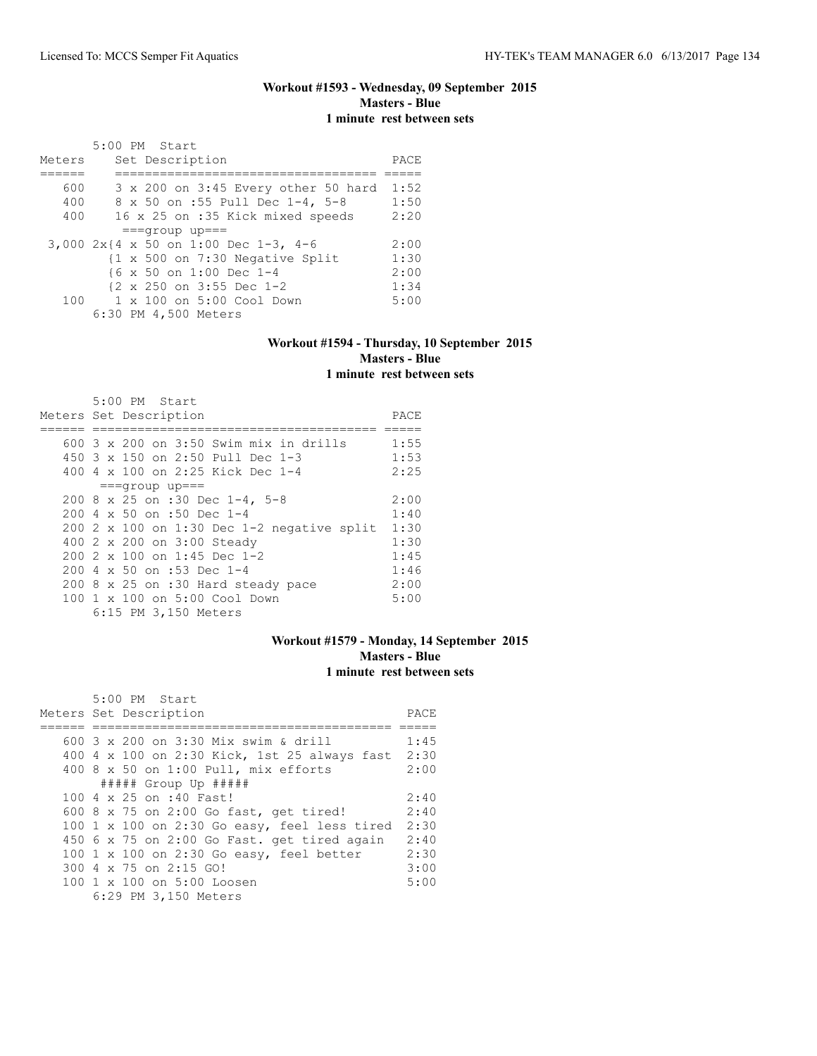#### **Workout #1593 - Wednesday, 09 September 2015 Masters - Blue 1 minute rest between sets**

|        | 5:00 PM Start                                        |      |
|--------|------------------------------------------------------|------|
| Meters | Set Description                                      | PACE |
|        |                                                      |      |
| 600    | 3 x 200 on 3:45 Every other 50 hard                  | 1:52 |
| 400    | 8 x 50 on :55 Pull Dec 1-4, 5-8                      | 1:50 |
| 400    | 16 x 25 on :35 Kick mixed speeds                     | 2:20 |
|        | $==qrow$ up===                                       |      |
|        | 3,000 2x{4 x 50 on 1:00 Dec 1-3, 4-6                 | 2:00 |
|        | {1 x 500 on 7:30 Negative Split                      | 1:30 |
|        | {6 x 50 on 1:00 Dec 1-4                              | 2:00 |
|        | $\{2 \times 250 \text{ on } 3:55 \text{ Dec } 1-2\}$ | 1:34 |
|        | 100 1 x 100 on 5:00 Cool Down                        | 5:00 |
|        | 6:30 PM 4,500 Meters                                 |      |

#### **Workout #1594 - Thursday, 10 September 2015 Masters - Blue 1 minute rest between sets**

| 5:00 PM Start                                                                                                  |      |
|----------------------------------------------------------------------------------------------------------------|------|
| Meters Set Description                                                                                         | PACE |
|                                                                                                                |      |
| 600 3 x 200 on 3:50 Swim mix in drills                                                                         | 1:55 |
| 450 $3 \times 150$ on 2:50 Pull Dec 1-3                                                                        | 1:53 |
| 400 4 $\times$ 100 on 2:25 Kick Dec 1-4                                                                        | 2:25 |
| $==qrow$ up===                                                                                                 |      |
| 200 8 x 25 on :30 Dec 1-4, 5-8                                                                                 | 2:00 |
| $200 \text{ } 4 \times 50$ on :50 Dec 1-4                                                                      | 1:40 |
| 200 2 x 100 on 1:30 Dec 1-2 negative split                                                                     | 1:30 |
| 400 2 x 200 on 3:00 Steady                                                                                     | 1:30 |
| $2002 \times 100$ on 1:45 Dec 1-2                                                                              | 1:45 |
| $200 \text{ } 4 \text{ } \times \text{ } 50 \text{ } \text{on} \text{ } : 53 \text{ } \text{Dec} \text{ } 1-4$ | 1:46 |
| 200 8 x 25 on :30 Hard steady pace                                                                             | 2:00 |
| $100 \t 1 \t x \t 100$ on $5:00$ Cool Down                                                                     | 5:00 |
| 6:15 PM 3,150 Meters                                                                                           |      |

## **Workout #1579 - Monday, 14 September 2015 Masters - Blue 1 minute rest between sets**

| 5:00 PM Start                                          |      |
|--------------------------------------------------------|------|
| Meters Set Description                                 | PACE |
|                                                        |      |
| 600 3 x 200 on 3:30 Mix swim & drill                   | 1:45 |
| 400 4 x 100 on 2:30 Kick, 1st 25 always fast           | 2:30 |
| 400 8 x 50 on 1:00 Pull, mix efforts                   | 2:00 |
| ##### Group Up #####                                   |      |
| 100 4 x 25 on :40 Fast!                                | 2:40 |
| 600 8 x 75 on 2:00 Go fast, get tired!                 | 2:40 |
| 100 $1 \times 100$ on 2:30 Go easy, feel less tired    | 2:30 |
| 450 6 x 75 on 2:00 Go Fast. get tired again            | 2:40 |
| 100 1 x 100 on 2:30 Go easy, feel better               | 2:30 |
| 300 4 x 75 on 2:15 GO!                                 | 3:00 |
| $100 \text{ 1 x } 100 \text{ on } 5:00 \text{ Loosen}$ | 5:00 |
| 6:29 PM 3,150 Meters                                   |      |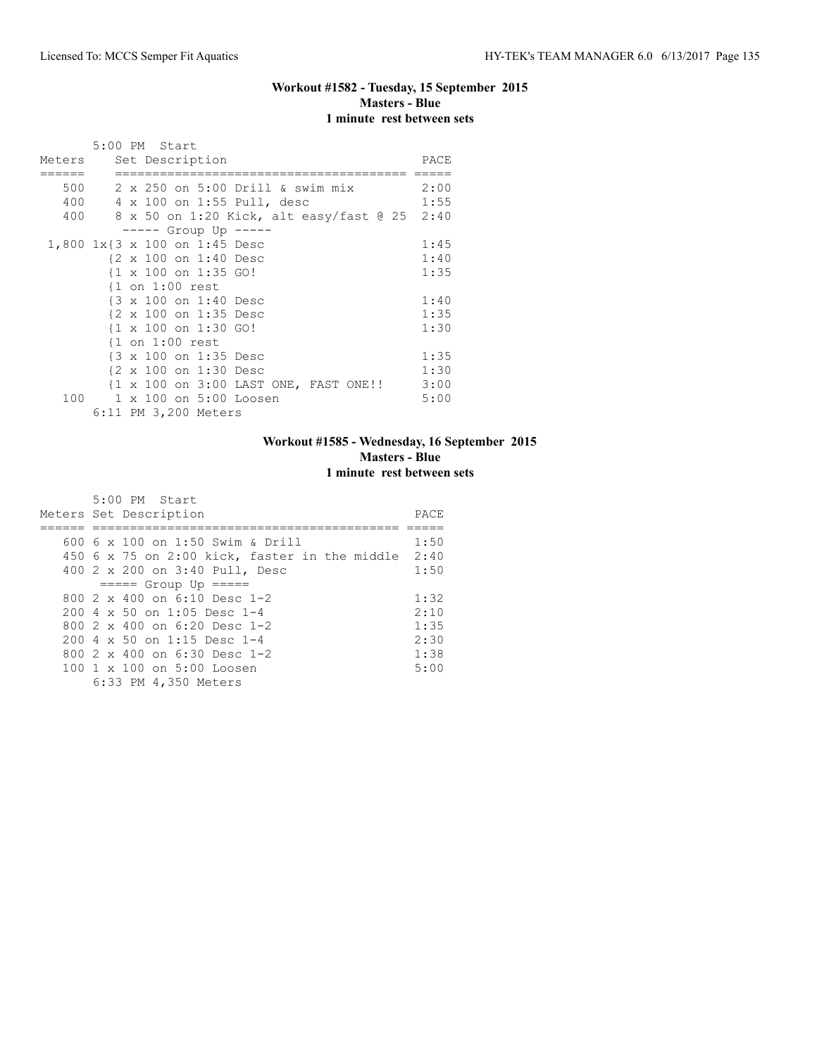## **Workout #1582 - Tuesday, 15 September 2015 Masters - Blue 1 minute rest between sets**

|        | 5:00 PM Start                                   |      |
|--------|-------------------------------------------------|------|
| Meters | Set Description                                 | PACE |
|        | 500 2 x 250 on 5:00 Drill & swim mix            | 2:00 |
|        | 400 4 x 100 on 1:55 Pull, desc                  | 1:55 |
| 400    | 8 x 50 on 1:20 Kick, alt easy/fast @ 25 2:40    |      |
|        | ----- Group Up -----                            |      |
|        | 1,800 1x{3 x 100 on 1:45 Desc                   | 1:45 |
|        | {2 x 100 on 1:40 Desc                           | 1:40 |
|        | $\{1 \times 100 \text{ on } 1:35 \text{ GO}\}\$ | 1:35 |
|        | $\{1$ on $1:00$ rest                            |      |
|        | {3 x 100 on 1:40 Desc                           | 1:40 |
|        | {2 x 100 on 1:35 Desc                           | 1:35 |
|        | $\{1 \times 100 \text{ on } 1:30 \text{ GO}\}\$ | 1:30 |
|        | $\{1$ on $1:00$ rest                            |      |
|        | {3 x 100 on 1:35 Desc                           | 1:35 |
|        | {2 x 100 on 1:30 Desc                           | 1:30 |
|        | {1 x 100 on 3:00 LAST ONE, FAST ONE!!           | 3:00 |
| 100    | 1 x 100 on 5:00 Loosen                          | 5:00 |
|        | 6:11 PM 3,200 Meters                            |      |

## **Workout #1585 - Wednesday, 16 September 2015 Masters - Blue 1 minute rest between sets**

| 5:00 PM Start<br>Meters Set Description                | PACE. |
|--------------------------------------------------------|-------|
| 600 6 x 100 on 1:50 Swim & Drill                       | 1:50  |
| 450 6 x 75 on 2:00 kick, faster in the middle $2:40$   |       |
| 400 2 x 200 on 3:40 Pull, Desc                         | 1:50  |
| $== == $ Group Up $== == $                             |       |
| 800 $2 \times 400$ on 6:10 Desc 1-2                    | 1:32  |
| $200.4 \times 50$ on 1:05 Desc 1-4                     | 2:10  |
| 800 $2 \times 400$ on 6:20 Desc 1-2                    | 1:35  |
| $200.4 \times 50$ on 1:15 Desc 1-4                     | 2:30  |
| 800 2 x 400 on 6:30 Desc 1-2                           | 1:38  |
| $100 \text{ 1 x } 100 \text{ on } 5:00 \text{ Loosen}$ | 5:00  |
| 6:33 PM 4,350 Meters                                   |       |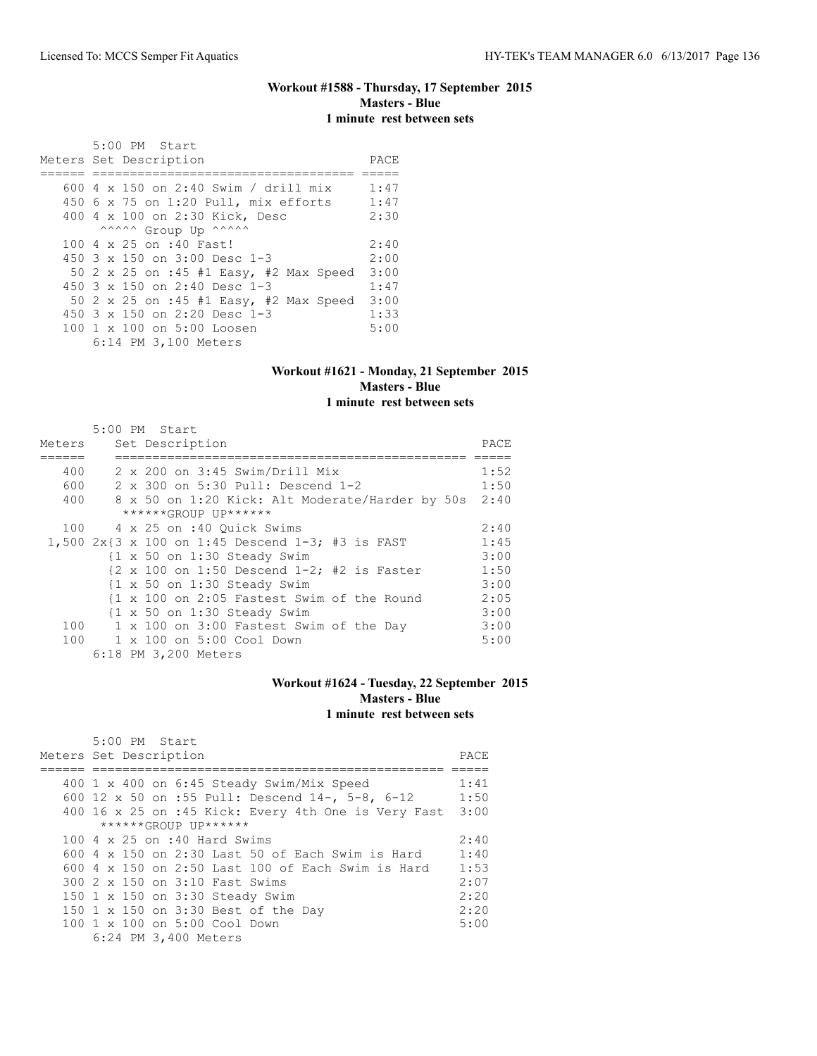#### **Workout #1588 - Thursday, 17 September 2015 Masters - Blue 1 minute rest between sets**

| $5:00$ PM Start<br>Meters Set Description | PACE |
|-------------------------------------------|------|
| 600 4 x 150 on 2:40 Swim / drill mix      | 1:47 |
|                                           |      |
| 450 6 x 75 on 1:20 Pull, mix efforts      | 1:47 |
| 400 4 x 100 on 2:30 Kick, Desc            | 2:30 |
| ^^^^^^ Group Up ^^^^^^                    |      |
| 100 4 x 25 on :40 Fast!                   | 2:40 |
| 450 $3 \times 150$ on $3:00$ Desc 1-3     | 2:00 |
| 50 2 x 25 on :45 #1 Easy, #2 Max Speed    | 3:00 |
| 450 3 x 150 on 2:40 Desc 1-3              | 1:47 |
| 50 2 x 25 on :45 #1 Easy, #2 Max Speed    | 3:00 |
| 450 $3 \times 150$ on 2:20 Desc 1-3       | 1:33 |
| 100 1 x 100 on 5:00 Loosen                | 5:00 |
| 6:14 PM 3,100 Meters                      |      |

#### **Workout #1621 - Monday, 21 September 2015 Masters - Blue 1 minute rest between sets**

|        | 5:00 PM Start                                                                       |      |
|--------|-------------------------------------------------------------------------------------|------|
| Meters | Set Description                                                                     | PACE |
| 400    | $2 \times 200$ on $3:45$ Swim/Drill Mix                                             | 1:52 |
| 600    | 2 x 300 on 5:30 Pull: Descend 1-2                                                   | 1:50 |
| 400    | 8 x 50 on 1:20 Kick: Alt Moderate/Harder by 50s                                     | 2:40 |
|        | ******GROUP UP******                                                                |      |
| 100    | 4 x 25 on :40 Ouick Swims                                                           | 2:40 |
|        | 1,500 $2x\{3 \times 100 \text{ on } 1:45 \text{ Descend } 1-3; \#3 \text{ is FAST}$ | 1:45 |
|        | $\{1 \times 50 \text{ on } 1:30 \text{ Steady Swim}\}$                              | 3:00 |
|        | $\{2 \times 100 \text{ on } 1:50 \text{ Descend } 1-2; \#2 \text{ is Faster}$       | 1:50 |
|        | $\{1 \times 50 \text{ on } 1:30 \text{ Steady Swim}\}$                              | 3:00 |
|        | {1 x 100 on 2:05 Fastest Swim of the Round                                          | 2:05 |
|        | {1 x 50 on 1:30 Steady Swim                                                         | 3:00 |
| 100    | 1 x 100 on 3:00 Fastest Swim of the Day                                             | 3:00 |
| 100    | 1 x 100 on 5:00 Cool Down                                                           | 5:00 |
|        | 6:18 PM 3,200 Meters                                                                |      |

#### **Workout #1624 - Tuesday, 22 September 2015 Masters - Blue 1 minute rest between sets**

| 5:00 PM Start                                            |       |
|----------------------------------------------------------|-------|
| Meters Set Description                                   | PACE. |
|                                                          |       |
| 400 1 x 400 on 6:45 Steady Swim/Mix Speed                | 1:41  |
| 600 12 x 50 on :55 Pull: Descend 14-, 5-8, 6-12          | 1:50  |
| 400 16 x 25 on :45 Kick: Every 4th One is Very Fast      | 3:00  |
| ******GROUP UP******                                     |       |
| 100 4 x 25 on :40 Hard Swims                             | 2:40  |
| 600 4 x 150 on 2:30 Last 50 of Each Swim is Hard         | 1:40  |
| 600 4 $\times$ 150 on 2:50 Last 100 of Each Swim is Hard | 1:53  |
| 300 2 x 150 on 3:10 Fast Swims                           | 2:07  |
| 150 1 x 150 on 3:30 Steady Swim                          | 2:20  |
| 150 1 x 150 on 3:30 Best of the Day                      | 2:20  |
| 100 1 x 100 on 5:00 Cool Down                            | 5:00  |
| 6:24 PM 3,400 Meters                                     |       |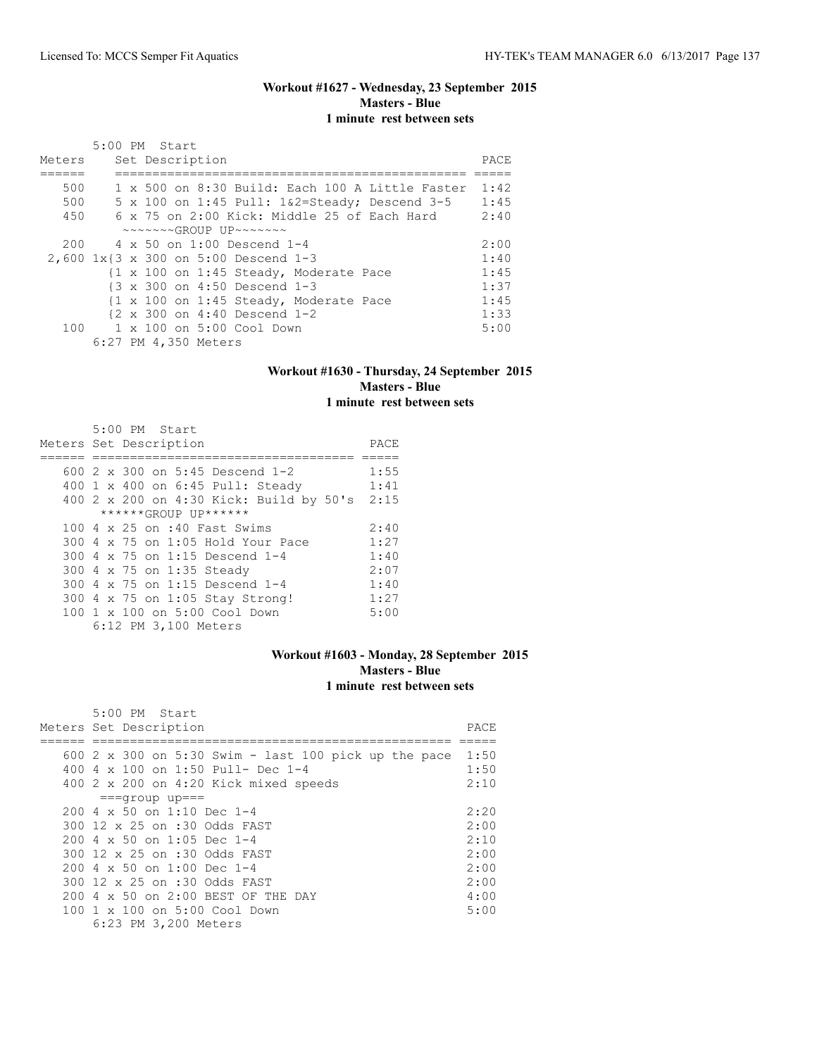#### **Workout #1627 - Wednesday, 23 September 2015 Masters - Blue 1 minute rest between sets**

| Meters | 5:00 PM Start |  | Set Description      |                                                                  |                                        |                                                            | PACE |
|--------|---------------|--|----------------------|------------------------------------------------------------------|----------------------------------------|------------------------------------------------------------|------|
| 500    |               |  |                      |                                                                  |                                        | 1 x 500 on 8:30 Build: Each 100 A Little Faster            | 1:42 |
| 500    |               |  |                      |                                                                  |                                        | $5 \times 100$ on $1:45$ Pull: $1\&2=$ Steady; Descend 3-5 | 1:45 |
| 450    |               |  |                      |                                                                  |                                        | 6 x 75 on 2:00 Kick: Middle 25 of Each Hard                | 2:40 |
|        |               |  |                      | $\sim\sim\sim\sim\sim GROUP$ UP $\sim\sim\sim\sim\sim\sim$       |                                        |                                                            |      |
| 200    |               |  |                      | 4 x 50 on 1:00 Descend 1-4                                       |                                        |                                                            | 2:00 |
|        |               |  |                      | $2,600$ $1x\{3 \times 300 \text{ on } 5:00 \text{ Descend } 1-3$ |                                        |                                                            | 1:40 |
|        |               |  |                      |                                                                  | {1 x 100 on 1:45 Steady, Moderate Pace |                                                            | 1:45 |
|        |               |  |                      | {3 x 300 on 4:50 Descend 1-3                                     |                                        |                                                            | 1:37 |
|        |               |  |                      |                                                                  | {1 x 100 on 1:45 Steady, Moderate Pace |                                                            | 1:45 |
|        |               |  |                      | $\{2 \times 300 \text{ on } 4:40 \text{ Descend } 1-2$           |                                        |                                                            | 1:33 |
|        |               |  |                      | 100 1 x 100 on 5:00 Cool Down                                    |                                        |                                                            | 5:00 |
|        |               |  | 6:27 PM 4,350 Meters |                                                                  |                                        |                                                            |      |

#### **Workout #1630 - Thursday, 24 September 2015 Masters - Blue 1 minute rest between sets**

| 5:00 PM Start                           |      |
|-----------------------------------------|------|
| Meters Set Description                  | PACE |
|                                         |      |
| 600 2 x 300 on 5:45 Descend 1-2         | 1:55 |
| 400 1 x 400 on 6:45 Pull: Steady        | 1:41 |
| 400 2 x 200 on 4:30 Kick: Build by 50's | 2:15 |
| ******GROUP UP******                    |      |
| 100 4 x 25 on :40 Fast Swims            | 2:40 |
| 300 4 x 75 on 1:05 Hold Your Pace       | 1:27 |
| 300 4 x 75 on 1:15 Descend 1-4          | 1:40 |
| 300 4 x 75 on 1:35 Steady               | 2:07 |
| 300 4 x 75 on 1:15 Descend 1-4          | 1:40 |
| 300 4 x 75 on 1:05 Stay Strong!         | 1:27 |
| 100 1 x 100 on 5:00 Cool Down           | 5:00 |
| 6:12 PM 3,100 Meters                    |      |

## **Workout #1603 - Monday, 28 September 2015 Masters - Blue 1 minute rest between sets**

| $5:00$ PM Start                                      |      |
|------------------------------------------------------|------|
| Meters Set Description                               | PACE |
|                                                      |      |
| 600 2 x 300 on 5:30 Swim - last 100 pick up the pace | 1:50 |
| 400 4 x 100 on 1:50 Pull- Dec 1-4                    | 1:50 |
| 400 2 x 200 on 4:20 Kick mixed speeds                | 2:10 |
| $===qrow$ up===                                      |      |
| $200.4 \times 50$ on 1:10 Dec 1-4                    | 2:20 |
| 300 12 x 25 on :30 Odds FAST                         | 2:00 |
| $200 \text{ } 4 \times 50$ on 1:05 Dec 1-4           | 2:10 |
| 300 12 x 25 on :30 Odds FAST                         | 2:00 |
| 200 4 x 50 on 1:00 Dec 1-4                           | 2:00 |
| 300 12 x 25 on :30 Odds FAST                         | 2:00 |
| 200 4 x 50 on 2:00 BEST OF THE DAY                   | 4:00 |
| 100 1 x 100 on 5:00 Cool Down                        | 5:00 |
| 6:23 PM 3,200 Meters                                 |      |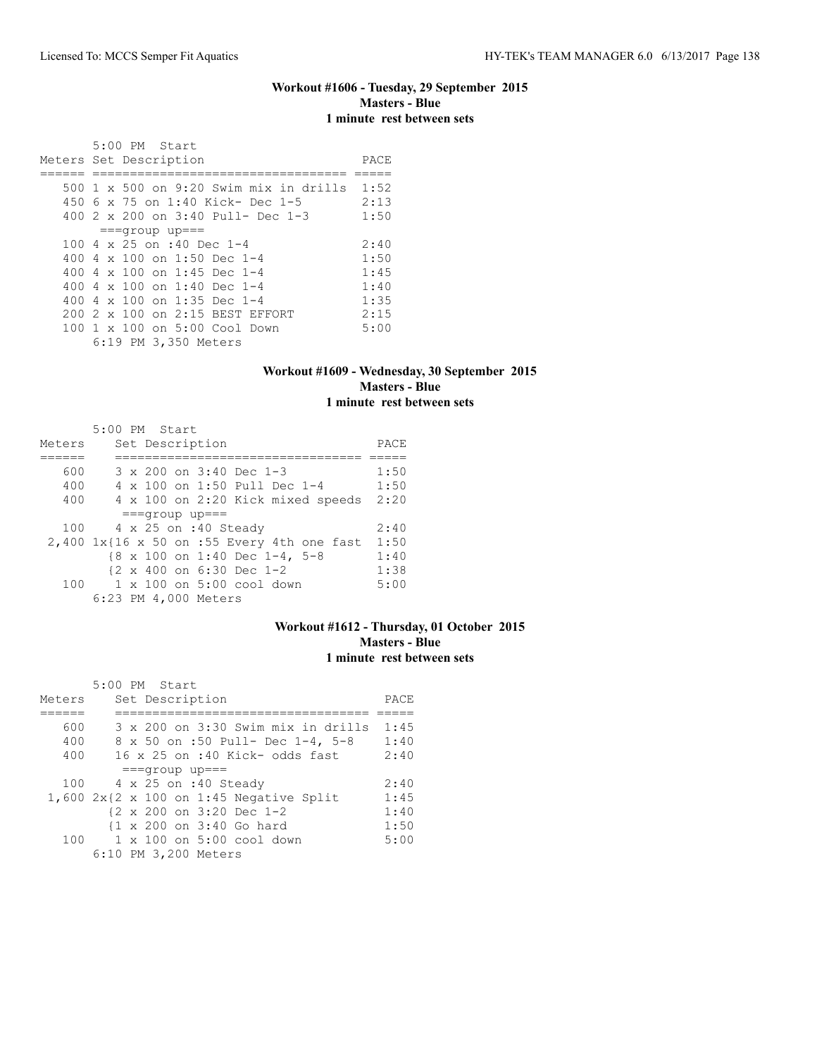#### **Workout #1606 - Tuesday, 29 September 2015 Masters - Blue 1 minute rest between sets**

 5:00 PM Start Meters Set Description **PACE** ====== ================================== ===== 500 1 x 500 on 9:20 Swim mix in drills 1:52 450 6 x 75 on 1:40 Kick- Dec 1-5 2:13<br>400 2 x 200 on 3:40 Pull- Dec 1-3 1:50 400 2 x 200 on 3:40 Pull- Dec 1-3 ===group up=== 100 4 x 25 on :40 Dec 1-4 2:40<br>400 4 x 100 on 1:50 Dec 1-4 1:50 400 4 x 100 on 1:50 Dec 1-4 1:50<br>400 4 x 100 on 1:45 Dec 1-4 1:45 400 4 x 100 on 1:45 Dec 1-4 1:45<br>400 4 x 100 on 1:40 Dec 1-4 1:40 400 4 x 100 on 1:40 Dec 1-4 1:40<br>400 4 x 100 on 1:35 Dec 1-4 1:35 400 4 x 100 on 1:35 Dec 1-4 1:35<br>200 2 x 100 on 2:15 BEST EFFORT 2:15 200 2 x 100 on 2:15 BEST EFFORT 2:15<br>100 1 x 100 on 5:00 Cool Down 5:00 100 1 x 100 on 5:00 Cool Down 6:19 PM 3,350 Meters

#### **Workout #1609 - Wednesday, 30 September 2015 Masters - Blue 1 minute rest between sets**

|        | 5:00 PM Start                                        |      |
|--------|------------------------------------------------------|------|
| Meters | Set Description                                      | PACE |
|        |                                                      |      |
| 600    | 3 x 200 on 3:40 Dec 1-3                              | 1:50 |
| 400    | 4 x 100 on 1:50 Pull Dec 1-4                         | 1:50 |
| 400    | 4 x 100 on 2:20 Kick mixed speeds                    | 2:20 |
|        | $==qrow$ up===                                       |      |
| 100    | 4 x 25 on :40 Steady                                 | 2:40 |
|        | 2,400 1x{16 x 50 on :55 Every 4th one fast           | 1:50 |
|        | {8 x 100 on 1:40 Dec 1-4, 5-8                        | 1:40 |
|        | $\{2 \times 400 \text{ on } 6:30 \text{ Dec } 1-2\}$ | 1:38 |
| 100    | 1 x 100 on 5:00 cool down                            | 5:00 |
|        | 6:23 PM 4,000 Meters                                 |      |

#### **Workout #1612 - Thursday, 01 October 2015 Masters - Blue 1 minute rest between sets**

|        | $5:00$ PM Start                                      |      |
|--------|------------------------------------------------------|------|
| Meters | Set Description                                      | PACE |
|        |                                                      |      |
| 600    | 3 x 200 on 3:30 Swim mix in drills                   | 1:45 |
| 400    | 8 x 50 on :50 Pull- Dec 1-4, 5-8                     | 1:40 |
| 400    | $16 \times 25$ on :40 Kick- odds fast                | 2:40 |
|        | $==qrow$ up===                                       |      |
| 100    | 4 x 25 on :40 Steady                                 | 2:40 |
|        | $1,600$ 2x{2 x 100 on 1:45 Negative Split            | 1:45 |
|        | $\{2 \times 200 \text{ on } 3:20 \text{ Dec } 1-2\}$ | 1:40 |
|        | {1 x 200 on 3:40 Go hard                             | 1:50 |
| 100    | 1 x 100 on 5:00 cool down                            | 5:00 |
|        | 6:10 PM 3,200 Meters                                 |      |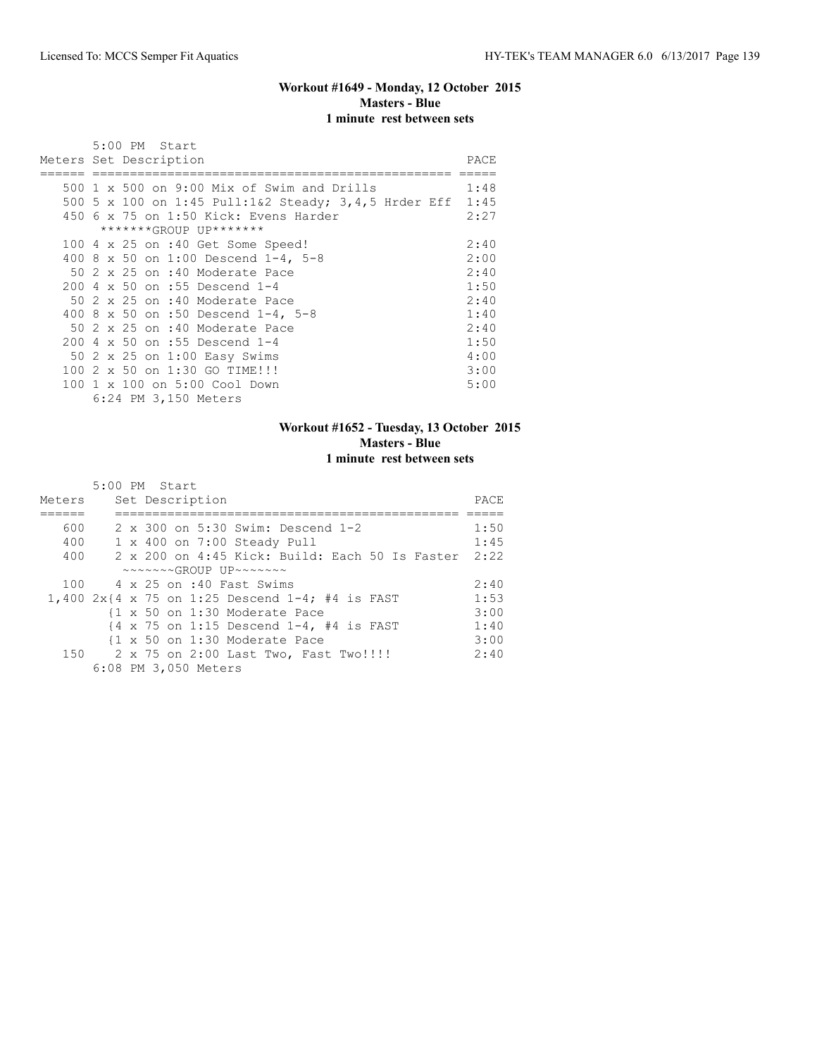## **Workout #1649 - Monday, 12 October 2015 Masters - Blue 1 minute rest between sets**

|  | 5:00 PM Start<br>Meters Set Description              | PACE. |
|--|------------------------------------------------------|-------|
|  |                                                      |       |
|  | 500 $1 \times 500$ on 9:00 Mix of Swim and Drills    | 1:48  |
|  | 500 5 x 100 on 1:45 Pull:1&2 Steady; 3,4,5 Hrder Eff | 1:45  |
|  | 450 6 x 75 on 1:50 Kick: Evens Harder                | 2:27  |
|  | *******GROUP UP*******                               |       |
|  | 100 4 x 25 on :40 Get Some Speed!                    | 2:40  |
|  | 400 8 x 50 on 1:00 Descend 1-4, 5-8                  | 2:00  |
|  | 50 2 x 25 on :40 Moderate Pace                       | 2:40  |
|  | 200 4 x 50 on :55 Descend 1-4                        | 1:50  |
|  | 50 2 x 25 on :40 Moderate Pace                       | 2:40  |
|  | 400 8 x 50 on :50 Descend 1-4, 5-8                   | 1:40  |
|  | 50 2 x 25 on :40 Moderate Pace                       | 2:40  |
|  | 200 4 x 50 on :55 Descend 1-4                        | 1:50  |
|  | 50 2 x 25 on 1:00 Easy Swims                         | 4:00  |
|  | 100 2 x 50 on 1:30 GO TIME!!!                        | 3:00  |
|  | 100 1 x 100 on 5:00 Cool Down                        | 5:00  |
|  | 6:24 PM 3,150 Meters                                 |       |

## **Workout #1652 - Tuesday, 13 October 2015 Masters - Blue 1 minute rest between sets**

| Meters | 5:00 PM Start<br>Set Description                                           | PACE |
|--------|----------------------------------------------------------------------------|------|
| 600    | 2 x 300 on 5:30 Swim: Descend 1-2                                          | 1:50 |
| 400    | 1 x 400 on 7:00 Steady Pull                                                | 1:45 |
| 400    | 2 x 200 on 4:45 Kick: Build: Each 50 Is Faster                             | 2:22 |
|        | $\sim\sim\sim\sim\sim GROUP$ UP $\sim\sim\sim\sim\sim\sim$                 |      |
|        | 100 4 x 25 on :40 Fast Swims                                               | 2:40 |
|        | 1,400 $2x$ {4 x 75 on 1:25 Descend 1-4; #4 is FAST                         | 1:53 |
|        | {1 x 50 on 1:30 Moderate Pace                                              | 3:00 |
|        | $\{4 \times 75 \text{ on } 1:15 \text{ Descend } 1-4, \#4 \text{ is FAST}$ | 1:40 |
|        | {1 x 50 on 1:30 Moderate Pace                                              | 3:00 |
|        | 150 2 x 75 on 2:00 Last Two, Fast Two!!!!                                  | 2:40 |
|        | 6:08 PM 3,050 Meters                                                       |      |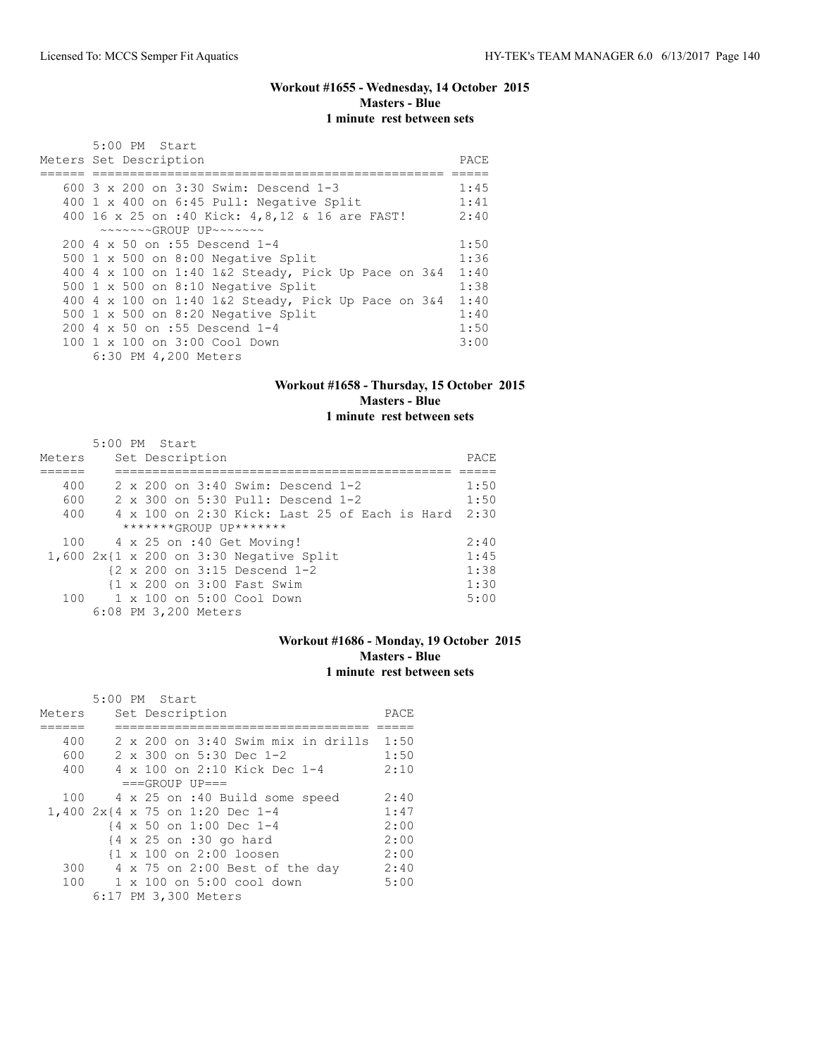#### **Workout #1655 - Wednesday, 14 October 2015 Masters - Blue 1 minute rest between sets**

| $5:00$ PM Start<br>Meters Set Description                  | PACE |
|------------------------------------------------------------|------|
|                                                            |      |
|                                                            |      |
| 600 3 x 200 on 3:30 Swim: Descend 1-3                      | 1:45 |
| 400 1 x 400 on 6:45 Pull: Negative Split                   | 1:41 |
| 400 16 x 25 on :40 Kick: 4, 8, 12 & 16 are FAST!           | 2:40 |
| $\sim\sim\sim\sim\sim GROUP$ UP $\sim\sim\sim\sim\sim\sim$ |      |
| 200 4 x 50 on :55 Descend 1-4                              | 1:50 |
| 500 1 x 500 on 8:00 Negative Split                         | 1:36 |
| 400 4 x 100 on 1:40 1&2 Steady, Pick Up Pace on 3&4        | 1:40 |
| 500 1 x 500 on 8:10 Negative Split                         | 1:38 |
| 400 4 x 100 on 1:40 1&2 Steady, Pick Up Pace on $3\&4$     | 1:40 |
| 500 $1 \times 500$ on 8:20 Negative Split                  | 1:40 |
| 200 4 x 50 on :55 Descend 1-4                              | 1:50 |
| 100 1 x 100 on 3:00 Cool Down                              | 3:00 |
| 6:30 PM 4,200 Meters                                       |      |

# **Workout #1658 - Thursday, 15 October 2015 Masters - Blue**

## **1 minute rest between sets**

|        |  | $5:00$ PM Start                                        |  |                                               |  |      |
|--------|--|--------------------------------------------------------|--|-----------------------------------------------|--|------|
| Meters |  | Set Description                                        |  |                                               |  | PACE |
|        |  |                                                        |  |                                               |  |      |
| 400    |  |                                                        |  | 2 x 200 on 3:40 Swim: Descend 1-2             |  | 1:50 |
| 600    |  |                                                        |  | 2 x 300 on 5:30 Pull: Descend 1-2             |  | 1:50 |
| 400    |  |                                                        |  | 4 x 100 on 2:30 Kick: Last 25 of Each is Hard |  | 2:30 |
|        |  | *******GROUP UP*******                                 |  |                                               |  |      |
| 100    |  | 4 x 25 on :40 Get Moving!                              |  |                                               |  | 2:40 |
|        |  |                                                        |  | $1,600$ 2x{1 x 200 on 3:30 Negative Split     |  | 1:45 |
|        |  | $\{2 \times 200 \text{ on } 3:15 \text{ Descend } 1-2$ |  |                                               |  | 1:38 |
|        |  | {1 x 200 on 3:00 Fast Swim                             |  |                                               |  | 1:30 |
| 100    |  | 1 x 100 on 5:00 Cool Down                              |  |                                               |  | 5:00 |
|        |  | 6:08 PM 3,200 Meters                                   |  |                                               |  |      |

## **Workout #1686 - Monday, 19 October 2015 Masters - Blue 1 minute rest between sets**

|        | 5:00 PM Start |  |                                                    |                                    |                                             |      |
|--------|---------------|--|----------------------------------------------------|------------------------------------|---------------------------------------------|------|
| Meters |               |  | Set Description                                    |                                    |                                             | PACE |
|        |               |  |                                                    |                                    |                                             |      |
| 400    |               |  |                                                    |                                    | $2 \times 200$ on $3:40$ Swim mix in drills | 1:50 |
| 600    |               |  |                                                    | $2 \times 300$ on 5:30 Dec 1-2     |                                             | 1:50 |
| 400    |               |  |                                                    | 4 x 100 on 2:10 Kick Dec 1-4       |                                             | 2:10 |
|        |               |  | $===GROUP UP=-$                                    |                                    |                                             |      |
| 100    |               |  |                                                    | 4 x 25 on :40 Build some speed     |                                             | 2:40 |
|        |               |  | 1,400 2x{4 x 75 on 1:20 Dec 1-4                    |                                    |                                             | 1:47 |
|        |               |  | {4 x 50 on 1:00 Dec 1-4                            |                                    |                                             | 2:00 |
|        |               |  | $\{4 \times 25 \text{ on } : 30 \text{ go hard}\}$ |                                    |                                             | 2:00 |
|        |               |  | $\{1 \times 100 \text{ on } 2:00 \text{ loosen}\}$ |                                    |                                             | 2:00 |
| 300    |               |  |                                                    | 4 x 75 on 2:00 Best of the day     |                                             | 2:40 |
| 100    |               |  |                                                    | $1 \times 100$ on $5:00$ cool down |                                             | 5:00 |
|        |               |  | 6:17 PM 3,300 Meters                               |                                    |                                             |      |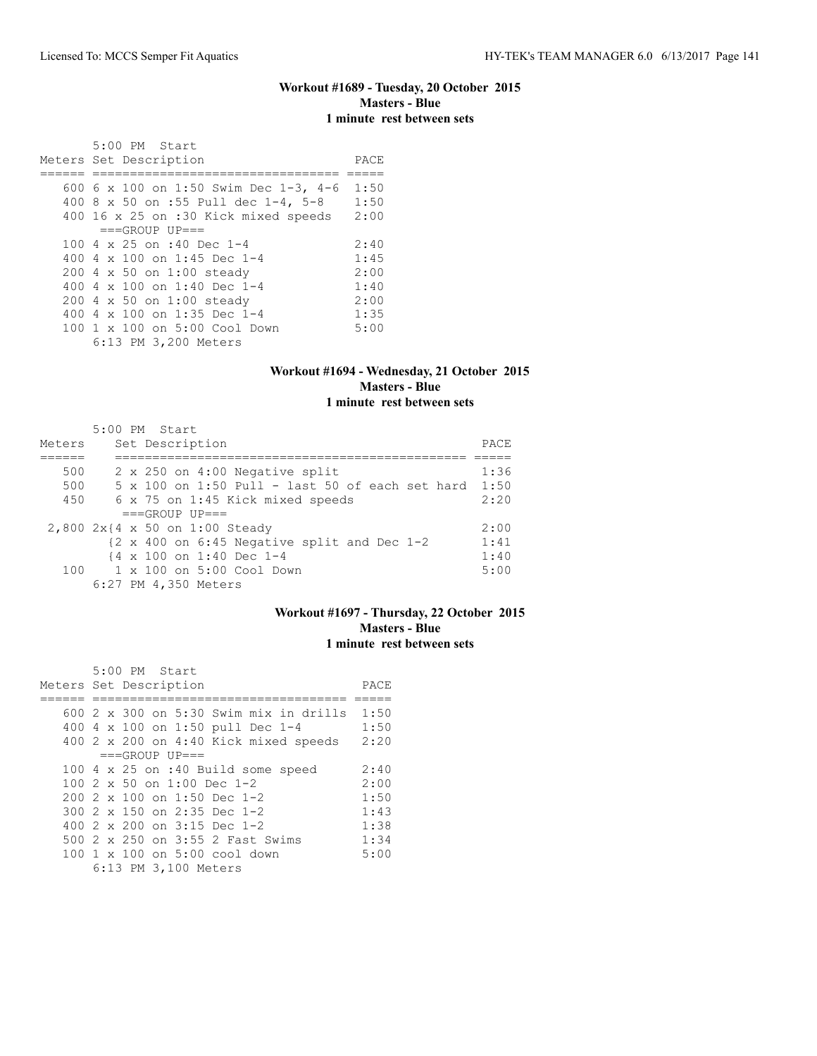#### **Workout #1689 - Tuesday, 20 October 2015 Masters - Blue 1 minute rest between sets**

|     | 5:00 PM Start                              |      |
|-----|--------------------------------------------|------|
|     | Meters Set Description                     | PACE |
|     |                                            |      |
|     | 600 6 x 100 on 1:50 Swim Dec 1-3, 4-6      | 1:50 |
|     | 400 8 x 50 on :55 Pull dec 1-4, 5-8        | 1:50 |
|     | 400 16 x 25 on :30 Kick mixed speeds       | 2:00 |
|     | $===GROUP UP = =$                          |      |
|     | 100 4 $\times$ 25 on :40 Dec 1-4           | 2:40 |
| 400 | 4 x 100 on 1:45 Dec 1-4                    | 1:45 |
|     | 200 4 x 50 on 1:00 steady                  | 2:00 |
| 400 | 4 x 100 on 1:40 Dec 1-4                    | 1:40 |
|     | 200 4 x 50 on 1:00 steady                  | 2:00 |
| 400 | 4 x 100 on 1:35 Dec 1-4                    | 1:35 |
|     | $100 \t 1 \t x \t 100$ on $5:00$ Cool Down | 5:00 |
|     | 6:13 PM 3,200 Meters                       |      |

#### **Workout #1694 - Wednesday, 21 October 2015 Masters - Blue 1 minute rest between sets**

|        | 5:00 PM Start                                                           |      |
|--------|-------------------------------------------------------------------------|------|
| Meters | Set Description                                                         | PACE |
|        |                                                                         |      |
| 500    | 2 x 250 on 4:00 Negative split                                          | 1:36 |
| 500    | $5 \times 100$ on 1:50 Pull - last 50 of each set hard                  | 1:50 |
| 450    | 6 x 75 on 1:45 Kick mixed speeds                                        | 2:20 |
|        | $===GROUP UP==$                                                         |      |
|        | 2,800 2x{4 x 50 on 1:00 Steady                                          | 2:00 |
|        | $\{2 \times 400 \text{ on } 6:45 \text{ Negative split and Dec } 1-2\}$ | 1:41 |
|        | $\{4 \times 100 \text{ on } 1:40 \text{ Dec } 1-4$                      | 1:40 |
|        | 100 1 x 100 on 5:00 Cool Down                                           | 5:00 |
|        | 6:27 PM 4,350 Meters                                                    |      |

## **Workout #1697 - Thursday, 22 October 2015 Masters - Blue 1 minute rest between sets**

 5:00 PM Start Meters Set Description **PACE** ====== ================================== ===== 600 2 x 300 on 5:30 Swim mix in drills 1:50 400 4 x 100 on 1:50 pull Dec 1-4 1:50 400 2 x 200 on 4:40 Kick mixed speeds 2:20  $===GROUP UP==$ 100 4 x 25 on :40 Build some speed 2:40<br>100 2 x 50 on 1:00 Dec 1-2 2:00 100 2 x 50 on 1:00 Dec 1-2 2:00<br>200 2 x 100 on 1:50 Dec 1-2 1:50 200 2 x 100 on 1:50 Dec 1-2 1:50<br>300 2 x 150 on 2:35 Dec 1-2 1:43 300 2 x 150 on 2:35 Dec 1-2 1:43 400 2 x 200 on 3:15 Dec 1-2 1:38 500 2 x 250 on 3:55 2 Fast Swims 1:34 100 1 x 100 on 5:00 cool down 5:00 6:13 PM 3,100 Meters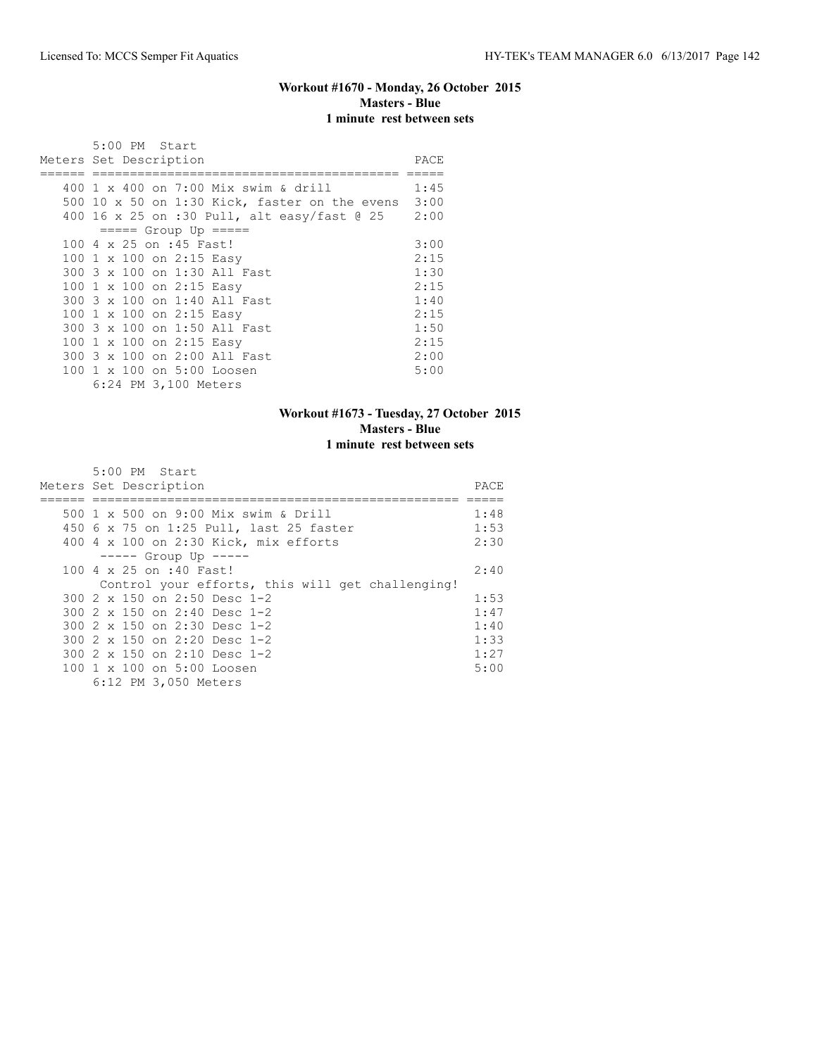## **Workout #1670 - Monday, 26 October 2015 Masters - Blue 1 minute rest between sets**

| 5:00 PM Start                                 |      |
|-----------------------------------------------|------|
| Meters Set Description                        | PACE |
|                                               |      |
| 400 1 x 400 on 7:00 Mix swim & drill          | 1:45 |
| 500 10 x 50 on 1:30 Kick, faster on the evens | 3:00 |
| 400 16 x 25 on :30 Pull, alt easy/fast @ 25   | 2:00 |
| $== == $ Group Up $== == $                    |      |
| 100 4 x 25 on :45 Fast!                       | 3:00 |
| 100 1 x 100 on 2:15 Easy                      | 2:15 |
| 300 3 x 100 on 1:30 All Fast                  | 1:30 |
| 100 1 x 100 on 2:15 Easy                      | 2:15 |
| 300 3 x 100 on 1:40 All Fast                  | 1:40 |
| 100 1 x 100 on 2:15 Easy                      | 2:15 |
| 300 3 x 100 on 1:50 All Fast                  | 1:50 |
| 100 1 x 100 on 2:15 Easy                      | 2:15 |
| 300 3 x 100 on 2:00 All Fast                  | 2:00 |
| 100 1 x 100 on 5:00 Loosen                    | 5:00 |
| 6:24 PM 3,100 Meters                          |      |

## **Workout #1673 - Tuesday, 27 October 2015 Masters - Blue 1 minute rest between sets**

| $5:00$ PM Start                                  |       |  |  |  |
|--------------------------------------------------|-------|--|--|--|
| Meters Set Description                           | PACE. |  |  |  |
|                                                  |       |  |  |  |
| 500 1 x 500 on 9:00 Mix swim & Drill             | 1:48  |  |  |  |
| 450 6 x 75 on 1:25 Pull, last 25 faster          | 1:53  |  |  |  |
| 400 4 x 100 on 2:30 Kick, mix efforts            | 2:30  |  |  |  |
| $--- $ Group Up $---$                            |       |  |  |  |
| 100 4 x 25 on :40 Fast!                          | 2:40  |  |  |  |
| Control your efforts, this will get challenging! |       |  |  |  |
| 300 2 x 150 on 2:50 Desc 1-2                     | 1:53  |  |  |  |
| 300 $2 \times 150$ on $2:40$ Desc 1-2            | 1:47  |  |  |  |
| 300 $2 \times 150$ on $2:30$ Desc 1-2            | 1:40  |  |  |  |
| 300 $2 \times 150$ on $2:20$ Desc 1-2            | 1:33  |  |  |  |
| 300 2 x 150 on 2:10 Desc 1-2                     | 1:27  |  |  |  |
| 100 1 x 100 on 5:00 Loosen                       | 5:00  |  |  |  |
| 6:12 PM 3,050 Meters                             |       |  |  |  |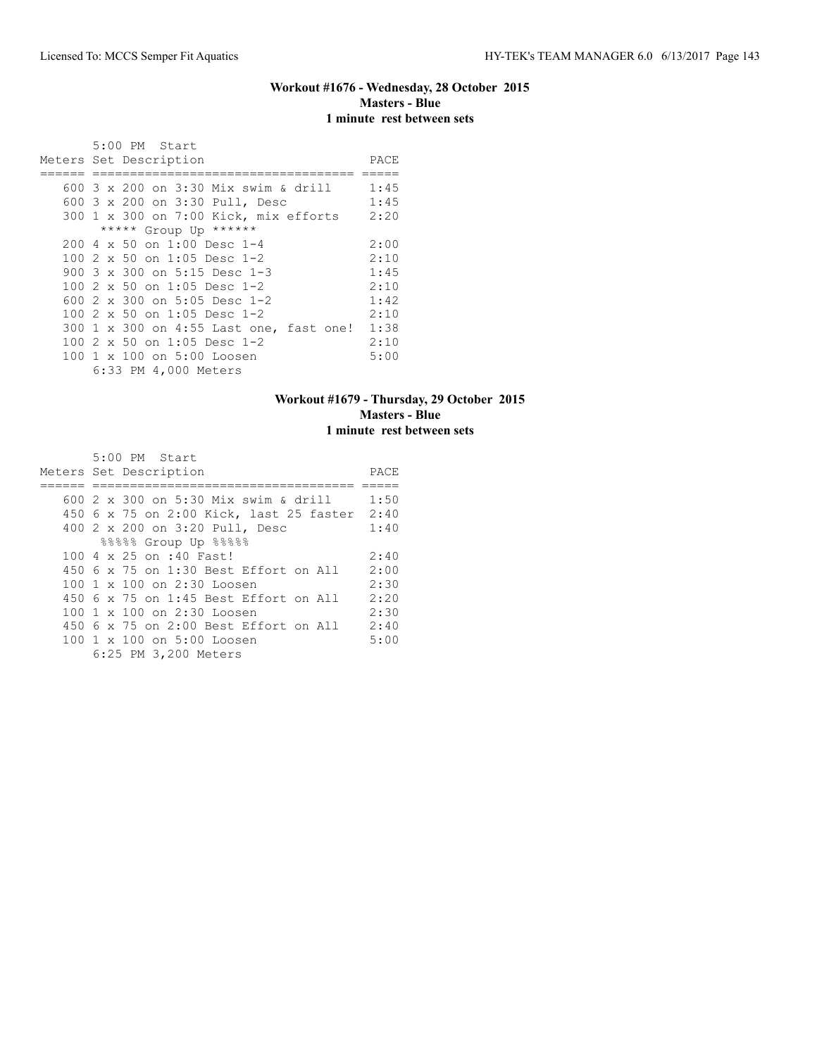## **Workout #1676 - Wednesday, 28 October 2015 Masters - Blue 1 minute rest between sets**

| $5:00$ PM Start                         |      |  |  |
|-----------------------------------------|------|--|--|
| Meters Set Description                  |      |  |  |
|                                         |      |  |  |
| 600 3 x 200 on 3:30 Mix swim & drill    | 1:45 |  |  |
| 600 3 x 200 on 3:30 Pull, Desc          | 1:45 |  |  |
| 300 1 x 300 on 7:00 Kick, mix efforts   | 2:20 |  |  |
| ***** Group Up ******                   |      |  |  |
| $200.4 \times 50$ on 1:00 Desc 1-4      | 2:00 |  |  |
| 100 $2 \times 50$ on 1:05 Desc 1-2      | 2:10 |  |  |
| 900 3 x 300 on 5:15 Desc 1-3            | 1:45 |  |  |
| 100 $2 \times 50$ on 1:05 Desc 1-2      | 2:10 |  |  |
| 600 2 x 300 on 5:05 Desc 1-2            | 1:42 |  |  |
| 100 $2 \times 50$ on 1:05 Desc 1-2      | 2:10 |  |  |
| 300 1 x 300 on 4:55 Last one, fast one! | 1:38 |  |  |
| 100 2 x 50 on 1:05 Desc 1-2             | 2:10 |  |  |
| 100 1 x 100 on 5:00 Loosen              | 5:00 |  |  |
| 6:33 PM 4,000 Meters                    |      |  |  |

## **Workout #1679 - Thursday, 29 October 2015 Masters - Blue 1 minute rest between sets**

| 5:00 PM Start                                |      |
|----------------------------------------------|------|
| Meters Set Description                       | PACE |
|                                              |      |
| 600 2 x 300 on 5:30 Mix swim & drill         | 1:50 |
| 450 6 x 75 on 2:00 Kick, last 25 faster 2:40 |      |
| 400 2 x 200 on 3:20 Pull, Desc               | 1:40 |
| %%%%% Group Up %%%%                          |      |
| 100 4 x 25 on :40 Fast!                      | 2:40 |
| 450 6 x 75 on 1:30 Best Effort on All        | 2:00 |
| 100 1 x 100 on 2:30 Loosen                   | 2:30 |
| 450 6 x 75 on 1:45 Best Effort on All        | 2:20 |
| 100 1 x 100 on 2:30 Loosen                   | 2:30 |
| 450 6 x 75 on 2:00 Best Effort on All        | 2:40 |
| 100 1 x 100 on 5:00 Loosen                   | 5:00 |
| 6:25 PM 3,200 Meters                         |      |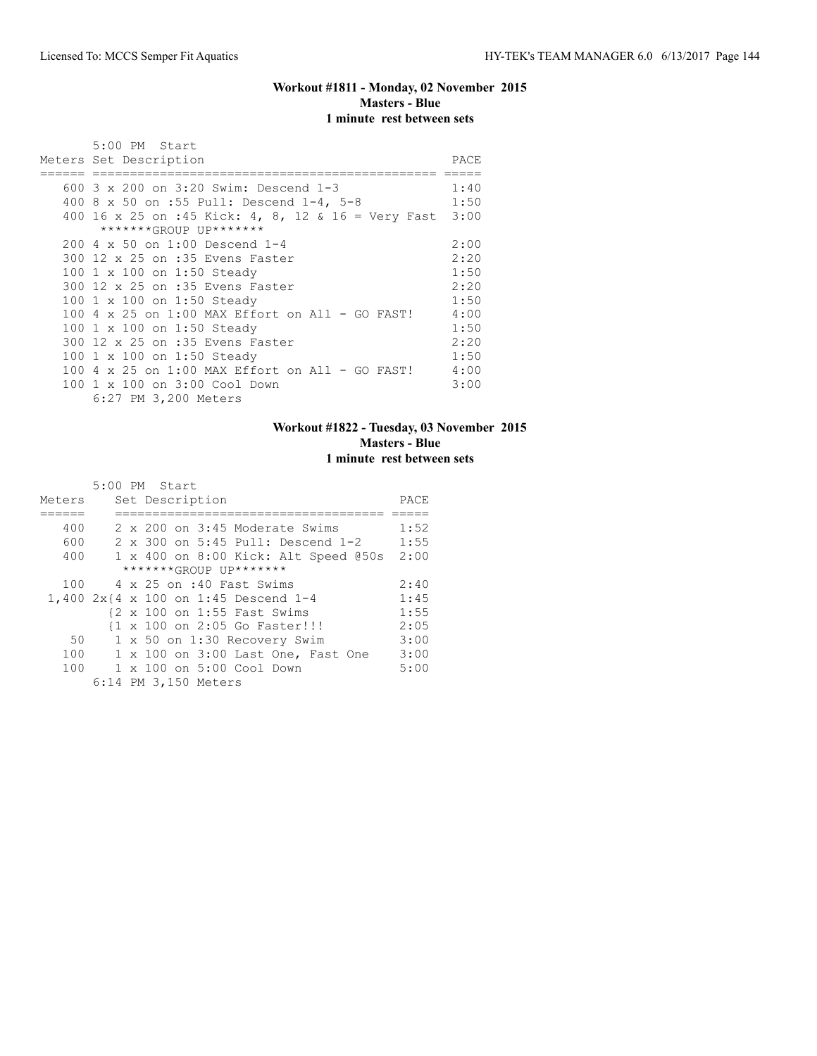#### **Workout #1811 - Monday, 02 November 2015 Masters - Blue 1 minute rest between sets**

| 5:00 PM Start<br>Meters Set Description                 | PACE         |  |  |  |
|---------------------------------------------------------|--------------|--|--|--|
|                                                         |              |  |  |  |
| 600 3 x 200 on 3:20 Swim: Descend 1-3                   | 1:40<br>1:50 |  |  |  |
| 400 8 x 50 on :55 Pull: Descend 1-4, 5-8                |              |  |  |  |
| 400 16 x 25 on :45 Kick: 4, 8, 12 & 16 = Very Fast 3:00 |              |  |  |  |
| *******GROUP UP*******                                  |              |  |  |  |
| 200 4 x 50 on 1:00 Descend 1-4                          | 2:00         |  |  |  |
| 300 12 x 25 on :35 Evens Faster                         | 2:20         |  |  |  |
| 100 1 x 100 on 1:50 Steady                              | 1:50         |  |  |  |
| 300 12 x 25 on :35 Evens Faster                         | 2:20         |  |  |  |
| 100 1 x 100 on 1:50 Steady                              | 1:50         |  |  |  |
|                                                         | 4:00         |  |  |  |
| 100 1 x 100 on 1:50 Steady                              | 1:50         |  |  |  |
| 300 12 x 25 on :35 Evens Faster                         | 2:20         |  |  |  |
| 100 1 x 100 on 1:50 Steady                              | 1:50         |  |  |  |
| 100 4 x 25 on 1:00 MAX Effort on All - GO FAST!         | 4:00         |  |  |  |
|                                                         |              |  |  |  |
| 100 1 x 100 on 3:00 Cool Down                           | 3:00         |  |  |  |
| 6:27 PM 3,200 Meters                                    |              |  |  |  |

#### **Workout #1822 - Tuesday, 03 November 2015 Masters - Blue 1 minute rest between sets**

|                        |  | 5:00 PM Start                        |      |  |
|------------------------|--|--------------------------------------|------|--|
| Meters                 |  | Set Description                      | PACE |  |
|                        |  |                                      |      |  |
| 400                    |  | 2 x 200 on 3:45 Moderate Swims       | 1:52 |  |
| 600                    |  | 2 x 300 on 5:45 Pull: Descend 1-2    | 1:55 |  |
| 400                    |  | 1 x 400 on 8:00 Kick: Alt Speed @50s | 2:00 |  |
| *******GROUP UP******* |  |                                      |      |  |
| 100                    |  | 4 x 25 on :40 Fast Swims             | 2:40 |  |
|                        |  | 1,400 2x{4 x 100 on 1:45 Descend 1-4 | 1:45 |  |
|                        |  | {2 x 100 on 1:55 Fast Swims          | 1:55 |  |
|                        |  | {1 x 100 on 2:05 Go Faster!!!        | 2:05 |  |
| 50                     |  | 1 x 50 on 1:30 Recovery Swim         | 3:00 |  |
| 100                    |  | 1 x 100 on 3:00 Last One, Fast One   | 3:00 |  |
| 100                    |  | 1 x 100 on 5:00 Cool Down            | 5:00 |  |
|                        |  | 6:14 PM 3,150 Meters                 |      |  |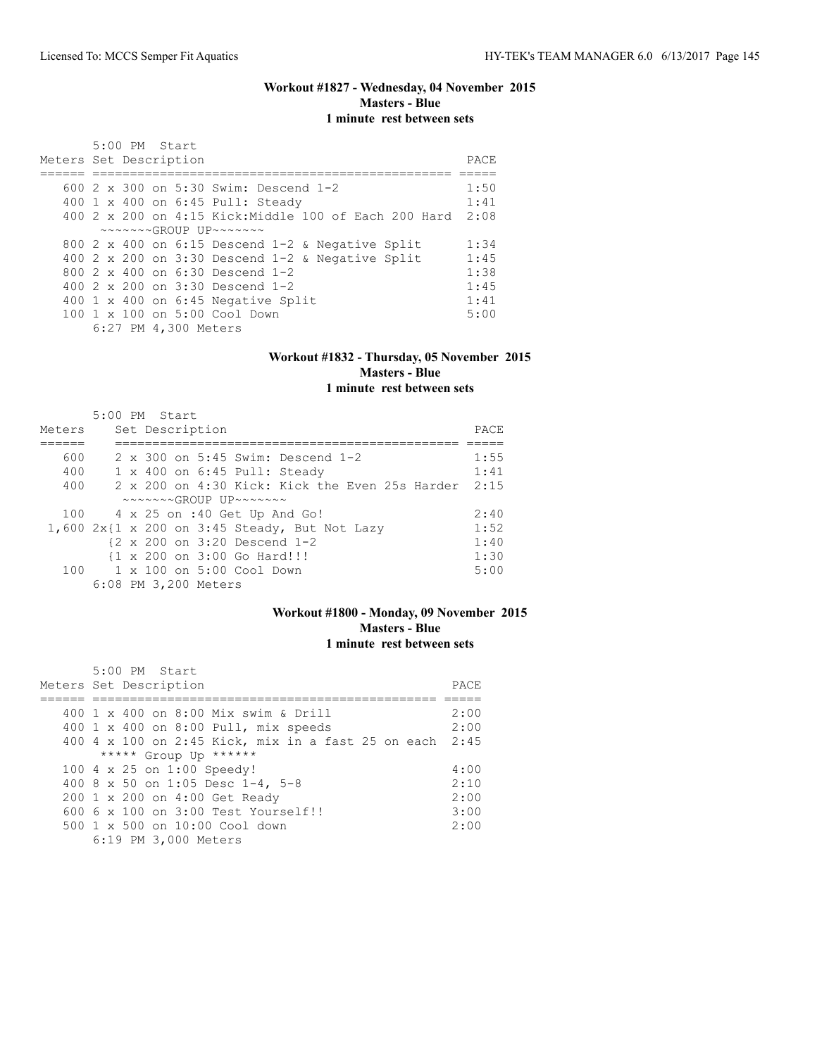## **Workout #1827 - Wednesday, 04 November 2015 Masters - Blue 1 minute rest between sets**

| $5:00$ PM Start<br>Meters Set Description                  | PACE. |
|------------------------------------------------------------|-------|
|                                                            |       |
| 600 $2 \times 300$ on 5:30 Swim: Descend 1-2               | 1:50  |
| 400 1 x 400 on 6:45 Pull: Steady                           | 1:41  |
| 400 2 x 200 on 4:15 Kick: Middle 100 of Each 200 Hard      | 2:08  |
| $\sim\sim\sim\sim\sim GROUP$ UP $\sim\sim\sim\sim\sim\sim$ |       |
| 800 2 x 400 on 6:15 Descend 1-2 & Negative Split           | 1:34  |
| 400 2 x 200 on 3:30 Descend $1-2$ & Negative Split         | 1:45  |
| 800 $2 \times 400$ on 6:30 Descend 1-2                     | 1:38  |
| 400 $2 \times 200$ on $3:30$ Descend 1-2                   | 1:45  |
| 400 1 x 400 on 6:45 Negative Split                         | 1:41  |
| 100 1 x 100 on 5:00 Cool Down                              | 5:00  |
| 6:27 PM 4,300 Meters                                       |       |

## **Workout #1832 - Thursday, 05 November 2015 Masters - Blue 1 minute rest between sets**

|        | 5:00 PM Start |  |                      |                                                                             |                                                |      |
|--------|---------------|--|----------------------|-----------------------------------------------------------------------------|------------------------------------------------|------|
| Meters |               |  | Set Description      |                                                                             |                                                | PACE |
|        |               |  |                      |                                                                             |                                                |      |
| 600    |               |  |                      |                                                                             | 2 x 300 on 5:45 Swim: Descend 1-2              | 1:55 |
| 400    |               |  |                      |                                                                             | 1 x 400 on 6:45 Pull: Steady                   | 1:41 |
| 400    |               |  |                      |                                                                             | 2 x 200 on 4:30 Kick: Kick the Even 25s Harder | 2:15 |
|        |               |  |                      | $\sim \sim \sim \sim \sim \text{GROUP}$ IJP $\sim \sim \sim \sim \sim \sim$ |                                                |      |
|        |               |  |                      |                                                                             | 100 4 x 25 on :40 Get Up And Go!               | 2:40 |
|        |               |  |                      |                                                                             | 1,600 2x{1 x 200 on 3:45 Steady, But Not Lazy  | 1:52 |
|        |               |  |                      | $\{2 \times 200 \text{ on } 3:20 \text{ Descend } 1-2$                      |                                                | 1:40 |
|        |               |  |                      | {1 x 200 on 3:00 Go Hard!!!                                                 |                                                | 1:30 |
|        |               |  |                      | 100    1 x 100    an 5:00    Cool    Down                                   |                                                | 5:00 |
|        |               |  | 6:08 PM 3,200 Meters |                                                                             |                                                |      |

# **Workout #1800 - Monday, 09 November 2015 Masters - Blue 1 minute rest between sets**

| 5:00 PM Start<br>Meters Set Description                 | PACE. |
|---------------------------------------------------------|-------|
|                                                         |       |
| 400 1 x 400 on 8:00 Mix swim & Drill                    | 2:00  |
| 400 1 x 400 on 8:00 Pull, mix speeds                    | 2:00  |
| 400 4 x 100 on 2:45 Kick, mix in a fast 25 on each 2:45 |       |
| ***** Group Up ******                                   |       |
| 100 4 x 25 on 1:00 Speedy!                              | 4:00  |
| 400 8 x 50 on 1:05 Desc 1-4, 5-8                        | 2:10  |
| 200 1 x 200 on 4:00 Get Ready                           | 2:00  |
| 600 6 x 100 on 3:00 Test Yourself!!                     | 3:00  |
| $500 \t 1 \t x \t 500$ on $10:00$ Cool down             | 2:00  |
| 6:19 PM 3,000 Meters                                    |       |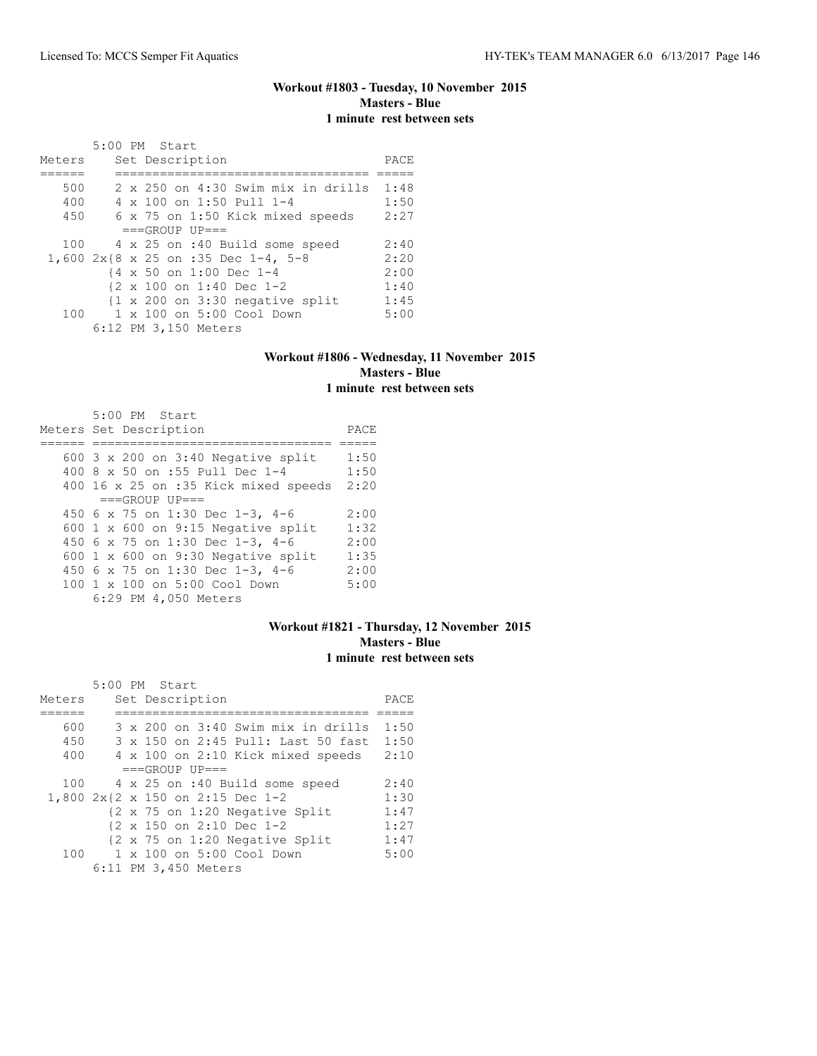## **Workout #1803 - Tuesday, 10 November 2015 Masters - Blue 1 minute rest between sets**

|        |  | 5:00 PM Start                                              |      |
|--------|--|------------------------------------------------------------|------|
| Meters |  | Set Description                                            | PACE |
|        |  |                                                            |      |
| 500    |  | $2 \times 250$ on $4:30$ Swim mix in drills                | 1:48 |
| 400    |  | 4 x 100 on 1:50 Pull 1-4                                   | 1:50 |
| 450    |  | 6 x 75 on 1:50 Kick mixed speeds                           | 2:27 |
|        |  | $===GROUP UP==$                                            |      |
| 100    |  | 4 x 25 on :40 Build some speed                             | 2:40 |
|        |  | 1,600 2x{8 x 25 on :35 Dec 1-4, 5-8                        | 2:20 |
|        |  | {4 x 50 on 1:00 Dec 1-4                                    | 2:00 |
|        |  | $\{2 \times 100 \text{ on } 1:40 \text{ Dec } 1-2\}$       | 1:40 |
|        |  | $\{1 \times 200 \text{ on } 3:30 \text{ negative split}\}$ | 1:45 |
| 100    |  | $1 \times 100$ on $5:00$ Cool Down                         | 5:00 |
|        |  | 6:12 PM 3,150 Meters                                       |      |

# **Workout #1806 - Wednesday, 11 November 2015 Masters - Blue 1 minute rest between sets**

| 5:00 PM Start<br>Meters Set Description     | PACE |
|---------------------------------------------|------|
|                                             |      |
| 600 $3 \times 200$ on $3:40$ Negative split | 1:50 |
| 400 8 x 50 on :55 Pull Dec 1-4              | 1:50 |
| 400 16 x 25 on :35 Kick mixed speeds        | 2:20 |
| $===GROUP UP = =$                           |      |
| 450 6 x 75 on 1:30 Dec 1-3, 4-6             | 2:00 |
| 600 $1 \times 600$ on 9:15 Negative split   | 1:32 |
| 450 6 x 75 on 1:30 Dec 1-3, 4-6             | 2:00 |
| 600 $1 \times 600$ on 9:30 Negative split   | 1:35 |
| 450 6 x 75 on 1:30 Dec 1-3, 4-6             | 2:00 |
| 100 1 x 100 on 5:00 Cool Down               | 5:00 |
| 6:29 PM 4,050 Meters                        |      |

## **Workout #1821 - Thursday, 12 November 2015 Masters - Blue 1 minute rest between sets**

|        | 5:00 PM Start |  |                      |                                                      |                                    |      |
|--------|---------------|--|----------------------|------------------------------------------------------|------------------------------------|------|
| Meters |               |  | Set Description      |                                                      |                                    | PACE |
|        |               |  |                      |                                                      |                                    |      |
| 600    |               |  |                      |                                                      | 3 x 200 on 3:40 Swim mix in drills | 1:50 |
| 450    |               |  |                      |                                                      | 3 x 150 on 2:45 Pull: Last 50 fast | 1:50 |
| 400    |               |  |                      |                                                      | 4 x 100 on 2:10 Kick mixed speeds  | 2:10 |
|        |               |  | $===GROUP UP = =$    |                                                      |                                    |      |
| 100    |               |  |                      | 4 x 25 on :40 Build some speed                       |                                    | 2:40 |
|        |               |  |                      | 1,800 2x{2 x 150 on 2:15 Dec 1-2                     |                                    | 1:30 |
|        |               |  |                      | {2 x 75 on 1:20 Negative Split                       |                                    | 1:47 |
|        |               |  |                      | $\{2 \times 150 \text{ on } 2:10 \text{ Dec } 1-2\}$ |                                    | 1:27 |
|        |               |  |                      | {2 x 75 on 1:20 Negative Split                       |                                    | 1:47 |
| 100    |               |  |                      | 1 x 100 on 5:00 Cool Down                            |                                    | 5:00 |
|        |               |  | 6:11 PM 3,450 Meters |                                                      |                                    |      |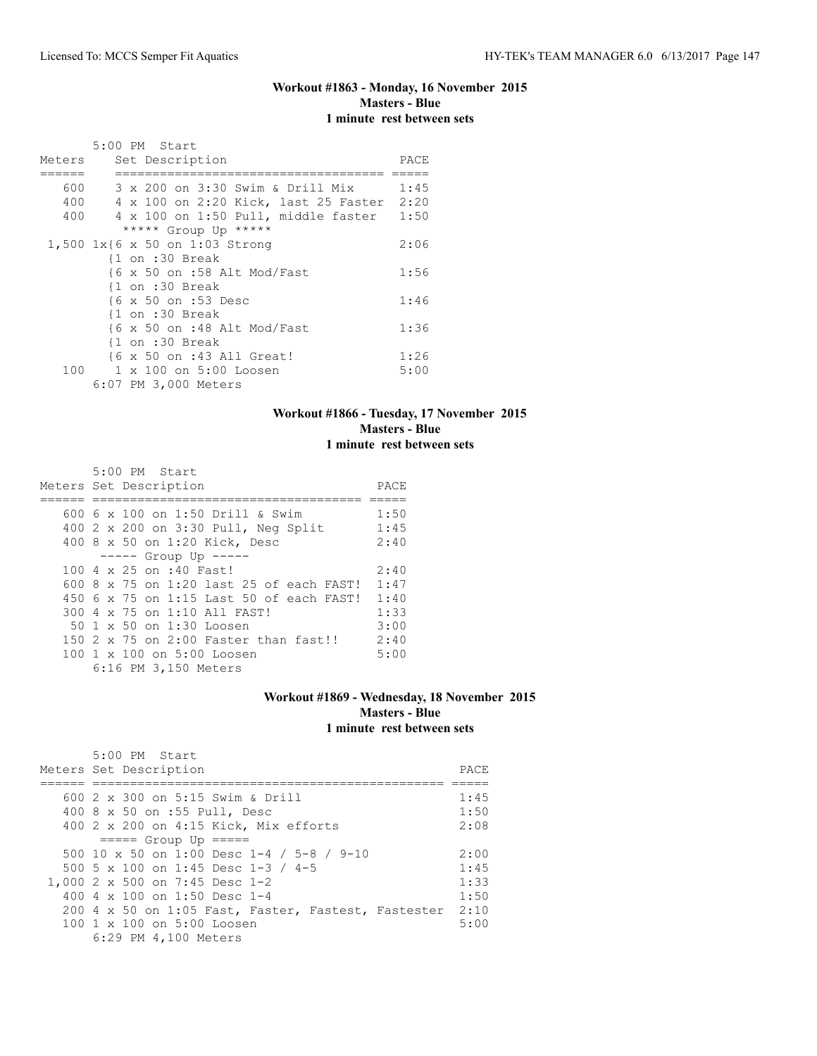## **Workout #1863 - Monday, 16 November 2015 Masters - Blue 1 minute rest between sets**

|        | 5:00 PM Start                                           |      |
|--------|---------------------------------------------------------|------|
| Meters | Set Description                                         | PACE |
|        |                                                         |      |
| 600    | 3 x 200 on 3:30 Swim & Drill Mix                        | 1:45 |
| 400    | 4 x 100 on 2:20 Kick, last 25 Faster 2:20               |      |
| 400    | 4 x 100 on 1:50 Pull, middle faster                     | 1:50 |
|        | ***** Group Up *****                                    |      |
|        | 1,500 1x{6 x 50 on 1:03 Strong                          | 2:06 |
|        | $\{1$ on :30 Break                                      |      |
|        | $\{6 \times 50 \text{ on } : 58 \text{ Alt Mod/Fast}\}$ | 1:56 |
|        | $\{1$ on :30 Break                                      |      |
|        | {6 x 50 on :53 Desc                                     | 1:46 |
|        | $\{1$ on :30 Break                                      |      |
|        | {6 x 50 on :48 Alt Mod/Fast                             | 1:36 |
|        | $\{1$ on :30 Break                                      |      |
|        | {6 x 50 on :43 All Great!                               | 1:26 |
| 100    | 1 x 100 on 5:00 Loosen                                  | 5:00 |
|        | 6:07 PM 3,000 Meters                                    |      |

## **Workout #1866 - Tuesday, 17 November 2015 Masters - Blue 1 minute rest between sets**

| 5:00 PM Start                            |      |
|------------------------------------------|------|
| Meters Set Description                   | PACE |
|                                          |      |
| 600 6 x 100 on 1:50 Drill & Swim         | 1:50 |
| 400 2 x 200 on 3:30 Pull, Neg Split      | 1:45 |
| 400 8 x 50 on 1:20 Kick, Desc            | 2:40 |
| $--- $ Group Up $---$                    |      |
| 100 4 x 25 on :40 Fast!                  | 2:40 |
| 600 8 x 75 on 1:20 last 25 of each FAST! | 1:47 |
| 450 6 x 75 on 1:15 Last 50 of each FAST! | 1:40 |
| 300 4 x 75 on 1:10 All FAST!             | 1:33 |
| 50 1 x 50 on 1:30 Loosen                 | 3:00 |
| 150 2 x 75 on 2:00 Faster than fast!!    | 2:40 |
| 100 1 x 100 on 5:00 Loosen               | 5:00 |
| 6:16 PM 3,150 Meters                     |      |

#### **Workout #1869 - Wednesday, 18 November 2015 Masters - Blue 1 minute rest between sets**

| 5:00 PM Start<br>Meters Set Description             | PACE. |
|-----------------------------------------------------|-------|
|                                                     |       |
| 600 2 x 300 on 5:15 Swim & Drill                    | 1:45  |
| 400 8 x 50 on :55 Pull, Desc                        | 1:50  |
| 400 2 x 200 on 4:15 Kick, Mix efforts               | 2:08  |
| $====$ Group Up $====$                              |       |
| 500 10 x 50 on 1:00 Desc 1-4 / 5-8 / 9-10           | 2:00  |
| 500 5 x 100 on 1:45 Desc 1-3 / 4-5                  | 1:45  |
| 1,000 2 x 500 on 7:45 Desc 1-2                      | 1:33  |
| 400 4 $\times$ 100 on 1:50 Desc 1-4                 | 1:50  |
| 200 4 x 50 on 1:05 Fast, Faster, Fastest, Fastester | 2:10  |
| 100 1 x 100 on 5:00 Loosen                          | 5:00  |
| 6:29 PM 4,100 Meters                                |       |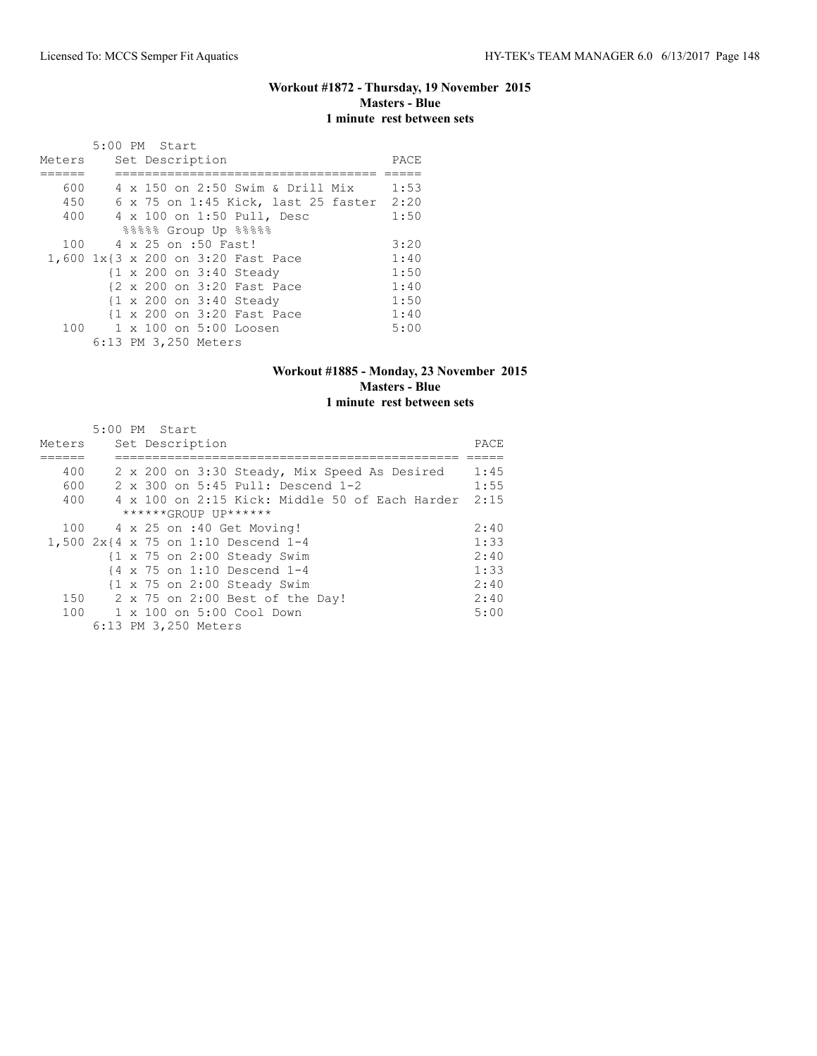## **Workout #1872 - Thursday, 19 November 2015 Masters - Blue 1 minute rest between sets**

|        | 5:00 PM Start |  |                      |                                    |                                          |      |
|--------|---------------|--|----------------------|------------------------------------|------------------------------------------|------|
| Meters |               |  | Set Description      |                                    |                                          | PACE |
|        |               |  |                      |                                    |                                          |      |
| 600    |               |  |                      |                                    | 4 x 150 on 2:50 Swim & Drill Mix         | 1:53 |
| 450    |               |  |                      |                                    | 6 x 75 on 1:45 Kick, last 25 faster 2:20 |      |
| 400    |               |  |                      | 4 x 100 on 1:50 Pull, Desc         |                                          | 1:50 |
|        |               |  |                      | %%%%% Group Up %%%%                |                                          |      |
| 100    |               |  | 4 x 25 on :50 Fast!  |                                    |                                          | 3:20 |
|        |               |  |                      | 1,600 1x{3 x 200 on 3:20 Fast Pace |                                          | 1:40 |
|        |               |  |                      | {1 x 200 on 3:40 Steady            |                                          | 1:50 |
|        |               |  |                      | {2 x 200 on 3:20 Fast Pace         |                                          | 1:40 |
|        |               |  |                      | {1 x 200 on 3:40 Steady            |                                          | 1:50 |
|        |               |  |                      | {1 x 200 on 3:20 Fast Pace         |                                          | 1:40 |
| 100    |               |  |                      | 1 x 100 on 5:00 Loosen             |                                          | 5:00 |
|        |               |  | 6:13 PM 3,250 Meters |                                    |                                          |      |

#### **Workout #1885 - Monday, 23 November 2015 Masters - Blue 1 minute rest between sets**

|        |  | 5:00 PM Start        |                                                        |      |
|--------|--|----------------------|--------------------------------------------------------|------|
| Meters |  | Set Description      |                                                        | PACE |
|        |  |                      |                                                        |      |
| 400    |  |                      | 2 x 200 on 3:30 Steady, Mix Speed As Desired           | 1:45 |
| 600    |  |                      | 2 x 300 on 5:45 Pull: Descend 1-2                      | 1:55 |
| 400    |  |                      | 4 x 100 on 2:15 Kick: Middle 50 of Each Harder         | 2:15 |
|        |  | ******GROUP UP****** |                                                        |      |
| 100    |  |                      | 4 x 25 on :40 Get Moving!                              | 2:40 |
|        |  |                      | 1,500 2x{4 x 75 on 1:10 Descend 1-4                    | 1:33 |
|        |  |                      | $\{1 \times 75 \text{ on } 2:00 \text{ Steady Swim}\}$ | 2:40 |
|        |  |                      | $\{4 \times 75 \text{ on } 1:10 \text{ Descend } 1-4$  | 1:33 |
|        |  |                      | $\{1 \times 75 \text{ on } 2:00 \text{ Steadv}$ Swim   | 2:40 |
| 150    |  |                      | 2 x 75 on 2:00 Best of the Day!                        | 2:40 |
|        |  |                      | 100 1 x 100 on 5:00 Cool Down                          | 5:00 |
|        |  | 6:13 PM 3,250 Meters |                                                        |      |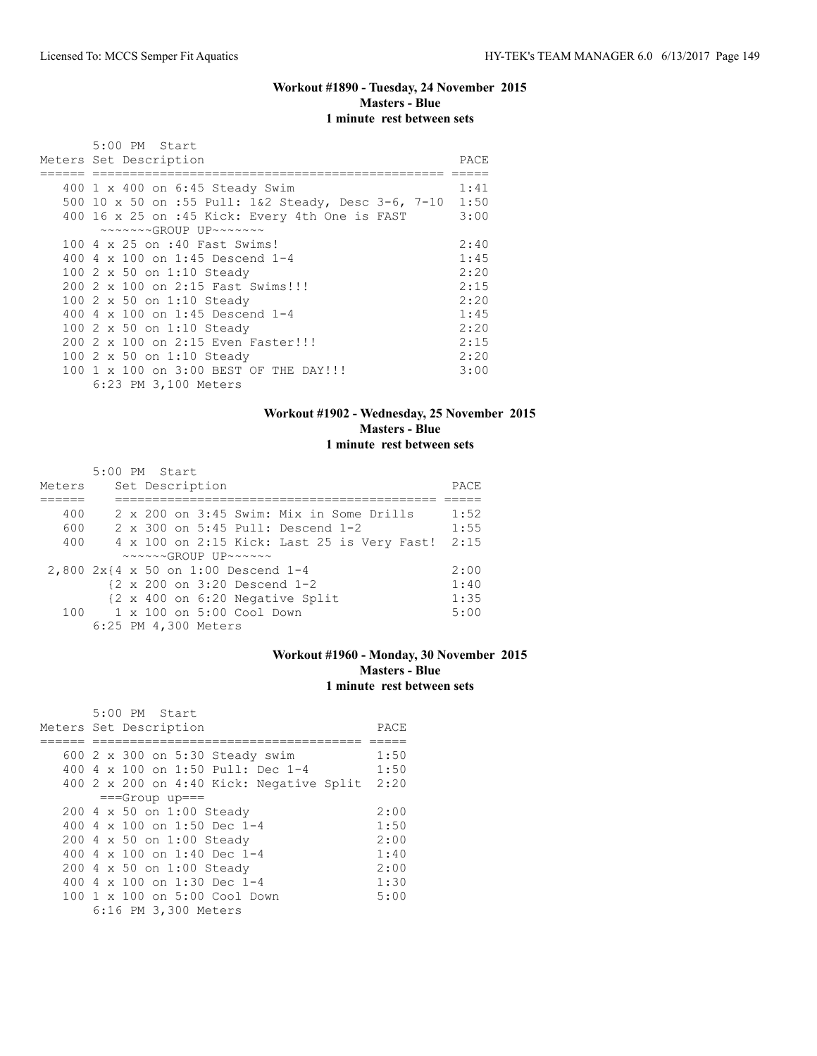## **Workout #1890 - Tuesday, 24 November 2015 Masters - Blue 1 minute rest between sets**

| 5:00 PM Start                                              |      |
|------------------------------------------------------------|------|
| Meters Set Description                                     | PACE |
|                                                            |      |
| 400 1 x 400 on 6:45 Steady Swim                            | 1:41 |
| 500 10 x 50 on :55 Pull: 1&2 Steady, Desc 3-6, 7-10 1:50   |      |
| 400 16 x 25 on :45 Kick: Every 4th One is FAST             | 3:00 |
| $\sim\sim\sim\sim\sim GROUP$ UP $\sim\sim\sim\sim\sim\sim$ |      |
| 100 4 x 25 on :40 Fast Swims!                              | 2:40 |
| 400 4 $\times$ 100 on 1:45 Descend 1-4                     | 1:45 |
| 100 2 x 50 on 1:10 Steady                                  | 2:20 |
| 200 2 x 100 on 2:15 Fast Swims!!!                          | 2:15 |
| 100 2 x 50 on 1:10 Steady                                  | 2:20 |
| 400 4 $\times$ 100 on 1:45 Descend 1-4                     | 1:45 |
| 100 2 x 50 on 1:10 Steady                                  | 2:20 |
| 200 2 x 100 on 2:15 Even Faster!!!                         | 2:15 |
| 100 2 x 50 on 1:10 Steady                                  | 2:20 |
| 100 1 x 100 on 3:00 BEST OF THE DAY!!!                     | 3:00 |
| 6:23 PM 3,100 Meters                                       |      |

## **Workout #1902 - Wednesday, 25 November 2015 Masters - Blue 1 minute rest between sets**

|                                     | 5:00 PM Start |  |                      |                                                                     |                                                          |      |
|-------------------------------------|---------------|--|----------------------|---------------------------------------------------------------------|----------------------------------------------------------|------|
| Meters                              |               |  | Set Description      |                                                                     |                                                          | PACE |
|                                     |               |  |                      |                                                                     |                                                          |      |
| 400                                 |               |  |                      |                                                                     | 2 x 200 on 3:45 Swim: Mix in Some Drills                 | 1:52 |
| 600                                 |               |  |                      |                                                                     | 2 x 300 on 5:45 Pull: Descend 1-2                        | 1:55 |
| 400                                 |               |  |                      |                                                                     | 4 x 100 on 2:15 Kick: Last 25 is Very Fast!              | 2:15 |
|                                     |               |  |                      | $\sim \sim \sim \sim \sim GROUP$ UP $\sim \sim \sim \sim \sim \sim$ |                                                          |      |
| 2,800 2x{4 x 50 on 1:00 Descend 1-4 |               |  |                      |                                                                     |                                                          | 2:00 |
|                                     |               |  |                      |                                                                     | $\{2 \times 200 \text{ on } 3:20 \text{ Descend } 1-2\}$ | 1:40 |
|                                     |               |  |                      |                                                                     | {2 x 400 on 6:20 Negative Split                          | 1:35 |
|                                     |               |  |                      | $100 \t 1 \times 100$ on $5:00$ Cool Down                           |                                                          | 5:00 |
|                                     |               |  | 6:25 PM 4,300 Meters |                                                                     |                                                          |      |

# **Workout #1960 - Monday, 30 November 2015 Masters - Blue 1 minute rest between sets**

| 5:00 PM Start                            |      |
|------------------------------------------|------|
| Meters Set Description                   | PACE |
|                                          |      |
| 600 2 x 300 on 5:30 Steady swim          | 1:50 |
| 400 4 $\times$ 100 on 1:50 Pull: Dec 1-4 | 1:50 |
| 400 2 x 200 on 4:40 Kick: Negative Split | 2:20 |
| $==Group$ up===                          |      |
| 200 4 x 50 on 1:00 Steady                | 2:00 |
| 400 4 x 100 on 1:50 Dec 1-4              | 1:50 |
| 200 4 x 50 on 1:00 Steady                | 2:00 |
| 400 4 x 100 on 1:40 Dec 1-4              | 1:40 |
| 200 4 x 50 on 1:00 Steady                | 2:00 |
| 400 4 $\times$ 100 on 1:30 Dec 1-4       | 1:30 |
| 100 1 x 100 on 5:00 Cool Down            | 5:00 |
| 6:16 PM 3,300 Meters                     |      |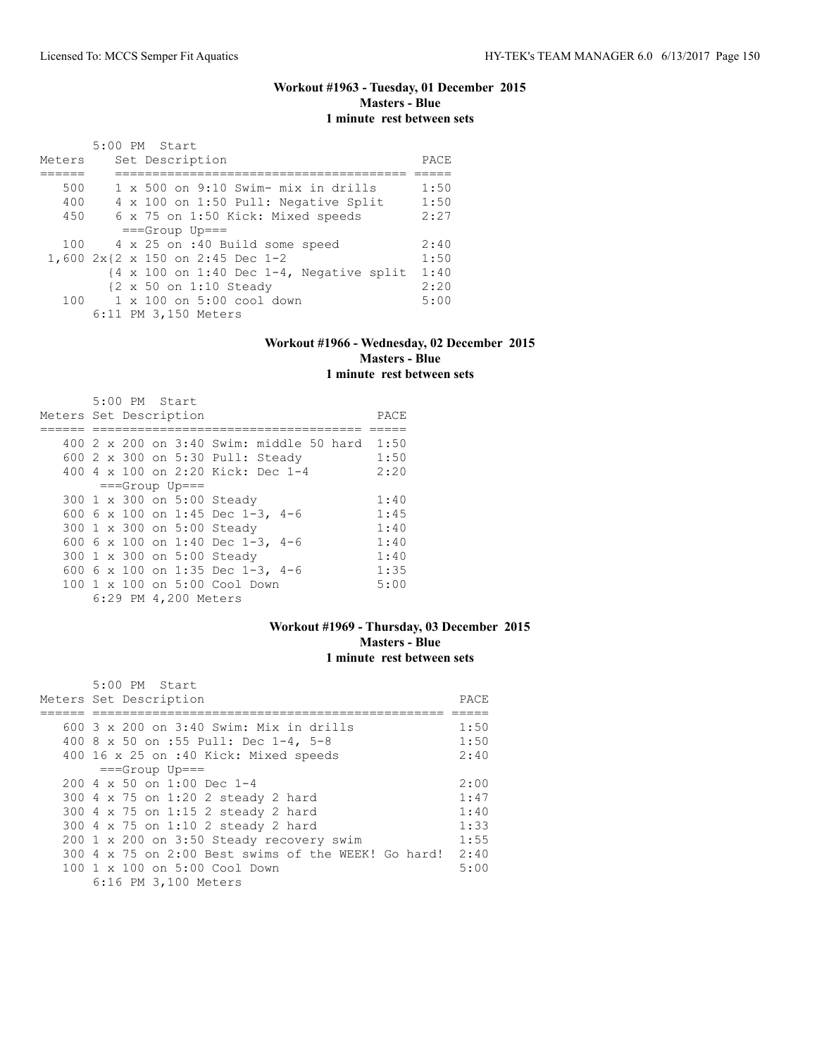## **Workout #1963 - Tuesday, 01 December 2015 Masters - Blue 1 minute rest between sets**

|        | 5:00 PM Start                                                       |      |
|--------|---------------------------------------------------------------------|------|
| Meters | Set Description                                                     | PACE |
|        |                                                                     |      |
| 500    | 1 x 500 on 9:10 Swim- mix in drills                                 | 1:50 |
| 400    | 4 x 100 on 1:50 Pull: Negative Split                                | 1:50 |
| 450    | 6 x 75 on 1:50 Kick: Mixed speeds                                   | 2:27 |
|        | $==Grow$ Up===                                                      |      |
| 100    | 4 x 25 on :40 Build some speed                                      | 2:40 |
|        | 1,600 2x{2 x 150 on 2:45 Dec 1-2                                    | 1:50 |
|        | $\{4 \times 100 \text{ on } 1:40 \text{ Dec } 1-4$ , Negative split | 1:40 |
|        | $\{2 \times 50 \text{ on } 1:10 \text{ Steady}\}$                   | 2:20 |
|        | $100 \t 1 \times 100$ on $5:00$ cool down                           | 5:00 |
|        | 6:11 PM 3,150 Meters                                                |      |

#### **Workout #1966 - Wednesday, 02 December 2015 Masters - Blue 1 minute rest between sets**

| 5:00 PM Start                                 |      |
|-----------------------------------------------|------|
| Meters Set Description                        | PACE |
|                                               |      |
| $400\,2\,$ x 200 on 3:40 Swim: middle 50 hard | 1:50 |
| 600 2 x 300 on 5:30 Pull: Steady              | 1:50 |
| 400 4 x 100 on 2:20 Kick: Dec 1-4             | 2:20 |
| $==Group$ Up===                               |      |
| 300 1 x 300 on 5:00 Steady                    | 1:40 |
| 600 6 x 100 on 1:45 Dec 1-3, 4-6              | 1:45 |
| 300 1 x 300 on 5:00 Steady                    | 1:40 |
| 600 6 x 100 on 1:40 Dec 1-3, 4-6              | 1:40 |
| 300 1 x 300 on 5:00 Steady                    | 1:40 |
| 600 6 x 100 on 1:35 Dec 1-3, 4-6              | 1:35 |
| 100 1 x 100 on 5:00 Cool Down                 | 5:00 |
| 6:29 PM 4,200 Meters                          |      |

# **Workout #1969 - Thursday, 03 December 2015 Masters - Blue 1 minute rest between sets**

| 5:00 PM Start                                       |       |
|-----------------------------------------------------|-------|
| Meters Set Description                              | PACE. |
|                                                     |       |
| 600 3 x 200 on 3:40 Swim: Mix in drills             | 1:50  |
| 400 8 x 50 on :55 Pull: Dec 1-4, 5-8                | 1:50  |
| 400 16 x 25 on :40 Kick: Mixed speeds               | 2:40  |
| $==Group$ Up===                                     |       |
| $200 \text{ } 4 \times 50$ on 1:00 Dec 1-4          | 2:00  |
| 300 4 x 75 on 1:20 2 steady 2 hard                  | 1:47  |
| 300 4 x 75 on 1:15 2 steady 2 hard                  | 1:40  |
| 300 4 x 75 on 1:10 2 steady 2 hard                  | 1:33  |
| 200 1 x 200 on 3:50 Steady recovery swim            | 1:55  |
| 300 4 x 75 on 2:00 Best swims of the WEEK! Go hard! | 2:40  |
| $100 \t 1 \t x \t 100$ on $5:00$ Cool Down          | 5:00  |
| 6:16 PM 3,100 Meters                                |       |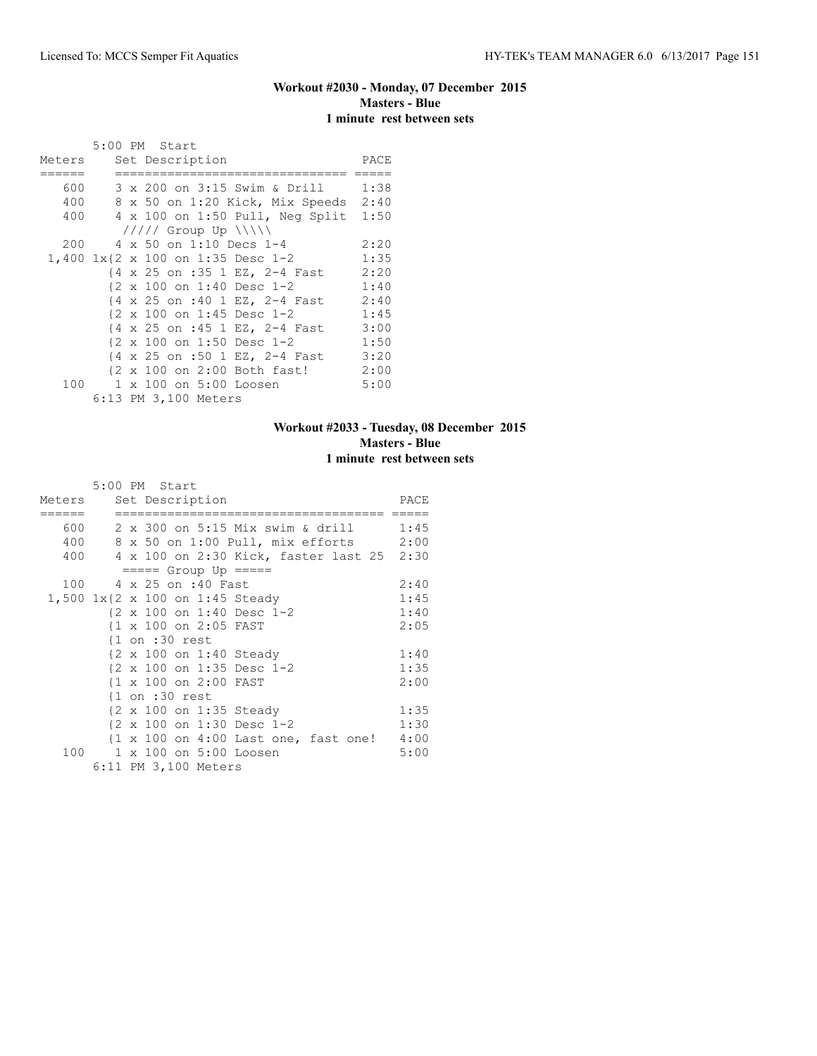## **Workout #2030 - Monday, 07 December 2015 Masters - Blue 1 minute rest between sets**

|        | 5:00 PM Start                                       |      |
|--------|-----------------------------------------------------|------|
| Meters | Set Description                                     | PACE |
|        |                                                     |      |
| 600    | 3 x 200 on 3:15 Swim & Drill 1:38                   |      |
| 400    | 8 x 50 on 1:20 Kick, Mix Speeds 2:40                |      |
| 400    | 4 x 100 on 1:50 Pull, Neg Split                     | 1:50 |
|        | $11111$ Group Up $\{\{\}\}\$                        |      |
| 200    | 4 x 50 on 1:10 Decs 1-4                             | 2:20 |
|        | 1,400 1x{2 x 100 on 1:35 Desc 1-2                   | 1:35 |
|        | {4 x 25 on :35 1 EZ, 2-4 Fast 2:20                  |      |
|        | {2 x 100 on 1:40 Desc 1-2                           | 1:40 |
|        | {4 x 25 on :40 1 EZ, 2-4 Fast                       | 2:40 |
|        | $\{2 \times 100 \text{ on } 1:45 \text{ Desc } 1-2$ | 1:45 |
|        | {4 x 25 on :45 1 EZ, 2-4 Fast                       | 3:00 |
|        | {2 x 100 on 1:50 Desc 1-2                           | 1:50 |
|        | {4 x 25 on :50 1 EZ, 2-4 Fast                       | 3:20 |
|        | {2 x 100 on 2:00 Both fast!                         | 2:00 |
| 100    | 1 x 100 on 5:00 Loosen                              | 5:00 |
|        | 6:13 PM 3,100 Meters                                |      |

## **Workout #2033 - Tuesday, 08 December 2015 Masters - Blue 1 minute rest between sets**

|        | 5:00 PM Start                                 |      |
|--------|-----------------------------------------------|------|
| Meters | Set Description                               | PACE |
|        |                                               |      |
|        | 600   2 x 300 on 5:15 Mix swim & drill   1:45 |      |
|        | 400 8 x 50 on 1:00 Pull, mix efforts 2:00     |      |
|        | 400 4 x 100 on 2:30 Kick, faster last 25 2:30 |      |
|        | $== == $ Group Up $== == $                    |      |
|        | 100 4 x 25 on :40 Fast                        | 2:40 |
|        | 1,500 1x{2 x 100 on 1:45 Steady               | 1:45 |
|        | {2 x 100 on 1:40 Desc 1-2                     | 1:40 |
|        | {1 x 100 on 2:05 FAST                         | 2:05 |
|        | $\{1$ on :30 rest                             |      |
|        | {2 x 100 on 1:40 Steady                       | 1:40 |
|        | {2 x 100 on 1:35 Desc 1-2                     | 1:35 |
|        | {1 x 100 on 2:00 FAST                         | 2:00 |
|        | $\{1$ on :30 rest                             |      |
|        | {2 x 100 on 1:35 Steady                       | 1:35 |
|        | {2 x 100 on 1:30 Desc 1-2                     | 1:30 |
|        | {1 x 100 on 4:00 Last one, fast one! 4:00     |      |
| 100    | 1 x 100 on 5:00 Loosen                        | 5:00 |
|        | 6:11 PM 3,100 Meters                          |      |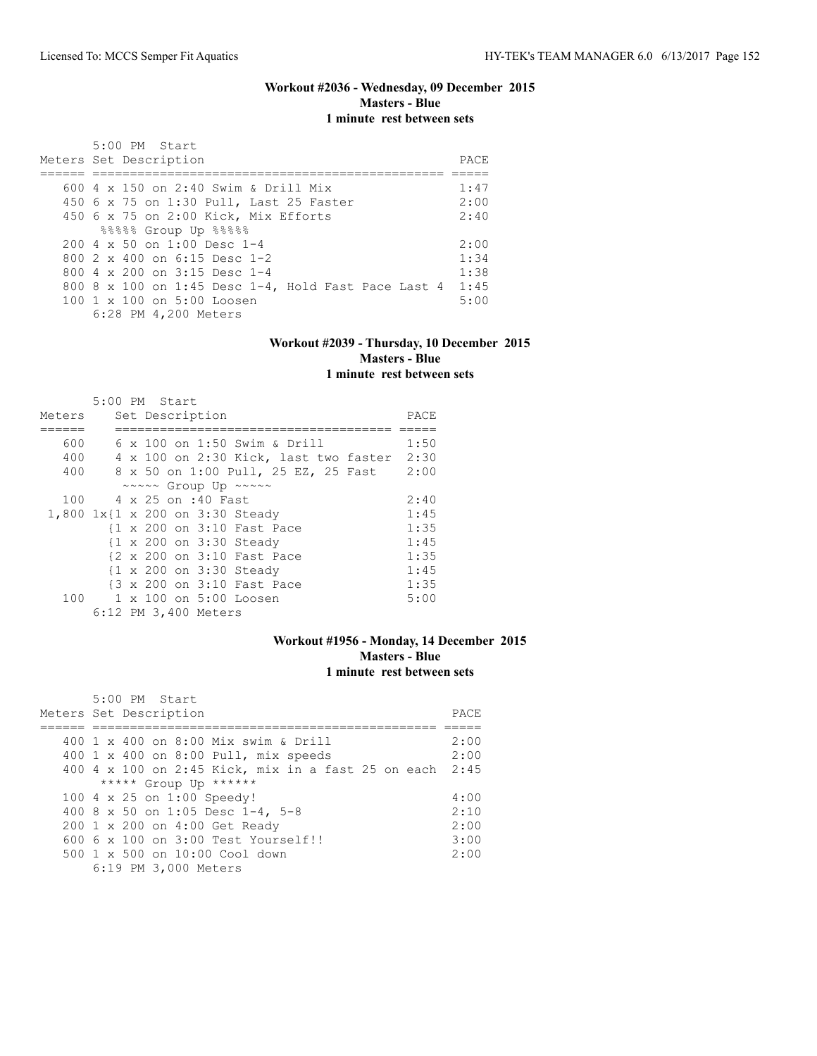## **Workout #2036 - Wednesday, 09 December 2015 Masters - Blue 1 minute rest between sets**

| 5:00 PM Start<br>Meters Set Description             | PACE. |
|-----------------------------------------------------|-------|
|                                                     |       |
| 600 $4 \times 150$ on 2:40 Swim & Drill Mix         | 1:47  |
| 450 6 x 75 on 1:30 Pull, Last 25 Faster             | 2:00  |
| 450 6 x 75 on 2:00 Kick, Mix Efforts                | 2:40  |
| 88888 Group Up 88888                                |       |
| $200.4 \times 50$ on 1:00 Desc 1-4                  | 2:00  |
| 800 $2 \times 400$ on 6:15 Desc 1-2                 | 1:34  |
| 800 4 $\times$ 200 on 3:15 Desc 1-4                 | 1:38  |
| 800 8 x 100 on 1:45 Desc 1-4, Hold Fast Pace Last 4 | 1:45  |
| 100 1 x 100 on 5:00 Loosen                          | 5:00  |
| 6:28 PM 4,200 Meters                                |       |

#### **Workout #2039 - Thursday, 10 December 2015 Masters - Blue 1 minute rest between sets**

|                                 | 5:00 PM Start          |  |                      |                            |                                       |      |
|---------------------------------|------------------------|--|----------------------|----------------------------|---------------------------------------|------|
| Meters                          |                        |  | Set Description      |                            |                                       | PACE |
|                                 |                        |  |                      |                            |                                       |      |
| 600                             |                        |  |                      |                            | 6 x 100 on 1:50 Swim & Drill          | 1:50 |
| 400                             |                        |  |                      |                            | 4 x 100 on 2:30 Kick, last two faster | 2:30 |
| 400                             |                        |  |                      |                            | 8 x 50 on 1:00 Pull, 25 EZ, 25 Fast   | 2:00 |
|                                 |                        |  |                      | ~~~~~ Group Up ~~~~~       |                                       |      |
|                                 | 100 4 x 25 on :40 Fast |  |                      |                            |                                       | 2:40 |
| 1,800 1x{1 x 200 on 3:30 Steady |                        |  |                      |                            |                                       | 1:45 |
|                                 |                        |  |                      | {1 x 200 on 3:10 Fast Pace |                                       | 1:35 |
|                                 |                        |  |                      | {1 x 200 on 3:30 Steady    |                                       | 1:45 |
|                                 |                        |  |                      | {2 x 200 on 3:10 Fast Pace |                                       | 1:35 |
|                                 |                        |  |                      | {1 x 200 on 3:30 Steady    |                                       | 1:45 |
|                                 |                        |  |                      | {3 x 200 on 3:10 Fast Pace |                                       | 1:35 |
|                                 |                        |  |                      | 100 1 x 100 on 5:00 Loosen |                                       | 5:00 |
|                                 |                        |  | 6:12 PM 3,400 Meters |                            |                                       |      |

## **Workout #1956 - Monday, 14 December 2015 Masters - Blue 1 minute rest between sets**

| 5:00 PM Start<br>Meters Set Description                 | PACE |
|---------------------------------------------------------|------|
|                                                         |      |
|                                                         |      |
| 400 1 x 400 on 8:00 Mix swim & Drill                    | 2:00 |
| 400 1 x 400 on 8:00 Pull, mix speeds                    | 2:00 |
| 400 4 x 100 on 2:45 Kick, mix in a fast 25 on each 2:45 |      |
| ***** Group Up ******                                   |      |
| 100 4 x 25 on 1:00 Speedy!                              | 4:00 |
| 400 8 x 50 on 1:05 Desc 1-4, 5-8                        | 2:10 |
| 200 1 x 200 on 4:00 Get Ready                           | 2:00 |
| $6006 \times 100$ on $3:00$ Test Yourself!!             | 3:00 |
| 500 1 x 500 on 10:00 Cool down                          | 2:00 |
| 6:19 PM 3,000 Meters                                    |      |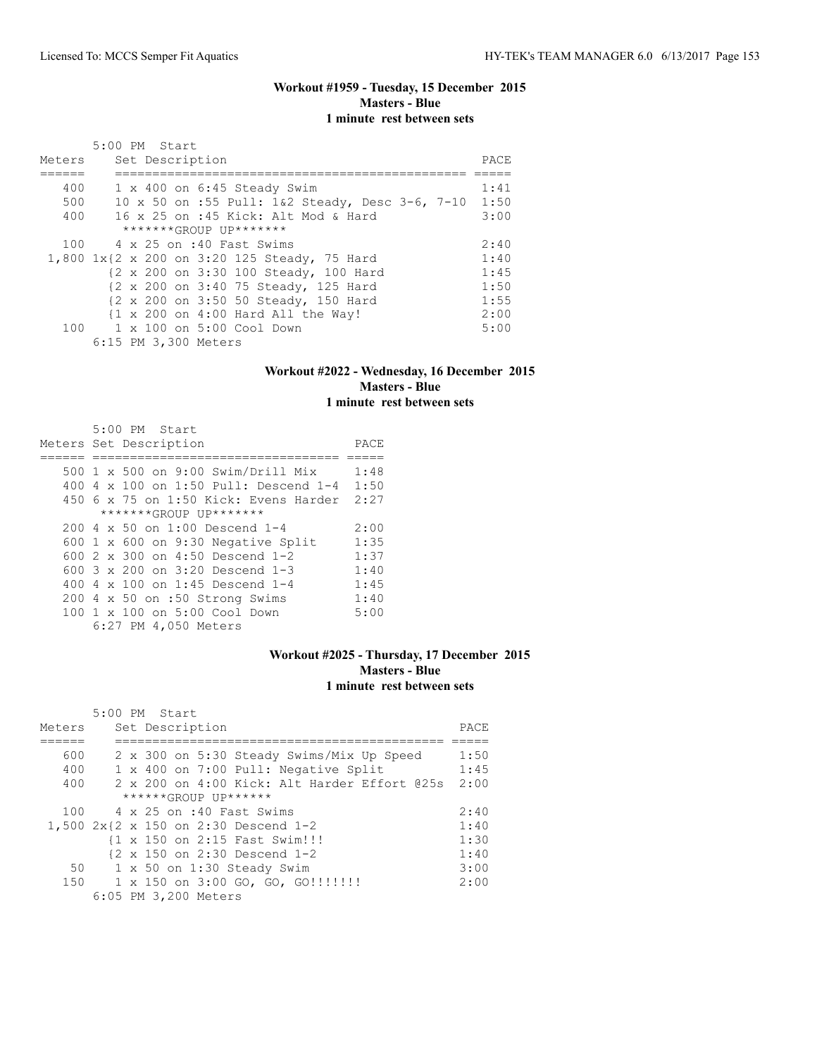## **Workout #1959 - Tuesday, 15 December 2015 Masters - Blue 1 minute rest between sets**

| Meters | 5:00 PM Start<br>Set Description                             | PACE |
|--------|--------------------------------------------------------------|------|
|        |                                                              |      |
| 400    | 1 x 400 on 6:45 Steady Swim                                  | 1:41 |
| 500    | 10 x 50 on :55 Pull: 1&2 Steady, Desc 3-6, 7-10              | 1:50 |
| 400    | 16 x 25 on :45 Kick: Alt Mod & Hard                          | 3:00 |
|        | *******GROUP UP*******                                       |      |
|        | 100 4 x 25 on :40 Fast Swims                                 | 2:40 |
|        | 1,800 1x{2 x 200 on 3:20 125 Steady, 75 Hard                 | 1:40 |
|        | {2 x 200 on 3:30 100 Steady, 100 Hard                        | 1:45 |
|        | {2 x 200 on 3:40 75 Steady, 125 Hard                         | 1:50 |
|        | {2 x 200 on 3:50 50 Steady, 150 Hard                         | 1:55 |
|        | $\{1 \times 200 \text{ on } 4:00 \text{ Hard All the Way}\}$ | 2:00 |
|        | 100 1 x 100 on 5:00 Cool Down                                | 5:00 |
|        | 6:15 PM 3,300 Meters                                         |      |

#### **Workout #2022 - Wednesday, 16 December 2015 Masters - Blue 1 minute rest between sets**

|     | 5:00 PM Start                             |      |
|-----|-------------------------------------------|------|
|     | Meters Set Description                    | PACE |
|     |                                           |      |
|     | 500 1 x 500 on 9:00 Swim/Drill Mix        | 1:48 |
| 400 | 4 x 100 on 1:50 Pull: Descend 1-4         | 1:50 |
|     | 450 6 x 75 on 1:50 Kick: Evens Harder     | 2:27 |
|     | *******GROUP UP*******                    |      |
|     | 200 4 x 50 on 1:00 Descend 1-4            | 2:00 |
|     | 600 $1 \times 600$ on 9:30 Negative Split | 1:35 |
|     | 600 $2 \times 300$ on 4:50 Descend 1-2    | 1:37 |
|     | 600 $3 \times 200$ on $3:20$ Descend 1-3  | 1:40 |
|     | 400 4 $\times$ 100 on 1:45 Descend 1-4    | 1:45 |
|     | 200 4 x 50 on :50 Strong Swims            | 1:40 |
|     | 100 1 x 100 on 5:00 Cool Down             | 5:00 |
|     | 6:27 PM 4,050 Meters                      |      |

# **Workout #2025 - Thursday, 17 December 2015 Masters - Blue 1 minute rest between sets**

|        | 5:00 PM Start |  |                      |                                      |                                      |                                              |      |
|--------|---------------|--|----------------------|--------------------------------------|--------------------------------------|----------------------------------------------|------|
| Meters |               |  | Set Description      |                                      |                                      |                                              | PACE |
|        |               |  |                      |                                      |                                      |                                              |      |
| 600    |               |  |                      |                                      |                                      | 2 x 300 on 5:30 Steady Swims/Mix Up Speed    | 1:50 |
| 400    |               |  |                      |                                      | 1 x 400 on 7:00 Pull: Negative Split |                                              | 1:45 |
| 400    |               |  |                      |                                      |                                      | 2 x 200 on 4:00 Kick: Alt Harder Effort @25s | 2:00 |
|        |               |  |                      | ******GROUP UP******                 |                                      |                                              |      |
| 100    |               |  |                      | 4 x 25 on :40 Fast Swims             |                                      |                                              | 2:40 |
|        |               |  |                      | 1,500 2x{2 x 150 on 2:30 Descend 1-2 |                                      |                                              | 1:40 |
|        |               |  |                      | {1 x 150 on 2:15 Fast Swim!!!        |                                      |                                              | 1:30 |
|        |               |  |                      | {2 x 150 on 2:30 Descend 1-2         |                                      |                                              | 1:40 |
|        | 50            |  |                      | $1 \times 50$ on $1:30$ Steady Swim  |                                      |                                              | 3:00 |
| 150    |               |  |                      |                                      | 1 x 150 on 3:00 GO, GO, GO!!!!!!!!   |                                              | 2:00 |
|        |               |  | 6:05 PM 3,200 Meters |                                      |                                      |                                              |      |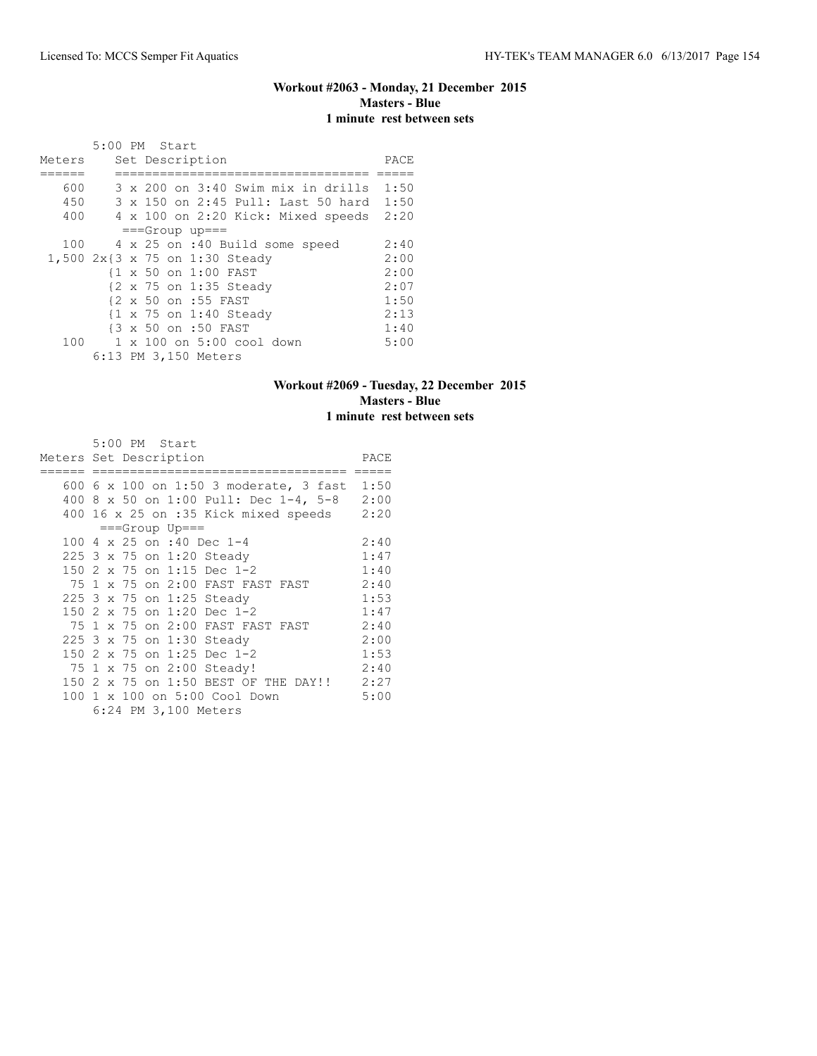# **Workout #2063 - Monday, 21 December 2015 Masters - Blue 1 minute rest between sets**

|        | 5:00 PM Start |  |                                                   |      |
|--------|---------------|--|---------------------------------------------------|------|
| Meters |               |  | Set Description                                   | PACE |
|        |               |  |                                                   |      |
| 600    |               |  | 3 x 200 on 3:40 Swim mix in drills                | 1:50 |
| 450    |               |  | 3 x 150 on 2:45 Pull: Last 50 hard                | 1:50 |
| 400    |               |  | 4 x 100 on 2:20 Kick: Mixed speeds                | 2:20 |
|        |               |  | $==Group$ up===                                   |      |
| 100    |               |  | 4 x 25 on :40 Build some speed                    | 2:40 |
|        |               |  | 1,500 2x{3 x 75 on 1:30 Steady                    | 2:00 |
|        |               |  | {1 x 50 on 1:00 FAST                              | 2:00 |
|        |               |  | {2 x 75 on 1:35 Steady                            | 2:07 |
|        |               |  | {2 x 50 on :55 FAST                               | 1:50 |
|        |               |  | $\{1 \times 75 \text{ on } 1:40 \text{ Steady}\}$ | 2:13 |
|        |               |  | {3 x 50 on :50 FAST                               | 1:40 |
| 100    |               |  | 1 x 100 on 5:00 cool down                         | 5:00 |
|        |               |  | 6:13 PM 3,150 Meters                              |      |

## **Workout #2069 - Tuesday, 22 December 2015 Masters - Blue 1 minute rest between sets**

| Meters Set Description | 5:00 PM Start |                 |                                                       | PACE |
|------------------------|---------------|-----------------|-------------------------------------------------------|------|
|                        |               |                 |                                                       |      |
|                        |               |                 | 600 6 x 100 on 1:50 3 moderate, 3 fast                | 1:50 |
| 400                    |               |                 | 8 x 50 on 1:00 Pull: Dec 1-4, 5-8 2:00                |      |
|                        |               |                 | 400 16 x 25 on :35 Kick mixed speeds                  | 2:20 |
|                        |               | $==Group$ Up=== |                                                       |      |
|                        |               |                 | 100 4 x 25 on :40 Dec 1-4                             | 2:40 |
|                        |               |                 | 225 3 x 75 on 1:20 Steady                             | 1:47 |
|                        |               |                 | 150 2 x 75 on 1:15 Dec 1-2                            | 1:40 |
|                        |               |                 | 75 1 x 75 on 2:00 FAST FAST FAST                      | 2:40 |
|                        |               |                 | 225 3 x 75 on 1:25 Steady                             | 1:53 |
|                        |               |                 | 150 2 x 75 on 1:20 Dec 1-2                            | 1:47 |
|                        |               |                 | 75 1 x 75 on 2:00 FAST FAST FAST                      | 2:40 |
|                        |               |                 | 225 3 x 75 on 1:30 Steady                             | 2:00 |
| 150                    |               |                 | 2 x 75 on 1:25 Dec 1-2                                | 1:53 |
|                        |               |                 | 75 1 x 75 on 2:00 Steady!                             | 2:40 |
|                        |               |                 | 150 2 x 75 on 1:50 BEST OF THE DAY!!                  | 2:27 |
|                        |               |                 | 100 1 x 100 on 5:00 Cool Down<br>6:24 PM 3,100 Meters | 5:00 |
|                        |               |                 |                                                       |      |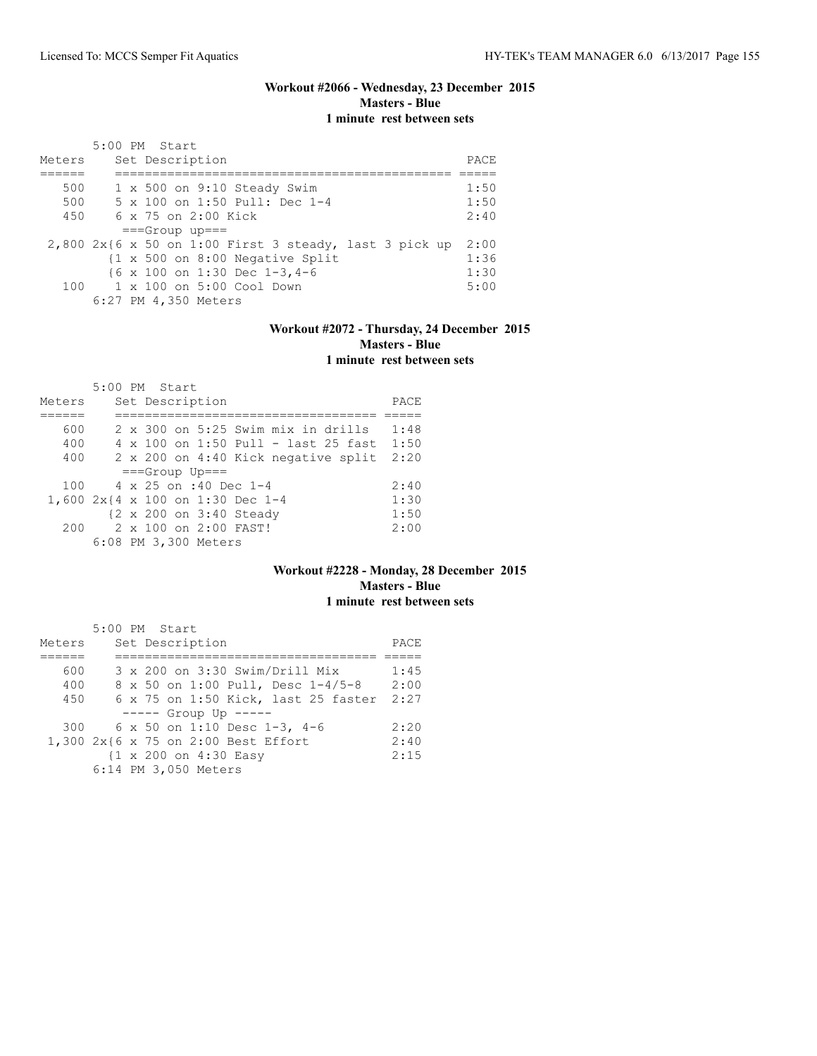## **Workout #2066 - Wednesday, 23 December 2015 Masters - Blue 1 minute rest between sets**

| Meters | 5:00 PM Start<br>Set Description                           | PACE |
|--------|------------------------------------------------------------|------|
| 500    | $1 \times 500$ on $9:10$ Steady Swim                       | 1:50 |
| 500    | 5 x 100 on 1:50 Pull: Dec 1-4                              | 1:50 |
| 450    | 6 x 75 on 2:00 Kick                                        | 2:40 |
|        | $==Group$ up===                                            |      |
|        | $2,800$ 2x{6 x 50 on 1:00 First 3 steady, last 3 pick up   | 2:00 |
|        | $\{1 \times 500 \text{ on } 8:00 \text{ Negative Split}\}$ | 1:36 |
|        | $\{6 \times 100 \text{ on } 1:30 \text{ Dec } 1-3,4-6$     | 1:30 |
|        | $100 \t 1 \times 100$ on $5:00$ Cool Down                  | 5:00 |
|        | 6:27 PM 4,350 Meters                                       |      |

## **Workout #2072 - Thursday, 24 December 2015 Masters - Blue 1 minute rest between sets**

|                                  | $5:00$ PM Start |  |                              |                                             |                                            |      |
|----------------------------------|-----------------|--|------------------------------|---------------------------------------------|--------------------------------------------|------|
| Meters                           |                 |  | Set Description              |                                             |                                            | PACE |
|                                  |                 |  |                              |                                             |                                            |      |
| 600                              |                 |  |                              | $2 \times 300$ on $5:25$ Swim mix in drills |                                            | 1:48 |
| 400                              |                 |  |                              |                                             | $4 \times 100$ on 1:50 Pull - last 25 fast | 1:50 |
| 400                              |                 |  |                              |                                             | 2 x 200 on 4:40 Kick negative split        | 2:20 |
|                                  |                 |  | $==Grow$ Up===               |                                             |                                            |      |
| 100                              |                 |  | $4 \times 25$ on :40 Dec 1-4 |                                             |                                            | 2:40 |
| 1,600 2x{4 x 100 on 1:30 Dec 1-4 |                 |  |                              |                                             |                                            | 1:30 |
|                                  |                 |  | {2 x 200 on 3:40 Steady      |                                             |                                            | 1:50 |
| 200                              |                 |  | 2 x 100 on 2:00 FAST!        |                                             |                                            | 2:00 |
|                                  |                 |  | 6:08 PM 3,300 Meters         |                                             |                                            |      |

## **Workout #2228 - Monday, 28 December 2015 Masters - Blue 1 minute rest between sets**

|                                     | 5:00 PM Start |  |                      |                       |                                  |                                     |      |
|-------------------------------------|---------------|--|----------------------|-----------------------|----------------------------------|-------------------------------------|------|
| Meters                              |               |  | Set Description      |                       |                                  |                                     | PACE |
|                                     |               |  |                      |                       |                                  |                                     |      |
| 600                                 |               |  |                      |                       | 3 x 200 on 3:30 Swim/Drill Mix   |                                     | 1:45 |
| 400                                 |               |  |                      |                       |                                  | 8 x 50 on 1:00 Pull, Desc 1-4/5-8   | 2:00 |
| 450                                 |               |  |                      |                       |                                  | 6 x 75 on 1:50 Kick, last 25 faster | 2:27 |
|                                     |               |  |                      | $--- $ Group Up $---$ |                                  |                                     |      |
|                                     |               |  |                      |                       | 300 6 x 50 on 1:10 Desc 1-3, 4-6 |                                     | 2:20 |
| 1,300 2x{6 x 75 on 2:00 Best Effort |               |  |                      |                       |                                  |                                     | 2:40 |
|                                     |               |  |                      | {1 x 200 on 4:30 Easy |                                  |                                     | 2:15 |
|                                     |               |  | 6:14 PM 3,050 Meters |                       |                                  |                                     |      |